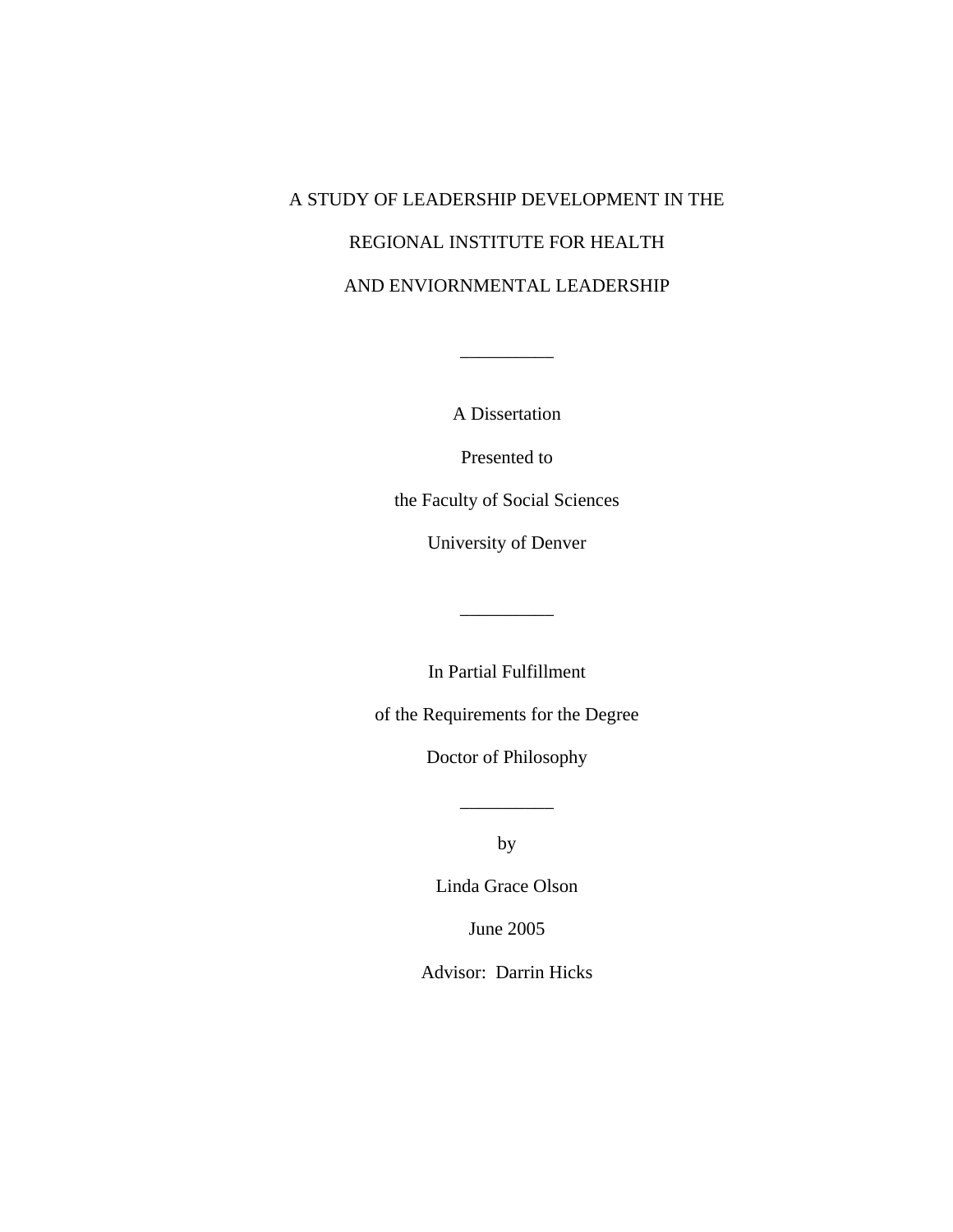# A STUDY OF LEADERSHIP DEVELOPMENT IN THE REGIONAL INSTITUTE FOR HEALTH AND ENVIORNMENTAL LEADERSHIP

A Dissertation

 $\overline{\phantom{a}}$   $\overline{\phantom{a}}$   $\overline{\phantom{a}}$   $\overline{\phantom{a}}$   $\overline{\phantom{a}}$   $\overline{\phantom{a}}$   $\overline{\phantom{a}}$   $\overline{\phantom{a}}$   $\overline{\phantom{a}}$   $\overline{\phantom{a}}$   $\overline{\phantom{a}}$   $\overline{\phantom{a}}$   $\overline{\phantom{a}}$   $\overline{\phantom{a}}$   $\overline{\phantom{a}}$   $\overline{\phantom{a}}$   $\overline{\phantom{a}}$   $\overline{\phantom{a}}$   $\overline{\$ 

Presented to

the Faculty of Social Sciences

University of Denver

In Partial Fulfillment

\_\_\_\_\_\_\_\_\_\_

of the Requirements for the Degree

Doctor of Philosophy

by

\_\_\_\_\_\_\_\_\_\_

Linda Grace Olson

June 2005

Advisor: Darrin Hicks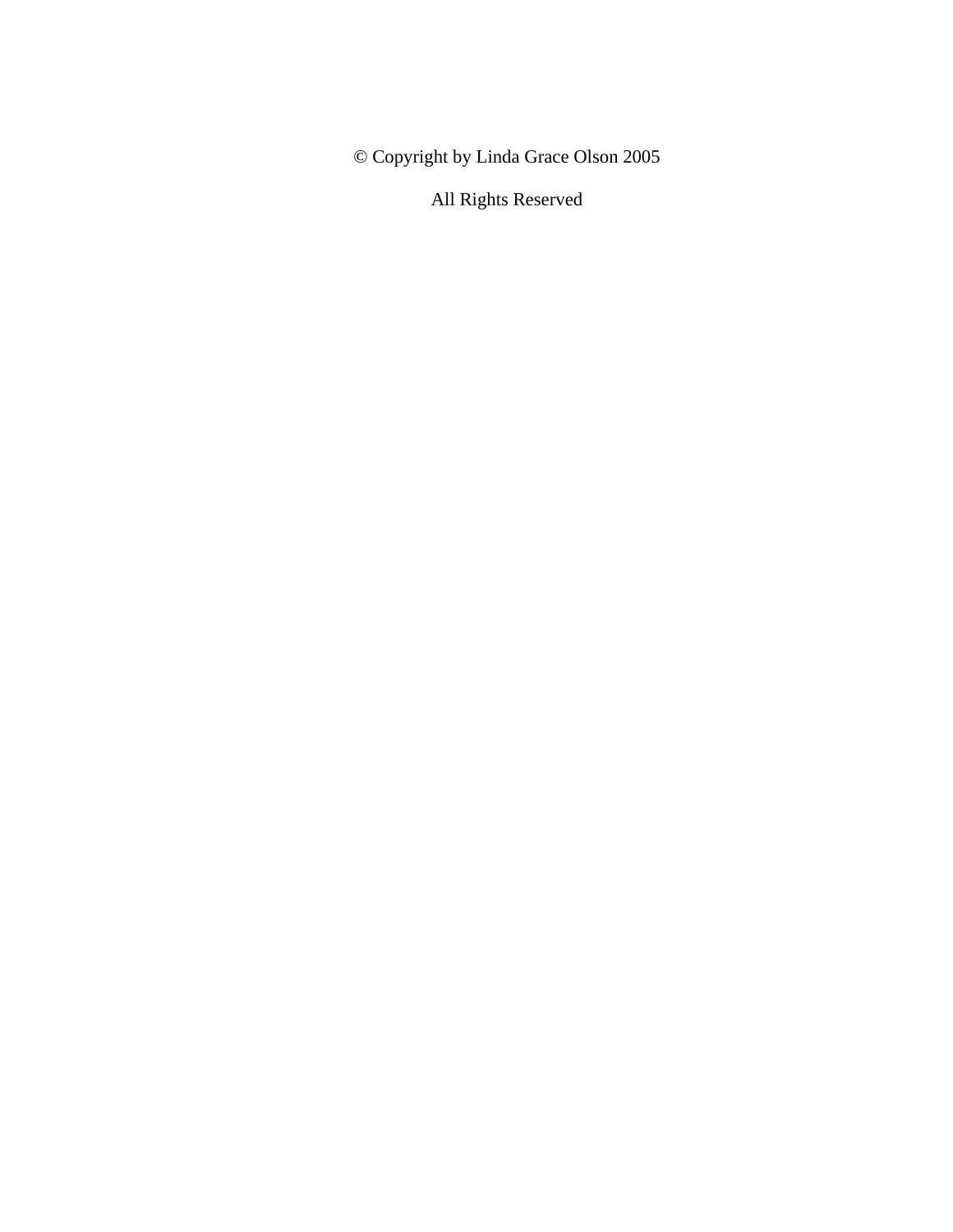© Copyright by Linda Grace Olson 2005

All Rights Reserved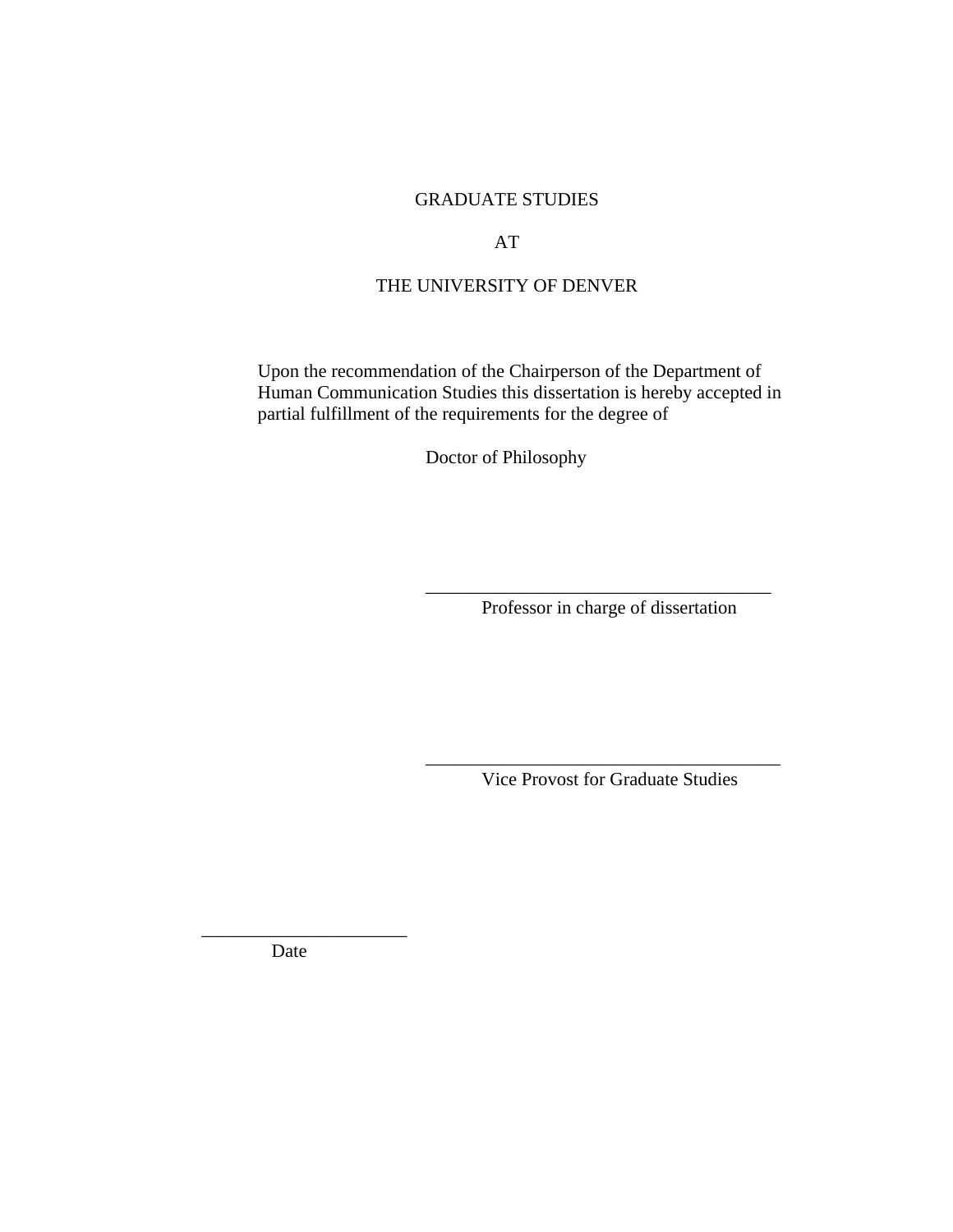# GRADUATE STUDIES

### AT

# THE UNIVERSITY OF DENVER

Upon the recommendation of the Chairperson of the Department of Human Communication Studies this dissertation is hereby accepted in partial fulfillment of the requirements for the degree of

Doctor of Philosophy

 $\overline{\phantom{a}}$  ,  $\overline{\phantom{a}}$  ,  $\overline{\phantom{a}}$  ,  $\overline{\phantom{a}}$  ,  $\overline{\phantom{a}}$  ,  $\overline{\phantom{a}}$  ,  $\overline{\phantom{a}}$  ,  $\overline{\phantom{a}}$  ,  $\overline{\phantom{a}}$  ,  $\overline{\phantom{a}}$  ,  $\overline{\phantom{a}}$  ,  $\overline{\phantom{a}}$  ,  $\overline{\phantom{a}}$  ,  $\overline{\phantom{a}}$  ,  $\overline{\phantom{a}}$  ,  $\overline{\phantom{a}}$ 

 $\overline{\phantom{a}}$  ,  $\overline{\phantom{a}}$  ,  $\overline{\phantom{a}}$  ,  $\overline{\phantom{a}}$  ,  $\overline{\phantom{a}}$  ,  $\overline{\phantom{a}}$  ,  $\overline{\phantom{a}}$  ,  $\overline{\phantom{a}}$  ,  $\overline{\phantom{a}}$  ,  $\overline{\phantom{a}}$  ,  $\overline{\phantom{a}}$  ,  $\overline{\phantom{a}}$  ,  $\overline{\phantom{a}}$  ,  $\overline{\phantom{a}}$  ,  $\overline{\phantom{a}}$  ,  $\overline{\phantom{a}}$ 

Professor in charge of dissertation

Vice Provost for Graduate Studies

Date

\_\_\_\_\_\_\_\_\_\_\_\_\_\_\_\_\_\_\_\_\_\_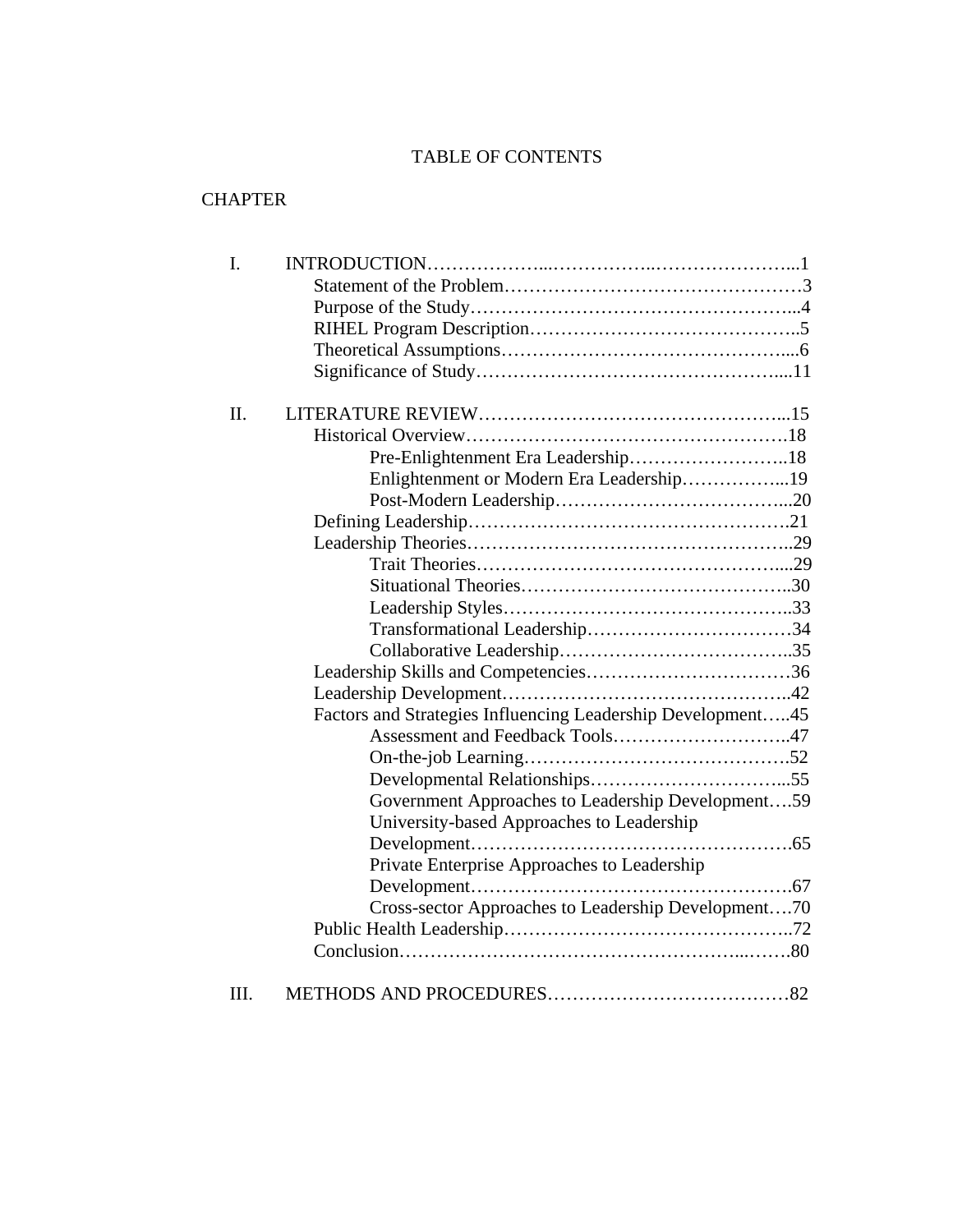# TABLE OF CONTENTS

# **CHAPTER**

| $\mathbf{I}$ . |                                                             |
|----------------|-------------------------------------------------------------|
|                |                                                             |
|                |                                                             |
|                |                                                             |
|                |                                                             |
|                |                                                             |
| Π.             |                                                             |
|                |                                                             |
|                |                                                             |
|                | Enlightenment or Modern Era Leadership19                    |
|                |                                                             |
|                |                                                             |
|                |                                                             |
|                |                                                             |
|                |                                                             |
|                |                                                             |
|                |                                                             |
|                |                                                             |
|                |                                                             |
|                |                                                             |
|                | Factors and Strategies Influencing Leadership Development45 |
|                | Assessment and Feedback Tools47                             |
|                |                                                             |
|                |                                                             |
|                | Government Approaches to Leadership Development59           |
|                | University-based Approaches to Leadership                   |
|                |                                                             |
|                | Private Enterprise Approaches to Leadership                 |
|                |                                                             |
|                | Cross-sector Approaches to Leadership Development70         |
|                |                                                             |
|                |                                                             |
| III.           |                                                             |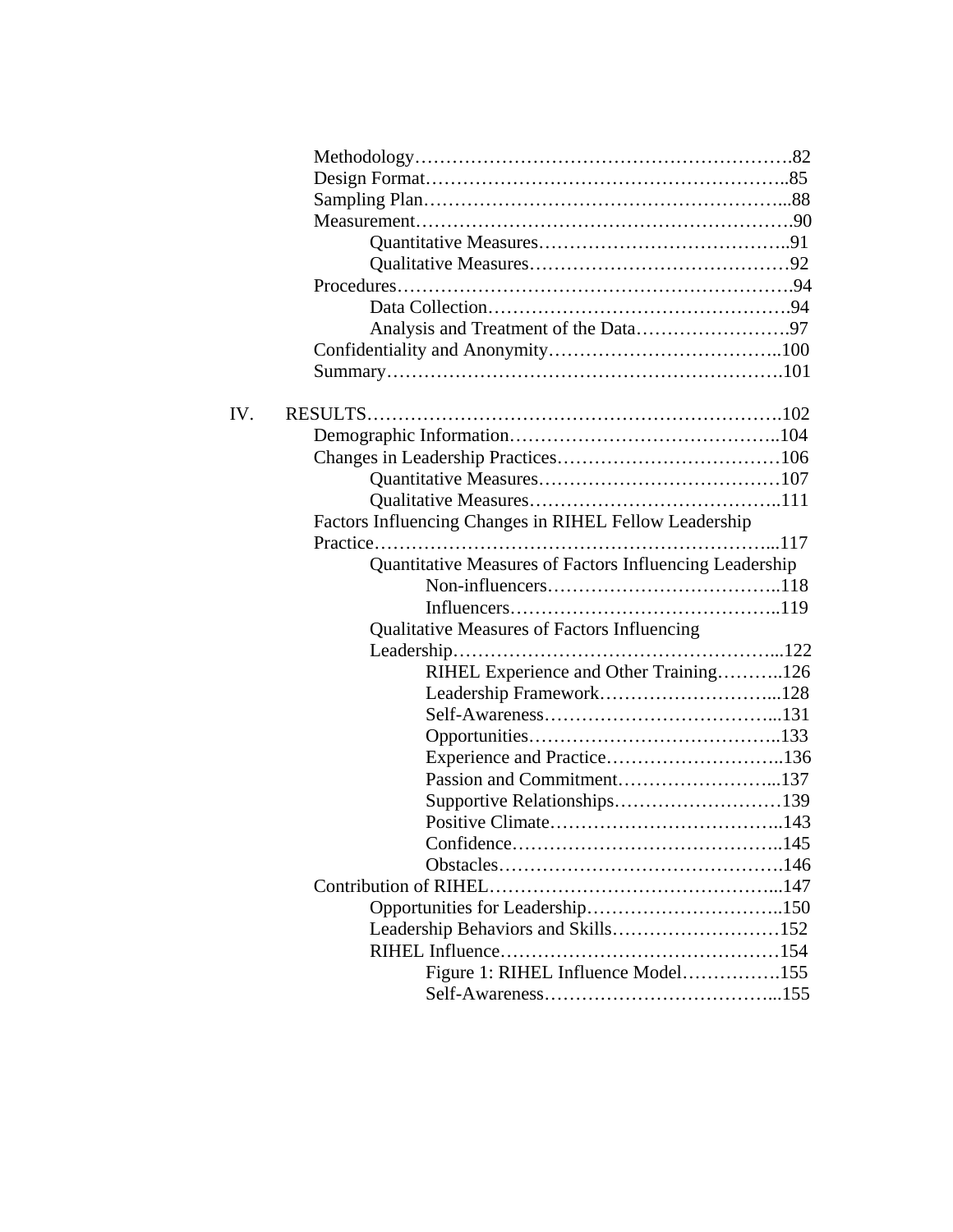| IV. |                                                         |
|-----|---------------------------------------------------------|
|     |                                                         |
|     |                                                         |
|     |                                                         |
|     |                                                         |
|     | Factors Influencing Changes in RIHEL Fellow Leadership  |
|     |                                                         |
|     | Quantitative Measures of Factors Influencing Leadership |
|     |                                                         |
|     |                                                         |
|     | Qualitative Measures of Factors Influencing             |
|     |                                                         |
|     | RIHEL Experience and Other Training126                  |
|     |                                                         |
|     |                                                         |
|     |                                                         |
|     |                                                         |
|     |                                                         |
|     |                                                         |
|     | Confidence                                              |
|     |                                                         |
|     |                                                         |
|     |                                                         |
|     | Leadership Behaviors and Skills152                      |
|     |                                                         |
|     | Figure 1: RIHEL Influence Model155                      |
|     |                                                         |
|     |                                                         |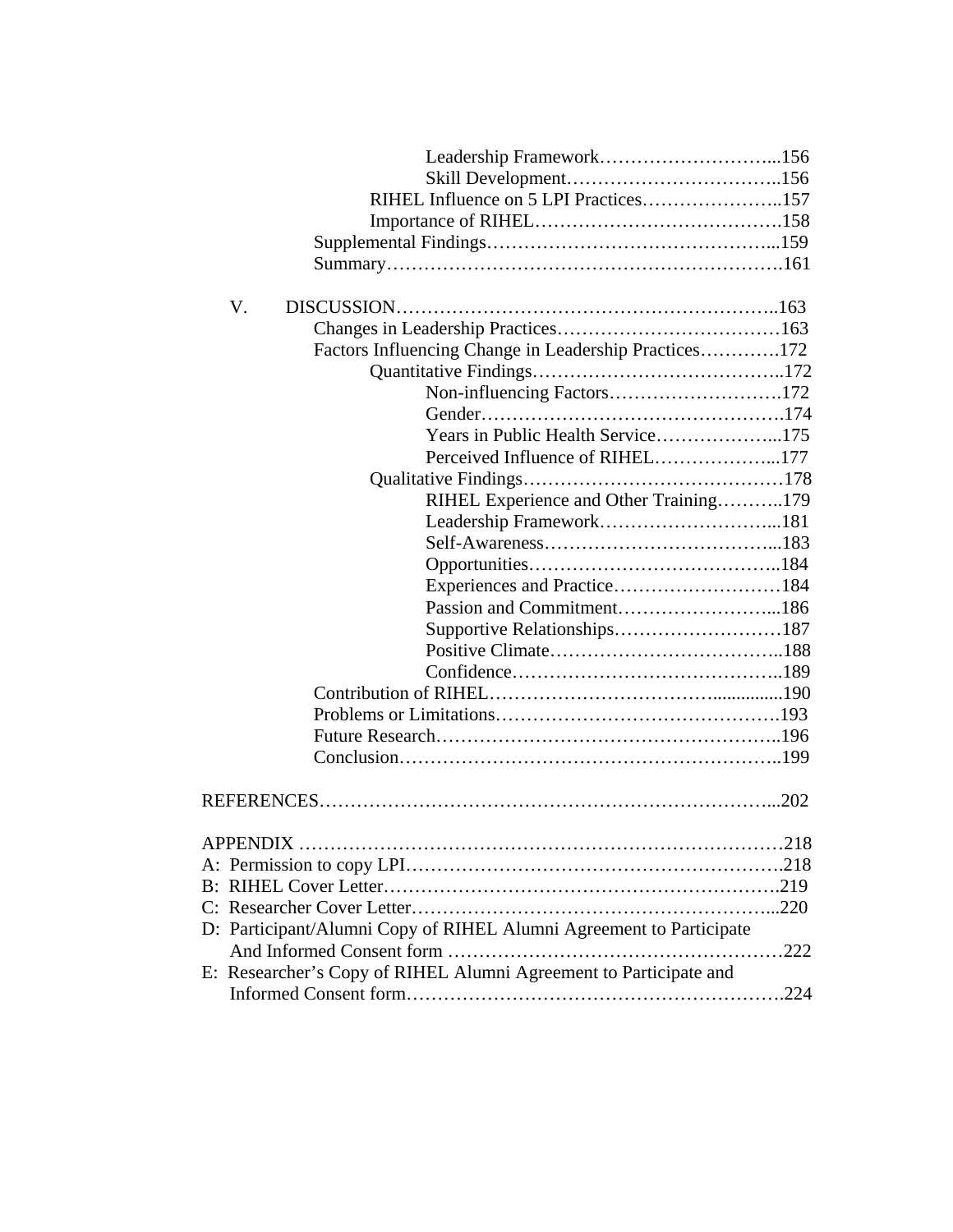| RIHEL Influence on 5 LPI Practices157                               |  |
|---------------------------------------------------------------------|--|
|                                                                     |  |
|                                                                     |  |
|                                                                     |  |
|                                                                     |  |
| V.                                                                  |  |
|                                                                     |  |
| Factors Influencing Change in Leadership Practices172               |  |
|                                                                     |  |
| Non-influencing Factors172                                          |  |
|                                                                     |  |
| Years in Public Health Service175                                   |  |
| Perceived Influence of RIHEL177                                     |  |
|                                                                     |  |
| RIHEL Experience and Other Training179                              |  |
|                                                                     |  |
|                                                                     |  |
|                                                                     |  |
| Experiences and Practice184                                         |  |
| Passion and Commitment186                                           |  |
|                                                                     |  |
|                                                                     |  |
|                                                                     |  |
|                                                                     |  |
|                                                                     |  |
|                                                                     |  |
|                                                                     |  |
|                                                                     |  |
|                                                                     |  |
|                                                                     |  |
|                                                                     |  |
|                                                                     |  |
|                                                                     |  |
|                                                                     |  |
| D: Participant/Alumni Copy of RIHEL Alumni Agreement to Participate |  |
|                                                                     |  |
| E: Researcher's Copy of RIHEL Alumni Agreement to Participate and   |  |
|                                                                     |  |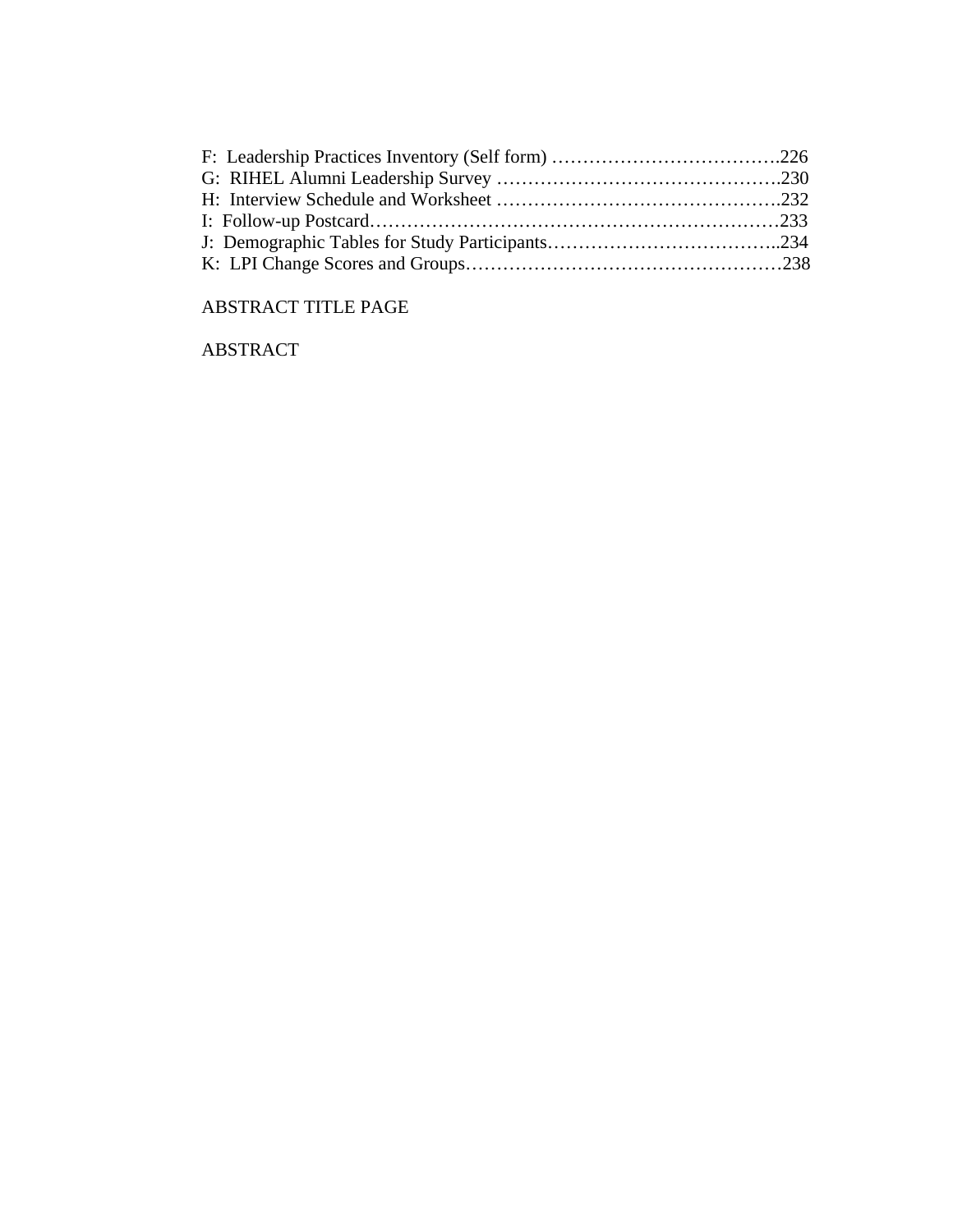# ABSTRACT TITLE PAGE

ABSTRACT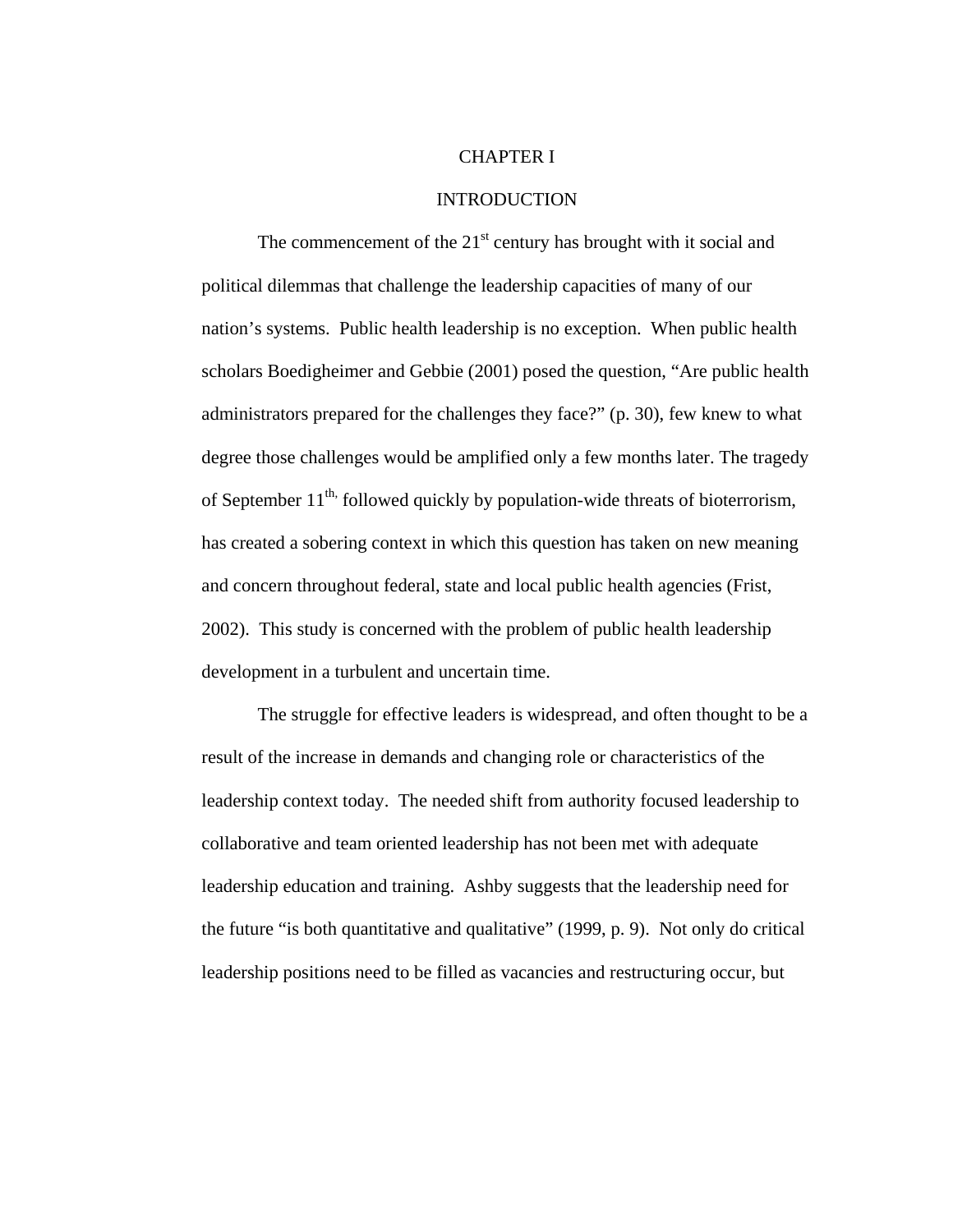#### CHAPTER I

# INTRODUCTION

The commencement of the  $21<sup>st</sup>$  century has brought with it social and political dilemmas that challenge the leadership capacities of many of our nation's systems. Public health leadership is no exception. When public health scholars Boedigheimer and Gebbie (2001) posed the question, "Are public health administrators prepared for the challenges they face?" (p. 30), few knew to what degree those challenges would be amplified only a few months later. The tragedy of September  $11^{th}$ , followed quickly by population-wide threats of bioterrorism, has created a sobering context in which this question has taken on new meaning and concern throughout federal, state and local public health agencies (Frist, 2002). This study is concerned with the problem of public health leadership development in a turbulent and uncertain time.

The struggle for effective leaders is widespread, and often thought to be a result of the increase in demands and changing role or characteristics of the leadership context today. The needed shift from authority focused leadership to collaborative and team oriented leadership has not been met with adequate leadership education and training. Ashby suggests that the leadership need for the future "is both quantitative and qualitative" (1999, p. 9). Not only do critical leadership positions need to be filled as vacancies and restructuring occur, but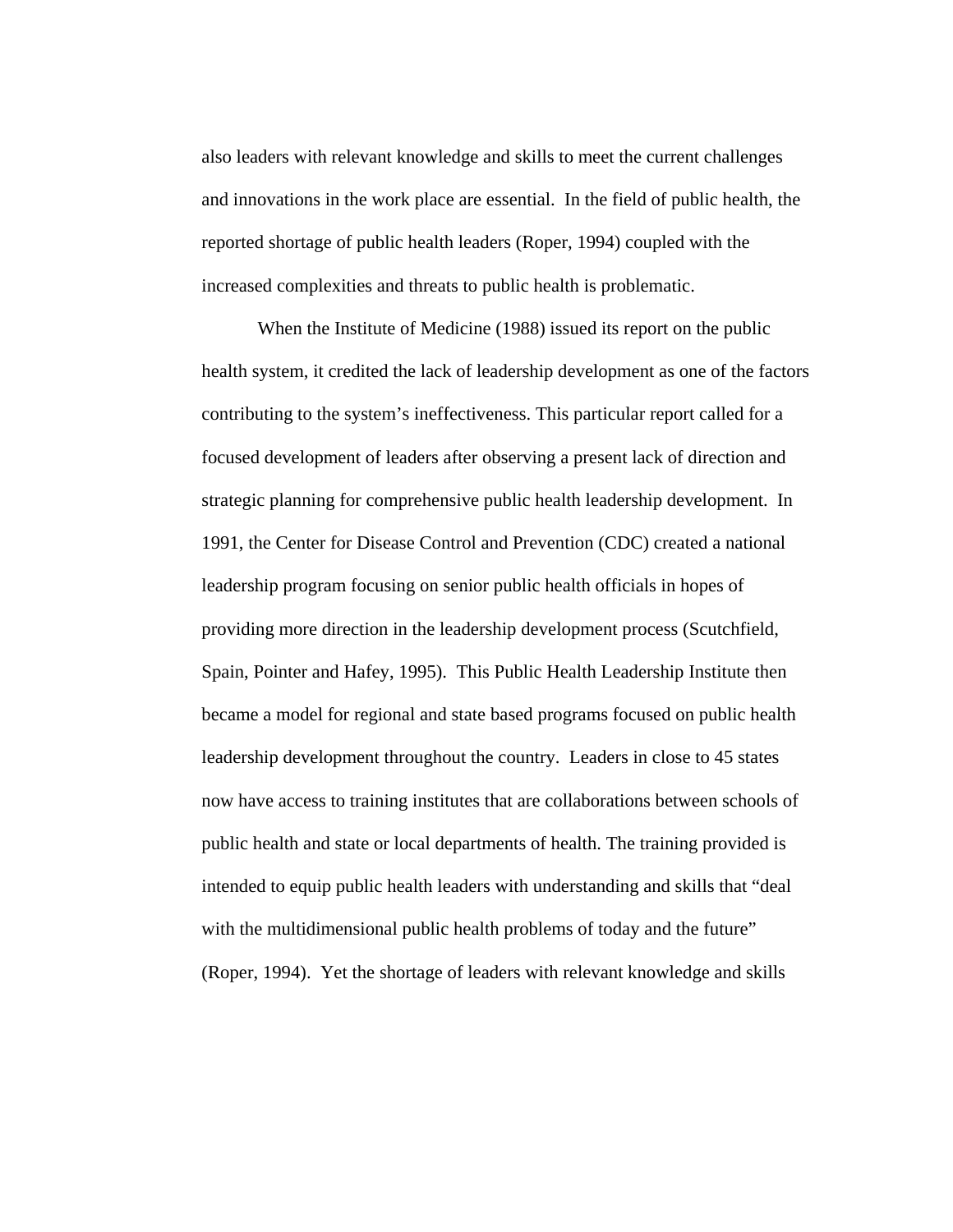also leaders with relevant knowledge and skills to meet the current challenges and innovations in the work place are essential. In the field of public health, the reported shortage of public health leaders (Roper, 1994) coupled with the increased complexities and threats to public health is problematic.

When the Institute of Medicine (1988) issued its report on the public health system, it credited the lack of leadership development as one of the factors contributing to the system's ineffectiveness. This particular report called for a focused development of leaders after observing a present lack of direction and strategic planning for comprehensive public health leadership development. In 1991, the Center for Disease Control and Prevention (CDC) created a national leadership program focusing on senior public health officials in hopes of providing more direction in the leadership development process (Scutchfield, Spain, Pointer and Hafey, 1995). This Public Health Leadership Institute then became a model for regional and state based programs focused on public health leadership development throughout the country. Leaders in close to 45 states now have access to training institutes that are collaborations between schools of public health and state or local departments of health. The training provided is intended to equip public health leaders with understanding and skills that "deal with the multidimensional public health problems of today and the future" (Roper, 1994). Yet the shortage of leaders with relevant knowledge and skills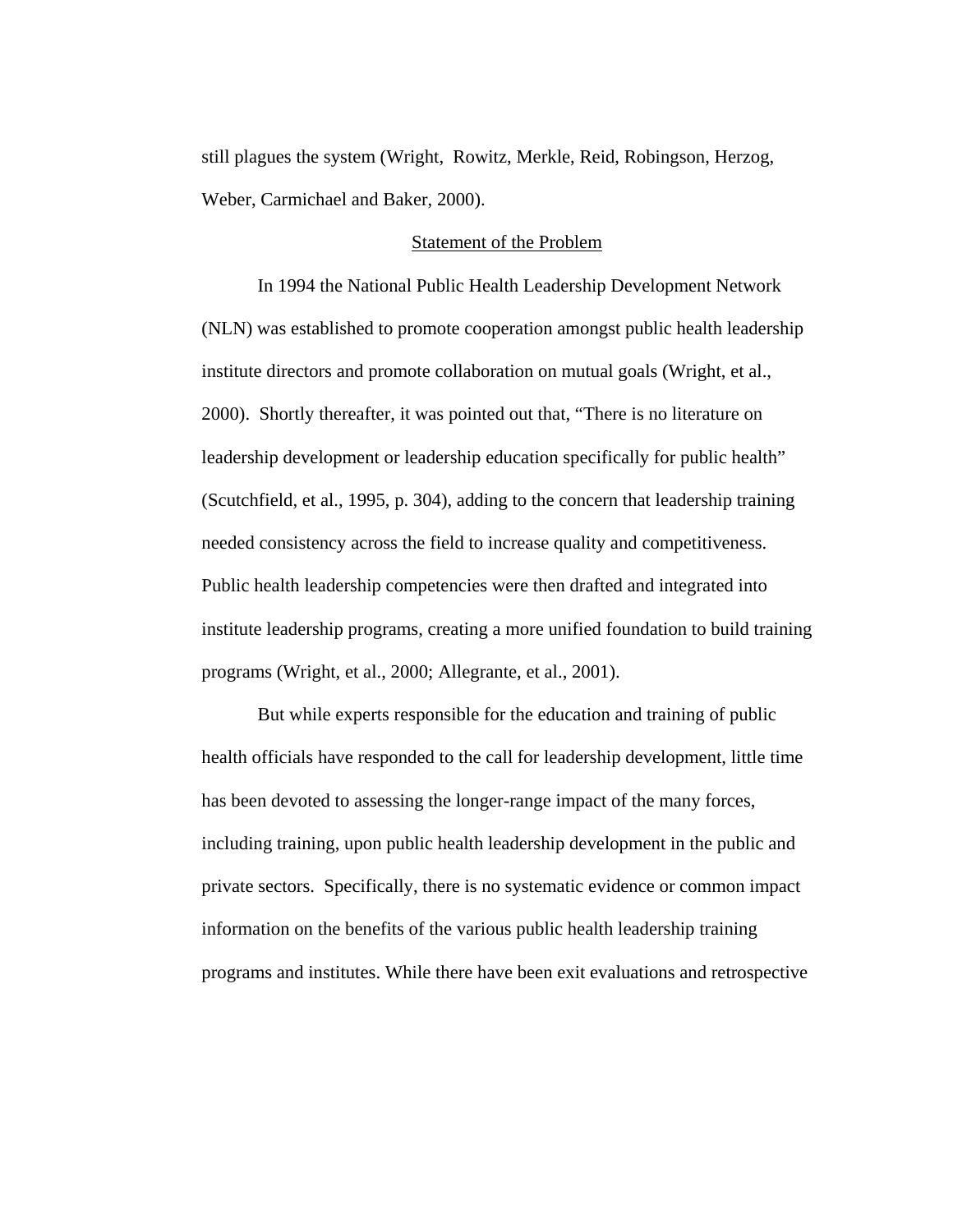still plagues the system (Wright, Rowitz, Merkle, Reid, Robingson, Herzog, Weber, Carmichael and Baker, 2000).

## Statement of the Problem

In 1994 the National Public Health Leadership Development Network (NLN) was established to promote cooperation amongst public health leadership institute directors and promote collaboration on mutual goals (Wright, et al., 2000). Shortly thereafter, it was pointed out that, "There is no literature on leadership development or leadership education specifically for public health" (Scutchfield, et al., 1995, p. 304), adding to the concern that leadership training needed consistency across the field to increase quality and competitiveness. Public health leadership competencies were then drafted and integrated into institute leadership programs, creating a more unified foundation to build training programs (Wright, et al., 2000; Allegrante, et al., 2001).

But while experts responsible for the education and training of public health officials have responded to the call for leadership development, little time has been devoted to assessing the longer-range impact of the many forces, including training, upon public health leadership development in the public and private sectors. Specifically, there is no systematic evidence or common impact information on the benefits of the various public health leadership training programs and institutes. While there have been exit evaluations and retrospective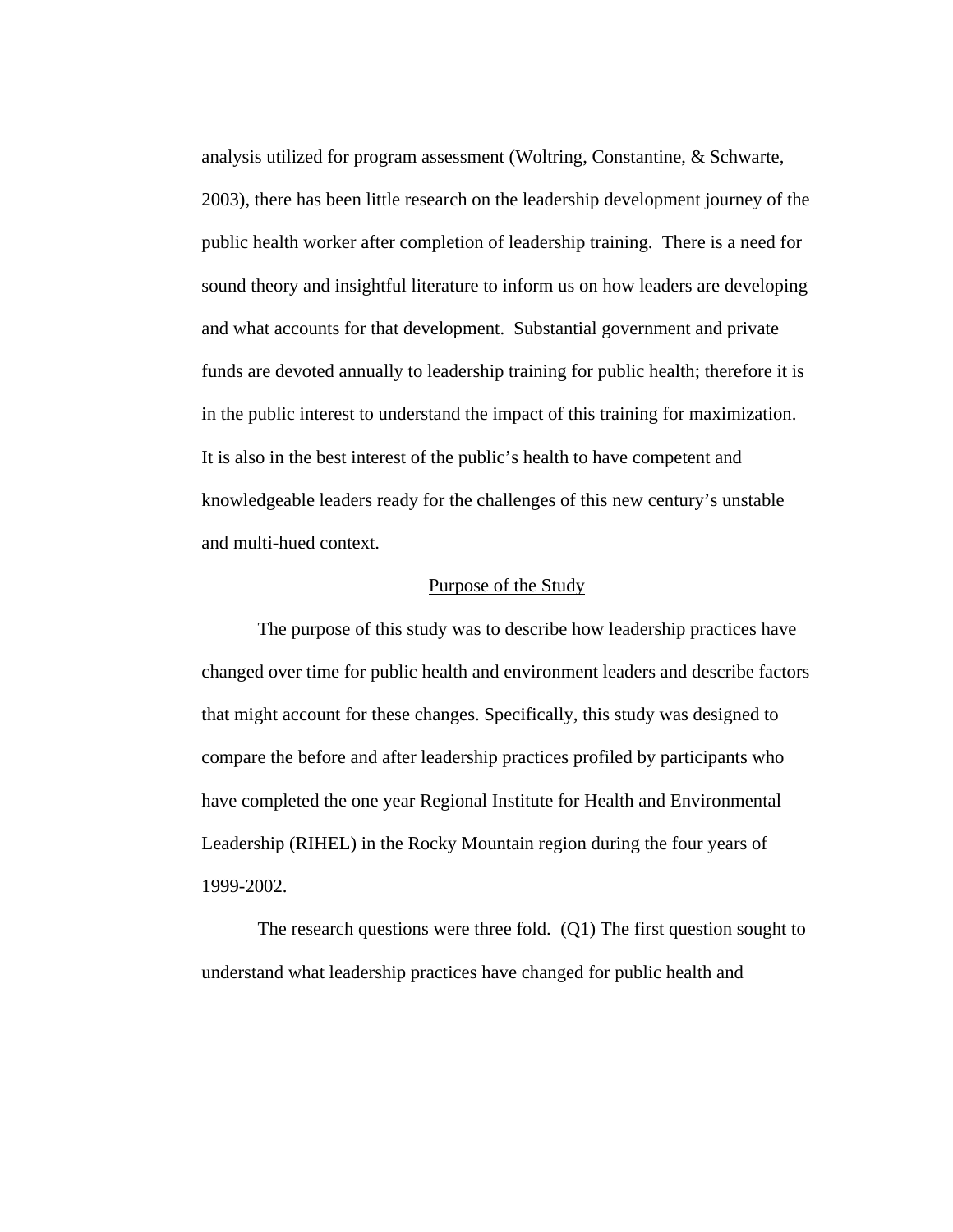analysis utilized for program assessment (Woltring, Constantine, & Schwarte, 2003), there has been little research on the leadership development journey of the public health worker after completion of leadership training. There is a need for sound theory and insightful literature to inform us on how leaders are developing and what accounts for that development. Substantial government and private funds are devoted annually to leadership training for public health; therefore it is in the public interest to understand the impact of this training for maximization. It is also in the best interest of the public's health to have competent and knowledgeable leaders ready for the challenges of this new century's unstable and multi-hued context.

#### Purpose of the Study

The purpose of this study was to describe how leadership practices have changed over time for public health and environment leaders and describe factors that might account for these changes. Specifically, this study was designed to compare the before and after leadership practices profiled by participants who have completed the one year Regional Institute for Health and Environmental Leadership (RIHEL) in the Rocky Mountain region during the four years of 1999-2002.

The research questions were three fold. (Q1) The first question sought to understand what leadership practices have changed for public health and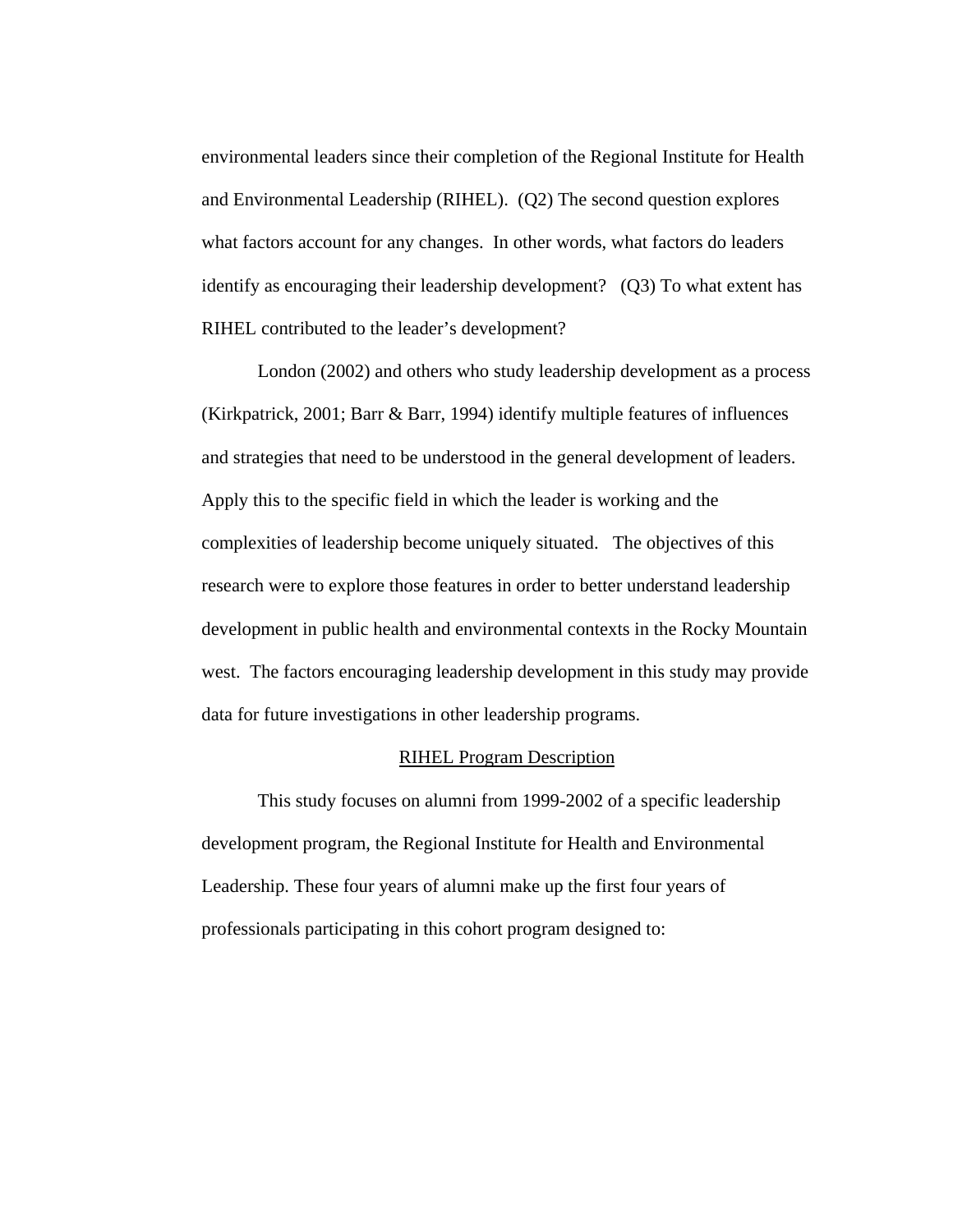environmental leaders since their completion of the Regional Institute for Health and Environmental Leadership (RIHEL). (Q2) The second question explores what factors account for any changes. In other words, what factors do leaders identify as encouraging their leadership development? (Q3) To what extent has RIHEL contributed to the leader's development?

London (2002) and others who study leadership development as a process (Kirkpatrick, 2001; Barr & Barr, 1994) identify multiple features of influences and strategies that need to be understood in the general development of leaders. Apply this to the specific field in which the leader is working and the complexities of leadership become uniquely situated. The objectives of this research were to explore those features in order to better understand leadership development in public health and environmental contexts in the Rocky Mountain west. The factors encouraging leadership development in this study may provide data for future investigations in other leadership programs.

#### RIHEL Program Description

This study focuses on alumni from 1999-2002 of a specific leadership development program, the Regional Institute for Health and Environmental Leadership. These four years of alumni make up the first four years of professionals participating in this cohort program designed to: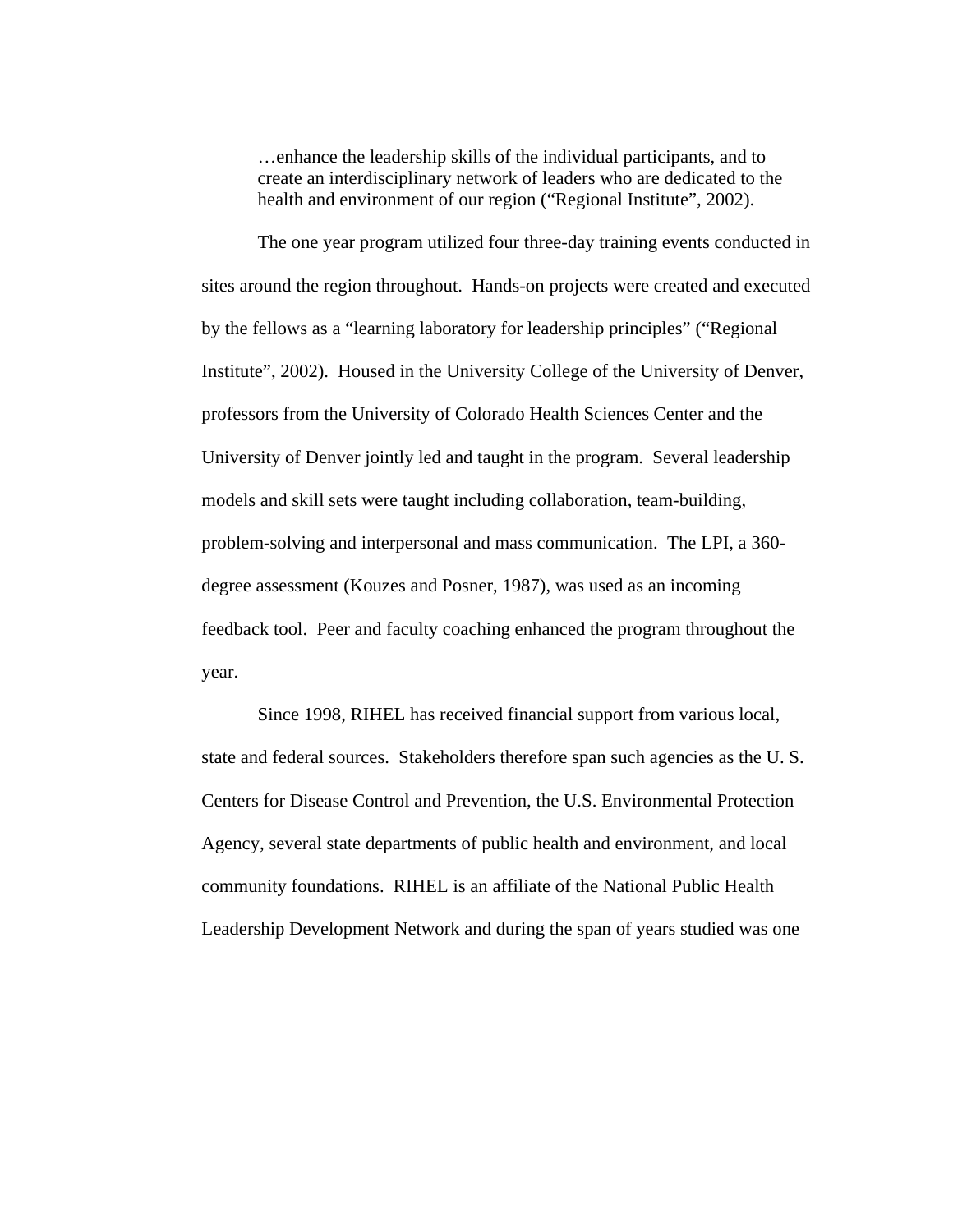…enhance the leadership skills of the individual participants, and to create an interdisciplinary network of leaders who are dedicated to the health and environment of our region ("Regional Institute", 2002).

The one year program utilized four three-day training events conducted in sites around the region throughout. Hands-on projects were created and executed by the fellows as a "learning laboratory for leadership principles" ("Regional Institute", 2002). Housed in the University College of the University of Denver, professors from the University of Colorado Health Sciences Center and the University of Denver jointly led and taught in the program. Several leadership models and skill sets were taught including collaboration, team-building, problem-solving and interpersonal and mass communication. The LPI, a 360 degree assessment (Kouzes and Posner, 1987), was used as an incoming feedback tool. Peer and faculty coaching enhanced the program throughout the year.

Since 1998, RIHEL has received financial support from various local, state and federal sources. Stakeholders therefore span such agencies as the U. S. Centers for Disease Control and Prevention, the U.S. Environmental Protection Agency, several state departments of public health and environment, and local community foundations. RIHEL is an affiliate of the National Public Health Leadership Development Network and during the span of years studied was one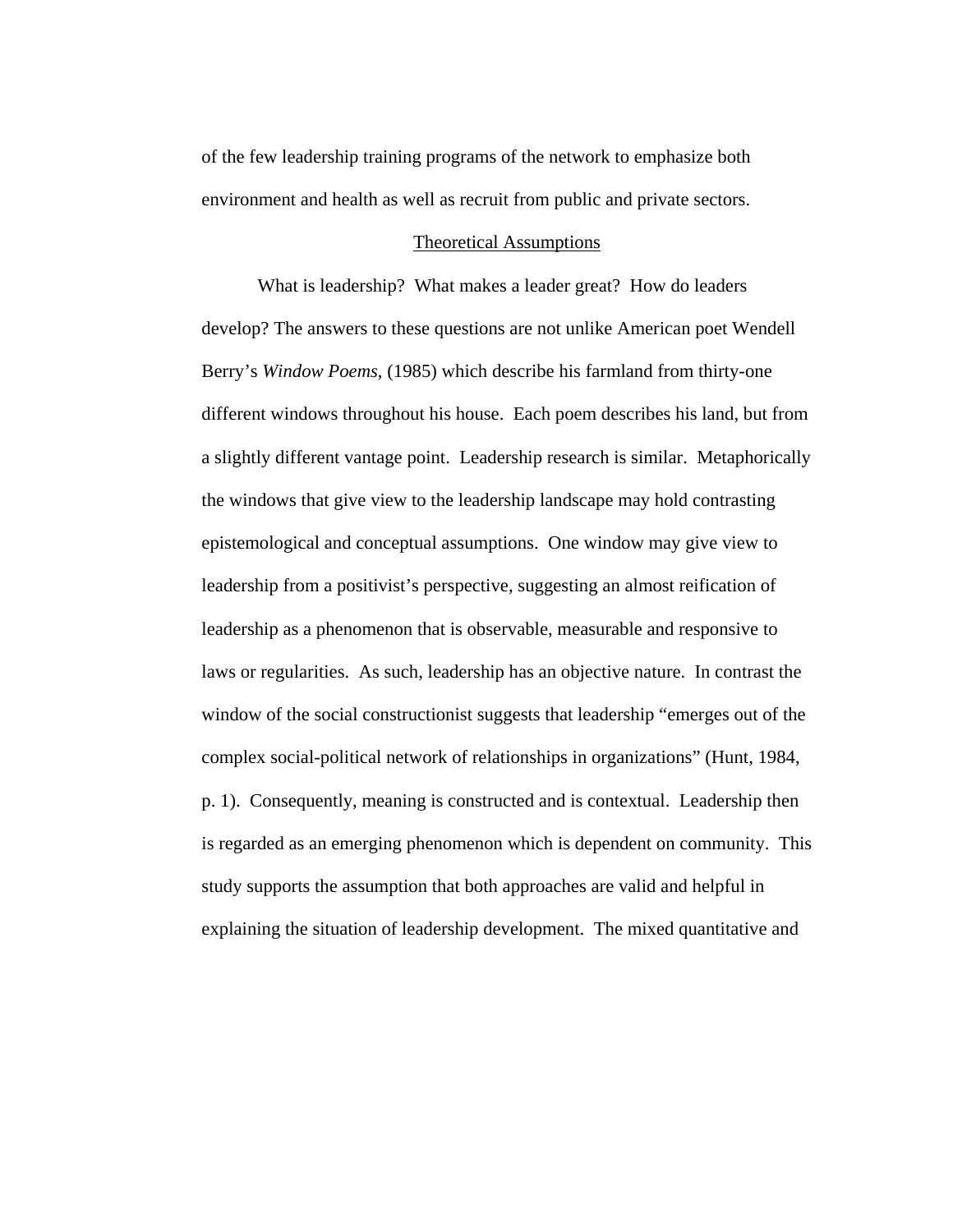of the few leadership training programs of the network to emphasize both environment and health as well as recruit from public and private sectors.

# Theoretical Assumptions

What is leadership? What makes a leader great? How do leaders develop? The answers to these questions are not unlike American poet Wendell Berry's *Window Poems*, (1985) which describe his farmland from thirty-one different windows throughout his house. Each poem describes his land, but from a slightly different vantage point. Leadership research is similar. Metaphorically the windows that give view to the leadership landscape may hold contrasting epistemological and conceptual assumptions. One window may give view to leadership from a positivist's perspective, suggesting an almost reification of leadership as a phenomenon that is observable, measurable and responsive to laws or regularities. As such, leadership has an objective nature. In contrast the window of the social constructionist suggests that leadership "emerges out of the complex social-political network of relationships in organizations" (Hunt, 1984, p. 1). Consequently, meaning is constructed and is contextual. Leadership then is regarded as an emerging phenomenon which is dependent on community. This study supports the assumption that both approaches are valid and helpful in explaining the situation of leadership development. The mixed quantitative and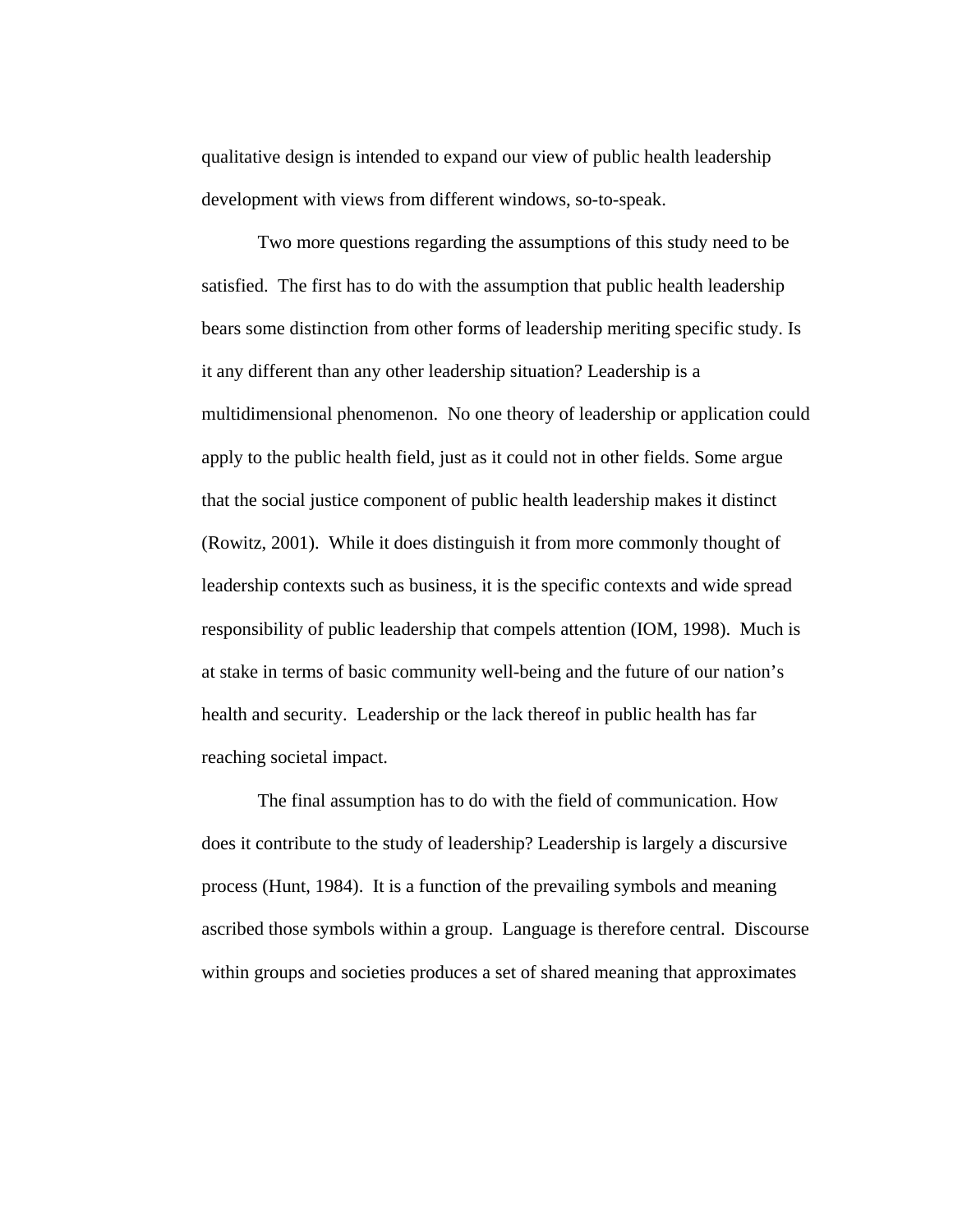qualitative design is intended to expand our view of public health leadership development with views from different windows, so-to-speak.

Two more questions regarding the assumptions of this study need to be satisfied. The first has to do with the assumption that public health leadership bears some distinction from other forms of leadership meriting specific study. Is it any different than any other leadership situation? Leadership is a multidimensional phenomenon. No one theory of leadership or application could apply to the public health field, just as it could not in other fields. Some argue that the social justice component of public health leadership makes it distinct (Rowitz, 2001). While it does distinguish it from more commonly thought of leadership contexts such as business, it is the specific contexts and wide spread responsibility of public leadership that compels attention (IOM, 1998). Much is at stake in terms of basic community well-being and the future of our nation's health and security. Leadership or the lack thereof in public health has far reaching societal impact.

The final assumption has to do with the field of communication. How does it contribute to the study of leadership? Leadership is largely a discursive process (Hunt, 1984). It is a function of the prevailing symbols and meaning ascribed those symbols within a group. Language is therefore central. Discourse within groups and societies produces a set of shared meaning that approximates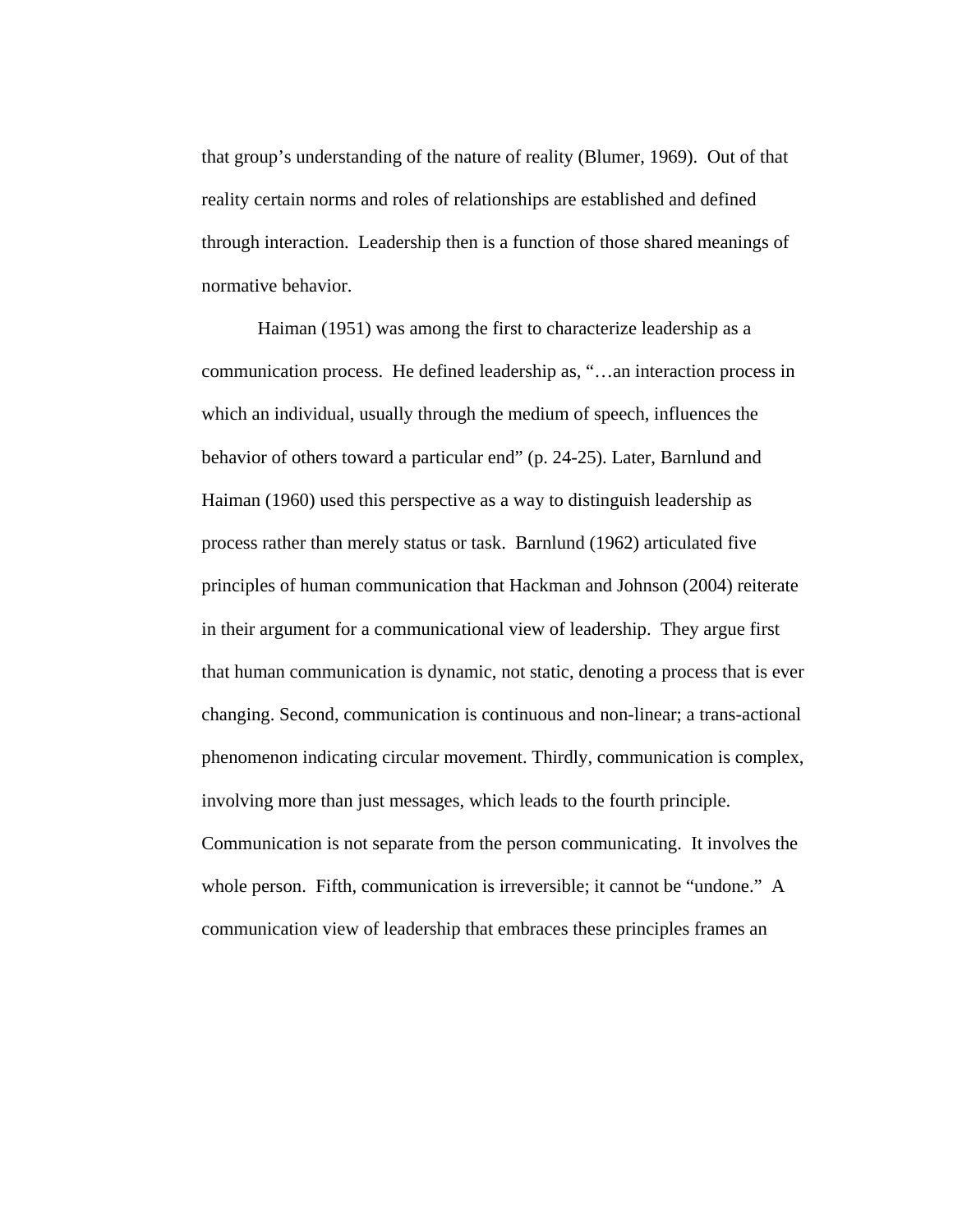that group's understanding of the nature of reality (Blumer, 1969). Out of that reality certain norms and roles of relationships are established and defined through interaction. Leadership then is a function of those shared meanings of normative behavior.

Haiman (1951) was among the first to characterize leadership as a communication process. He defined leadership as, "…an interaction process in which an individual, usually through the medium of speech, influences the behavior of others toward a particular end" (p. 24-25). Later, Barnlund and Haiman (1960) used this perspective as a way to distinguish leadership as process rather than merely status or task. Barnlund (1962) articulated five principles of human communication that Hackman and Johnson (2004) reiterate in their argument for a communicational view of leadership. They argue first that human communication is dynamic, not static, denoting a process that is ever changing. Second, communication is continuous and non-linear; a trans-actional phenomenon indicating circular movement. Thirdly, communication is complex, involving more than just messages, which leads to the fourth principle. Communication is not separate from the person communicating. It involves the whole person. Fifth, communication is irreversible; it cannot be "undone." A communication view of leadership that embraces these principles frames an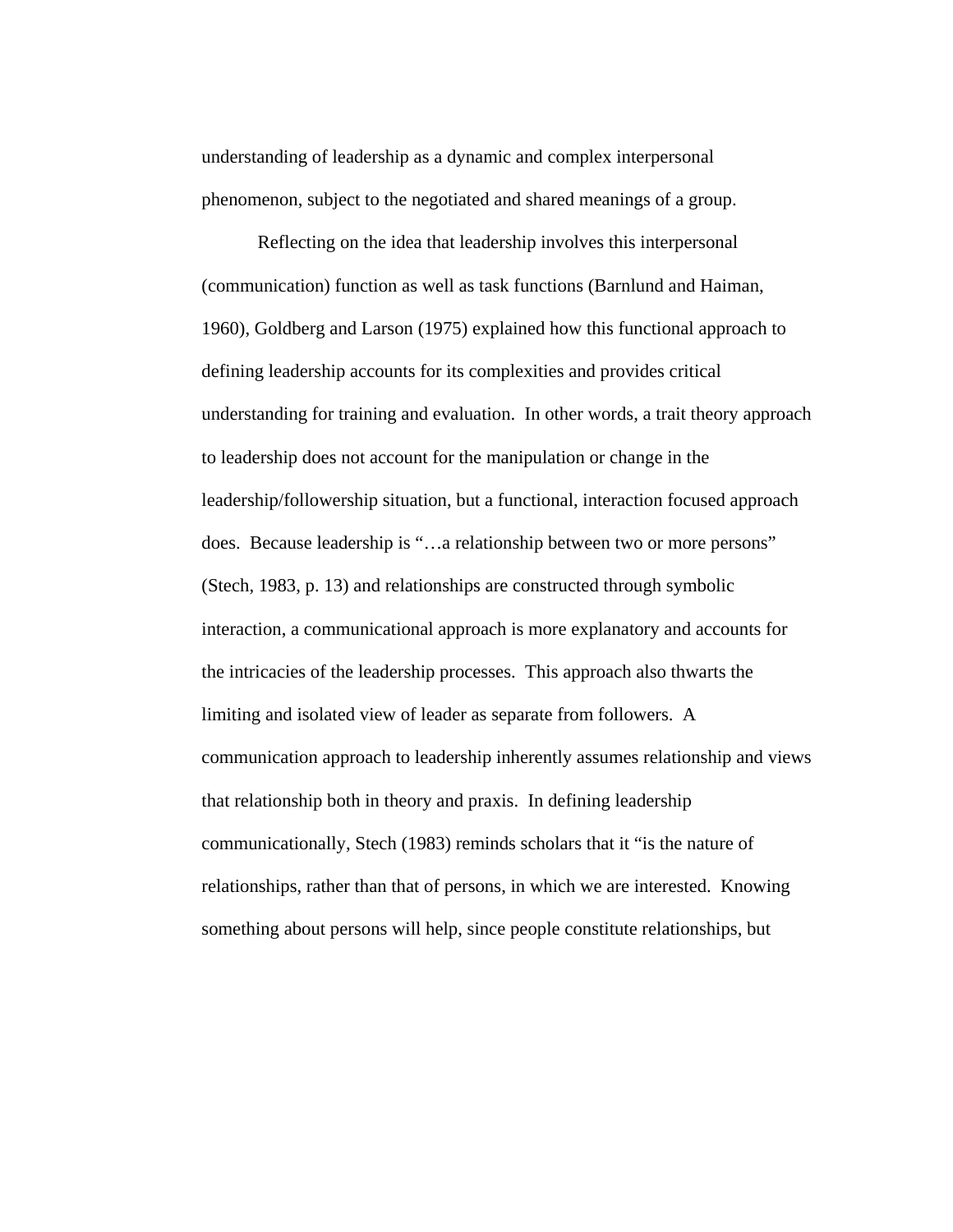understanding of leadership as a dynamic and complex interpersonal phenomenon, subject to the negotiated and shared meanings of a group.

Reflecting on the idea that leadership involves this interpersonal (communication) function as well as task functions (Barnlund and Haiman, 1960), Goldberg and Larson (1975) explained how this functional approach to defining leadership accounts for its complexities and provides critical understanding for training and evaluation. In other words, a trait theory approach to leadership does not account for the manipulation or change in the leadership/followership situation, but a functional, interaction focused approach does. Because leadership is "…a relationship between two or more persons" (Stech, 1983, p. 13) and relationships are constructed through symbolic interaction, a communicational approach is more explanatory and accounts for the intricacies of the leadership processes. This approach also thwarts the limiting and isolated view of leader as separate from followers. A communication approach to leadership inherently assumes relationship and views that relationship both in theory and praxis. In defining leadership communicationally, Stech (1983) reminds scholars that it "is the nature of relationships, rather than that of persons, in which we are interested. Knowing something about persons will help, since people constitute relationships, but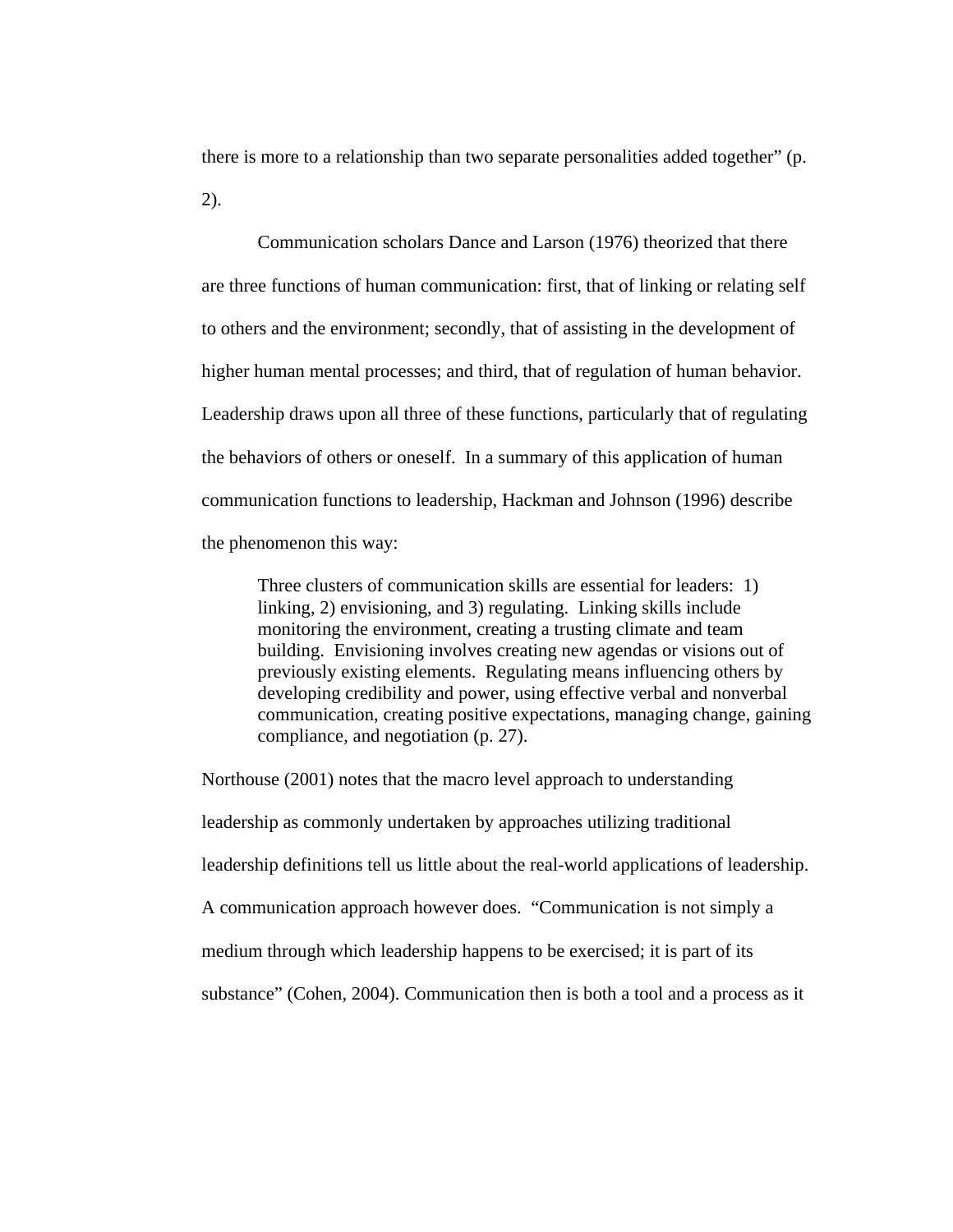there is more to a relationship than two separate personalities added together" (p. 2).

Communication scholars Dance and Larson (1976) theorized that there are three functions of human communication: first, that of linking or relating self to others and the environment; secondly, that of assisting in the development of higher human mental processes; and third, that of regulation of human behavior. Leadership draws upon all three of these functions, particularly that of regulating the behaviors of others or oneself. In a summary of this application of human communication functions to leadership, Hackman and Johnson (1996) describe the phenomenon this way:

Three clusters of communication skills are essential for leaders: 1) linking, 2) envisioning, and 3) regulating. Linking skills include monitoring the environment, creating a trusting climate and team building. Envisioning involves creating new agendas or visions out of previously existing elements. Regulating means influencing others by developing credibility and power, using effective verbal and nonverbal communication, creating positive expectations, managing change, gaining compliance, and negotiation (p. 27).

Northouse (2001) notes that the macro level approach to understanding leadership as commonly undertaken by approaches utilizing traditional leadership definitions tell us little about the real-world applications of leadership. A communication approach however does. "Communication is not simply a medium through which leadership happens to be exercised; it is part of its substance" (Cohen, 2004). Communication then is both a tool and a process as it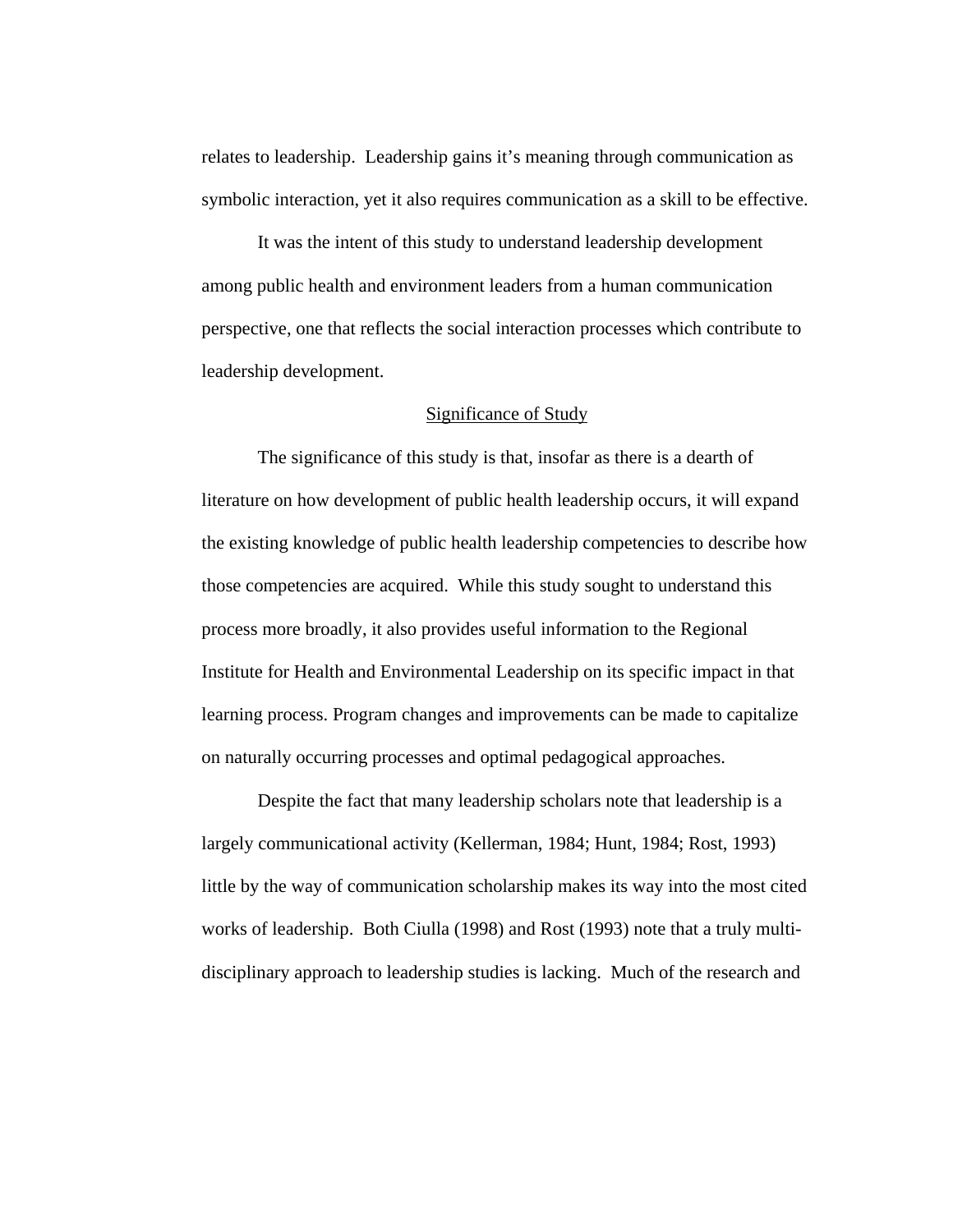relates to leadership. Leadership gains it's meaning through communication as symbolic interaction, yet it also requires communication as a skill to be effective.

It was the intent of this study to understand leadership development among public health and environment leaders from a human communication perspective, one that reflects the social interaction processes which contribute to leadership development.

## Significance of Study

 The significance of this study is that, insofar as there is a dearth of literature on how development of public health leadership occurs, it will expand the existing knowledge of public health leadership competencies to describe how those competencies are acquired. While this study sought to understand this process more broadly, it also provides useful information to the Regional Institute for Health and Environmental Leadership on its specific impact in that learning process. Program changes and improvements can be made to capitalize on naturally occurring processes and optimal pedagogical approaches.

 Despite the fact that many leadership scholars note that leadership is a largely communicational activity (Kellerman, 1984; Hunt, 1984; Rost, 1993) little by the way of communication scholarship makes its way into the most cited works of leadership. Both Ciulla (1998) and Rost (1993) note that a truly multidisciplinary approach to leadership studies is lacking. Much of the research and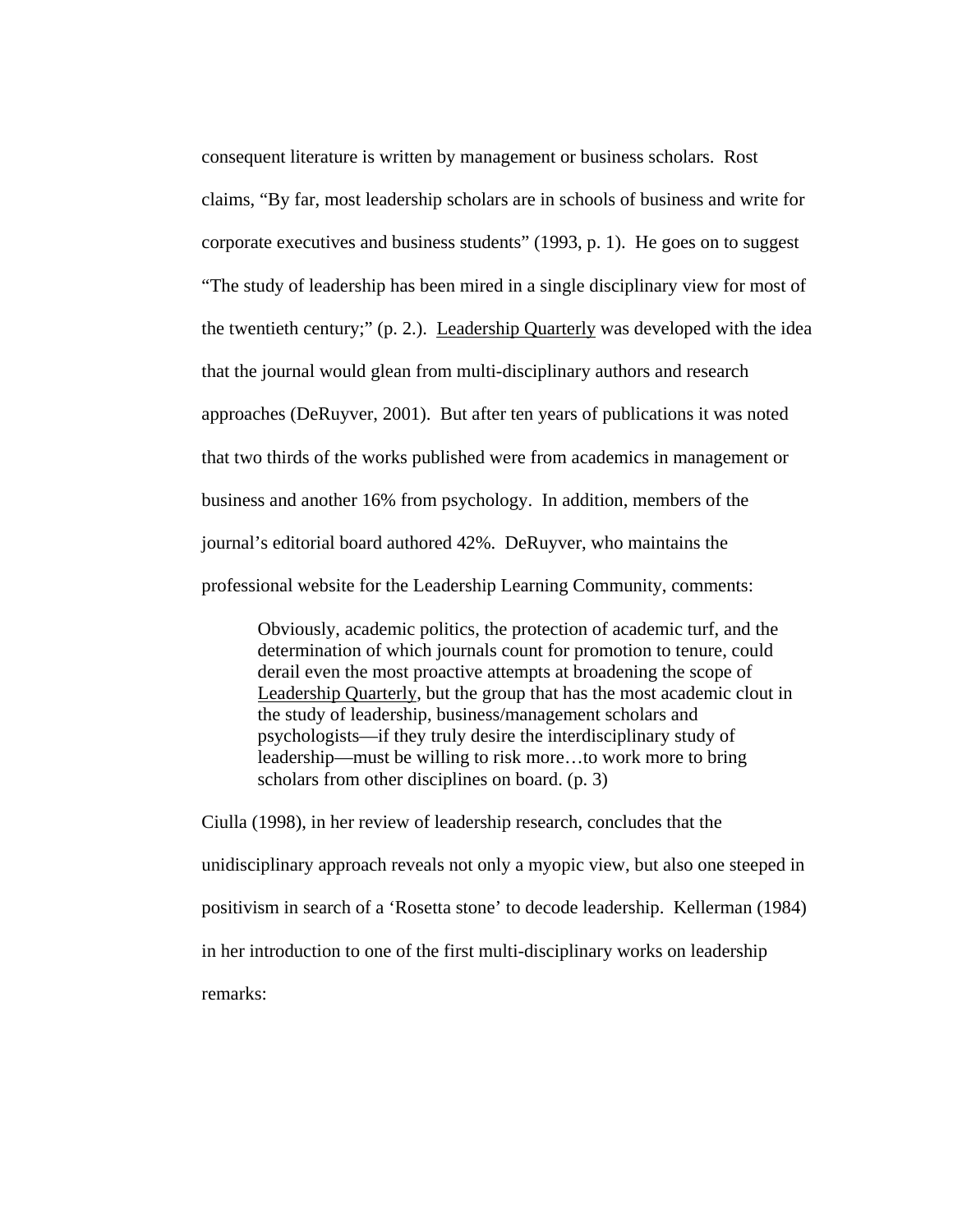consequent literature is written by management or business scholars. Rost claims, "By far, most leadership scholars are in schools of business and write for corporate executives and business students" (1993, p. 1). He goes on to suggest "The study of leadership has been mired in a single disciplinary view for most of the twentieth century;" (p. 2.). Leadership Quarterly was developed with the idea that the journal would glean from multi-disciplinary authors and research approaches (DeRuyver, 2001). But after ten years of publications it was noted that two thirds of the works published were from academics in management or business and another 16% from psychology. In addition, members of the journal's editorial board authored 42%. DeRuyver, who maintains the professional website for the Leadership Learning Community, comments:

Obviously, academic politics, the protection of academic turf, and the determination of which journals count for promotion to tenure, could derail even the most proactive attempts at broadening the scope of Leadership Quarterly, but the group that has the most academic clout in the study of leadership, business/management scholars and psychologists—if they truly desire the interdisciplinary study of leadership—must be willing to risk more…to work more to bring scholars from other disciplines on board. (p. 3)

Ciulla (1998), in her review of leadership research, concludes that the unidisciplinary approach reveals not only a myopic view, but also one steeped in positivism in search of a 'Rosetta stone' to decode leadership. Kellerman (1984) in her introduction to one of the first multi-disciplinary works on leadership remarks: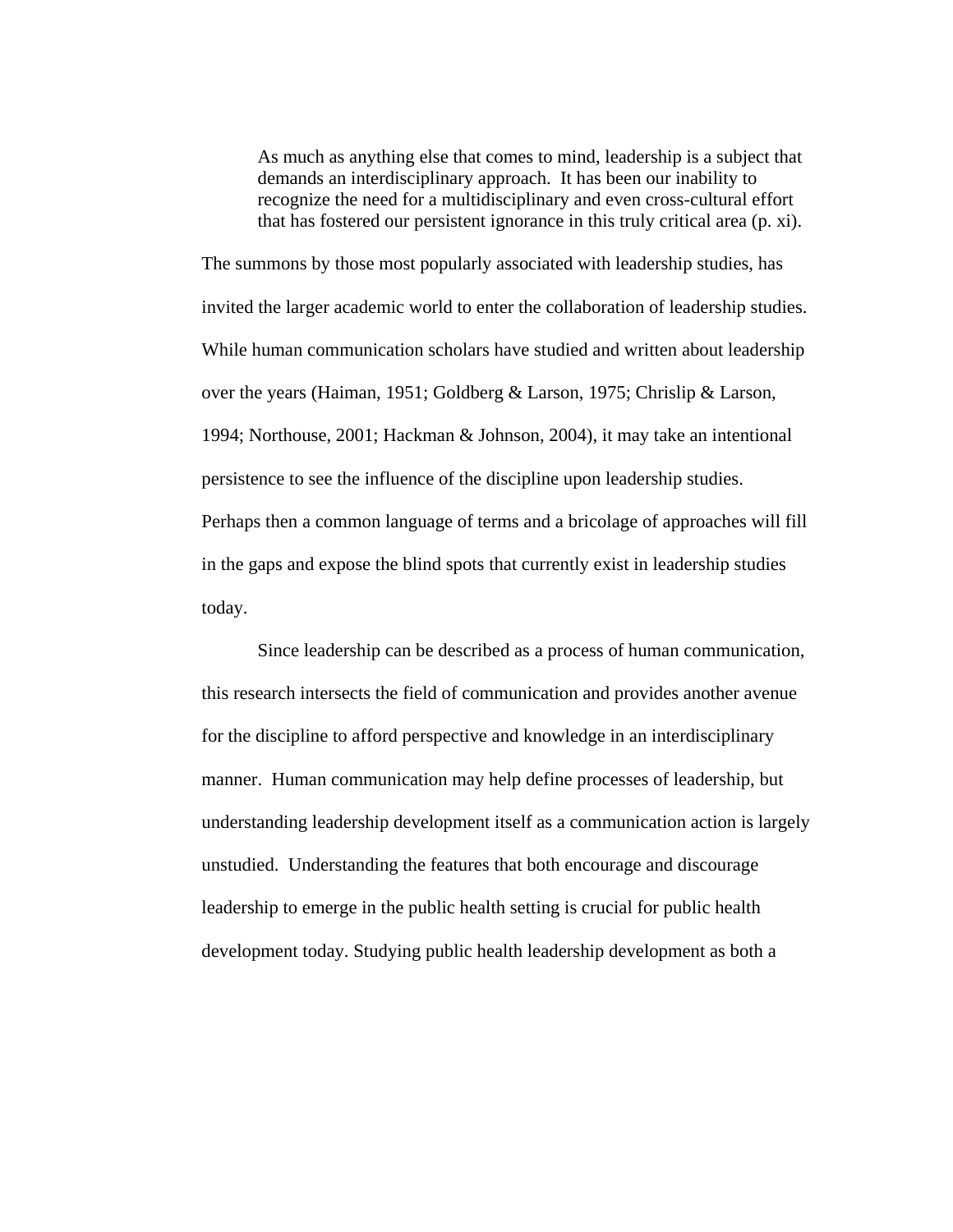As much as anything else that comes to mind, leadership is a subject that demands an interdisciplinary approach. It has been our inability to recognize the need for a multidisciplinary and even cross-cultural effort that has fostered our persistent ignorance in this truly critical area (p. xi).

The summons by those most popularly associated with leadership studies, has invited the larger academic world to enter the collaboration of leadership studies. While human communication scholars have studied and written about leadership over the years (Haiman, 1951; Goldberg & Larson, 1975; Chrislip & Larson, 1994; Northouse, 2001; Hackman & Johnson, 2004), it may take an intentional persistence to see the influence of the discipline upon leadership studies. Perhaps then a common language of terms and a bricolage of approaches will fill in the gaps and expose the blind spots that currently exist in leadership studies today.

Since leadership can be described as a process of human communication, this research intersects the field of communication and provides another avenue for the discipline to afford perspective and knowledge in an interdisciplinary manner. Human communication may help define processes of leadership, but understanding leadership development itself as a communication action is largely unstudied. Understanding the features that both encourage and discourage leadership to emerge in the public health setting is crucial for public health development today. Studying public health leadership development as both a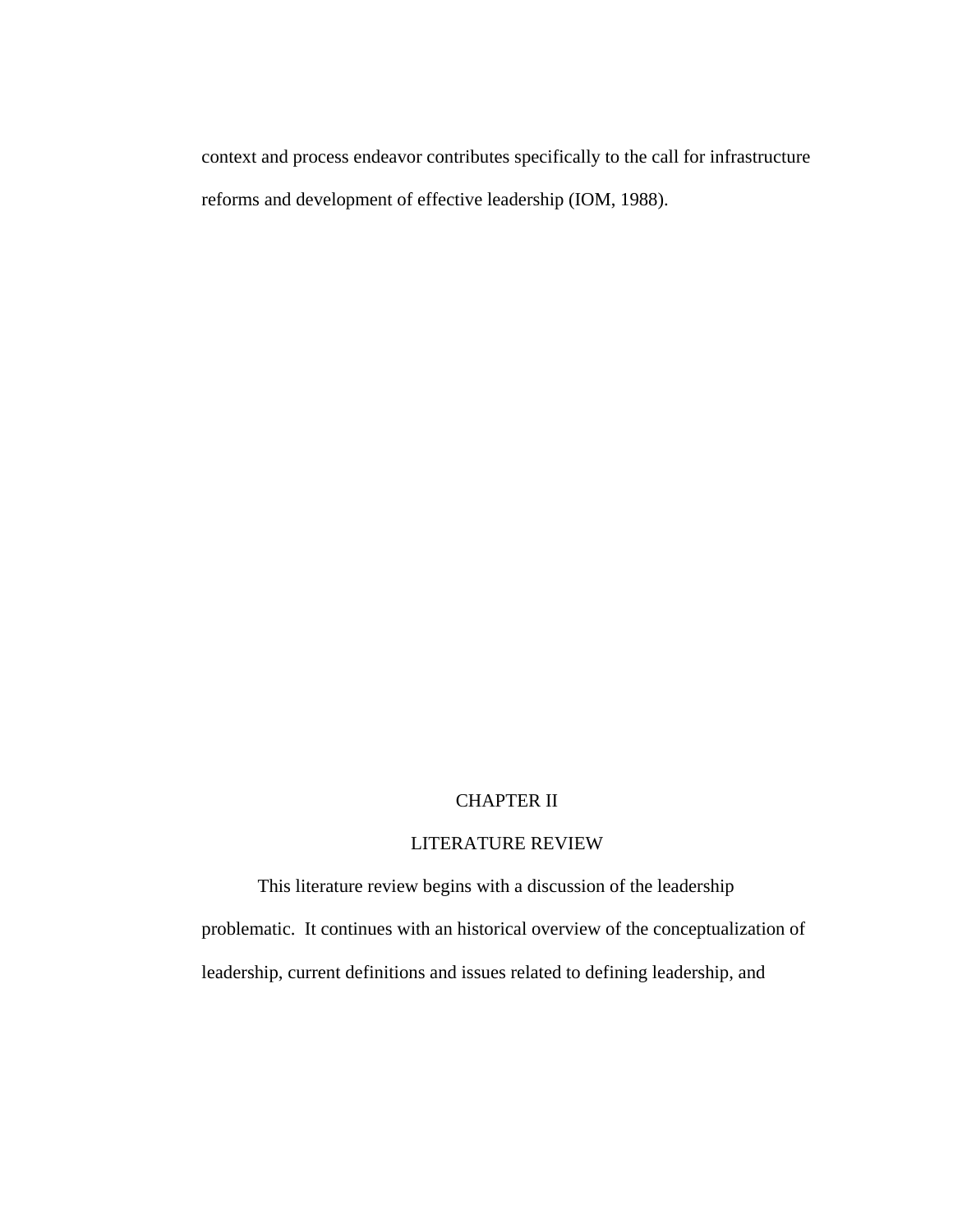context and process endeavor contributes specifically to the call for infrastructure reforms and development of effective leadership (IOM, 1988).

# CHAPTER II

## LITERATURE REVIEW

This literature review begins with a discussion of the leadership problematic. It continues with an historical overview of the conceptualization of leadership, current definitions and issues related to defining leadership, and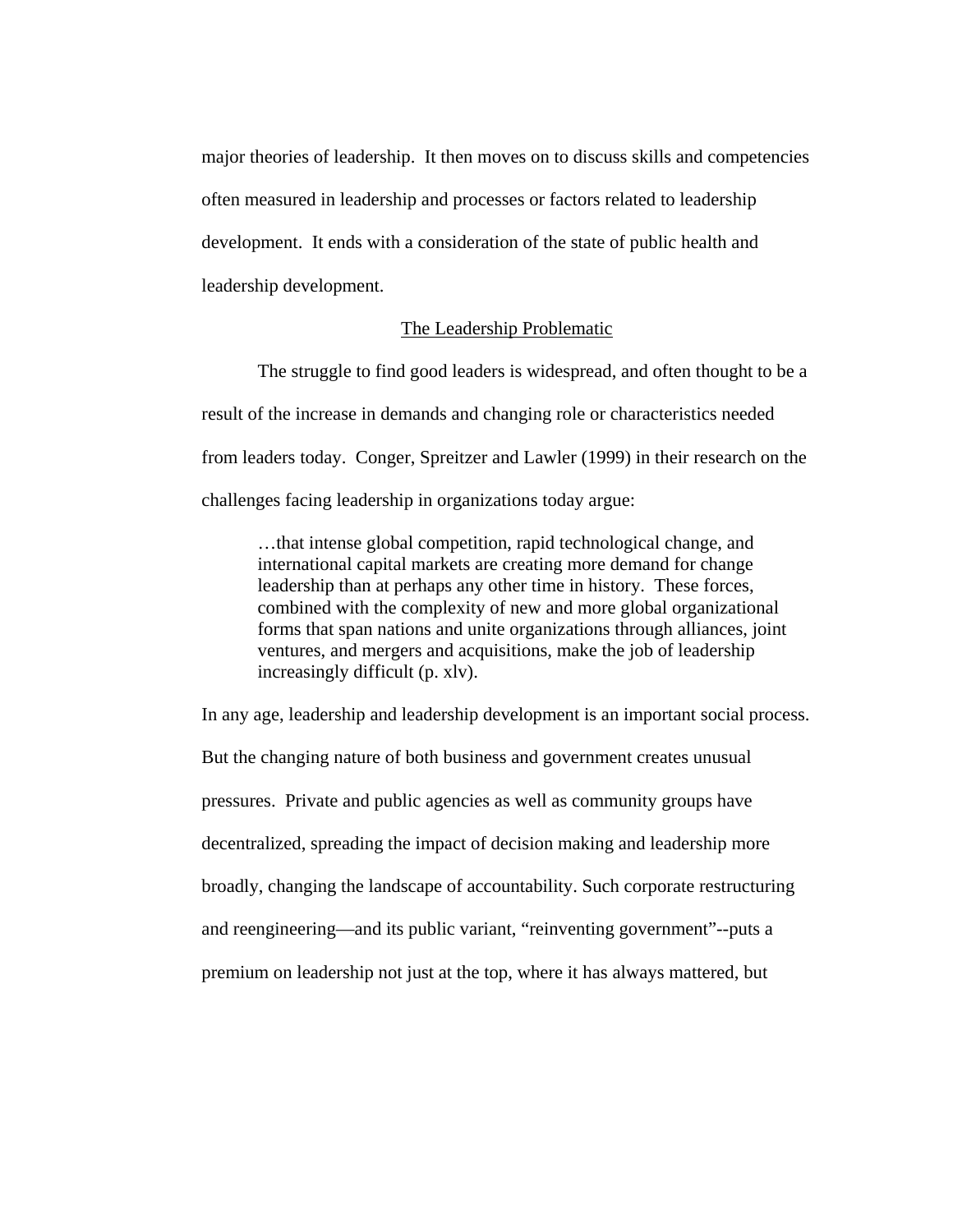major theories of leadership. It then moves on to discuss skills and competencies often measured in leadership and processes or factors related to leadership development. It ends with a consideration of the state of public health and leadership development.

# The Leadership Problematic

The struggle to find good leaders is widespread, and often thought to be a result of the increase in demands and changing role or characteristics needed from leaders today. Conger, Spreitzer and Lawler (1999) in their research on the challenges facing leadership in organizations today argue:

…that intense global competition, rapid technological change, and international capital markets are creating more demand for change leadership than at perhaps any other time in history. These forces, combined with the complexity of new and more global organizational forms that span nations and unite organizations through alliances, joint ventures, and mergers and acquisitions, make the job of leadership increasingly difficult (p. xlv).

In any age, leadership and leadership development is an important social process. But the changing nature of both business and government creates unusual pressures. Private and public agencies as well as community groups have decentralized, spreading the impact of decision making and leadership more broadly, changing the landscape of accountability. Such corporate restructuring and reengineering—and its public variant, "reinventing government"--puts a premium on leadership not just at the top, where it has always mattered, but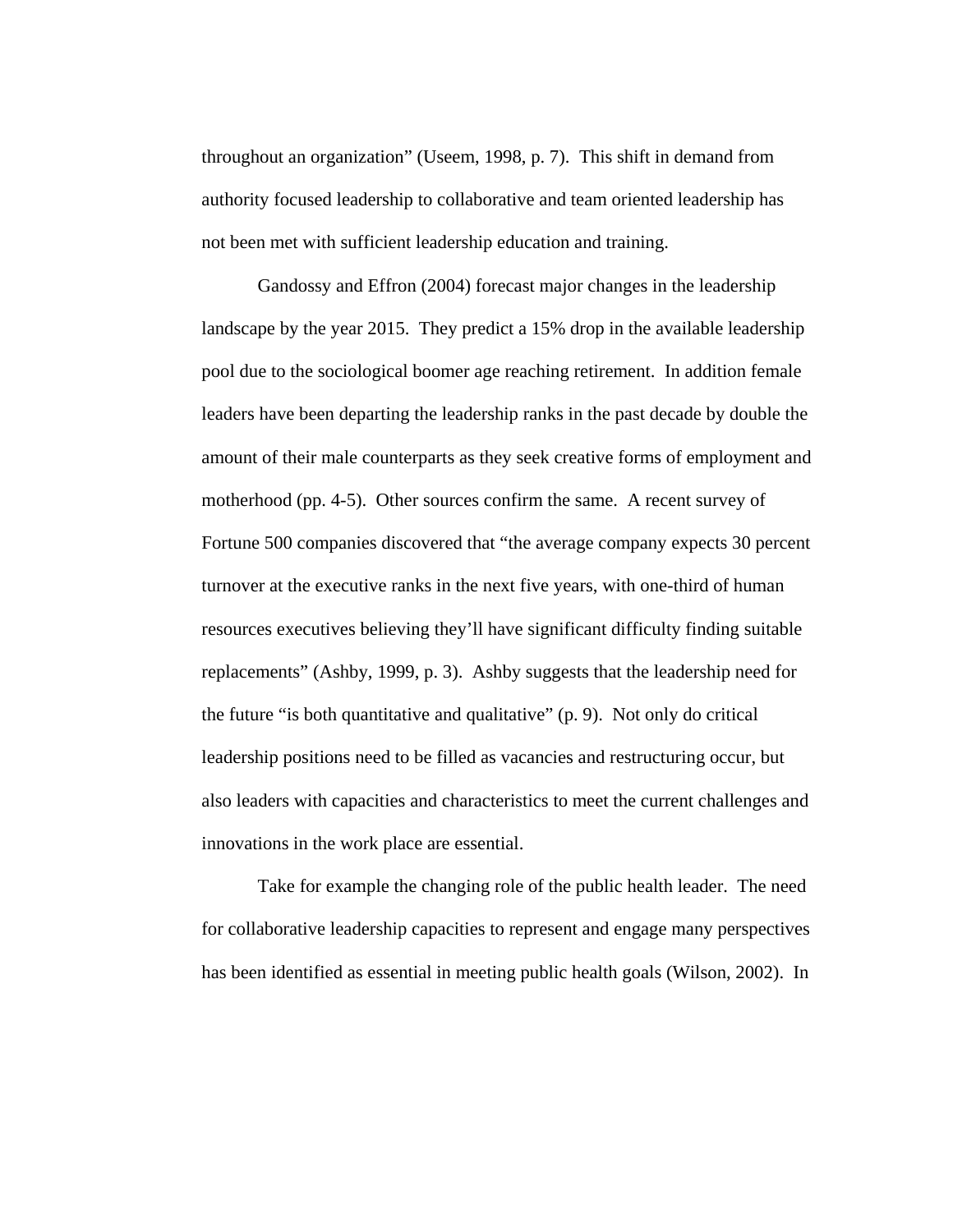throughout an organization" (Useem, 1998, p. 7). This shift in demand from authority focused leadership to collaborative and team oriented leadership has not been met with sufficient leadership education and training.

Gandossy and Effron (2004) forecast major changes in the leadership landscape by the year 2015. They predict a 15% drop in the available leadership pool due to the sociological boomer age reaching retirement. In addition female leaders have been departing the leadership ranks in the past decade by double the amount of their male counterparts as they seek creative forms of employment and motherhood (pp. 4-5). Other sources confirm the same. A recent survey of Fortune 500 companies discovered that "the average company expects 30 percent turnover at the executive ranks in the next five years, with one-third of human resources executives believing they'll have significant difficulty finding suitable replacements" (Ashby, 1999, p. 3). Ashby suggests that the leadership need for the future "is both quantitative and qualitative" (p. 9). Not only do critical leadership positions need to be filled as vacancies and restructuring occur, but also leaders with capacities and characteristics to meet the current challenges and innovations in the work place are essential.

Take for example the changing role of the public health leader. The need for collaborative leadership capacities to represent and engage many perspectives has been identified as essential in meeting public health goals (Wilson, 2002). In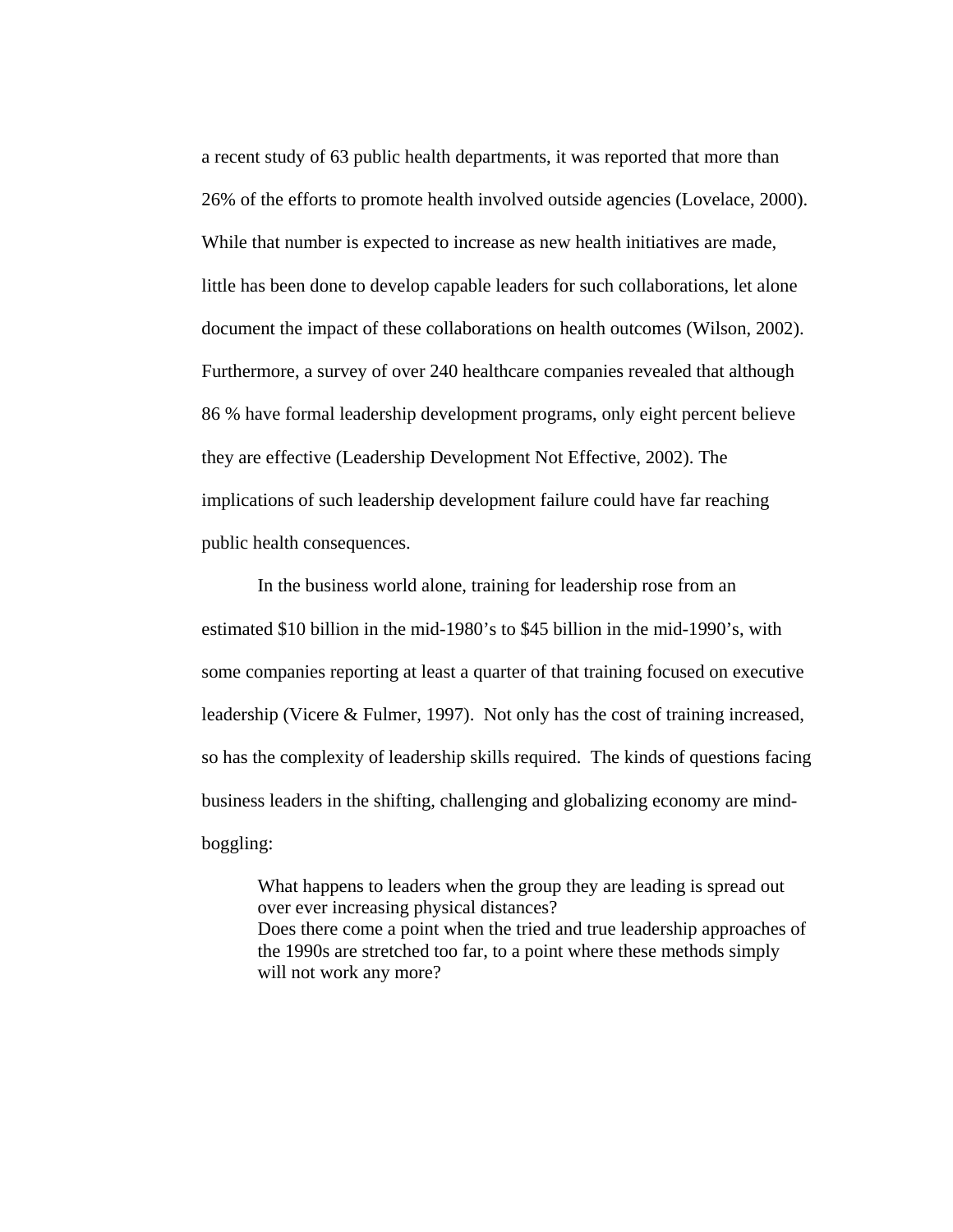a recent study of 63 public health departments, it was reported that more than 26% of the efforts to promote health involved outside agencies (Lovelace, 2000). While that number is expected to increase as new health initiatives are made, little has been done to develop capable leaders for such collaborations, let alone document the impact of these collaborations on health outcomes (Wilson, 2002). Furthermore, a survey of over 240 healthcare companies revealed that although 86 % have formal leadership development programs, only eight percent believe they are effective (Leadership Development Not Effective, 2002). The implications of such leadership development failure could have far reaching public health consequences.

In the business world alone, training for leadership rose from an estimated \$10 billion in the mid-1980's to \$45 billion in the mid-1990's, with some companies reporting at least a quarter of that training focused on executive leadership (Vicere & Fulmer, 1997). Not only has the cost of training increased, so has the complexity of leadership skills required. The kinds of questions facing business leaders in the shifting, challenging and globalizing economy are mindboggling:

What happens to leaders when the group they are leading is spread out over ever increasing physical distances? Does there come a point when the tried and true leadership approaches of the 1990s are stretched too far, to a point where these methods simply will not work any more?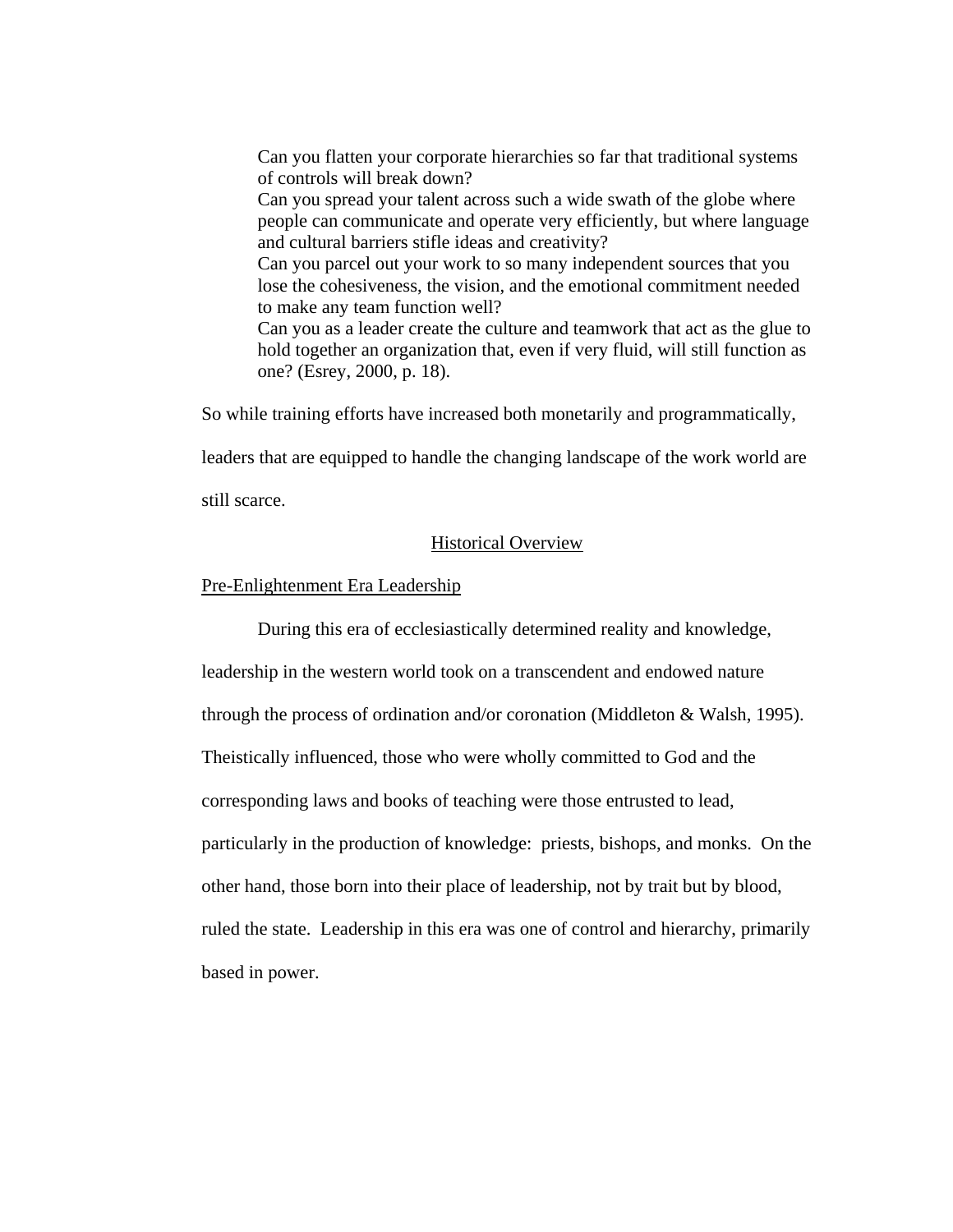Can you flatten your corporate hierarchies so far that traditional systems of controls will break down?

Can you spread your talent across such a wide swath of the globe where people can communicate and operate very efficiently, but where language and cultural barriers stifle ideas and creativity?

Can you parcel out your work to so many independent sources that you lose the cohesiveness, the vision, and the emotional commitment needed to make any team function well?

Can you as a leader create the culture and teamwork that act as the glue to hold together an organization that, even if very fluid, will still function as one? (Esrey, 2000, p. 18).

So while training efforts have increased both monetarily and programmatically,

leaders that are equipped to handle the changing landscape of the work world are

still scarce.

### Historical Overview

### Pre-Enlightenment Era Leadership

During this era of ecclesiastically determined reality and knowledge, leadership in the western world took on a transcendent and endowed nature through the process of ordination and/or coronation (Middleton & Walsh, 1995). Theistically influenced, those who were wholly committed to God and the corresponding laws and books of teaching were those entrusted to lead, particularly in the production of knowledge: priests, bishops, and monks. On the other hand, those born into their place of leadership, not by trait but by blood, ruled the state. Leadership in this era was one of control and hierarchy, primarily based in power.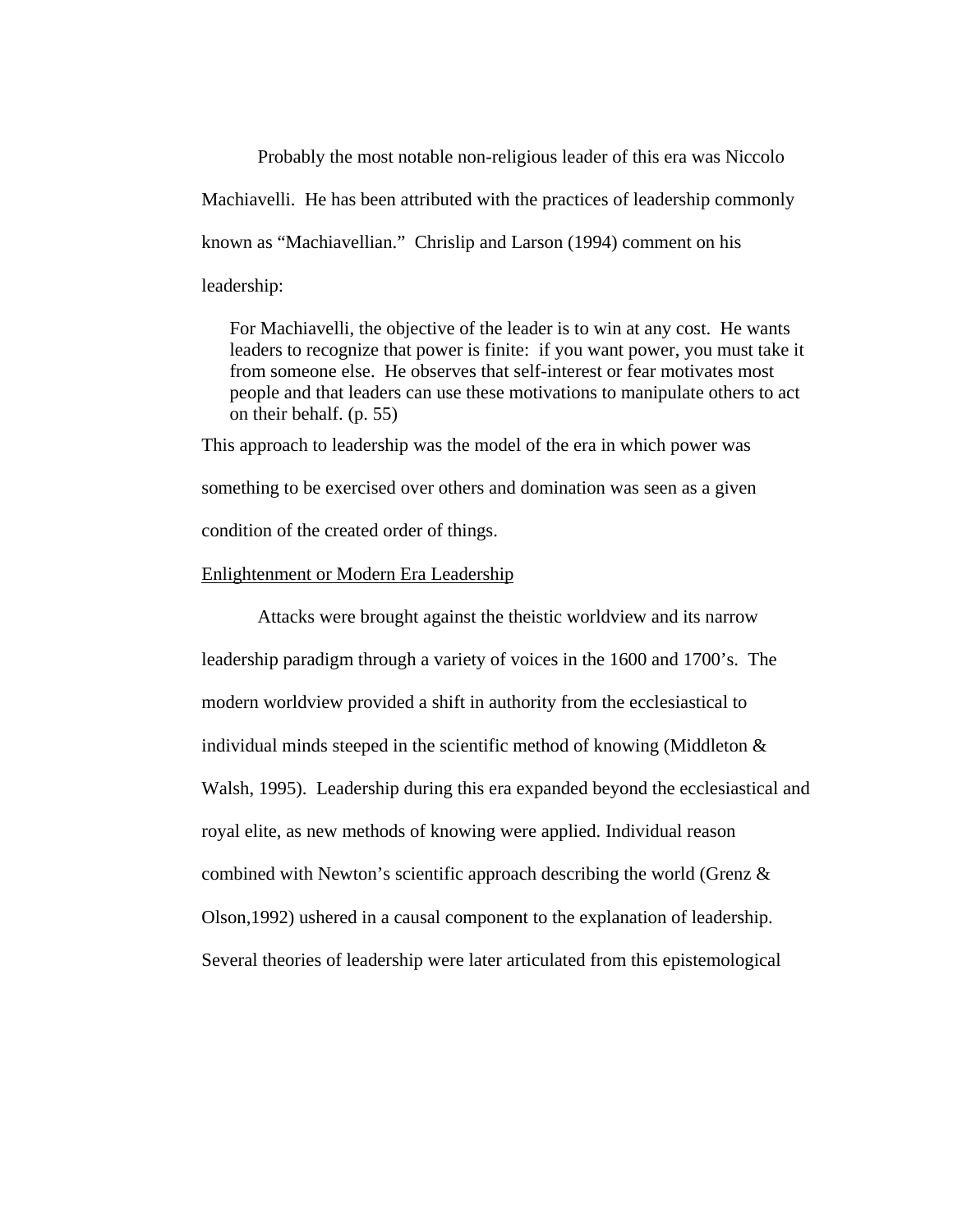Probably the most notable non-religious leader of this era was Niccolo Machiavelli. He has been attributed with the practices of leadership commonly known as "Machiavellian." Chrislip and Larson (1994) comment on his leadership:

For Machiavelli, the objective of the leader is to win at any cost. He wants leaders to recognize that power is finite: if you want power, you must take it from someone else. He observes that self-interest or fear motivates most people and that leaders can use these motivations to manipulate others to act on their behalf. (p. 55)

This approach to leadership was the model of the era in which power was something to be exercised over others and domination was seen as a given condition of the created order of things.

## Enlightenment or Modern Era Leadership

Attacks were brought against the theistic worldview and its narrow leadership paradigm through a variety of voices in the 1600 and 1700's. The modern worldview provided a shift in authority from the ecclesiastical to individual minds steeped in the scientific method of knowing (Middleton & Walsh, 1995). Leadership during this era expanded beyond the ecclesiastical and royal elite, as new methods of knowing were applied. Individual reason combined with Newton's scientific approach describing the world (Grenz & Olson,1992) ushered in a causal component to the explanation of leadership. Several theories of leadership were later articulated from this epistemological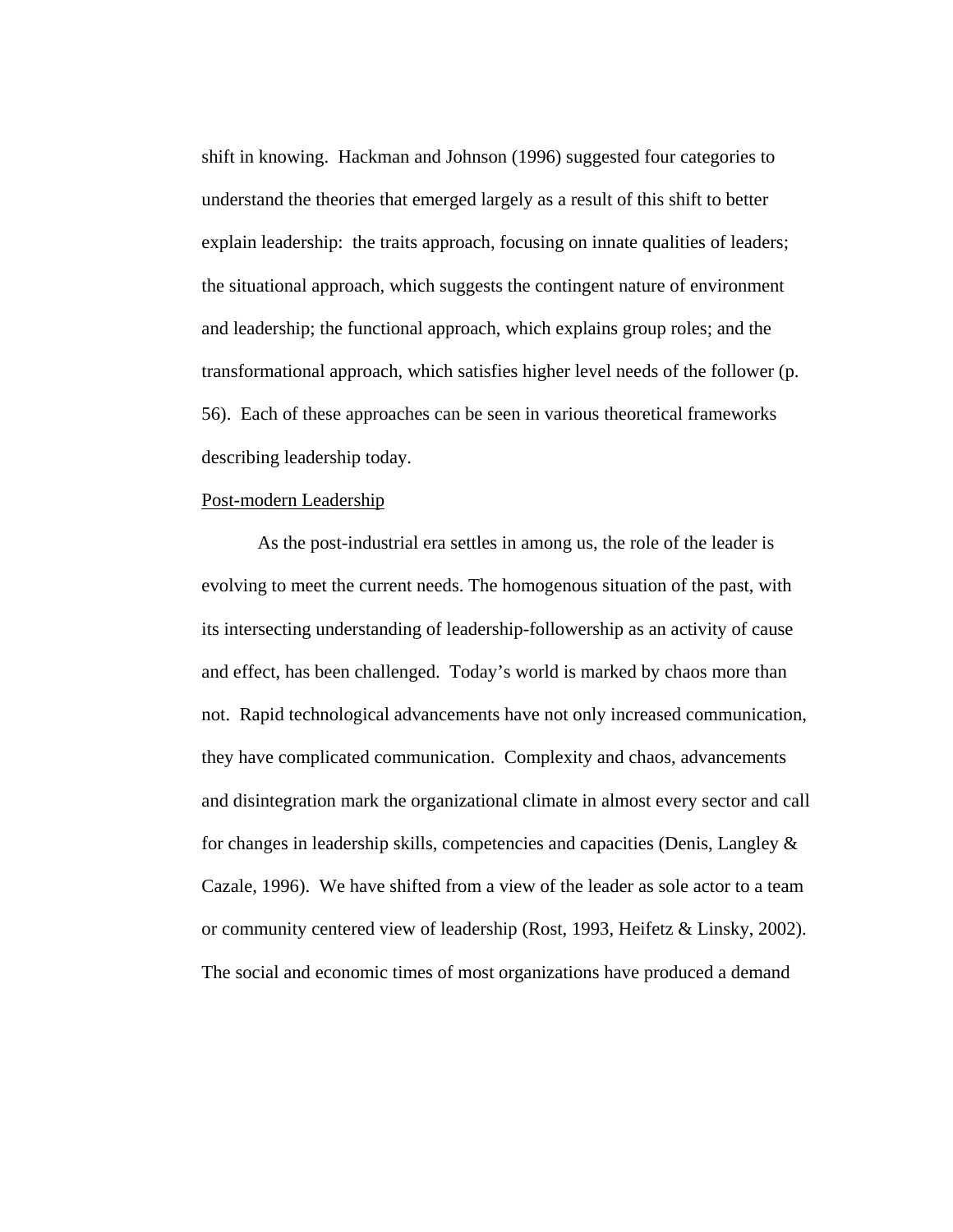shift in knowing. Hackman and Johnson (1996) suggested four categories to understand the theories that emerged largely as a result of this shift to better explain leadership: the traits approach, focusing on innate qualities of leaders; the situational approach, which suggests the contingent nature of environment and leadership; the functional approach, which explains group roles; and the transformational approach, which satisfies higher level needs of the follower (p. 56). Each of these approaches can be seen in various theoretical frameworks describing leadership today.

# Post-modern Leadership

 As the post-industrial era settles in among us, the role of the leader is evolving to meet the current needs. The homogenous situation of the past, with its intersecting understanding of leadership-followership as an activity of cause and effect, has been challenged. Today's world is marked by chaos more than not. Rapid technological advancements have not only increased communication, they have complicated communication. Complexity and chaos, advancements and disintegration mark the organizational climate in almost every sector and call for changes in leadership skills, competencies and capacities (Denis, Langley & Cazale, 1996). We have shifted from a view of the leader as sole actor to a team or community centered view of leadership (Rost, 1993, Heifetz & Linsky, 2002). The social and economic times of most organizations have produced a demand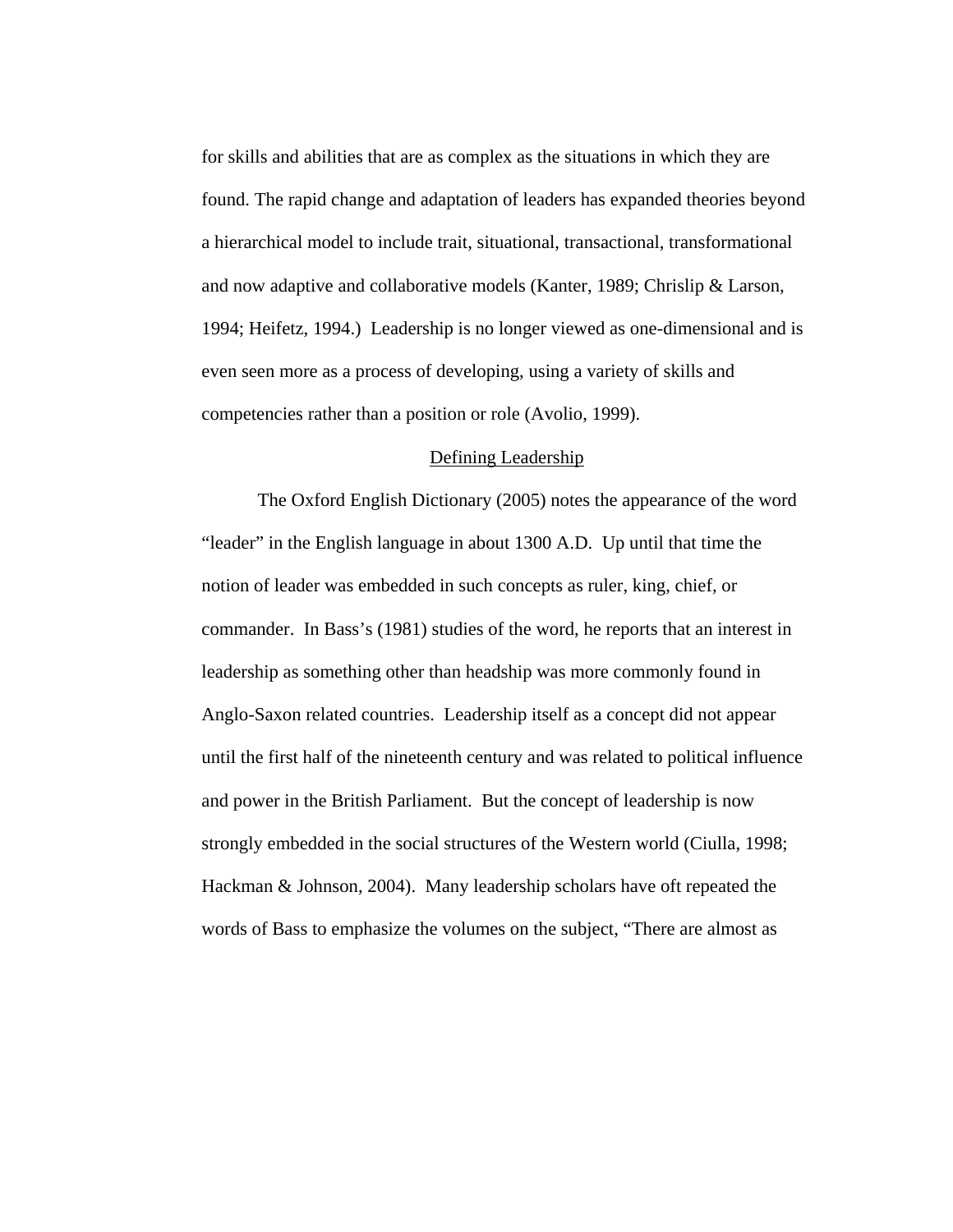for skills and abilities that are as complex as the situations in which they are found. The rapid change and adaptation of leaders has expanded theories beyond a hierarchical model to include trait, situational, transactional, transformational and now adaptive and collaborative models (Kanter, 1989; Chrislip & Larson, 1994; Heifetz, 1994.) Leadership is no longer viewed as one-dimensional and is even seen more as a process of developing, using a variety of skills and competencies rather than a position or role (Avolio, 1999).

#### Defining Leadership

The Oxford English Dictionary (2005) notes the appearance of the word "leader" in the English language in about 1300 A.D. Up until that time the notion of leader was embedded in such concepts as ruler, king, chief, or commander. In Bass's (1981) studies of the word, he reports that an interest in leadership as something other than headship was more commonly found in Anglo-Saxon related countries. Leadership itself as a concept did not appear until the first half of the nineteenth century and was related to political influence and power in the British Parliament. But the concept of leadership is now strongly embedded in the social structures of the Western world (Ciulla, 1998; Hackman & Johnson, 2004). Many leadership scholars have oft repeated the words of Bass to emphasize the volumes on the subject, "There are almost as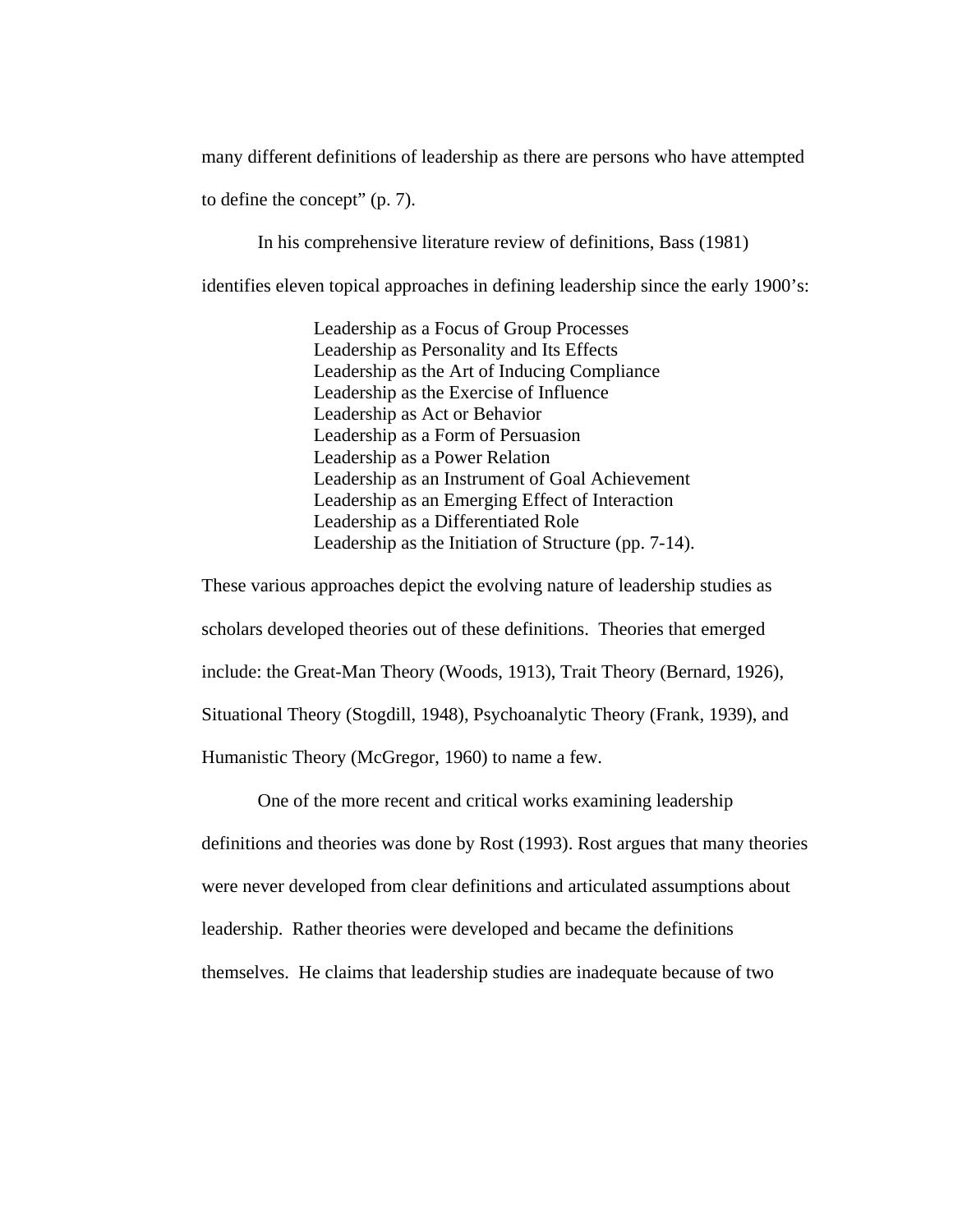many different definitions of leadership as there are persons who have attempted

to define the concept" (p. 7).

In his comprehensive literature review of definitions, Bass (1981)

identifies eleven topical approaches in defining leadership since the early 1900's:

Leadership as a Focus of Group Processes Leadership as Personality and Its Effects Leadership as the Art of Inducing Compliance Leadership as the Exercise of Influence Leadership as Act or Behavior Leadership as a Form of Persuasion Leadership as a Power Relation Leadership as an Instrument of Goal Achievement Leadership as an Emerging Effect of Interaction Leadership as a Differentiated Role Leadership as the Initiation of Structure (pp. 7-14).

These various approaches depict the evolving nature of leadership studies as scholars developed theories out of these definitions. Theories that emerged include: the Great-Man Theory (Woods, 1913), Trait Theory (Bernard, 1926), Situational Theory (Stogdill, 1948), Psychoanalytic Theory (Frank, 1939), and Humanistic Theory (McGregor, 1960) to name a few.

One of the more recent and critical works examining leadership definitions and theories was done by Rost (1993). Rost argues that many theories were never developed from clear definitions and articulated assumptions about leadership. Rather theories were developed and became the definitions themselves. He claims that leadership studies are inadequate because of two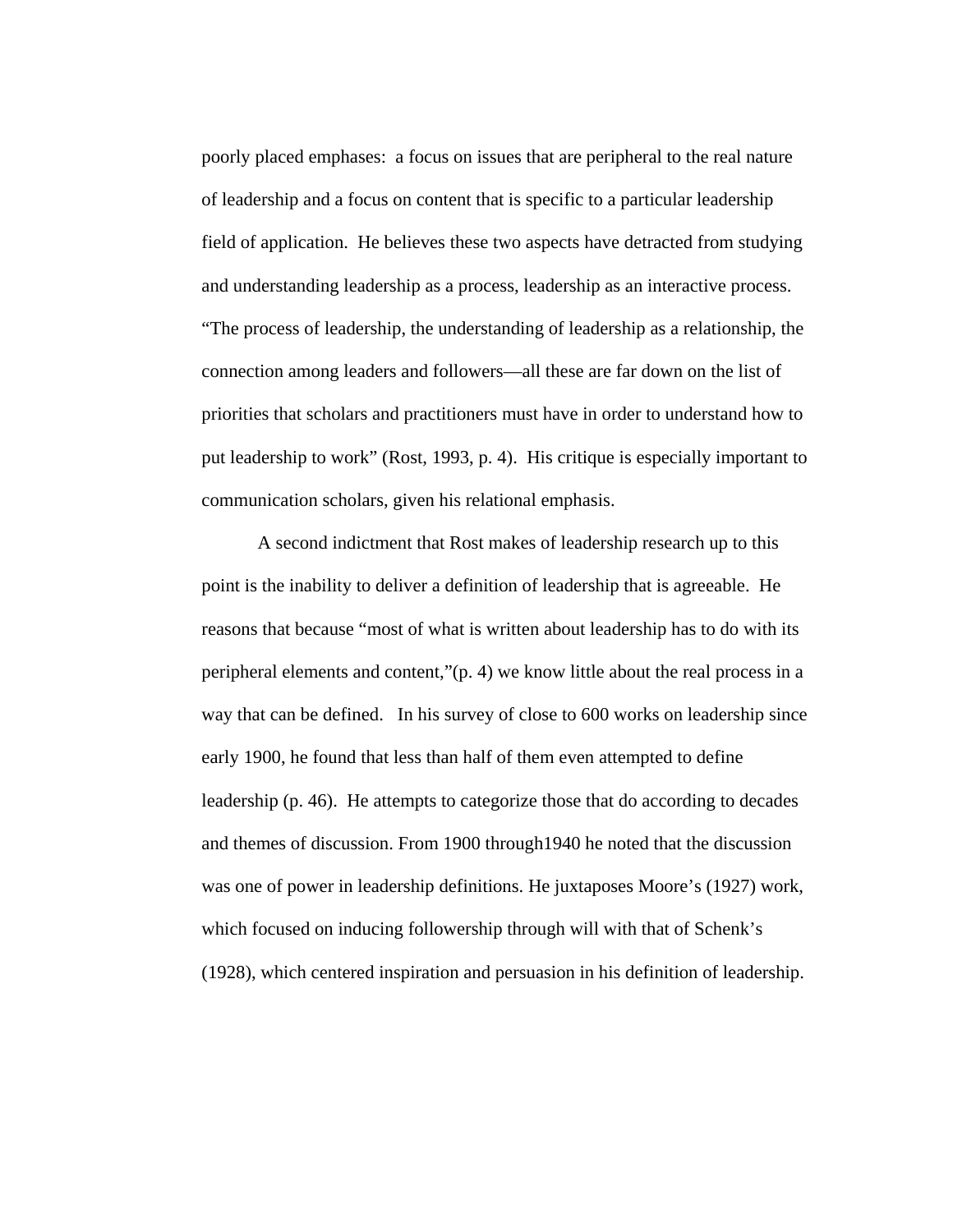poorly placed emphases: a focus on issues that are peripheral to the real nature of leadership and a focus on content that is specific to a particular leadership field of application. He believes these two aspects have detracted from studying and understanding leadership as a process, leadership as an interactive process. "The process of leadership, the understanding of leadership as a relationship, the connection among leaders and followers—all these are far down on the list of priorities that scholars and practitioners must have in order to understand how to put leadership to work" (Rost, 1993, p. 4). His critique is especially important to communication scholars, given his relational emphasis.

A second indictment that Rost makes of leadership research up to this point is the inability to deliver a definition of leadership that is agreeable. He reasons that because "most of what is written about leadership has to do with its peripheral elements and content,"(p. 4) we know little about the real process in a way that can be defined. In his survey of close to 600 works on leadership since early 1900, he found that less than half of them even attempted to define leadership (p. 46). He attempts to categorize those that do according to decades and themes of discussion. From 1900 through1940 he noted that the discussion was one of power in leadership definitions. He juxtaposes Moore's (1927) work, which focused on inducing followership through will with that of Schenk's (1928), which centered inspiration and persuasion in his definition of leadership.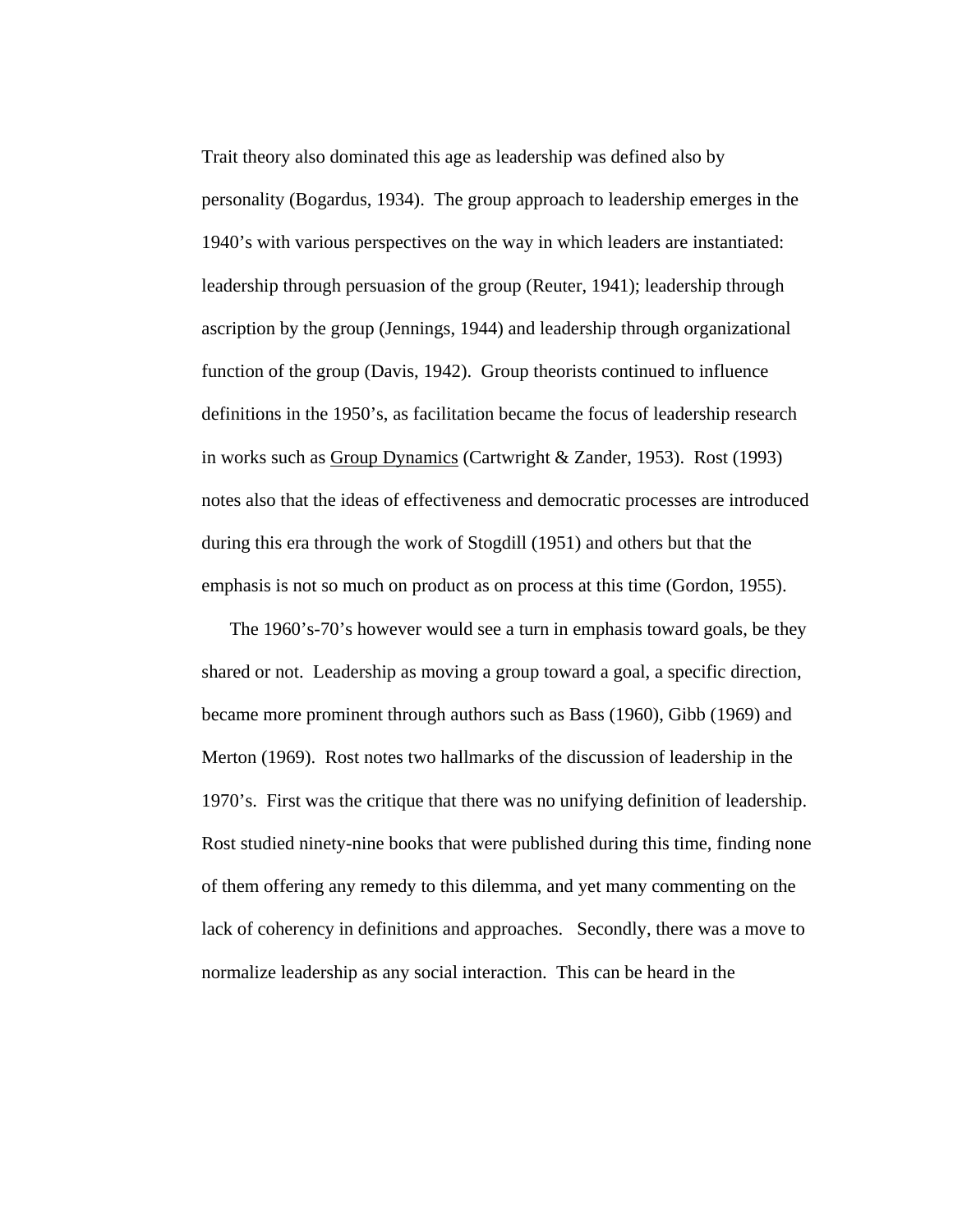Trait theory also dominated this age as leadership was defined also by personality (Bogardus, 1934). The group approach to leadership emerges in the 1940's with various perspectives on the way in which leaders are instantiated: leadership through persuasion of the group (Reuter, 1941); leadership through ascription by the group (Jennings, 1944) and leadership through organizational function of the group (Davis, 1942). Group theorists continued to influence definitions in the 1950's, as facilitation became the focus of leadership research in works such as Group Dynamics (Cartwright & Zander, 1953). Rost (1993) notes also that the ideas of effectiveness and democratic processes are introduced during this era through the work of Stogdill (1951) and others but that the emphasis is not so much on product as on process at this time (Gordon, 1955).

The 1960's-70's however would see a turn in emphasis toward goals, be they shared or not. Leadership as moving a group toward a goal, a specific direction, became more prominent through authors such as Bass (1960), Gibb (1969) and Merton (1969). Rost notes two hallmarks of the discussion of leadership in the 1970's. First was the critique that there was no unifying definition of leadership. Rost studied ninety-nine books that were published during this time, finding none of them offering any remedy to this dilemma, and yet many commenting on the lack of coherency in definitions and approaches. Secondly, there was a move to normalize leadership as any social interaction. This can be heard in the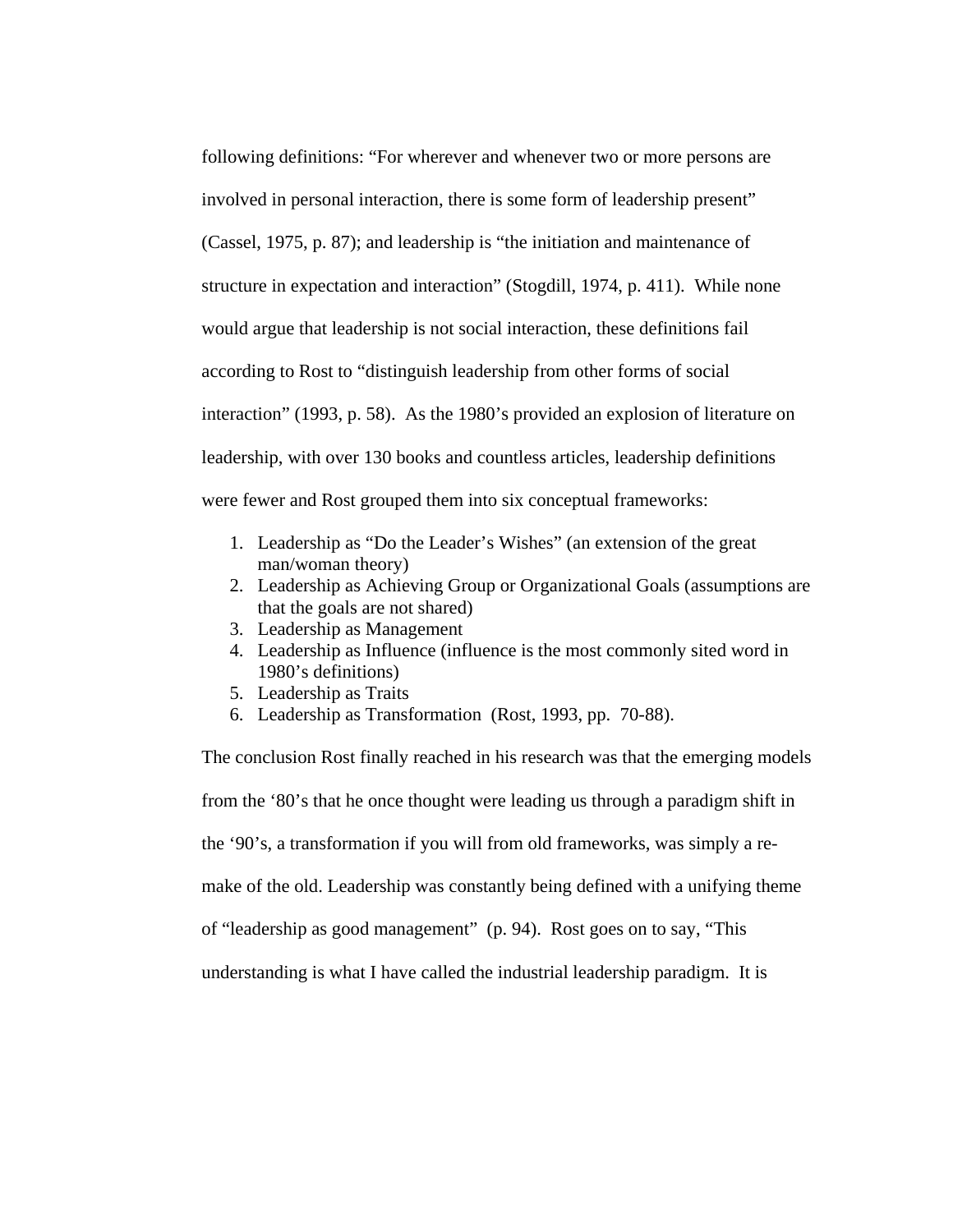following definitions: "For wherever and whenever two or more persons are involved in personal interaction, there is some form of leadership present" (Cassel, 1975, p. 87); and leadership is "the initiation and maintenance of structure in expectation and interaction" (Stogdill, 1974, p. 411). While none would argue that leadership is not social interaction, these definitions fail according to Rost to "distinguish leadership from other forms of social interaction" (1993, p. 58). As the 1980's provided an explosion of literature on leadership, with over 130 books and countless articles, leadership definitions were fewer and Rost grouped them into six conceptual frameworks:

- 1. Leadership as "Do the Leader's Wishes" (an extension of the great man/woman theory)
- 2. Leadership as Achieving Group or Organizational Goals (assumptions are that the goals are not shared)
- 3. Leadership as Management
- 4. Leadership as Influence (influence is the most commonly sited word in 1980's definitions)
- 5. Leadership as Traits
- 6. Leadership as Transformation (Rost, 1993, pp. 70-88).

The conclusion Rost finally reached in his research was that the emerging models from the '80's that he once thought were leading us through a paradigm shift in the '90's, a transformation if you will from old frameworks, was simply a remake of the old. Leadership was constantly being defined with a unifying theme of "leadership as good management" (p. 94). Rost goes on to say, "This understanding is what I have called the industrial leadership paradigm. It is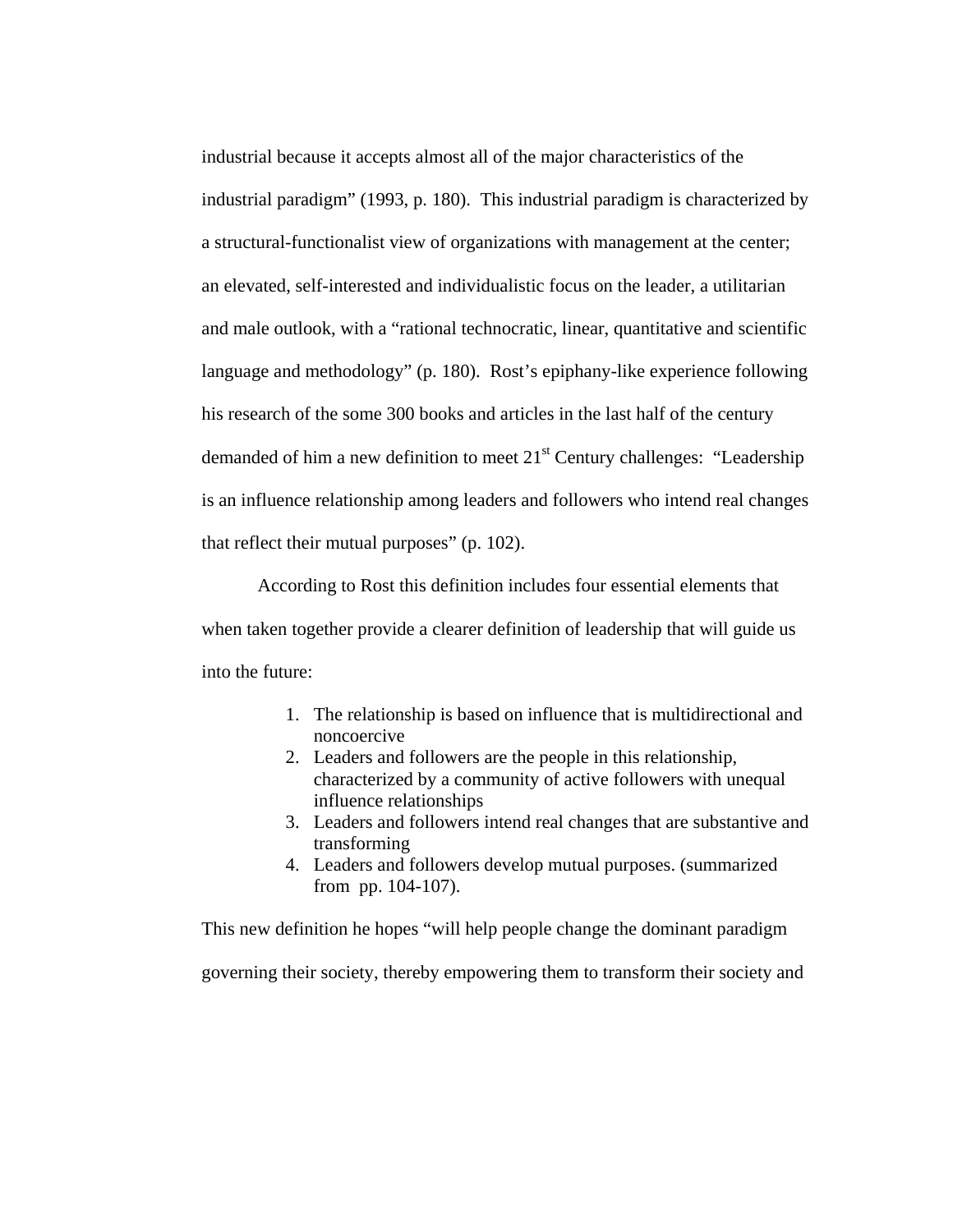industrial because it accepts almost all of the major characteristics of the industrial paradigm" (1993, p. 180). This industrial paradigm is characterized by a structural-functionalist view of organizations with management at the center; an elevated, self-interested and individualistic focus on the leader, a utilitarian and male outlook, with a "rational technocratic, linear, quantitative and scientific language and methodology" (p. 180). Rost's epiphany-like experience following his research of the some 300 books and articles in the last half of the century demanded of him a new definition to meet  $21<sup>st</sup>$  Century challenges: "Leadership is an influence relationship among leaders and followers who intend real changes that reflect their mutual purposes" (p. 102).

According to Rost this definition includes four essential elements that when taken together provide a clearer definition of leadership that will guide us into the future:

- 1. The relationship is based on influence that is multidirectional and noncoercive
- 2. Leaders and followers are the people in this relationship, characterized by a community of active followers with unequal influence relationships
- 3. Leaders and followers intend real changes that are substantive and transforming
- 4. Leaders and followers develop mutual purposes. (summarized from pp. 104-107).

This new definition he hopes "will help people change the dominant paradigm governing their society, thereby empowering them to transform their society and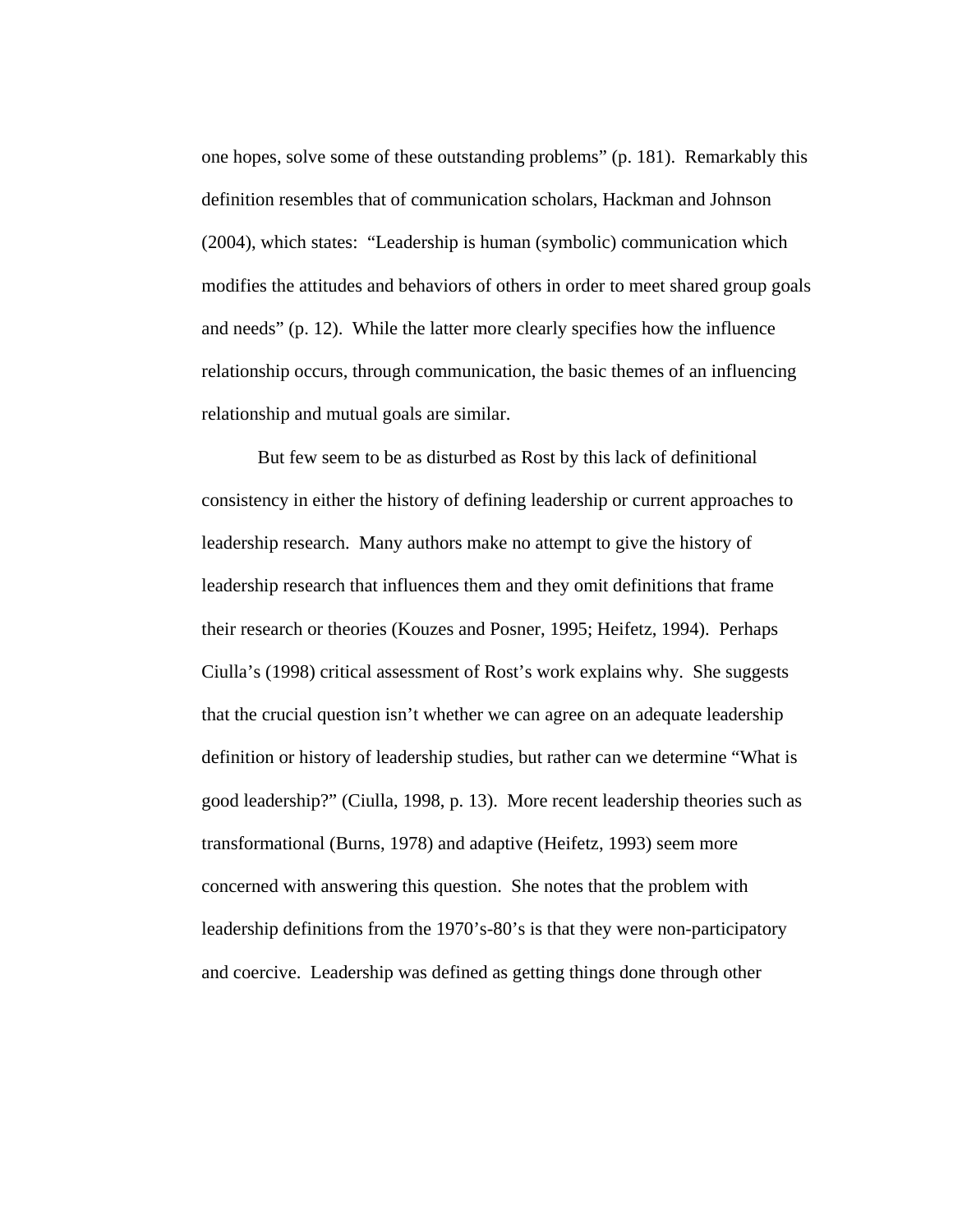one hopes, solve some of these outstanding problems" (p. 181). Remarkably this definition resembles that of communication scholars, Hackman and Johnson (2004), which states: "Leadership is human (symbolic) communication which modifies the attitudes and behaviors of others in order to meet shared group goals and needs" (p. 12). While the latter more clearly specifies how the influence relationship occurs, through communication, the basic themes of an influencing relationship and mutual goals are similar.

But few seem to be as disturbed as Rost by this lack of definitional consistency in either the history of defining leadership or current approaches to leadership research. Many authors make no attempt to give the history of leadership research that influences them and they omit definitions that frame their research or theories (Kouzes and Posner, 1995; Heifetz, 1994). Perhaps Ciulla's (1998) critical assessment of Rost's work explains why. She suggests that the crucial question isn't whether we can agree on an adequate leadership definition or history of leadership studies, but rather can we determine "What is good leadership?" (Ciulla, 1998, p. 13). More recent leadership theories such as transformational (Burns, 1978) and adaptive (Heifetz, 1993) seem more concerned with answering this question. She notes that the problem with leadership definitions from the 1970's-80's is that they were non-participatory and coercive. Leadership was defined as getting things done through other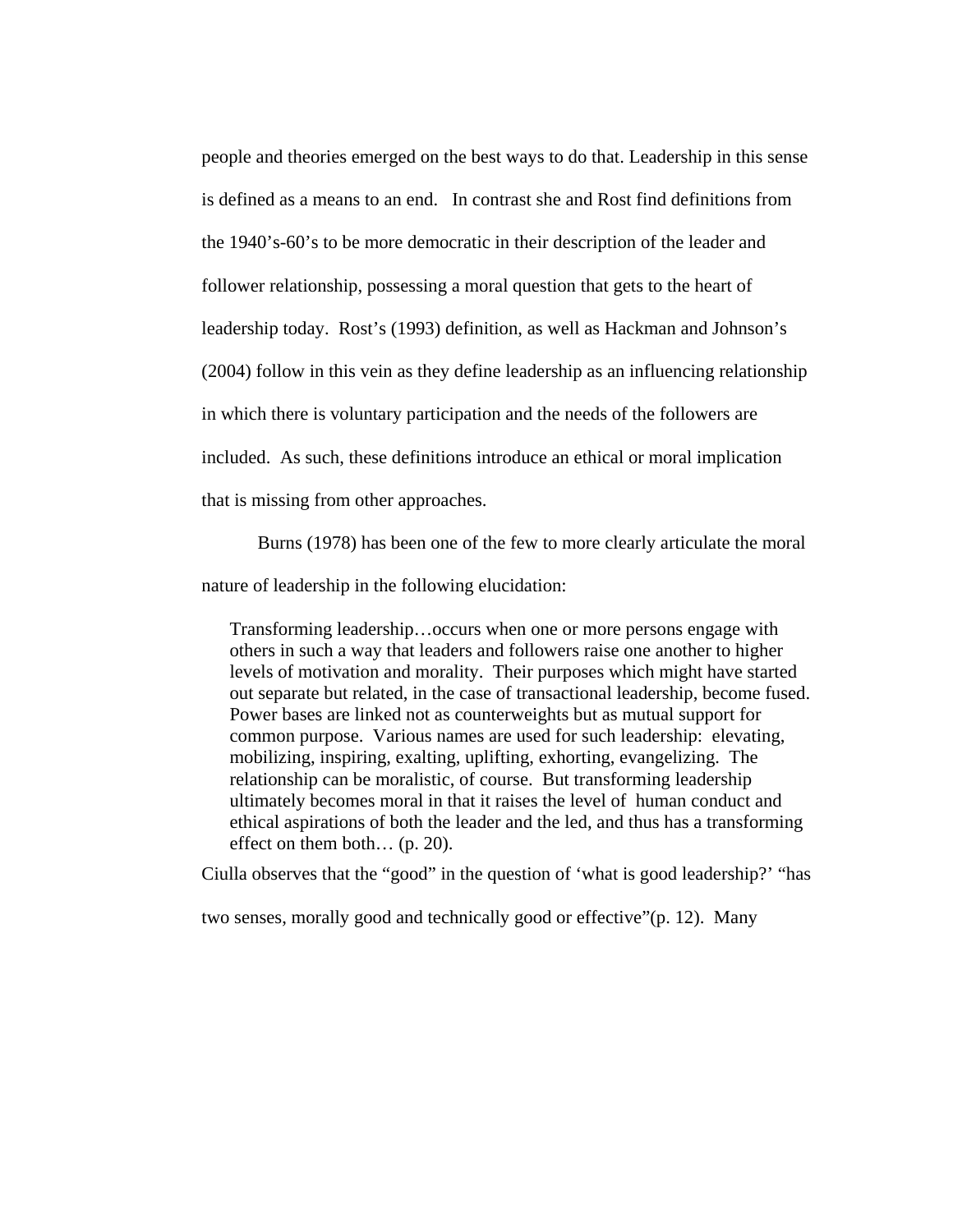people and theories emerged on the best ways to do that. Leadership in this sense is defined as a means to an end. In contrast she and Rost find definitions from the 1940's-60's to be more democratic in their description of the leader and follower relationship, possessing a moral question that gets to the heart of leadership today. Rost's (1993) definition, as well as Hackman and Johnson's (2004) follow in this vein as they define leadership as an influencing relationship in which there is voluntary participation and the needs of the followers are included. As such, these definitions introduce an ethical or moral implication that is missing from other approaches.

Burns (1978) has been one of the few to more clearly articulate the moral

nature of leadership in the following elucidation:

Transforming leadership…occurs when one or more persons engage with others in such a way that leaders and followers raise one another to higher levels of motivation and morality. Their purposes which might have started out separate but related, in the case of transactional leadership, become fused. Power bases are linked not as counterweights but as mutual support for common purpose. Various names are used for such leadership: elevating, mobilizing, inspiring, exalting, uplifting, exhorting, evangelizing. The relationship can be moralistic, of course. But transforming leadership ultimately becomes moral in that it raises the level of human conduct and ethical aspirations of both the leader and the led, and thus has a transforming effect on them both… (p. 20).

Ciulla observes that the "good" in the question of 'what is good leadership?' "has

two senses, morally good and technically good or effective"(p. 12). Many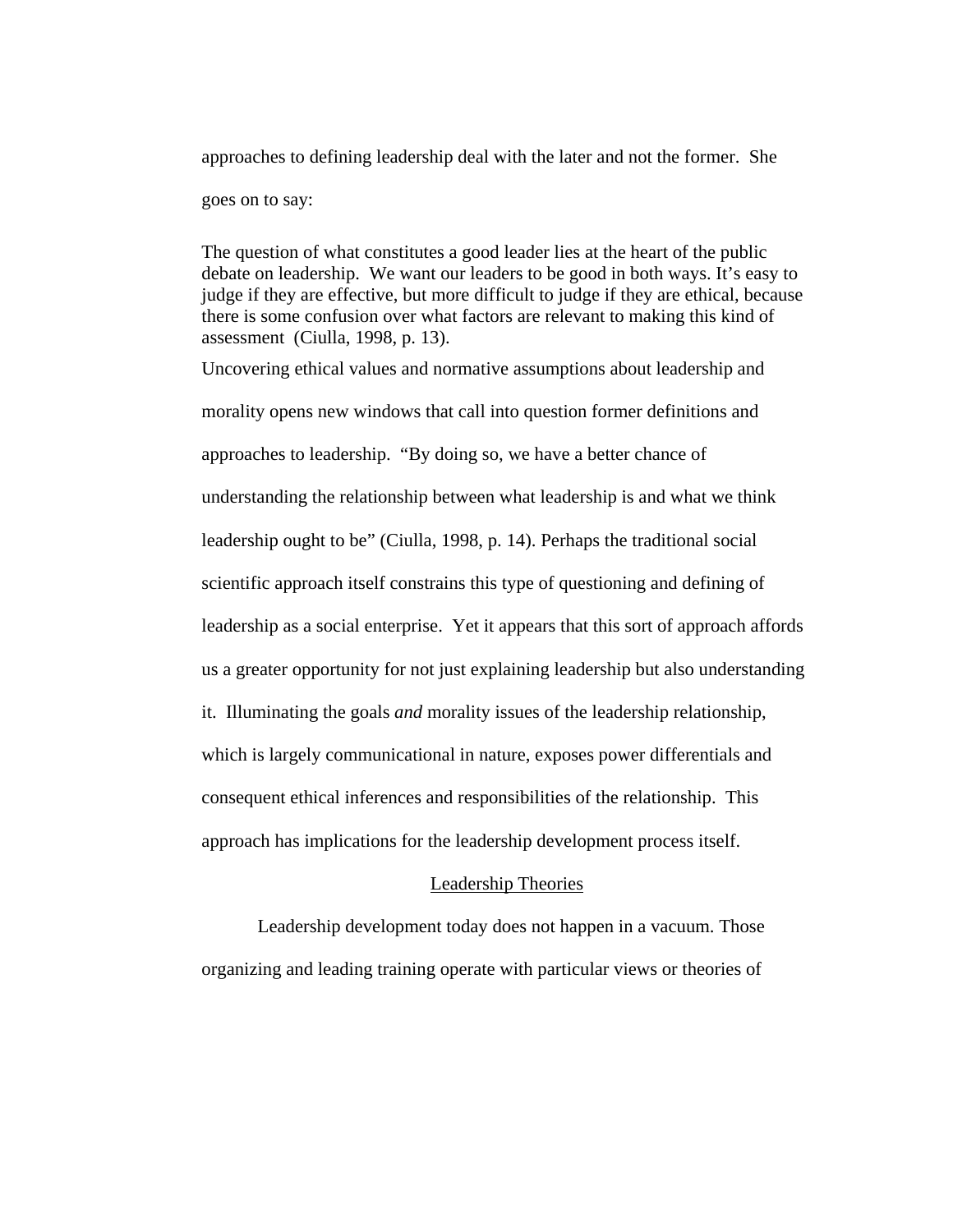approaches to defining leadership deal with the later and not the former. She goes on to say:

The question of what constitutes a good leader lies at the heart of the public debate on leadership. We want our leaders to be good in both ways. It's easy to judge if they are effective, but more difficult to judge if they are ethical, because there is some confusion over what factors are relevant to making this kind of assessment (Ciulla, 1998, p. 13).

Uncovering ethical values and normative assumptions about leadership and morality opens new windows that call into question former definitions and approaches to leadership. "By doing so, we have a better chance of understanding the relationship between what leadership is and what we think leadership ought to be" (Ciulla, 1998, p. 14). Perhaps the traditional social scientific approach itself constrains this type of questioning and defining of leadership as a social enterprise. Yet it appears that this sort of approach affords us a greater opportunity for not just explaining leadership but also understanding it. Illuminating the goals *and* morality issues of the leadership relationship, which is largely communicational in nature, exposes power differentials and consequent ethical inferences and responsibilities of the relationship. This approach has implications for the leadership development process itself.

### Leadership Theories

 Leadership development today does not happen in a vacuum. Those organizing and leading training operate with particular views or theories of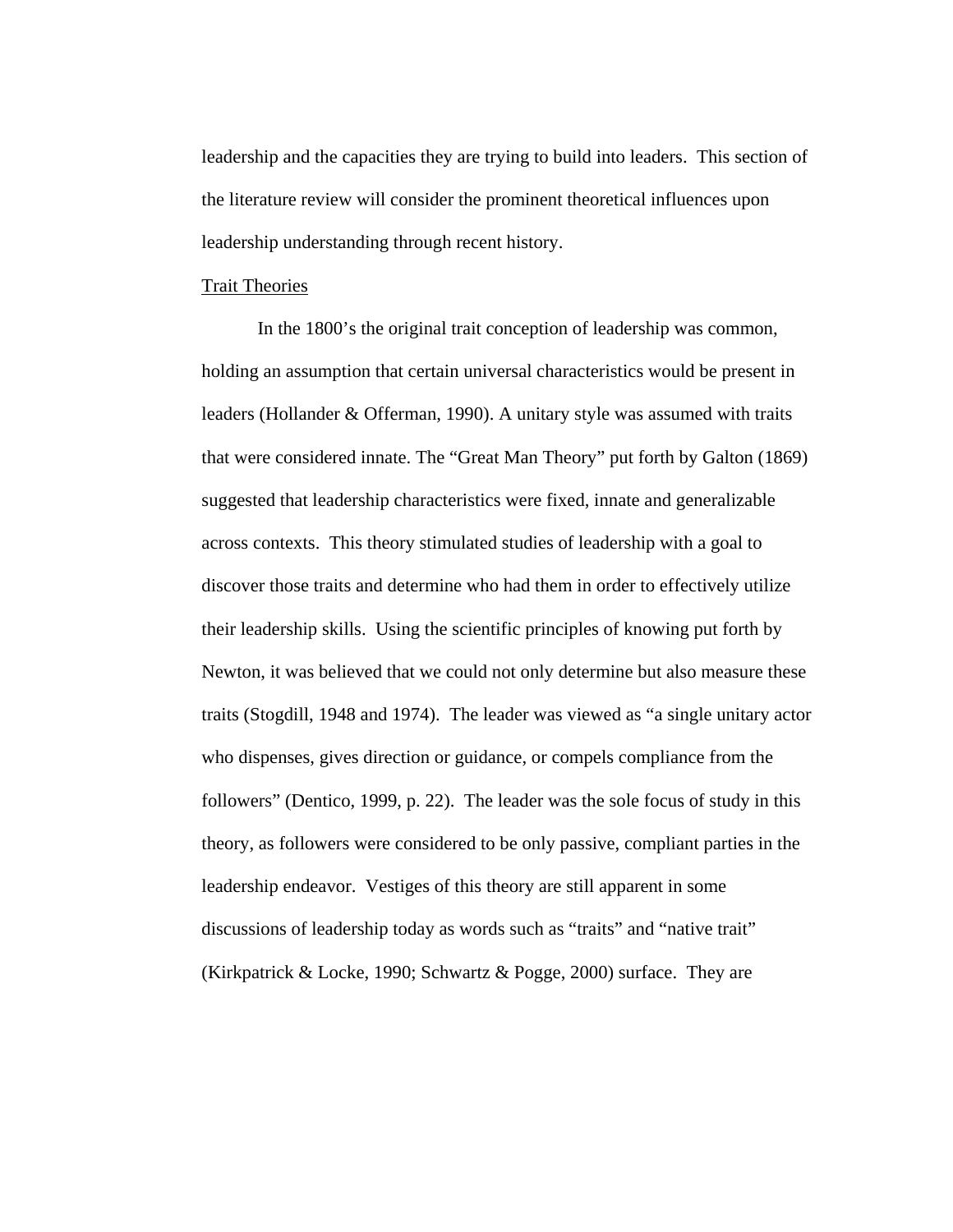leadership and the capacities they are trying to build into leaders. This section of the literature review will consider the prominent theoretical influences upon leadership understanding through recent history.

### Trait Theories

In the 1800's the original trait conception of leadership was common, holding an assumption that certain universal characteristics would be present in leaders (Hollander & Offerman, 1990). A unitary style was assumed with traits that were considered innate. The "Great Man Theory" put forth by Galton (1869) suggested that leadership characteristics were fixed, innate and generalizable across contexts. This theory stimulated studies of leadership with a goal to discover those traits and determine who had them in order to effectively utilize their leadership skills. Using the scientific principles of knowing put forth by Newton, it was believed that we could not only determine but also measure these traits (Stogdill, 1948 and 1974). The leader was viewed as "a single unitary actor who dispenses, gives direction or guidance, or compels compliance from the followers" (Dentico, 1999, p. 22). The leader was the sole focus of study in this theory, as followers were considered to be only passive, compliant parties in the leadership endeavor. Vestiges of this theory are still apparent in some discussions of leadership today as words such as "traits" and "native trait" (Kirkpatrick & Locke, 1990; Schwartz & Pogge, 2000) surface. They are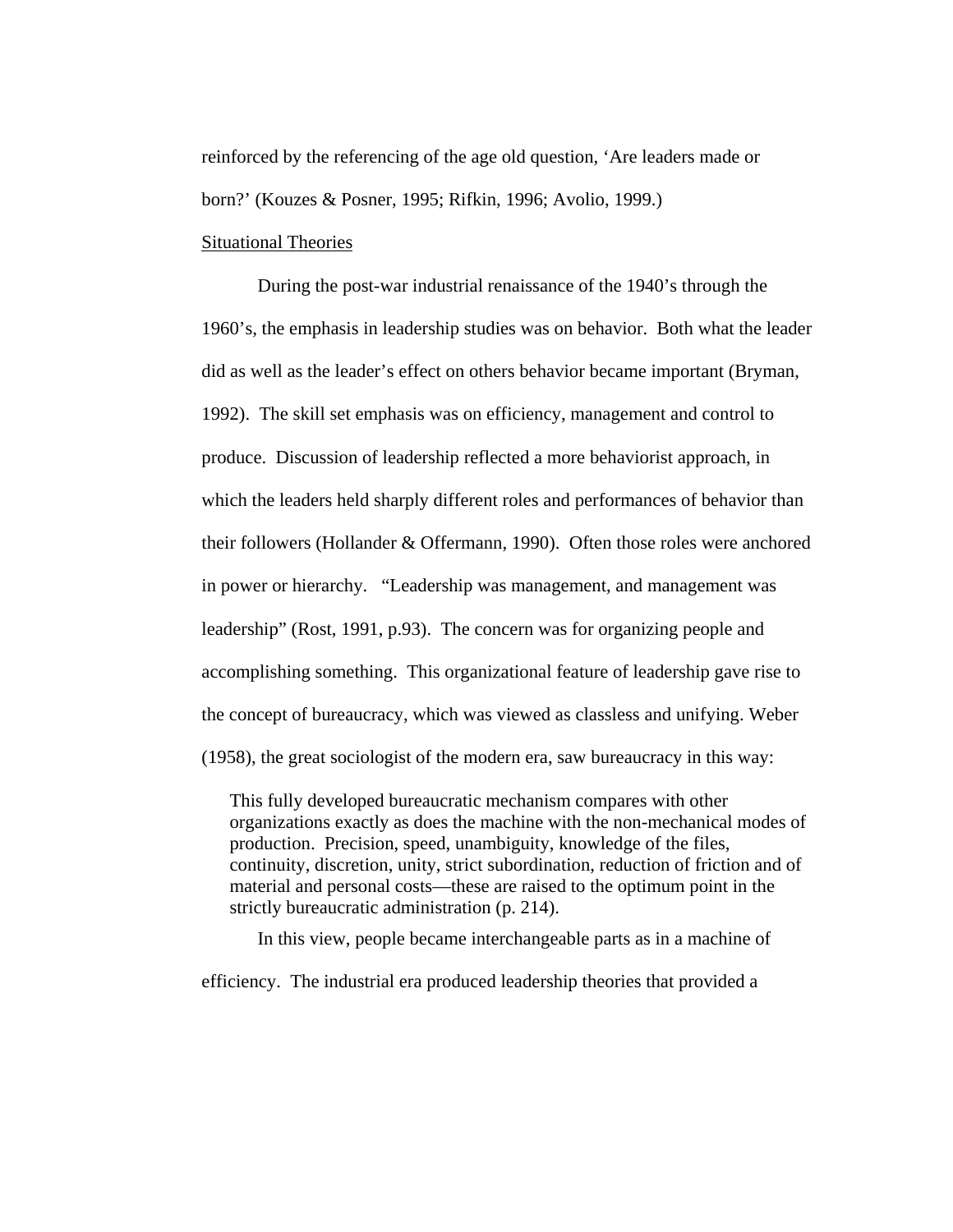reinforced by the referencing of the age old question, 'Are leaders made or born?' (Kouzes & Posner, 1995; Rifkin, 1996; Avolio, 1999.)

### Situational Theories

During the post-war industrial renaissance of the 1940's through the 1960's, the emphasis in leadership studies was on behavior. Both what the leader did as well as the leader's effect on others behavior became important (Bryman, 1992). The skill set emphasis was on efficiency, management and control to produce. Discussion of leadership reflected a more behaviorist approach, in which the leaders held sharply different roles and performances of behavior than their followers (Hollander & Offermann, 1990). Often those roles were anchored in power or hierarchy. "Leadership was management, and management was leadership" (Rost, 1991, p.93). The concern was for organizing people and accomplishing something. This organizational feature of leadership gave rise to the concept of bureaucracy, which was viewed as classless and unifying. Weber (1958), the great sociologist of the modern era, saw bureaucracy in this way:

This fully developed bureaucratic mechanism compares with other organizations exactly as does the machine with the non-mechanical modes of production. Precision, speed, unambiguity, knowledge of the files, continuity, discretion, unity, strict subordination, reduction of friction and of material and personal costs—these are raised to the optimum point in the strictly bureaucratic administration (p. 214).

In this view, people became interchangeable parts as in a machine of

efficiency. The industrial era produced leadership theories that provided a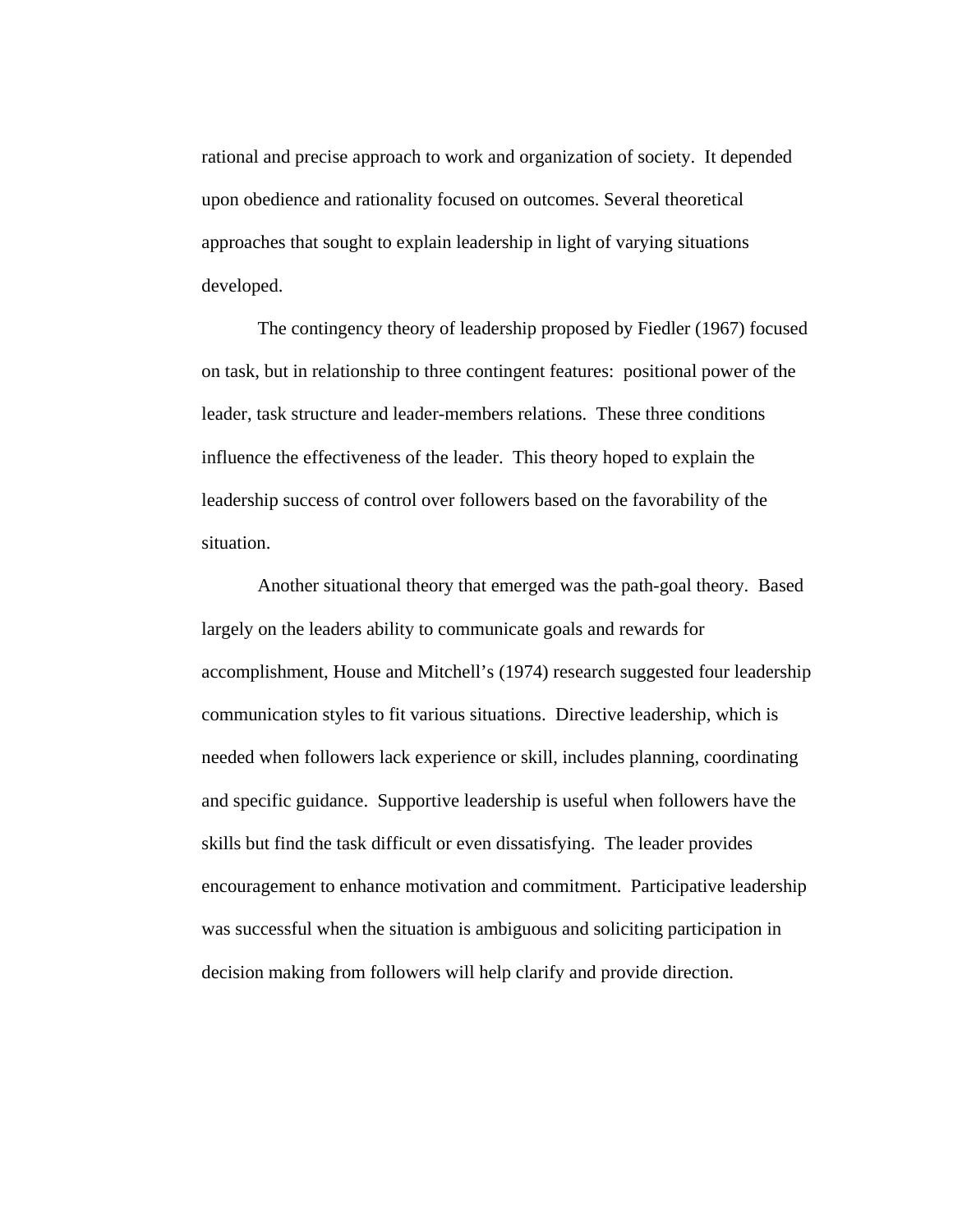rational and precise approach to work and organization of society. It depended upon obedience and rationality focused on outcomes. Several theoretical approaches that sought to explain leadership in light of varying situations developed.

 The contingency theory of leadership proposed by Fiedler (1967) focused on task, but in relationship to three contingent features: positional power of the leader, task structure and leader-members relations. These three conditions influence the effectiveness of the leader. This theory hoped to explain the leadership success of control over followers based on the favorability of the situation.

 Another situational theory that emerged was the path-goal theory. Based largely on the leaders ability to communicate goals and rewards for accomplishment, House and Mitchell's (1974) research suggested four leadership communication styles to fit various situations. Directive leadership, which is needed when followers lack experience or skill, includes planning, coordinating and specific guidance. Supportive leadership is useful when followers have the skills but find the task difficult or even dissatisfying. The leader provides encouragement to enhance motivation and commitment. Participative leadership was successful when the situation is ambiguous and soliciting participation in decision making from followers will help clarify and provide direction.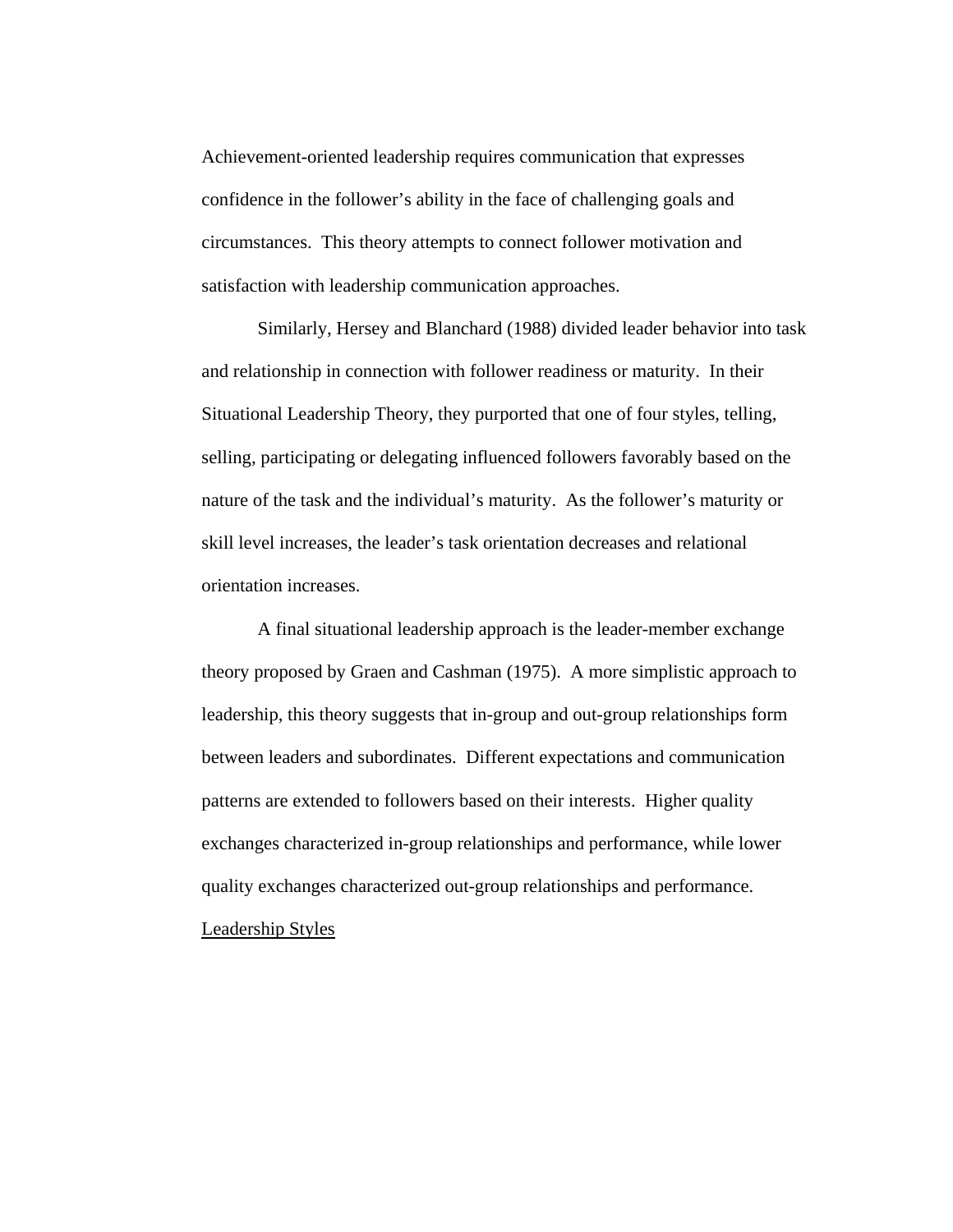Achievement-oriented leadership requires communication that expresses confidence in the follower's ability in the face of challenging goals and circumstances. This theory attempts to connect follower motivation and satisfaction with leadership communication approaches.

 Similarly, Hersey and Blanchard (1988) divided leader behavior into task and relationship in connection with follower readiness or maturity. In their Situational Leadership Theory, they purported that one of four styles, telling, selling, participating or delegating influenced followers favorably based on the nature of the task and the individual's maturity. As the follower's maturity or skill level increases, the leader's task orientation decreases and relational orientation increases.

 A final situational leadership approach is the leader-member exchange theory proposed by Graen and Cashman (1975). A more simplistic approach to leadership, this theory suggests that in-group and out-group relationships form between leaders and subordinates. Different expectations and communication patterns are extended to followers based on their interests. Higher quality exchanges characterized in-group relationships and performance, while lower quality exchanges characterized out-group relationships and performance.

Leadership Styles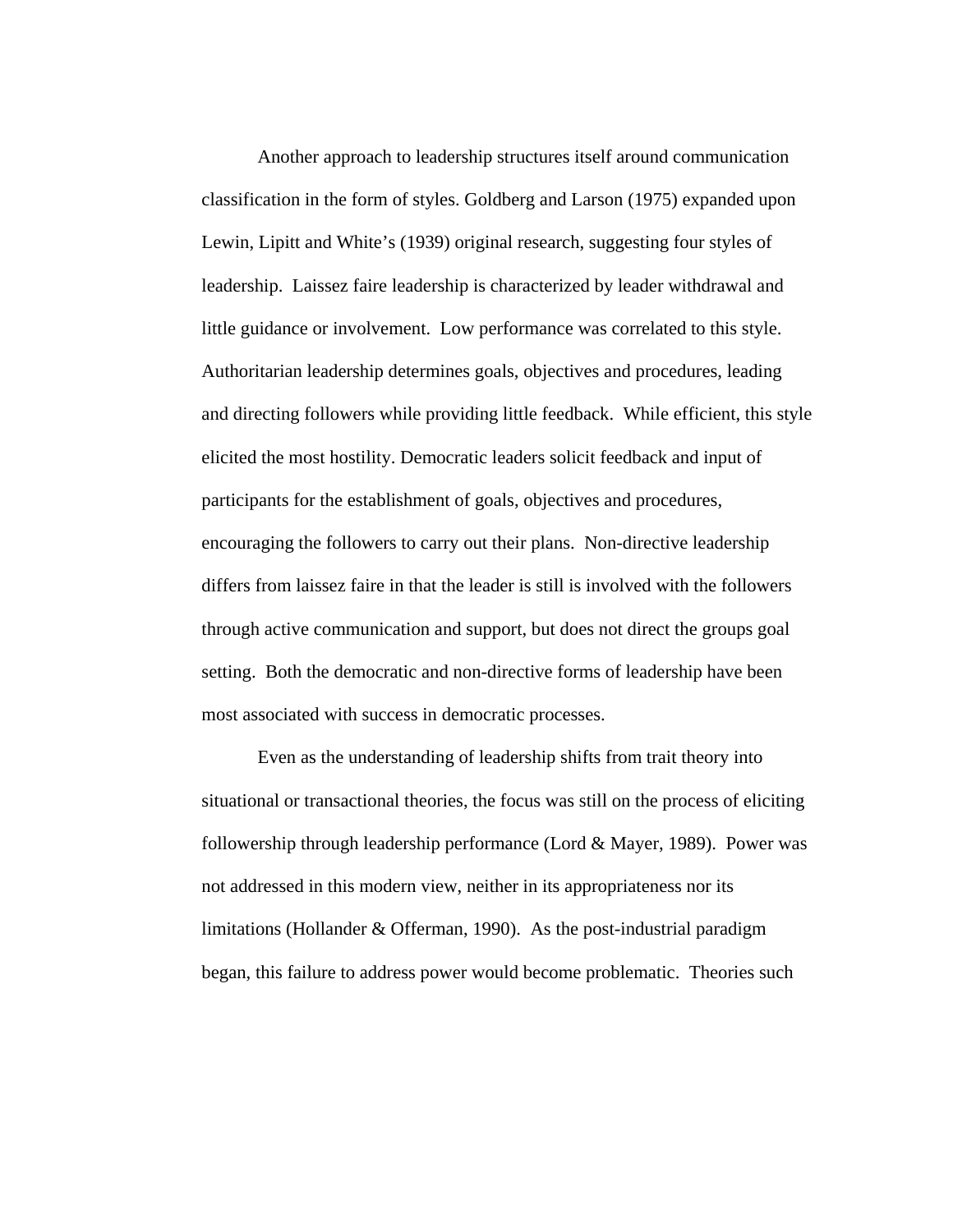Another approach to leadership structures itself around communication classification in the form of styles. Goldberg and Larson (1975) expanded upon Lewin, Lipitt and White's (1939) original research, suggesting four styles of leadership. Laissez faire leadership is characterized by leader withdrawal and little guidance or involvement. Low performance was correlated to this style. Authoritarian leadership determines goals, objectives and procedures, leading and directing followers while providing little feedback. While efficient, this style elicited the most hostility. Democratic leaders solicit feedback and input of participants for the establishment of goals, objectives and procedures, encouraging the followers to carry out their plans. Non-directive leadership differs from laissez faire in that the leader is still is involved with the followers through active communication and support, but does not direct the groups goal setting. Both the democratic and non-directive forms of leadership have been most associated with success in democratic processes.

Even as the understanding of leadership shifts from trait theory into situational or transactional theories, the focus was still on the process of eliciting followership through leadership performance (Lord & Mayer, 1989). Power was not addressed in this modern view, neither in its appropriateness nor its limitations (Hollander & Offerman, 1990). As the post-industrial paradigm began, this failure to address power would become problematic. Theories such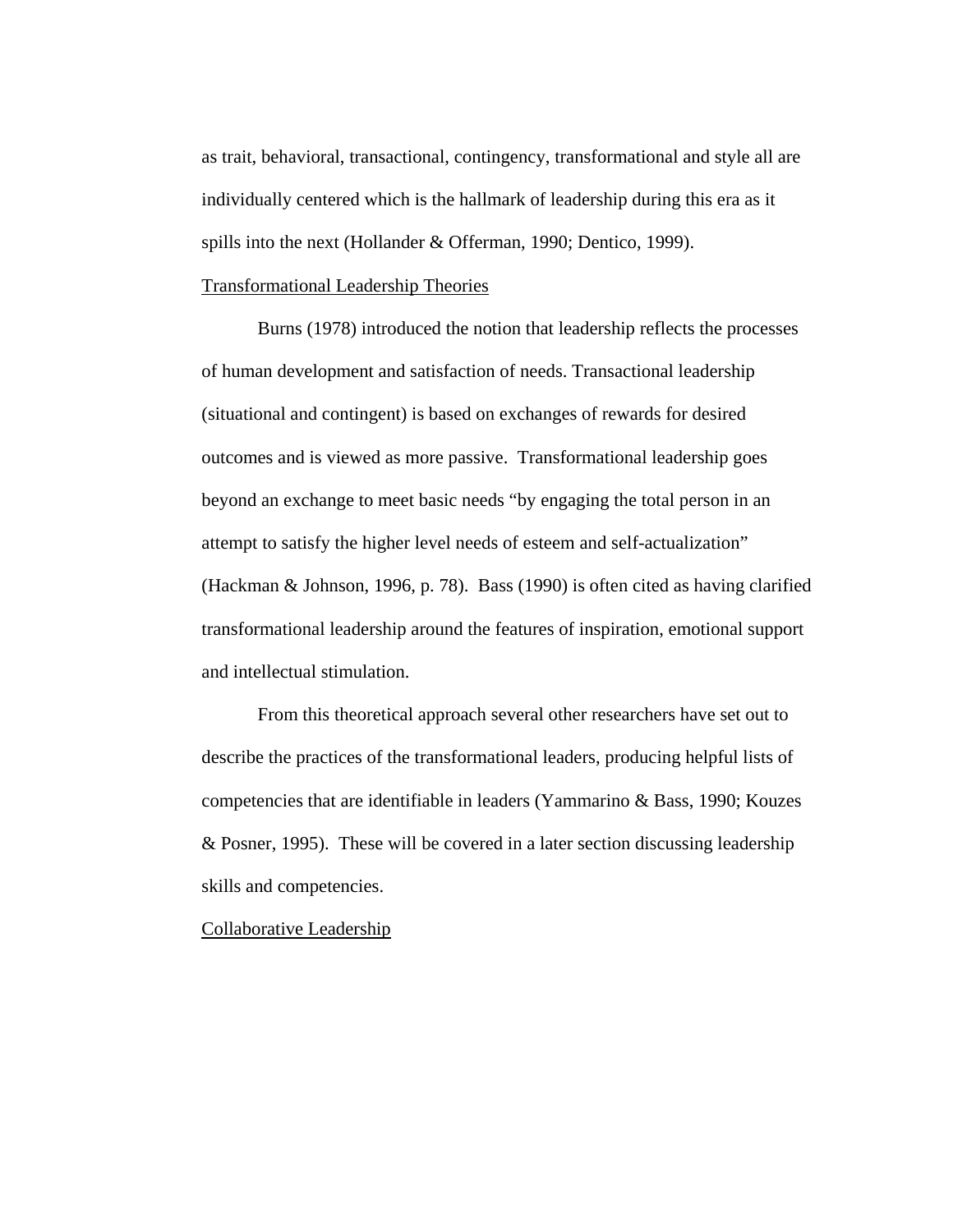as trait, behavioral, transactional, contingency, transformational and style all are individually centered which is the hallmark of leadership during this era as it spills into the next (Hollander & Offerman, 1990; Dentico, 1999).

### Transformational Leadership Theories

Burns (1978) introduced the notion that leadership reflects the processes of human development and satisfaction of needs. Transactional leadership (situational and contingent) is based on exchanges of rewards for desired outcomes and is viewed as more passive. Transformational leadership goes beyond an exchange to meet basic needs "by engaging the total person in an attempt to satisfy the higher level needs of esteem and self-actualization" (Hackman & Johnson, 1996, p. 78). Bass (1990) is often cited as having clarified transformational leadership around the features of inspiration, emotional support and intellectual stimulation.

 From this theoretical approach several other researchers have set out to describe the practices of the transformational leaders, producing helpful lists of competencies that are identifiable in leaders (Yammarino & Bass, 1990; Kouzes & Posner, 1995). These will be covered in a later section discussing leadership skills and competencies.

### Collaborative Leadership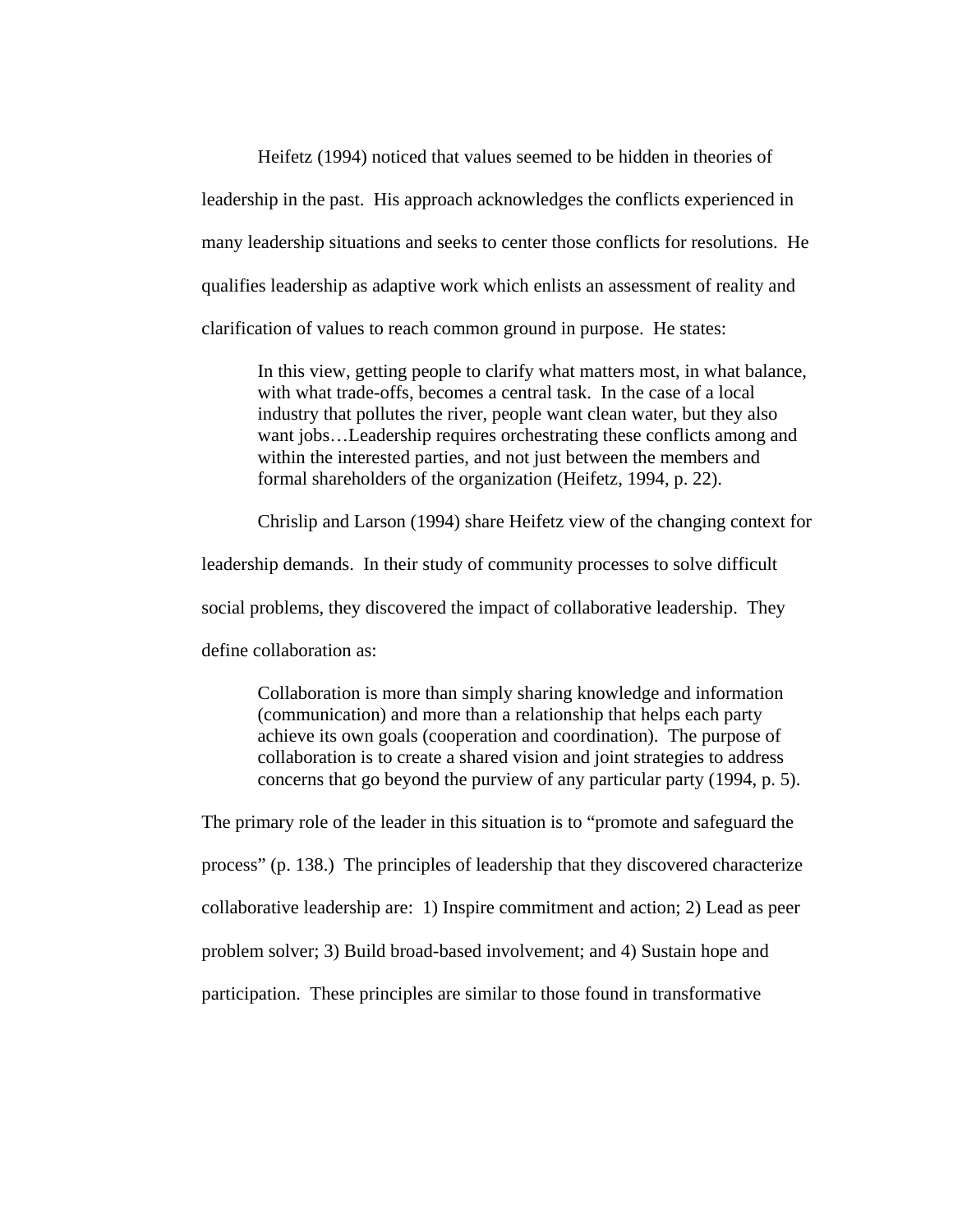Heifetz (1994) noticed that values seemed to be hidden in theories of leadership in the past. His approach acknowledges the conflicts experienced in many leadership situations and seeks to center those conflicts for resolutions. He qualifies leadership as adaptive work which enlists an assessment of reality and clarification of values to reach common ground in purpose. He states:

In this view, getting people to clarify what matters most, in what balance, with what trade-offs, becomes a central task. In the case of a local industry that pollutes the river, people want clean water, but they also want jobs…Leadership requires orchestrating these conflicts among and within the interested parties, and not just between the members and formal shareholders of the organization (Heifetz, 1994, p. 22).

Chrislip and Larson (1994) share Heifetz view of the changing context for

leadership demands. In their study of community processes to solve difficult

social problems, they discovered the impact of collaborative leadership. They

define collaboration as:

Collaboration is more than simply sharing knowledge and information (communication) and more than a relationship that helps each party achieve its own goals (cooperation and coordination). The purpose of collaboration is to create a shared vision and joint strategies to address concerns that go beyond the purview of any particular party (1994, p. 5).

The primary role of the leader in this situation is to "promote and safeguard the process" (p. 138.) The principles of leadership that they discovered characterize collaborative leadership are: 1) Inspire commitment and action; 2) Lead as peer problem solver; 3) Build broad-based involvement; and 4) Sustain hope and participation. These principles are similar to those found in transformative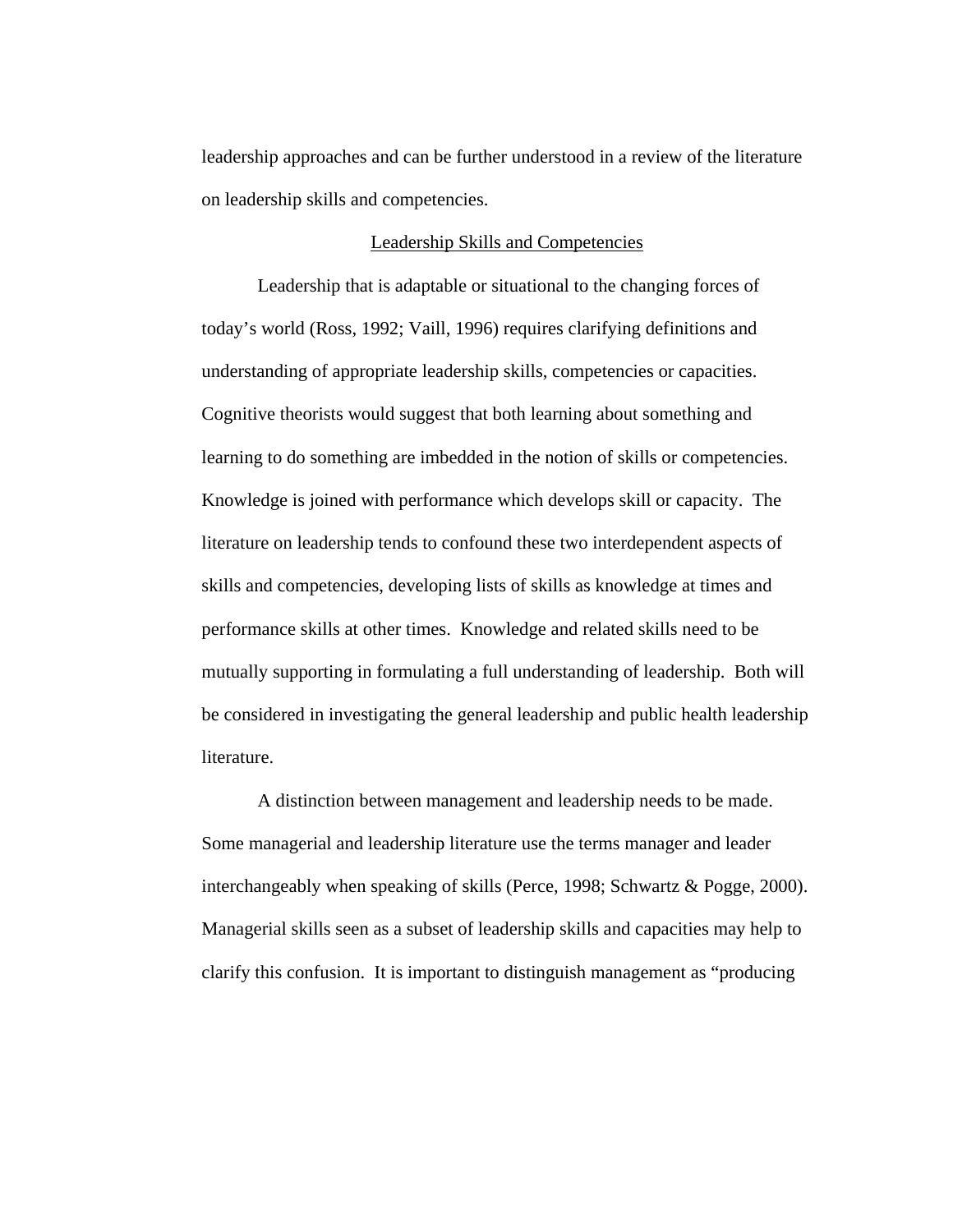leadership approaches and can be further understood in a review of the literature on leadership skills and competencies.

## Leadership Skills and Competencies

 Leadership that is adaptable or situational to the changing forces of today's world (Ross, 1992; Vaill, 1996) requires clarifying definitions and understanding of appropriate leadership skills, competencies or capacities. Cognitive theorists would suggest that both learning about something and learning to do something are imbedded in the notion of skills or competencies. Knowledge is joined with performance which develops skill or capacity. The literature on leadership tends to confound these two interdependent aspects of skills and competencies, developing lists of skills as knowledge at times and performance skills at other times. Knowledge and related skills need to be mutually supporting in formulating a full understanding of leadership. Both will be considered in investigating the general leadership and public health leadership literature.

 A distinction between management and leadership needs to be made. Some managerial and leadership literature use the terms manager and leader interchangeably when speaking of skills (Perce, 1998; Schwartz & Pogge, 2000). Managerial skills seen as a subset of leadership skills and capacities may help to clarify this confusion. It is important to distinguish management as "producing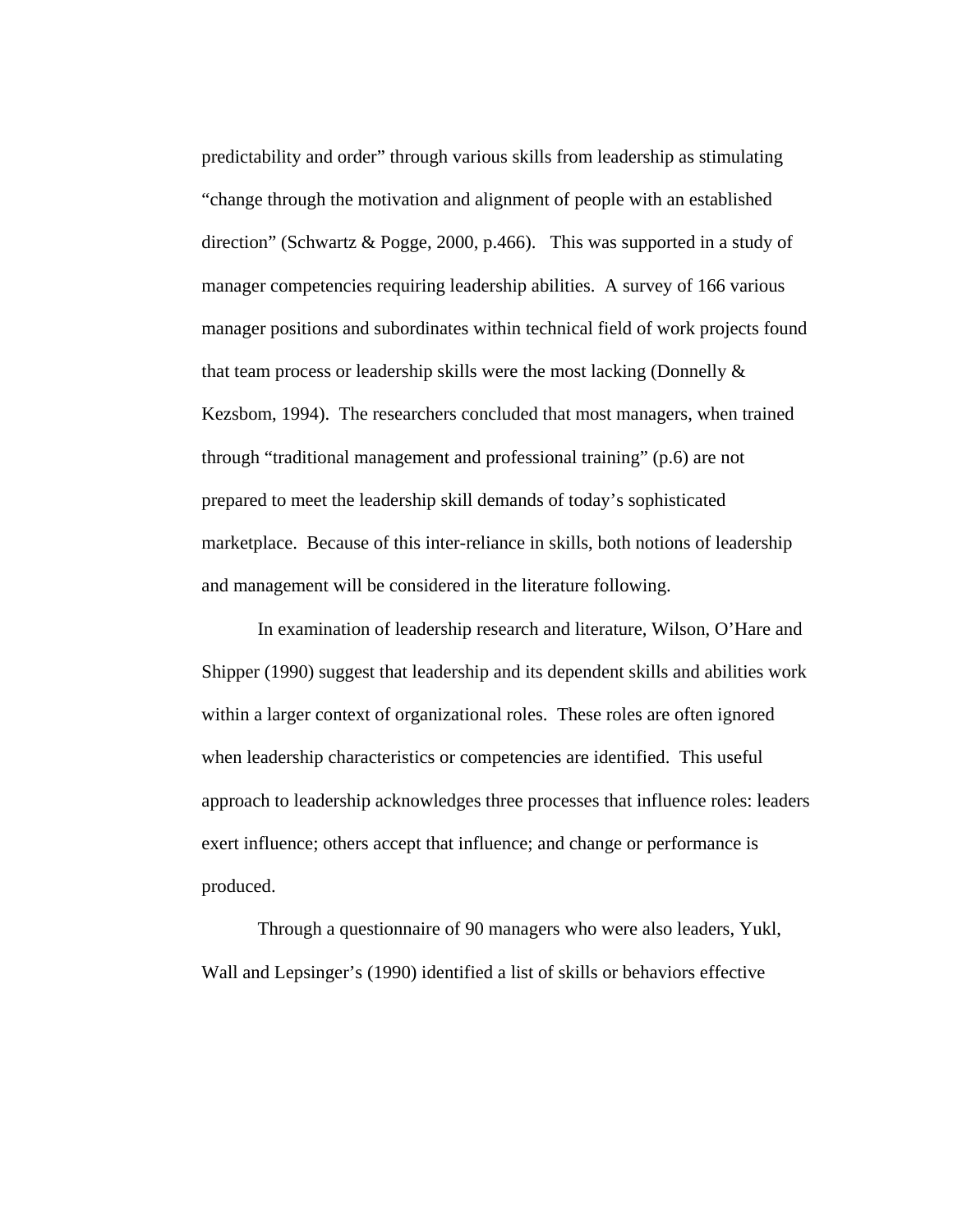predictability and order" through various skills from leadership as stimulating "change through the motivation and alignment of people with an established direction" (Schwartz & Pogge, 2000, p.466). This was supported in a study of manager competencies requiring leadership abilities. A survey of 166 various manager positions and subordinates within technical field of work projects found that team process or leadership skills were the most lacking (Donnelly & Kezsbom, 1994). The researchers concluded that most managers, when trained through "traditional management and professional training" (p.6) are not prepared to meet the leadership skill demands of today's sophisticated marketplace. Because of this inter-reliance in skills, both notions of leadership and management will be considered in the literature following.

 In examination of leadership research and literature, Wilson, O'Hare and Shipper (1990) suggest that leadership and its dependent skills and abilities work within a larger context of organizational roles. These roles are often ignored when leadership characteristics or competencies are identified. This useful approach to leadership acknowledges three processes that influence roles: leaders exert influence; others accept that influence; and change or performance is produced.

Through a questionnaire of 90 managers who were also leaders, Yukl, Wall and Lepsinger's (1990) identified a list of skills or behaviors effective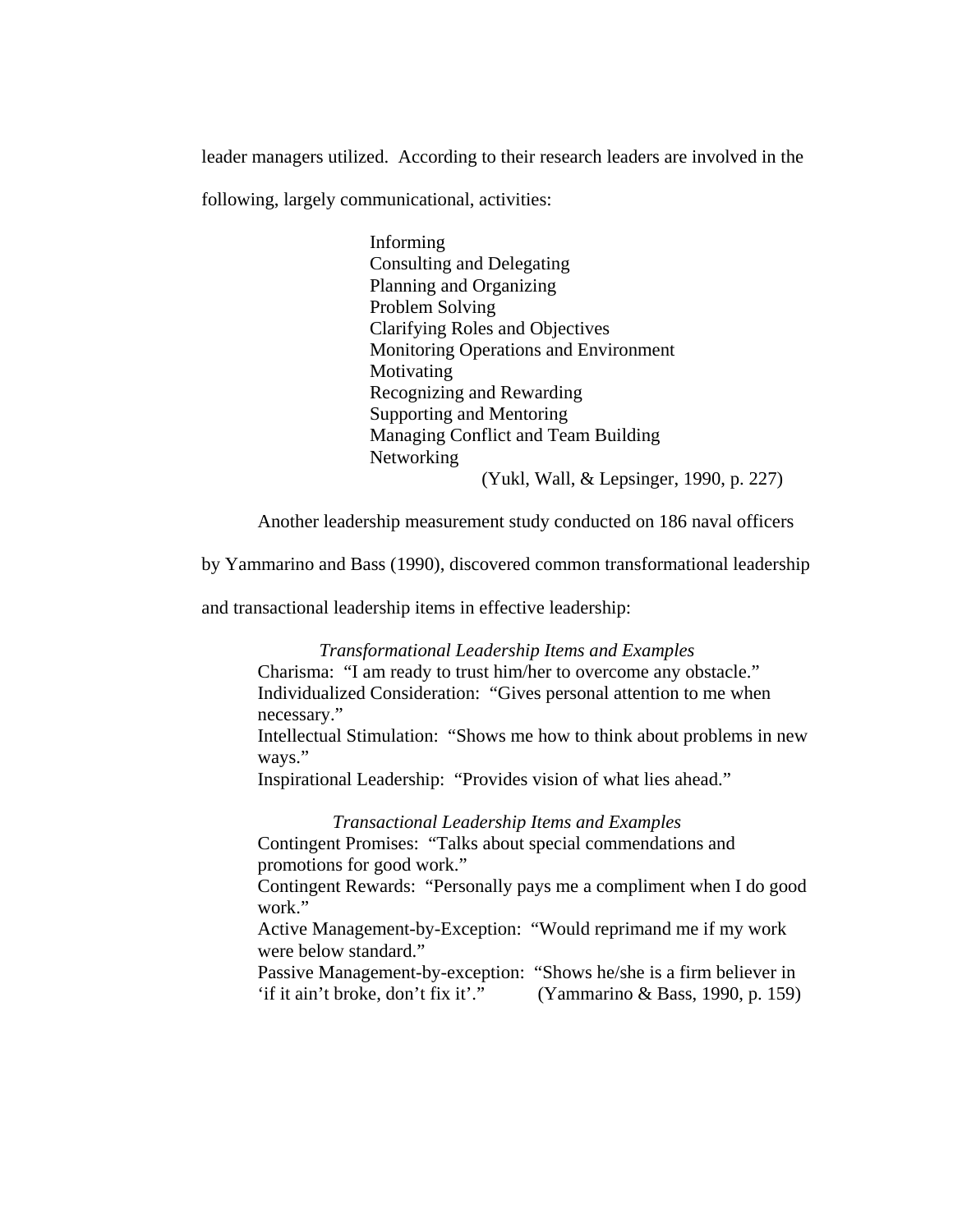leader managers utilized. According to their research leaders are involved in the

following, largely communicational, activities:

Informing Consulting and Delegating Planning and Organizing Problem Solving Clarifying Roles and Objectives Monitoring Operations and Environment Motivating Recognizing and Rewarding Supporting and Mentoring Managing Conflict and Team Building Networking (Yukl, Wall, & Lepsinger, 1990, p. 227)

Another leadership measurement study conducted on 186 naval officers

by Yammarino and Bass (1990), discovered common transformational leadership

and transactional leadership items in effective leadership:

*Transformational Leadership Items and Examples*  Charisma: "I am ready to trust him/her to overcome any obstacle." Individualized Consideration: "Gives personal attention to me when necessary." Intellectual Stimulation: "Shows me how to think about problems in new ways." Inspirational Leadership: "Provides vision of what lies ahead." *Transactional Leadership Items and Examples*  Contingent Promises: "Talks about special commendations and promotions for good work." Contingent Rewards: "Personally pays me a compliment when I do good work." Active Management-by-Exception: "Would reprimand me if my work were below standard." Passive Management-by-exception: "Shows he/she is a firm believer in 'if it ain't broke, don't fix it'." (Yammarino & Bass, 1990, p. 159)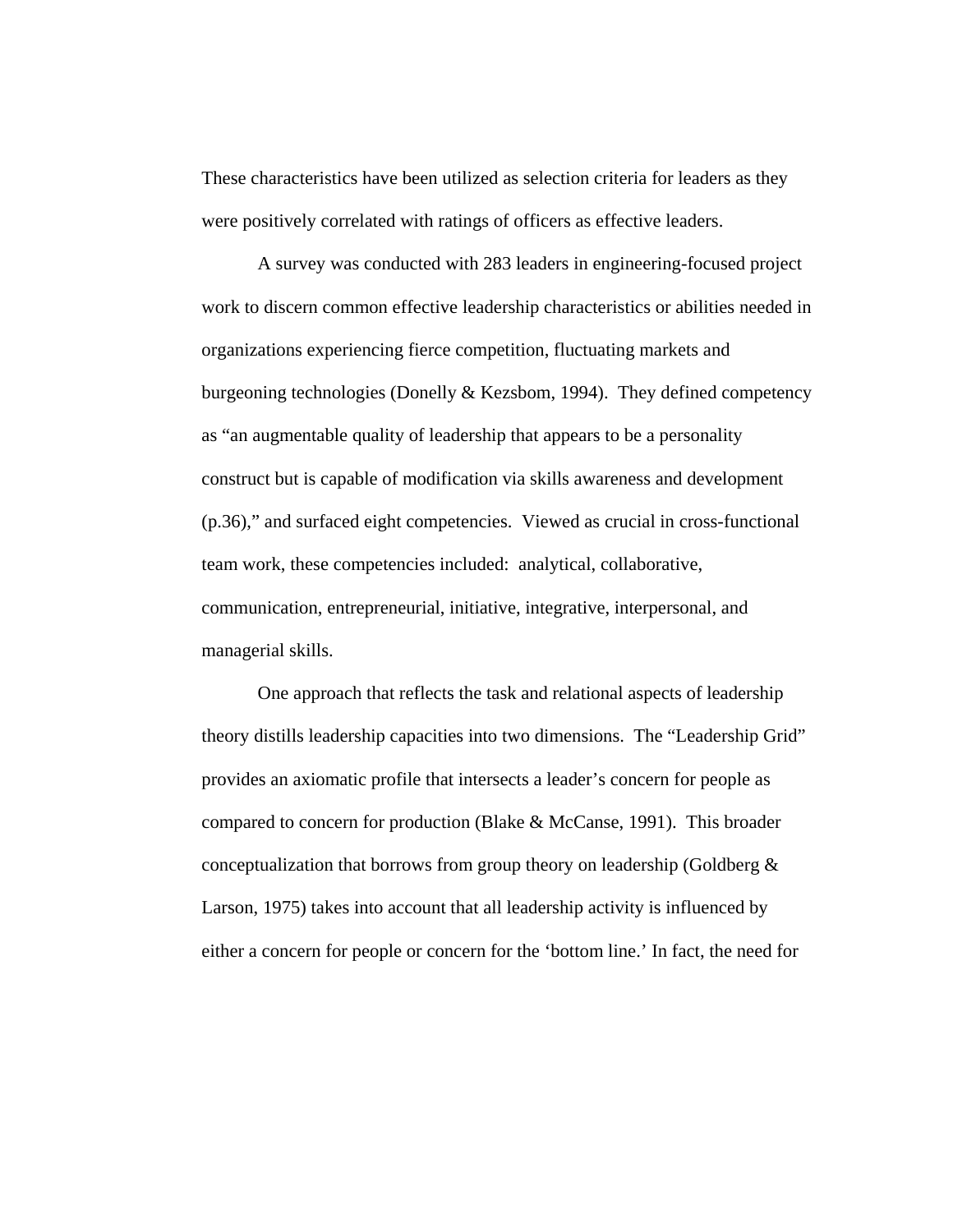These characteristics have been utilized as selection criteria for leaders as they were positively correlated with ratings of officers as effective leaders.

A survey was conducted with 283 leaders in engineering-focused project work to discern common effective leadership characteristics or abilities needed in organizations experiencing fierce competition, fluctuating markets and burgeoning technologies (Donelly & Kezsbom, 1994). They defined competency as "an augmentable quality of leadership that appears to be a personality construct but is capable of modification via skills awareness and development (p.36)," and surfaced eight competencies. Viewed as crucial in cross-functional team work, these competencies included: analytical, collaborative, communication, entrepreneurial, initiative, integrative, interpersonal, and managerial skills.

One approach that reflects the task and relational aspects of leadership theory distills leadership capacities into two dimensions. The "Leadership Grid" provides an axiomatic profile that intersects a leader's concern for people as compared to concern for production (Blake & McCanse, 1991). This broader conceptualization that borrows from group theory on leadership (Goldberg & Larson, 1975) takes into account that all leadership activity is influenced by either a concern for people or concern for the 'bottom line.' In fact, the need for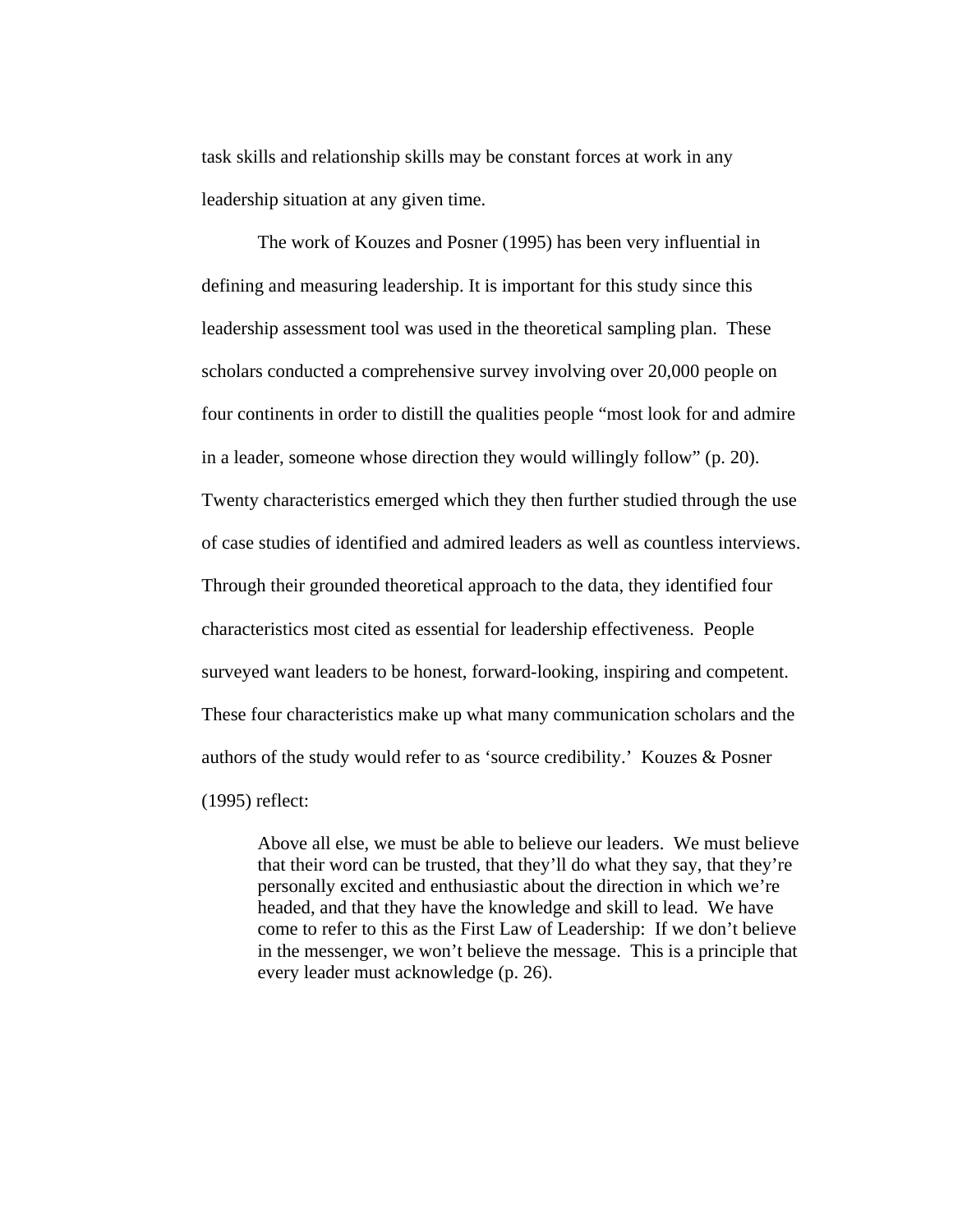task skills and relationship skills may be constant forces at work in any leadership situation at any given time.

The work of Kouzes and Posner (1995) has been very influential in defining and measuring leadership. It is important for this study since this leadership assessment tool was used in the theoretical sampling plan. These scholars conducted a comprehensive survey involving over 20,000 people on four continents in order to distill the qualities people "most look for and admire in a leader, someone whose direction they would willingly follow" (p. 20). Twenty characteristics emerged which they then further studied through the use of case studies of identified and admired leaders as well as countless interviews. Through their grounded theoretical approach to the data, they identified four characteristics most cited as essential for leadership effectiveness. People surveyed want leaders to be honest, forward-looking, inspiring and competent. These four characteristics make up what many communication scholars and the authors of the study would refer to as 'source credibility.' Kouzes & Posner (1995) reflect:

Above all else, we must be able to believe our leaders. We must believe that their word can be trusted, that they'll do what they say, that they're personally excited and enthusiastic about the direction in which we're headed, and that they have the knowledge and skill to lead. We have come to refer to this as the First Law of Leadership: If we don't believe in the messenger, we won't believe the message. This is a principle that every leader must acknowledge (p. 26).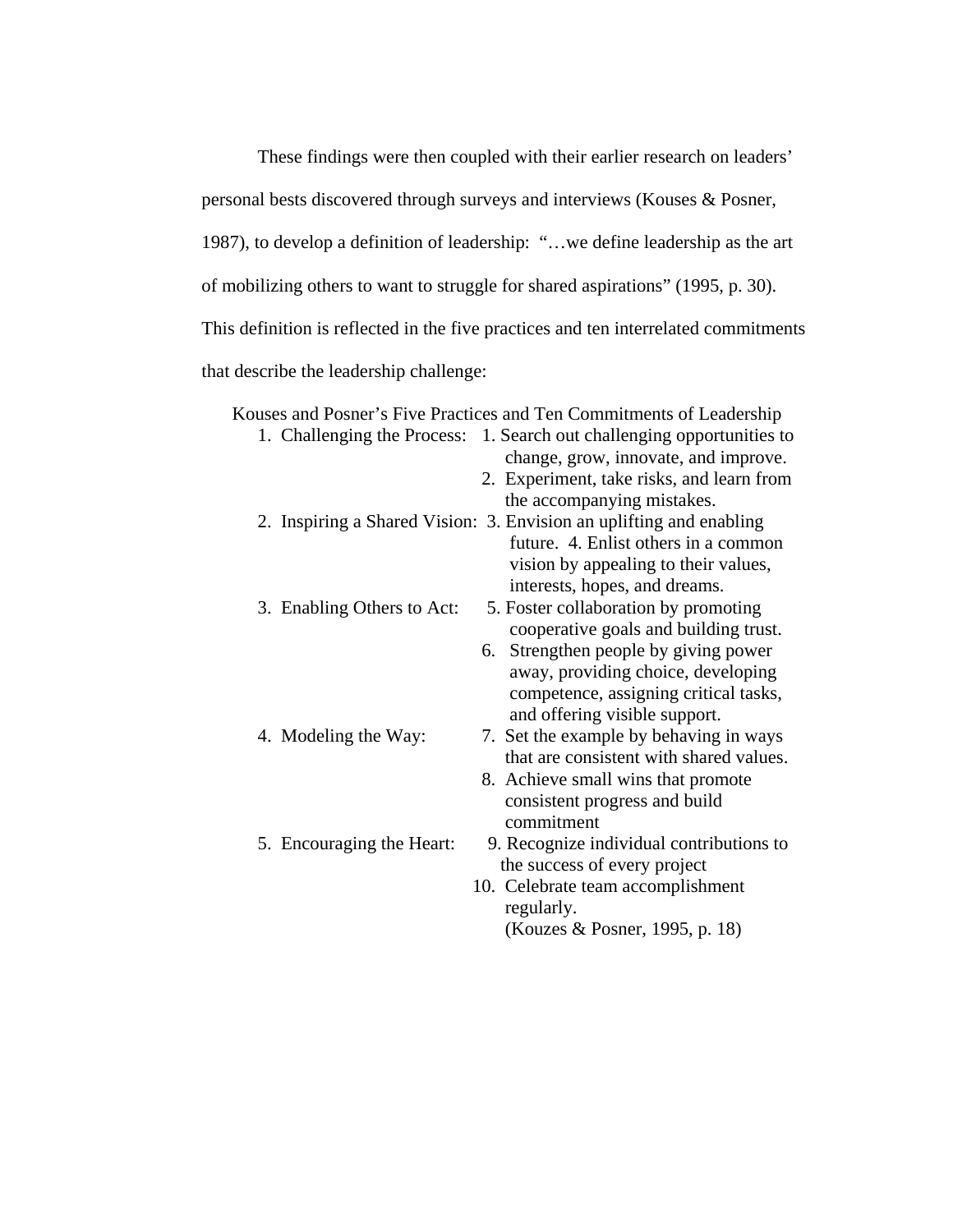These findings were then coupled with their earlier research on leaders' personal bests discovered through surveys and interviews (Kouses & Posner, 1987), to develop a definition of leadership: "…we define leadership as the art of mobilizing others to want to struggle for shared aspirations" (1995, p. 30). This definition is reflected in the five practices and ten interrelated commitments that describe the leadership challenge:

|                            | Kouses and Posner's Five Practices and Ten Commitments of Leadership   |
|----------------------------|------------------------------------------------------------------------|
|                            | 1. Challenging the Process: 1. Search out challenging opportunities to |
|                            | change, grow, innovate, and improve.                                   |
|                            | 2. Experiment, take risks, and learn from                              |
|                            | the accompanying mistakes.                                             |
|                            | 2. Inspiring a Shared Vision: 3. Envision an uplifting and enabling    |
|                            | future. 4. Enlist others in a common                                   |
|                            | vision by appealing to their values,                                   |
|                            | interests, hopes, and dreams.                                          |
| 3. Enabling Others to Act: | 5. Foster collaboration by promoting                                   |
|                            | cooperative goals and building trust.                                  |
|                            | 6. Strengthen people by giving power                                   |
|                            | away, providing choice, developing                                     |
|                            | competence, assigning critical tasks,                                  |
|                            | and offering visible support.                                          |
| 4. Modeling the Way:       | 7. Set the example by behaving in ways                                 |
|                            | that are consistent with shared values.                                |
|                            | 8. Achieve small wins that promote                                     |
|                            | consistent progress and build                                          |
|                            | commitment                                                             |
| 5. Encouraging the Heart:  | 9. Recognize individual contributions to                               |
|                            | the success of every project                                           |
|                            | 10. Celebrate team accomplishment                                      |
|                            | regularly.                                                             |
|                            | (Kouzes & Posner, 1995, p. 18)                                         |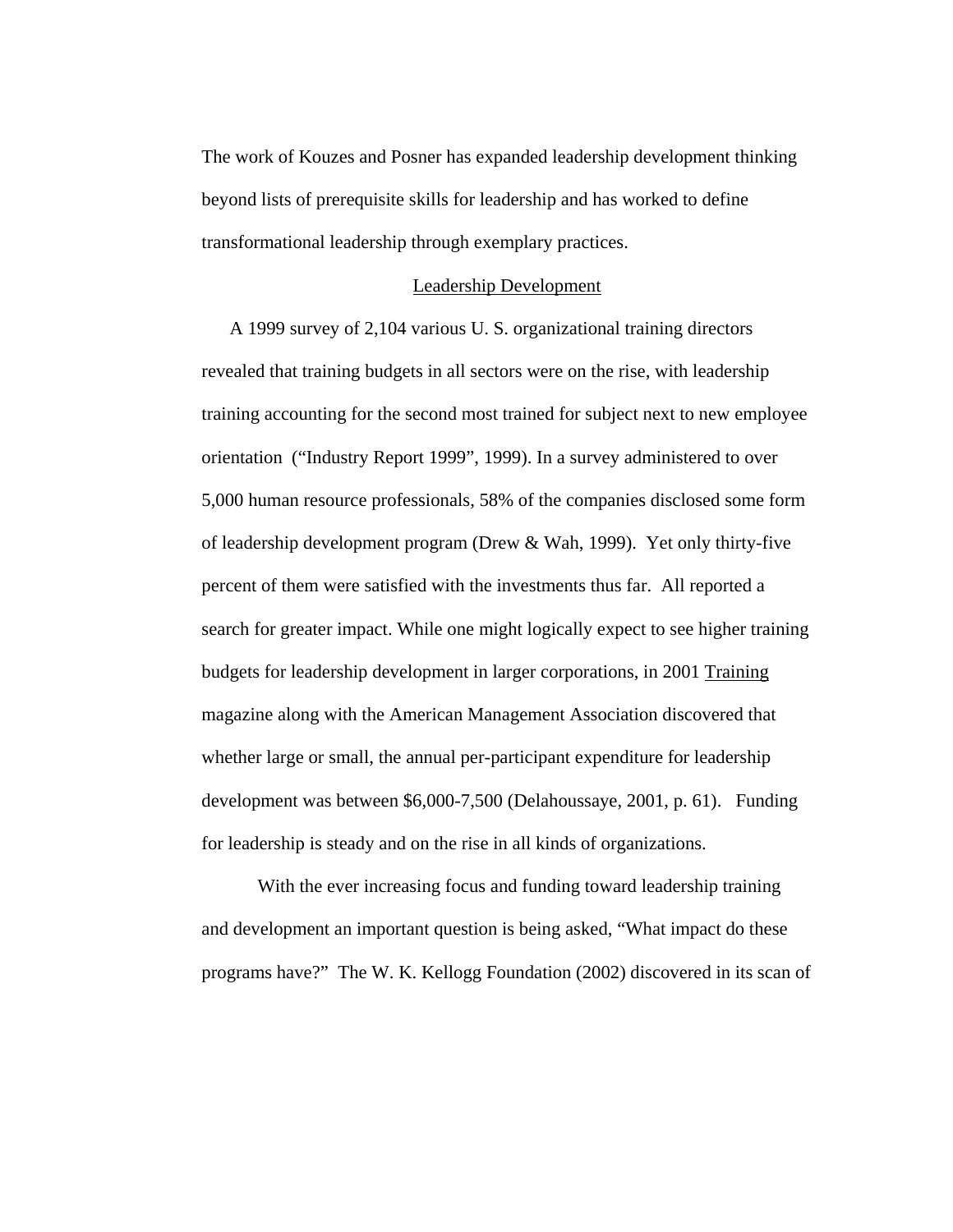The work of Kouzes and Posner has expanded leadership development thinking beyond lists of prerequisite skills for leadership and has worked to define transformational leadership through exemplary practices.

## Leadership Development

A 1999 survey of 2,104 various U. S. organizational training directors revealed that training budgets in all sectors were on the rise, with leadership training accounting for the second most trained for subject next to new employee orientation ("Industry Report 1999", 1999). In a survey administered to over 5,000 human resource professionals, 58% of the companies disclosed some form of leadership development program (Drew & Wah, 1999). Yet only thirty-five percent of them were satisfied with the investments thus far. All reported a search for greater impact. While one might logically expect to see higher training budgets for leadership development in larger corporations, in 2001 Training magazine along with the American Management Association discovered that whether large or small, the annual per-participant expenditure for leadership development was between \$6,000-7,500 (Delahoussaye, 2001, p. 61). Funding for leadership is steady and on the rise in all kinds of organizations.

With the ever increasing focus and funding toward leadership training and development an important question is being asked, "What impact do these programs have?" The W. K. Kellogg Foundation (2002) discovered in its scan of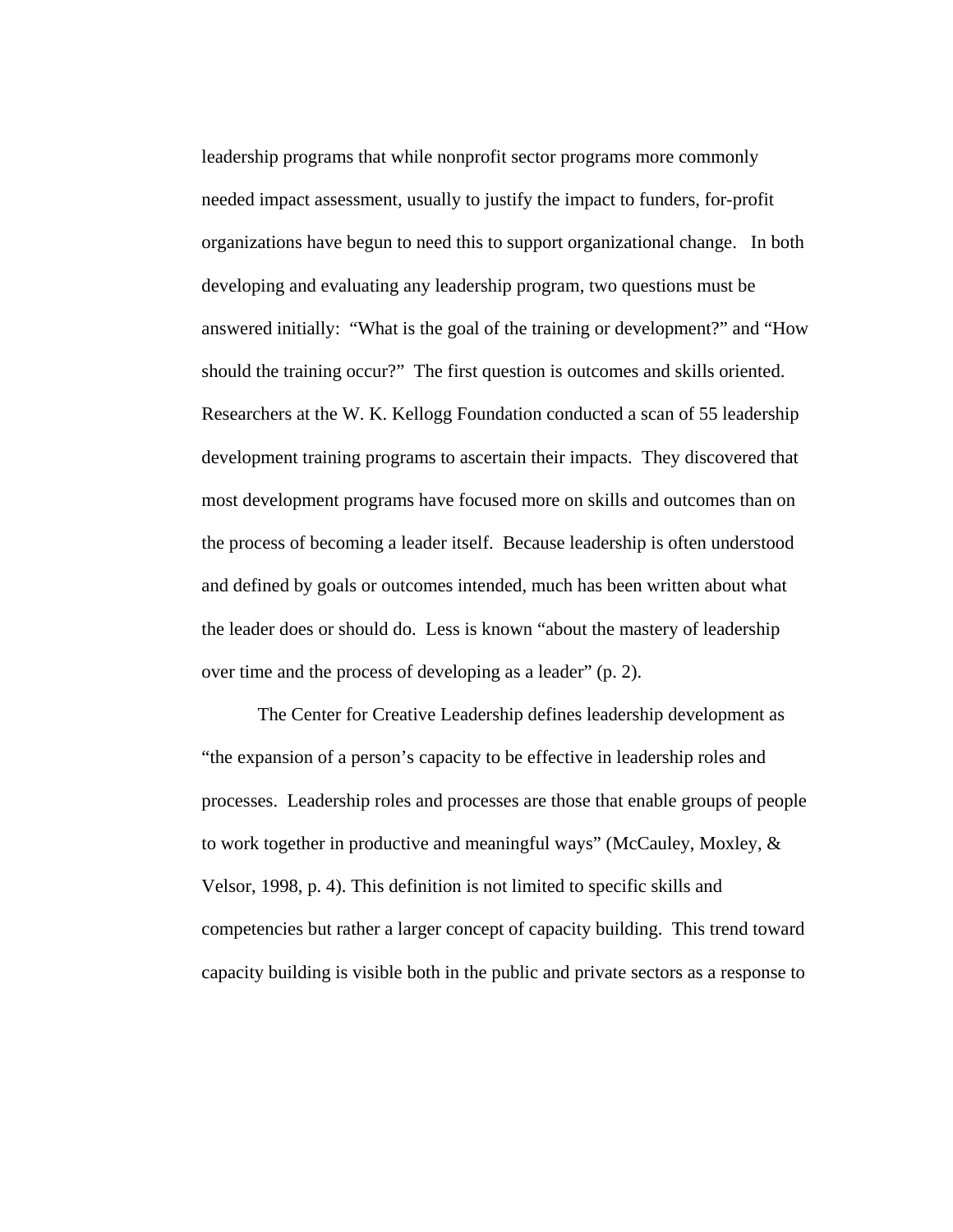leadership programs that while nonprofit sector programs more commonly needed impact assessment, usually to justify the impact to funders, for-profit organizations have begun to need this to support organizational change. In both developing and evaluating any leadership program, two questions must be answered initially: "What is the goal of the training or development?" and "How should the training occur?" The first question is outcomes and skills oriented. Researchers at the W. K. Kellogg Foundation conducted a scan of 55 leadership development training programs to ascertain their impacts. They discovered that most development programs have focused more on skills and outcomes than on the process of becoming a leader itself. Because leadership is often understood and defined by goals or outcomes intended, much has been written about what the leader does or should do. Less is known "about the mastery of leadership over time and the process of developing as a leader" (p. 2).

The Center for Creative Leadership defines leadership development as "the expansion of a person's capacity to be effective in leadership roles and processes. Leadership roles and processes are those that enable groups of people to work together in productive and meaningful ways" (McCauley, Moxley, & Velsor, 1998, p. 4). This definition is not limited to specific skills and competencies but rather a larger concept of capacity building. This trend toward capacity building is visible both in the public and private sectors as a response to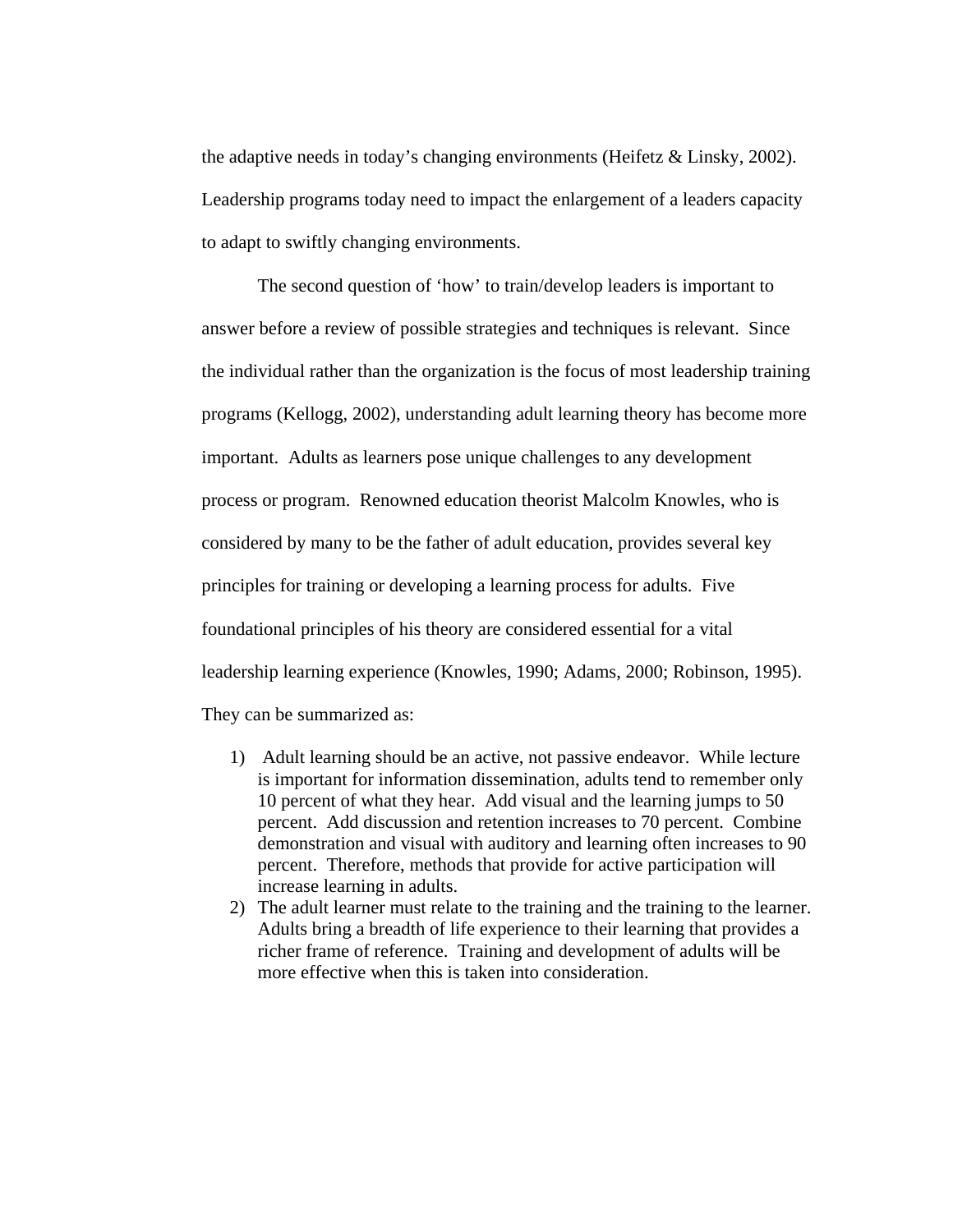the adaptive needs in today's changing environments (Heifetz & Linsky, 2002). Leadership programs today need to impact the enlargement of a leaders capacity to adapt to swiftly changing environments.

The second question of 'how' to train/develop leaders is important to answer before a review of possible strategies and techniques is relevant. Since the individual rather than the organization is the focus of most leadership training programs (Kellogg, 2002), understanding adult learning theory has become more important. Adults as learners pose unique challenges to any development process or program. Renowned education theorist Malcolm Knowles, who is considered by many to be the father of adult education, provides several key principles for training or developing a learning process for adults. Five foundational principles of his theory are considered essential for a vital leadership learning experience (Knowles, 1990; Adams, 2000; Robinson, 1995). They can be summarized as:

- 1) Adult learning should be an active, not passive endeavor. While lecture is important for information dissemination, adults tend to remember only 10 percent of what they hear. Add visual and the learning jumps to 50 percent. Add discussion and retention increases to 70 percent. Combine demonstration and visual with auditory and learning often increases to 90 percent. Therefore, methods that provide for active participation will increase learning in adults.
- 2) The adult learner must relate to the training and the training to the learner. Adults bring a breadth of life experience to their learning that provides a richer frame of reference. Training and development of adults will be more effective when this is taken into consideration.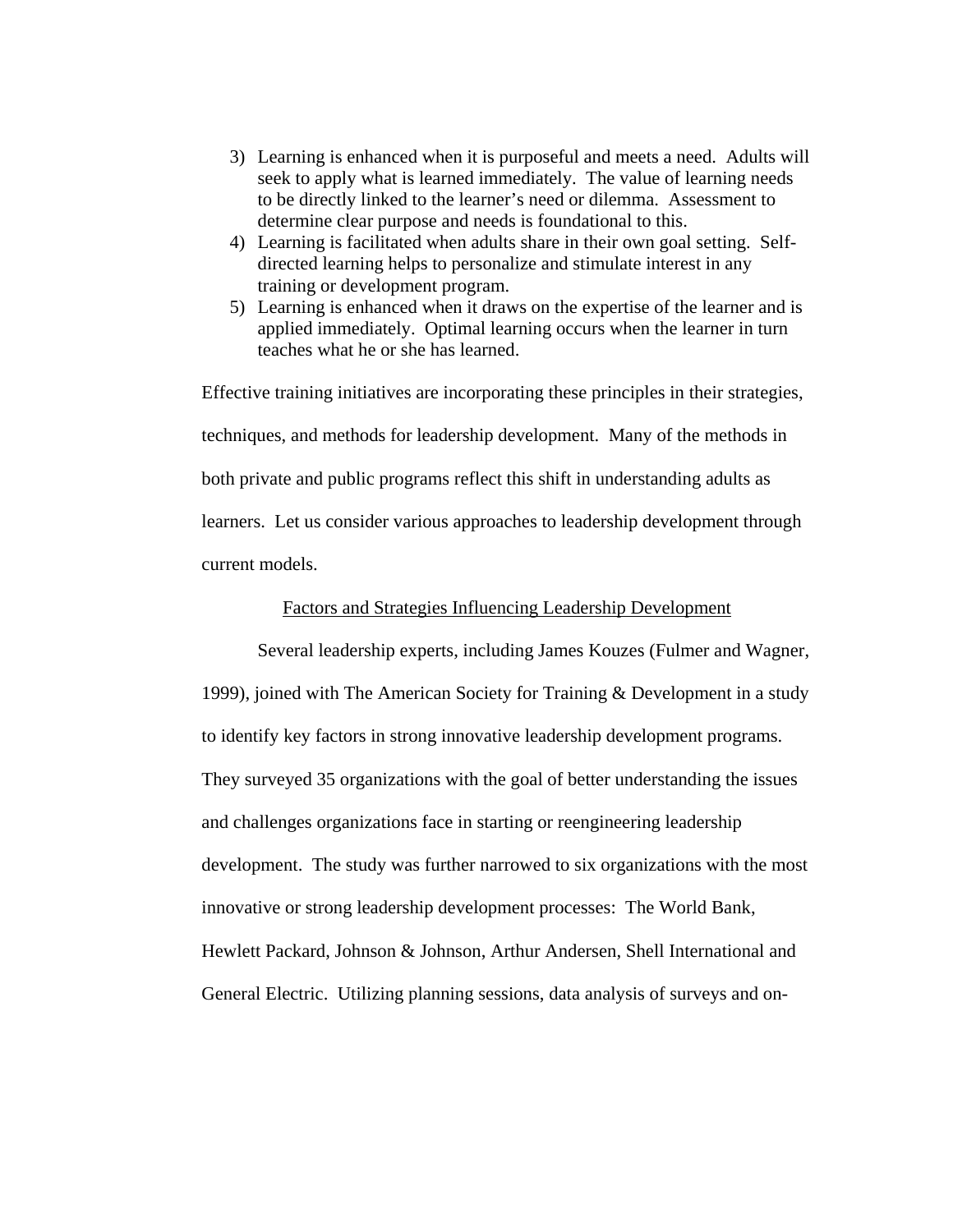- 3) Learning is enhanced when it is purposeful and meets a need. Adults will seek to apply what is learned immediately. The value of learning needs to be directly linked to the learner's need or dilemma. Assessment to determine clear purpose and needs is foundational to this.
- 4) Learning is facilitated when adults share in their own goal setting. Selfdirected learning helps to personalize and stimulate interest in any training or development program.
- 5) Learning is enhanced when it draws on the expertise of the learner and is applied immediately. Optimal learning occurs when the learner in turn teaches what he or she has learned.

Effective training initiatives are incorporating these principles in their strategies, techniques, and methods for leadership development. Many of the methods in both private and public programs reflect this shift in understanding adults as learners. Let us consider various approaches to leadership development through current models.

## Factors and Strategies Influencing Leadership Development

Several leadership experts, including James Kouzes (Fulmer and Wagner, 1999), joined with The American Society for Training & Development in a study to identify key factors in strong innovative leadership development programs. They surveyed 35 organizations with the goal of better understanding the issues and challenges organizations face in starting or reengineering leadership development. The study was further narrowed to six organizations with the most innovative or strong leadership development processes: The World Bank, Hewlett Packard, Johnson & Johnson, Arthur Andersen, Shell International and General Electric. Utilizing planning sessions, data analysis of surveys and on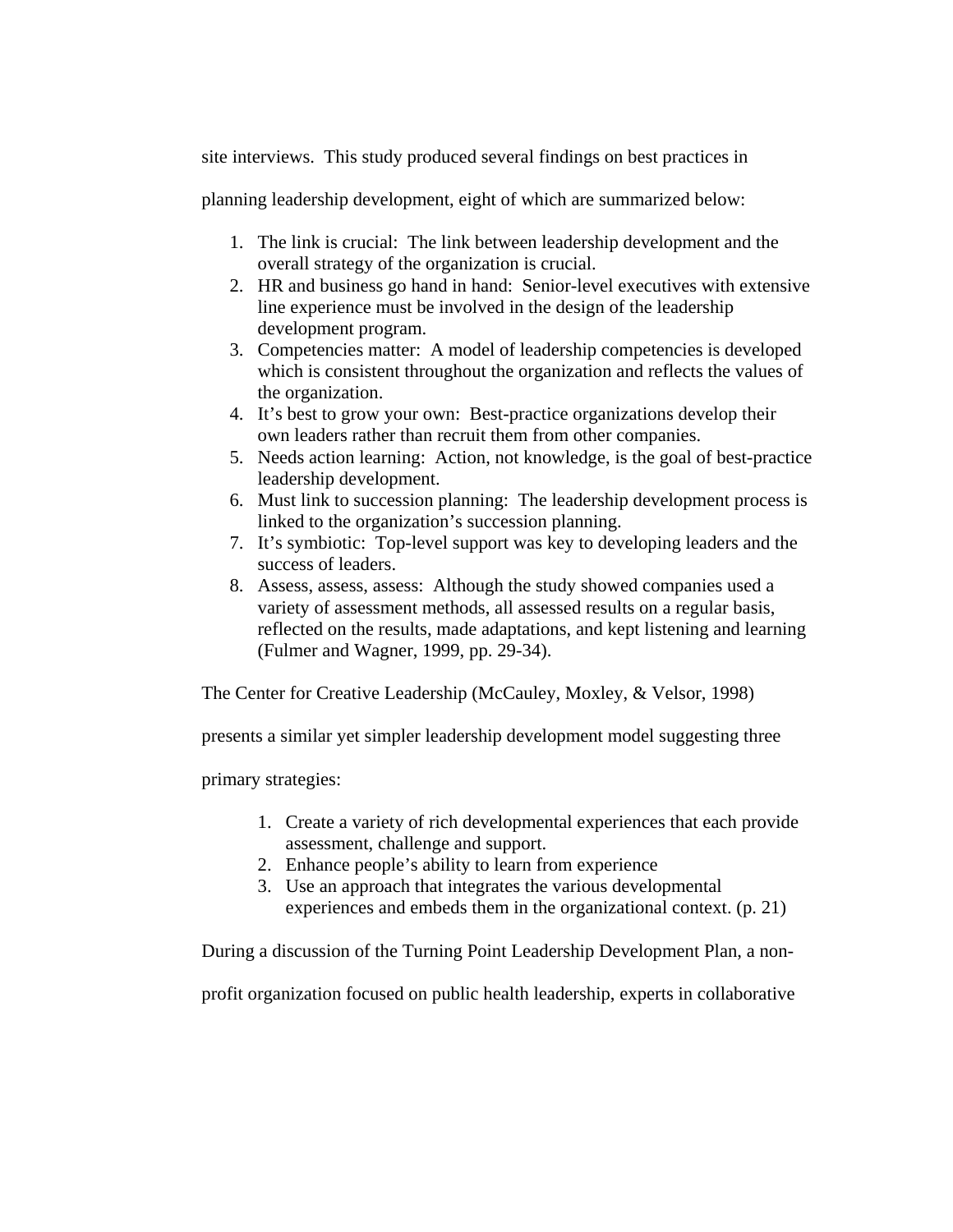site interviews. This study produced several findings on best practices in

planning leadership development, eight of which are summarized below:

- 1. The link is crucial: The link between leadership development and the overall strategy of the organization is crucial.
- 2. HR and business go hand in hand: Senior-level executives with extensive line experience must be involved in the design of the leadership development program.
- 3. Competencies matter: A model of leadership competencies is developed which is consistent throughout the organization and reflects the values of the organization.
- 4. It's best to grow your own: Best-practice organizations develop their own leaders rather than recruit them from other companies.
- 5. Needs action learning: Action, not knowledge, is the goal of best-practice leadership development.
- 6. Must link to succession planning: The leadership development process is linked to the organization's succession planning.
- 7. It's symbiotic: Top-level support was key to developing leaders and the success of leaders.
- 8. Assess, assess, assess: Although the study showed companies used a variety of assessment methods, all assessed results on a regular basis, reflected on the results, made adaptations, and kept listening and learning (Fulmer and Wagner, 1999, pp. 29-34).

The Center for Creative Leadership (McCauley, Moxley, & Velsor, 1998)

presents a similar yet simpler leadership development model suggesting three

primary strategies:

- 1. Create a variety of rich developmental experiences that each provide assessment, challenge and support.
- 2. Enhance people's ability to learn from experience
- 3. Use an approach that integrates the various developmental experiences and embeds them in the organizational context. (p. 21)

During a discussion of the Turning Point Leadership Development Plan, a non-

profit organization focused on public health leadership, experts in collaborative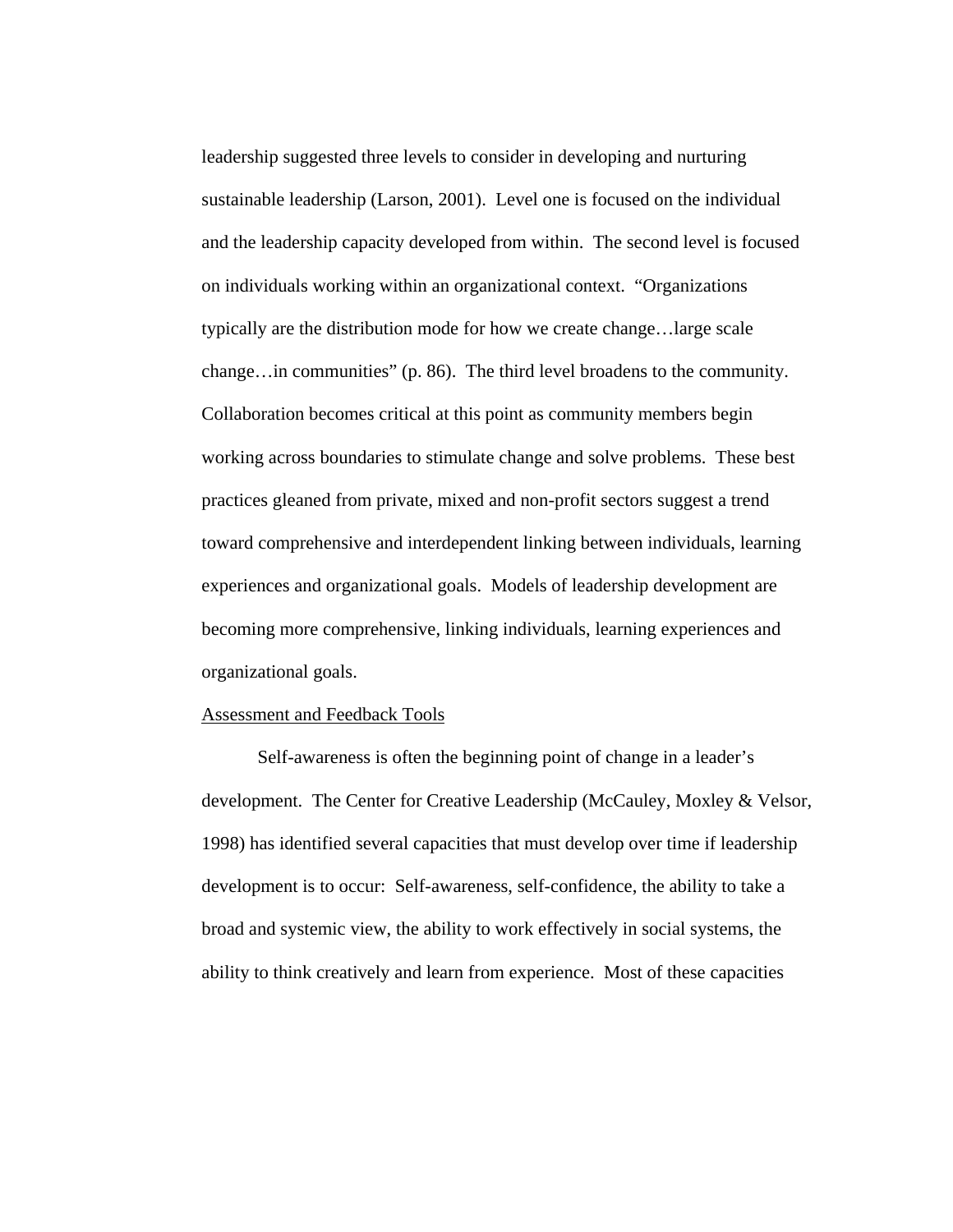leadership suggested three levels to consider in developing and nurturing sustainable leadership (Larson, 2001). Level one is focused on the individual and the leadership capacity developed from within. The second level is focused on individuals working within an organizational context. "Organizations typically are the distribution mode for how we create change…large scale change…in communities" (p. 86). The third level broadens to the community. Collaboration becomes critical at this point as community members begin working across boundaries to stimulate change and solve problems. These best practices gleaned from private, mixed and non-profit sectors suggest a trend toward comprehensive and interdependent linking between individuals, learning experiences and organizational goals. Models of leadership development are becoming more comprehensive, linking individuals, learning experiences and organizational goals.

### Assessment and Feedback Tools

Self-awareness is often the beginning point of change in a leader's development. The Center for Creative Leadership (McCauley, Moxley & Velsor, 1998) has identified several capacities that must develop over time if leadership development is to occur: Self-awareness, self-confidence, the ability to take a broad and systemic view, the ability to work effectively in social systems, the ability to think creatively and learn from experience. Most of these capacities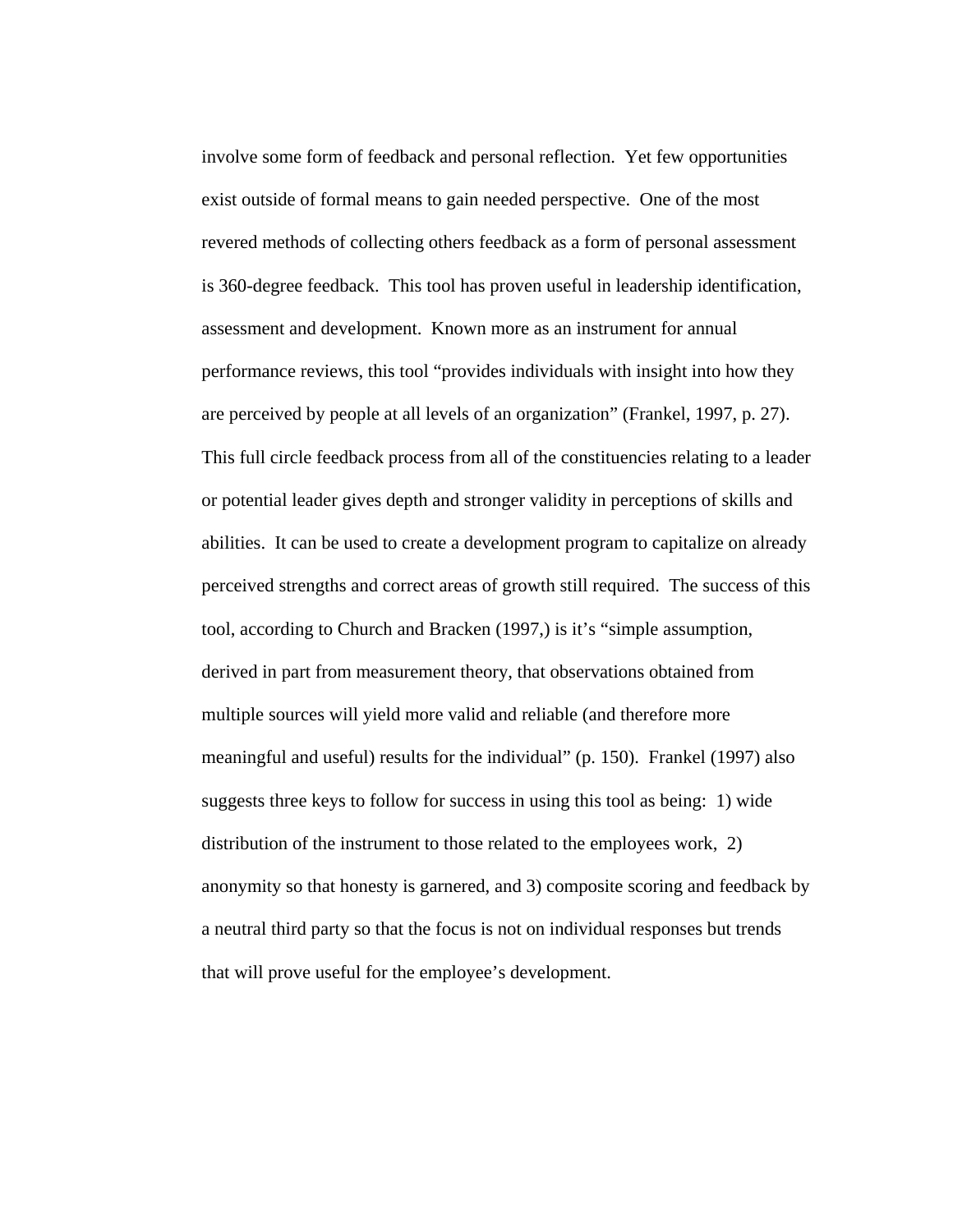involve some form of feedback and personal reflection. Yet few opportunities exist outside of formal means to gain needed perspective. One of the most revered methods of collecting others feedback as a form of personal assessment is 360-degree feedback. This tool has proven useful in leadership identification, assessment and development. Known more as an instrument for annual performance reviews, this tool "provides individuals with insight into how they are perceived by people at all levels of an organization" (Frankel, 1997, p. 27). This full circle feedback process from all of the constituencies relating to a leader or potential leader gives depth and stronger validity in perceptions of skills and abilities. It can be used to create a development program to capitalize on already perceived strengths and correct areas of growth still required. The success of this tool, according to Church and Bracken (1997,) is it's "simple assumption, derived in part from measurement theory, that observations obtained from multiple sources will yield more valid and reliable (and therefore more meaningful and useful) results for the individual" (p. 150). Frankel (1997) also suggests three keys to follow for success in using this tool as being: 1) wide distribution of the instrument to those related to the employees work, 2) anonymity so that honesty is garnered, and 3) composite scoring and feedback by a neutral third party so that the focus is not on individual responses but trends that will prove useful for the employee's development.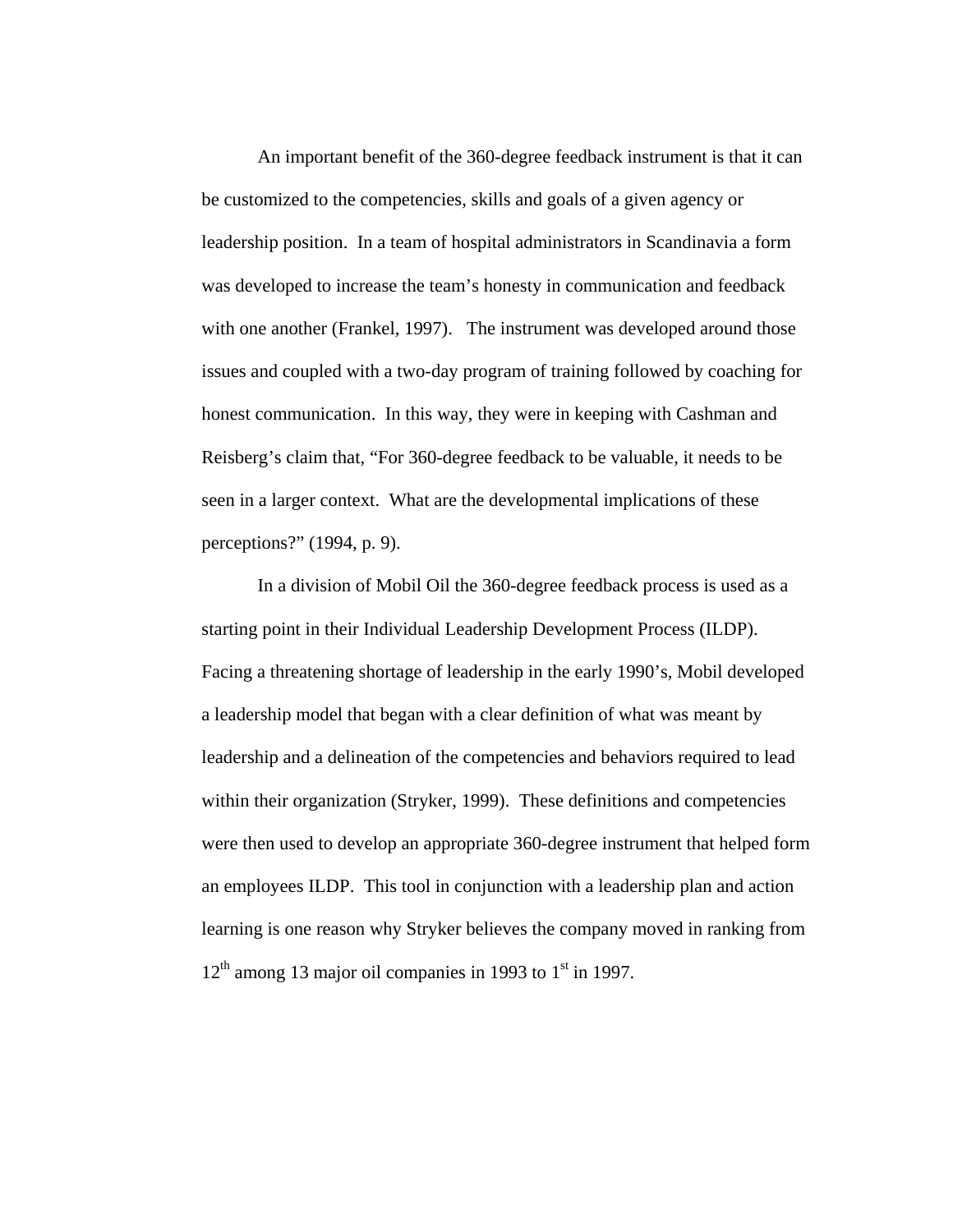An important benefit of the 360-degree feedback instrument is that it can be customized to the competencies, skills and goals of a given agency or leadership position. In a team of hospital administrators in Scandinavia a form was developed to increase the team's honesty in communication and feedback with one another (Frankel, 1997). The instrument was developed around those issues and coupled with a two-day program of training followed by coaching for honest communication. In this way, they were in keeping with Cashman and Reisberg's claim that, "For 360-degree feedback to be valuable, it needs to be seen in a larger context. What are the developmental implications of these perceptions?" (1994, p. 9).

In a division of Mobil Oil the 360-degree feedback process is used as a starting point in their Individual Leadership Development Process (ILDP). Facing a threatening shortage of leadership in the early 1990's, Mobil developed a leadership model that began with a clear definition of what was meant by leadership and a delineation of the competencies and behaviors required to lead within their organization (Stryker, 1999). These definitions and competencies were then used to develop an appropriate 360-degree instrument that helped form an employees ILDP. This tool in conjunction with a leadership plan and action learning is one reason why Stryker believes the company moved in ranking from  $12<sup>th</sup>$  among 13 major oil companies in 1993 to 1<sup>st</sup> in 1997.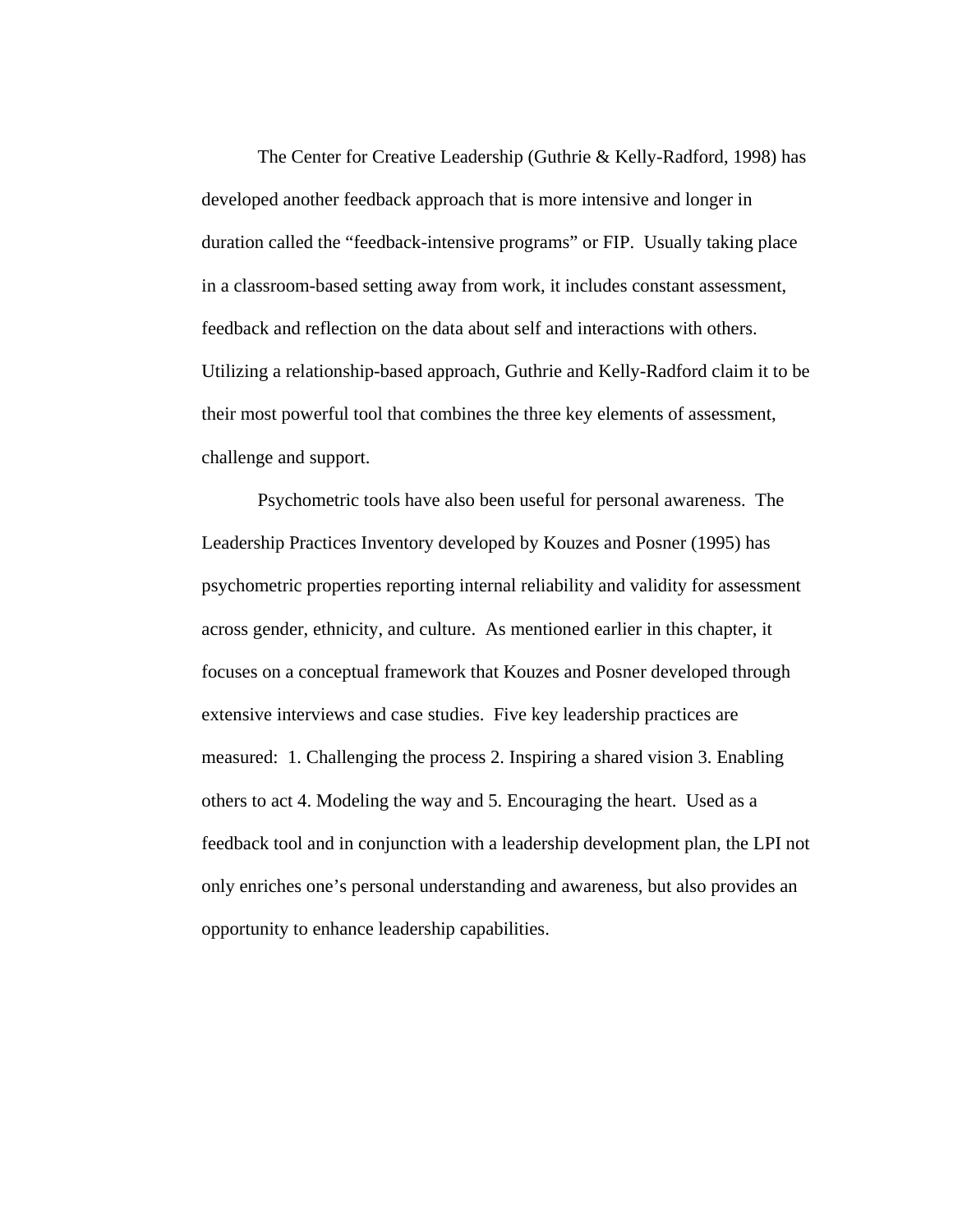The Center for Creative Leadership (Guthrie & Kelly-Radford, 1998) has developed another feedback approach that is more intensive and longer in duration called the "feedback-intensive programs" or FIP. Usually taking place in a classroom-based setting away from work, it includes constant assessment, feedback and reflection on the data about self and interactions with others. Utilizing a relationship-based approach, Guthrie and Kelly-Radford claim it to be their most powerful tool that combines the three key elements of assessment, challenge and support.

Psychometric tools have also been useful for personal awareness. The Leadership Practices Inventory developed by Kouzes and Posner (1995) has psychometric properties reporting internal reliability and validity for assessment across gender, ethnicity, and culture. As mentioned earlier in this chapter, it focuses on a conceptual framework that Kouzes and Posner developed through extensive interviews and case studies. Five key leadership practices are measured: 1. Challenging the process 2. Inspiring a shared vision 3. Enabling others to act 4. Modeling the way and 5. Encouraging the heart. Used as a feedback tool and in conjunction with a leadership development plan, the LPI not only enriches one's personal understanding and awareness, but also provides an opportunity to enhance leadership capabilities.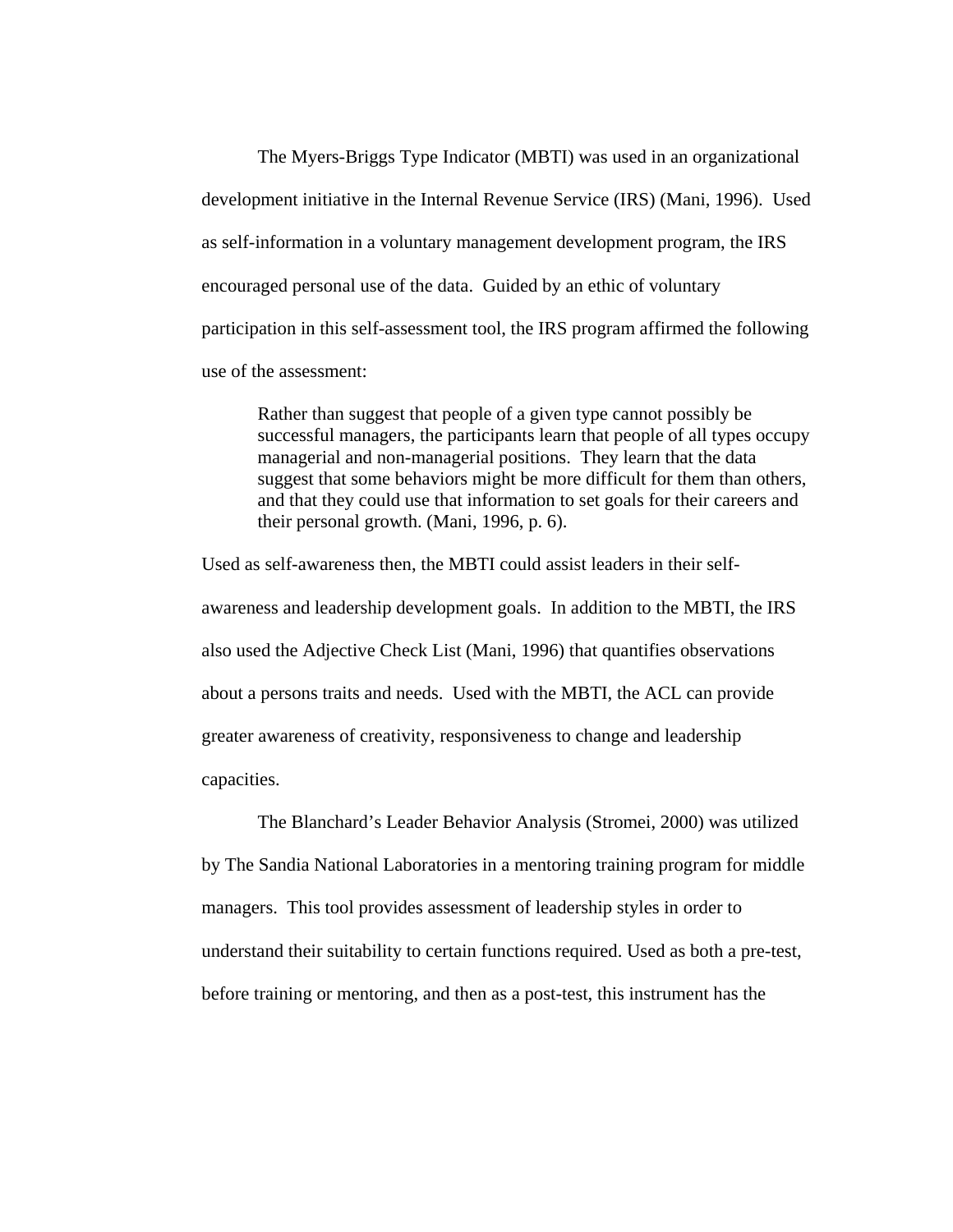The Myers-Briggs Type Indicator (MBTI) was used in an organizational development initiative in the Internal Revenue Service (IRS) (Mani, 1996). Used as self-information in a voluntary management development program, the IRS encouraged personal use of the data. Guided by an ethic of voluntary participation in this self-assessment tool, the IRS program affirmed the following use of the assessment:

Rather than suggest that people of a given type cannot possibly be successful managers, the participants learn that people of all types occupy managerial and non-managerial positions. They learn that the data suggest that some behaviors might be more difficult for them than others, and that they could use that information to set goals for their careers and their personal growth. (Mani, 1996, p. 6).

Used as self-awareness then, the MBTI could assist leaders in their selfawareness and leadership development goals. In addition to the MBTI, the IRS also used the Adjective Check List (Mani, 1996) that quantifies observations about a persons traits and needs. Used with the MBTI, the ACL can provide greater awareness of creativity, responsiveness to change and leadership capacities.

 The Blanchard's Leader Behavior Analysis (Stromei, 2000) was utilized by The Sandia National Laboratories in a mentoring training program for middle managers. This tool provides assessment of leadership styles in order to understand their suitability to certain functions required. Used as both a pre-test, before training or mentoring, and then as a post-test, this instrument has the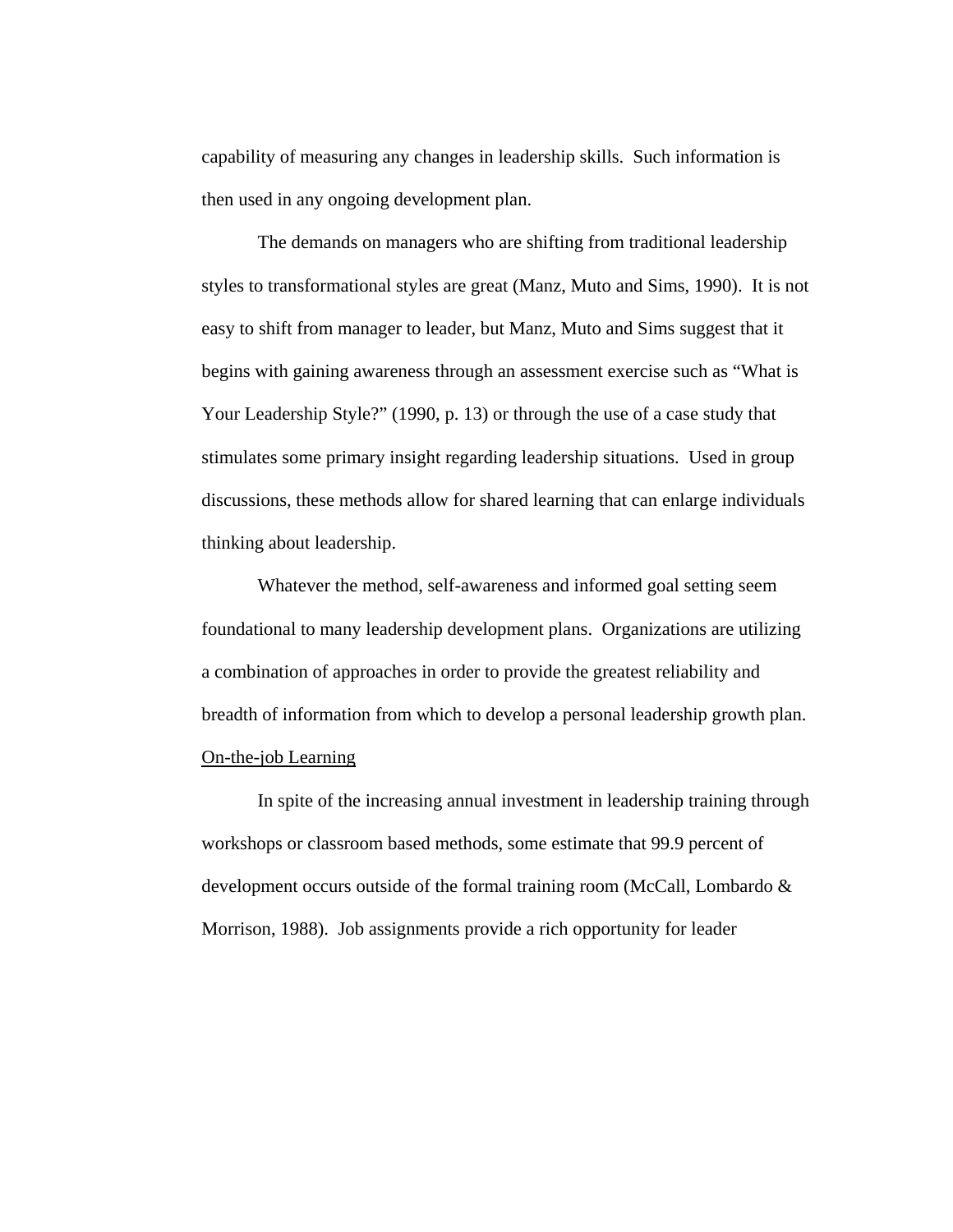capability of measuring any changes in leadership skills. Such information is then used in any ongoing development plan.

 The demands on managers who are shifting from traditional leadership styles to transformational styles are great (Manz, Muto and Sims, 1990). It is not easy to shift from manager to leader, but Manz, Muto and Sims suggest that it begins with gaining awareness through an assessment exercise such as "What is Your Leadership Style?" (1990, p. 13) or through the use of a case study that stimulates some primary insight regarding leadership situations. Used in group discussions, these methods allow for shared learning that can enlarge individuals thinking about leadership.

Whatever the method, self-awareness and informed goal setting seem foundational to many leadership development plans. Organizations are utilizing a combination of approaches in order to provide the greatest reliability and breadth of information from which to develop a personal leadership growth plan. On-the-job Learning

In spite of the increasing annual investment in leadership training through workshops or classroom based methods, some estimate that 99.9 percent of development occurs outside of the formal training room (McCall, Lombardo & Morrison, 1988). Job assignments provide a rich opportunity for leader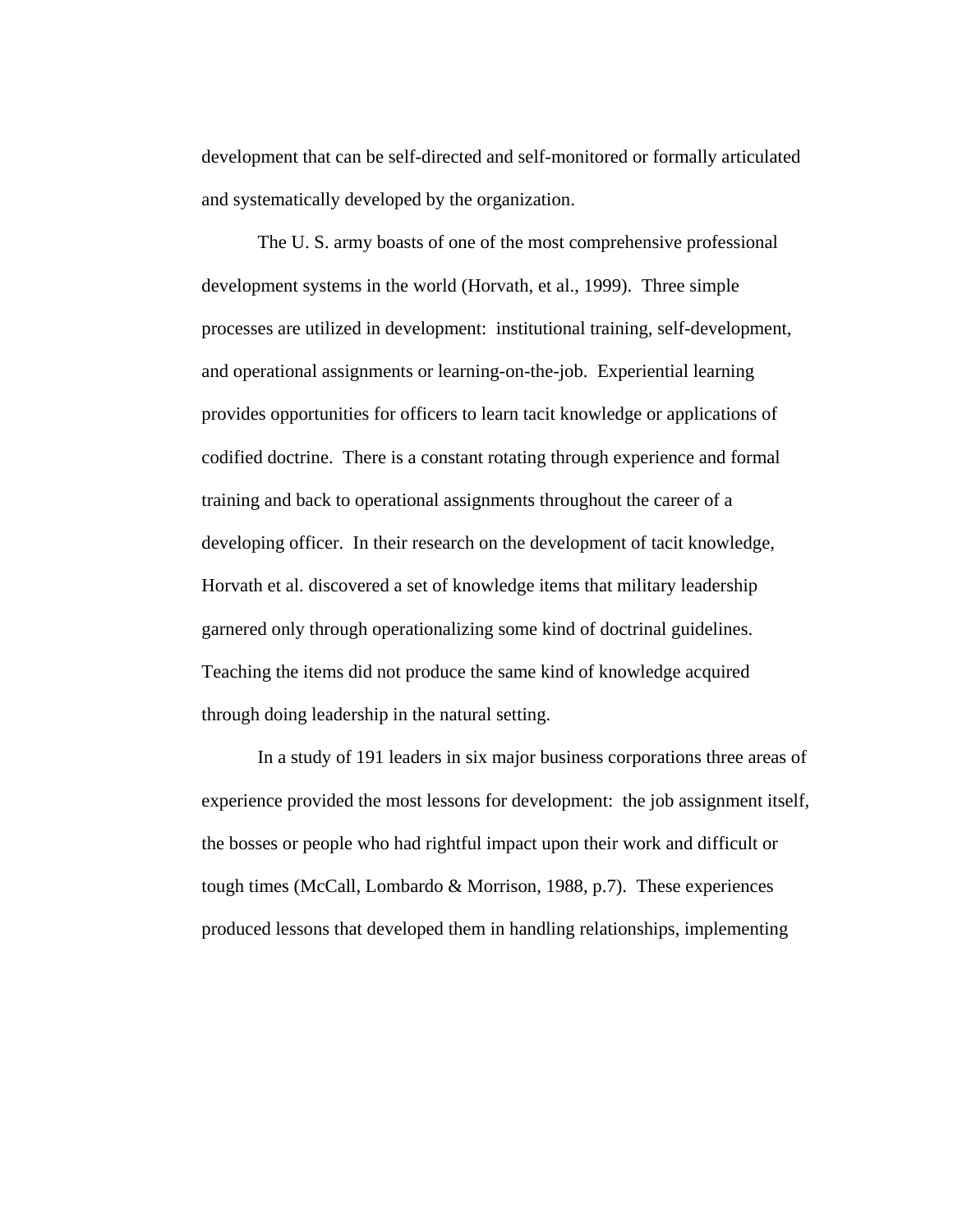development that can be self-directed and self-monitored or formally articulated and systematically developed by the organization.

The U. S. army boasts of one of the most comprehensive professional development systems in the world (Horvath, et al., 1999). Three simple processes are utilized in development: institutional training, self-development, and operational assignments or learning-on-the-job. Experiential learning provides opportunities for officers to learn tacit knowledge or applications of codified doctrine. There is a constant rotating through experience and formal training and back to operational assignments throughout the career of a developing officer. In their research on the development of tacit knowledge, Horvath et al. discovered a set of knowledge items that military leadership garnered only through operationalizing some kind of doctrinal guidelines. Teaching the items did not produce the same kind of knowledge acquired through doing leadership in the natural setting.

In a study of 191 leaders in six major business corporations three areas of experience provided the most lessons for development: the job assignment itself, the bosses or people who had rightful impact upon their work and difficult or tough times (McCall, Lombardo & Morrison, 1988, p.7). These experiences produced lessons that developed them in handling relationships, implementing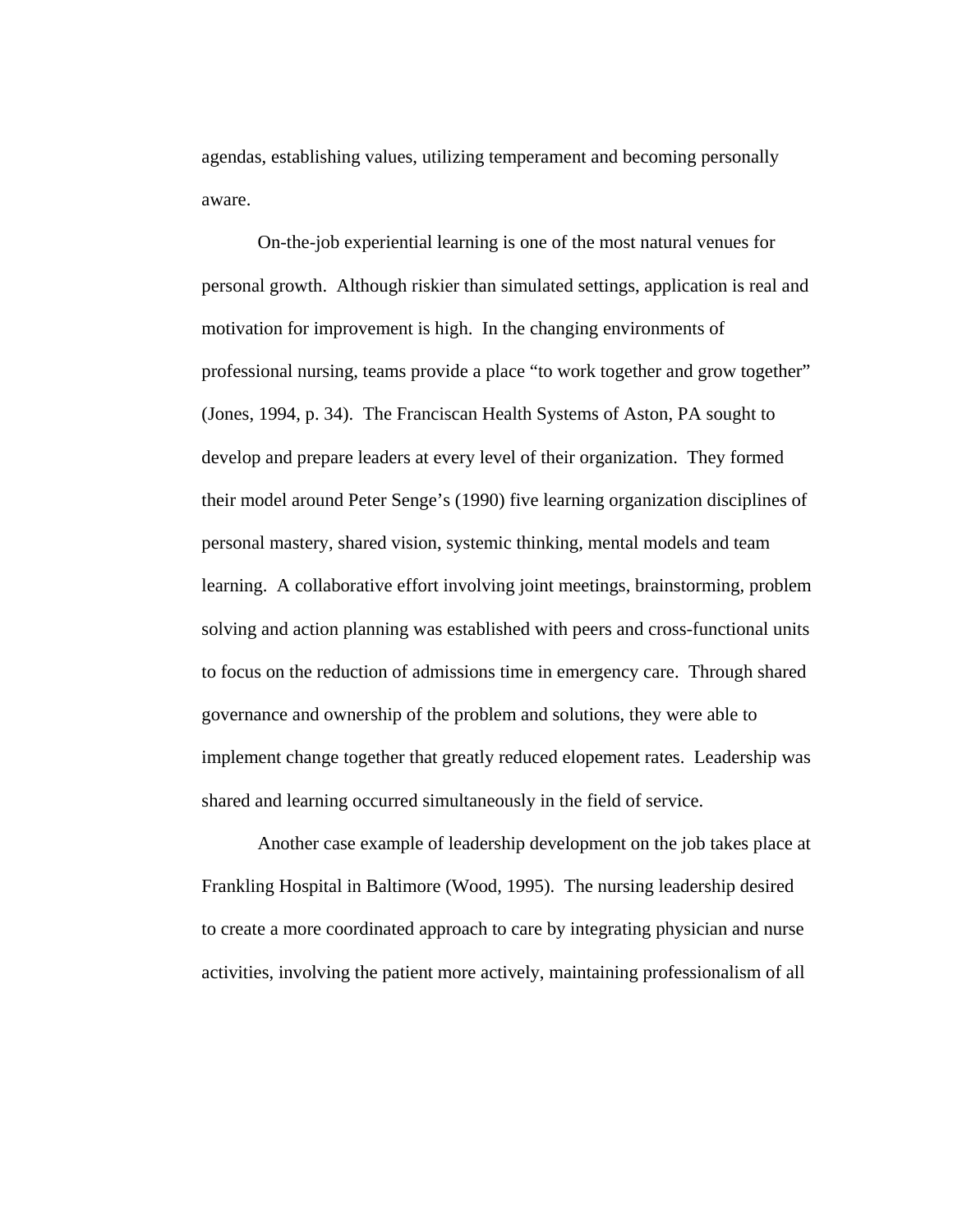agendas, establishing values, utilizing temperament and becoming personally aware.

On-the-job experiential learning is one of the most natural venues for personal growth. Although riskier than simulated settings, application is real and motivation for improvement is high. In the changing environments of professional nursing, teams provide a place "to work together and grow together" (Jones, 1994, p. 34). The Franciscan Health Systems of Aston, PA sought to develop and prepare leaders at every level of their organization. They formed their model around Peter Senge's (1990) five learning organization disciplines of personal mastery, shared vision, systemic thinking, mental models and team learning. A collaborative effort involving joint meetings, brainstorming, problem solving and action planning was established with peers and cross-functional units to focus on the reduction of admissions time in emergency care. Through shared governance and ownership of the problem and solutions, they were able to implement change together that greatly reduced elopement rates. Leadership was shared and learning occurred simultaneously in the field of service.

Another case example of leadership development on the job takes place at Frankling Hospital in Baltimore (Wood, 1995). The nursing leadership desired to create a more coordinated approach to care by integrating physician and nurse activities, involving the patient more actively, maintaining professionalism of all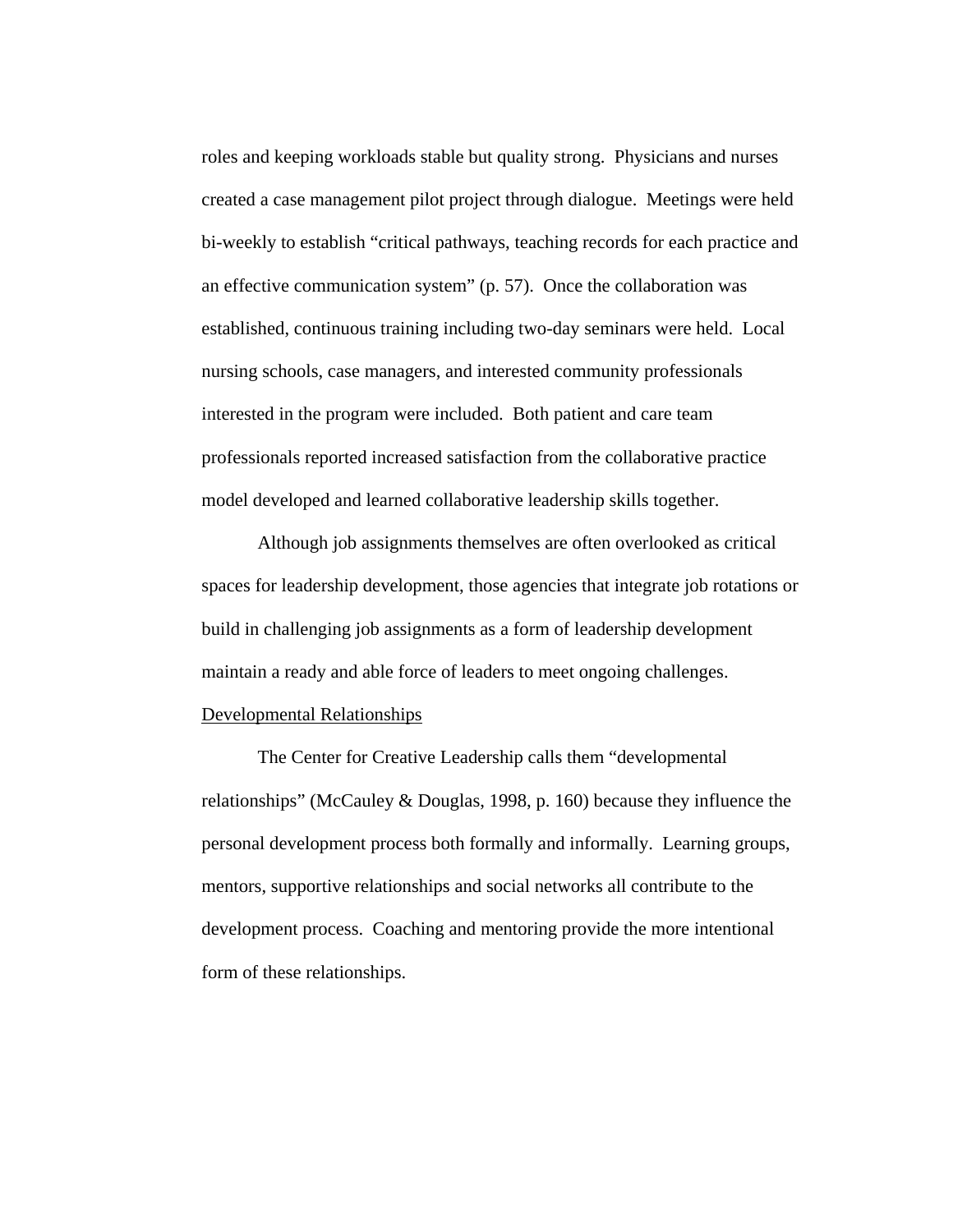roles and keeping workloads stable but quality strong. Physicians and nurses created a case management pilot project through dialogue. Meetings were held bi-weekly to establish "critical pathways, teaching records for each practice and an effective communication system" (p. 57). Once the collaboration was established, continuous training including two-day seminars were held. Local nursing schools, case managers, and interested community professionals interested in the program were included. Both patient and care team professionals reported increased satisfaction from the collaborative practice model developed and learned collaborative leadership skills together.

Although job assignments themselves are often overlooked as critical spaces for leadership development, those agencies that integrate job rotations or build in challenging job assignments as a form of leadership development maintain a ready and able force of leaders to meet ongoing challenges.

# Developmental Relationships

The Center for Creative Leadership calls them "developmental relationships" (McCauley & Douglas, 1998, p. 160) because they influence the personal development process both formally and informally. Learning groups, mentors, supportive relationships and social networks all contribute to the development process. Coaching and mentoring provide the more intentional form of these relationships.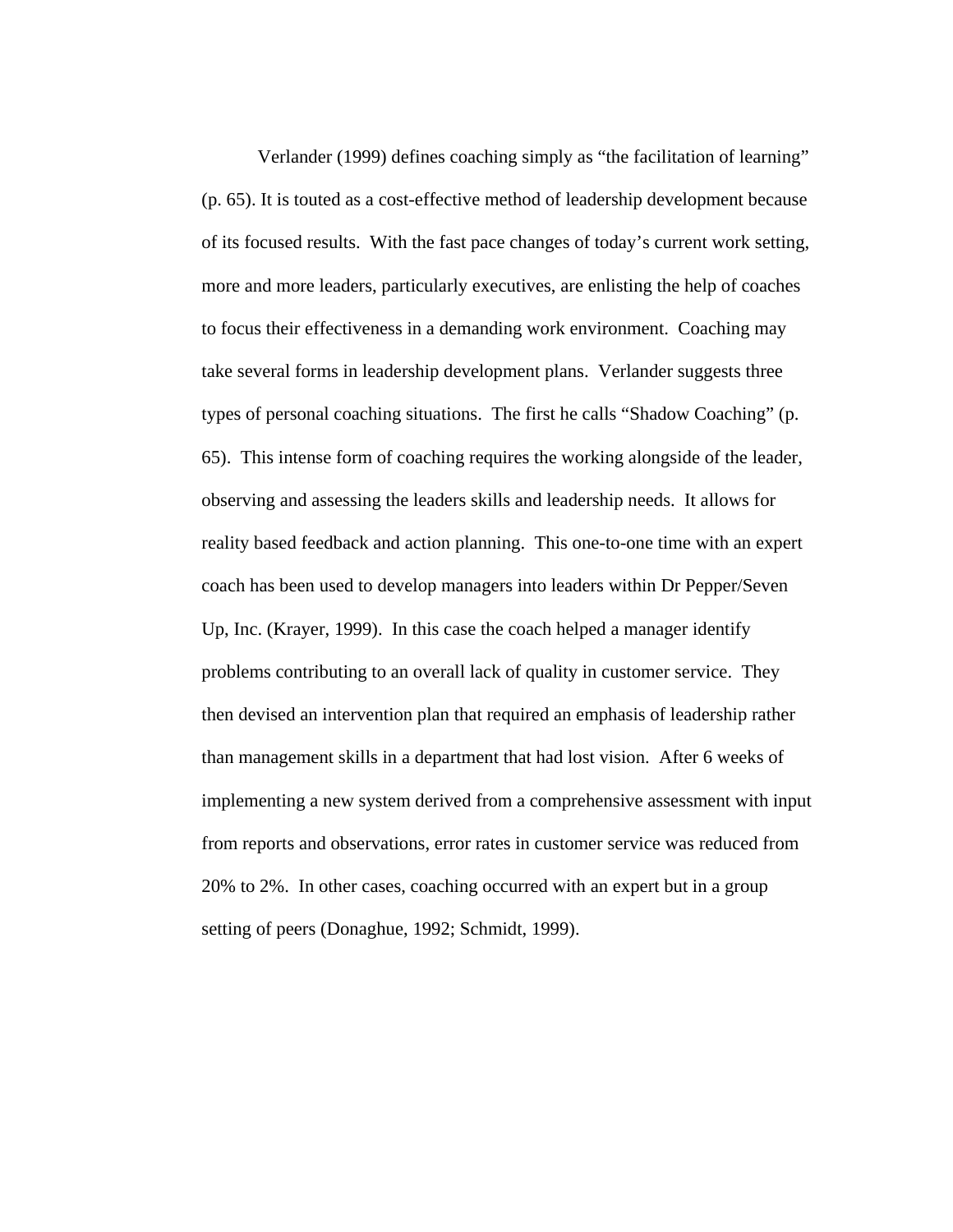Verlander (1999) defines coaching simply as "the facilitation of learning" (p. 65). It is touted as a cost-effective method of leadership development because of its focused results. With the fast pace changes of today's current work setting, more and more leaders, particularly executives, are enlisting the help of coaches to focus their effectiveness in a demanding work environment. Coaching may take several forms in leadership development plans. Verlander suggests three types of personal coaching situations. The first he calls "Shadow Coaching" (p. 65). This intense form of coaching requires the working alongside of the leader, observing and assessing the leaders skills and leadership needs. It allows for reality based feedback and action planning. This one-to-one time with an expert coach has been used to develop managers into leaders within Dr Pepper/Seven Up, Inc. (Krayer, 1999). In this case the coach helped a manager identify problems contributing to an overall lack of quality in customer service. They then devised an intervention plan that required an emphasis of leadership rather than management skills in a department that had lost vision. After 6 weeks of implementing a new system derived from a comprehensive assessment with input from reports and observations, error rates in customer service was reduced from 20% to 2%. In other cases, coaching occurred with an expert but in a group setting of peers (Donaghue, 1992; Schmidt, 1999).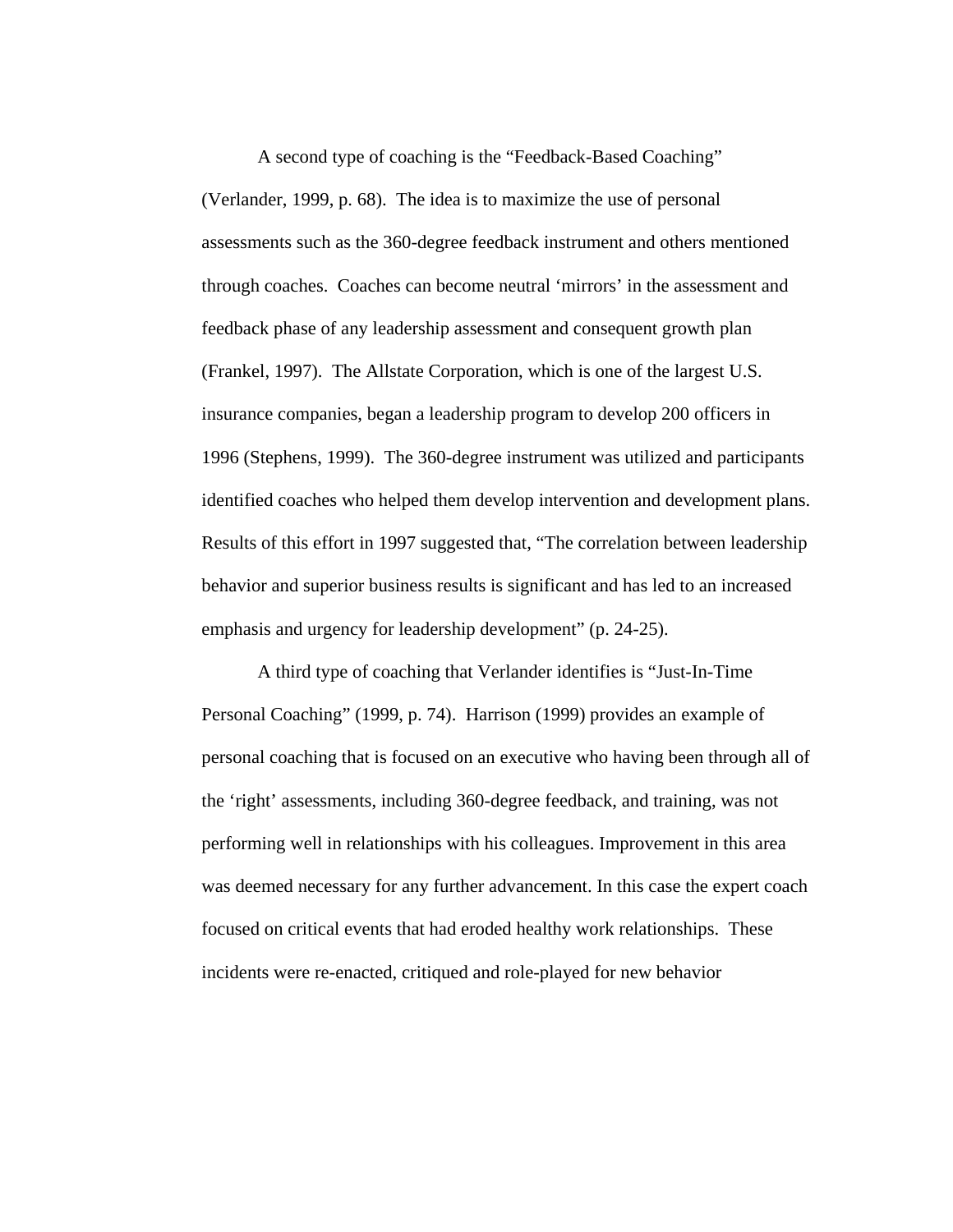A second type of coaching is the "Feedback-Based Coaching" (Verlander, 1999, p. 68). The idea is to maximize the use of personal assessments such as the 360-degree feedback instrument and others mentioned through coaches. Coaches can become neutral 'mirrors' in the assessment and feedback phase of any leadership assessment and consequent growth plan (Frankel, 1997). The Allstate Corporation, which is one of the largest U.S. insurance companies, began a leadership program to develop 200 officers in 1996 (Stephens, 1999). The 360-degree instrument was utilized and participants identified coaches who helped them develop intervention and development plans. Results of this effort in 1997 suggested that, "The correlation between leadership behavior and superior business results is significant and has led to an increased emphasis and urgency for leadership development" (p. 24-25).

A third type of coaching that Verlander identifies is "Just-In-Time Personal Coaching" (1999, p. 74). Harrison (1999) provides an example of personal coaching that is focused on an executive who having been through all of the 'right' assessments, including 360-degree feedback, and training, was not performing well in relationships with his colleagues. Improvement in this area was deemed necessary for any further advancement. In this case the expert coach focused on critical events that had eroded healthy work relationships. These incidents were re-enacted, critiqued and role-played for new behavior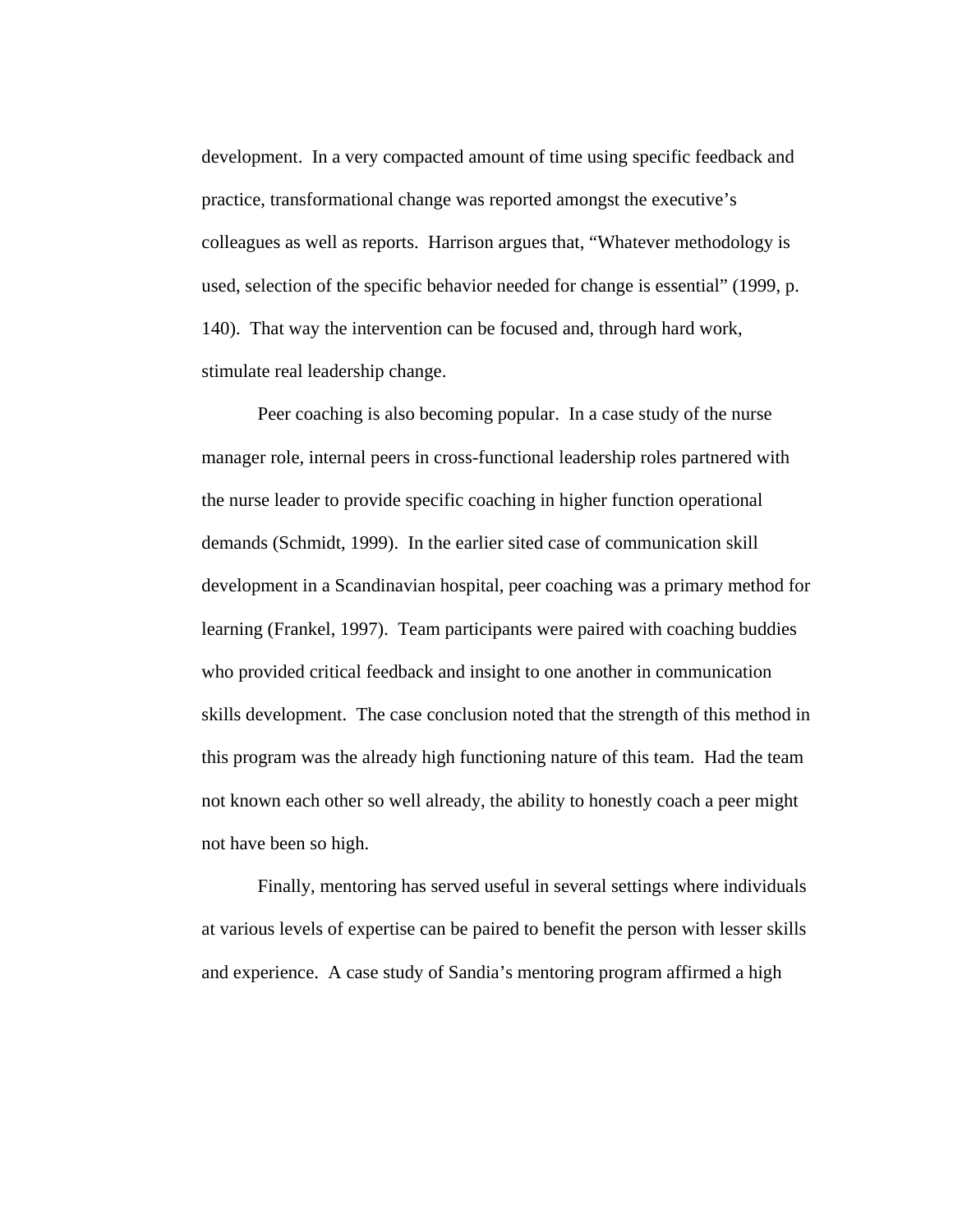development. In a very compacted amount of time using specific feedback and practice, transformational change was reported amongst the executive's colleagues as well as reports. Harrison argues that, "Whatever methodology is used, selection of the specific behavior needed for change is essential" (1999, p. 140). That way the intervention can be focused and, through hard work, stimulate real leadership change.

Peer coaching is also becoming popular. In a case study of the nurse manager role, internal peers in cross-functional leadership roles partnered with the nurse leader to provide specific coaching in higher function operational demands (Schmidt, 1999). In the earlier sited case of communication skill development in a Scandinavian hospital, peer coaching was a primary method for learning (Frankel, 1997). Team participants were paired with coaching buddies who provided critical feedback and insight to one another in communication skills development. The case conclusion noted that the strength of this method in this program was the already high functioning nature of this team. Had the team not known each other so well already, the ability to honestly coach a peer might not have been so high.

Finally, mentoring has served useful in several settings where individuals at various levels of expertise can be paired to benefit the person with lesser skills and experience. A case study of Sandia's mentoring program affirmed a high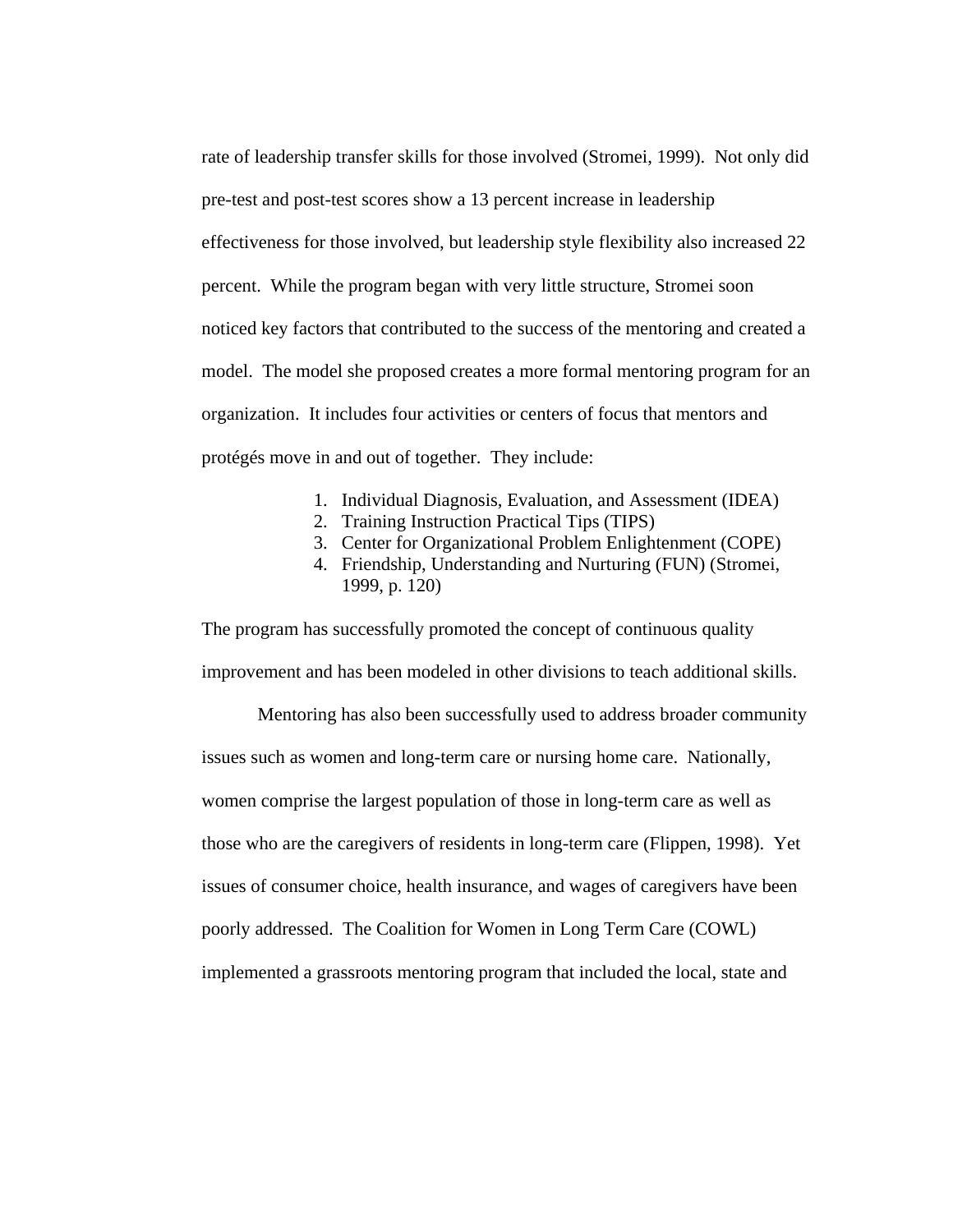rate of leadership transfer skills for those involved (Stromei, 1999). Not only did pre-test and post-test scores show a 13 percent increase in leadership effectiveness for those involved, but leadership style flexibility also increased 22 percent. While the program began with very little structure, Stromei soon noticed key factors that contributed to the success of the mentoring and created a model. The model she proposed creates a more formal mentoring program for an organization. It includes four activities or centers of focus that mentors and protégés move in and out of together. They include:

- 1. Individual Diagnosis, Evaluation, and Assessment (IDEA)
- 2. Training Instruction Practical Tips (TIPS)
- 3. Center for Organizational Problem Enlightenment (COPE)
- 4. Friendship, Understanding and Nurturing (FUN) (Stromei, 1999, p. 120)

The program has successfully promoted the concept of continuous quality improvement and has been modeled in other divisions to teach additional skills.

 Mentoring has also been successfully used to address broader community issues such as women and long-term care or nursing home care. Nationally, women comprise the largest population of those in long-term care as well as those who are the caregivers of residents in long-term care (Flippen, 1998). Yet issues of consumer choice, health insurance, and wages of caregivers have been poorly addressed. The Coalition for Women in Long Term Care (COWL) implemented a grassroots mentoring program that included the local, state and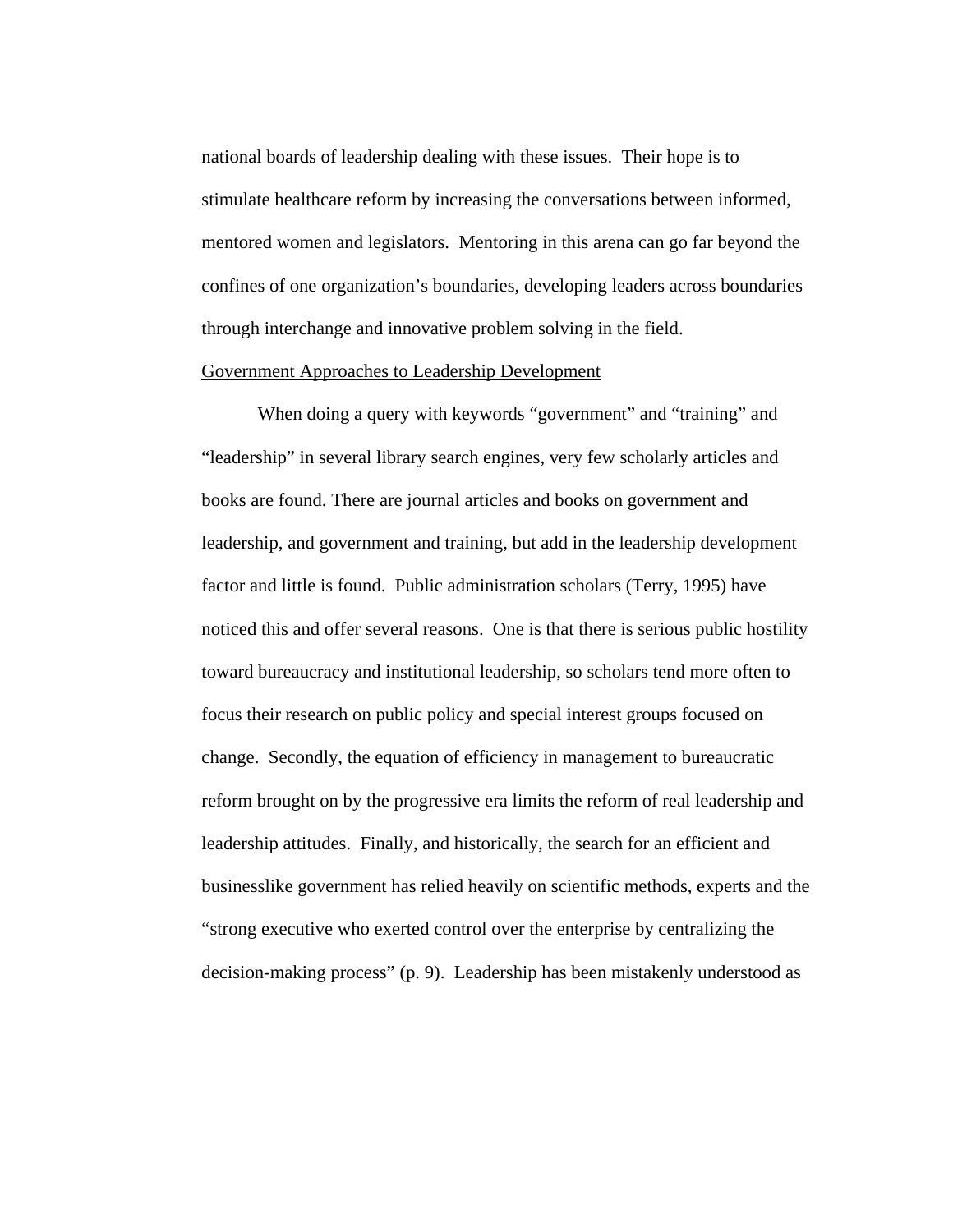national boards of leadership dealing with these issues. Their hope is to stimulate healthcare reform by increasing the conversations between informed, mentored women and legislators. Mentoring in this arena can go far beyond the confines of one organization's boundaries, developing leaders across boundaries through interchange and innovative problem solving in the field.

## Government Approaches to Leadership Development

When doing a query with keywords "government" and "training" and "leadership" in several library search engines, very few scholarly articles and books are found. There are journal articles and books on government and leadership, and government and training, but add in the leadership development factor and little is found. Public administration scholars (Terry, 1995) have noticed this and offer several reasons. One is that there is serious public hostility toward bureaucracy and institutional leadership, so scholars tend more often to focus their research on public policy and special interest groups focused on change. Secondly, the equation of efficiency in management to bureaucratic reform brought on by the progressive era limits the reform of real leadership and leadership attitudes. Finally, and historically, the search for an efficient and businesslike government has relied heavily on scientific methods, experts and the "strong executive who exerted control over the enterprise by centralizing the decision-making process" (p. 9). Leadership has been mistakenly understood as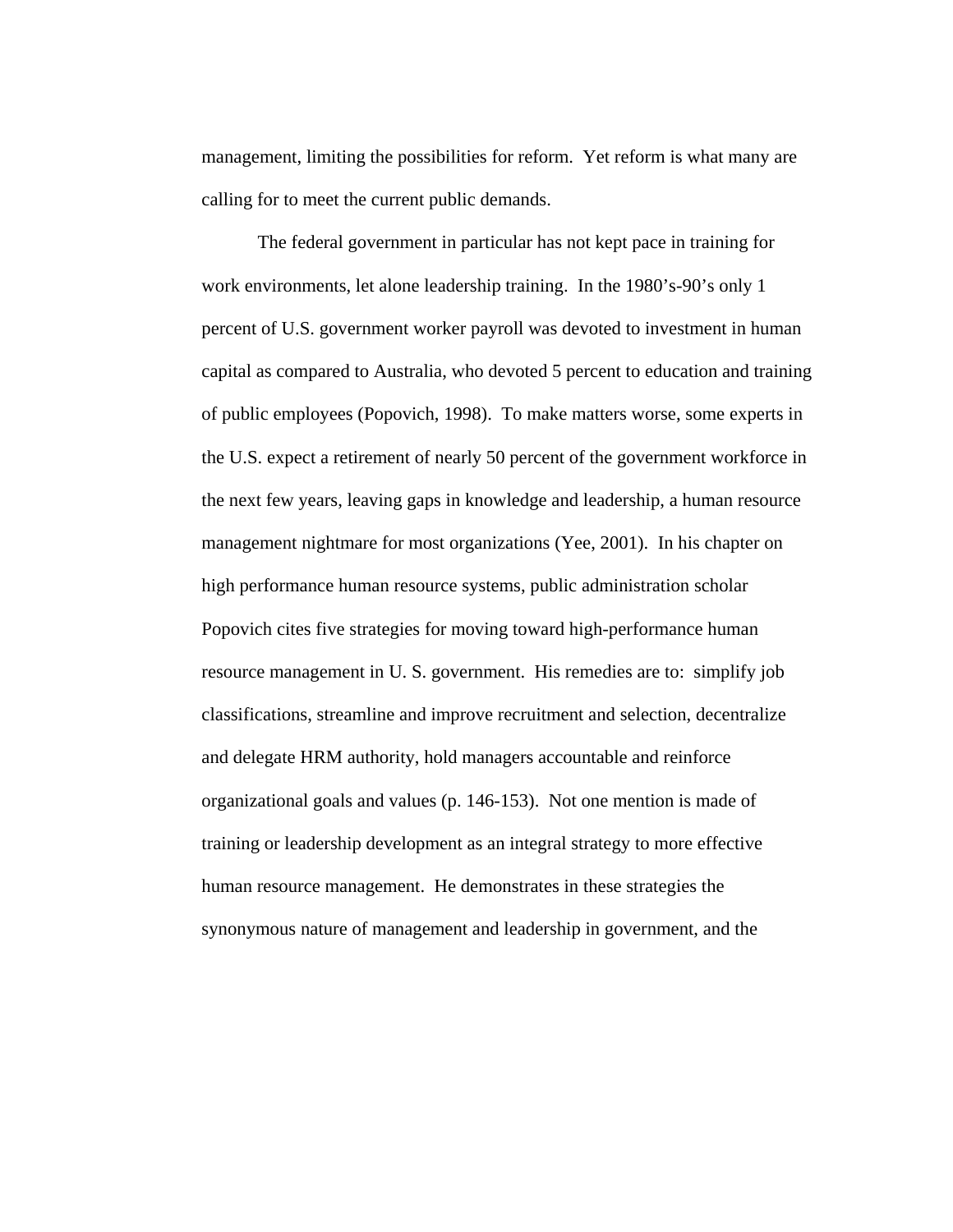management, limiting the possibilities for reform. Yet reform is what many are calling for to meet the current public demands.

The federal government in particular has not kept pace in training for work environments, let alone leadership training. In the 1980's-90's only 1 percent of U.S. government worker payroll was devoted to investment in human capital as compared to Australia, who devoted 5 percent to education and training of public employees (Popovich, 1998). To make matters worse, some experts in the U.S. expect a retirement of nearly 50 percent of the government workforce in the next few years, leaving gaps in knowledge and leadership, a human resource management nightmare for most organizations (Yee, 2001). In his chapter on high performance human resource systems, public administration scholar Popovich cites five strategies for moving toward high-performance human resource management in U. S. government. His remedies are to: simplify job classifications, streamline and improve recruitment and selection, decentralize and delegate HRM authority, hold managers accountable and reinforce organizational goals and values (p. 146-153). Not one mention is made of training or leadership development as an integral strategy to more effective human resource management. He demonstrates in these strategies the synonymous nature of management and leadership in government, and the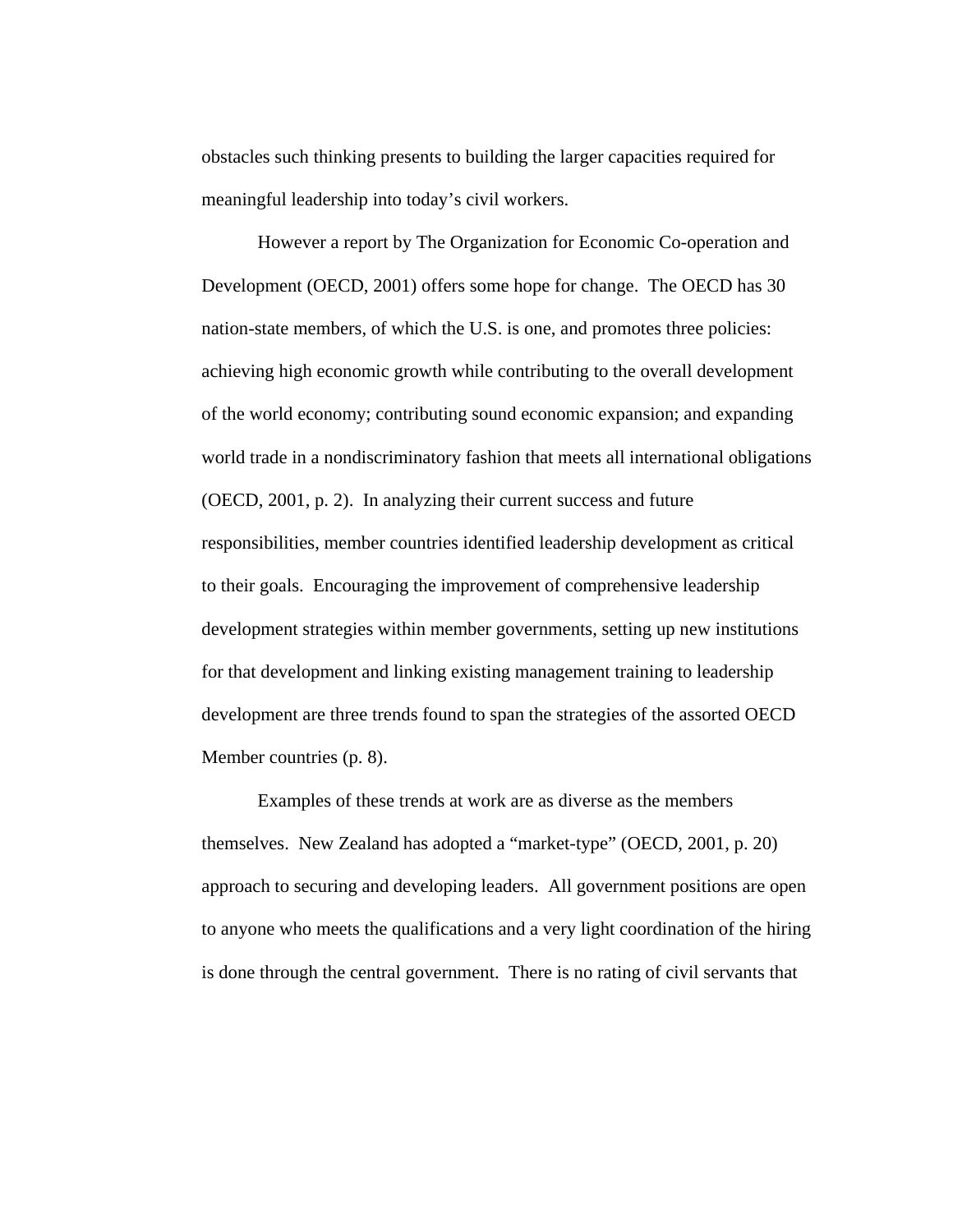obstacles such thinking presents to building the larger capacities required for meaningful leadership into today's civil workers.

However a report by The Organization for Economic Co-operation and Development (OECD, 2001) offers some hope for change. The OECD has 30 nation-state members, of which the U.S. is one, and promotes three policies: achieving high economic growth while contributing to the overall development of the world economy; contributing sound economic expansion; and expanding world trade in a nondiscriminatory fashion that meets all international obligations (OECD, 2001, p. 2). In analyzing their current success and future responsibilities, member countries identified leadership development as critical to their goals. Encouraging the improvement of comprehensive leadership development strategies within member governments, setting up new institutions for that development and linking existing management training to leadership development are three trends found to span the strategies of the assorted OECD Member countries (p. 8).

Examples of these trends at work are as diverse as the members themselves. New Zealand has adopted a "market-type" (OECD, 2001, p. 20) approach to securing and developing leaders. All government positions are open to anyone who meets the qualifications and a very light coordination of the hiring is done through the central government. There is no rating of civil servants that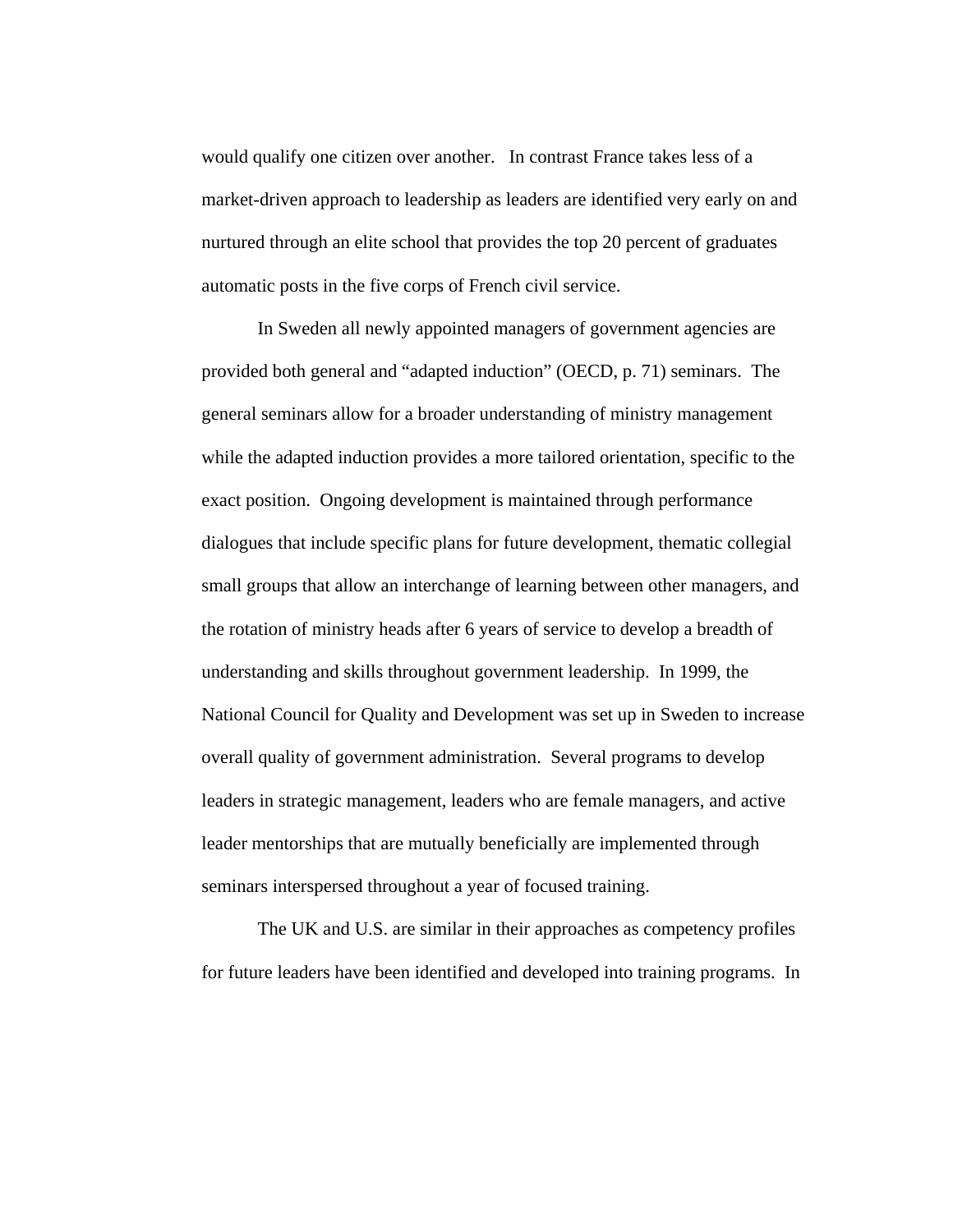would qualify one citizen over another. In contrast France takes less of a market-driven approach to leadership as leaders are identified very early on and nurtured through an elite school that provides the top 20 percent of graduates automatic posts in the five corps of French civil service.

In Sweden all newly appointed managers of government agencies are provided both general and "adapted induction" (OECD, p. 71) seminars. The general seminars allow for a broader understanding of ministry management while the adapted induction provides a more tailored orientation, specific to the exact position. Ongoing development is maintained through performance dialogues that include specific plans for future development, thematic collegial small groups that allow an interchange of learning between other managers, and the rotation of ministry heads after 6 years of service to develop a breadth of understanding and skills throughout government leadership. In 1999, the National Council for Quality and Development was set up in Sweden to increase overall quality of government administration. Several programs to develop leaders in strategic management, leaders who are female managers, and active leader mentorships that are mutually beneficially are implemented through seminars interspersed throughout a year of focused training.

The UK and U.S. are similar in their approaches as competency profiles for future leaders have been identified and developed into training programs. In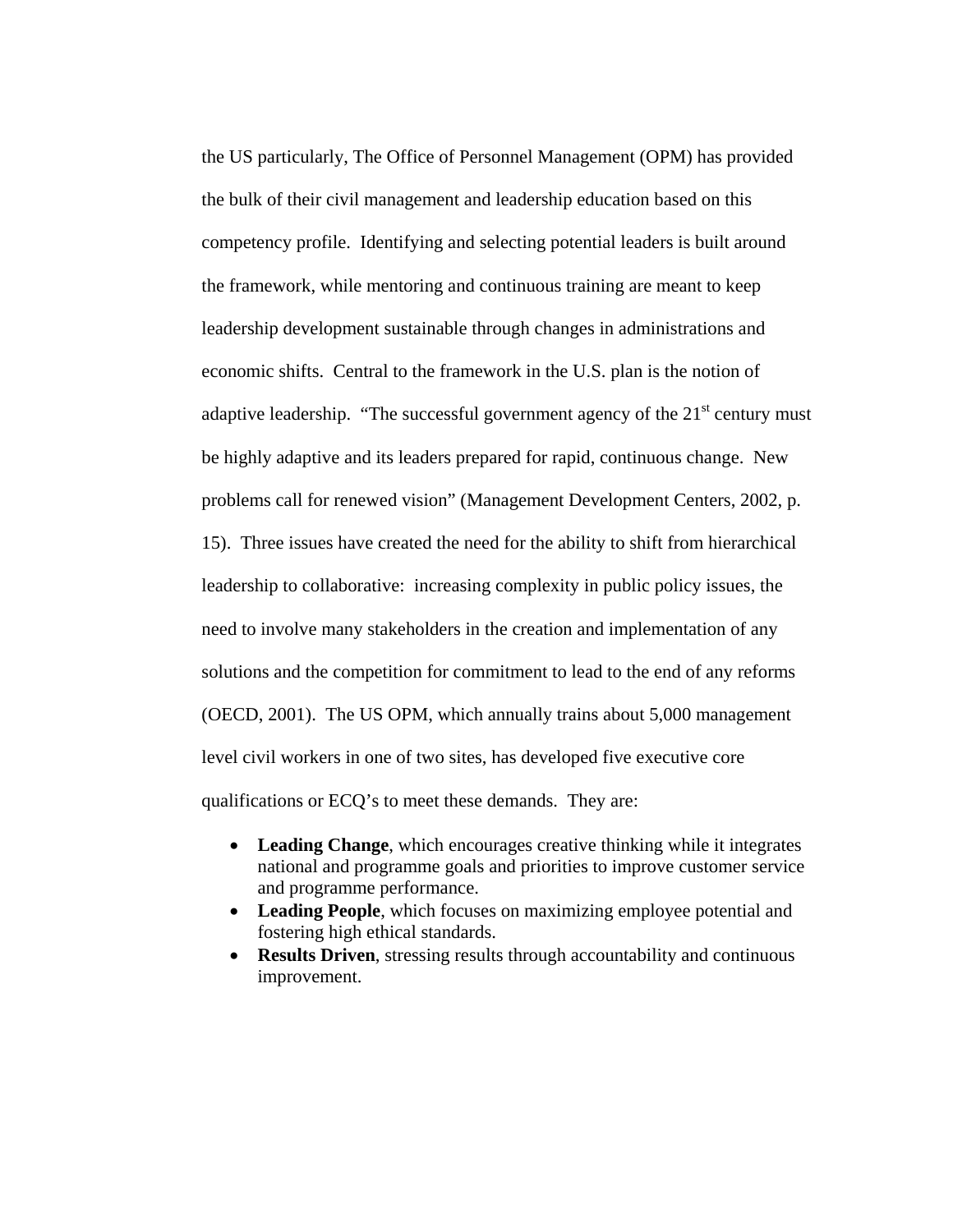the US particularly, The Office of Personnel Management (OPM) has provided the bulk of their civil management and leadership education based on this competency profile. Identifying and selecting potential leaders is built around the framework, while mentoring and continuous training are meant to keep leadership development sustainable through changes in administrations and economic shifts. Central to the framework in the U.S. plan is the notion of adaptive leadership. "The successful government agency of the  $21<sup>st</sup>$  century must be highly adaptive and its leaders prepared for rapid, continuous change. New problems call for renewed vision" (Management Development Centers, 2002, p. 15). Three issues have created the need for the ability to shift from hierarchical leadership to collaborative: increasing complexity in public policy issues, the need to involve many stakeholders in the creation and implementation of any solutions and the competition for commitment to lead to the end of any reforms (OECD, 2001). The US OPM, which annually trains about 5,000 management level civil workers in one of two sites, has developed five executive core qualifications or ECQ's to meet these demands. They are:

- **Leading Change**, which encourages creative thinking while it integrates national and programme goals and priorities to improve customer service and programme performance.
- **Leading People**, which focuses on maximizing employee potential and fostering high ethical standards.
- **Results Driven**, stressing results through accountability and continuous improvement.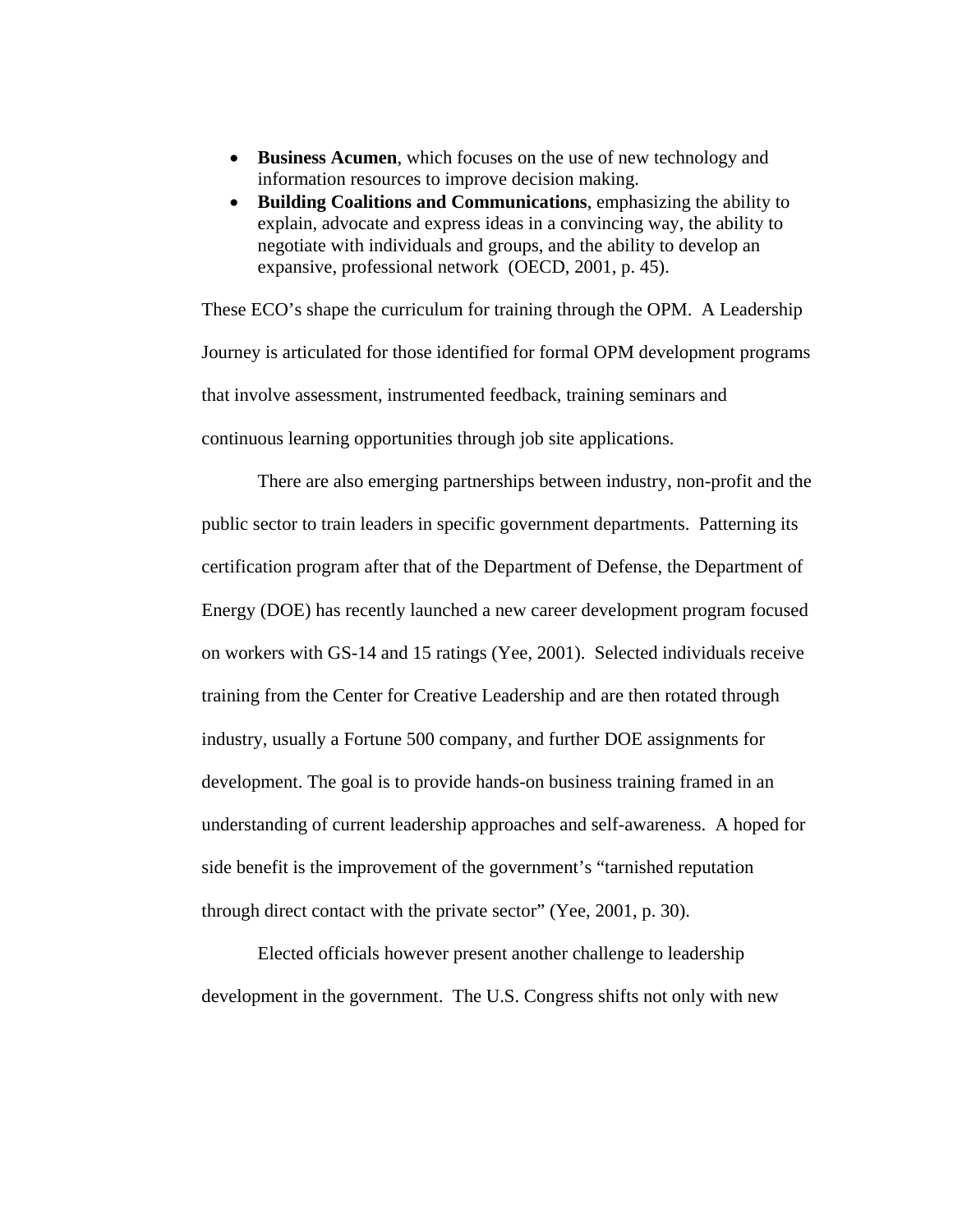- **Business Acumen**, which focuses on the use of new technology and information resources to improve decision making.
- **Building Coalitions and Communications**, emphasizing the ability to explain, advocate and express ideas in a convincing way, the ability to negotiate with individuals and groups, and the ability to develop an expansive, professional network (OECD, 2001, p. 45).

These ECO's shape the curriculum for training through the OPM. A Leadership Journey is articulated for those identified for formal OPM development programs that involve assessment, instrumented feedback, training seminars and continuous learning opportunities through job site applications.

There are also emerging partnerships between industry, non-profit and the public sector to train leaders in specific government departments. Patterning its certification program after that of the Department of Defense, the Department of Energy (DOE) has recently launched a new career development program focused on workers with GS-14 and 15 ratings (Yee, 2001). Selected individuals receive training from the Center for Creative Leadership and are then rotated through industry, usually a Fortune 500 company, and further DOE assignments for development. The goal is to provide hands-on business training framed in an understanding of current leadership approaches and self-awareness. A hoped for side benefit is the improvement of the government's "tarnished reputation through direct contact with the private sector" (Yee, 2001, p. 30).

Elected officials however present another challenge to leadership development in the government. The U.S. Congress shifts not only with new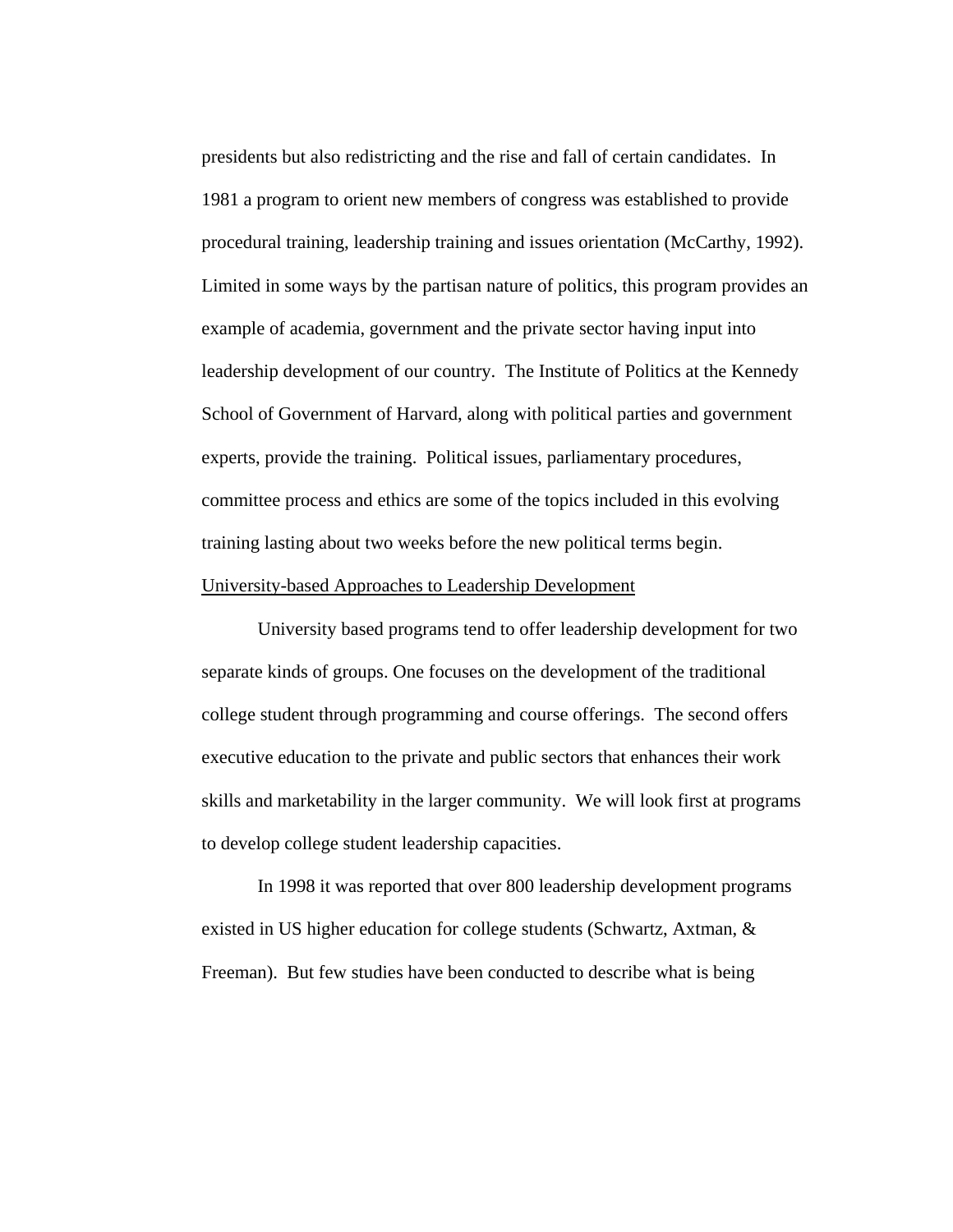presidents but also redistricting and the rise and fall of certain candidates. In 1981 a program to orient new members of congress was established to provide procedural training, leadership training and issues orientation (McCarthy, 1992). Limited in some ways by the partisan nature of politics, this program provides an example of academia, government and the private sector having input into leadership development of our country. The Institute of Politics at the Kennedy School of Government of Harvard, along with political parties and government experts, provide the training. Political issues, parliamentary procedures, committee process and ethics are some of the topics included in this evolving training lasting about two weeks before the new political terms begin. University-based Approaches to Leadership Development

University based programs tend to offer leadership development for two separate kinds of groups. One focuses on the development of the traditional college student through programming and course offerings. The second offers executive education to the private and public sectors that enhances their work skills and marketability in the larger community. We will look first at programs to develop college student leadership capacities.

In 1998 it was reported that over 800 leadership development programs existed in US higher education for college students (Schwartz, Axtman, & Freeman). But few studies have been conducted to describe what is being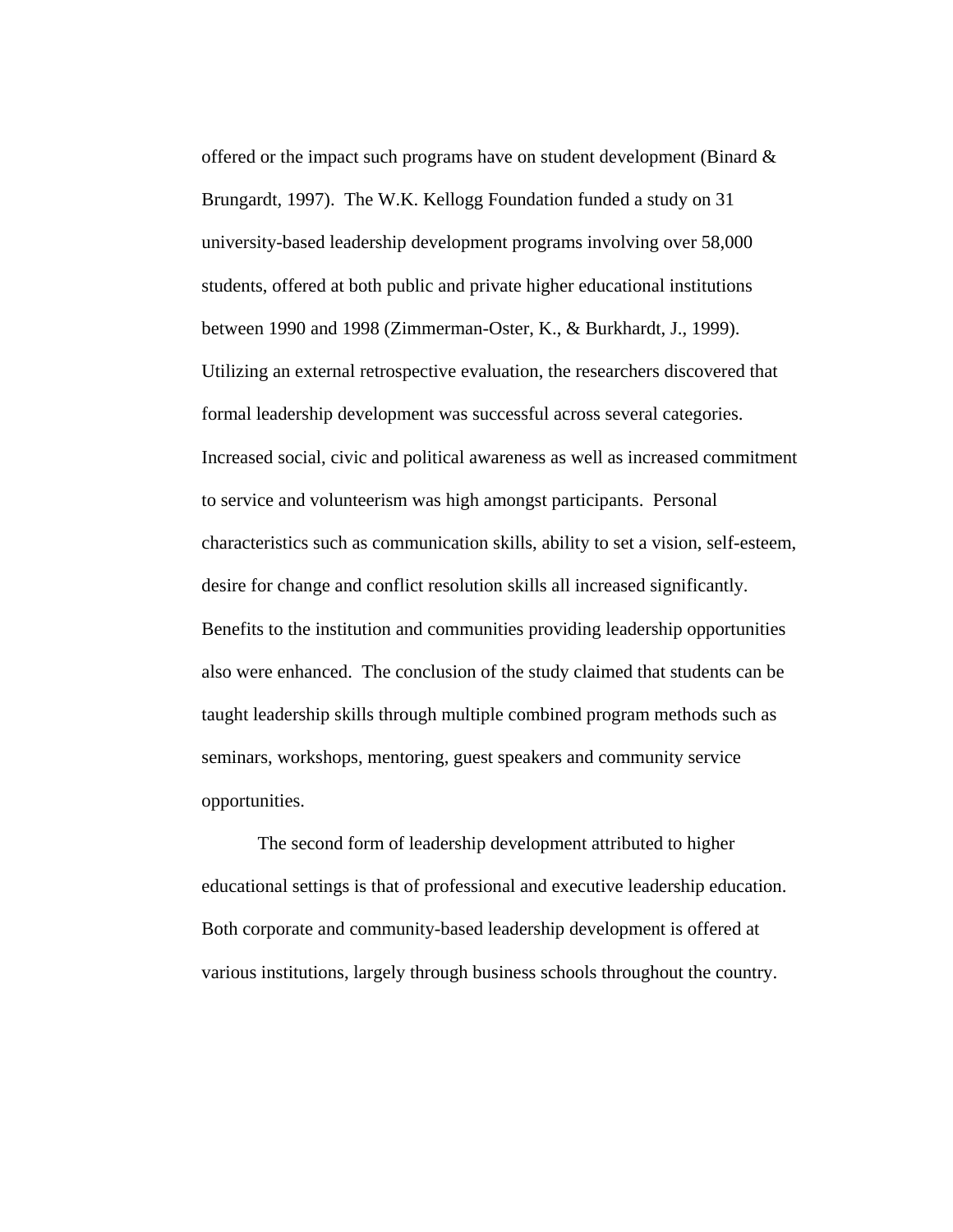offered or the impact such programs have on student development (Binard & Brungardt, 1997). The W.K. Kellogg Foundation funded a study on 31 university-based leadership development programs involving over 58,000 students, offered at both public and private higher educational institutions between 1990 and 1998 (Zimmerman-Oster, K., & Burkhardt, J., 1999). Utilizing an external retrospective evaluation, the researchers discovered that formal leadership development was successful across several categories. Increased social, civic and political awareness as well as increased commitment to service and volunteerism was high amongst participants. Personal characteristics such as communication skills, ability to set a vision, self-esteem, desire for change and conflict resolution skills all increased significantly. Benefits to the institution and communities providing leadership opportunities also were enhanced. The conclusion of the study claimed that students can be taught leadership skills through multiple combined program methods such as seminars, workshops, mentoring, guest speakers and community service opportunities.

The second form of leadership development attributed to higher educational settings is that of professional and executive leadership education. Both corporate and community-based leadership development is offered at various institutions, largely through business schools throughout the country.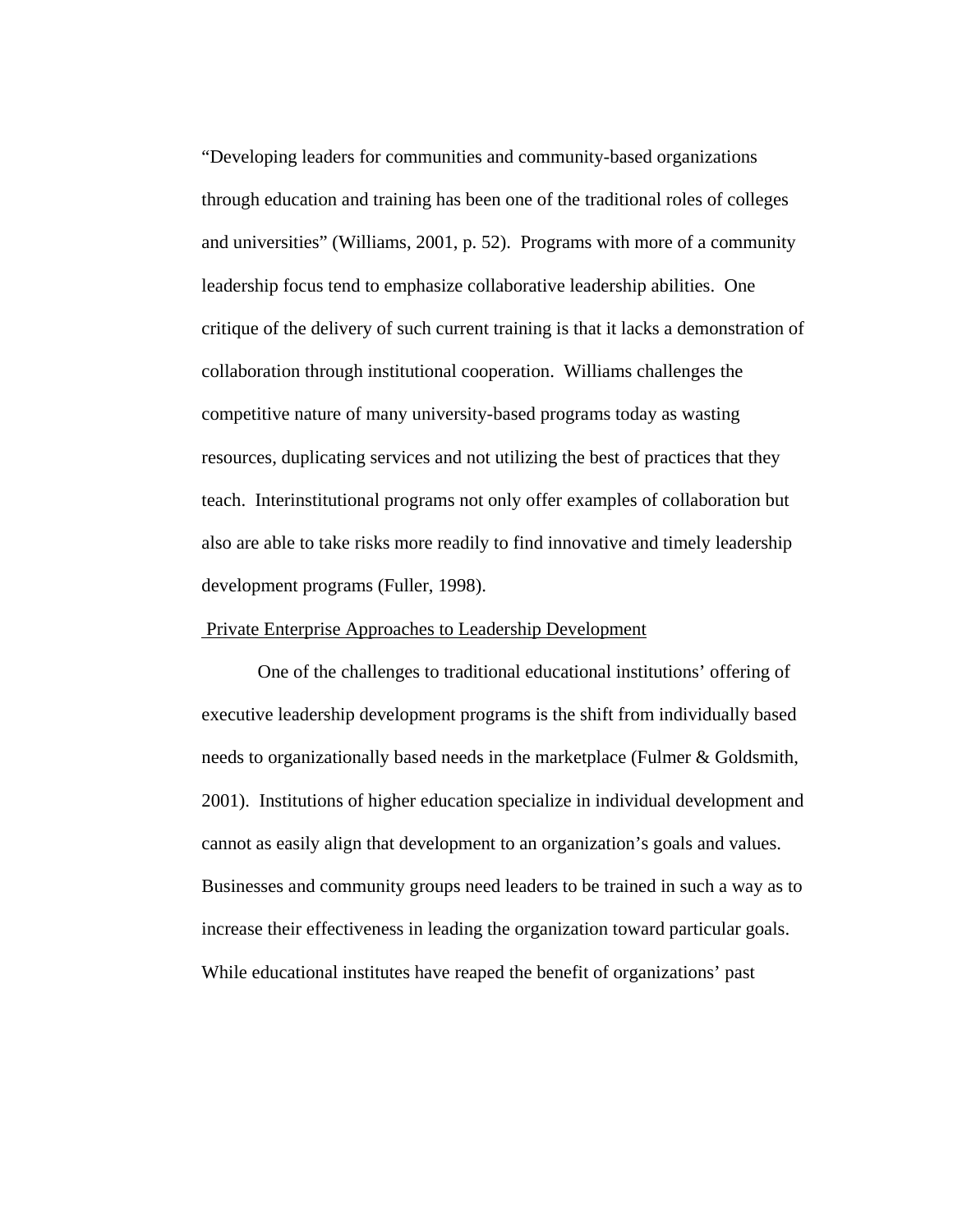"Developing leaders for communities and community-based organizations through education and training has been one of the traditional roles of colleges and universities" (Williams, 2001, p. 52). Programs with more of a community leadership focus tend to emphasize collaborative leadership abilities. One critique of the delivery of such current training is that it lacks a demonstration of collaboration through institutional cooperation. Williams challenges the competitive nature of many university-based programs today as wasting resources, duplicating services and not utilizing the best of practices that they teach. Interinstitutional programs not only offer examples of collaboration but also are able to take risks more readily to find innovative and timely leadership development programs (Fuller, 1998).

### Private Enterprise Approaches to Leadership Development

One of the challenges to traditional educational institutions' offering of executive leadership development programs is the shift from individually based needs to organizationally based needs in the marketplace (Fulmer & Goldsmith, 2001). Institutions of higher education specialize in individual development and cannot as easily align that development to an organization's goals and values. Businesses and community groups need leaders to be trained in such a way as to increase their effectiveness in leading the organization toward particular goals. While educational institutes have reaped the benefit of organizations' past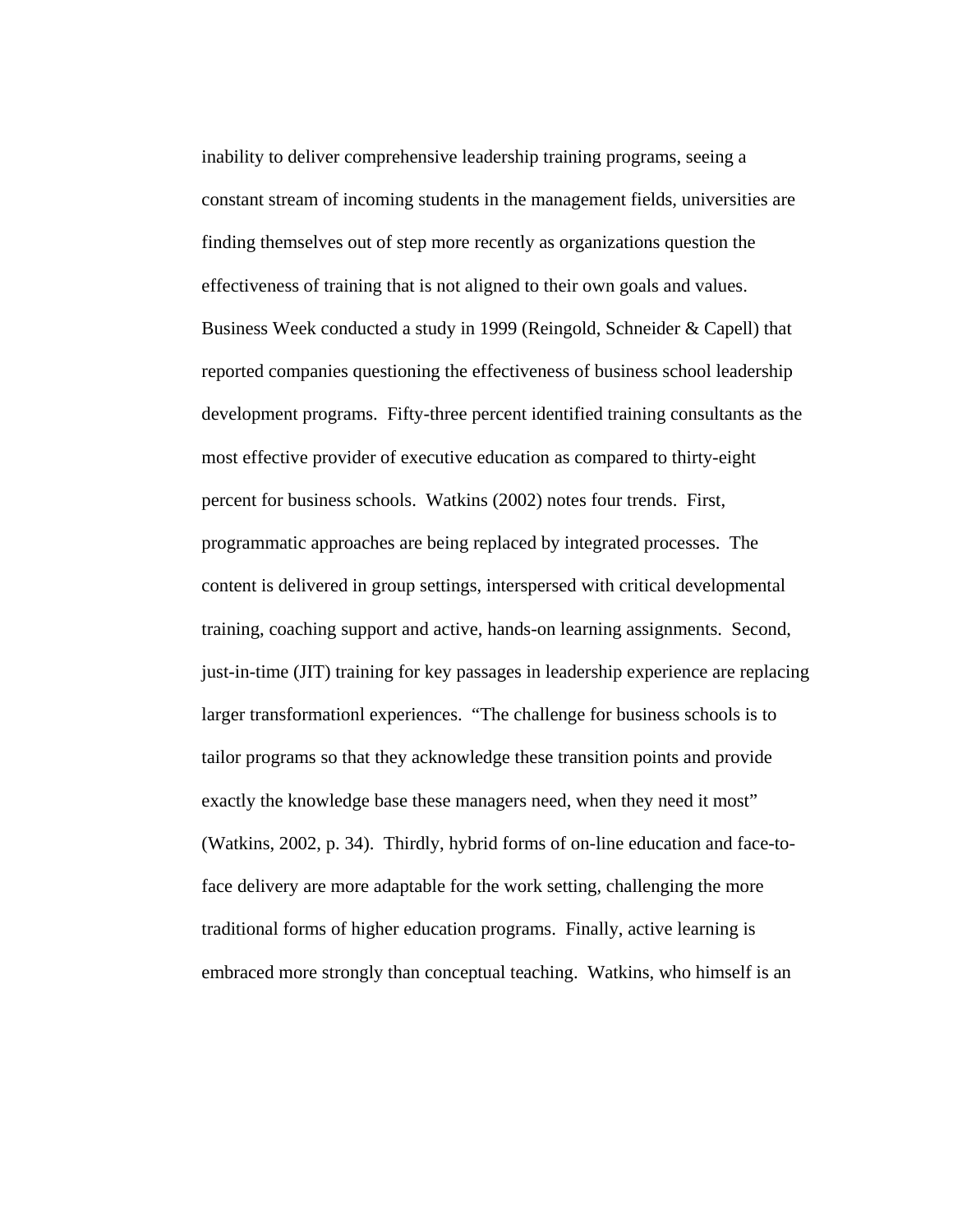inability to deliver comprehensive leadership training programs, seeing a constant stream of incoming students in the management fields, universities are finding themselves out of step more recently as organizations question the effectiveness of training that is not aligned to their own goals and values. Business Week conducted a study in 1999 (Reingold, Schneider & Capell) that reported companies questioning the effectiveness of business school leadership development programs. Fifty-three percent identified training consultants as the most effective provider of executive education as compared to thirty-eight percent for business schools. Watkins (2002) notes four trends. First, programmatic approaches are being replaced by integrated processes. The content is delivered in group settings, interspersed with critical developmental training, coaching support and active, hands-on learning assignments. Second, just-in-time (JIT) training for key passages in leadership experience are replacing larger transformationl experiences. "The challenge for business schools is to tailor programs so that they acknowledge these transition points and provide exactly the knowledge base these managers need, when they need it most" (Watkins, 2002, p. 34). Thirdly, hybrid forms of on-line education and face-toface delivery are more adaptable for the work setting, challenging the more traditional forms of higher education programs. Finally, active learning is embraced more strongly than conceptual teaching. Watkins, who himself is an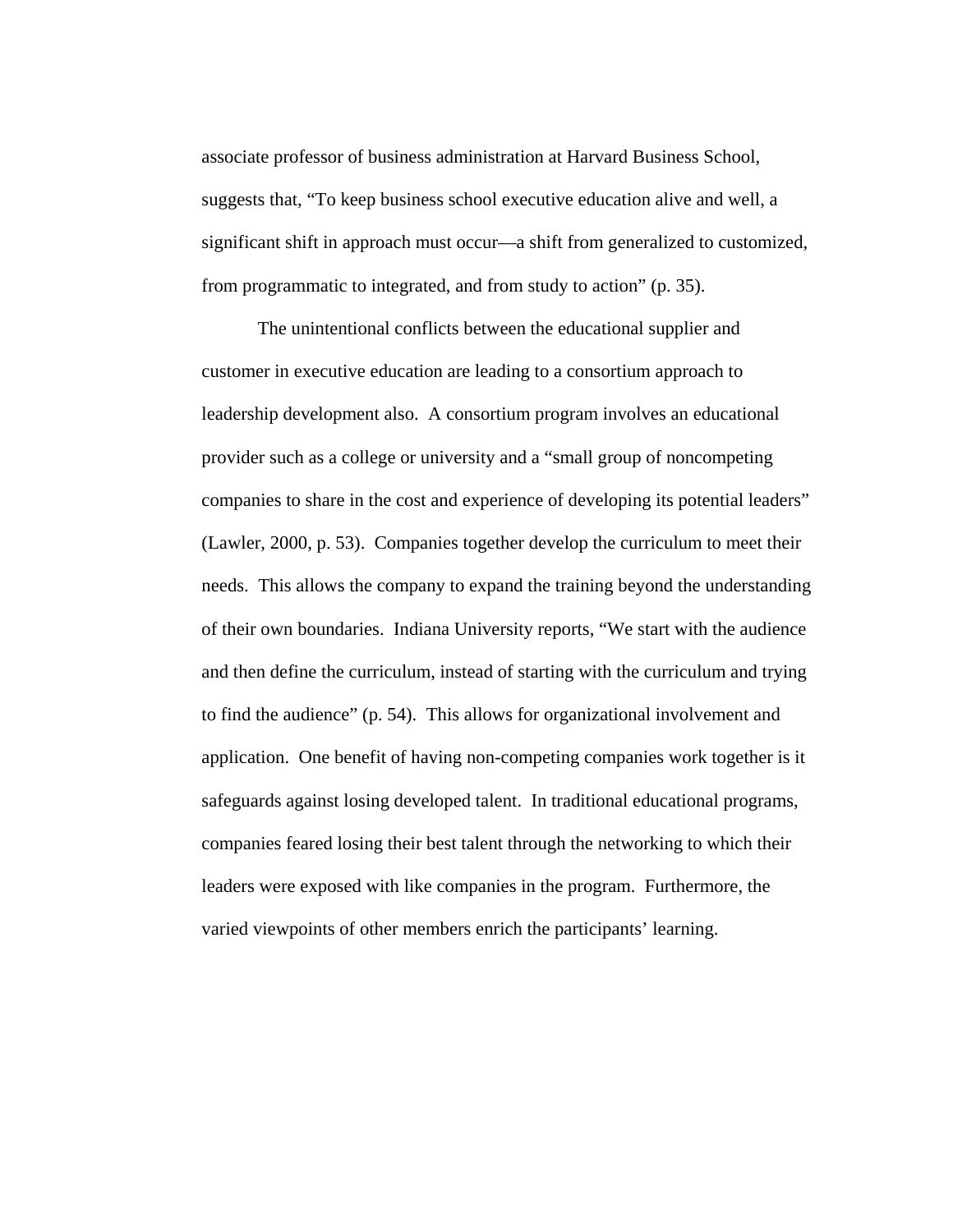associate professor of business administration at Harvard Business School, suggests that, "To keep business school executive education alive and well, a significant shift in approach must occur—a shift from generalized to customized, from programmatic to integrated, and from study to action" (p. 35).

The unintentional conflicts between the educational supplier and customer in executive education are leading to a consortium approach to leadership development also. A consortium program involves an educational provider such as a college or university and a "small group of noncompeting companies to share in the cost and experience of developing its potential leaders" (Lawler, 2000, p. 53). Companies together develop the curriculum to meet their needs. This allows the company to expand the training beyond the understanding of their own boundaries. Indiana University reports, "We start with the audience and then define the curriculum, instead of starting with the curriculum and trying to find the audience" (p. 54). This allows for organizational involvement and application. One benefit of having non-competing companies work together is it safeguards against losing developed talent. In traditional educational programs, companies feared losing their best talent through the networking to which their leaders were exposed with like companies in the program. Furthermore, the varied viewpoints of other members enrich the participants' learning.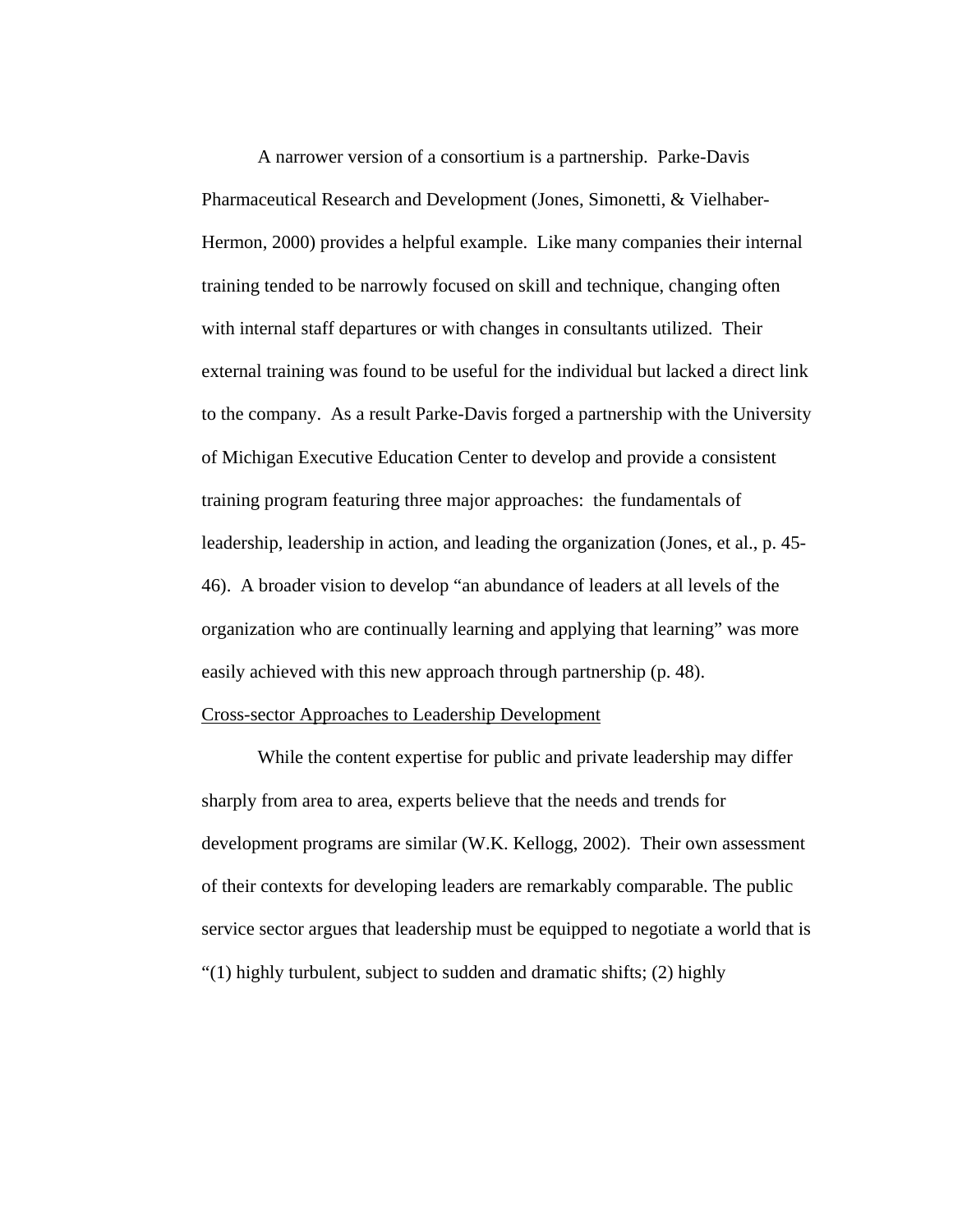A narrower version of a consortium is a partnership. Parke-Davis Pharmaceutical Research and Development (Jones, Simonetti, & Vielhaber-Hermon, 2000) provides a helpful example. Like many companies their internal training tended to be narrowly focused on skill and technique, changing often with internal staff departures or with changes in consultants utilized. Their external training was found to be useful for the individual but lacked a direct link to the company. As a result Parke-Davis forged a partnership with the University of Michigan Executive Education Center to develop and provide a consistent training program featuring three major approaches: the fundamentals of leadership, leadership in action, and leading the organization (Jones, et al., p. 45- 46). A broader vision to develop "an abundance of leaders at all levels of the organization who are continually learning and applying that learning" was more easily achieved with this new approach through partnership (p. 48).

# Cross-sector Approaches to Leadership Development

While the content expertise for public and private leadership may differ sharply from area to area, experts believe that the needs and trends for development programs are similar (W.K. Kellogg, 2002). Their own assessment of their contexts for developing leaders are remarkably comparable. The public service sector argues that leadership must be equipped to negotiate a world that is "(1) highly turbulent, subject to sudden and dramatic shifts; (2) highly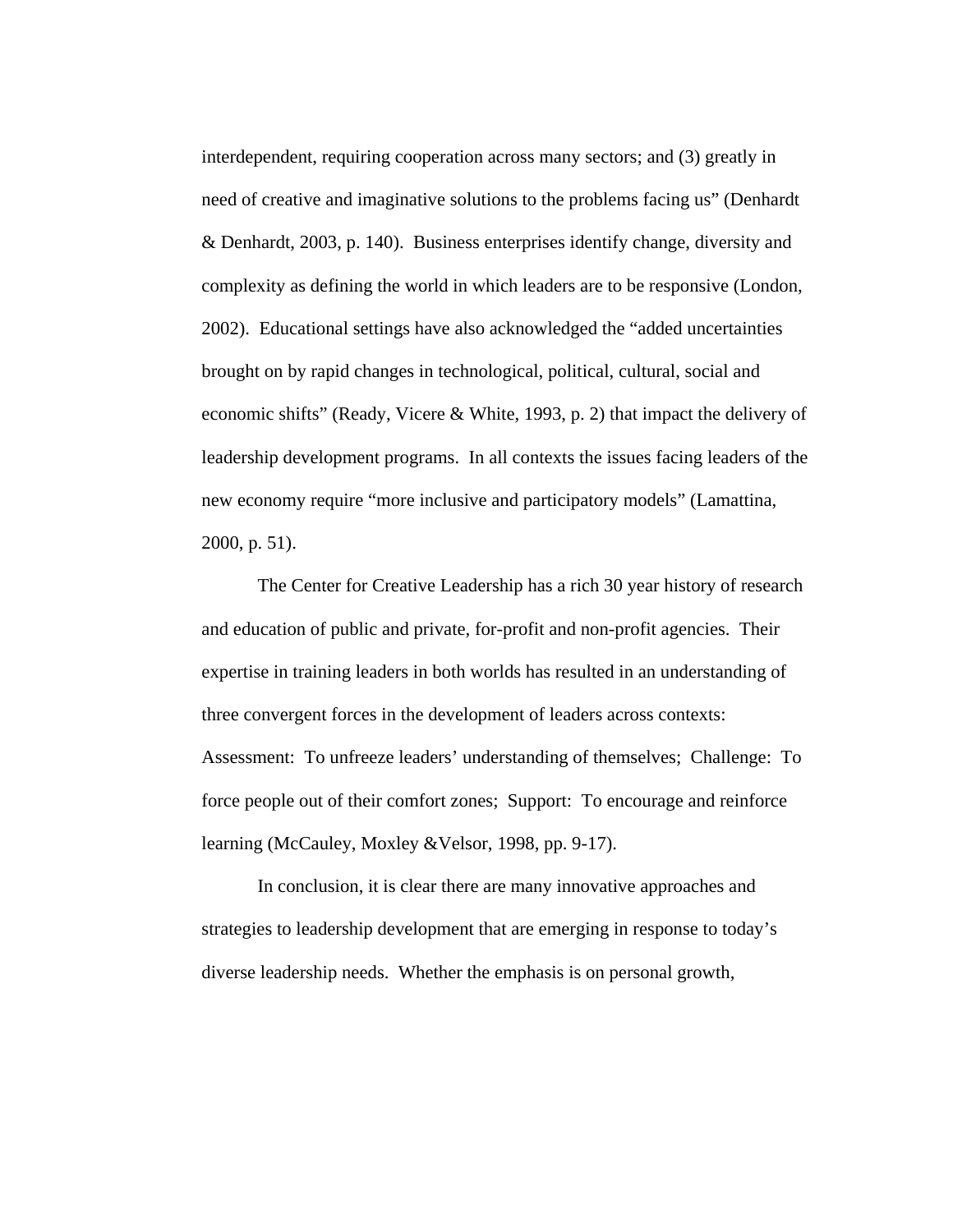interdependent, requiring cooperation across many sectors; and (3) greatly in need of creative and imaginative solutions to the problems facing us" (Denhardt & Denhardt, 2003, p. 140). Business enterprises identify change, diversity and complexity as defining the world in which leaders are to be responsive (London, 2002). Educational settings have also acknowledged the "added uncertainties brought on by rapid changes in technological, political, cultural, social and economic shifts" (Ready, Vicere & White, 1993, p. 2) that impact the delivery of leadership development programs. In all contexts the issues facing leaders of the new economy require "more inclusive and participatory models" (Lamattina, 2000, p. 51).

The Center for Creative Leadership has a rich 30 year history of research and education of public and private, for-profit and non-profit agencies. Their expertise in training leaders in both worlds has resulted in an understanding of three convergent forces in the development of leaders across contexts: Assessment: To unfreeze leaders' understanding of themselves; Challenge: To force people out of their comfort zones; Support: To encourage and reinforce learning (McCauley, Moxley &Velsor, 1998, pp. 9-17).

In conclusion, it is clear there are many innovative approaches and strategies to leadership development that are emerging in response to today's diverse leadership needs. Whether the emphasis is on personal growth,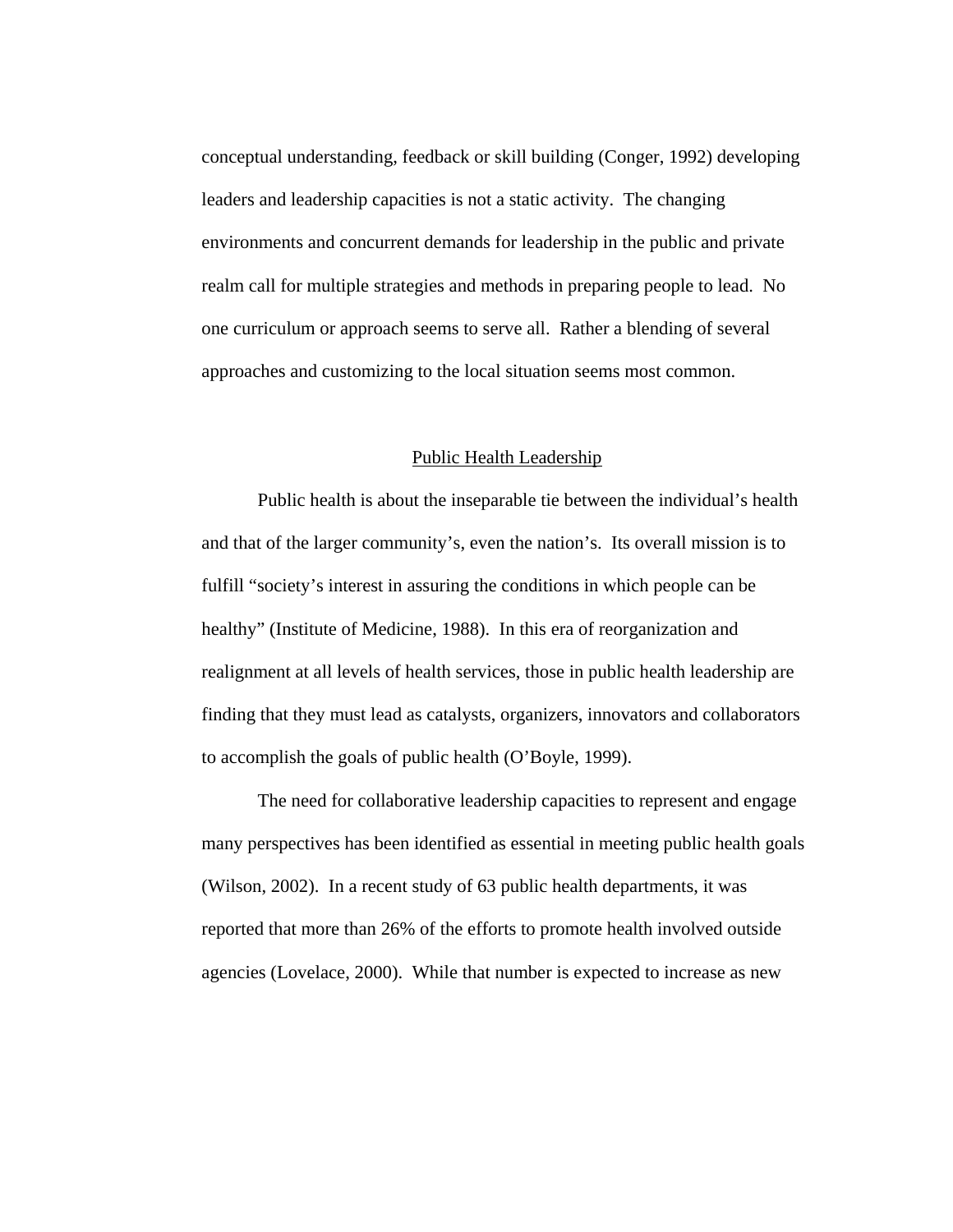conceptual understanding, feedback or skill building (Conger, 1992) developing leaders and leadership capacities is not a static activity. The changing environments and concurrent demands for leadership in the public and private realm call for multiple strategies and methods in preparing people to lead. No one curriculum or approach seems to serve all. Rather a blending of several approaches and customizing to the local situation seems most common.

#### Public Health Leadership

Public health is about the inseparable tie between the individual's health and that of the larger community's, even the nation's. Its overall mission is to fulfill "society's interest in assuring the conditions in which people can be healthy" (Institute of Medicine, 1988). In this era of reorganization and realignment at all levels of health services, those in public health leadership are finding that they must lead as catalysts, organizers, innovators and collaborators to accomplish the goals of public health (O'Boyle, 1999).

The need for collaborative leadership capacities to represent and engage many perspectives has been identified as essential in meeting public health goals (Wilson, 2002). In a recent study of 63 public health departments, it was reported that more than 26% of the efforts to promote health involved outside agencies (Lovelace, 2000). While that number is expected to increase as new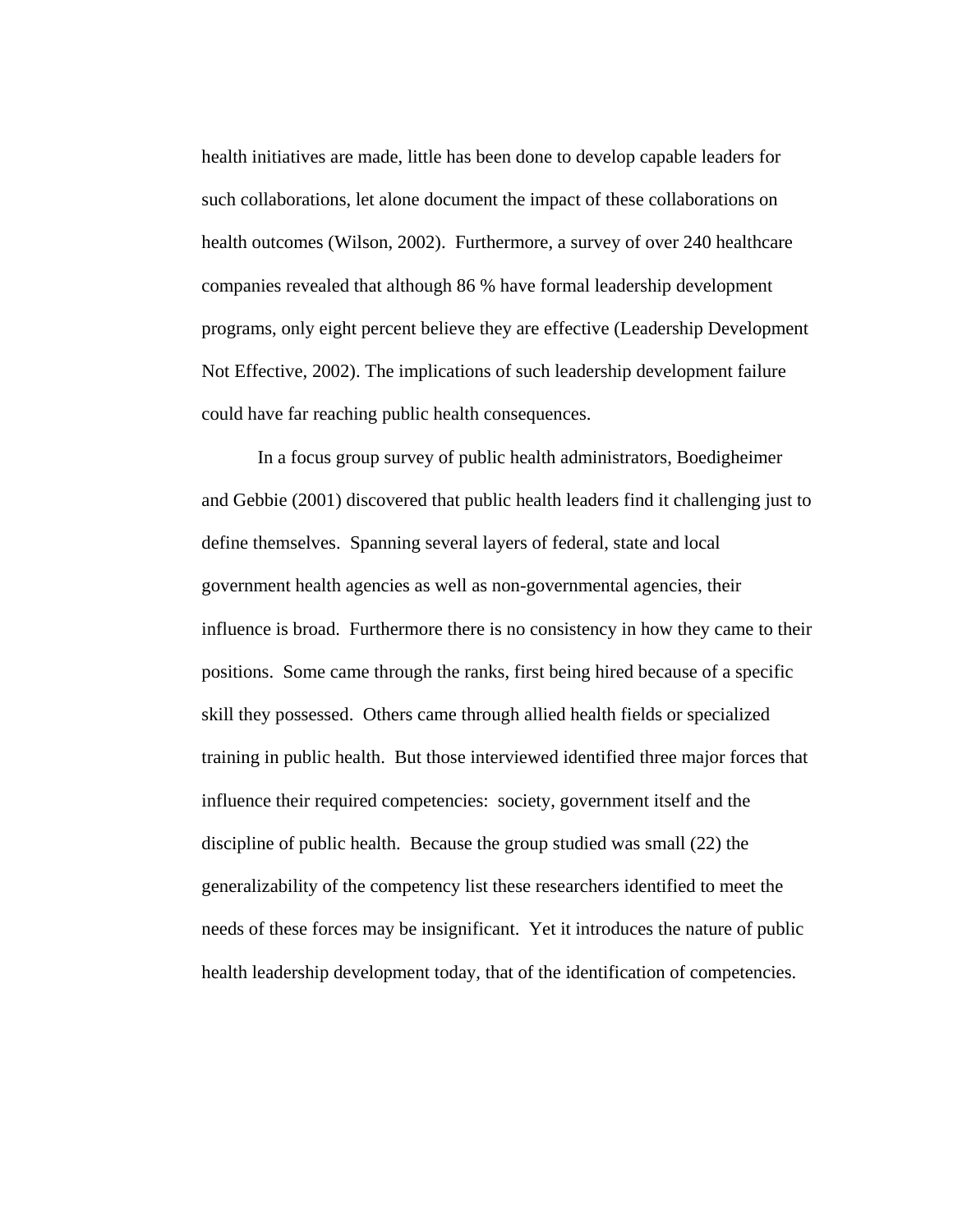health initiatives are made, little has been done to develop capable leaders for such collaborations, let alone document the impact of these collaborations on health outcomes (Wilson, 2002). Furthermore, a survey of over 240 healthcare companies revealed that although 86 % have formal leadership development programs, only eight percent believe they are effective (Leadership Development Not Effective, 2002). The implications of such leadership development failure could have far reaching public health consequences.

In a focus group survey of public health administrators, Boedigheimer and Gebbie (2001) discovered that public health leaders find it challenging just to define themselves. Spanning several layers of federal, state and local government health agencies as well as non-governmental agencies, their influence is broad. Furthermore there is no consistency in how they came to their positions. Some came through the ranks, first being hired because of a specific skill they possessed. Others came through allied health fields or specialized training in public health. But those interviewed identified three major forces that influence their required competencies: society, government itself and the discipline of public health. Because the group studied was small (22) the generalizability of the competency list these researchers identified to meet the needs of these forces may be insignificant. Yet it introduces the nature of public health leadership development today, that of the identification of competencies.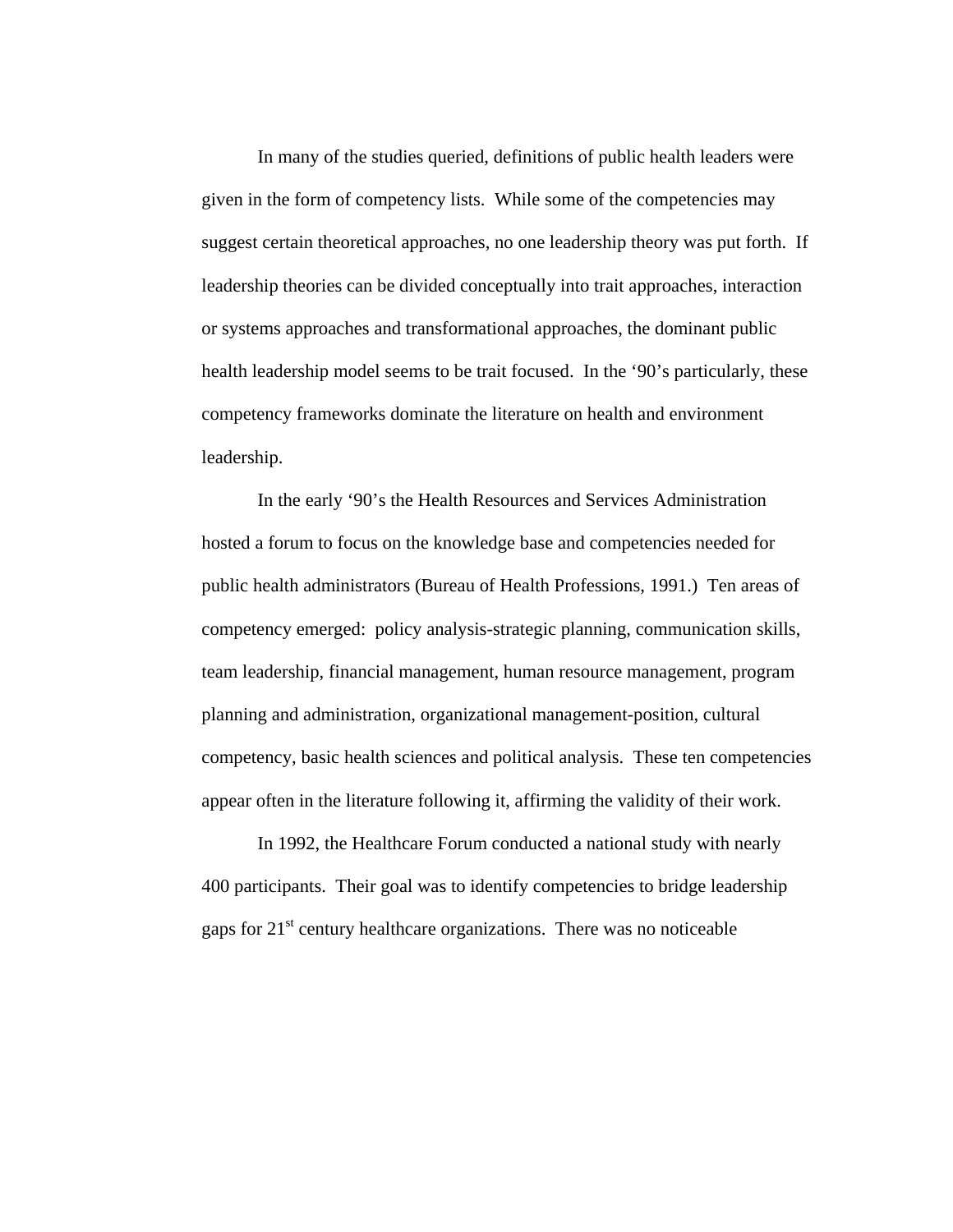In many of the studies queried, definitions of public health leaders were given in the form of competency lists. While some of the competencies may suggest certain theoretical approaches, no one leadership theory was put forth. If leadership theories can be divided conceptually into trait approaches, interaction or systems approaches and transformational approaches, the dominant public health leadership model seems to be trait focused. In the '90's particularly, these competency frameworks dominate the literature on health and environment leadership.

In the early '90's the Health Resources and Services Administration hosted a forum to focus on the knowledge base and competencies needed for public health administrators (Bureau of Health Professions, 1991.) Ten areas of competency emerged: policy analysis-strategic planning, communication skills, team leadership, financial management, human resource management, program planning and administration, organizational management-position, cultural competency, basic health sciences and political analysis. These ten competencies appear often in the literature following it, affirming the validity of their work.

In 1992, the Healthcare Forum conducted a national study with nearly 400 participants. Their goal was to identify competencies to bridge leadership gaps for  $21<sup>st</sup>$  century healthcare organizations. There was no noticeable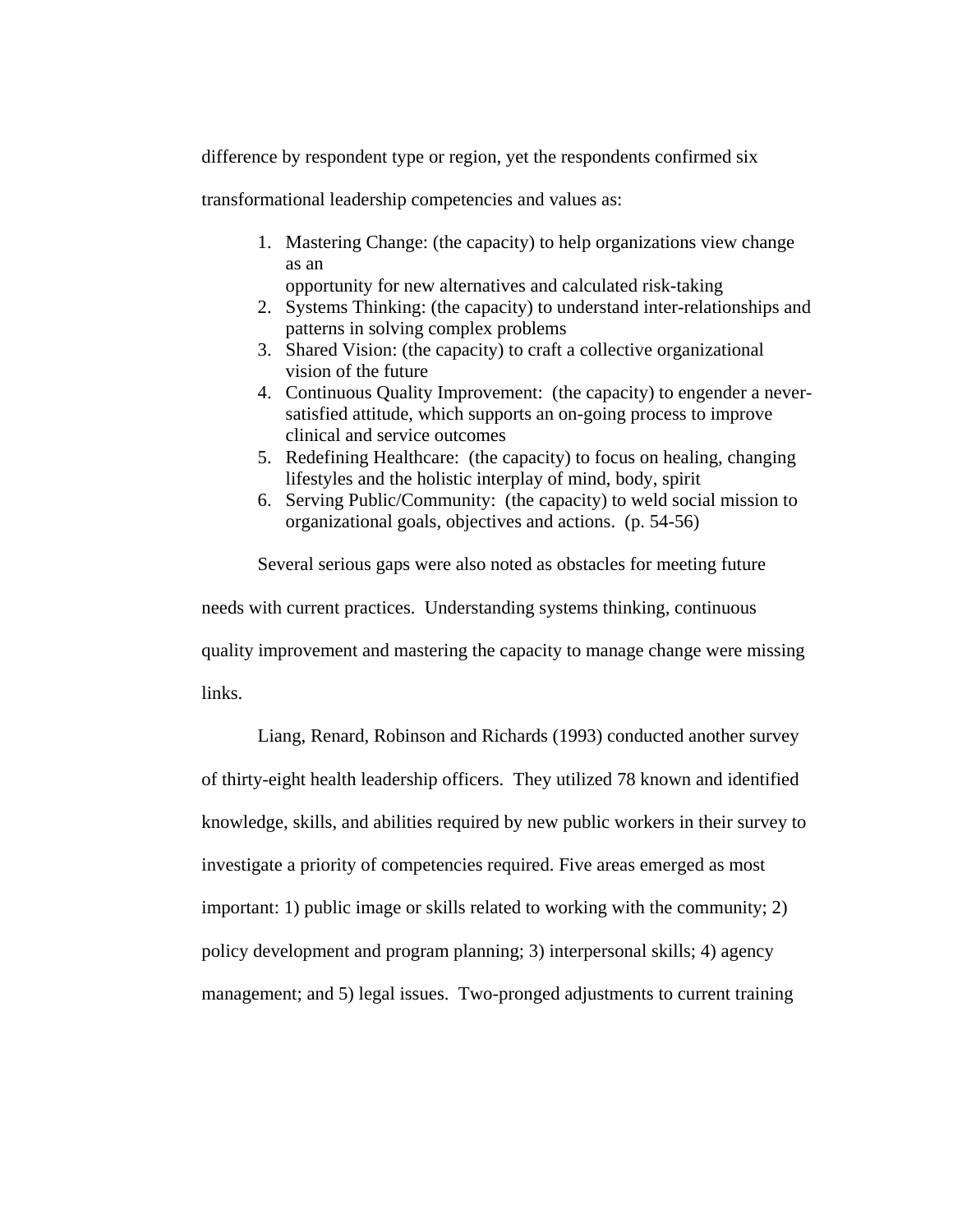difference by respondent type or region, yet the respondents confirmed six

transformational leadership competencies and values as:

1. Mastering Change: (the capacity) to help organizations view change as an

opportunity for new alternatives and calculated risk-taking

- 2. Systems Thinking: (the capacity) to understand inter-relationships and patterns in solving complex problems
- 3. Shared Vision: (the capacity) to craft a collective organizational vision of the future
- 4. Continuous Quality Improvement: (the capacity) to engender a neversatisfied attitude, which supports an on-going process to improve clinical and service outcomes
- 5. Redefining Healthcare: (the capacity) to focus on healing, changing lifestyles and the holistic interplay of mind, body, spirit
- 6. Serving Public/Community: (the capacity) to weld social mission to organizational goals, objectives and actions. (p. 54-56)

Several serious gaps were also noted as obstacles for meeting future needs with current practices. Understanding systems thinking, continuous quality improvement and mastering the capacity to manage change were missing links.

Liang, Renard, Robinson and Richards (1993) conducted another survey of thirty-eight health leadership officers. They utilized 78 known and identified knowledge, skills, and abilities required by new public workers in their survey to investigate a priority of competencies required. Five areas emerged as most important: 1) public image or skills related to working with the community; 2) policy development and program planning; 3) interpersonal skills; 4) agency management; and 5) legal issues. Two-pronged adjustments to current training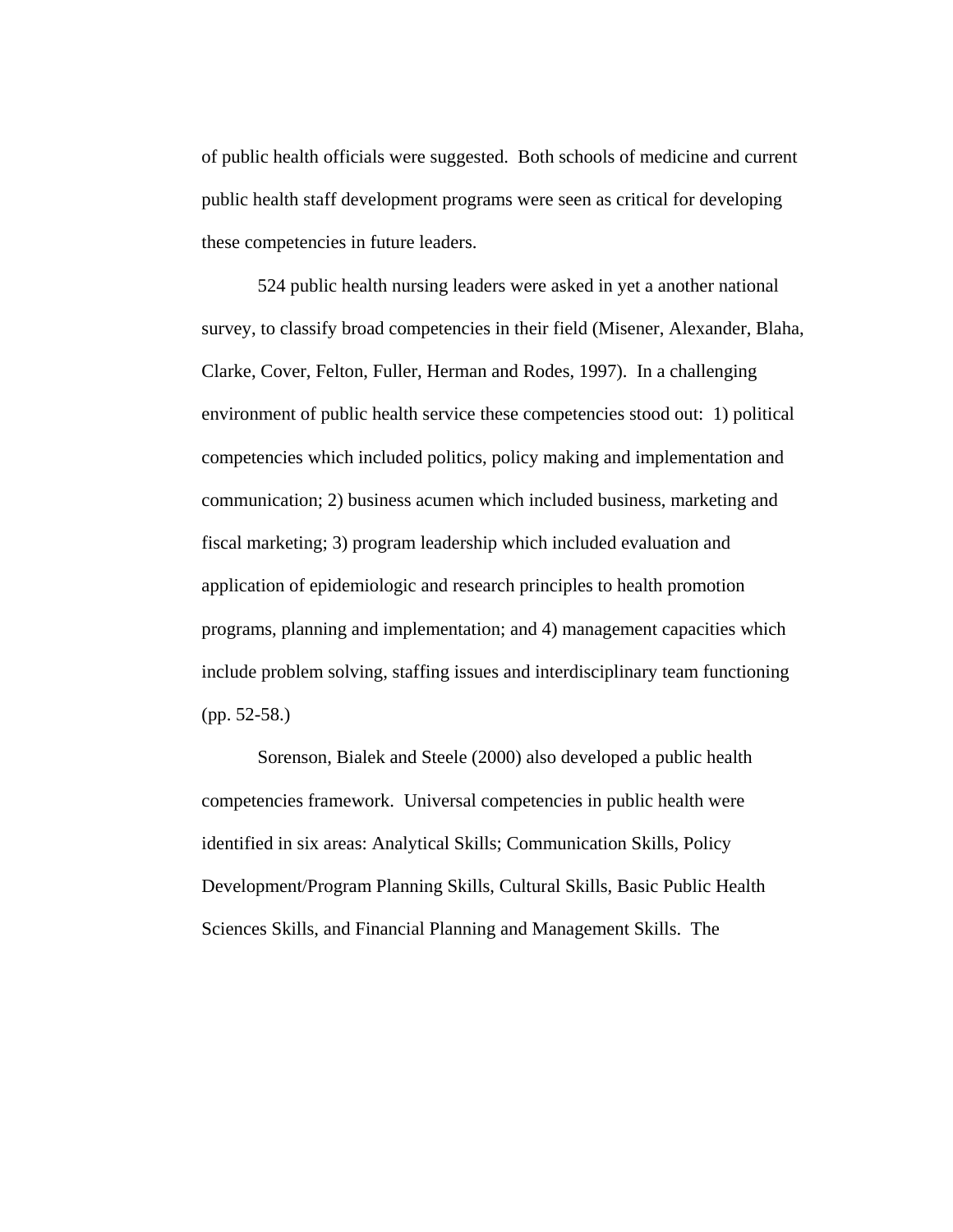of public health officials were suggested. Both schools of medicine and current public health staff development programs were seen as critical for developing these competencies in future leaders.

524 public health nursing leaders were asked in yet a another national survey, to classify broad competencies in their field (Misener, Alexander, Blaha, Clarke, Cover, Felton, Fuller, Herman and Rodes, 1997). In a challenging environment of public health service these competencies stood out: 1) political competencies which included politics, policy making and implementation and communication; 2) business acumen which included business, marketing and fiscal marketing; 3) program leadership which included evaluation and application of epidemiologic and research principles to health promotion programs, planning and implementation; and 4) management capacities which include problem solving, staffing issues and interdisciplinary team functioning (pp. 52-58.)

Sorenson, Bialek and Steele (2000) also developed a public health competencies framework. Universal competencies in public health were identified in six areas: Analytical Skills; Communication Skills, Policy Development/Program Planning Skills, Cultural Skills, Basic Public Health Sciences Skills, and Financial Planning and Management Skills. The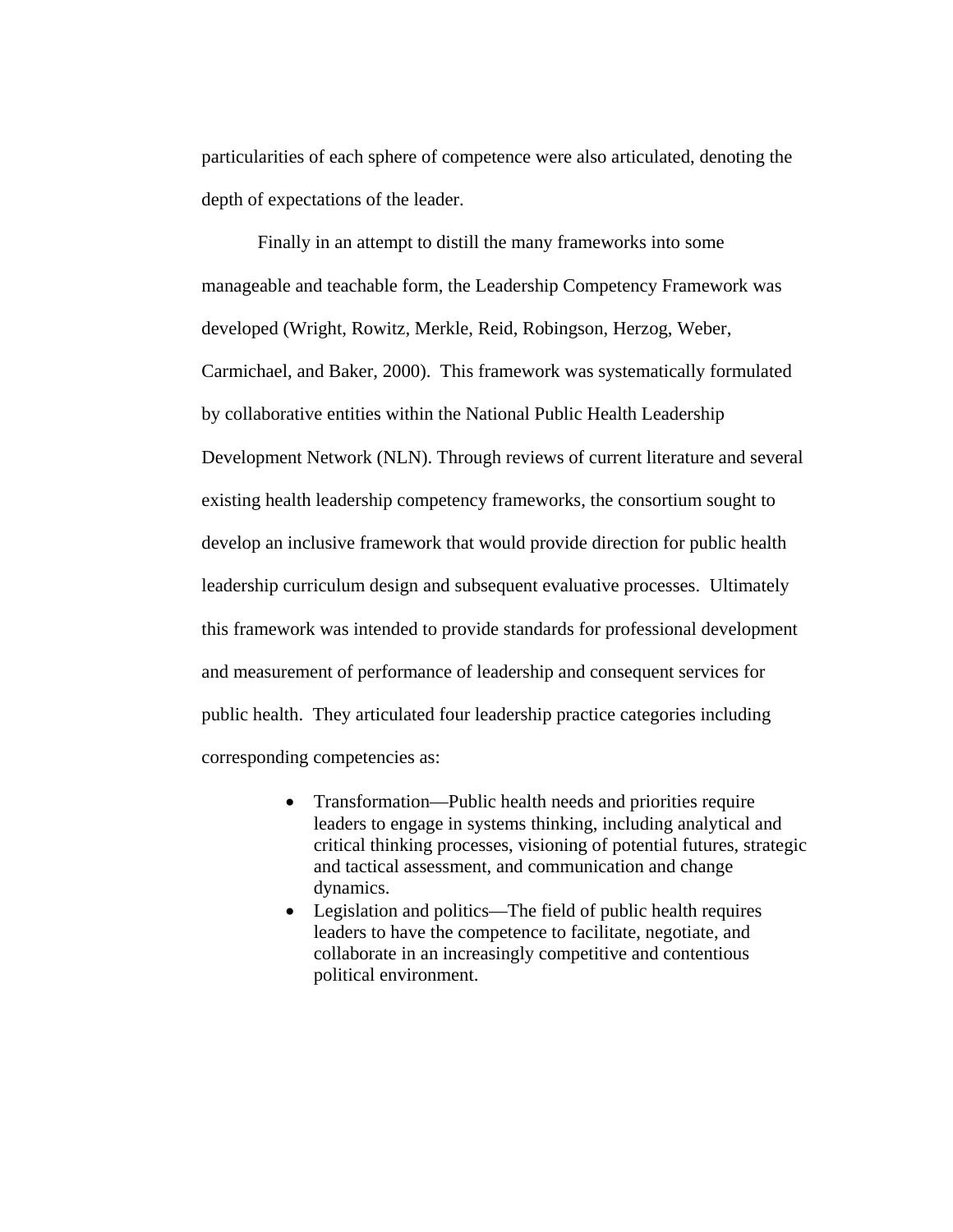particularities of each sphere of competence were also articulated, denoting the depth of expectations of the leader.

Finally in an attempt to distill the many frameworks into some manageable and teachable form, the Leadership Competency Framework was developed (Wright, Rowitz, Merkle, Reid, Robingson, Herzog, Weber, Carmichael, and Baker, 2000). This framework was systematically formulated by collaborative entities within the National Public Health Leadership Development Network (NLN). Through reviews of current literature and several existing health leadership competency frameworks, the consortium sought to develop an inclusive framework that would provide direction for public health leadership curriculum design and subsequent evaluative processes. Ultimately this framework was intended to provide standards for professional development and measurement of performance of leadership and consequent services for public health. They articulated four leadership practice categories including corresponding competencies as:

- Transformation—Public health needs and priorities require leaders to engage in systems thinking, including analytical and critical thinking processes, visioning of potential futures, strategic and tactical assessment, and communication and change dynamics.
- Legislation and politics—The field of public health requires leaders to have the competence to facilitate, negotiate, and collaborate in an increasingly competitive and contentious political environment.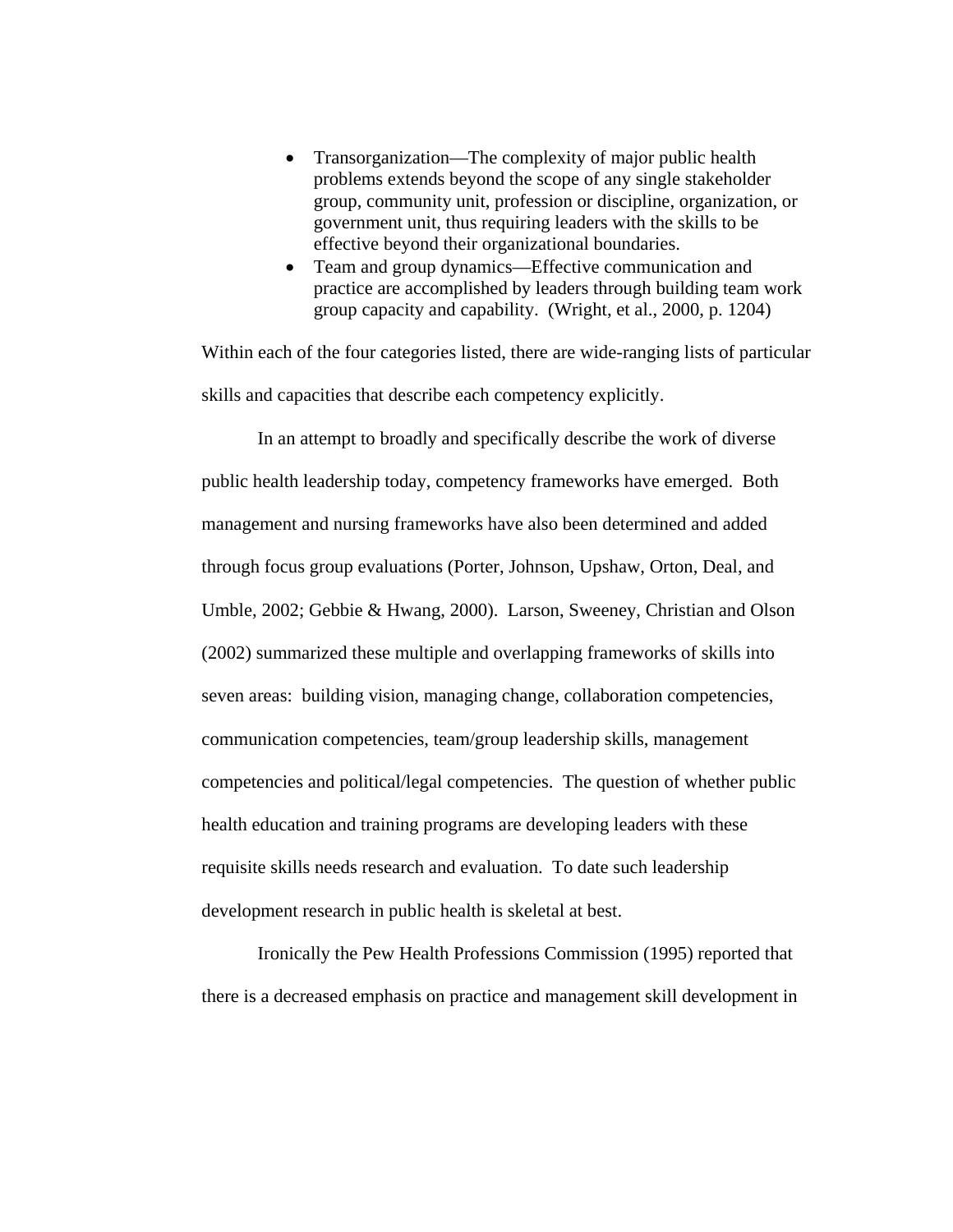- Transorganization—The complexity of major public health problems extends beyond the scope of any single stakeholder group, community unit, profession or discipline, organization, or government unit, thus requiring leaders with the skills to be effective beyond their organizational boundaries.
- Team and group dynamics—Effective communication and practice are accomplished by leaders through building team work group capacity and capability. (Wright, et al., 2000, p. 1204)

Within each of the four categories listed, there are wide-ranging lists of particular skills and capacities that describe each competency explicitly.

 In an attempt to broadly and specifically describe the work of diverse public health leadership today, competency frameworks have emerged. Both management and nursing frameworks have also been determined and added through focus group evaluations (Porter, Johnson, Upshaw, Orton, Deal, and Umble, 2002; Gebbie & Hwang, 2000). Larson, Sweeney, Christian and Olson (2002) summarized these multiple and overlapping frameworks of skills into seven areas: building vision, managing change, collaboration competencies, communication competencies, team/group leadership skills, management competencies and political/legal competencies. The question of whether public health education and training programs are developing leaders with these requisite skills needs research and evaluation. To date such leadership development research in public health is skeletal at best.

 Ironically the Pew Health Professions Commission (1995) reported that there is a decreased emphasis on practice and management skill development in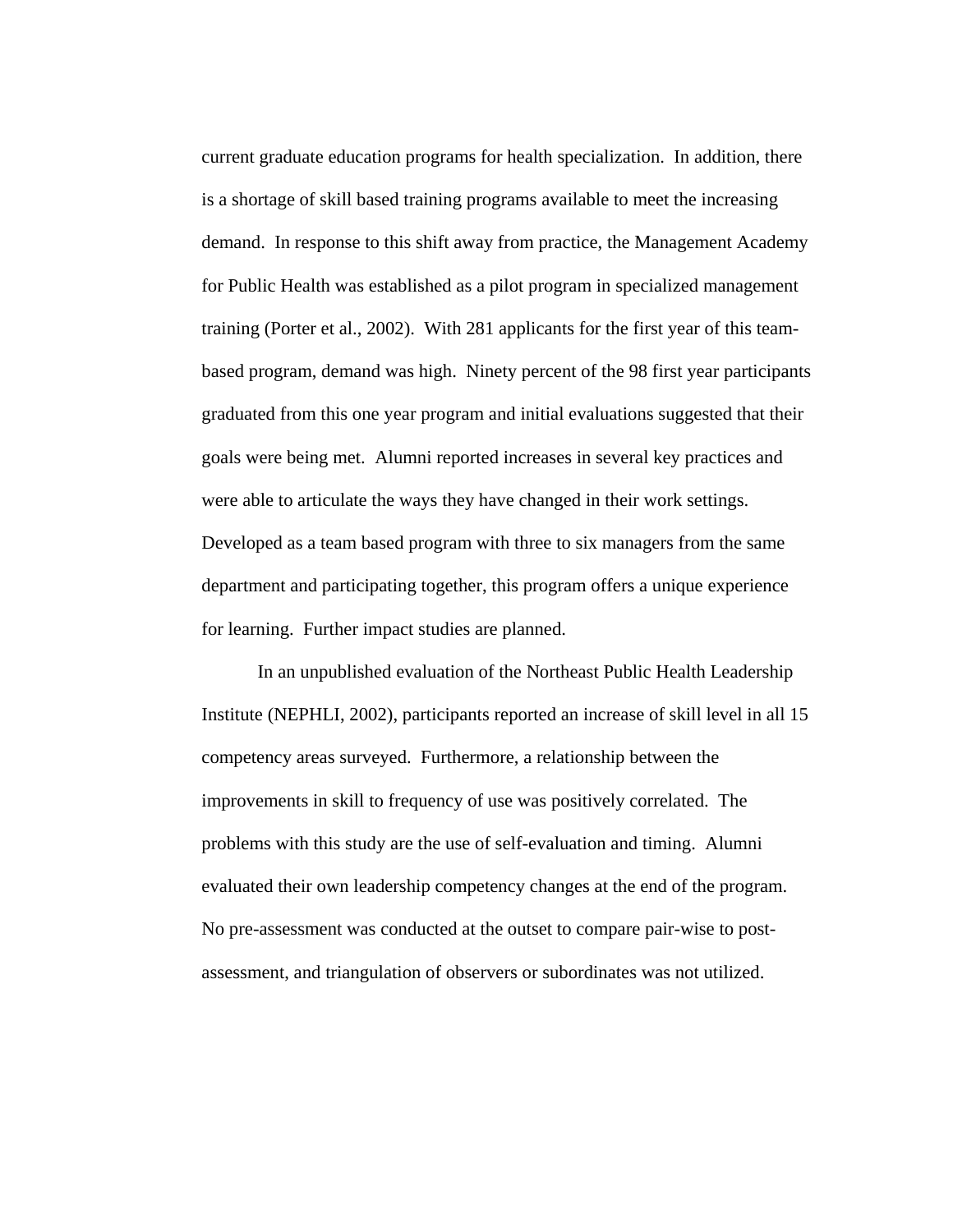current graduate education programs for health specialization. In addition, there is a shortage of skill based training programs available to meet the increasing demand. In response to this shift away from practice, the Management Academy for Public Health was established as a pilot program in specialized management training (Porter et al., 2002). With 281 applicants for the first year of this teambased program, demand was high. Ninety percent of the 98 first year participants graduated from this one year program and initial evaluations suggested that their goals were being met. Alumni reported increases in several key practices and were able to articulate the ways they have changed in their work settings. Developed as a team based program with three to six managers from the same department and participating together, this program offers a unique experience for learning. Further impact studies are planned.

In an unpublished evaluation of the Northeast Public Health Leadership Institute (NEPHLI, 2002), participants reported an increase of skill level in all 15 competency areas surveyed. Furthermore, a relationship between the improvements in skill to frequency of use was positively correlated. The problems with this study are the use of self-evaluation and timing. Alumni evaluated their own leadership competency changes at the end of the program. No pre-assessment was conducted at the outset to compare pair-wise to postassessment, and triangulation of observers or subordinates was not utilized.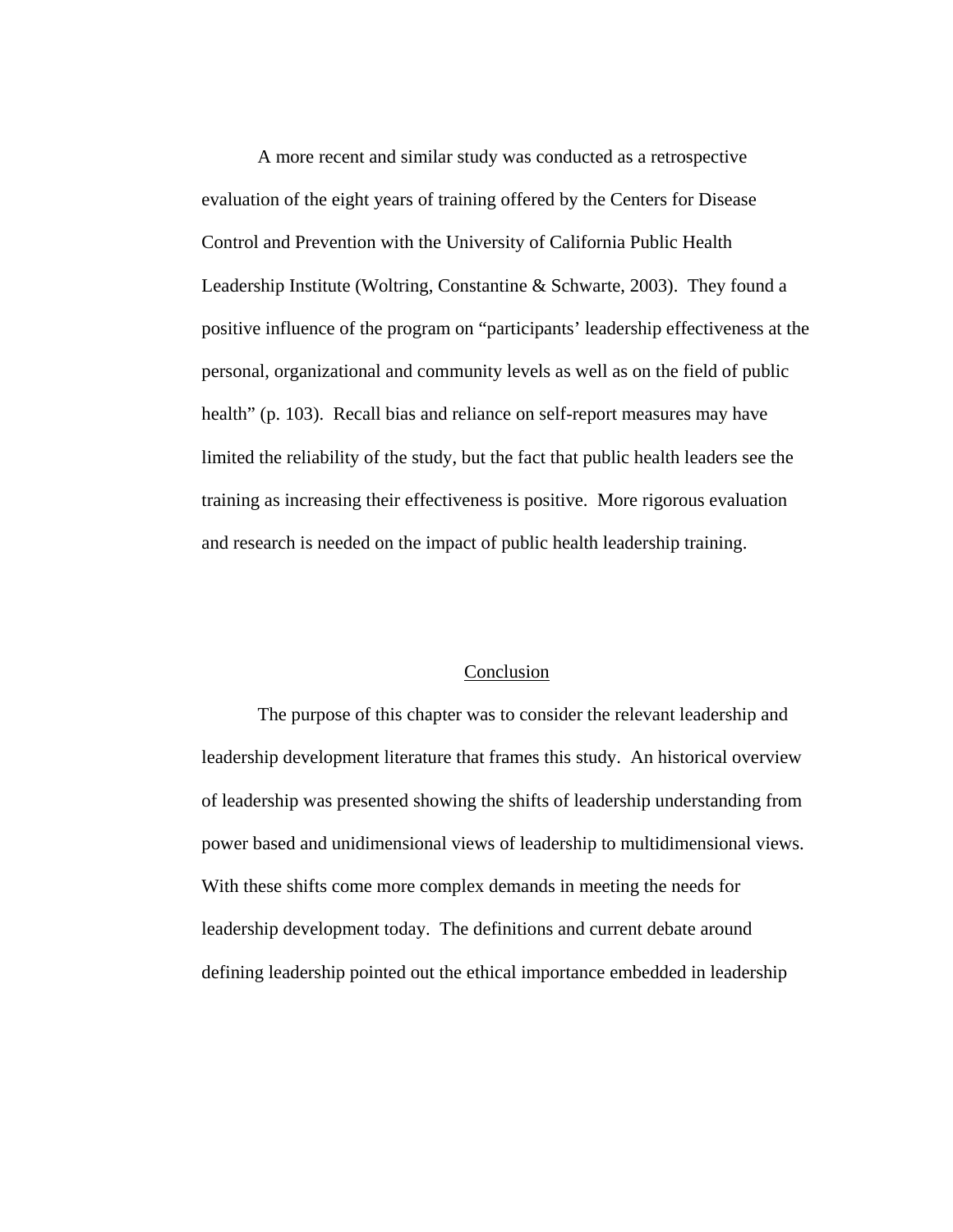A more recent and similar study was conducted as a retrospective evaluation of the eight years of training offered by the Centers for Disease Control and Prevention with the University of California Public Health Leadership Institute (Woltring, Constantine & Schwarte, 2003). They found a positive influence of the program on "participants' leadership effectiveness at the personal, organizational and community levels as well as on the field of public health" (p. 103). Recall bias and reliance on self-report measures may have limited the reliability of the study, but the fact that public health leaders see the training as increasing their effectiveness is positive. More rigorous evaluation and research is needed on the impact of public health leadership training.

# Conclusion

The purpose of this chapter was to consider the relevant leadership and leadership development literature that frames this study. An historical overview of leadership was presented showing the shifts of leadership understanding from power based and unidimensional views of leadership to multidimensional views. With these shifts come more complex demands in meeting the needs for leadership development today. The definitions and current debate around defining leadership pointed out the ethical importance embedded in leadership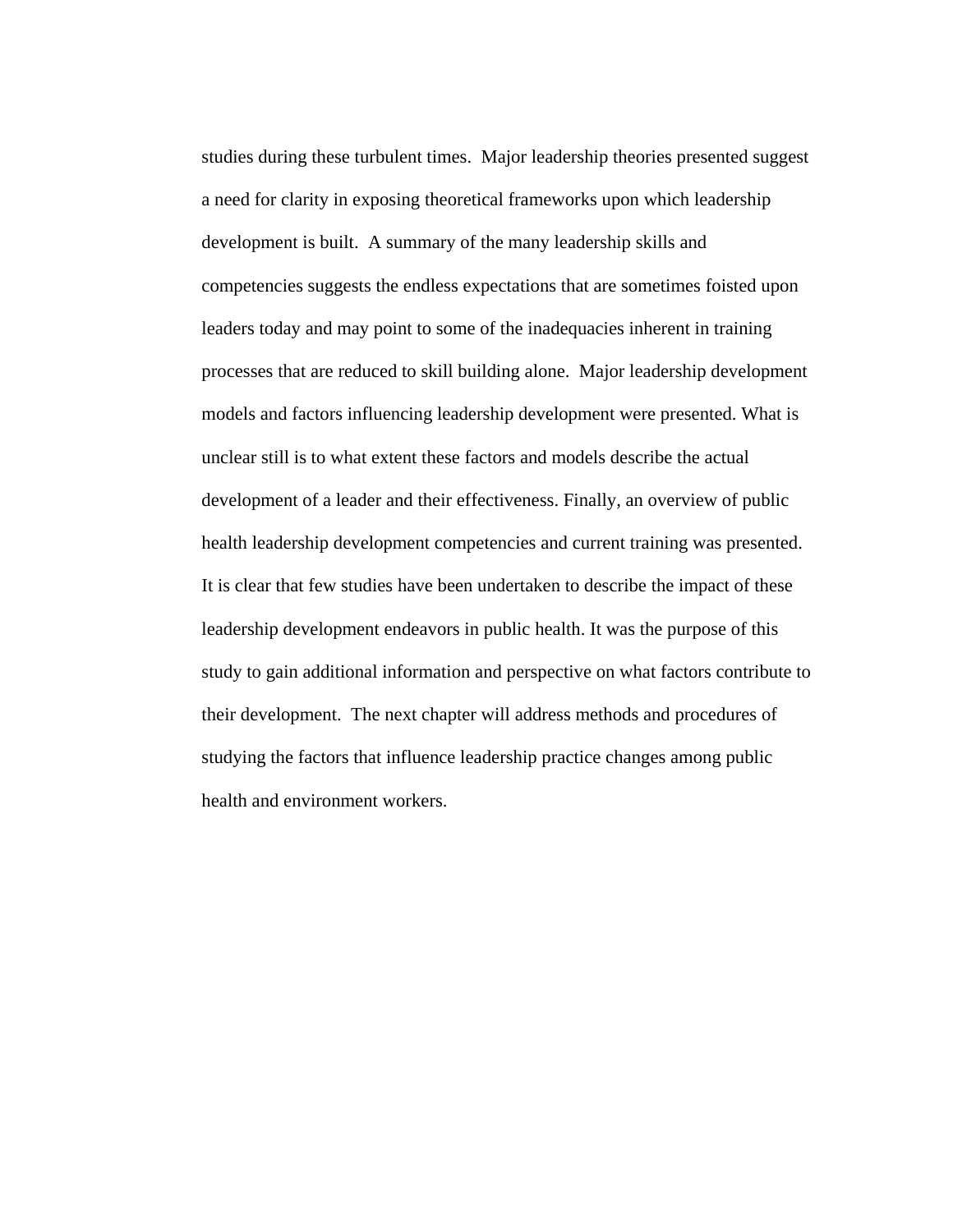studies during these turbulent times. Major leadership theories presented suggest a need for clarity in exposing theoretical frameworks upon which leadership development is built. A summary of the many leadership skills and competencies suggests the endless expectations that are sometimes foisted upon leaders today and may point to some of the inadequacies inherent in training processes that are reduced to skill building alone. Major leadership development models and factors influencing leadership development were presented. What is unclear still is to what extent these factors and models describe the actual development of a leader and their effectiveness. Finally, an overview of public health leadership development competencies and current training was presented. It is clear that few studies have been undertaken to describe the impact of these leadership development endeavors in public health. It was the purpose of this study to gain additional information and perspective on what factors contribute to their development. The next chapter will address methods and procedures of studying the factors that influence leadership practice changes among public health and environment workers.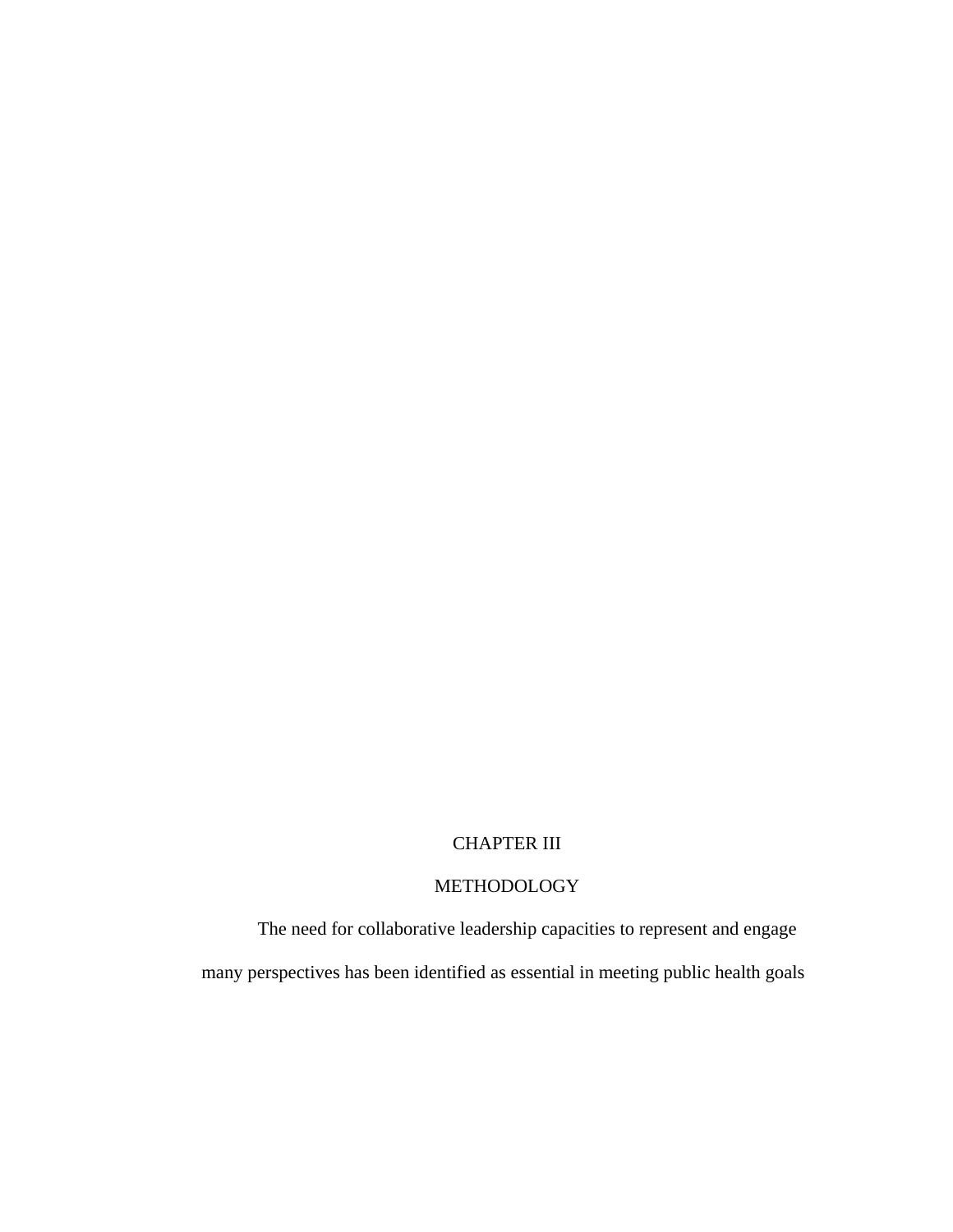# CHAPTER III

# METHODOLOGY

The need for collaborative leadership capacities to represent and engage many perspectives has been identified as essential in meeting public health goals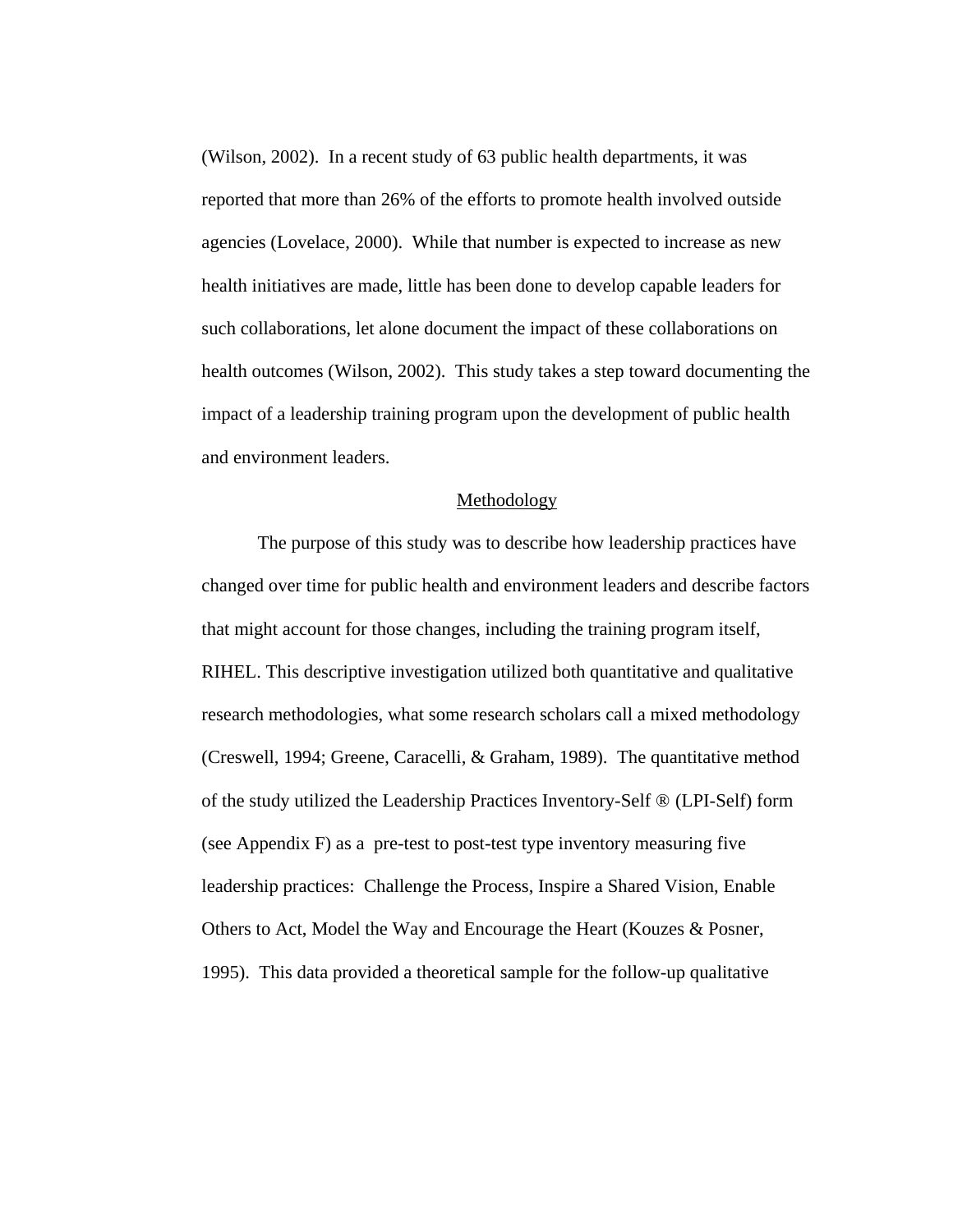(Wilson, 2002). In a recent study of 63 public health departments, it was reported that more than 26% of the efforts to promote health involved outside agencies (Lovelace, 2000). While that number is expected to increase as new health initiatives are made, little has been done to develop capable leaders for such collaborations, let alone document the impact of these collaborations on health outcomes (Wilson, 2002). This study takes a step toward documenting the impact of a leadership training program upon the development of public health and environment leaders.

#### Methodology

The purpose of this study was to describe how leadership practices have changed over time for public health and environment leaders and describe factors that might account for those changes, including the training program itself, RIHEL. This descriptive investigation utilized both quantitative and qualitative research methodologies, what some research scholars call a mixed methodology (Creswell, 1994; Greene, Caracelli, & Graham, 1989). The quantitative method of the study utilized the Leadership Practices Inventory-Self ® (LPI-Self) form (see Appendix F) as a pre-test to post-test type inventory measuring five leadership practices: Challenge the Process, Inspire a Shared Vision, Enable Others to Act, Model the Way and Encourage the Heart (Kouzes & Posner, 1995). This data provided a theoretical sample for the follow-up qualitative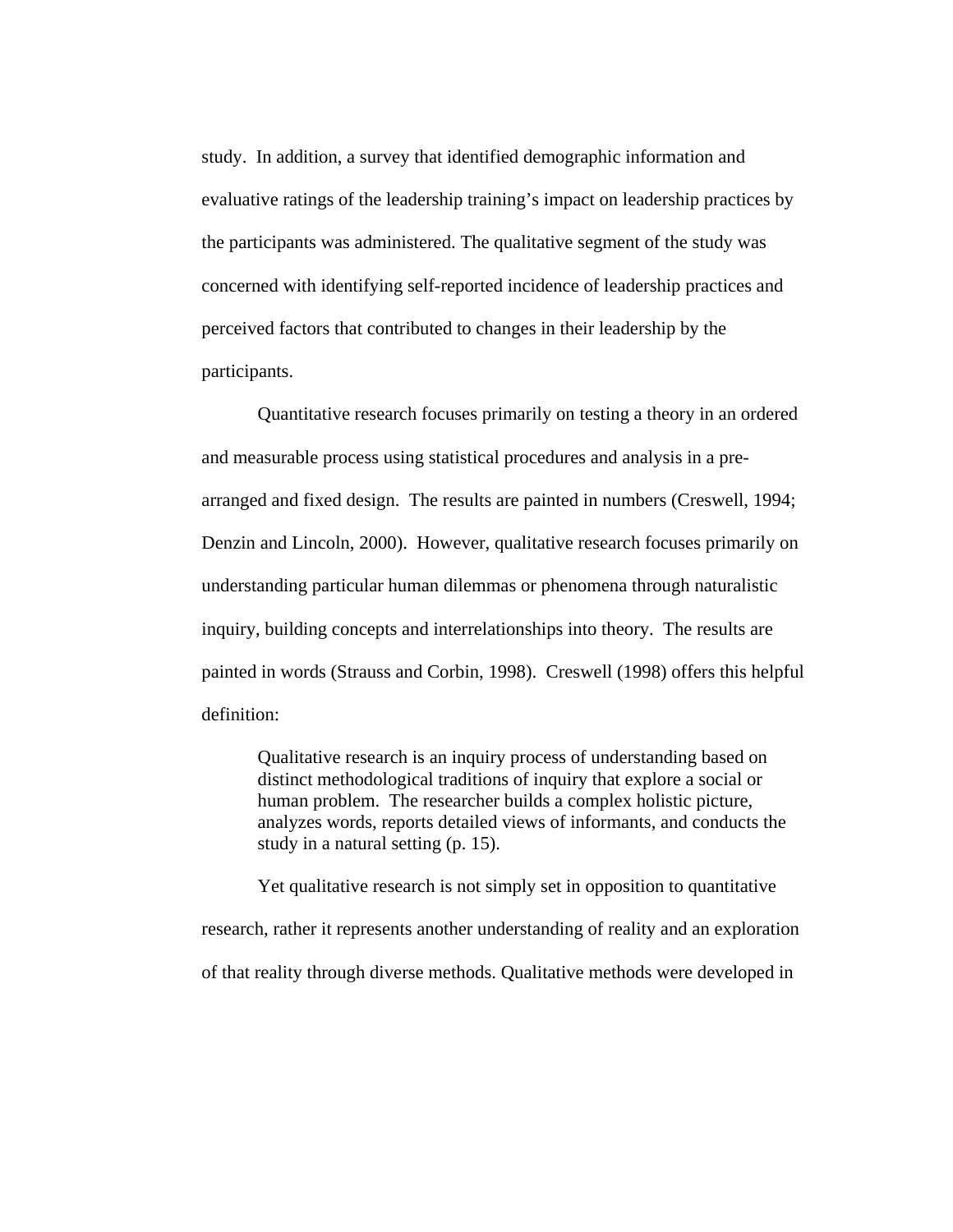study. In addition, a survey that identified demographic information and evaluative ratings of the leadership training's impact on leadership practices by the participants was administered. The qualitative segment of the study was concerned with identifying self-reported incidence of leadership practices and perceived factors that contributed to changes in their leadership by the participants.

Quantitative research focuses primarily on testing a theory in an ordered and measurable process using statistical procedures and analysis in a prearranged and fixed design. The results are painted in numbers (Creswell, 1994; Denzin and Lincoln, 2000). However, qualitative research focuses primarily on understanding particular human dilemmas or phenomena through naturalistic inquiry, building concepts and interrelationships into theory. The results are painted in words (Strauss and Corbin, 1998). Creswell (1998) offers this helpful definition:

Qualitative research is an inquiry process of understanding based on distinct methodological traditions of inquiry that explore a social or human problem. The researcher builds a complex holistic picture, analyzes words, reports detailed views of informants, and conducts the study in a natural setting (p. 15).

Yet qualitative research is not simply set in opposition to quantitative research, rather it represents another understanding of reality and an exploration of that reality through diverse methods. Qualitative methods were developed in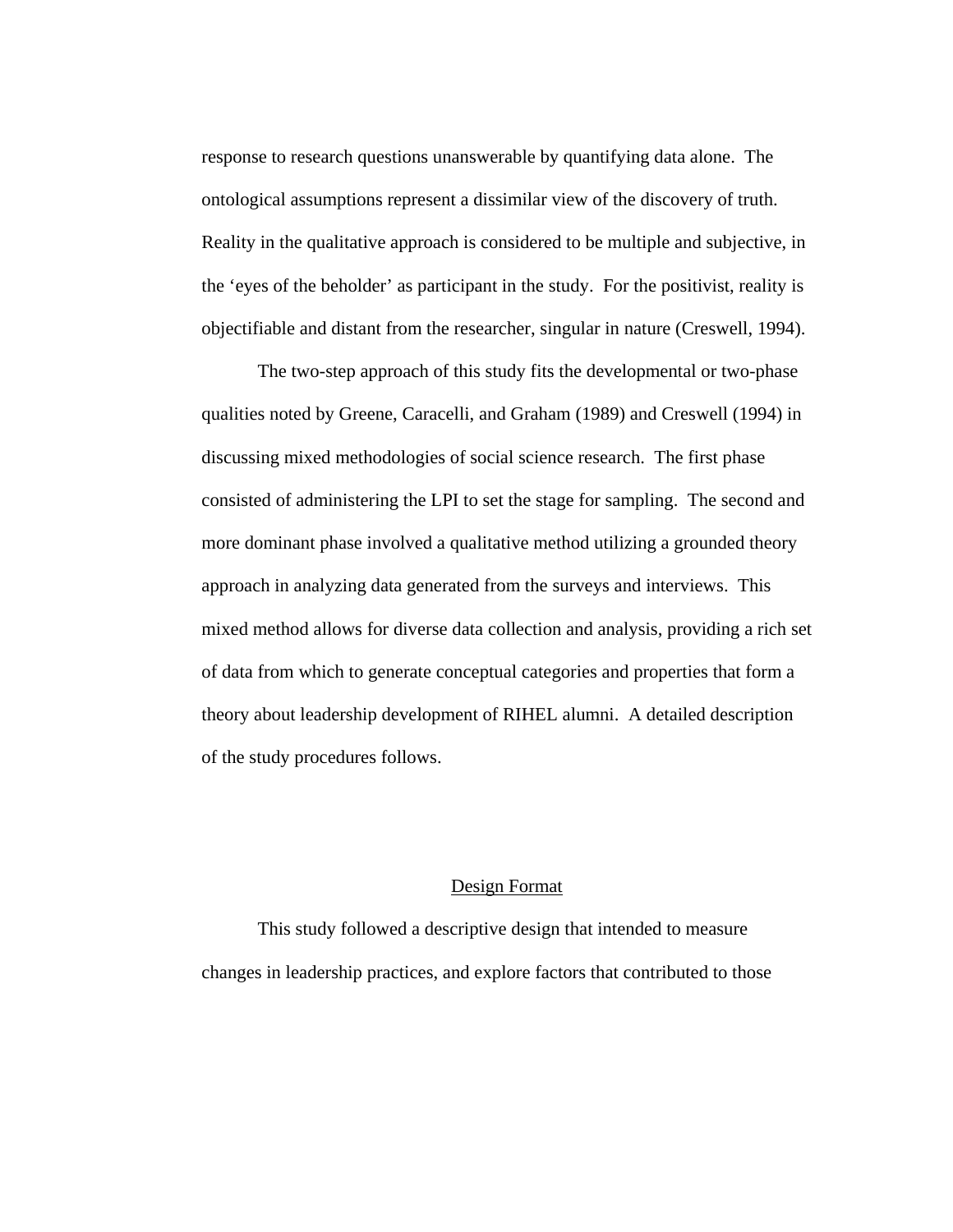response to research questions unanswerable by quantifying data alone. The ontological assumptions represent a dissimilar view of the discovery of truth. Reality in the qualitative approach is considered to be multiple and subjective, in the 'eyes of the beholder' as participant in the study. For the positivist, reality is objectifiable and distant from the researcher, singular in nature (Creswell, 1994).

The two-step approach of this study fits the developmental or two-phase qualities noted by Greene, Caracelli, and Graham (1989) and Creswell (1994) in discussing mixed methodologies of social science research. The first phase consisted of administering the LPI to set the stage for sampling. The second and more dominant phase involved a qualitative method utilizing a grounded theory approach in analyzing data generated from the surveys and interviews. This mixed method allows for diverse data collection and analysis, providing a rich set of data from which to generate conceptual categories and properties that form a theory about leadership development of RIHEL alumni. A detailed description of the study procedures follows.

#### Design Format

This study followed a descriptive design that intended to measure changes in leadership practices, and explore factors that contributed to those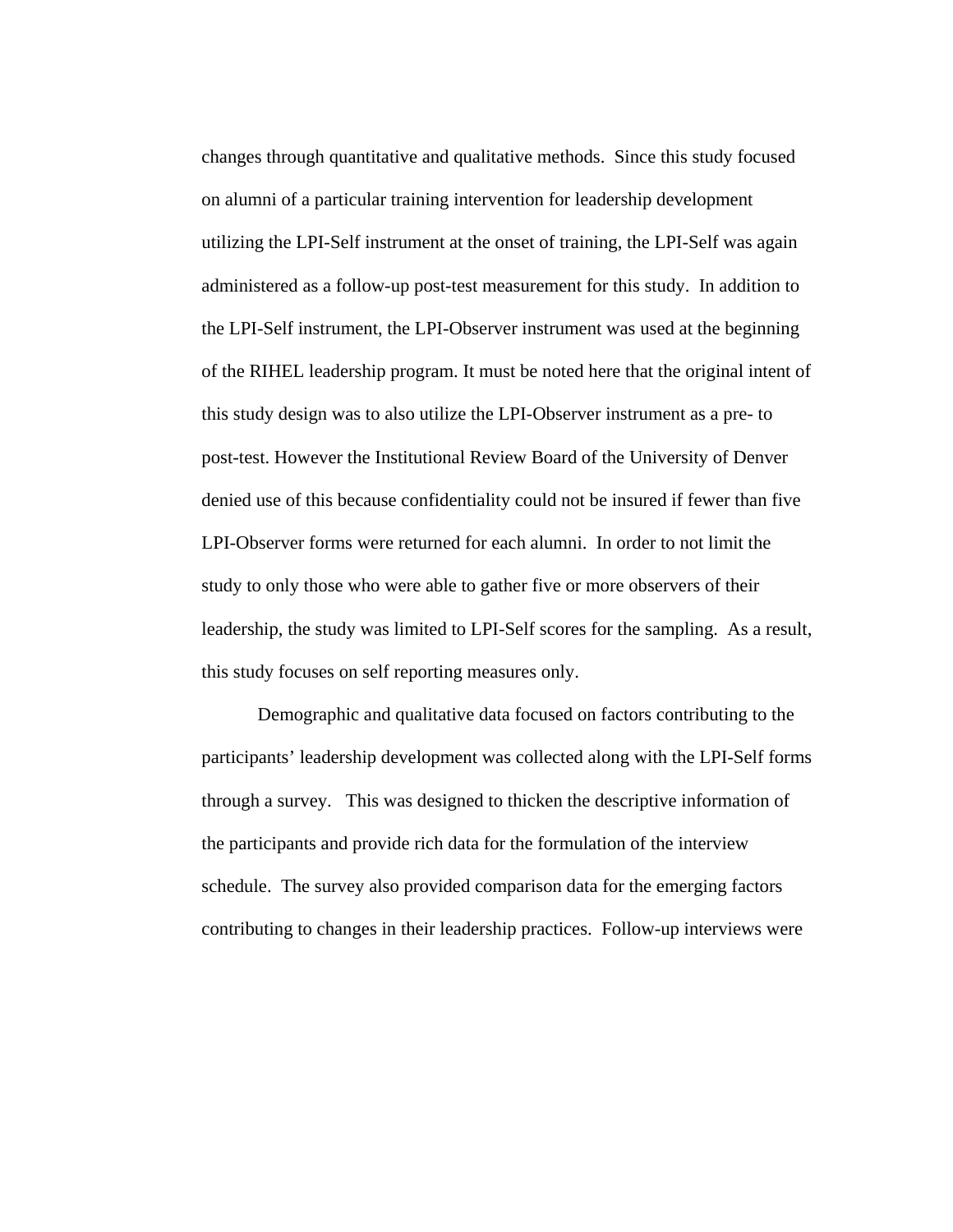changes through quantitative and qualitative methods. Since this study focused on alumni of a particular training intervention for leadership development utilizing the LPI-Self instrument at the onset of training, the LPI-Self was again administered as a follow-up post-test measurement for this study. In addition to the LPI-Self instrument, the LPI-Observer instrument was used at the beginning of the RIHEL leadership program. It must be noted here that the original intent of this study design was to also utilize the LPI-Observer instrument as a pre- to post-test. However the Institutional Review Board of the University of Denver denied use of this because confidentiality could not be insured if fewer than five LPI-Observer forms were returned for each alumni. In order to not limit the study to only those who were able to gather five or more observers of their leadership, the study was limited to LPI-Self scores for the sampling. As a result, this study focuses on self reporting measures only.

Demographic and qualitative data focused on factors contributing to the participants' leadership development was collected along with the LPI-Self forms through a survey. This was designed to thicken the descriptive information of the participants and provide rich data for the formulation of the interview schedule. The survey also provided comparison data for the emerging factors contributing to changes in their leadership practices. Follow-up interviews were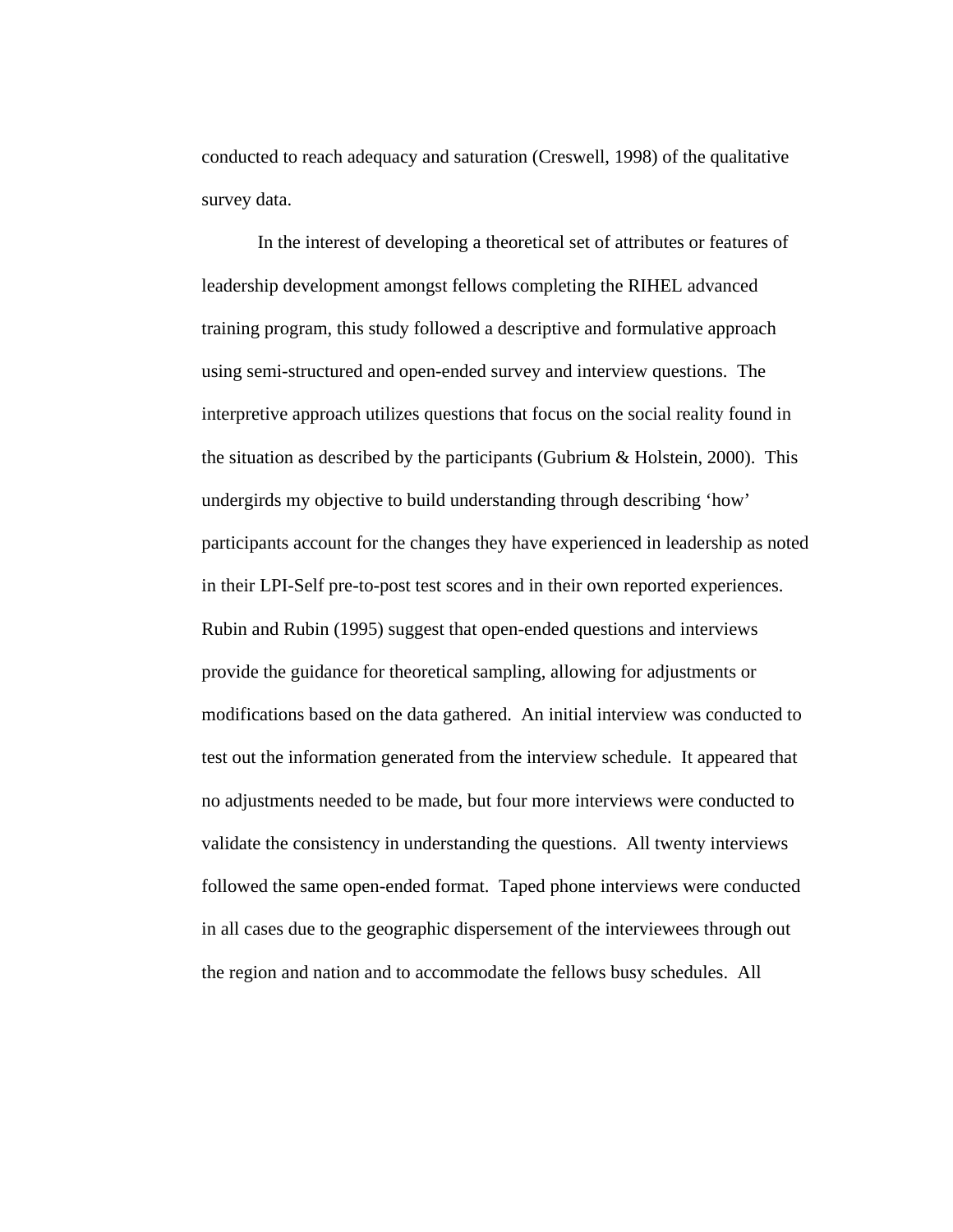conducted to reach adequacy and saturation (Creswell, 1998) of the qualitative survey data.

In the interest of developing a theoretical set of attributes or features of leadership development amongst fellows completing the RIHEL advanced training program, this study followed a descriptive and formulative approach using semi-structured and open-ended survey and interview questions. The interpretive approach utilizes questions that focus on the social reality found in the situation as described by the participants (Gubrium  $\&$  Holstein, 2000). This undergirds my objective to build understanding through describing 'how' participants account for the changes they have experienced in leadership as noted in their LPI-Self pre-to-post test scores and in their own reported experiences. Rubin and Rubin (1995) suggest that open-ended questions and interviews provide the guidance for theoretical sampling, allowing for adjustments or modifications based on the data gathered. An initial interview was conducted to test out the information generated from the interview schedule. It appeared that no adjustments needed to be made, but four more interviews were conducted to validate the consistency in understanding the questions. All twenty interviews followed the same open-ended format. Taped phone interviews were conducted in all cases due to the geographic dispersement of the interviewees through out the region and nation and to accommodate the fellows busy schedules. All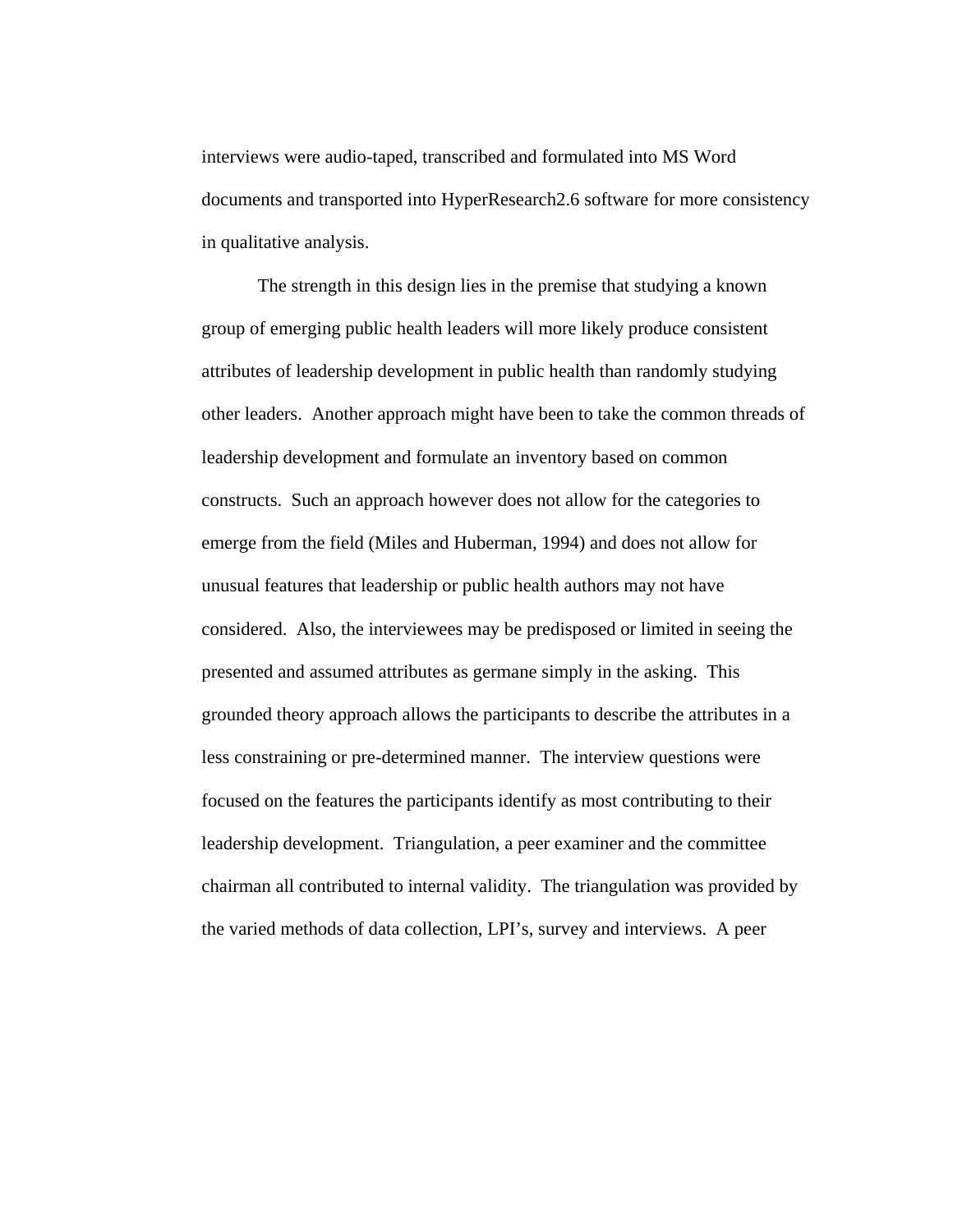interviews were audio-taped, transcribed and formulated into MS Word documents and transported into HyperResearch2.6 software for more consistency in qualitative analysis.

The strength in this design lies in the premise that studying a known group of emerging public health leaders will more likely produce consistent attributes of leadership development in public health than randomly studying other leaders. Another approach might have been to take the common threads of leadership development and formulate an inventory based on common constructs. Such an approach however does not allow for the categories to emerge from the field (Miles and Huberman, 1994) and does not allow for unusual features that leadership or public health authors may not have considered. Also, the interviewees may be predisposed or limited in seeing the presented and assumed attributes as germane simply in the asking. This grounded theory approach allows the participants to describe the attributes in a less constraining or pre-determined manner. The interview questions were focused on the features the participants identify as most contributing to their leadership development. Triangulation, a peer examiner and the committee chairman all contributed to internal validity. The triangulation was provided by the varied methods of data collection, LPI's, survey and interviews. A peer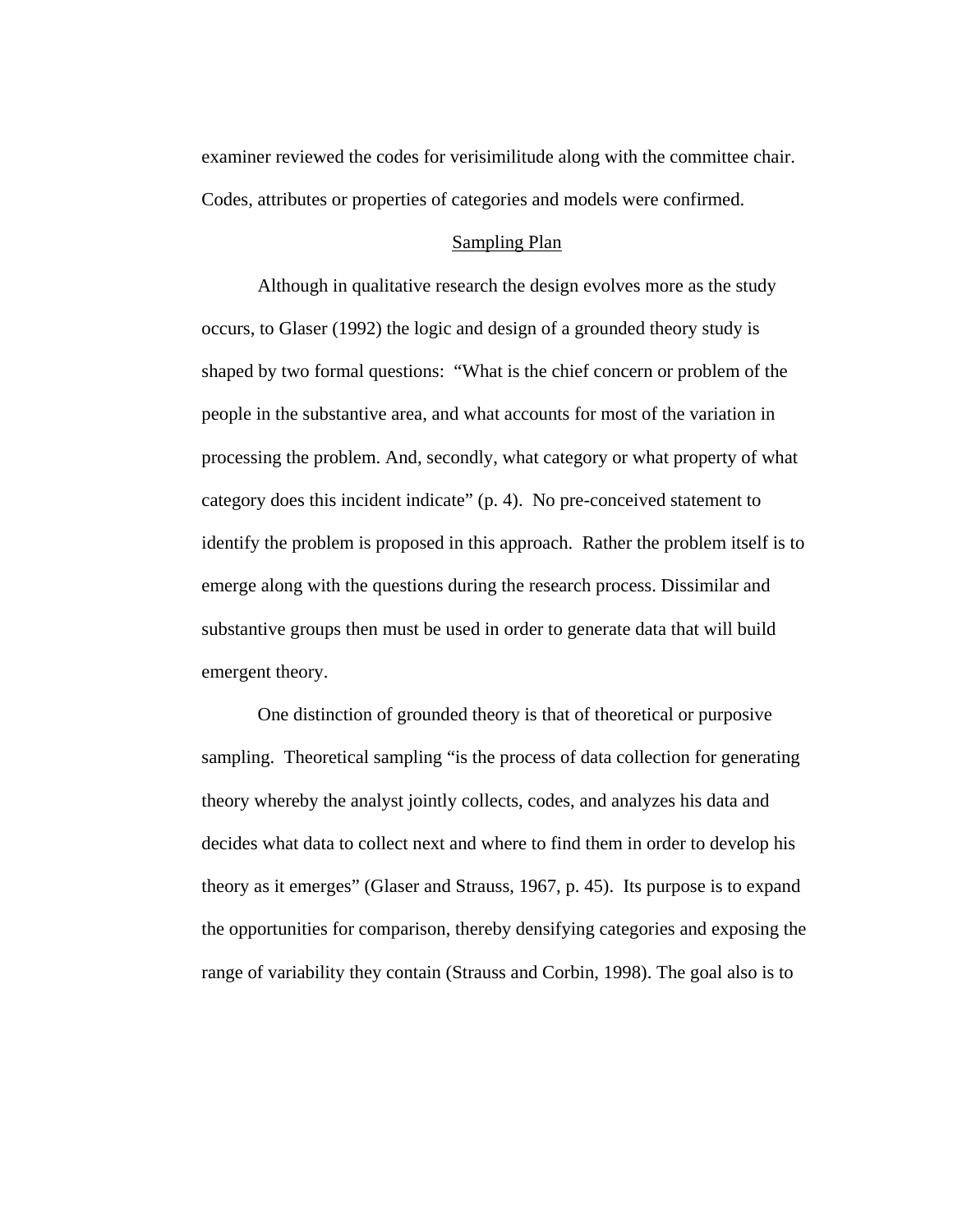examiner reviewed the codes for verisimilitude along with the committee chair. Codes, attributes or properties of categories and models were confirmed.

### Sampling Plan

Although in qualitative research the design evolves more as the study occurs, to Glaser (1992) the logic and design of a grounded theory study is shaped by two formal questions: "What is the chief concern or problem of the people in the substantive area, and what accounts for most of the variation in processing the problem. And, secondly, what category or what property of what category does this incident indicate" (p. 4). No pre-conceived statement to identify the problem is proposed in this approach. Rather the problem itself is to emerge along with the questions during the research process. Dissimilar and substantive groups then must be used in order to generate data that will build emergent theory.

One distinction of grounded theory is that of theoretical or purposive sampling. Theoretical sampling "is the process of data collection for generating theory whereby the analyst jointly collects, codes, and analyzes his data and decides what data to collect next and where to find them in order to develop his theory as it emerges" (Glaser and Strauss, 1967, p. 45). Its purpose is to expand the opportunities for comparison, thereby densifying categories and exposing the range of variability they contain (Strauss and Corbin, 1998). The goal also is to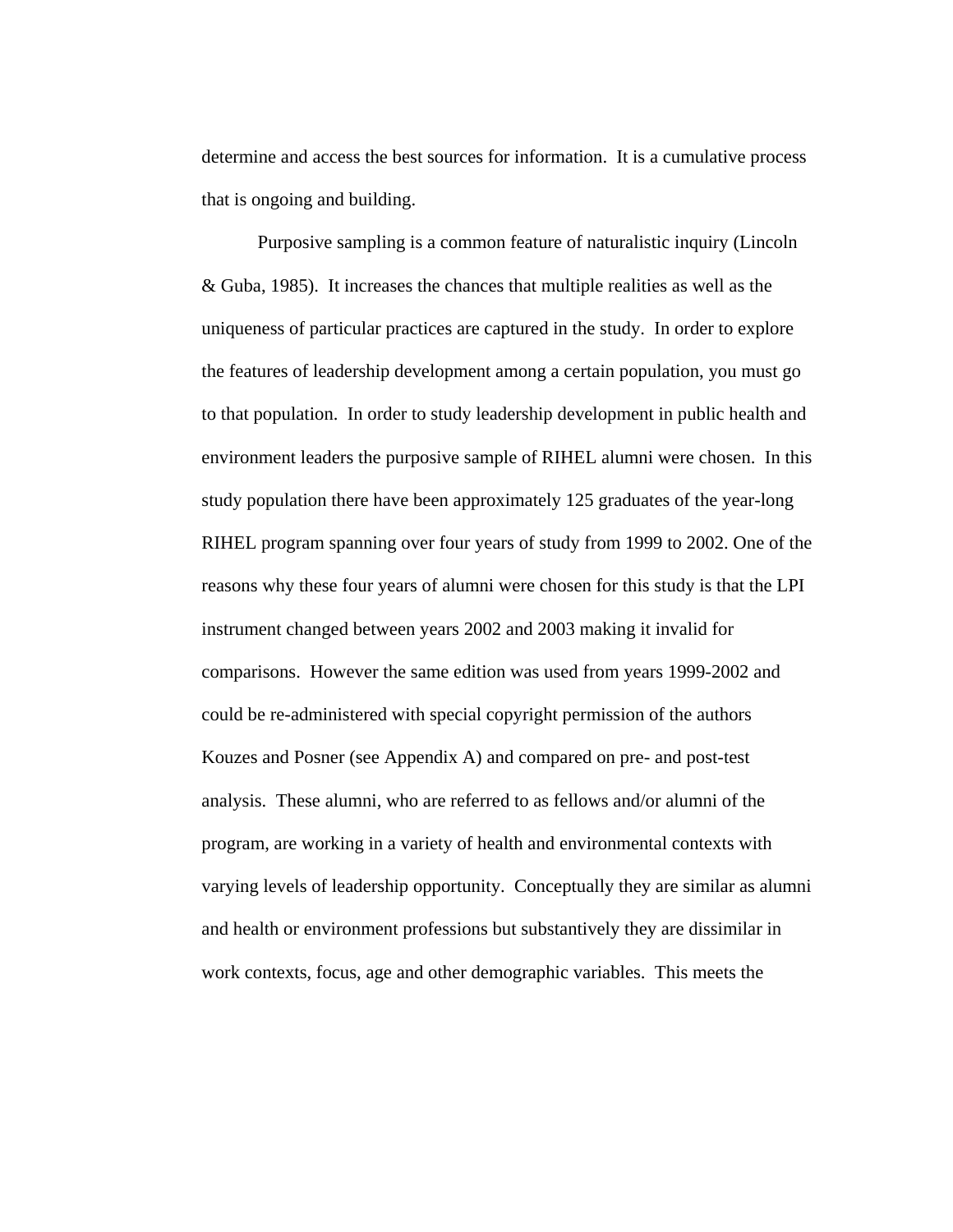determine and access the best sources for information. It is a cumulative process that is ongoing and building.

Purposive sampling is a common feature of naturalistic inquiry (Lincoln & Guba, 1985). It increases the chances that multiple realities as well as the uniqueness of particular practices are captured in the study. In order to explore the features of leadership development among a certain population, you must go to that population. In order to study leadership development in public health and environment leaders the purposive sample of RIHEL alumni were chosen. In this study population there have been approximately 125 graduates of the year-long RIHEL program spanning over four years of study from 1999 to 2002. One of the reasons why these four years of alumni were chosen for this study is that the LPI instrument changed between years 2002 and 2003 making it invalid for comparisons. However the same edition was used from years 1999-2002 and could be re-administered with special copyright permission of the authors Kouzes and Posner (see Appendix A) and compared on pre- and post-test analysis. These alumni, who are referred to as fellows and/or alumni of the program, are working in a variety of health and environmental contexts with varying levels of leadership opportunity. Conceptually they are similar as alumni and health or environment professions but substantively they are dissimilar in work contexts, focus, age and other demographic variables. This meets the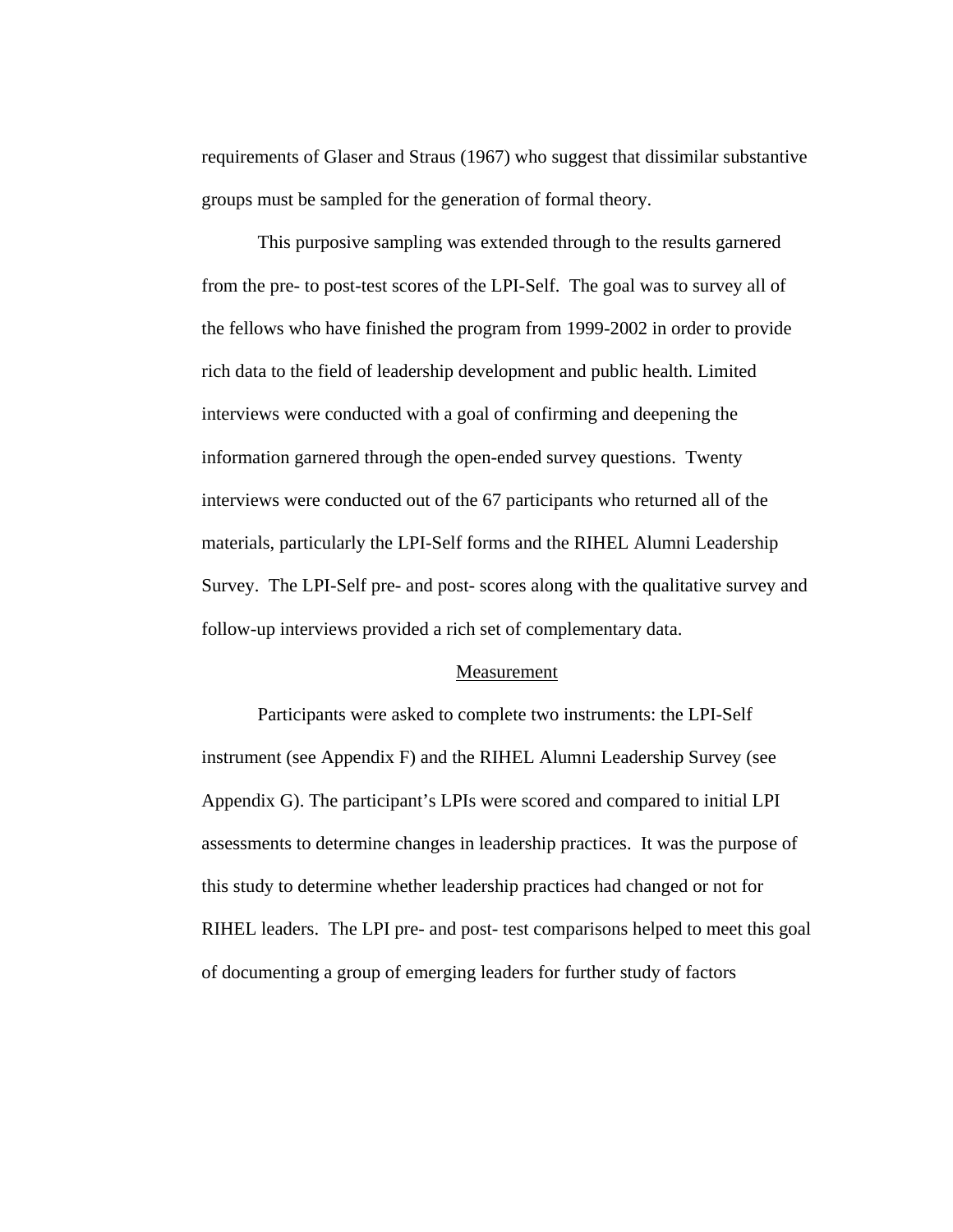requirements of Glaser and Straus (1967) who suggest that dissimilar substantive groups must be sampled for the generation of formal theory.

This purposive sampling was extended through to the results garnered from the pre- to post-test scores of the LPI-Self. The goal was to survey all of the fellows who have finished the program from 1999-2002 in order to provide rich data to the field of leadership development and public health. Limited interviews were conducted with a goal of confirming and deepening the information garnered through the open-ended survey questions. Twenty interviews were conducted out of the 67 participants who returned all of the materials, particularly the LPI-Self forms and the RIHEL Alumni Leadership Survey. The LPI-Self pre- and post- scores along with the qualitative survey and follow-up interviews provided a rich set of complementary data.

#### Measurement

Participants were asked to complete two instruments: the LPI-Self instrument (see Appendix F) and the RIHEL Alumni Leadership Survey (see Appendix G). The participant's LPIs were scored and compared to initial LPI assessments to determine changes in leadership practices. It was the purpose of this study to determine whether leadership practices had changed or not for RIHEL leaders. The LPI pre- and post- test comparisons helped to meet this goal of documenting a group of emerging leaders for further study of factors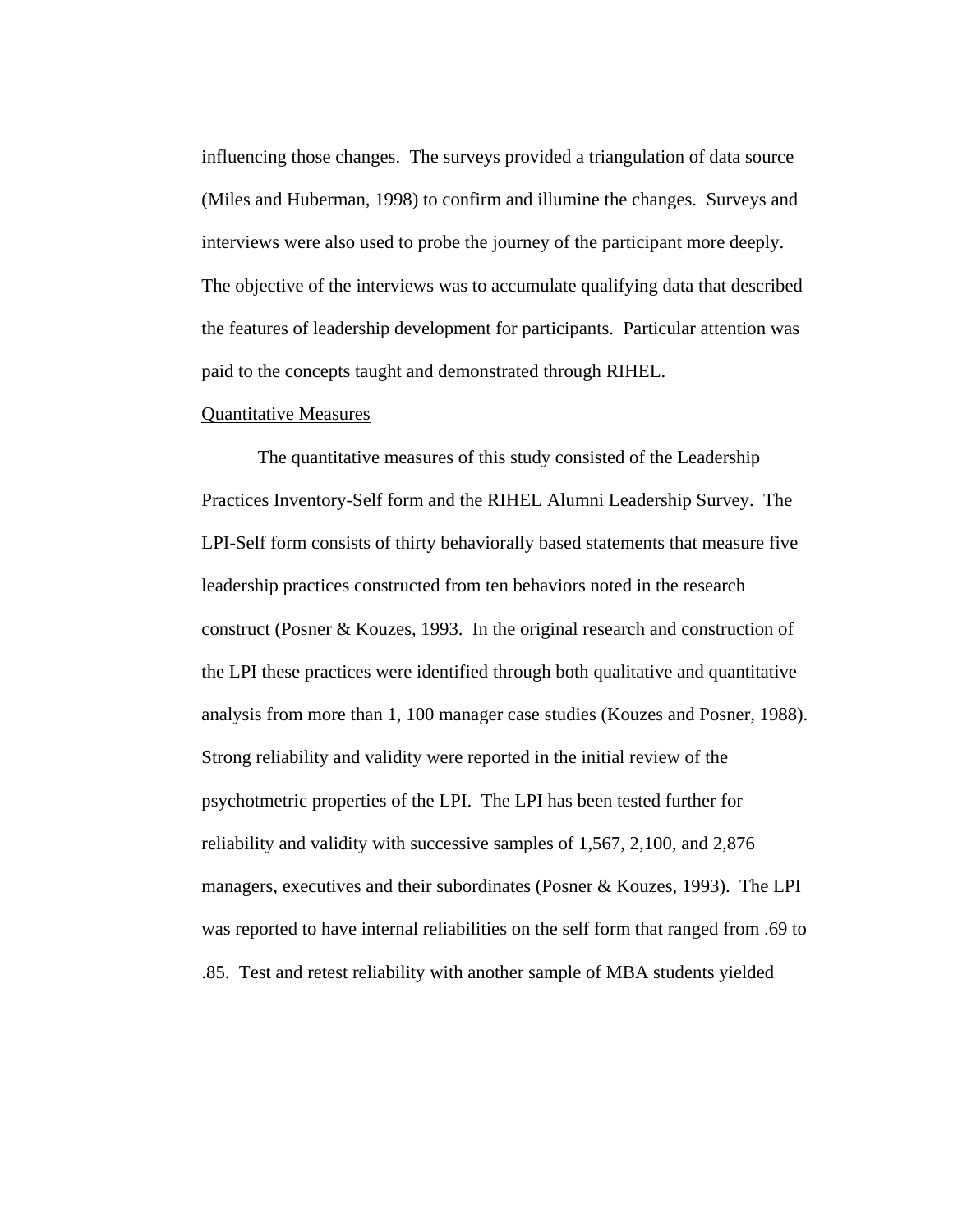influencing those changes. The surveys provided a triangulation of data source (Miles and Huberman, 1998) to confirm and illumine the changes. Surveys and interviews were also used to probe the journey of the participant more deeply. The objective of the interviews was to accumulate qualifying data that described the features of leadership development for participants. Particular attention was paid to the concepts taught and demonstrated through RIHEL.

#### Quantitative Measures

The quantitative measures of this study consisted of the Leadership Practices Inventory-Self form and the RIHEL Alumni Leadership Survey. The LPI-Self form consists of thirty behaviorally based statements that measure five leadership practices constructed from ten behaviors noted in the research construct (Posner & Kouzes, 1993. In the original research and construction of the LPI these practices were identified through both qualitative and quantitative analysis from more than 1, 100 manager case studies (Kouzes and Posner, 1988). Strong reliability and validity were reported in the initial review of the psychotmetric properties of the LPI. The LPI has been tested further for reliability and validity with successive samples of 1,567, 2,100, and 2,876 managers, executives and their subordinates (Posner & Kouzes, 1993). The LPI was reported to have internal reliabilities on the self form that ranged from .69 to .85. Test and retest reliability with another sample of MBA students yielded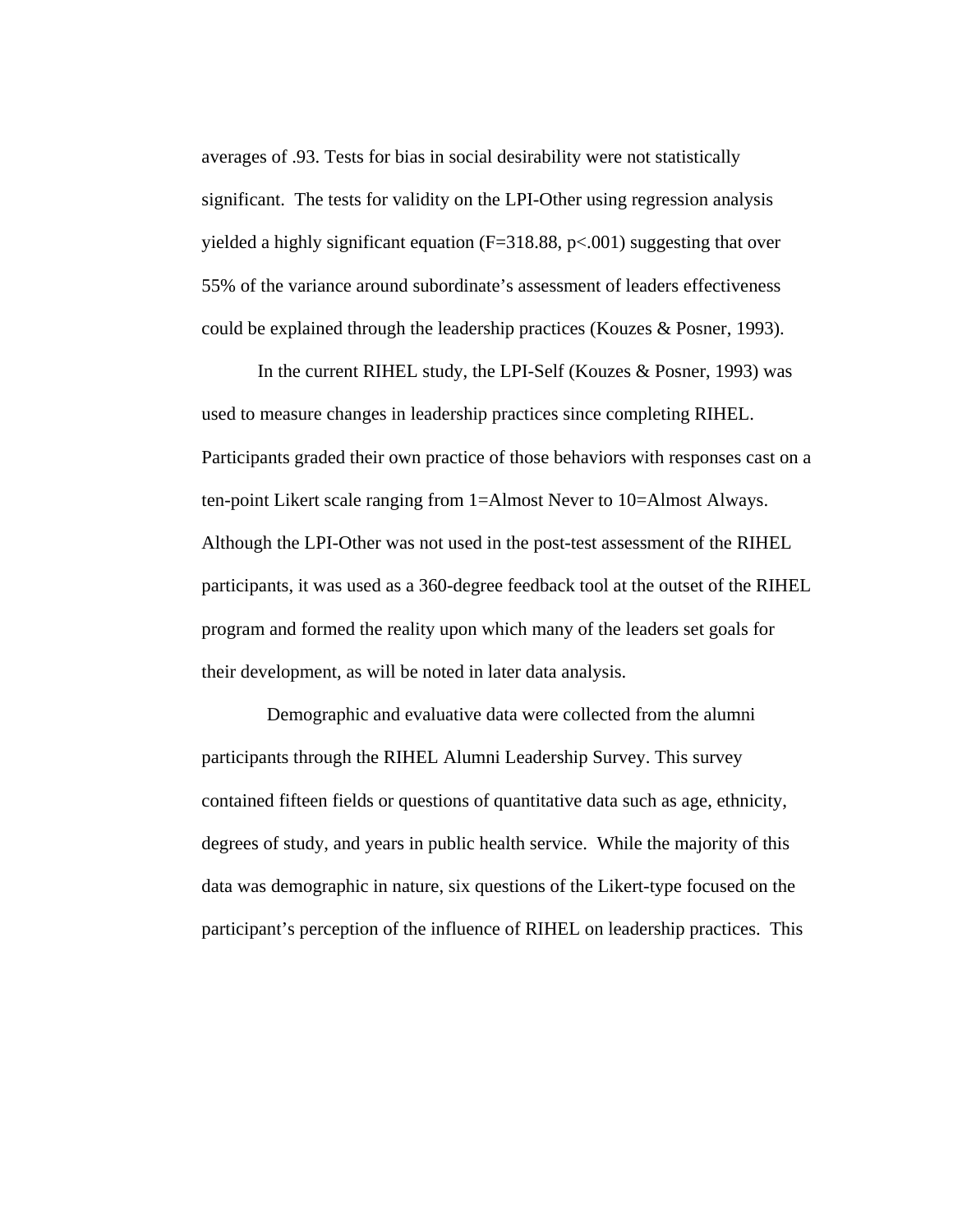averages of .93. Tests for bias in social desirability were not statistically significant. The tests for validity on the LPI-Other using regression analysis yielded a highly significant equation  $(F=318.88, p<.001)$  suggesting that over 55% of the variance around subordinate's assessment of leaders effectiveness could be explained through the leadership practices (Kouzes & Posner, 1993).

In the current RIHEL study, the LPI-Self (Kouzes & Posner, 1993) was used to measure changes in leadership practices since completing RIHEL. Participants graded their own practice of those behaviors with responses cast on a ten-point Likert scale ranging from 1=Almost Never to 10=Almost Always. Although the LPI-Other was not used in the post-test assessment of the RIHEL participants, it was used as a 360-degree feedback tool at the outset of the RIHEL program and formed the reality upon which many of the leaders set goals for their development, as will be noted in later data analysis.

 Demographic and evaluative data were collected from the alumni participants through the RIHEL Alumni Leadership Survey. This survey contained fifteen fields or questions of quantitative data such as age, ethnicity, degrees of study, and years in public health service. While the majority of this data was demographic in nature, six questions of the Likert-type focused on the participant's perception of the influence of RIHEL on leadership practices. This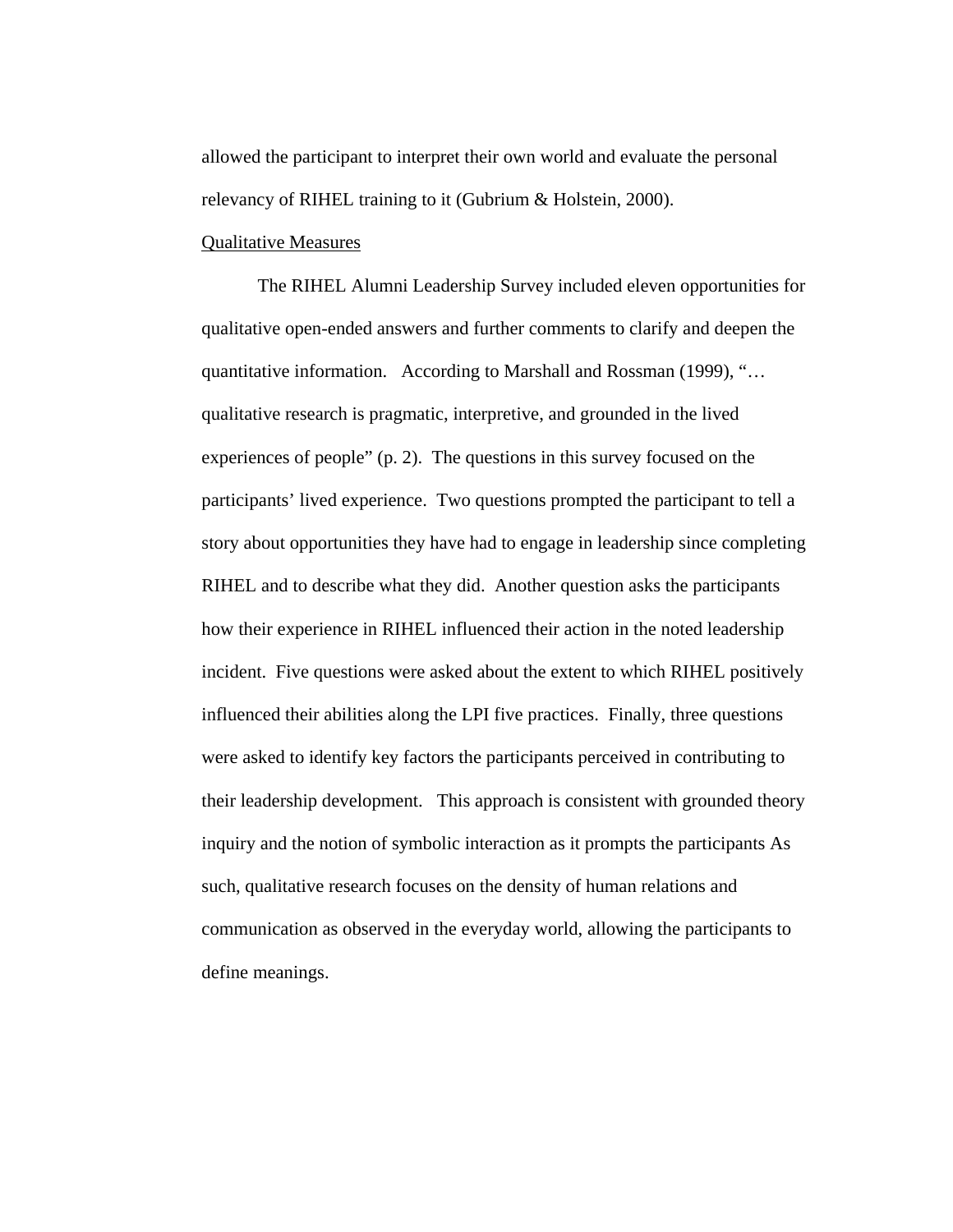allowed the participant to interpret their own world and evaluate the personal relevancy of RIHEL training to it (Gubrium & Holstein, 2000).

# Qualitative Measures

The RIHEL Alumni Leadership Survey included eleven opportunities for qualitative open-ended answers and further comments to clarify and deepen the quantitative information. According to Marshall and Rossman (1999), "… qualitative research is pragmatic, interpretive, and grounded in the lived experiences of people" (p. 2). The questions in this survey focused on the participants' lived experience. Two questions prompted the participant to tell a story about opportunities they have had to engage in leadership since completing RIHEL and to describe what they did. Another question asks the participants how their experience in RIHEL influenced their action in the noted leadership incident. Five questions were asked about the extent to which RIHEL positively influenced their abilities along the LPI five practices. Finally, three questions were asked to identify key factors the participants perceived in contributing to their leadership development. This approach is consistent with grounded theory inquiry and the notion of symbolic interaction as it prompts the participants As such, qualitative research focuses on the density of human relations and communication as observed in the everyday world, allowing the participants to define meanings.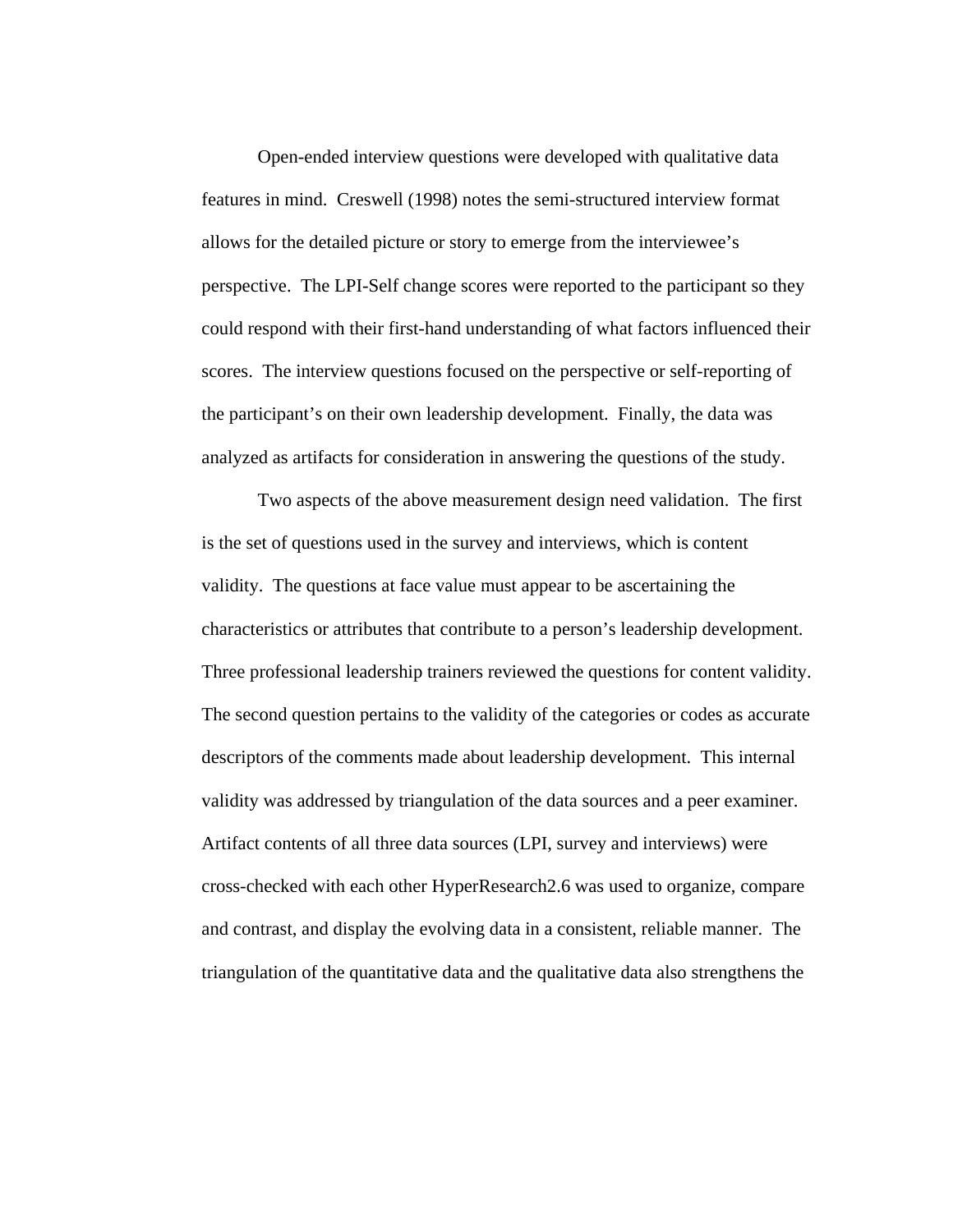Open-ended interview questions were developed with qualitative data features in mind. Creswell (1998) notes the semi-structured interview format allows for the detailed picture or story to emerge from the interviewee's perspective. The LPI-Self change scores were reported to the participant so they could respond with their first-hand understanding of what factors influenced their scores. The interview questions focused on the perspective or self-reporting of the participant's on their own leadership development. Finally, the data was analyzed as artifacts for consideration in answering the questions of the study.

Two aspects of the above measurement design need validation. The first is the set of questions used in the survey and interviews, which is content validity. The questions at face value must appear to be ascertaining the characteristics or attributes that contribute to a person's leadership development. Three professional leadership trainers reviewed the questions for content validity. The second question pertains to the validity of the categories or codes as accurate descriptors of the comments made about leadership development. This internal validity was addressed by triangulation of the data sources and a peer examiner. Artifact contents of all three data sources (LPI, survey and interviews) were cross-checked with each other HyperResearch2.6 was used to organize, compare and contrast, and display the evolving data in a consistent, reliable manner. The triangulation of the quantitative data and the qualitative data also strengthens the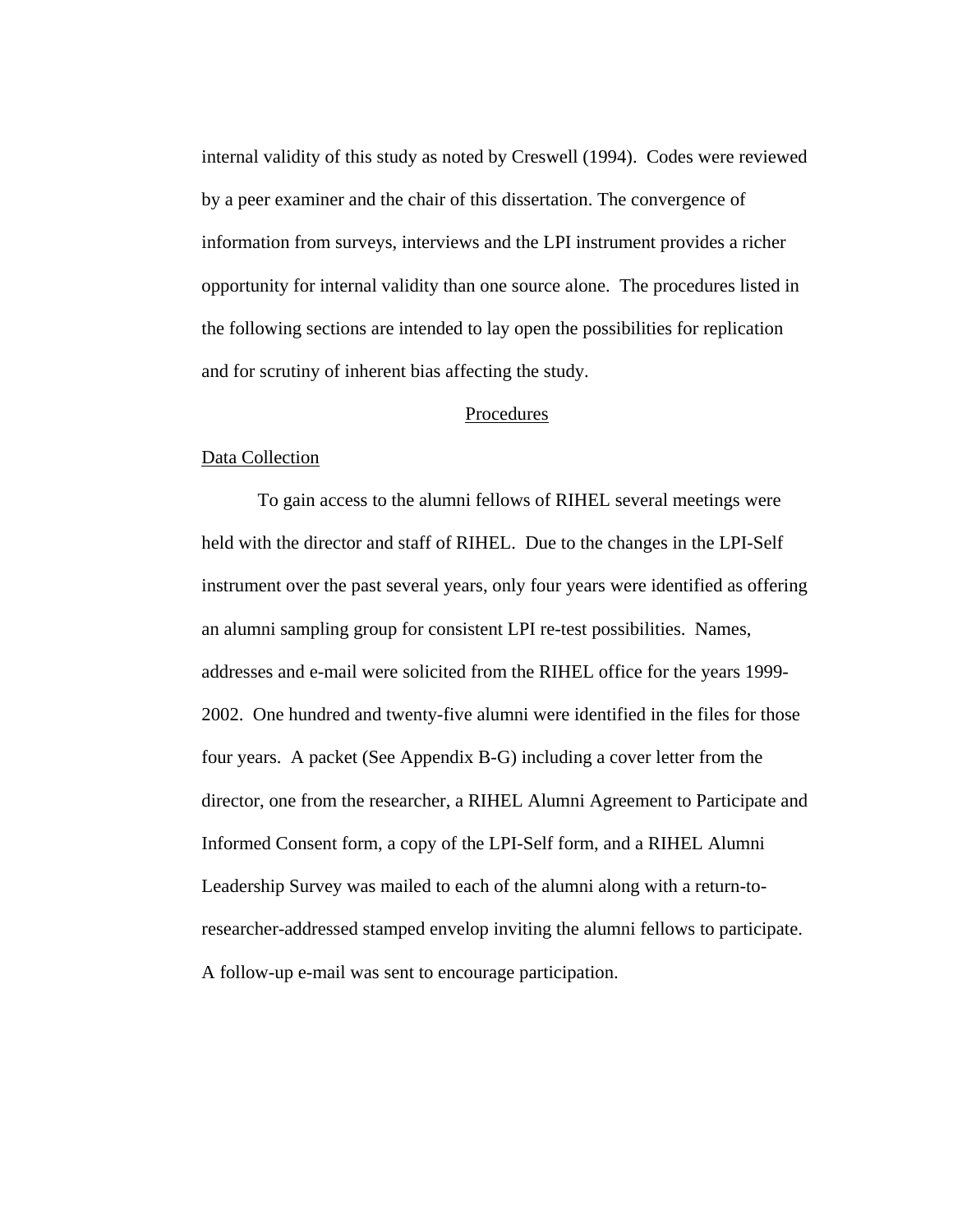internal validity of this study as noted by Creswell (1994). Codes were reviewed by a peer examiner and the chair of this dissertation. The convergence of information from surveys, interviews and the LPI instrument provides a richer opportunity for internal validity than one source alone. The procedures listed in the following sections are intended to lay open the possibilities for replication and for scrutiny of inherent bias affecting the study.

## Procedures

## Data Collection

 To gain access to the alumni fellows of RIHEL several meetings were held with the director and staff of RIHEL. Due to the changes in the LPI-Self instrument over the past several years, only four years were identified as offering an alumni sampling group for consistent LPI re-test possibilities. Names, addresses and e-mail were solicited from the RIHEL office for the years 1999- 2002. One hundred and twenty-five alumni were identified in the files for those four years. A packet (See Appendix B-G) including a cover letter from the director, one from the researcher, a RIHEL Alumni Agreement to Participate and Informed Consent form, a copy of the LPI-Self form, and a RIHEL Alumni Leadership Survey was mailed to each of the alumni along with a return-toresearcher-addressed stamped envelop inviting the alumni fellows to participate. A follow-up e-mail was sent to encourage participation.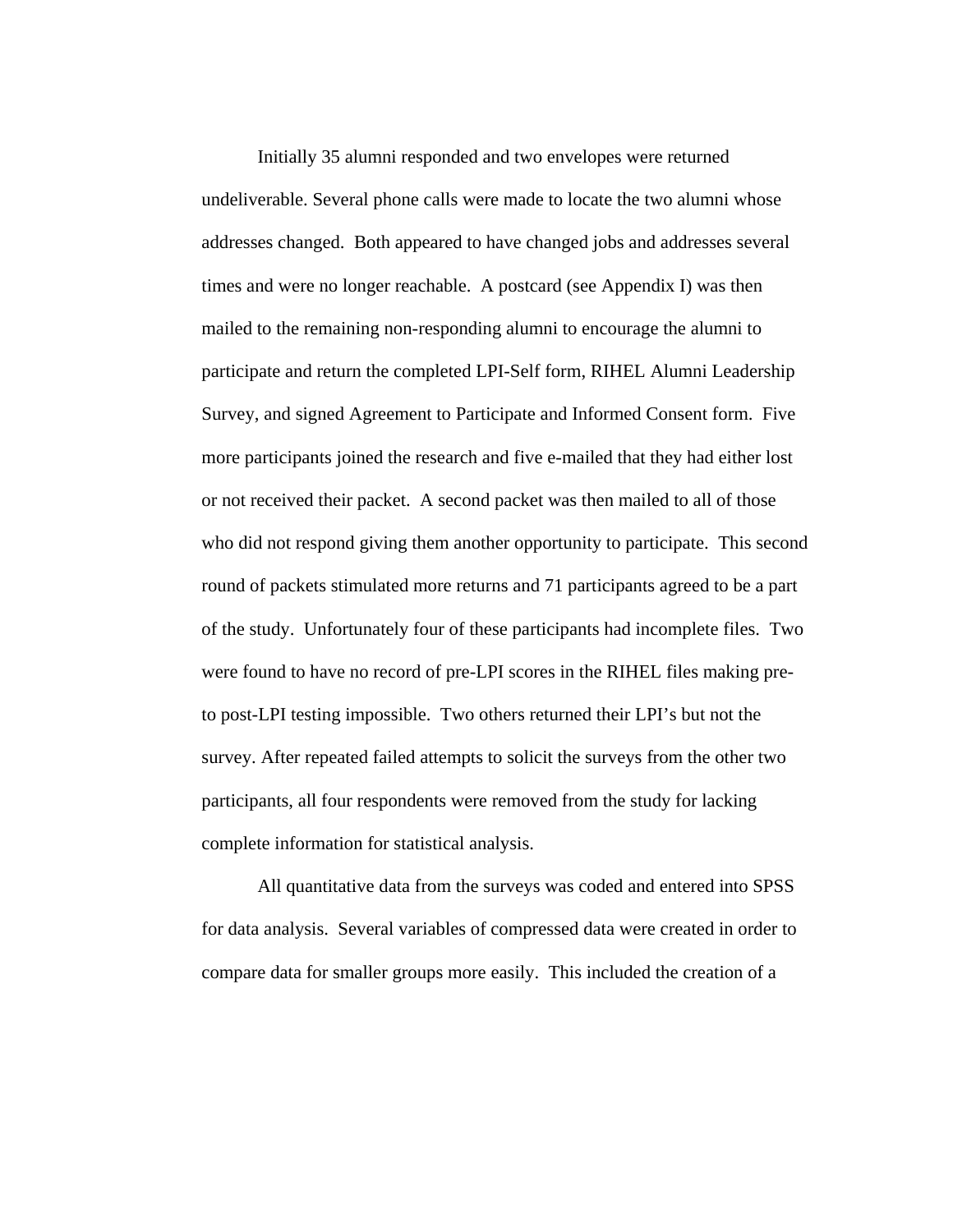Initially 35 alumni responded and two envelopes were returned undeliverable. Several phone calls were made to locate the two alumni whose addresses changed. Both appeared to have changed jobs and addresses several times and were no longer reachable. A postcard (see Appendix I) was then mailed to the remaining non-responding alumni to encourage the alumni to participate and return the completed LPI-Self form, RIHEL Alumni Leadership Survey, and signed Agreement to Participate and Informed Consent form. Five more participants joined the research and five e-mailed that they had either lost or not received their packet. A second packet was then mailed to all of those who did not respond giving them another opportunity to participate. This second round of packets stimulated more returns and 71 participants agreed to be a part of the study. Unfortunately four of these participants had incomplete files. Two were found to have no record of pre-LPI scores in the RIHEL files making preto post-LPI testing impossible. Two others returned their LPI's but not the survey. After repeated failed attempts to solicit the surveys from the other two participants, all four respondents were removed from the study for lacking complete information for statistical analysis.

 All quantitative data from the surveys was coded and entered into SPSS for data analysis. Several variables of compressed data were created in order to compare data for smaller groups more easily. This included the creation of a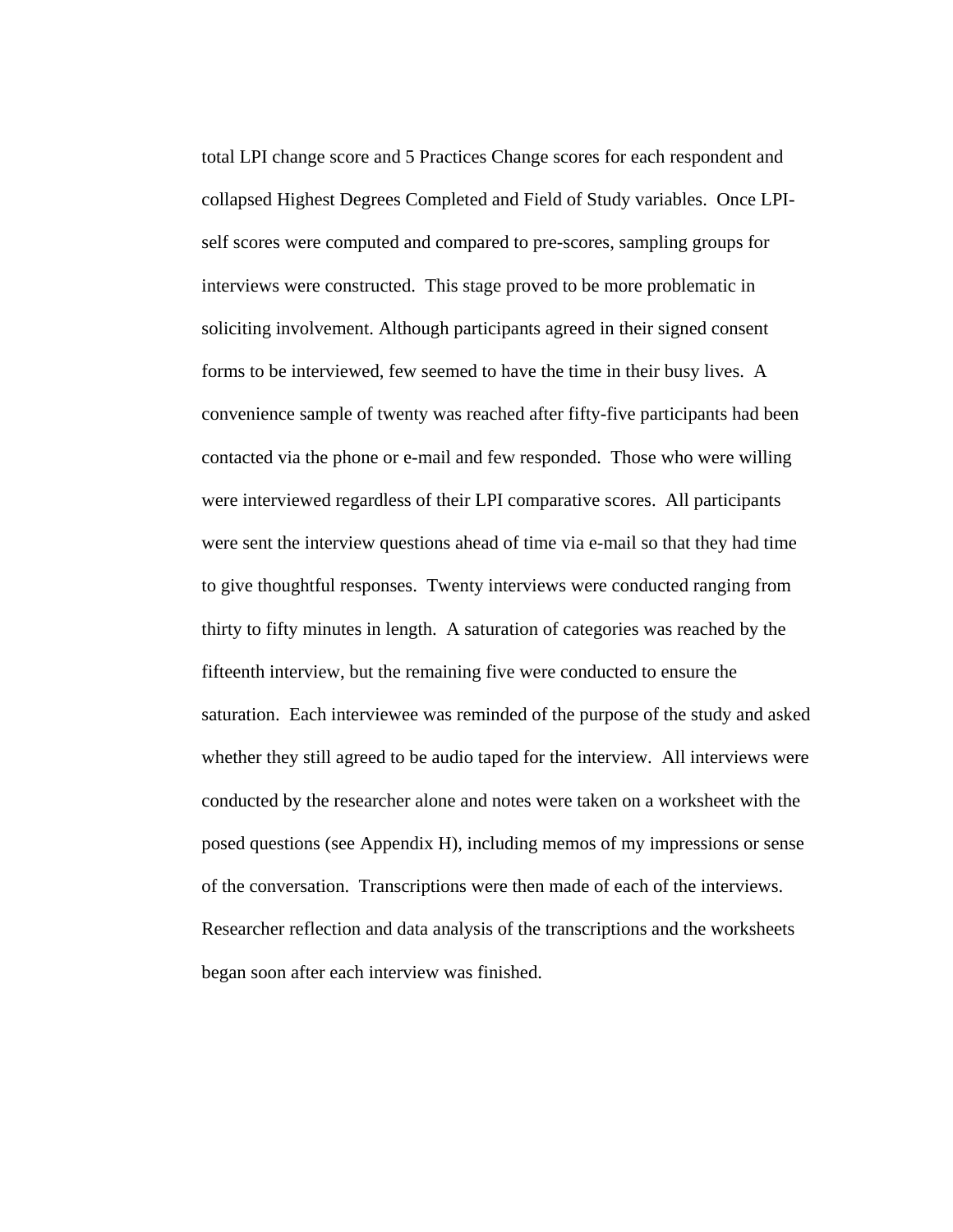total LPI change score and 5 Practices Change scores for each respondent and collapsed Highest Degrees Completed and Field of Study variables. Once LPIself scores were computed and compared to pre-scores, sampling groups for interviews were constructed. This stage proved to be more problematic in soliciting involvement. Although participants agreed in their signed consent forms to be interviewed, few seemed to have the time in their busy lives. A convenience sample of twenty was reached after fifty-five participants had been contacted via the phone or e-mail and few responded. Those who were willing were interviewed regardless of their LPI comparative scores. All participants were sent the interview questions ahead of time via e-mail so that they had time to give thoughtful responses. Twenty interviews were conducted ranging from thirty to fifty minutes in length. A saturation of categories was reached by the fifteenth interview, but the remaining five were conducted to ensure the saturation. Each interviewee was reminded of the purpose of the study and asked whether they still agreed to be audio taped for the interview. All interviews were conducted by the researcher alone and notes were taken on a worksheet with the posed questions (see Appendix H), including memos of my impressions or sense of the conversation. Transcriptions were then made of each of the interviews. Researcher reflection and data analysis of the transcriptions and the worksheets began soon after each interview was finished.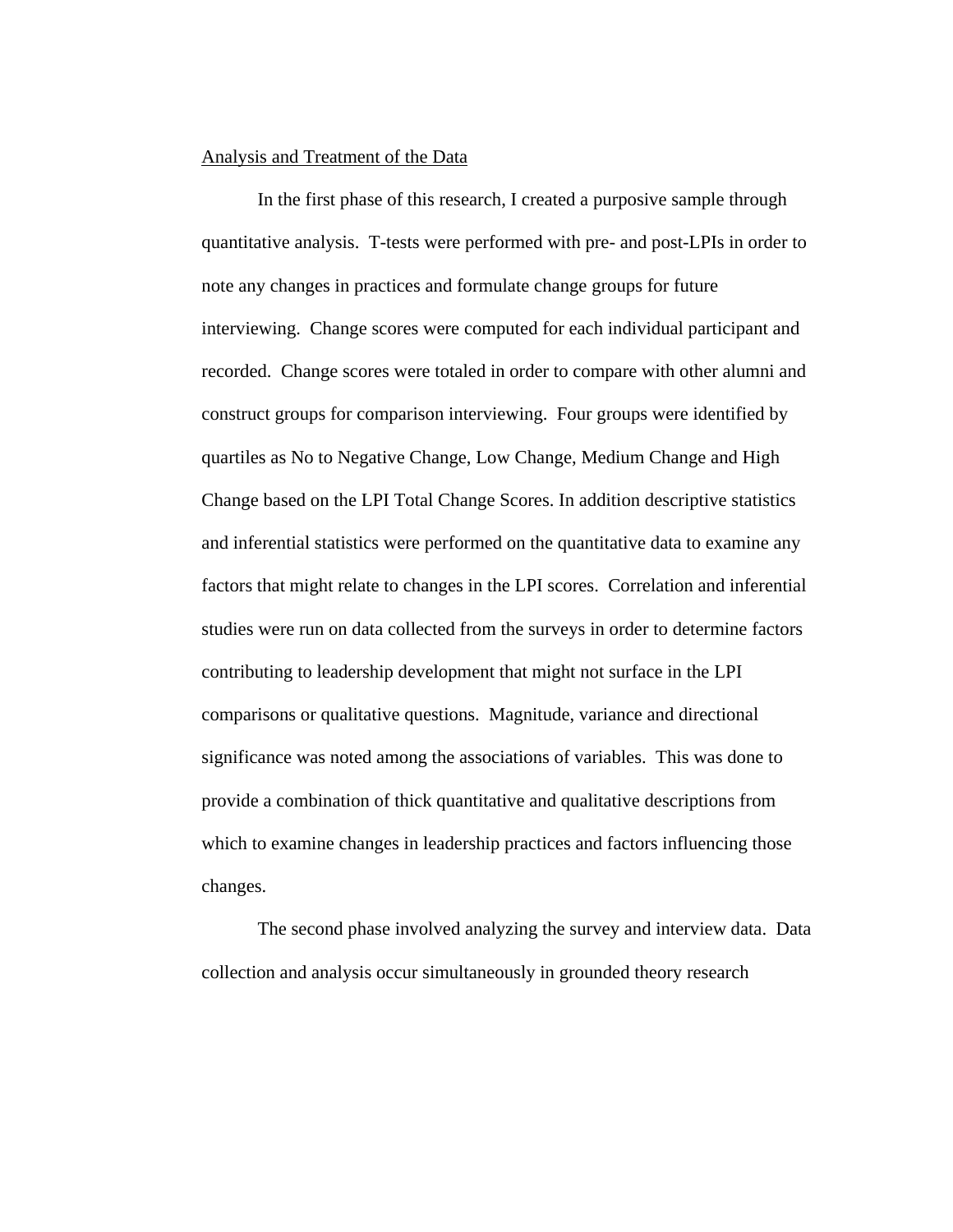### Analysis and Treatment of the Data

 In the first phase of this research, I created a purposive sample through quantitative analysis. T-tests were performed with pre- and post-LPIs in order to note any changes in practices and formulate change groups for future interviewing. Change scores were computed for each individual participant and recorded. Change scores were totaled in order to compare with other alumni and construct groups for comparison interviewing. Four groups were identified by quartiles as No to Negative Change, Low Change, Medium Change and High Change based on the LPI Total Change Scores. In addition descriptive statistics and inferential statistics were performed on the quantitative data to examine any factors that might relate to changes in the LPI scores. Correlation and inferential studies were run on data collected from the surveys in order to determine factors contributing to leadership development that might not surface in the LPI comparisons or qualitative questions. Magnitude, variance and directional significance was noted among the associations of variables. This was done to provide a combination of thick quantitative and qualitative descriptions from which to examine changes in leadership practices and factors influencing those changes.

The second phase involved analyzing the survey and interview data. Data collection and analysis occur simultaneously in grounded theory research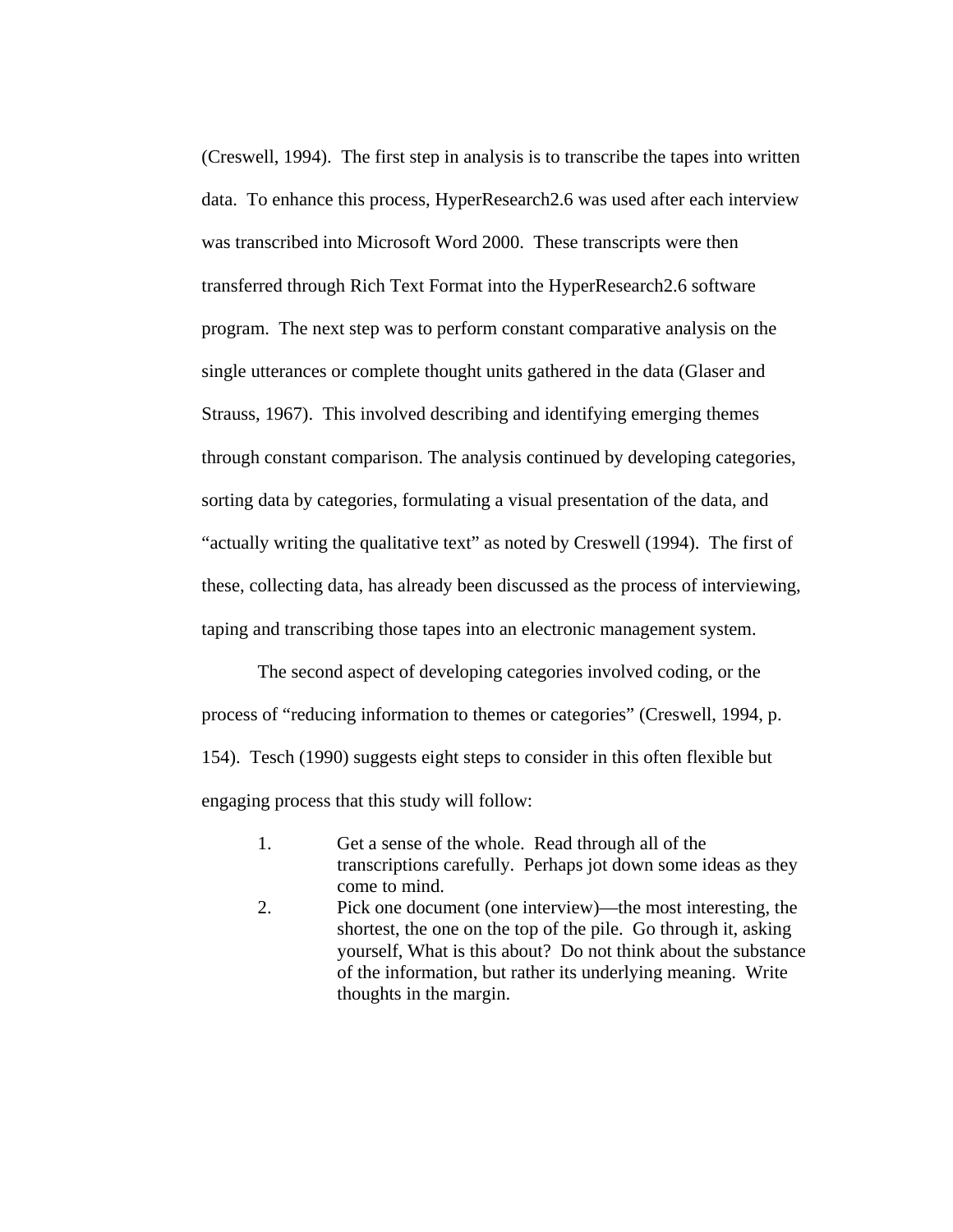(Creswell, 1994). The first step in analysis is to transcribe the tapes into written data. To enhance this process, HyperResearch2.6 was used after each interview was transcribed into Microsoft Word 2000. These transcripts were then transferred through Rich Text Format into the HyperResearch2.6 software program. The next step was to perform constant comparative analysis on the single utterances or complete thought units gathered in the data (Glaser and Strauss, 1967). This involved describing and identifying emerging themes through constant comparison. The analysis continued by developing categories, sorting data by categories, formulating a visual presentation of the data, and "actually writing the qualitative text" as noted by Creswell (1994). The first of these, collecting data, has already been discussed as the process of interviewing, taping and transcribing those tapes into an electronic management system.

The second aspect of developing categories involved coding, or the process of "reducing information to themes or categories" (Creswell, 1994, p. 154). Tesch (1990) suggests eight steps to consider in this often flexible but engaging process that this study will follow:

- 1. Get a sense of the whole. Read through all of the transcriptions carefully. Perhaps jot down some ideas as they come to mind.
- 2. Pick one document (one interview)—the most interesting, the shortest, the one on the top of the pile. Go through it, asking yourself, What is this about? Do not think about the substance of the information, but rather its underlying meaning. Write thoughts in the margin.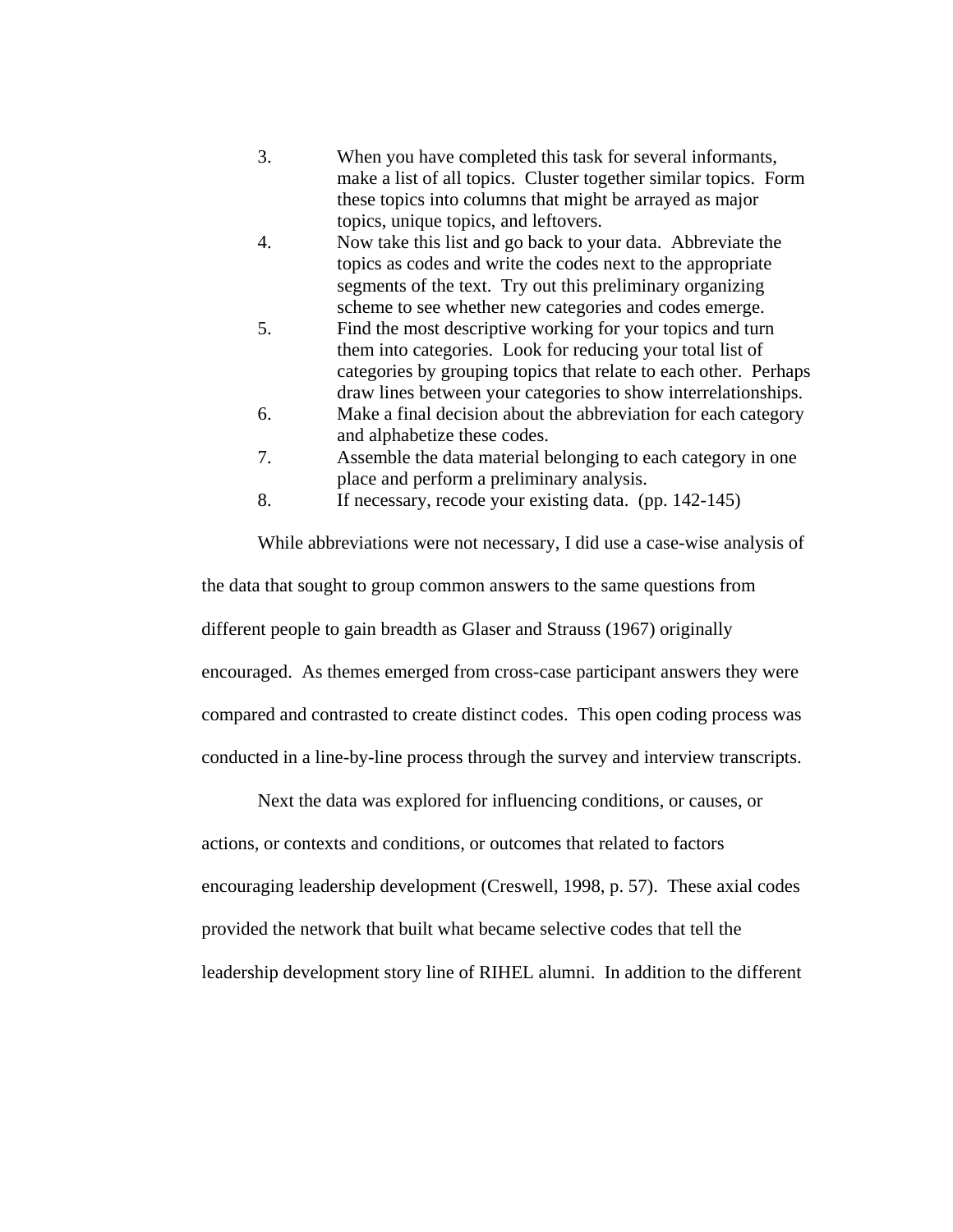- 3. When you have completed this task for several informants, make a list of all topics. Cluster together similar topics. Form these topics into columns that might be arrayed as major topics, unique topics, and leftovers.
- 4. Now take this list and go back to your data. Abbreviate the topics as codes and write the codes next to the appropriate segments of the text. Try out this preliminary organizing scheme to see whether new categories and codes emerge.
- 5. Find the most descriptive working for your topics and turn them into categories. Look for reducing your total list of categories by grouping topics that relate to each other. Perhaps draw lines between your categories to show interrelationships.
- 6. Make a final decision about the abbreviation for each category and alphabetize these codes.
- 7. Assemble the data material belonging to each category in one place and perform a preliminary analysis.
- 8. If necessary, recode your existing data. (pp. 142-145)

While abbreviations were not necessary, I did use a case-wise analysis of the data that sought to group common answers to the same questions from different people to gain breadth as Glaser and Strauss (1967) originally encouraged. As themes emerged from cross-case participant answers they were compared and contrasted to create distinct codes. This open coding process was conducted in a line-by-line process through the survey and interview transcripts.

Next the data was explored for influencing conditions, or causes, or

actions, or contexts and conditions, or outcomes that related to factors encouraging leadership development (Creswell, 1998, p. 57). These axial codes provided the network that built what became selective codes that tell the leadership development story line of RIHEL alumni. In addition to the different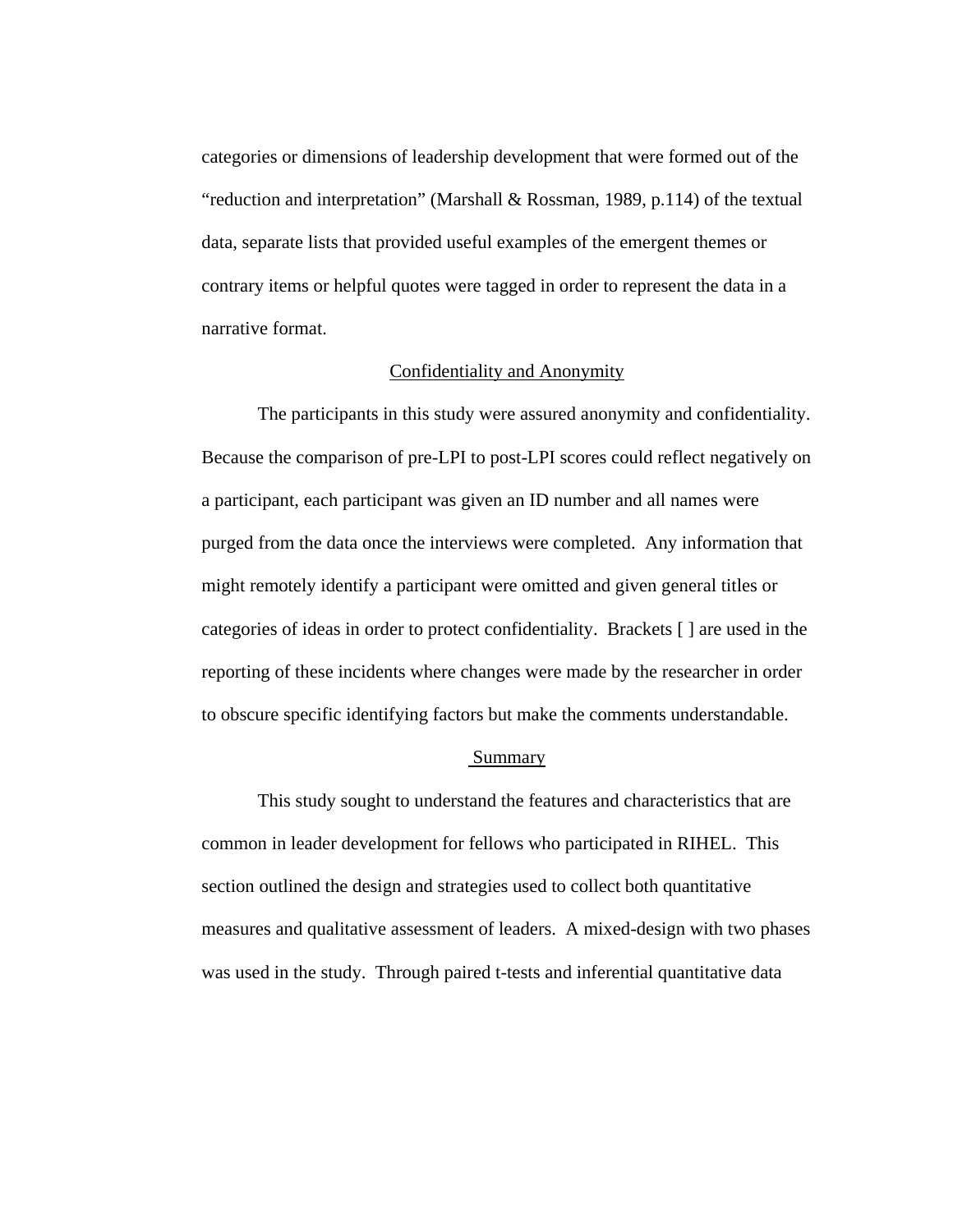categories or dimensions of leadership development that were formed out of the "reduction and interpretation" (Marshall & Rossman, 1989, p.114) of the textual data, separate lists that provided useful examples of the emergent themes or contrary items or helpful quotes were tagged in order to represent the data in a narrative format.

## Confidentiality and Anonymity

 The participants in this study were assured anonymity and confidentiality. Because the comparison of pre-LPI to post-LPI scores could reflect negatively on a participant, each participant was given an ID number and all names were purged from the data once the interviews were completed. Any information that might remotely identify a participant were omitted and given general titles or categories of ideas in order to protect confidentiality. Brackets [ ] are used in the reporting of these incidents where changes were made by the researcher in order to obscure specific identifying factors but make the comments understandable.

#### Summary

This study sought to understand the features and characteristics that are common in leader development for fellows who participated in RIHEL. This section outlined the design and strategies used to collect both quantitative measures and qualitative assessment of leaders. A mixed-design with two phases was used in the study. Through paired t-tests and inferential quantitative data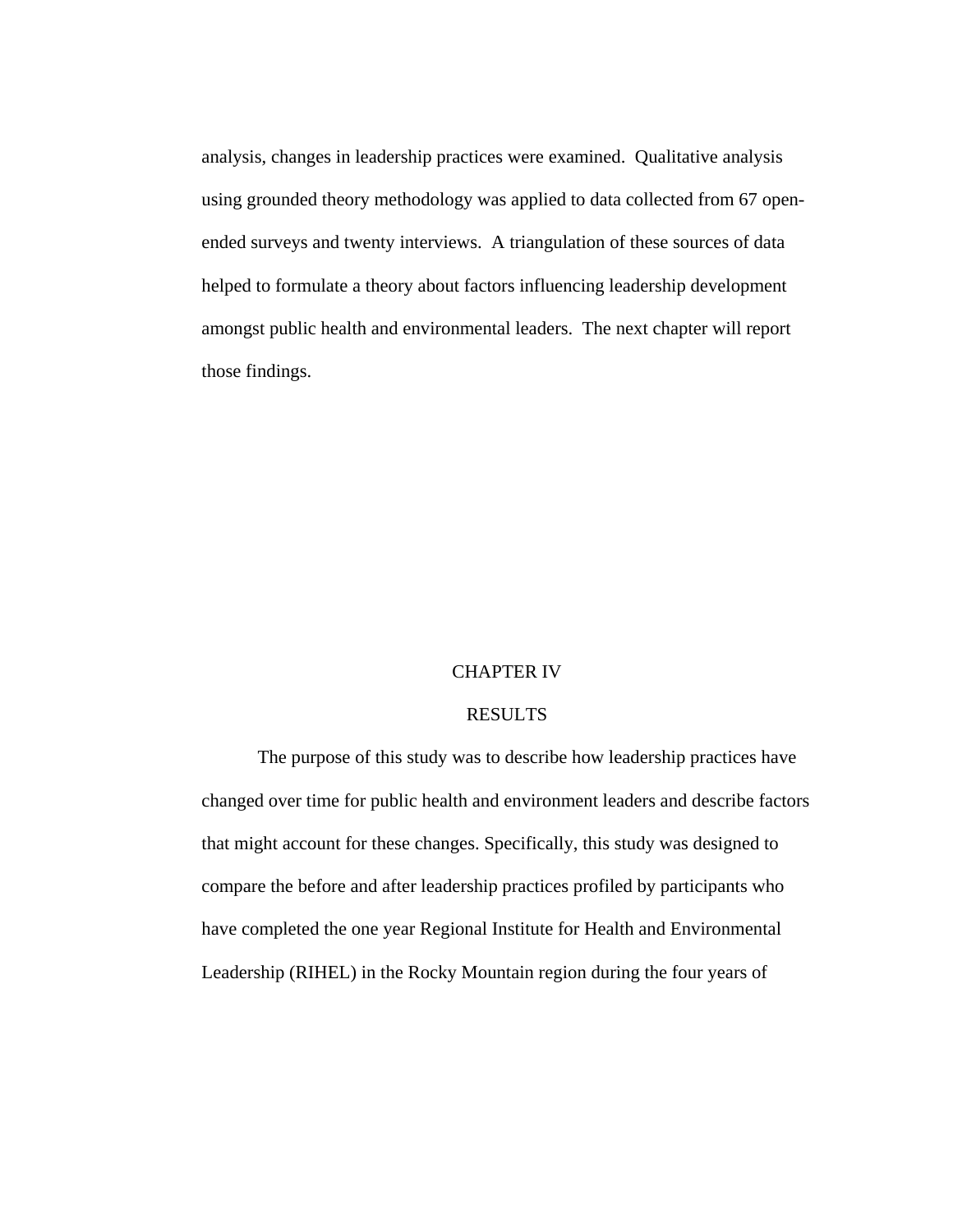analysis, changes in leadership practices were examined. Qualitative analysis using grounded theory methodology was applied to data collected from 67 openended surveys and twenty interviews. A triangulation of these sources of data helped to formulate a theory about factors influencing leadership development amongst public health and environmental leaders. The next chapter will report those findings.

### CHAPTER IV

# RESULTS

The purpose of this study was to describe how leadership practices have changed over time for public health and environment leaders and describe factors that might account for these changes. Specifically, this study was designed to compare the before and after leadership practices profiled by participants who have completed the one year Regional Institute for Health and Environmental Leadership (RIHEL) in the Rocky Mountain region during the four years of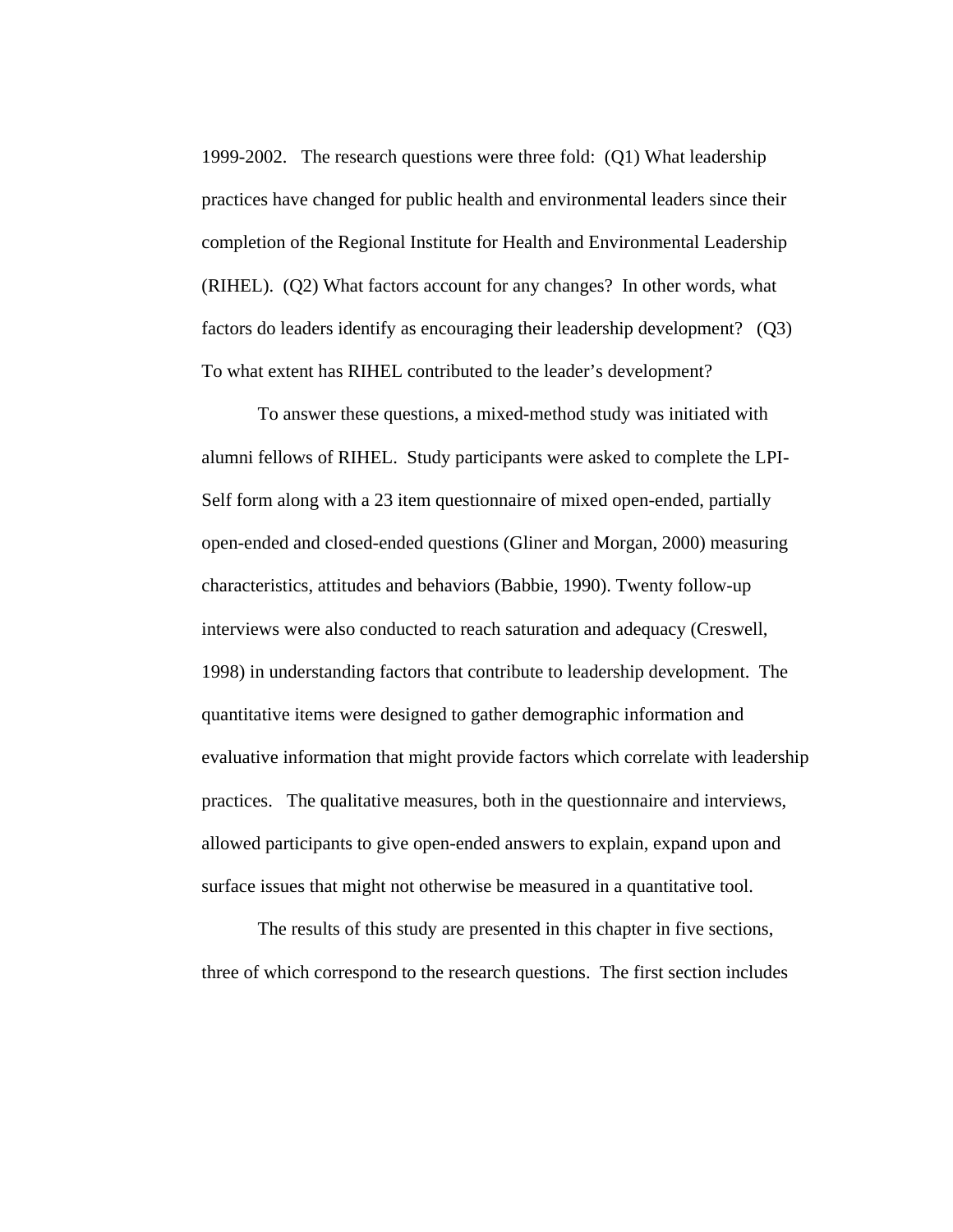1999-2002. The research questions were three fold: (Q1) What leadership practices have changed for public health and environmental leaders since their completion of the Regional Institute for Health and Environmental Leadership (RIHEL). (Q2) What factors account for any changes? In other words, what factors do leaders identify as encouraging their leadership development? (Q3) To what extent has RIHEL contributed to the leader's development?

To answer these questions, a mixed-method study was initiated with alumni fellows of RIHEL. Study participants were asked to complete the LPI-Self form along with a 23 item questionnaire of mixed open-ended, partially open-ended and closed-ended questions (Gliner and Morgan, 2000) measuring characteristics, attitudes and behaviors (Babbie, 1990). Twenty follow-up interviews were also conducted to reach saturation and adequacy (Creswell, 1998) in understanding factors that contribute to leadership development. The quantitative items were designed to gather demographic information and evaluative information that might provide factors which correlate with leadership practices. The qualitative measures, both in the questionnaire and interviews, allowed participants to give open-ended answers to explain, expand upon and surface issues that might not otherwise be measured in a quantitative tool.

 The results of this study are presented in this chapter in five sections, three of which correspond to the research questions. The first section includes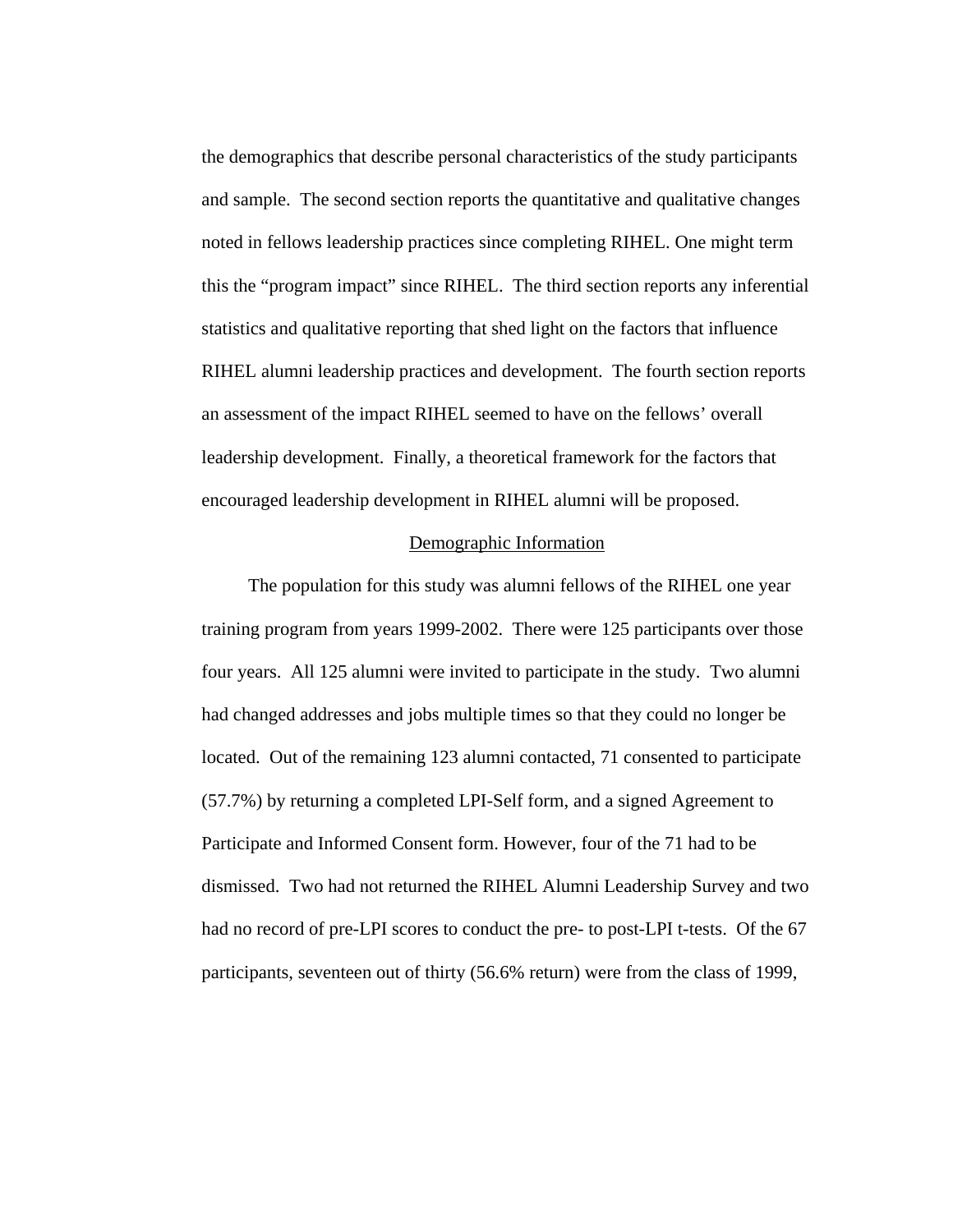the demographics that describe personal characteristics of the study participants and sample. The second section reports the quantitative and qualitative changes noted in fellows leadership practices since completing RIHEL. One might term this the "program impact" since RIHEL. The third section reports any inferential statistics and qualitative reporting that shed light on the factors that influence RIHEL alumni leadership practices and development. The fourth section reports an assessment of the impact RIHEL seemed to have on the fellows' overall leadership development. Finally, a theoretical framework for the factors that encouraged leadership development in RIHEL alumni will be proposed.

#### Demographic Information

 The population for this study was alumni fellows of the RIHEL one year training program from years 1999-2002. There were 125 participants over those four years. All 125 alumni were invited to participate in the study. Two alumni had changed addresses and jobs multiple times so that they could no longer be located. Out of the remaining 123 alumni contacted, 71 consented to participate (57.7%) by returning a completed LPI-Self form, and a signed Agreement to Participate and Informed Consent form. However, four of the 71 had to be dismissed. Two had not returned the RIHEL Alumni Leadership Survey and two had no record of pre-LPI scores to conduct the pre- to post-LPI t-tests. Of the 67 participants, seventeen out of thirty (56.6% return) were from the class of 1999,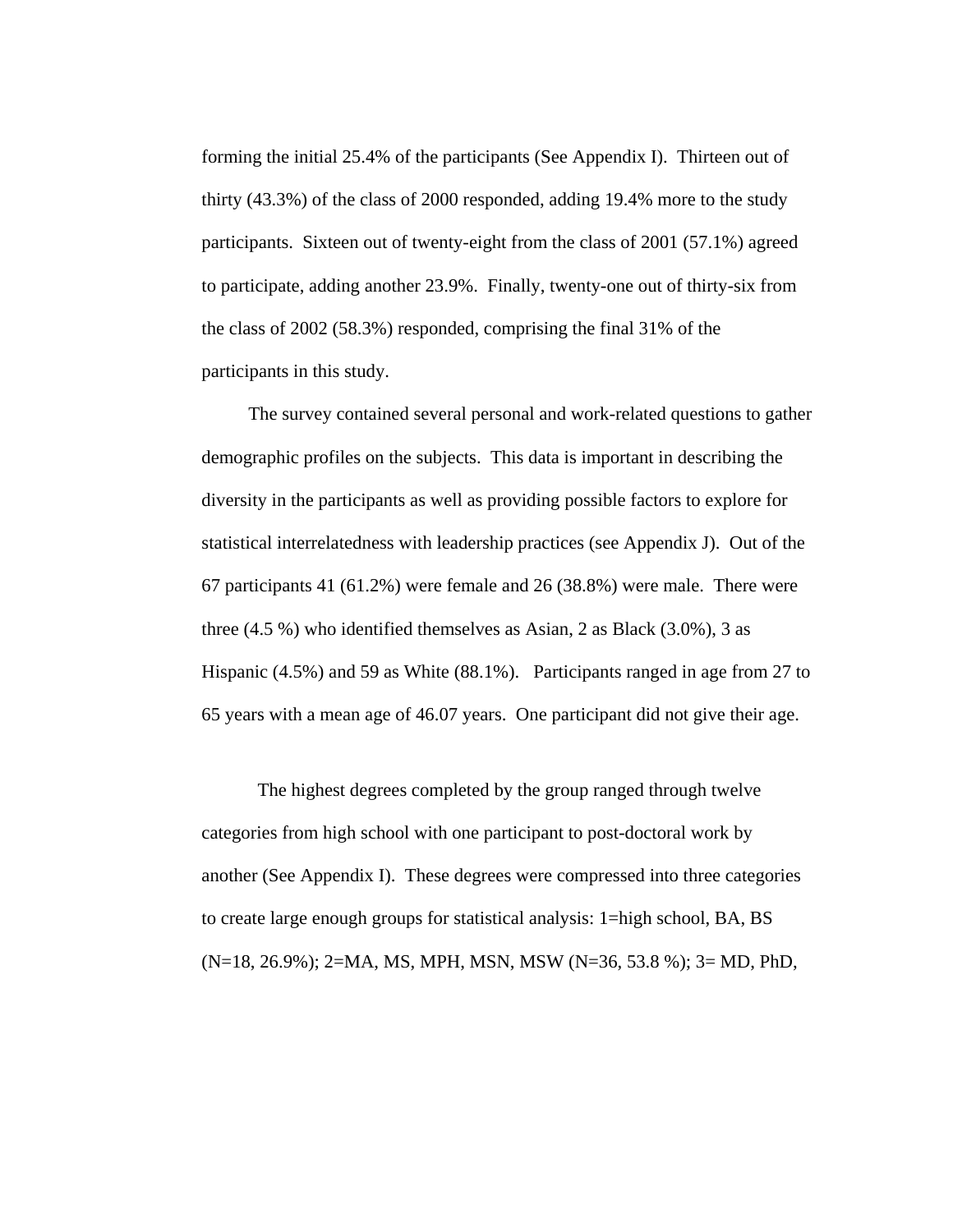forming the initial 25.4% of the participants (See Appendix I). Thirteen out of thirty (43.3%) of the class of 2000 responded, adding 19.4% more to the study participants. Sixteen out of twenty-eight from the class of 2001 (57.1%) agreed to participate, adding another 23.9%. Finally, twenty-one out of thirty-six from the class of 2002 (58.3%) responded, comprising the final 31% of the participants in this study.

 The survey contained several personal and work-related questions to gather demographic profiles on the subjects. This data is important in describing the diversity in the participants as well as providing possible factors to explore for statistical interrelatedness with leadership practices (see Appendix J). Out of the 67 participants 41 (61.2%) were female and 26 (38.8%) were male. There were three (4.5 %) who identified themselves as Asian, 2 as Black (3.0%), 3 as Hispanic (4.5%) and 59 as White (88.1%). Participants ranged in age from 27 to 65 years with a mean age of 46.07 years. One participant did not give their age.

 The highest degrees completed by the group ranged through twelve categories from high school with one participant to post-doctoral work by another (See Appendix I). These degrees were compressed into three categories to create large enough groups for statistical analysis: 1=high school, BA, BS (N=18, 26.9%); 2=MA, MS, MPH, MSN, MSW (N=36, 53.8 %); 3= MD, PhD,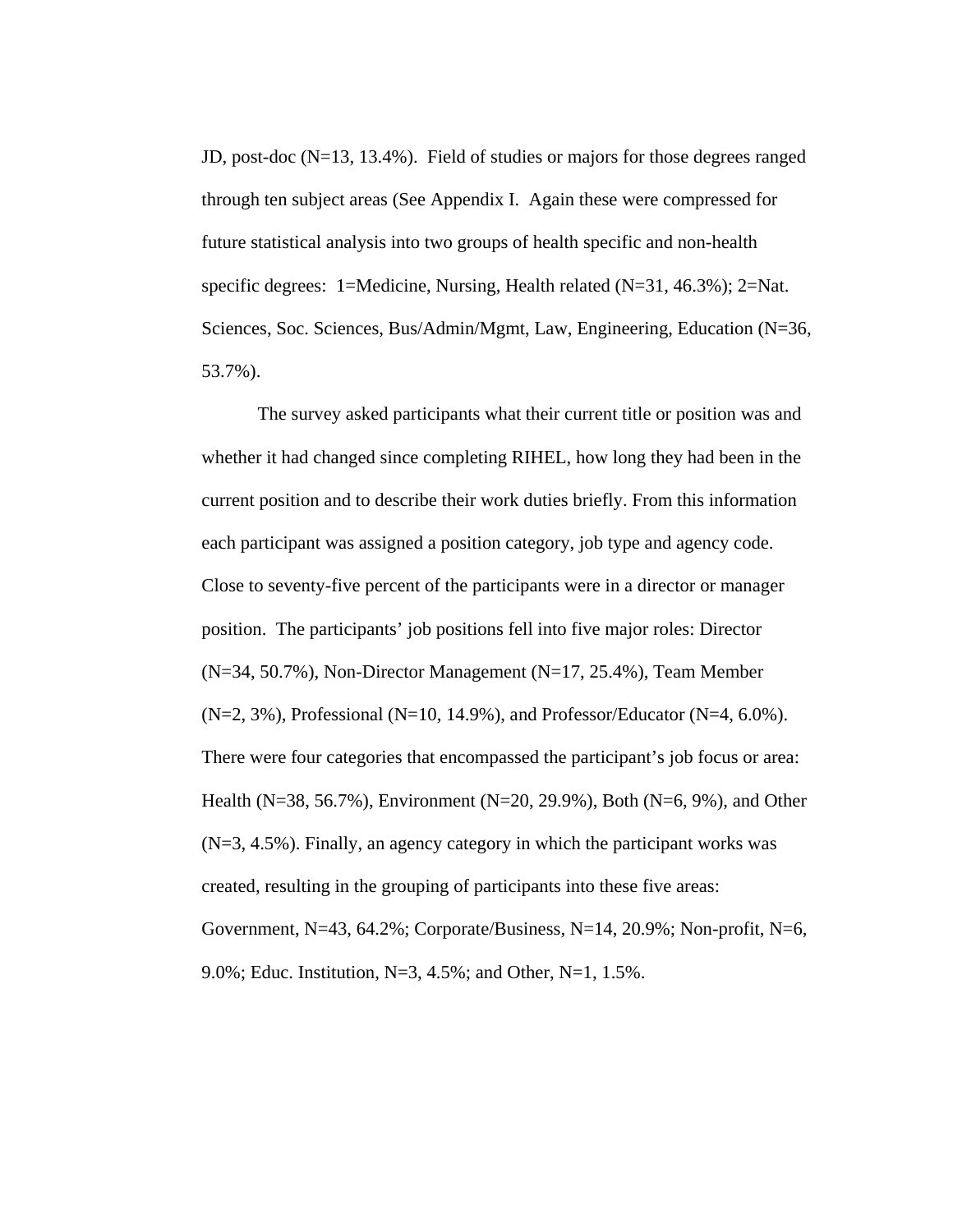JD, post-doc (N=13, 13.4%). Field of studies or majors for those degrees ranged through ten subject areas (See Appendix I. Again these were compressed for future statistical analysis into two groups of health specific and non-health specific degrees: 1=Medicine, Nursing, Health related (N=31, 46.3%); 2=Nat. Sciences, Soc. Sciences, Bus/Admin/Mgmt, Law, Engineering, Education (N=36, 53.7%).

 The survey asked participants what their current title or position was and whether it had changed since completing RIHEL, how long they had been in the current position and to describe their work duties briefly. From this information each participant was assigned a position category, job type and agency code. Close to seventy-five percent of the participants were in a director or manager position. The participants' job positions fell into five major roles: Director  $(N=34, 50.7\%)$ , Non-Director Management  $(N=17, 25.4\%)$ , Team Member  $(N=2, 3\%)$ , Professional (N=10, 14.9%), and Professor/Educator (N=4, 6.0%). There were four categories that encompassed the participant's job focus or area: Health (N=38, 56.7%), Environment (N=20, 29.9%), Both (N=6, 9%), and Other (N=3, 4.5%). Finally, an agency category in which the participant works was created, resulting in the grouping of participants into these five areas: Government, N=43, 64.2%; Corporate/Business, N=14, 20.9%; Non-profit, N=6, 9.0%; Educ. Institution, N=3, 4.5%; and Other, N=1, 1.5%.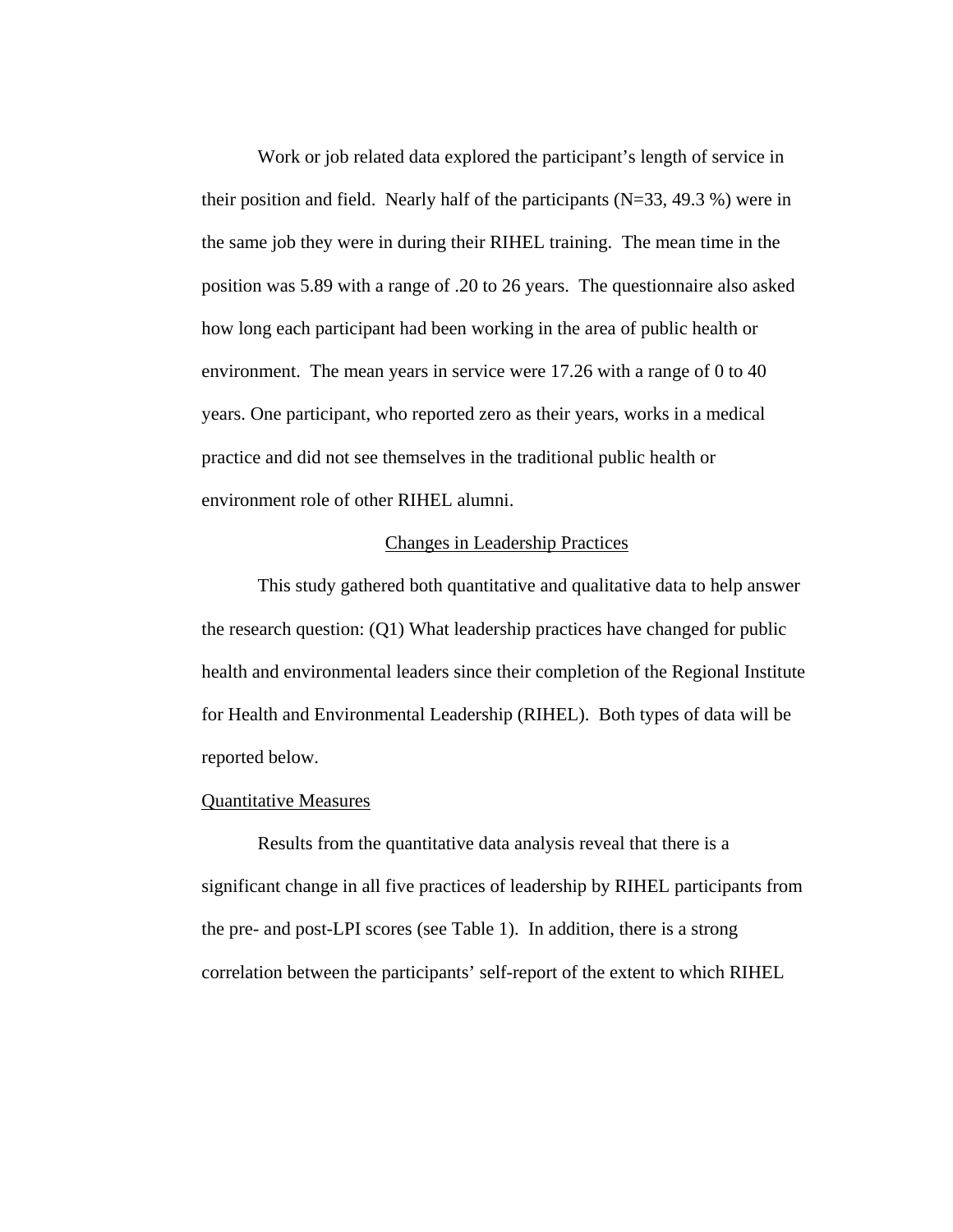Work or job related data explored the participant's length of service in their position and field. Nearly half of the participants  $(N=33, 49.3 \%)$  were in the same job they were in during their RIHEL training. The mean time in the position was 5.89 with a range of .20 to 26 years. The questionnaire also asked how long each participant had been working in the area of public health or environment. The mean years in service were 17.26 with a range of 0 to 40 years. One participant, who reported zero as their years, works in a medical practice and did not see themselves in the traditional public health or environment role of other RIHEL alumni.

### Changes in Leadership Practices

This study gathered both quantitative and qualitative data to help answer the research question: (Q1) What leadership practices have changed for public health and environmental leaders since their completion of the Regional Institute for Health and Environmental Leadership (RIHEL). Both types of data will be reported below.

#### Quantitative Measures

Results from the quantitative data analysis reveal that there is a significant change in all five practices of leadership by RIHEL participants from the pre- and post-LPI scores (see Table 1). In addition, there is a strong correlation between the participants' self-report of the extent to which RIHEL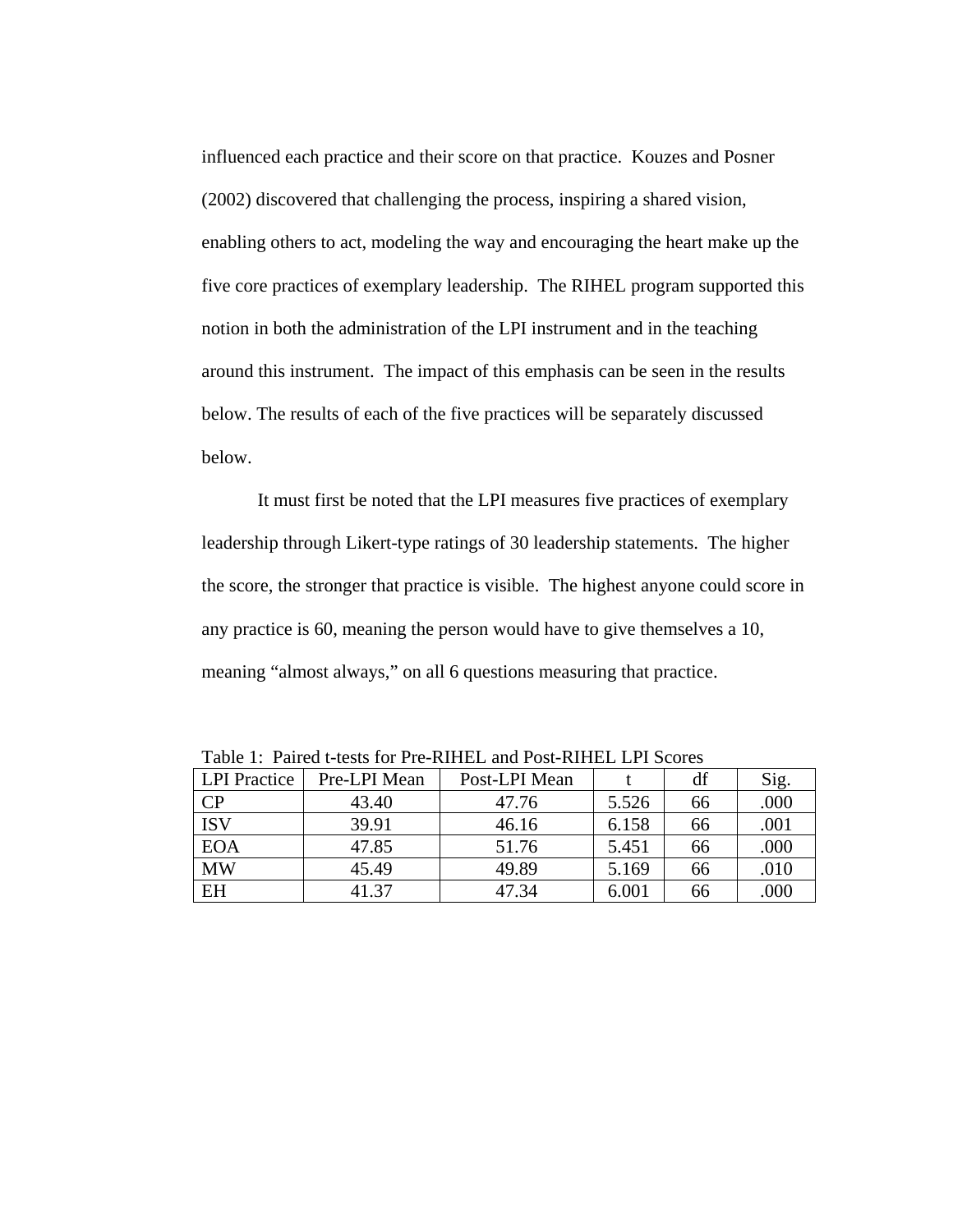influenced each practice and their score on that practice. Kouzes and Posner (2002) discovered that challenging the process, inspiring a shared vision, enabling others to act, modeling the way and encouraging the heart make up the five core practices of exemplary leadership. The RIHEL program supported this notion in both the administration of the LPI instrument and in the teaching around this instrument. The impact of this emphasis can be seen in the results below. The results of each of the five practices will be separately discussed below.

It must first be noted that the LPI measures five practices of exemplary leadership through Likert-type ratings of 30 leadership statements. The higher the score, the stronger that practice is visible. The highest anyone could score in any practice is 60, meaning the person would have to give themselves a 10, meaning "almost always," on all 6 questions measuring that practice.

| Table 1. Talled t-wsis for TTC-KITTEE and TOST-KITTEE ET I Beores |              |               |       |    |      |
|-------------------------------------------------------------------|--------------|---------------|-------|----|------|
| <b>LPI</b> Practice                                               | Pre-LPI Mean | Post-LPI Mean |       | df | Sig. |
| $\overline{CP}$                                                   | 43.40        | 47.76         | 5.526 | 66 | .000 |
| <b>ISV</b>                                                        | 39.91        | 46.16         | 6.158 | 66 | .001 |
| <b>EOA</b>                                                        | 47.85        | 51.76         | 5.451 | 66 | .000 |
| <b>MW</b>                                                         | 45.49        | 49.89         | 5.169 | 66 | .010 |
| <b>EH</b>                                                         | 41.37        | 47.34         | 6.001 | 66 | .000 |

Table 1: Paired t-tests for Pre-RIHEL and Post-RIHEL LPI Scores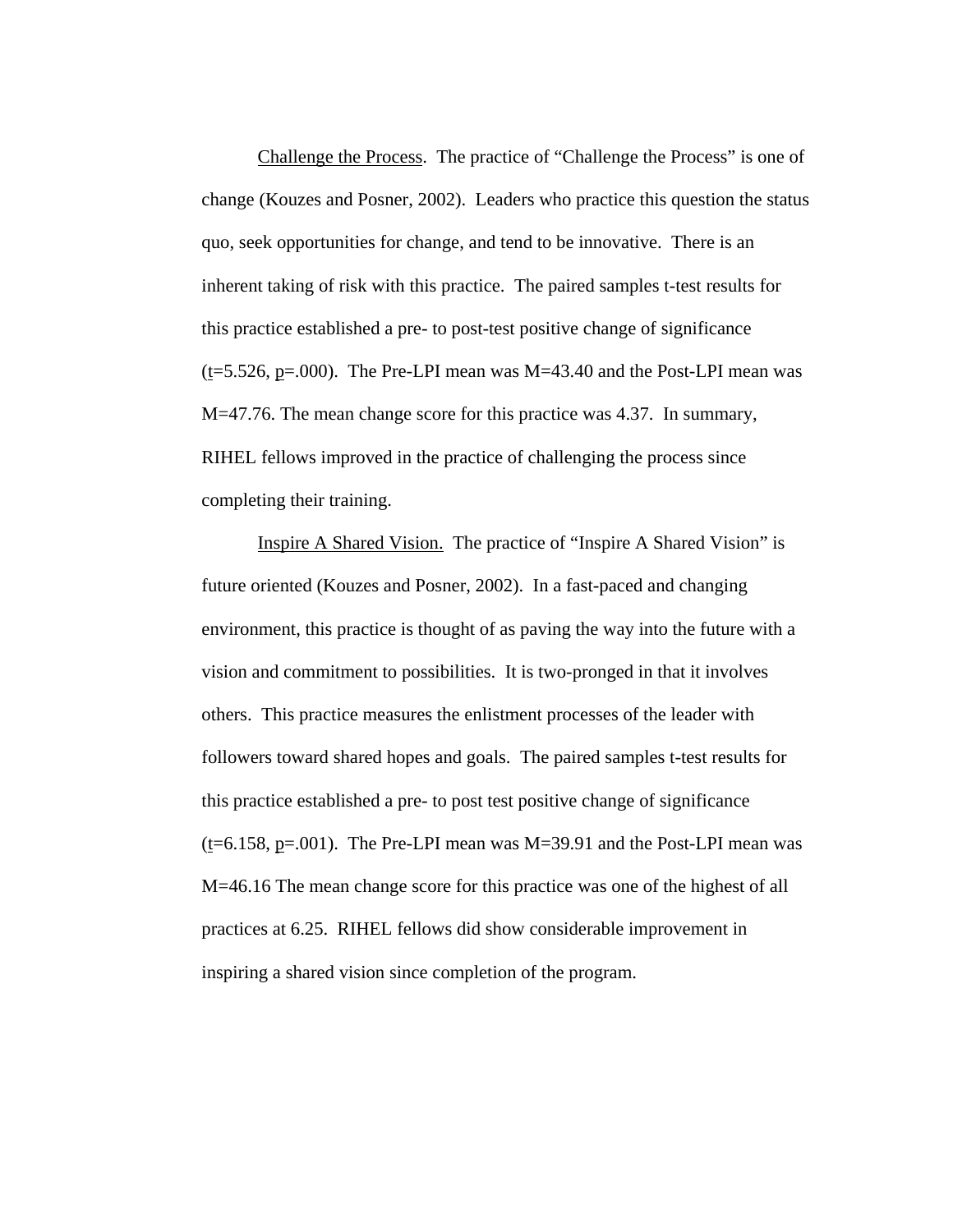Challenge the Process. The practice of "Challenge the Process" is one of change (Kouzes and Posner, 2002). Leaders who practice this question the status quo, seek opportunities for change, and tend to be innovative. There is an inherent taking of risk with this practice. The paired samples t-test results for this practice established a pre- to post-test positive change of significance  $(t=5.526, p=.000)$ . The Pre-LPI mean was M $=43.40$  and the Post-LPI mean was M=47.76. The mean change score for this practice was 4.37. In summary, RIHEL fellows improved in the practice of challenging the process since completing their training.

Inspire A Shared Vision. The practice of "Inspire A Shared Vision" is future oriented (Kouzes and Posner, 2002). In a fast-paced and changing environment, this practice is thought of as paving the way into the future with a vision and commitment to possibilities. It is two-pronged in that it involves others. This practice measures the enlistment processes of the leader with followers toward shared hopes and goals. The paired samples t-test results for this practice established a pre- to post test positive change of significance  $(t=6.158, p=.001)$ . The Pre-LPI mean was M=39.91 and the Post-LPI mean was M=46.16 The mean change score for this practice was one of the highest of all practices at 6.25. RIHEL fellows did show considerable improvement in inspiring a shared vision since completion of the program.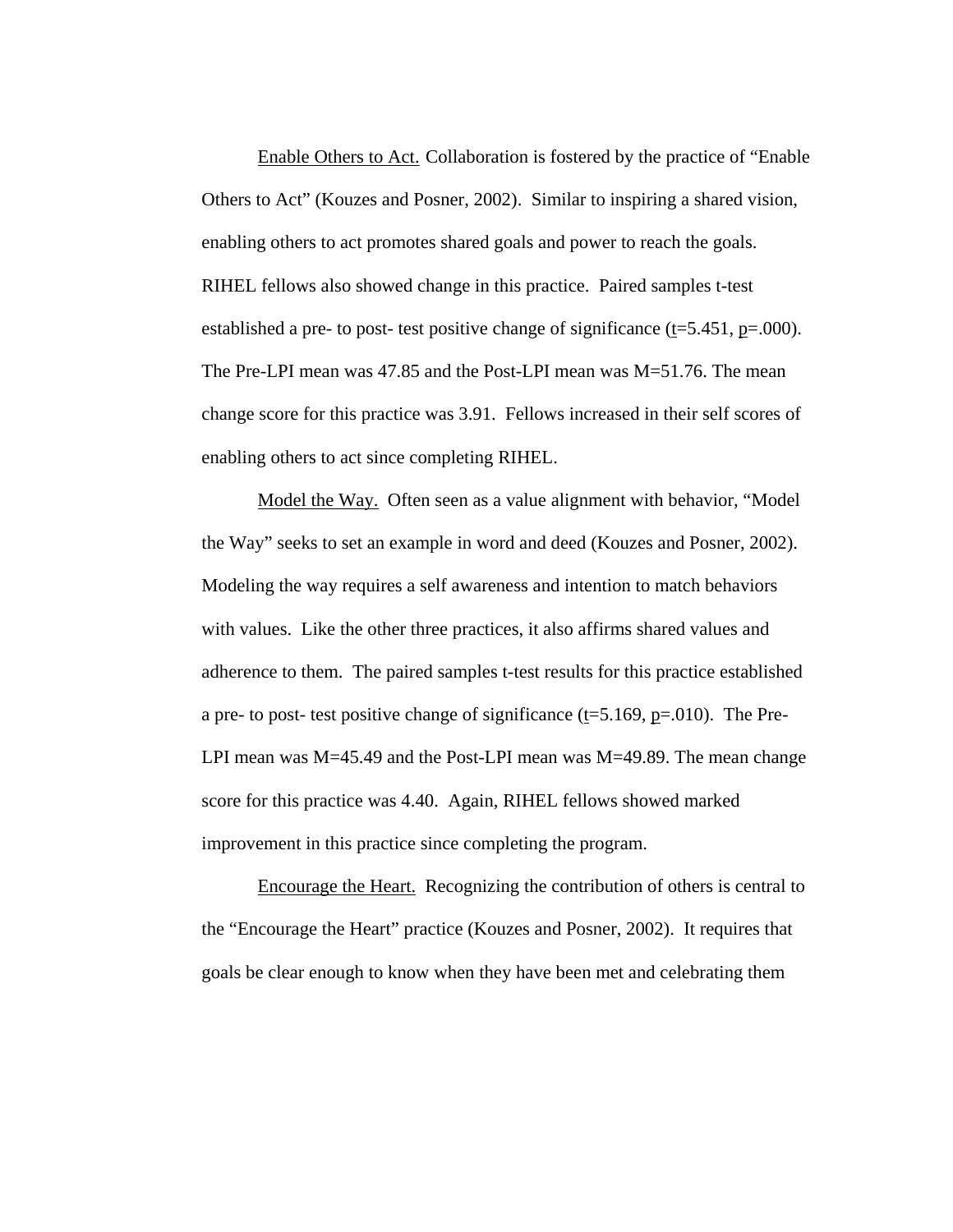Enable Others to Act. Collaboration is fostered by the practice of "Enable Others to Act" (Kouzes and Posner, 2002). Similar to inspiring a shared vision, enabling others to act promotes shared goals and power to reach the goals. RIHEL fellows also showed change in this practice. Paired samples t-test established a pre- to post- test positive change of significance (t=5.451, p=.000). The Pre-LPI mean was 47.85 and the Post-LPI mean was M=51.76. The mean change score for this practice was 3.91. Fellows increased in their self scores of enabling others to act since completing RIHEL.

Model the Way. Often seen as a value alignment with behavior, "Model the Way" seeks to set an example in word and deed (Kouzes and Posner, 2002). Modeling the way requires a self awareness and intention to match behaviors with values. Like the other three practices, it also affirms shared values and adherence to them. The paired samples t-test results for this practice established a pre- to post- test positive change of significance ( $t=5.169$ ,  $p=.010$ ). The Pre-LPI mean was M=45.49 and the Post-LPI mean was M=49.89. The mean change score for this practice was 4.40. Again, RIHEL fellows showed marked improvement in this practice since completing the program.

Encourage the Heart. Recognizing the contribution of others is central to the "Encourage the Heart" practice (Kouzes and Posner, 2002). It requires that goals be clear enough to know when they have been met and celebrating them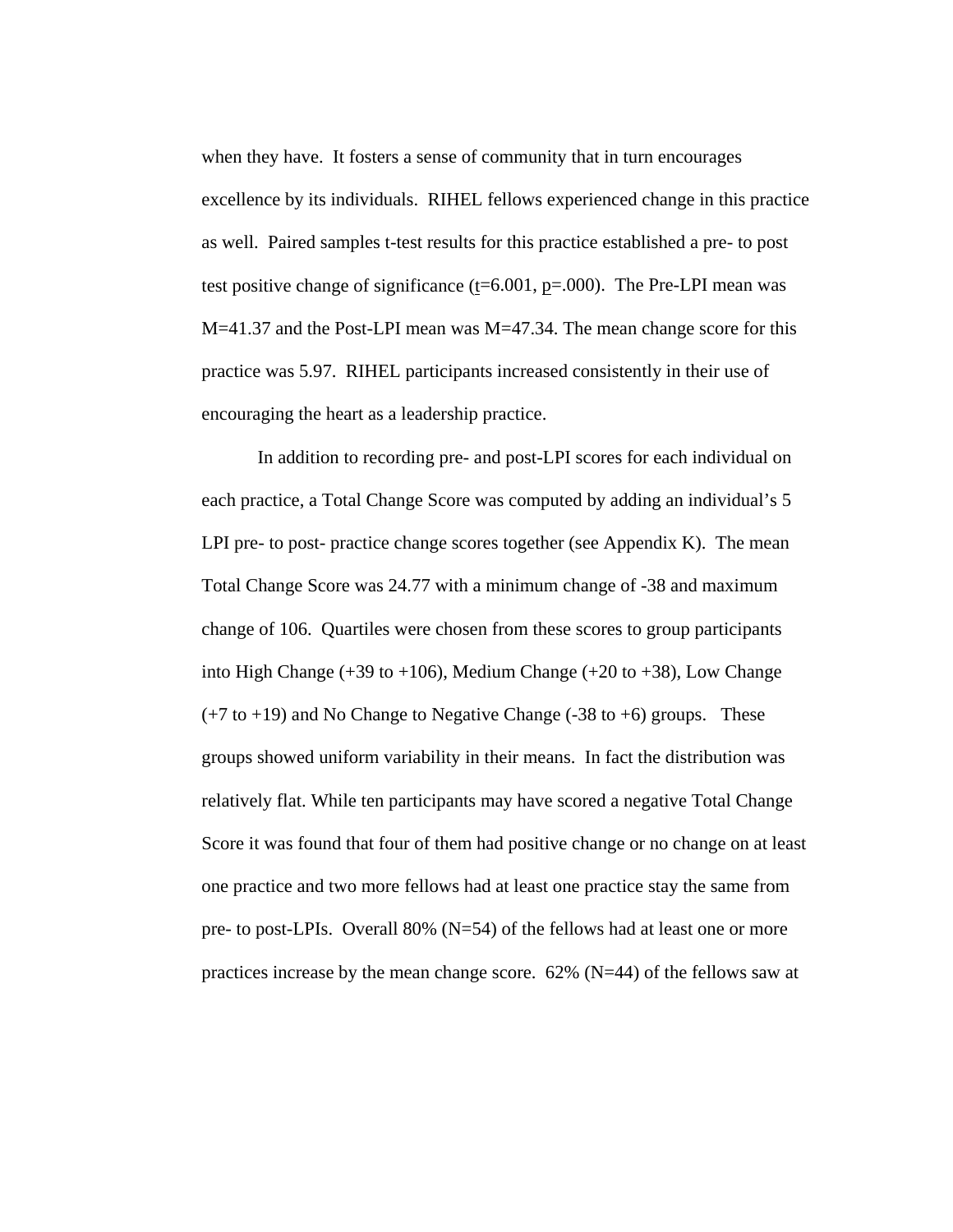when they have. It fosters a sense of community that in turn encourages excellence by its individuals. RIHEL fellows experienced change in this practice as well. Paired samples t-test results for this practice established a pre- to post test positive change of significance ( $t=6.001$ ,  $p=.000$ ). The Pre-LPI mean was  $M=41.37$  and the Post-LPI mean was  $M=47.34$ . The mean change score for this practice was 5.97. RIHEL participants increased consistently in their use of encouraging the heart as a leadership practice.

In addition to recording pre- and post-LPI scores for each individual on each practice, a Total Change Score was computed by adding an individual's 5 LPI pre- to post- practice change scores together (see Appendix K). The mean Total Change Score was 24.77 with a minimum change of -38 and maximum change of 106. Quartiles were chosen from these scores to group participants into High Change (+39 to +106), Medium Change (+20 to +38), Low Change  $(+7 \text{ to } +19)$  and No Change to Negative Change  $(-38 \text{ to } +6)$  groups. These groups showed uniform variability in their means. In fact the distribution was relatively flat. While ten participants may have scored a negative Total Change Score it was found that four of them had positive change or no change on at least one practice and two more fellows had at least one practice stay the same from pre- to post-LPIs. Overall 80% (N=54) of the fellows had at least one or more practices increase by the mean change score.  $62\%$  (N=44) of the fellows saw at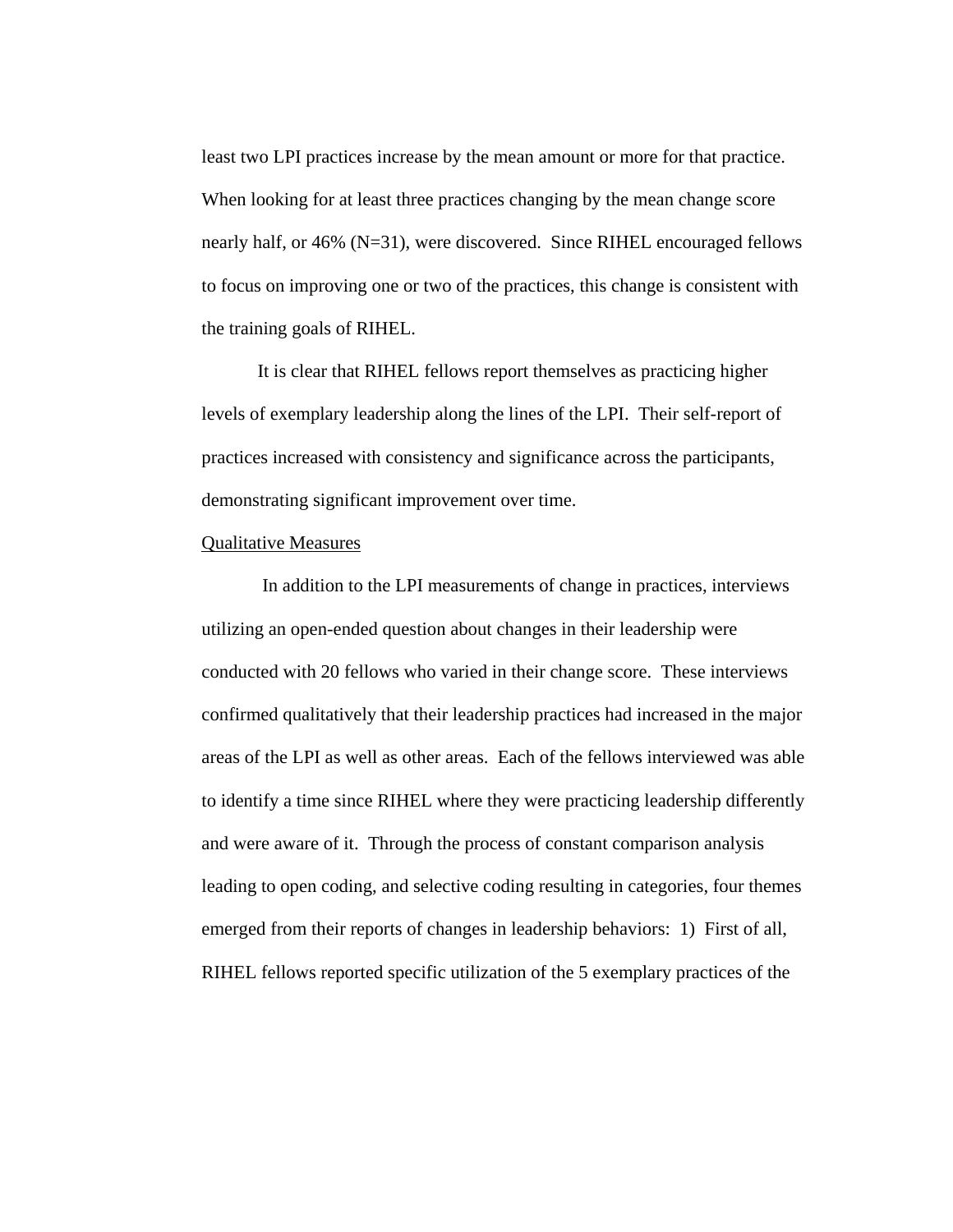least two LPI practices increase by the mean amount or more for that practice. When looking for at least three practices changing by the mean change score nearly half, or 46% (N=31), were discovered. Since RIHEL encouraged fellows to focus on improving one or two of the practices, this change is consistent with the training goals of RIHEL.

It is clear that RIHEL fellows report themselves as practicing higher levels of exemplary leadership along the lines of the LPI. Their self-report of practices increased with consistency and significance across the participants, demonstrating significant improvement over time.

#### Qualitative Measures

 In addition to the LPI measurements of change in practices, interviews utilizing an open-ended question about changes in their leadership were conducted with 20 fellows who varied in their change score. These interviews confirmed qualitatively that their leadership practices had increased in the major areas of the LPI as well as other areas. Each of the fellows interviewed was able to identify a time since RIHEL where they were practicing leadership differently and were aware of it. Through the process of constant comparison analysis leading to open coding, and selective coding resulting in categories, four themes emerged from their reports of changes in leadership behaviors: 1) First of all, RIHEL fellows reported specific utilization of the 5 exemplary practices of the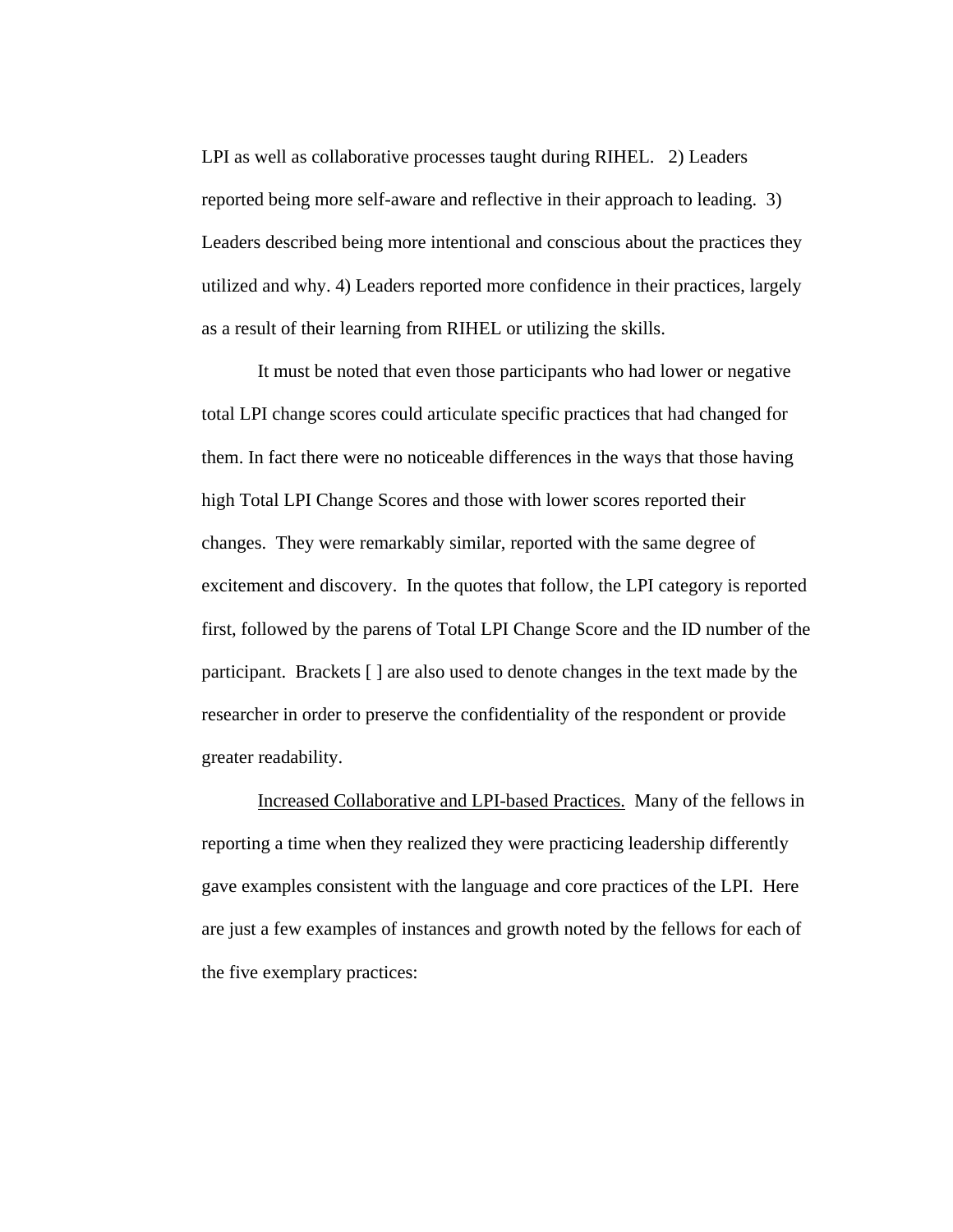LPI as well as collaborative processes taught during RIHEL. 2) Leaders reported being more self-aware and reflective in their approach to leading. 3) Leaders described being more intentional and conscious about the practices they utilized and why. 4) Leaders reported more confidence in their practices, largely as a result of their learning from RIHEL or utilizing the skills.

It must be noted that even those participants who had lower or negative total LPI change scores could articulate specific practices that had changed for them. In fact there were no noticeable differences in the ways that those having high Total LPI Change Scores and those with lower scores reported their changes. They were remarkably similar, reported with the same degree of excitement and discovery. In the quotes that follow, the LPI category is reported first, followed by the parens of Total LPI Change Score and the ID number of the participant. Brackets [ ] are also used to denote changes in the text made by the researcher in order to preserve the confidentiality of the respondent or provide greater readability.

Increased Collaborative and LPI-based Practices. Many of the fellows in reporting a time when they realized they were practicing leadership differently gave examples consistent with the language and core practices of the LPI. Here are just a few examples of instances and growth noted by the fellows for each of the five exemplary practices: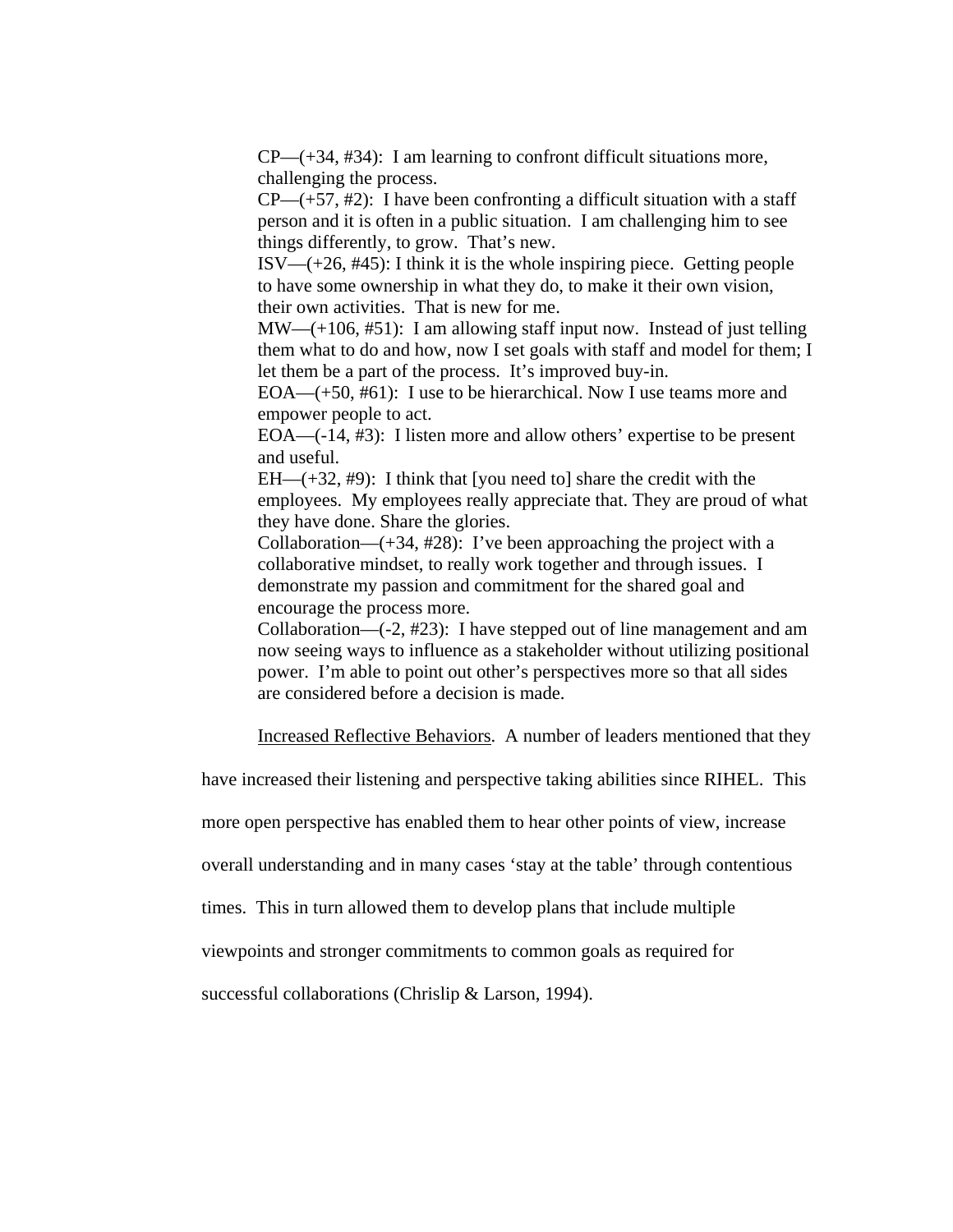$CP$ —(+34, #34): I am learning to confront difficult situations more, challenging the process.

 $CP$ —(+57, #2): I have been confronting a difficult situation with a staff person and it is often in a public situation. I am challenging him to see things differently, to grow. That's new.

 $ISV= (+26, #45)$ : I think it is the whole inspiring piece. Getting people to have some ownership in what they do, to make it their own vision, their own activities. That is new for me.

MW—(+106, #51): I am allowing staff input now. Instead of just telling them what to do and how, now I set goals with staff and model for them; I let them be a part of the process. It's improved buy-in.

EOA—(+50, #61): I use to be hierarchical. Now I use teams more and empower people to act.

EOA—(-14, #3): I listen more and allow others' expertise to be present and useful.

 $EH$  (+32, #9): I think that [you need to] share the credit with the employees. My employees really appreciate that. They are proud of what they have done. Share the glories.

Collaboration—(+34, #28): I've been approaching the project with a collaborative mindset, to really work together and through issues. I demonstrate my passion and commitment for the shared goal and encourage the process more.

Collaboration—(-2, #23): I have stepped out of line management and am now seeing ways to influence as a stakeholder without utilizing positional power. I'm able to point out other's perspectives more so that all sides are considered before a decision is made.

Increased Reflective Behaviors. A number of leaders mentioned that they

have increased their listening and perspective taking abilities since RIHEL. This

more open perspective has enabled them to hear other points of view, increase

overall understanding and in many cases 'stay at the table' through contentious

times. This in turn allowed them to develop plans that include multiple

viewpoints and stronger commitments to common goals as required for

successful collaborations (Chrislip & Larson, 1994).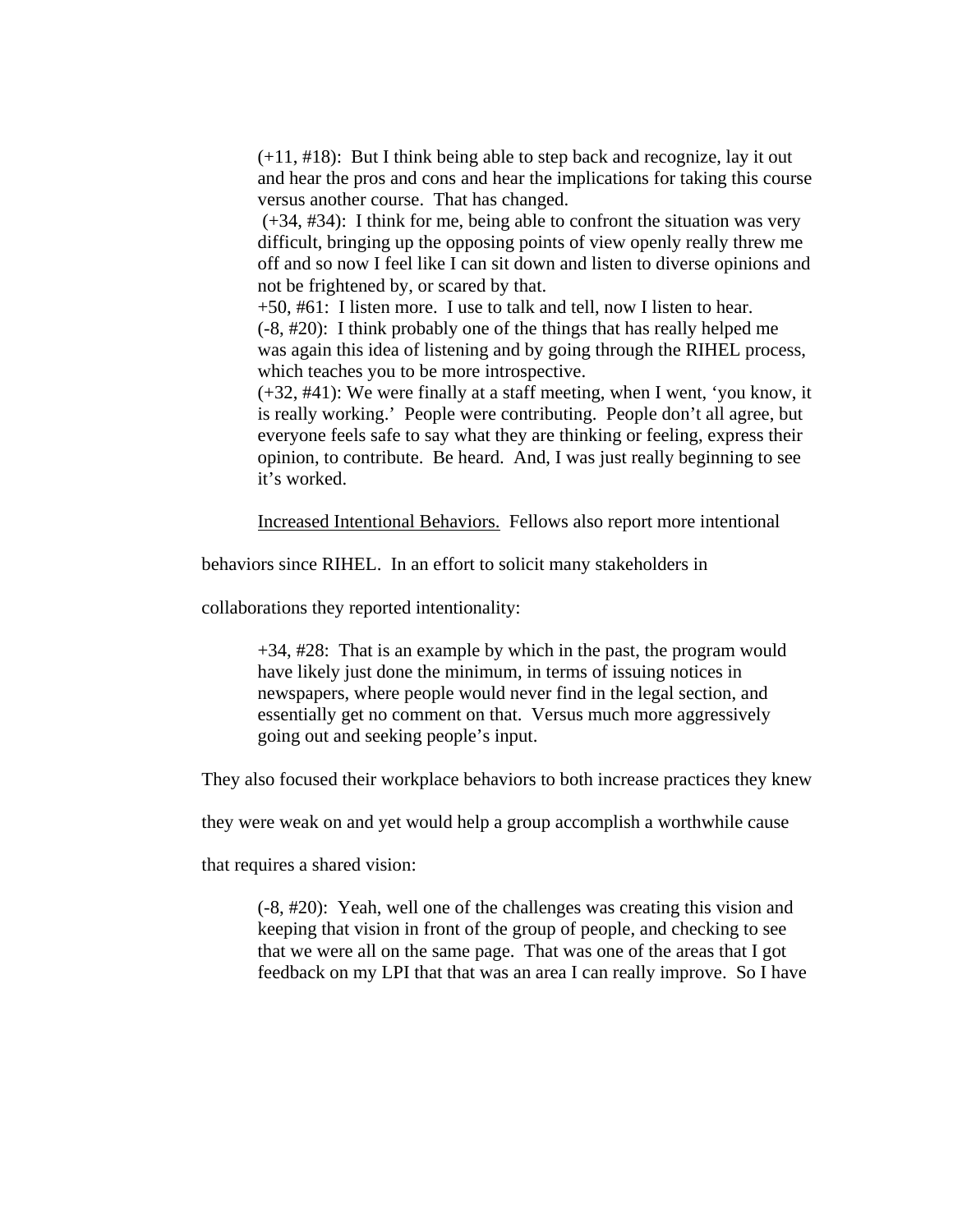(+11, #18): But I think being able to step back and recognize, lay it out and hear the pros and cons and hear the implications for taking this course versus another course. That has changed.

 (+34, #34): I think for me, being able to confront the situation was very difficult, bringing up the opposing points of view openly really threw me off and so now I feel like I can sit down and listen to diverse opinions and not be frightened by, or scared by that.

+50, #61: I listen more. I use to talk and tell, now I listen to hear. (-8, #20): I think probably one of the things that has really helped me was again this idea of listening and by going through the RIHEL process, which teaches you to be more introspective.

(+32, #41): We were finally at a staff meeting, when I went, 'you know, it is really working.' People were contributing. People don't all agree, but everyone feels safe to say what they are thinking or feeling, express their opinion, to contribute. Be heard. And, I was just really beginning to see it's worked.

Increased Intentional Behaviors. Fellows also report more intentional

behaviors since RIHEL. In an effort to solicit many stakeholders in

collaborations they reported intentionality:

 $+34, \frac{\#28}{ }$ : That is an example by which in the past, the program would have likely just done the minimum, in terms of issuing notices in newspapers, where people would never find in the legal section, and essentially get no comment on that. Versus much more aggressively going out and seeking people's input.

They also focused their workplace behaviors to both increase practices they knew

they were weak on and yet would help a group accomplish a worthwhile cause

that requires a shared vision:

(-8, #20): Yeah, well one of the challenges was creating this vision and keeping that vision in front of the group of people, and checking to see that we were all on the same page. That was one of the areas that I got feedback on my LPI that that was an area I can really improve. So I have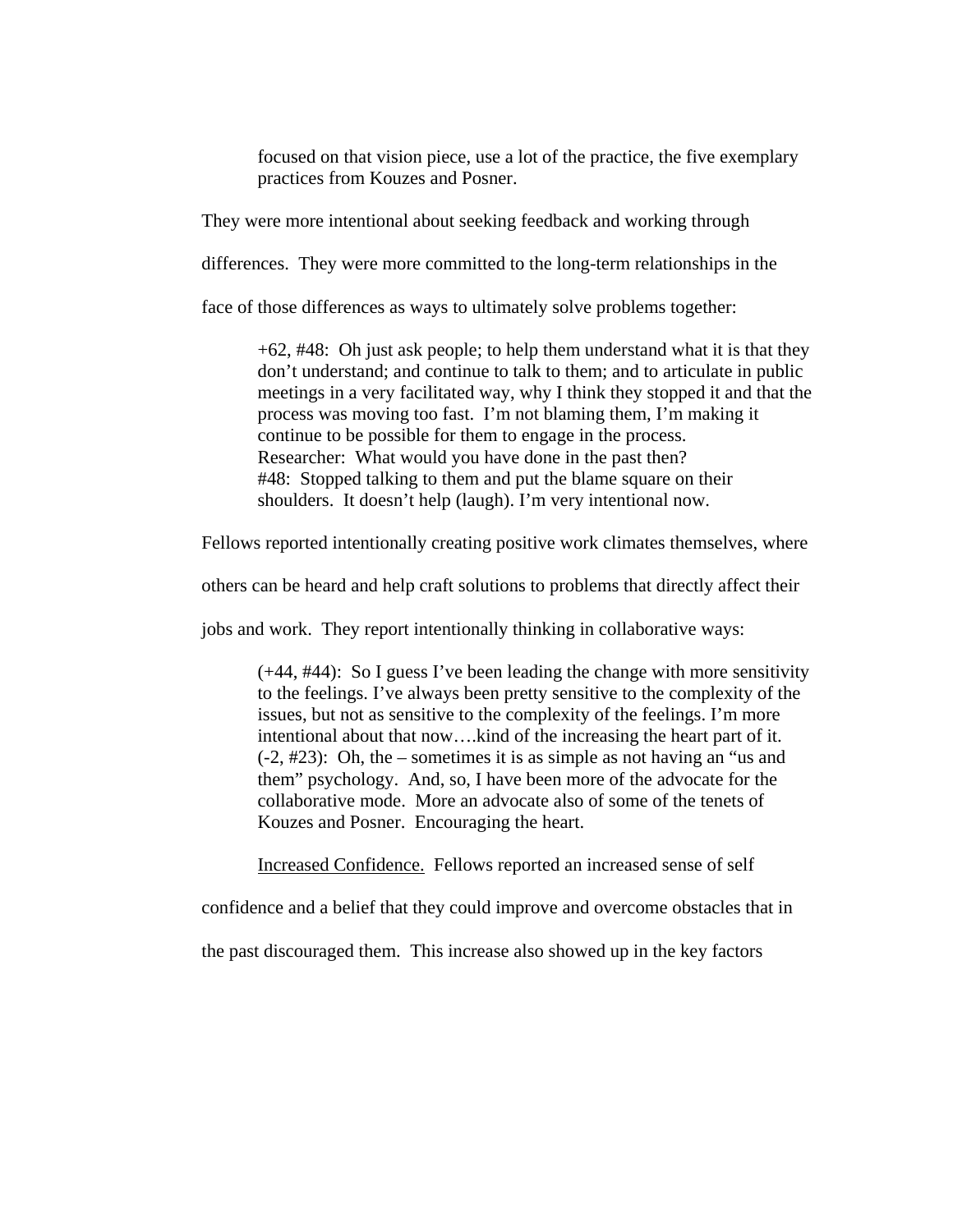focused on that vision piece, use a lot of the practice, the five exemplary practices from Kouzes and Posner.

They were more intentional about seeking feedback and working through

differences. They were more committed to the long-term relationships in the

face of those differences as ways to ultimately solve problems together:

+62, #48: Oh just ask people; to help them understand what it is that they don't understand; and continue to talk to them; and to articulate in public meetings in a very facilitated way, why I think they stopped it and that the process was moving too fast. I'm not blaming them, I'm making it continue to be possible for them to engage in the process. Researcher: What would you have done in the past then? #48: Stopped talking to them and put the blame square on their shoulders. It doesn't help (laugh). I'm very intentional now.

Fellows reported intentionally creating positive work climates themselves, where

others can be heard and help craft solutions to problems that directly affect their

jobs and work. They report intentionally thinking in collaborative ways:

(+44, #44): So I guess I've been leading the change with more sensitivity to the feelings. I've always been pretty sensitive to the complexity of the issues, but not as sensitive to the complexity of the feelings. I'm more intentional about that now….kind of the increasing the heart part of it. (-2, #23): Oh, the – sometimes it is as simple as not having an "us and them" psychology. And, so, I have been more of the advocate for the collaborative mode. More an advocate also of some of the tenets of Kouzes and Posner. Encouraging the heart.

Increased Confidence. Fellows reported an increased sense of self

confidence and a belief that they could improve and overcome obstacles that in

the past discouraged them. This increase also showed up in the key factors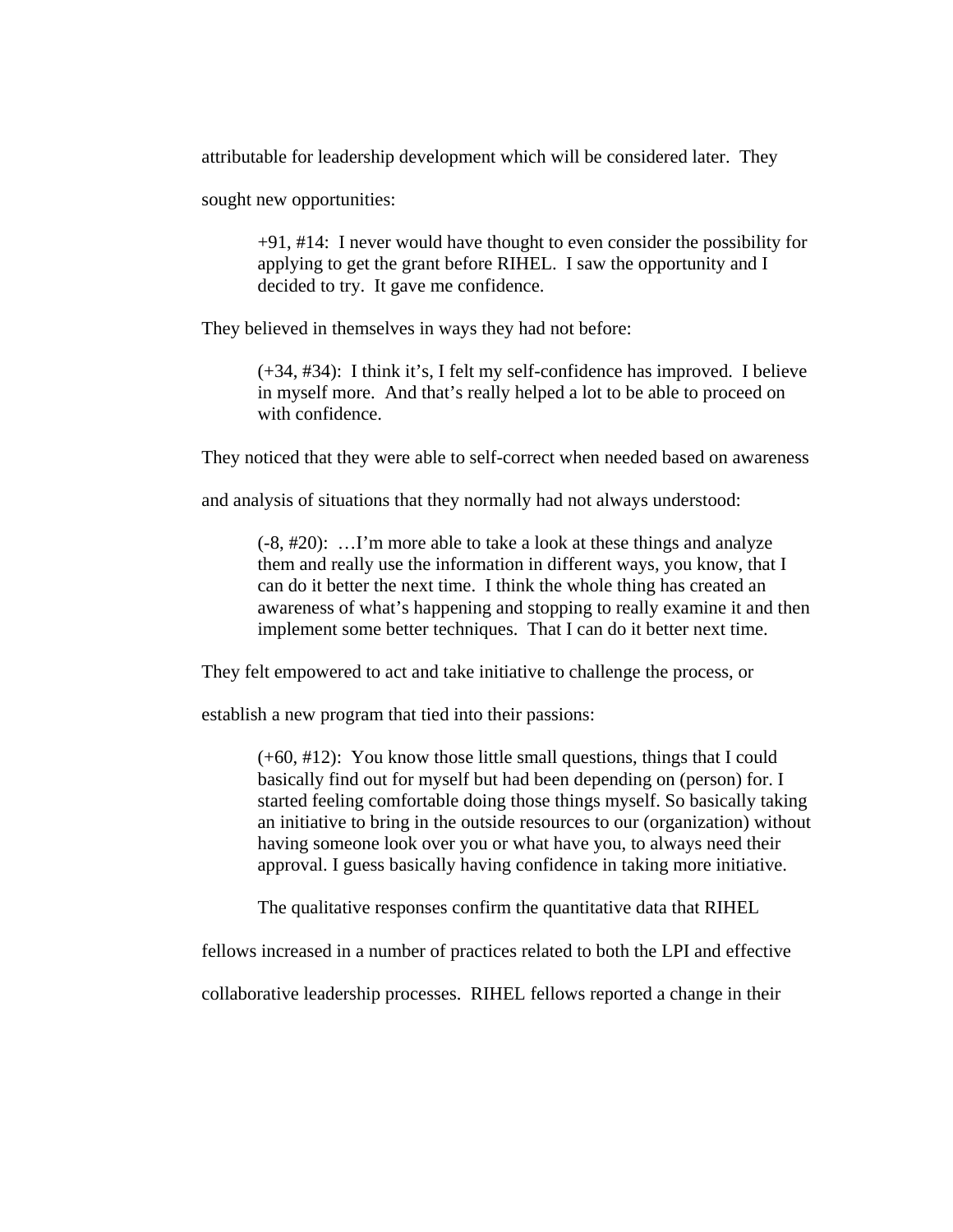attributable for leadership development which will be considered later. They

sought new opportunities:

+91, #14: I never would have thought to even consider the possibility for applying to get the grant before RIHEL. I saw the opportunity and I decided to try. It gave me confidence.

They believed in themselves in ways they had not before:

(+34, #34): I think it's, I felt my self-confidence has improved. I believe in myself more. And that's really helped a lot to be able to proceed on with confidence.

They noticed that they were able to self-correct when needed based on awareness

and analysis of situations that they normally had not always understood:

(-8, #20): …I'm more able to take a look at these things and analyze them and really use the information in different ways, you know, that I can do it better the next time. I think the whole thing has created an awareness of what's happening and stopping to really examine it and then implement some better techniques. That I can do it better next time.

They felt empowered to act and take initiative to challenge the process, or

establish a new program that tied into their passions:

(+60, #12): You know those little small questions, things that I could basically find out for myself but had been depending on (person) for. I started feeling comfortable doing those things myself. So basically taking an initiative to bring in the outside resources to our (organization) without having someone look over you or what have you, to always need their approval. I guess basically having confidence in taking more initiative.

The qualitative responses confirm the quantitative data that RIHEL

fellows increased in a number of practices related to both the LPI and effective

collaborative leadership processes. RIHEL fellows reported a change in their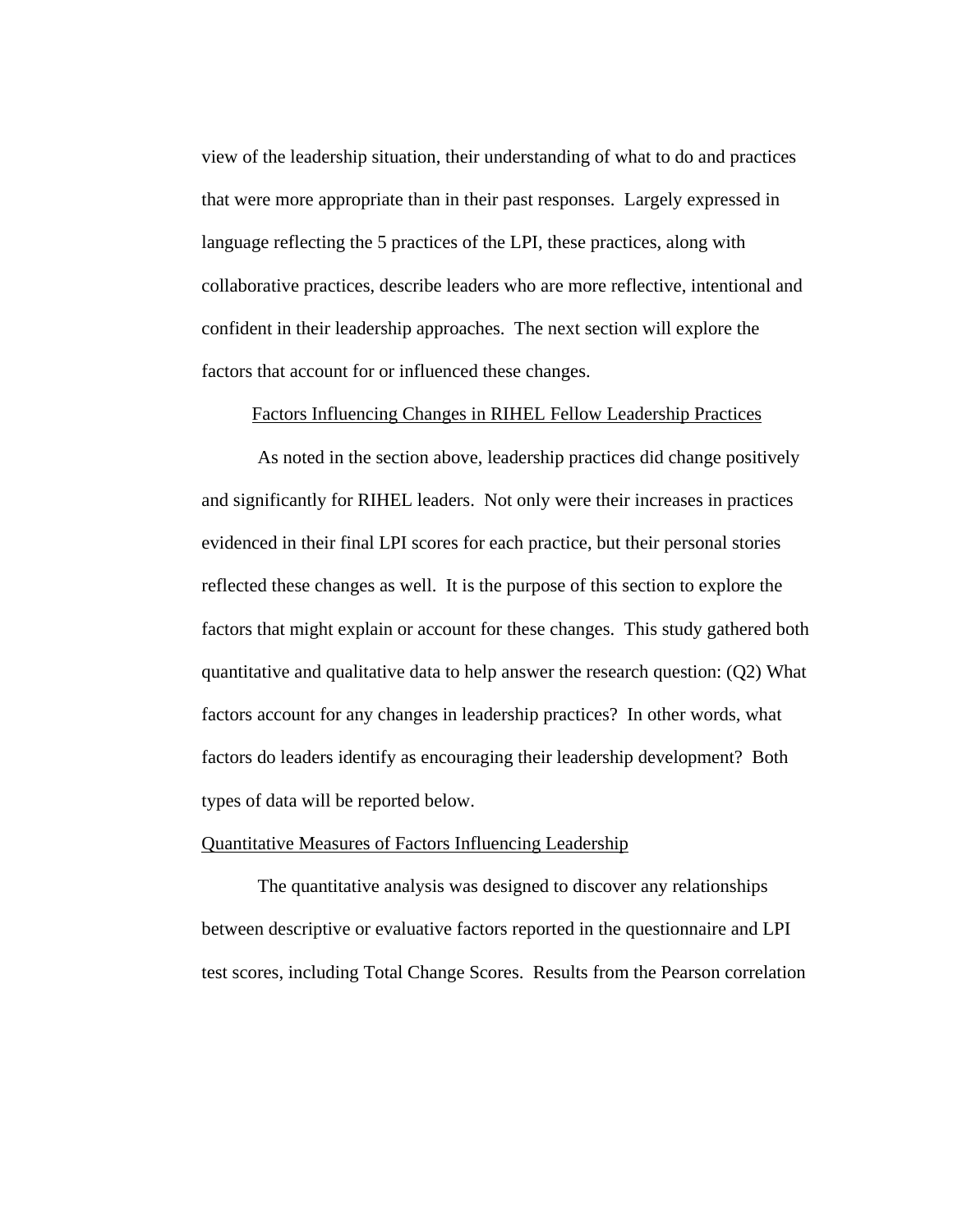view of the leadership situation, their understanding of what to do and practices that were more appropriate than in their past responses. Largely expressed in language reflecting the 5 practices of the LPI, these practices, along with collaborative practices, describe leaders who are more reflective, intentional and confident in their leadership approaches. The next section will explore the factors that account for or influenced these changes.

#### Factors Influencing Changes in RIHEL Fellow Leadership Practices

As noted in the section above, leadership practices did change positively and significantly for RIHEL leaders. Not only were their increases in practices evidenced in their final LPI scores for each practice, but their personal stories reflected these changes as well. It is the purpose of this section to explore the factors that might explain or account for these changes. This study gathered both quantitative and qualitative data to help answer the research question: (Q2) What factors account for any changes in leadership practices? In other words, what factors do leaders identify as encouraging their leadership development? Both types of data will be reported below.

### Quantitative Measures of Factors Influencing Leadership

The quantitative analysis was designed to discover any relationships between descriptive or evaluative factors reported in the questionnaire and LPI test scores, including Total Change Scores. Results from the Pearson correlation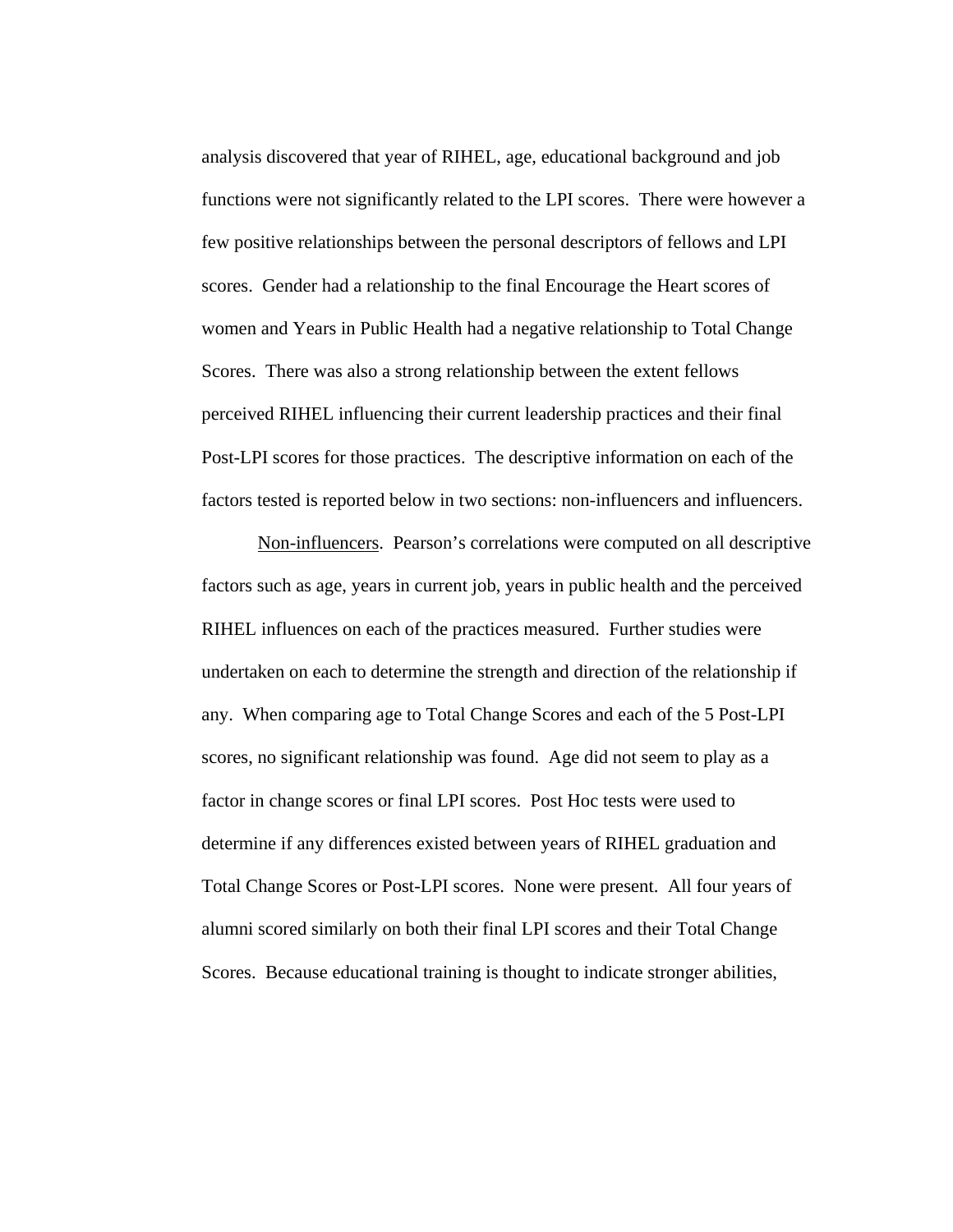analysis discovered that year of RIHEL, age, educational background and job functions were not significantly related to the LPI scores. There were however a few positive relationships between the personal descriptors of fellows and LPI scores. Gender had a relationship to the final Encourage the Heart scores of women and Years in Public Health had a negative relationship to Total Change Scores. There was also a strong relationship between the extent fellows perceived RIHEL influencing their current leadership practices and their final Post-LPI scores for those practices. The descriptive information on each of the factors tested is reported below in two sections: non-influencers and influencers.

Non-influencers. Pearson's correlations were computed on all descriptive factors such as age, years in current job, years in public health and the perceived RIHEL influences on each of the practices measured. Further studies were undertaken on each to determine the strength and direction of the relationship if any. When comparing age to Total Change Scores and each of the 5 Post-LPI scores, no significant relationship was found. Age did not seem to play as a factor in change scores or final LPI scores. Post Hoc tests were used to determine if any differences existed between years of RIHEL graduation and Total Change Scores or Post-LPI scores. None were present. All four years of alumni scored similarly on both their final LPI scores and their Total Change Scores. Because educational training is thought to indicate stronger abilities,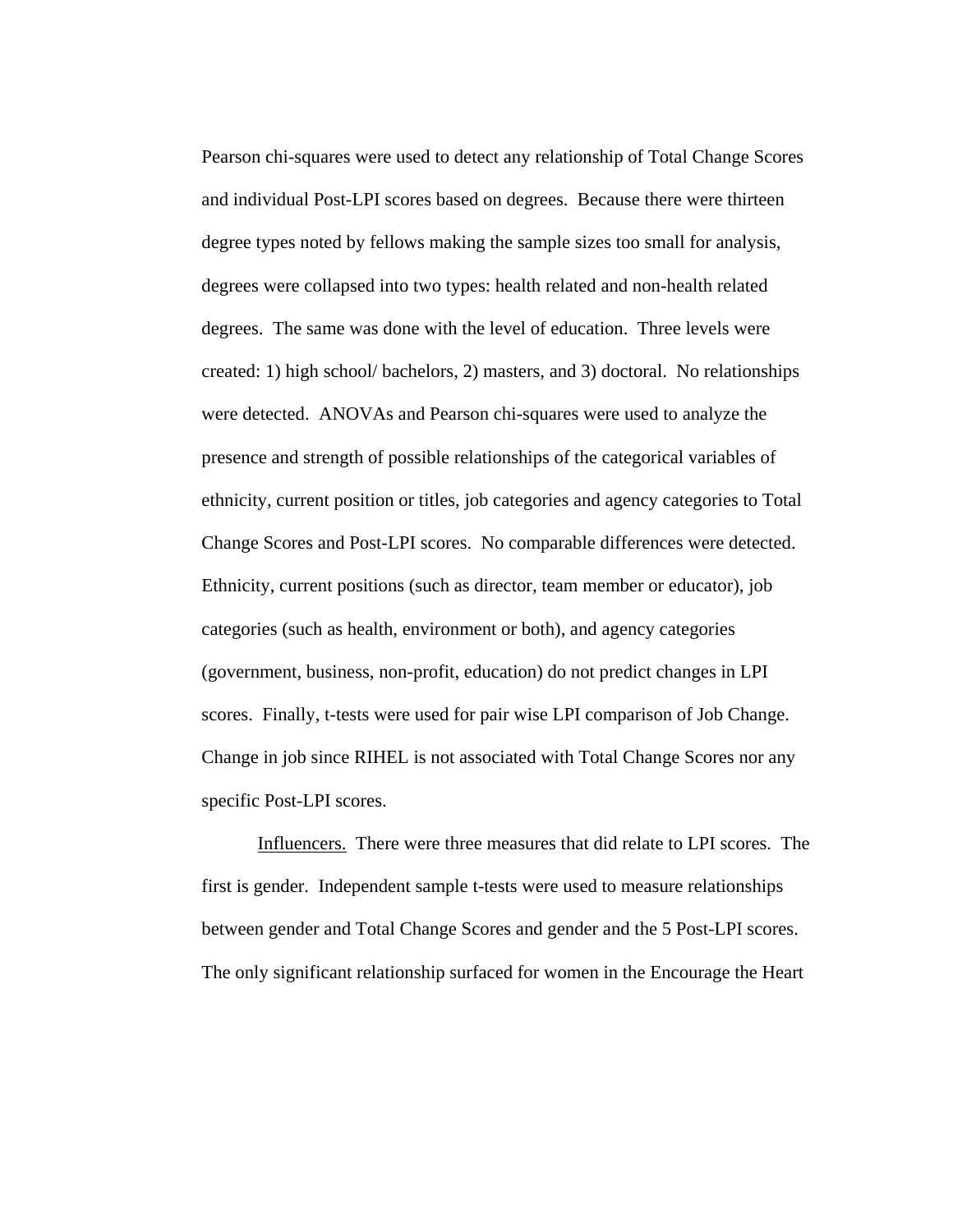Pearson chi-squares were used to detect any relationship of Total Change Scores and individual Post-LPI scores based on degrees. Because there were thirteen degree types noted by fellows making the sample sizes too small for analysis, degrees were collapsed into two types: health related and non-health related degrees. The same was done with the level of education. Three levels were created: 1) high school/ bachelors, 2) masters, and 3) doctoral. No relationships were detected. ANOVAs and Pearson chi-squares were used to analyze the presence and strength of possible relationships of the categorical variables of ethnicity, current position or titles, job categories and agency categories to Total Change Scores and Post-LPI scores. No comparable differences were detected. Ethnicity, current positions (such as director, team member or educator), job categories (such as health, environment or both), and agency categories (government, business, non-profit, education) do not predict changes in LPI scores. Finally, t-tests were used for pair wise LPI comparison of Job Change. Change in job since RIHEL is not associated with Total Change Scores nor any specific Post-LPI scores.

Influencers. There were three measures that did relate to LPI scores. The first is gender. Independent sample t-tests were used to measure relationships between gender and Total Change Scores and gender and the 5 Post-LPI scores. The only significant relationship surfaced for women in the Encourage the Heart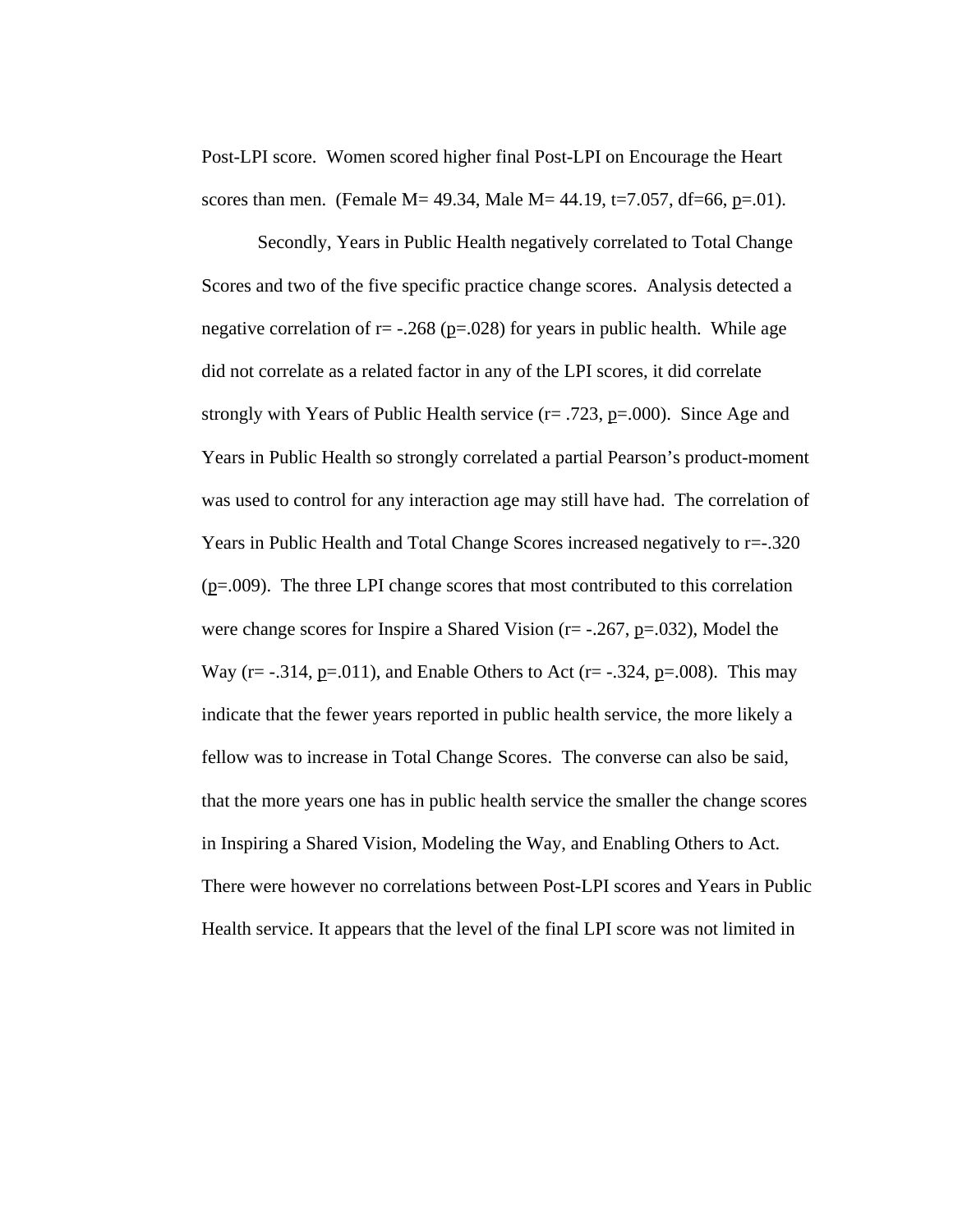Post-LPI score. Women scored higher final Post-LPI on Encourage the Heart scores than men. (Female M = 49.34, Male M = 44.19, t = 7.057, df = 66, p = 0.01).

Secondly, Years in Public Health negatively correlated to Total Change Scores and two of the five specific practice change scores. Analysis detected a negative correlation of  $r = -0.268$  (p=.028) for years in public health. While age did not correlate as a related factor in any of the LPI scores, it did correlate strongly with Years of Public Health service  $(r = .723, p = .000)$ . Since Age and Years in Public Health so strongly correlated a partial Pearson's product-moment was used to control for any interaction age may still have had. The correlation of Years in Public Health and Total Change Scores increased negatively to r=-.320 (p=.009). The three LPI change scores that most contributed to this correlation were change scores for Inspire a Shared Vision ( $r = -.267$ ,  $p = .032$ ), Model the Way ( $r = -0.314$ ,  $p = 0.011$ ), and Enable Others to Act ( $r = -0.324$ ,  $p = 0.008$ ). This may indicate that the fewer years reported in public health service, the more likely a fellow was to increase in Total Change Scores. The converse can also be said, that the more years one has in public health service the smaller the change scores in Inspiring a Shared Vision, Modeling the Way, and Enabling Others to Act. There were however no correlations between Post-LPI scores and Years in Public Health service. It appears that the level of the final LPI score was not limited in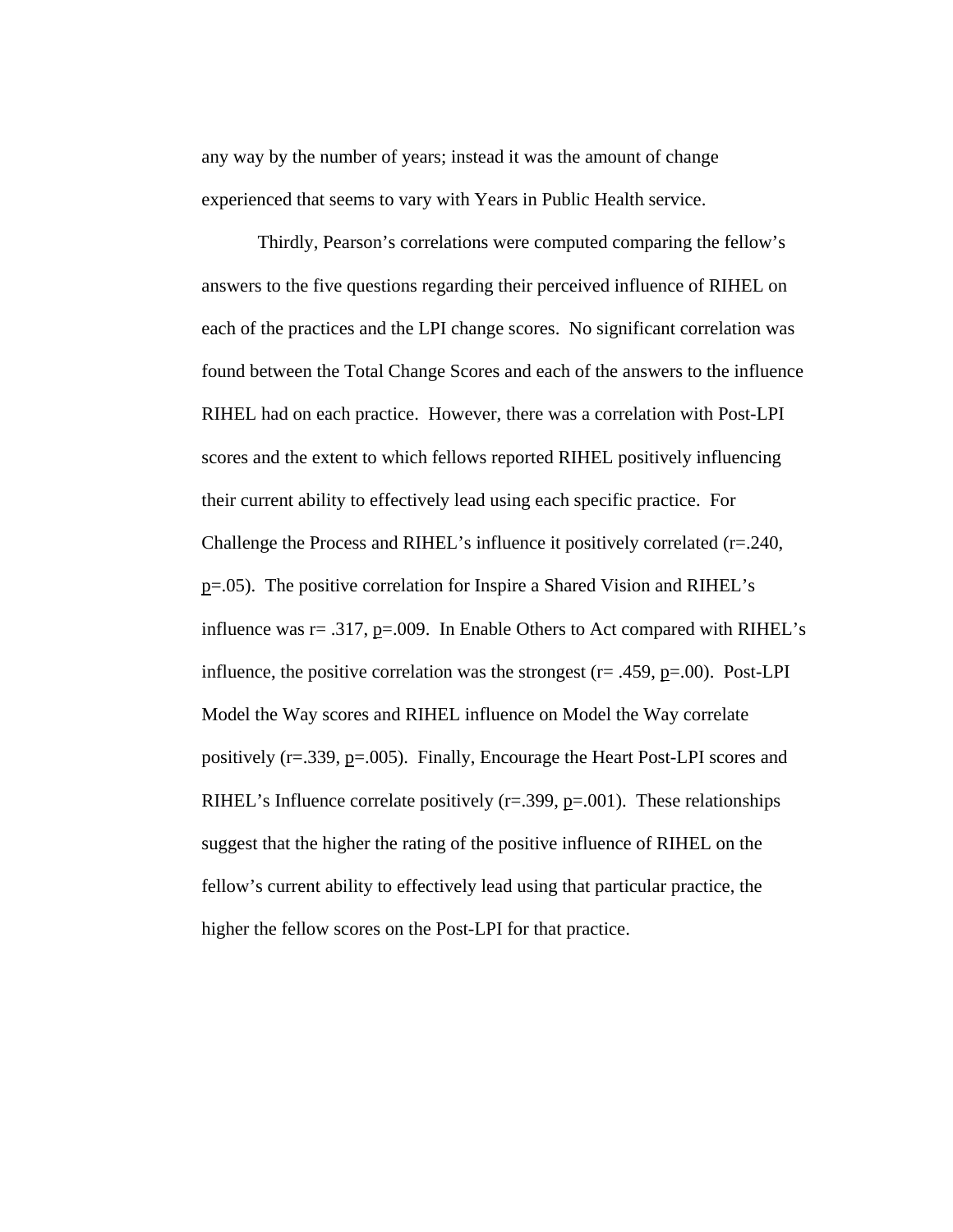any way by the number of years; instead it was the amount of change experienced that seems to vary with Years in Public Health service.

Thirdly, Pearson's correlations were computed comparing the fellow's answers to the five questions regarding their perceived influence of RIHEL on each of the practices and the LPI change scores. No significant correlation was found between the Total Change Scores and each of the answers to the influence RIHEL had on each practice. However, there was a correlation with Post-LPI scores and the extent to which fellows reported RIHEL positively influencing their current ability to effectively lead using each specific practice. For Challenge the Process and RIHEL's influence it positively correlated (r=.240, p=.05). The positive correlation for Inspire a Shared Vision and RIHEL's influence was  $r = .317$ ,  $p = .009$ . In Enable Others to Act compared with RIHEL's influence, the positive correlation was the strongest ( $r = .459$ ,  $p = .00$ ). Post-LPI Model the Way scores and RIHEL influence on Model the Way correlate positively (r=.339, p=.005). Finally, Encourage the Heart Post-LPI scores and RIHEL's Influence correlate positively  $(r=.399, p=.001)$ . These relationships suggest that the higher the rating of the positive influence of RIHEL on the fellow's current ability to effectively lead using that particular practice, the higher the fellow scores on the Post-LPI for that practice.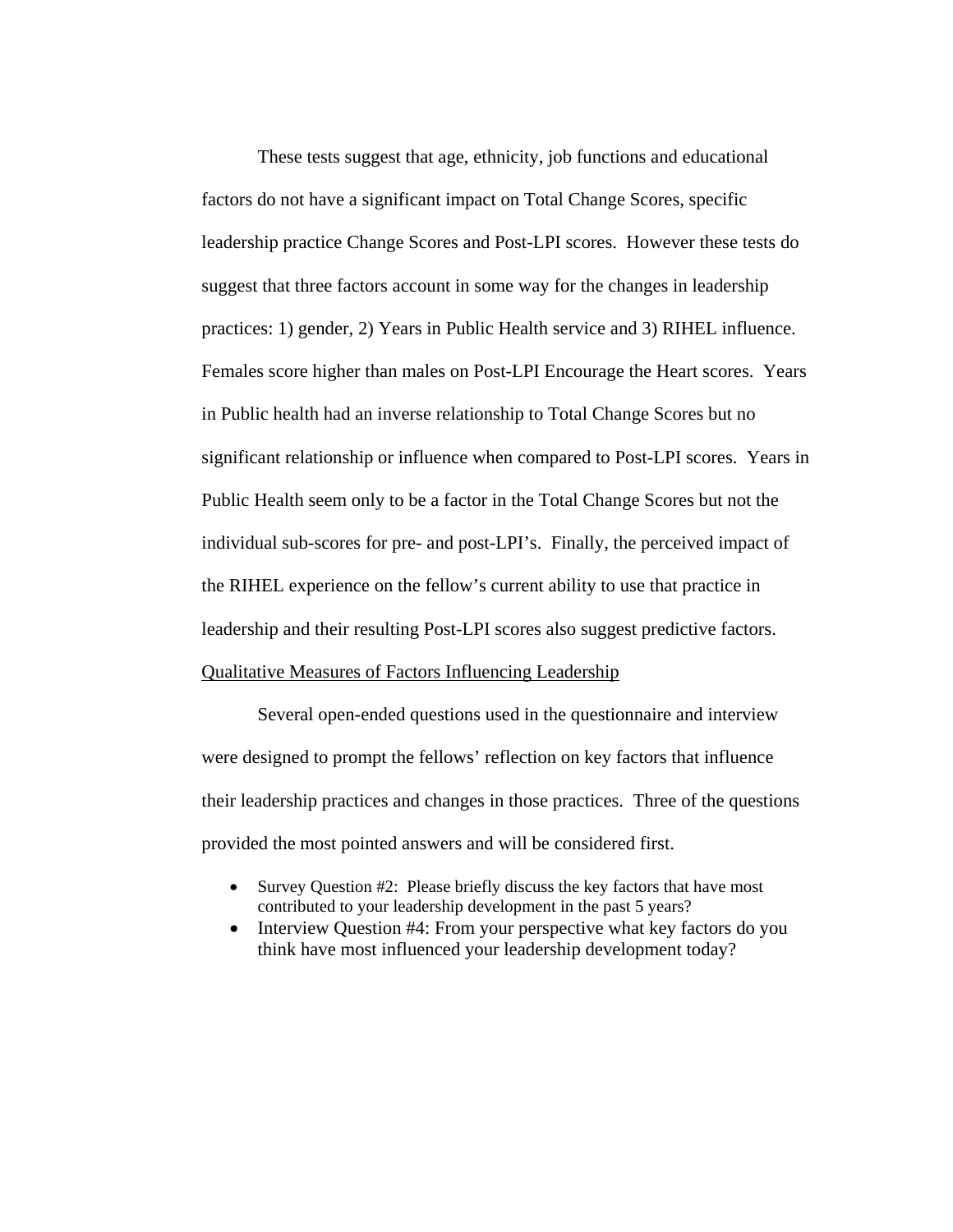These tests suggest that age, ethnicity, job functions and educational factors do not have a significant impact on Total Change Scores, specific leadership practice Change Scores and Post-LPI scores. However these tests do suggest that three factors account in some way for the changes in leadership practices: 1) gender, 2) Years in Public Health service and 3) RIHEL influence. Females score higher than males on Post-LPI Encourage the Heart scores. Years in Public health had an inverse relationship to Total Change Scores but no significant relationship or influence when compared to Post-LPI scores. Years in Public Health seem only to be a factor in the Total Change Scores but not the individual sub-scores for pre- and post-LPI's. Finally, the perceived impact of the RIHEL experience on the fellow's current ability to use that practice in leadership and their resulting Post-LPI scores also suggest predictive factors. Qualitative Measures of Factors Influencing Leadership

 Several open-ended questions used in the questionnaire and interview were designed to prompt the fellows' reflection on key factors that influence their leadership practices and changes in those practices. Three of the questions provided the most pointed answers and will be considered first.

- Survey Question #2: Please briefly discuss the key factors that have most contributed to your leadership development in the past 5 years?
- Interview Question #4: From your perspective what key factors do you think have most influenced your leadership development today?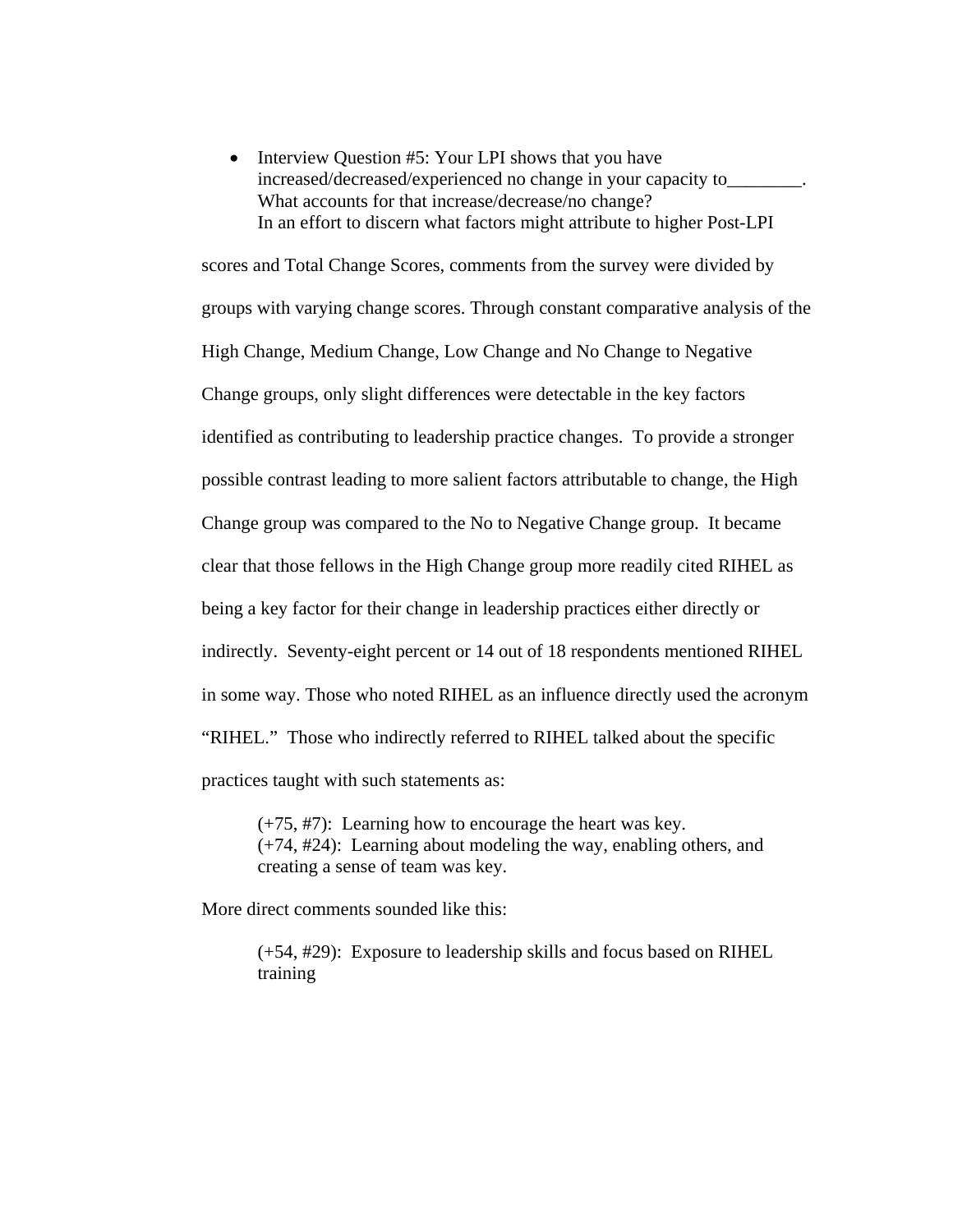• Interview Question #5: Your LPI shows that you have increased/decreased/experienced no change in your capacity to\_\_\_\_\_\_\_\_. What accounts for that increase/decrease/no change? In an effort to discern what factors might attribute to higher Post-LPI

scores and Total Change Scores, comments from the survey were divided by groups with varying change scores. Through constant comparative analysis of the High Change, Medium Change, Low Change and No Change to Negative Change groups, only slight differences were detectable in the key factors identified as contributing to leadership practice changes. To provide a stronger possible contrast leading to more salient factors attributable to change, the High Change group was compared to the No to Negative Change group. It became clear that those fellows in the High Change group more readily cited RIHEL as being a key factor for their change in leadership practices either directly or indirectly. Seventy-eight percent or 14 out of 18 respondents mentioned RIHEL in some way. Those who noted RIHEL as an influence directly used the acronym "RIHEL." Those who indirectly referred to RIHEL talked about the specific practices taught with such statements as:

(+75, #7): Learning how to encourage the heart was key. (+74, #24): Learning about modeling the way, enabling others, and creating a sense of team was key.

More direct comments sounded like this:

(+54, #29): Exposure to leadership skills and focus based on RIHEL training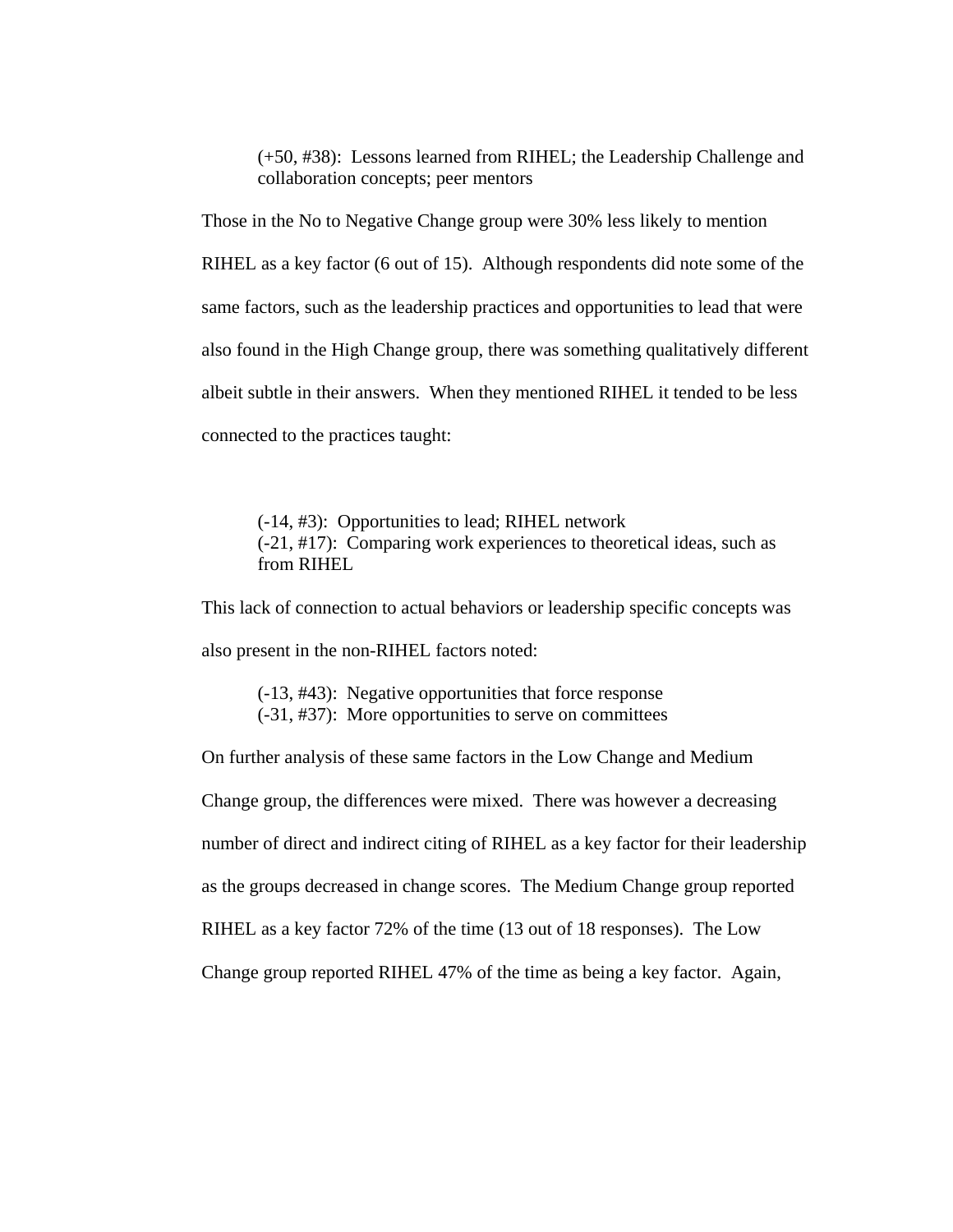(+50, #38): Lessons learned from RIHEL; the Leadership Challenge and collaboration concepts; peer mentors

Those in the No to Negative Change group were 30% less likely to mention RIHEL as a key factor (6 out of 15). Although respondents did note some of the same factors, such as the leadership practices and opportunities to lead that were also found in the High Change group, there was something qualitatively different albeit subtle in their answers. When they mentioned RIHEL it tended to be less connected to the practices taught:

 (-14, #3): Opportunities to lead; RIHEL network (-21, #17): Comparing work experiences to theoretical ideas, such as from RIHEL

This lack of connection to actual behaviors or leadership specific concepts was also present in the non-RIHEL factors noted:

 (-13, #43): Negative opportunities that force response (-31, #37): More opportunities to serve on committees

On further analysis of these same factors in the Low Change and Medium Change group, the differences were mixed. There was however a decreasing number of direct and indirect citing of RIHEL as a key factor for their leadership as the groups decreased in change scores. The Medium Change group reported RIHEL as a key factor 72% of the time (13 out of 18 responses). The Low Change group reported RIHEL 47% of the time as being a key factor. Again,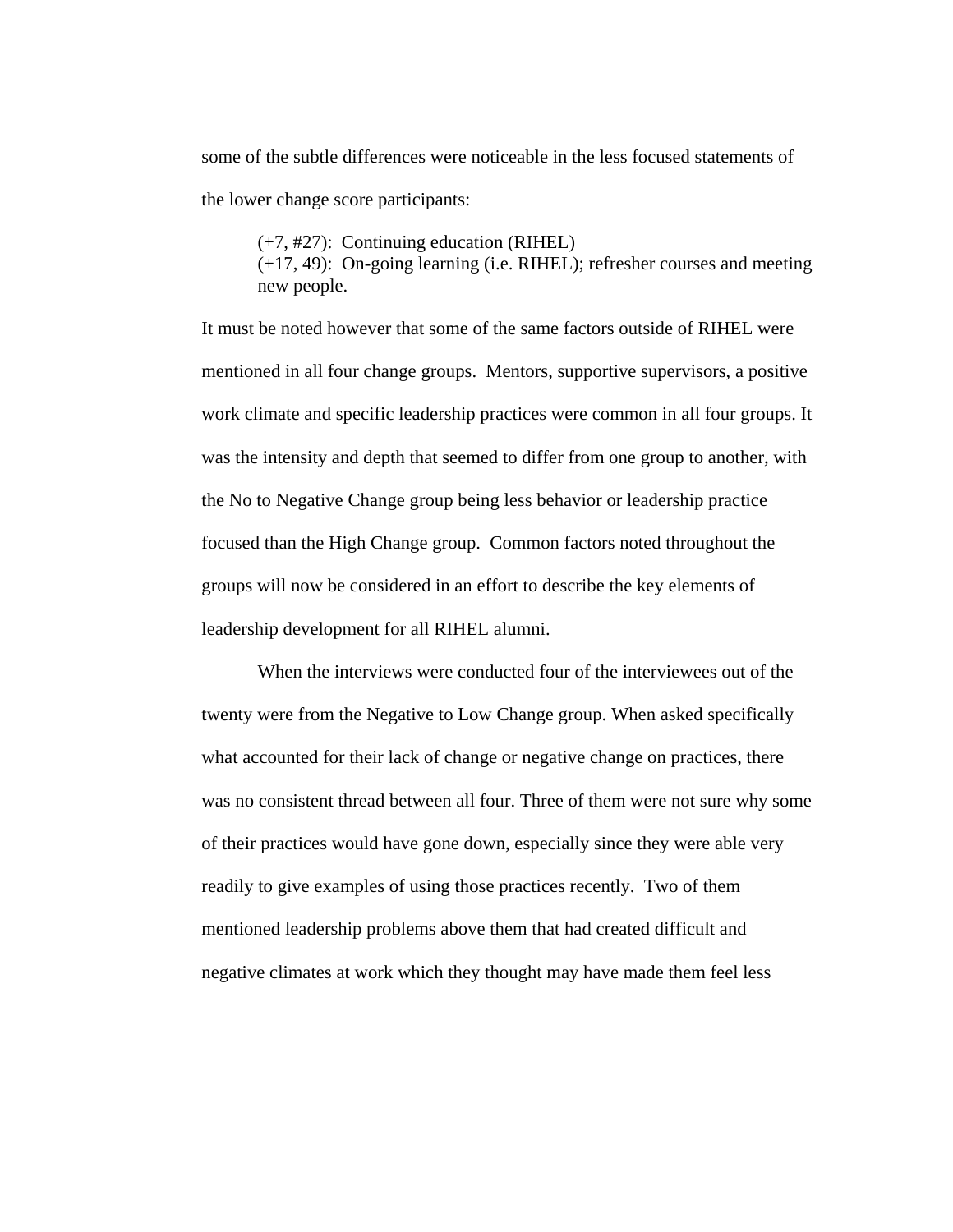some of the subtle differences were noticeable in the less focused statements of the lower change score participants:

 (+7, #27): Continuing education (RIHEL) (+17, 49): On-going learning (i.e. RIHEL); refresher courses and meeting new people.

It must be noted however that some of the same factors outside of RIHEL were mentioned in all four change groups. Mentors, supportive supervisors, a positive work climate and specific leadership practices were common in all four groups. It was the intensity and depth that seemed to differ from one group to another, with the No to Negative Change group being less behavior or leadership practice focused than the High Change group. Common factors noted throughout the groups will now be considered in an effort to describe the key elements of leadership development for all RIHEL alumni.

 When the interviews were conducted four of the interviewees out of the twenty were from the Negative to Low Change group. When asked specifically what accounted for their lack of change or negative change on practices, there was no consistent thread between all four. Three of them were not sure why some of their practices would have gone down, especially since they were able very readily to give examples of using those practices recently. Two of them mentioned leadership problems above them that had created difficult and negative climates at work which they thought may have made them feel less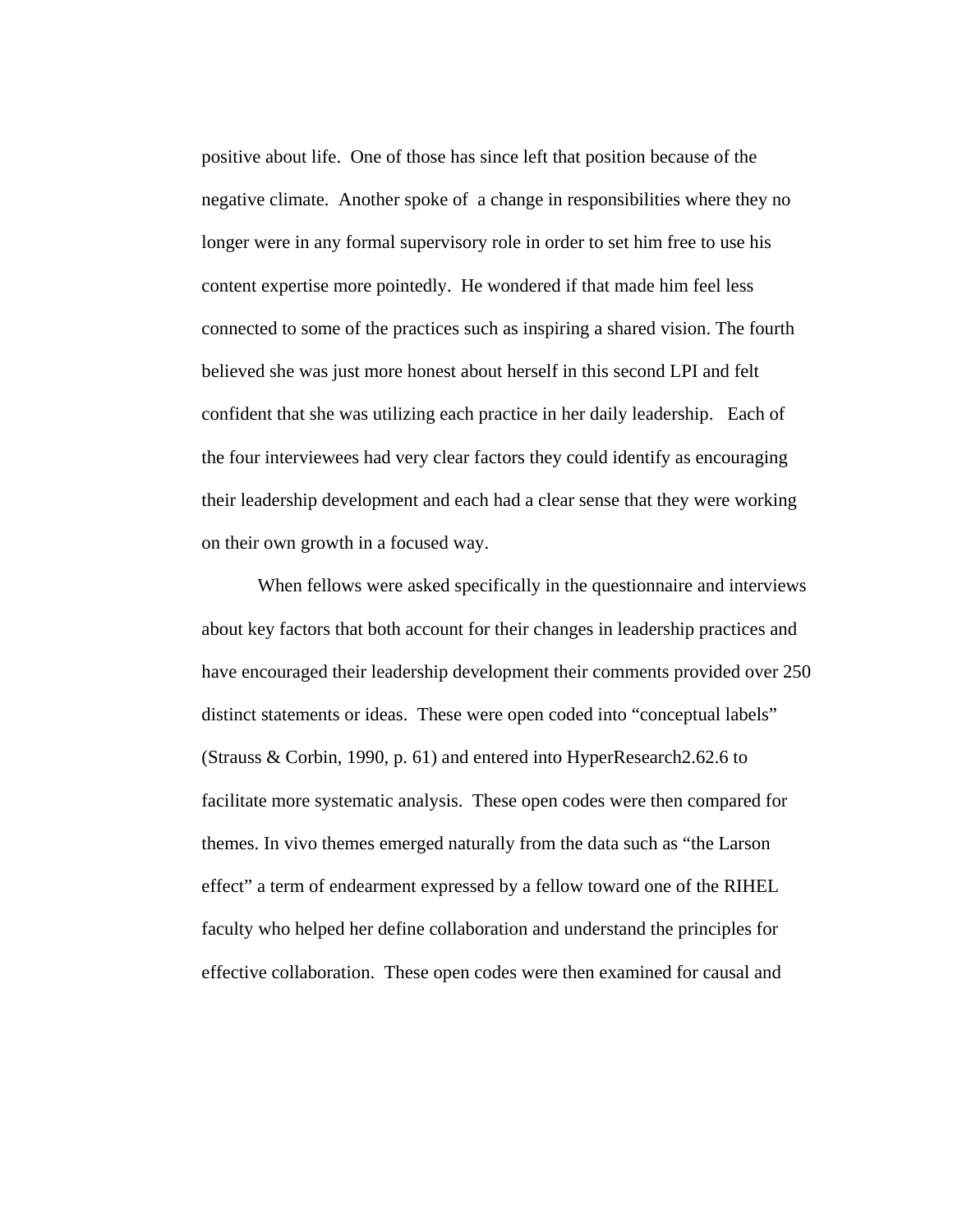positive about life. One of those has since left that position because of the negative climate. Another spoke of a change in responsibilities where they no longer were in any formal supervisory role in order to set him free to use his content expertise more pointedly. He wondered if that made him feel less connected to some of the practices such as inspiring a shared vision. The fourth believed she was just more honest about herself in this second LPI and felt confident that she was utilizing each practice in her daily leadership. Each of the four interviewees had very clear factors they could identify as encouraging their leadership development and each had a clear sense that they were working on their own growth in a focused way.

When fellows were asked specifically in the questionnaire and interviews about key factors that both account for their changes in leadership practices and have encouraged their leadership development their comments provided over 250 distinct statements or ideas. These were open coded into "conceptual labels" (Strauss & Corbin, 1990, p. 61) and entered into HyperResearch2.62.6 to facilitate more systematic analysis. These open codes were then compared for themes. In vivo themes emerged naturally from the data such as "the Larson effect" a term of endearment expressed by a fellow toward one of the RIHEL faculty who helped her define collaboration and understand the principles for effective collaboration. These open codes were then examined for causal and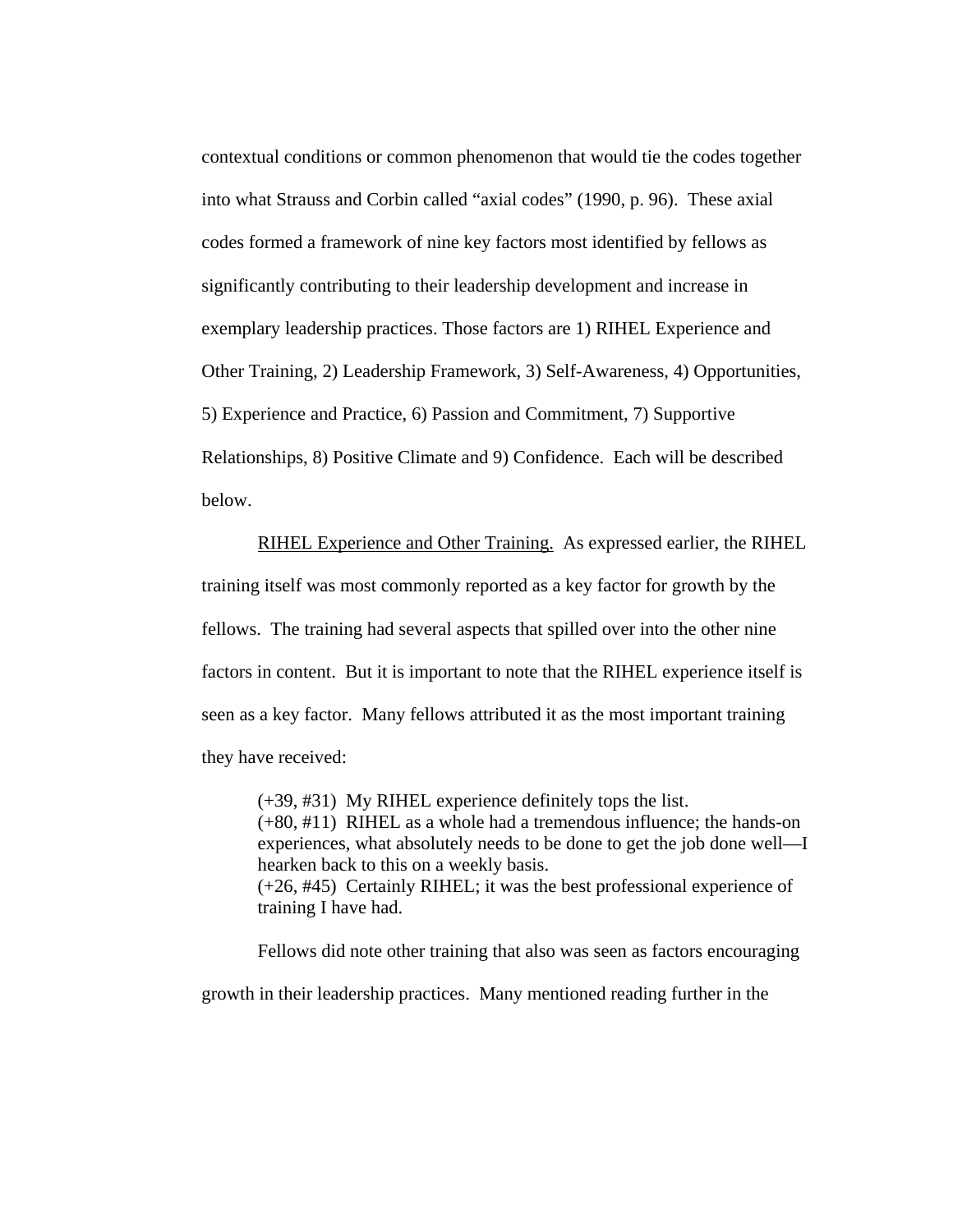contextual conditions or common phenomenon that would tie the codes together into what Strauss and Corbin called "axial codes" (1990, p. 96). These axial codes formed a framework of nine key factors most identified by fellows as significantly contributing to their leadership development and increase in exemplary leadership practices. Those factors are 1) RIHEL Experience and Other Training, 2) Leadership Framework, 3) Self-Awareness, 4) Opportunities, 5) Experience and Practice, 6) Passion and Commitment, 7) Supportive Relationships, 8) Positive Climate and 9) Confidence. Each will be described below.

RIHEL Experience and Other Training. As expressed earlier, the RIHEL training itself was most commonly reported as a key factor for growth by the fellows. The training had several aspects that spilled over into the other nine factors in content. But it is important to note that the RIHEL experience itself is seen as a key factor. Many fellows attributed it as the most important training they have received:

(+39, #31) My RIHEL experience definitely tops the list. (+80, #11) RIHEL as a whole had a tremendous influence; the hands-on experiences, what absolutely needs to be done to get the job done well—I hearken back to this on a weekly basis. (+26, #45) Certainly RIHEL; it was the best professional experience of training I have had.

Fellows did note other training that also was seen as factors encouraging growth in their leadership practices. Many mentioned reading further in the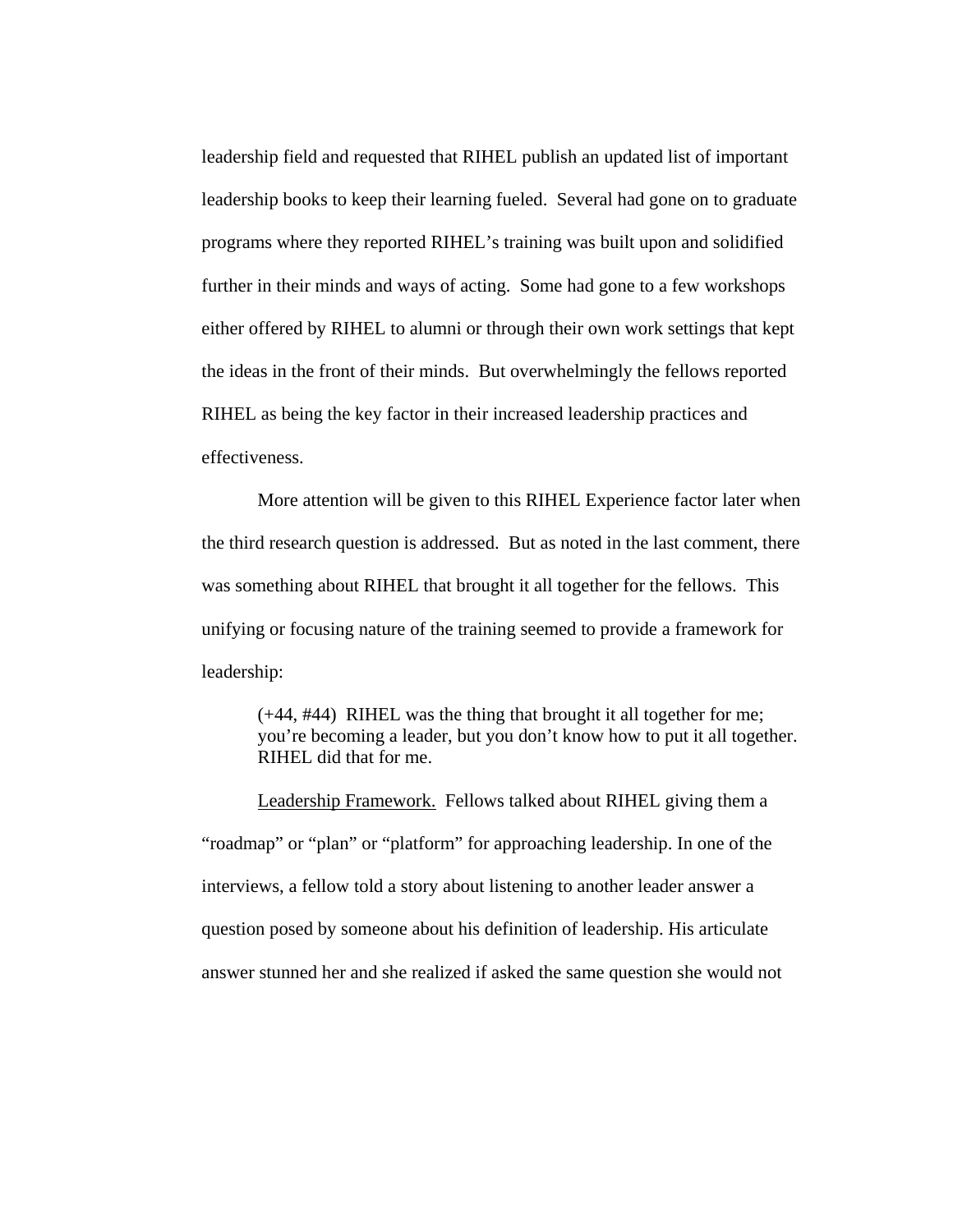leadership field and requested that RIHEL publish an updated list of important leadership books to keep their learning fueled. Several had gone on to graduate programs where they reported RIHEL's training was built upon and solidified further in their minds and ways of acting. Some had gone to a few workshops either offered by RIHEL to alumni or through their own work settings that kept the ideas in the front of their minds. But overwhelmingly the fellows reported RIHEL as being the key factor in their increased leadership practices and effectiveness.

More attention will be given to this RIHEL Experience factor later when the third research question is addressed. But as noted in the last comment, there was something about RIHEL that brought it all together for the fellows. This unifying or focusing nature of the training seemed to provide a framework for leadership:

(+44, #44) RIHEL was the thing that brought it all together for me; you're becoming a leader, but you don't know how to put it all together. RIHEL did that for me.

Leadership Framework. Fellows talked about RIHEL giving them a "roadmap" or "plan" or "platform" for approaching leadership. In one of the interviews, a fellow told a story about listening to another leader answer a question posed by someone about his definition of leadership. His articulate answer stunned her and she realized if asked the same question she would not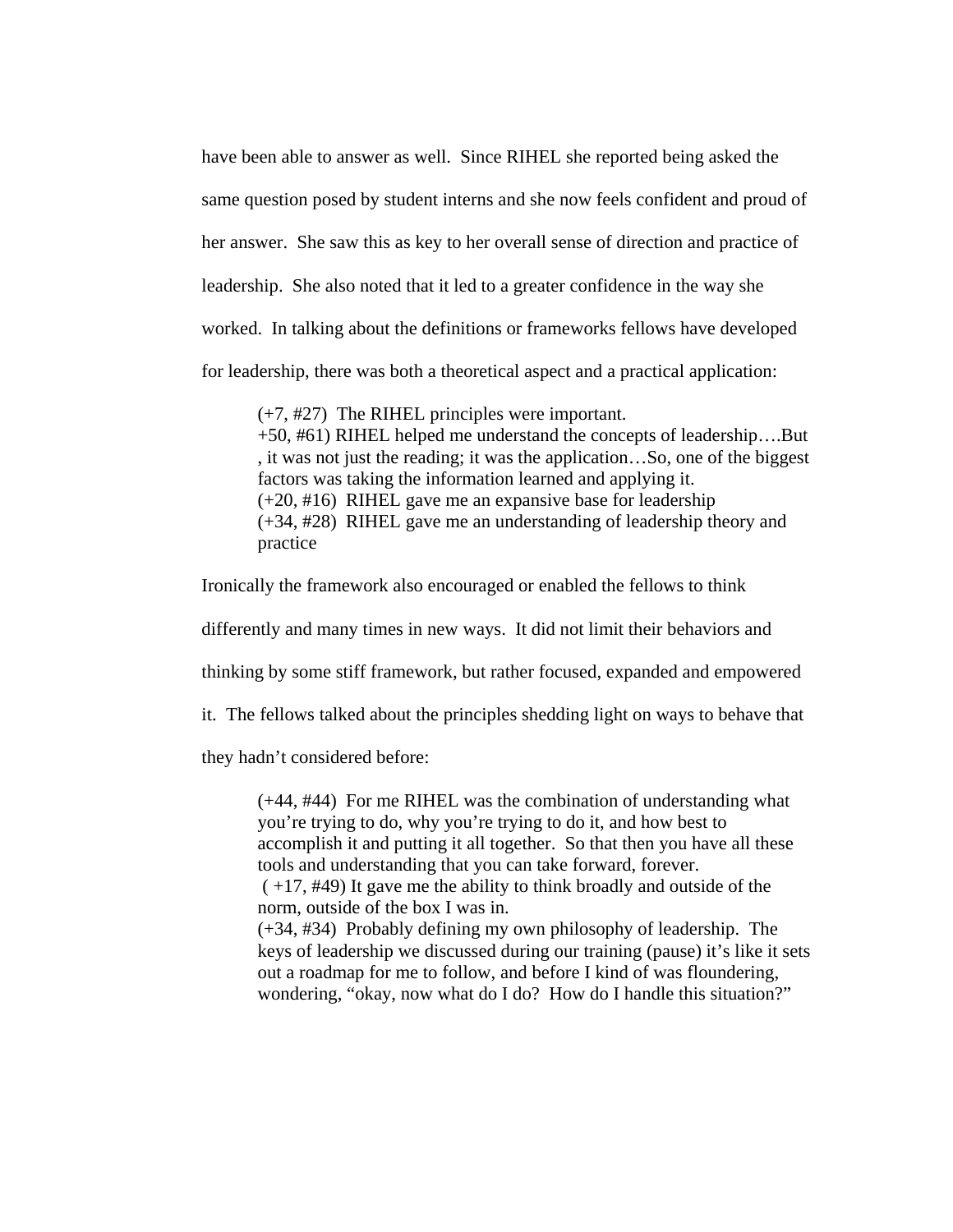have been able to answer as well. Since RIHEL she reported being asked the same question posed by student interns and she now feels confident and proud of her answer. She saw this as key to her overall sense of direction and practice of leadership. She also noted that it led to a greater confidence in the way she worked. In talking about the definitions or frameworks fellows have developed for leadership, there was both a theoretical aspect and a practical application:

(+7, #27) The RIHEL principles were important. +50, #61) RIHEL helped me understand the concepts of leadership….But , it was not just the reading; it was the application…So, one of the biggest factors was taking the information learned and applying it. (+20, #16) RIHEL gave me an expansive base for leadership (+34, #28) RIHEL gave me an understanding of leadership theory and practice

Ironically the framework also encouraged or enabled the fellows to think

differently and many times in new ways. It did not limit their behaviors and

thinking by some stiff framework, but rather focused, expanded and empowered

it. The fellows talked about the principles shedding light on ways to behave that

they hadn't considered before:

(+44, #44) For me RIHEL was the combination of understanding what you're trying to do, why you're trying to do it, and how best to accomplish it and putting it all together. So that then you have all these tools and understanding that you can take forward, forever.

 ( +17, #49) It gave me the ability to think broadly and outside of the norm, outside of the box I was in.

(+34, #34) Probably defining my own philosophy of leadership. The keys of leadership we discussed during our training (pause) it's like it sets out a roadmap for me to follow, and before I kind of was floundering, wondering, "okay, now what do I do? How do I handle this situation?"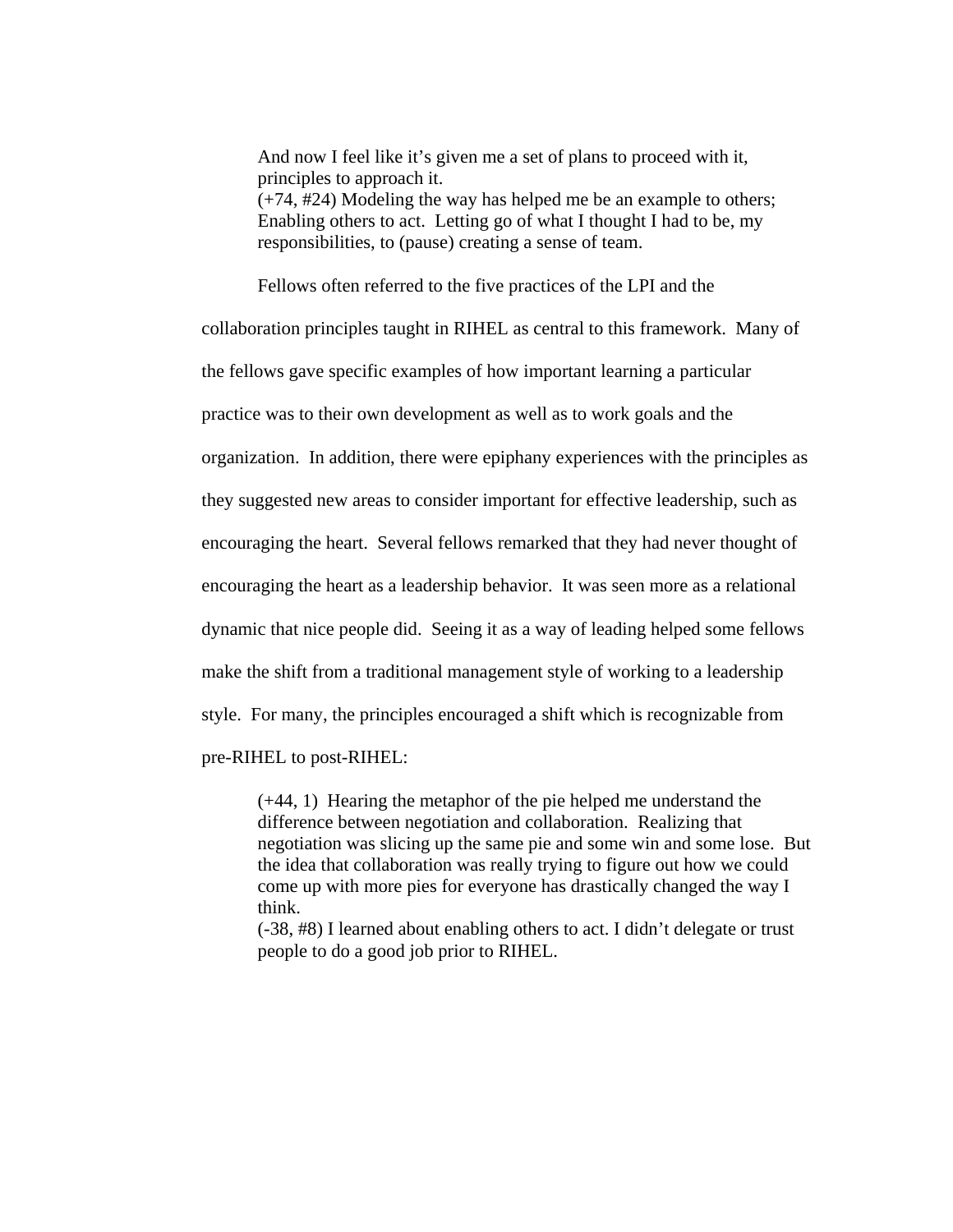And now I feel like it's given me a set of plans to proceed with it, principles to approach it. (+74, #24) Modeling the way has helped me be an example to others; Enabling others to act. Letting go of what I thought I had to be, my responsibilities, to (pause) creating a sense of team.

Fellows often referred to the five practices of the LPI and the

collaboration principles taught in RIHEL as central to this framework. Many of the fellows gave specific examples of how important learning a particular practice was to their own development as well as to work goals and the organization. In addition, there were epiphany experiences with the principles as they suggested new areas to consider important for effective leadership, such as encouraging the heart. Several fellows remarked that they had never thought of encouraging the heart as a leadership behavior. It was seen more as a relational dynamic that nice people did. Seeing it as a way of leading helped some fellows make the shift from a traditional management style of working to a leadership style. For many, the principles encouraged a shift which is recognizable from pre-RIHEL to post-RIHEL:

(+44, 1) Hearing the metaphor of the pie helped me understand the difference between negotiation and collaboration. Realizing that negotiation was slicing up the same pie and some win and some lose. But the idea that collaboration was really trying to figure out how we could come up with more pies for everyone has drastically changed the way I think.

(-38, #8) I learned about enabling others to act. I didn't delegate or trust people to do a good job prior to RIHEL.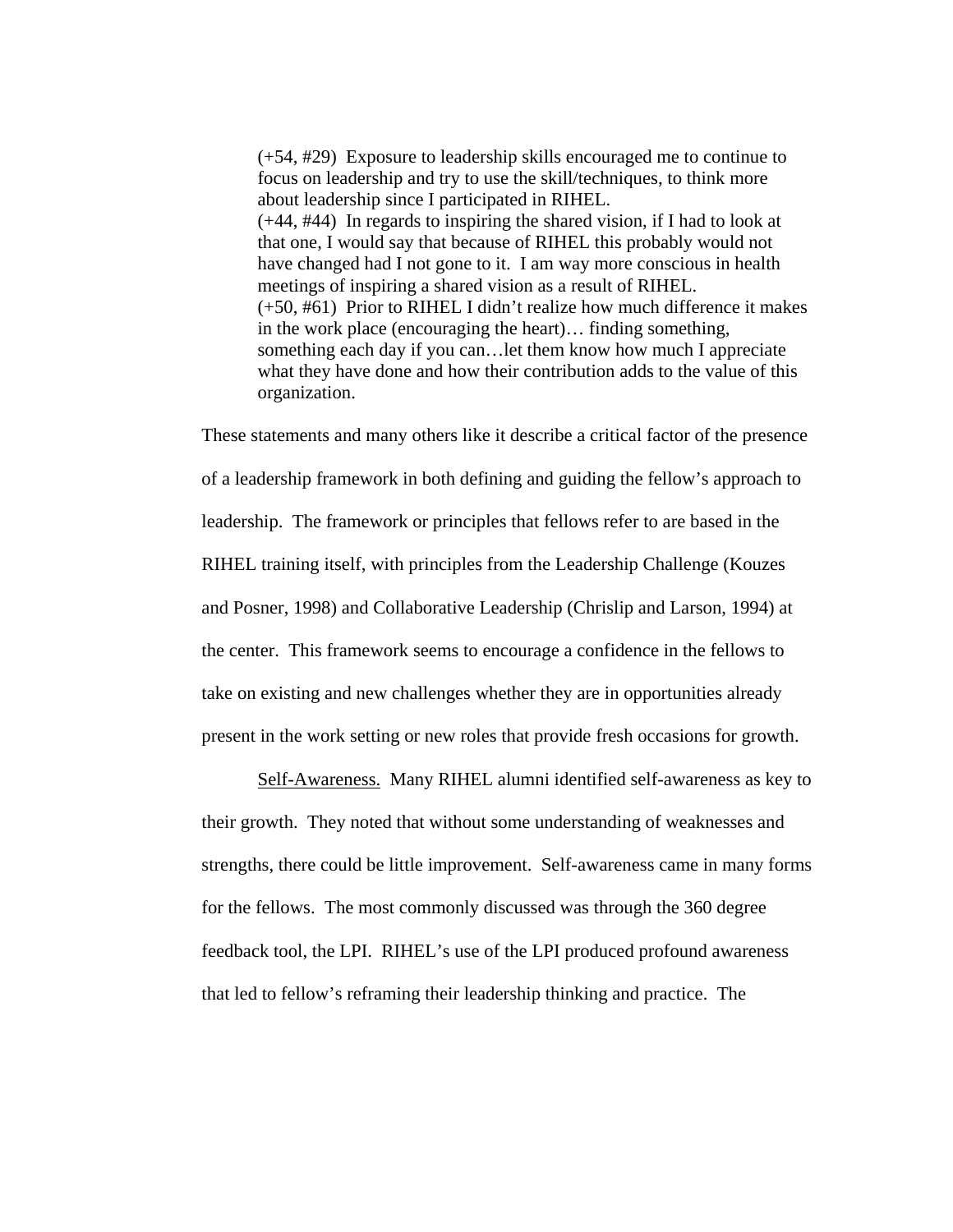(+54, #29) Exposure to leadership skills encouraged me to continue to focus on leadership and try to use the skill/techniques, to think more about leadership since I participated in RIHEL. (+44, #44) In regards to inspiring the shared vision, if I had to look at that one, I would say that because of RIHEL this probably would not have changed had I not gone to it. I am way more conscious in health meetings of inspiring a shared vision as a result of RIHEL. (+50, #61) Prior to RIHEL I didn't realize how much difference it makes in the work place (encouraging the heart)… finding something, something each day if you can…let them know how much I appreciate what they have done and how their contribution adds to the value of this organization.

These statements and many others like it describe a critical factor of the presence of a leadership framework in both defining and guiding the fellow's approach to leadership. The framework or principles that fellows refer to are based in the RIHEL training itself, with principles from the Leadership Challenge (Kouzes and Posner, 1998) and Collaborative Leadership (Chrislip and Larson, 1994) at the center. This framework seems to encourage a confidence in the fellows to take on existing and new challenges whether they are in opportunities already present in the work setting or new roles that provide fresh occasions for growth.

Self-Awareness. Many RIHEL alumni identified self-awareness as key to their growth. They noted that without some understanding of weaknesses and strengths, there could be little improvement. Self-awareness came in many forms for the fellows. The most commonly discussed was through the 360 degree feedback tool, the LPI. RIHEL's use of the LPI produced profound awareness that led to fellow's reframing their leadership thinking and practice. The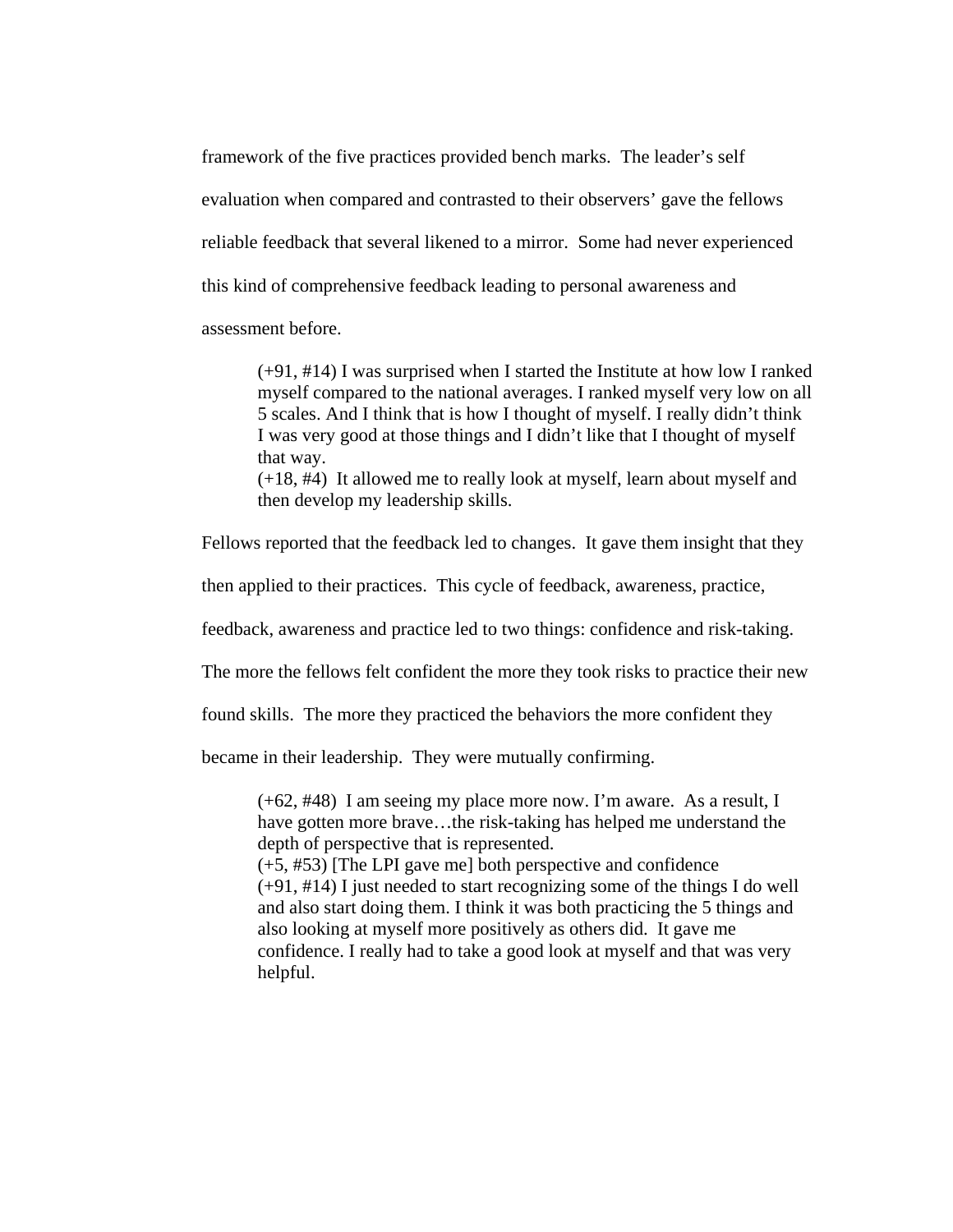framework of the five practices provided bench marks. The leader's self evaluation when compared and contrasted to their observers' gave the fellows reliable feedback that several likened to a mirror. Some had never experienced this kind of comprehensive feedback leading to personal awareness and assessment before.

(+91, #14) I was surprised when I started the Institute at how low I ranked myself compared to the national averages. I ranked myself very low on all 5 scales. And I think that is how I thought of myself. I really didn't think I was very good at those things and I didn't like that I thought of myself that way.

(+18, #4) It allowed me to really look at myself, learn about myself and then develop my leadership skills.

Fellows reported that the feedback led to changes. It gave them insight that they

then applied to their practices. This cycle of feedback, awareness, practice,

feedback, awareness and practice led to two things: confidence and risk-taking.

The more the fellows felt confident the more they took risks to practice their new

found skills. The more they practiced the behaviors the more confident they

became in their leadership. They were mutually confirming.

(+62, #48) I am seeing my place more now. I'm aware. As a result, I have gotten more brave...the risk-taking has helped me understand the depth of perspective that is represented.

(+5, #53) [The LPI gave me] both perspective and confidence (+91, #14) I just needed to start recognizing some of the things I do well and also start doing them. I think it was both practicing the 5 things and also looking at myself more positively as others did. It gave me confidence. I really had to take a good look at myself and that was very helpful.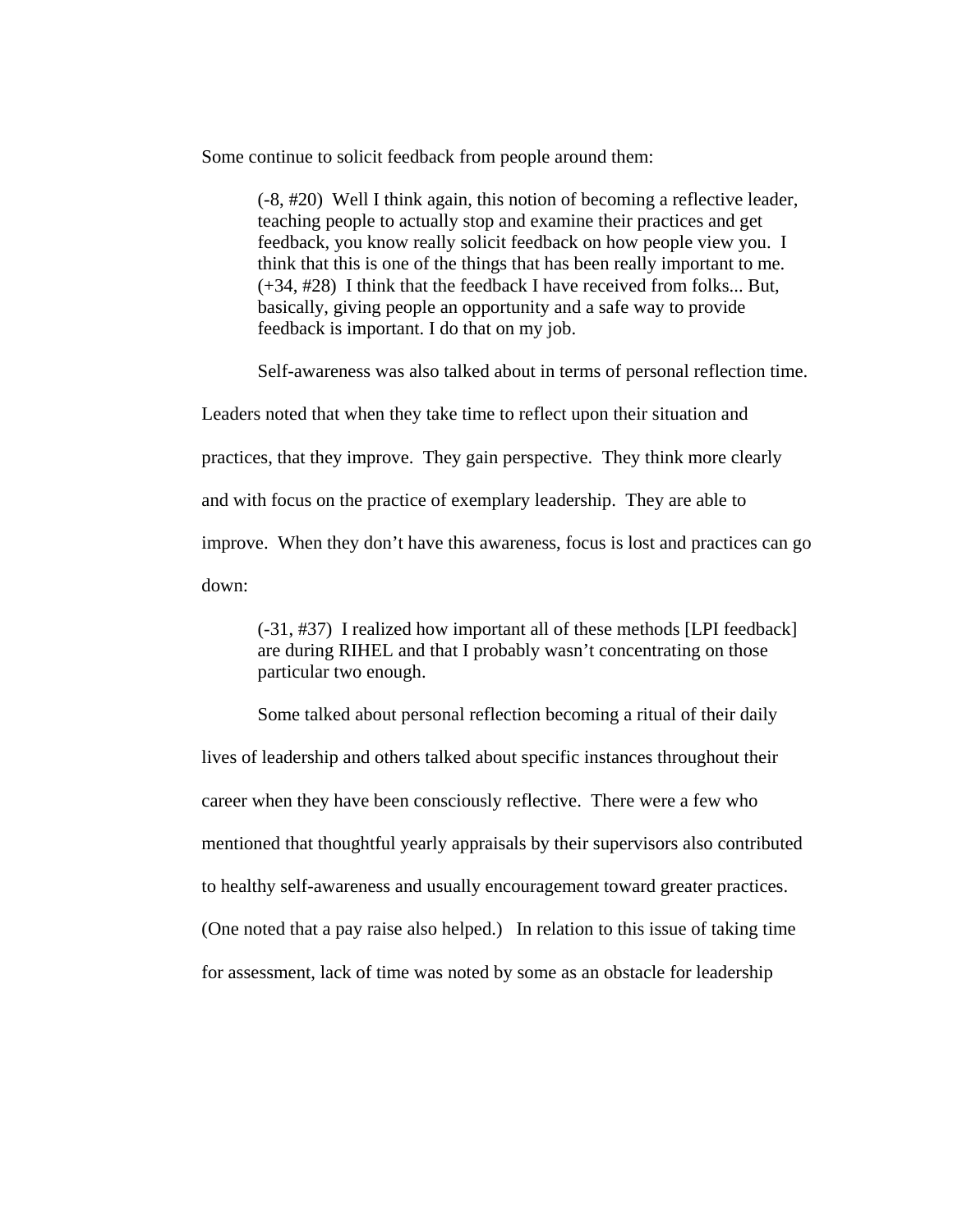Some continue to solicit feedback from people around them:

(-8, #20) Well I think again, this notion of becoming a reflective leader, teaching people to actually stop and examine their practices and get feedback, you know really solicit feedback on how people view you. I think that this is one of the things that has been really important to me. (+34, #28) I think that the feedback I have received from folks... But, basically, giving people an opportunity and a safe way to provide feedback is important. I do that on my job.

Self-awareness was also talked about in terms of personal reflection time.

Leaders noted that when they take time to reflect upon their situation and practices, that they improve. They gain perspective. They think more clearly and with focus on the practice of exemplary leadership. They are able to improve. When they don't have this awareness, focus is lost and practices can go down:

(-31, #37) I realized how important all of these methods [LPI feedback] are during RIHEL and that I probably wasn't concentrating on those particular two enough.

Some talked about personal reflection becoming a ritual of their daily lives of leadership and others talked about specific instances throughout their career when they have been consciously reflective. There were a few who mentioned that thoughtful yearly appraisals by their supervisors also contributed to healthy self-awareness and usually encouragement toward greater practices. (One noted that a pay raise also helped.) In relation to this issue of taking time for assessment, lack of time was noted by some as an obstacle for leadership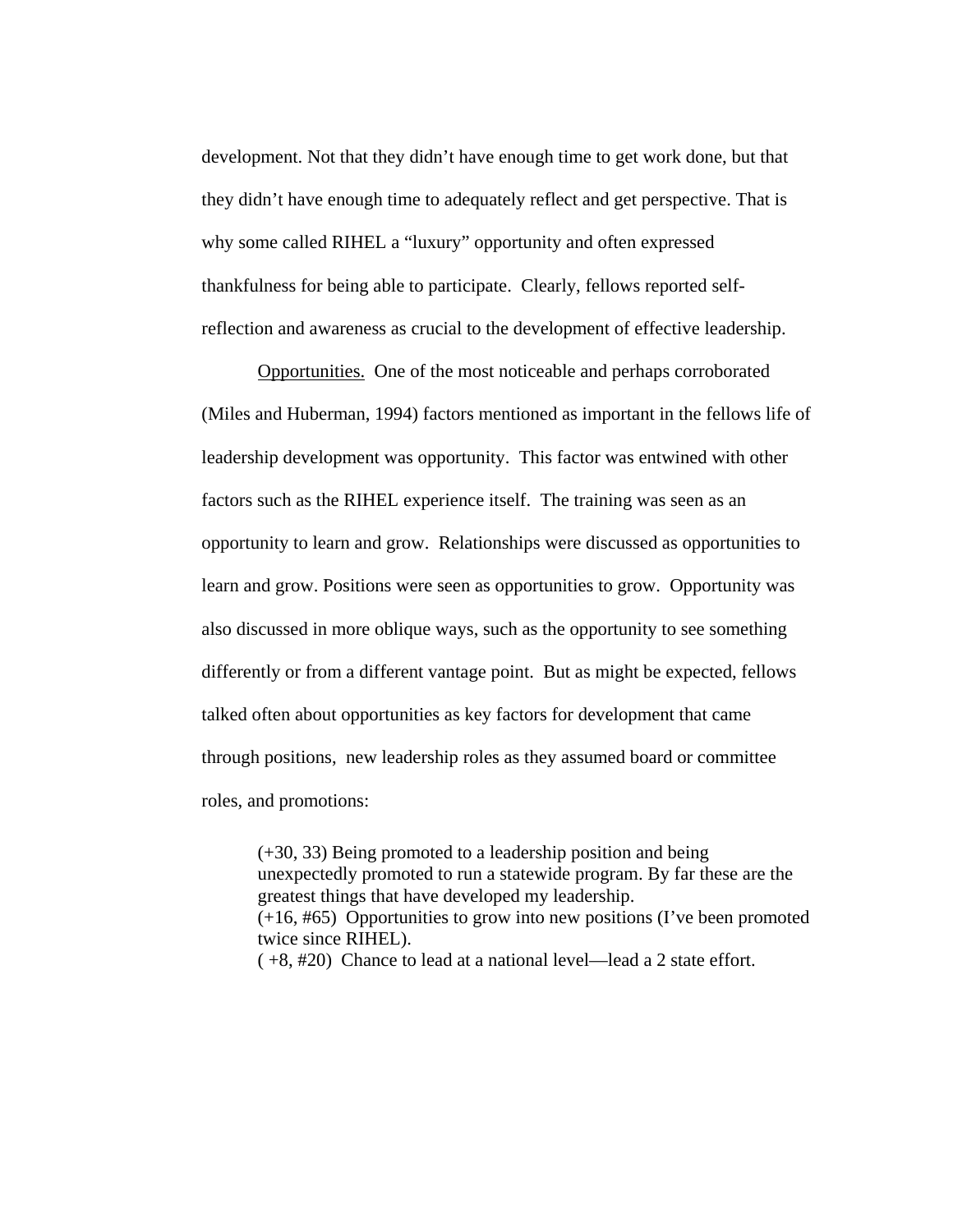development. Not that they didn't have enough time to get work done, but that they didn't have enough time to adequately reflect and get perspective. That is why some called RIHEL a "luxury" opportunity and often expressed thankfulness for being able to participate. Clearly, fellows reported selfreflection and awareness as crucial to the development of effective leadership.

Opportunities. One of the most noticeable and perhaps corroborated (Miles and Huberman, 1994) factors mentioned as important in the fellows life of leadership development was opportunity. This factor was entwined with other factors such as the RIHEL experience itself. The training was seen as an opportunity to learn and grow. Relationships were discussed as opportunities to learn and grow. Positions were seen as opportunities to grow. Opportunity was also discussed in more oblique ways, such as the opportunity to see something differently or from a different vantage point. But as might be expected, fellows talked often about opportunities as key factors for development that came through positions, new leadership roles as they assumed board or committee roles, and promotions:

(+30, 33) Being promoted to a leadership position and being unexpectedly promoted to run a statewide program. By far these are the greatest things that have developed my leadership. (+16, #65) Opportunities to grow into new positions (I've been promoted twice since RIHEL). ( +8, #20) Chance to lead at a national level—lead a 2 state effort.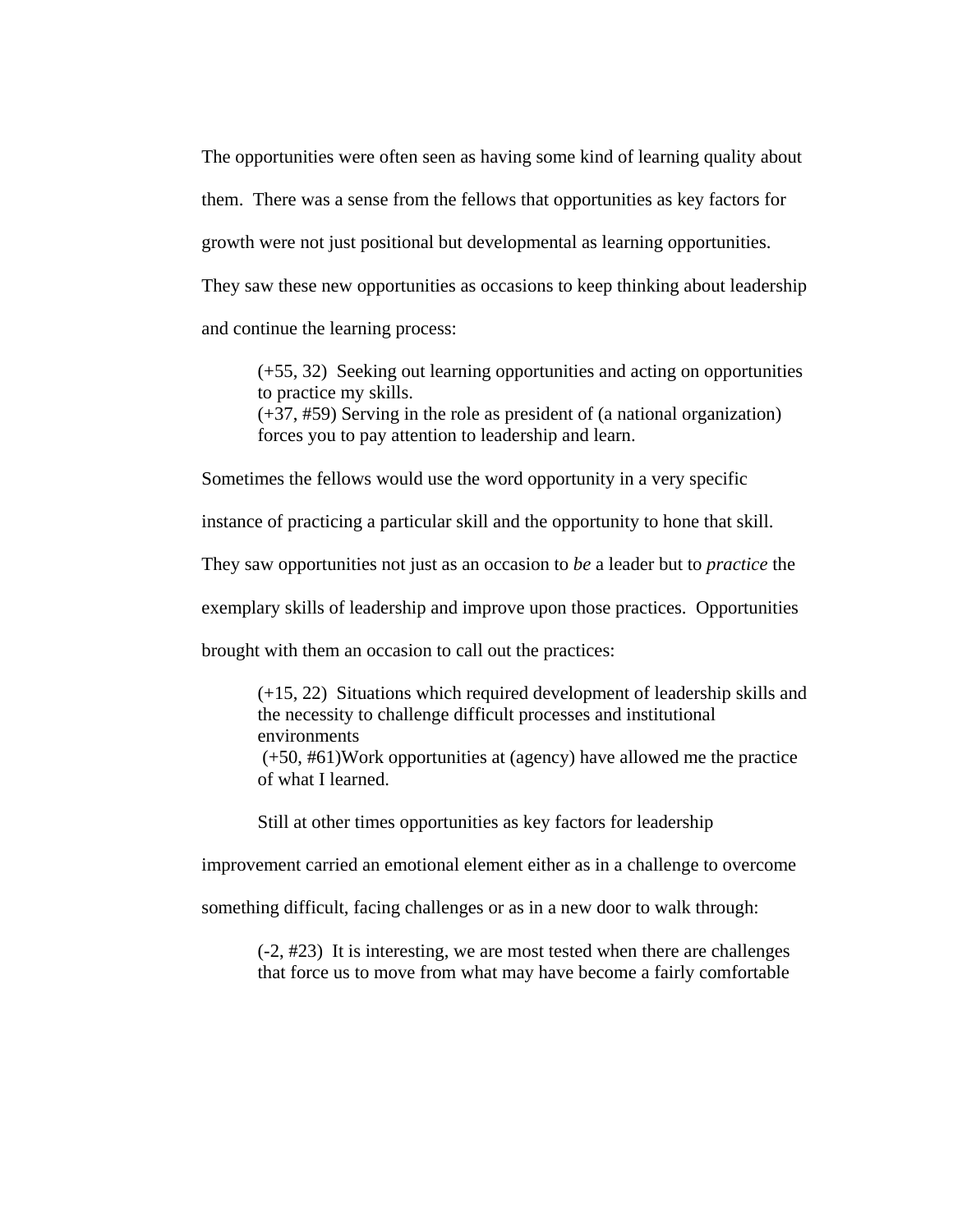The opportunities were often seen as having some kind of learning quality about them. There was a sense from the fellows that opportunities as key factors for growth were not just positional but developmental as learning opportunities. They saw these new opportunities as occasions to keep thinking about leadership and continue the learning process:

(+55, 32) Seeking out learning opportunities and acting on opportunities to practice my skills. (+37, #59) Serving in the role as president of (a national organization) forces you to pay attention to leadership and learn.

Sometimes the fellows would use the word opportunity in a very specific

instance of practicing a particular skill and the opportunity to hone that skill.

They saw opportunities not just as an occasion to *be* a leader but to *practice* the

exemplary skills of leadership and improve upon those practices. Opportunities

brought with them an occasion to call out the practices:

(+15, 22) Situations which required development of leadership skills and the necessity to challenge difficult processes and institutional environments

 (+50, #61)Work opportunities at (agency) have allowed me the practice of what I learned.

Still at other times opportunities as key factors for leadership

improvement carried an emotional element either as in a challenge to overcome

something difficult, facing challenges or as in a new door to walk through:

(-2, #23) It is interesting, we are most tested when there are challenges that force us to move from what may have become a fairly comfortable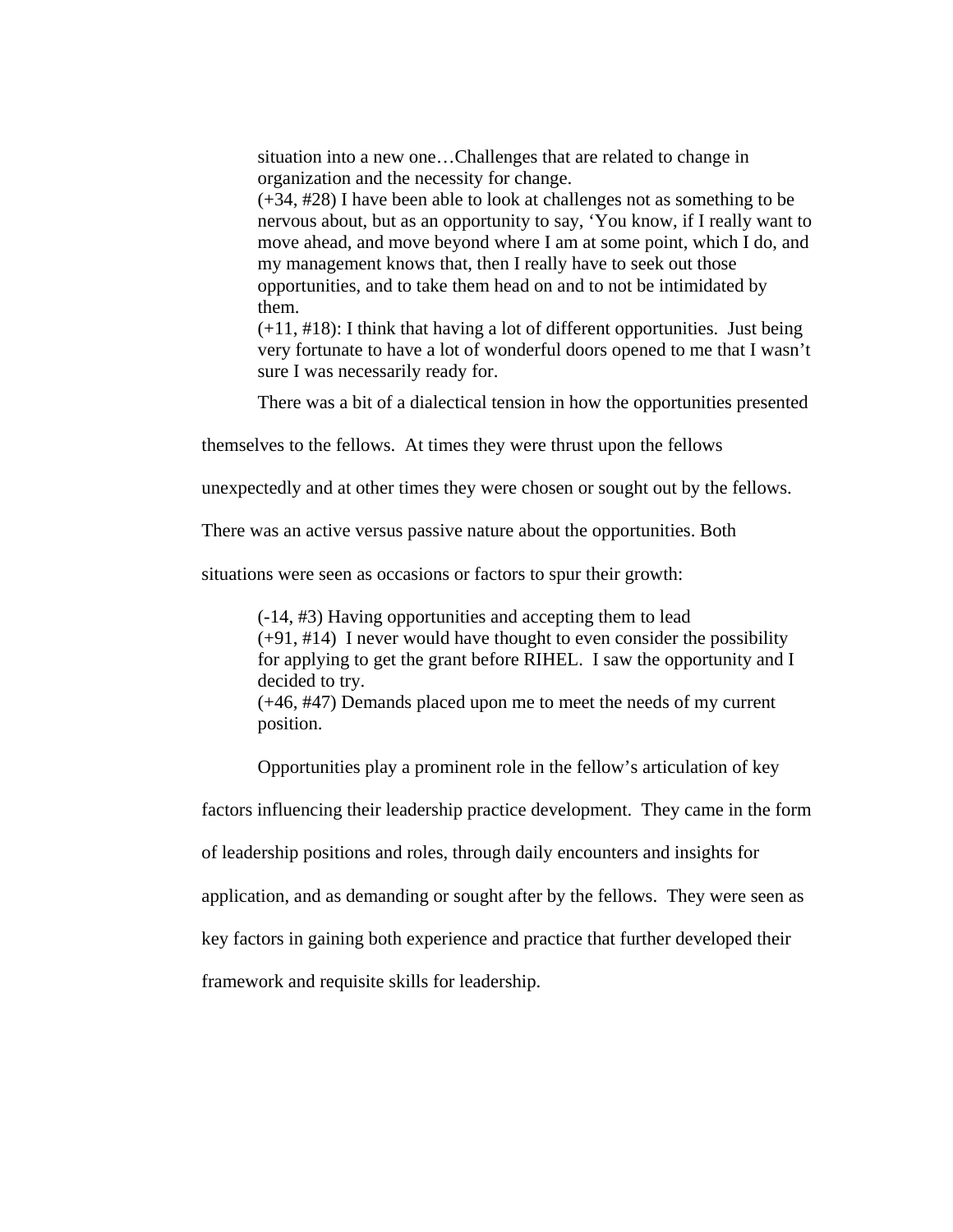situation into a new one…Challenges that are related to change in organization and the necessity for change.

(+34, #28) I have been able to look at challenges not as something to be nervous about, but as an opportunity to say, 'You know, if I really want to move ahead, and move beyond where I am at some point, which I do, and my management knows that, then I really have to seek out those opportunities, and to take them head on and to not be intimidated by them.

(+11, #18): I think that having a lot of different opportunities. Just being very fortunate to have a lot of wonderful doors opened to me that I wasn't sure I was necessarily ready for.

There was a bit of a dialectical tension in how the opportunities presented

themselves to the fellows. At times they were thrust upon the fellows

unexpectedly and at other times they were chosen or sought out by the fellows.

There was an active versus passive nature about the opportunities. Both

situations were seen as occasions or factors to spur their growth:

(-14, #3) Having opportunities and accepting them to lead (+91, #14) I never would have thought to even consider the possibility for applying to get the grant before RIHEL. I saw the opportunity and I decided to try. (+46, #47) Demands placed upon me to meet the needs of my current

position.

Opportunities play a prominent role in the fellow's articulation of key

factors influencing their leadership practice development. They came in the form

of leadership positions and roles, through daily encounters and insights for

application, and as demanding or sought after by the fellows. They were seen as

key factors in gaining both experience and practice that further developed their

framework and requisite skills for leadership.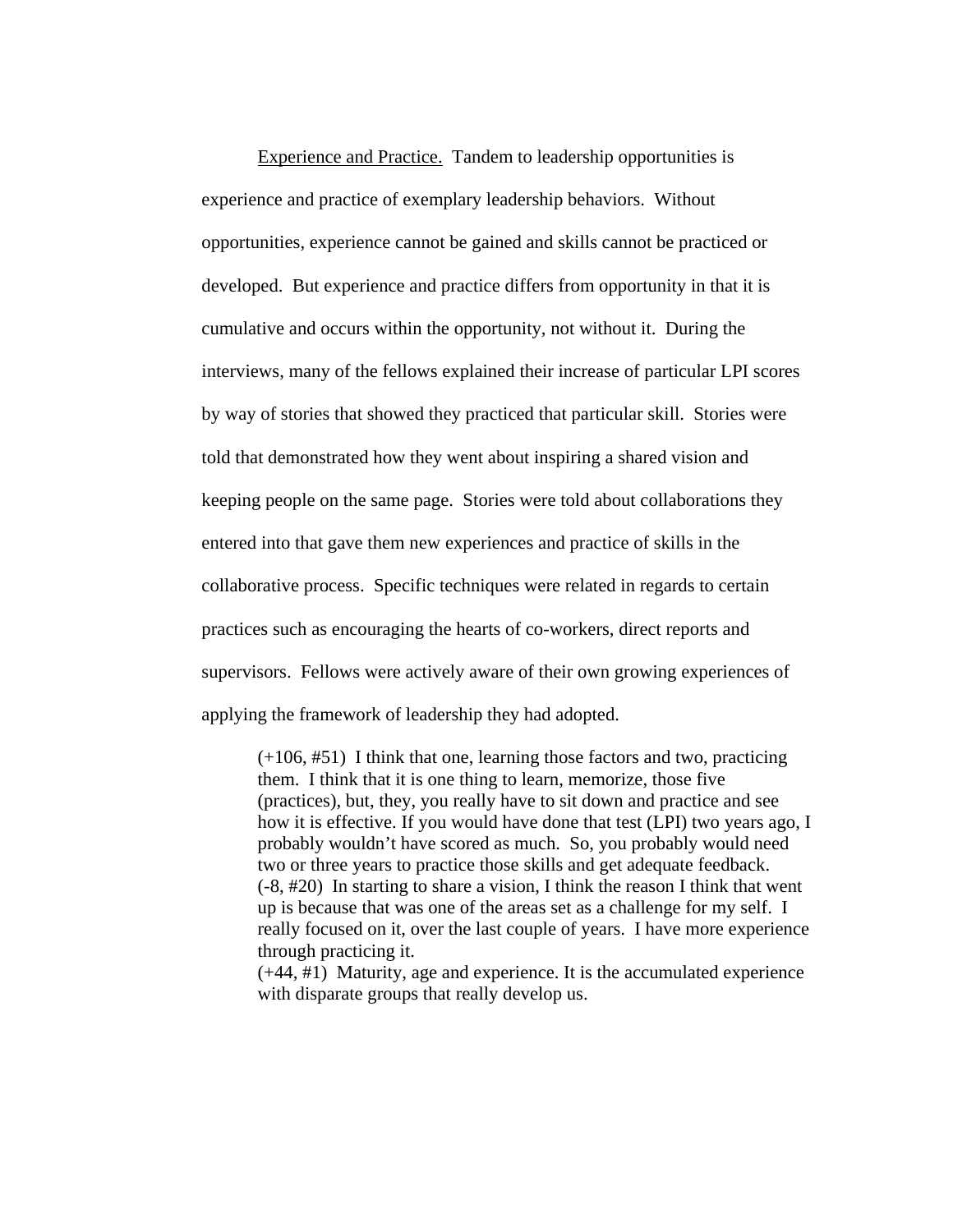Experience and Practice. Tandem to leadership opportunities is experience and practice of exemplary leadership behaviors. Without opportunities, experience cannot be gained and skills cannot be practiced or developed. But experience and practice differs from opportunity in that it is cumulative and occurs within the opportunity, not without it. During the interviews, many of the fellows explained their increase of particular LPI scores by way of stories that showed they practiced that particular skill. Stories were told that demonstrated how they went about inspiring a shared vision and keeping people on the same page. Stories were told about collaborations they entered into that gave them new experiences and practice of skills in the collaborative process. Specific techniques were related in regards to certain practices such as encouraging the hearts of co-workers, direct reports and supervisors. Fellows were actively aware of their own growing experiences of applying the framework of leadership they had adopted.

 $(+106, #51)$  I think that one, learning those factors and two, practicing them. I think that it is one thing to learn, memorize, those five (practices), but, they, you really have to sit down and practice and see how it is effective. If you would have done that test (LPI) two years ago, I probably wouldn't have scored as much. So, you probably would need two or three years to practice those skills and get adequate feedback. (-8, #20) In starting to share a vision, I think the reason I think that went up is because that was one of the areas set as a challenge for my self. I really focused on it, over the last couple of years. I have more experience through practicing it.

(+44, #1) Maturity, age and experience. It is the accumulated experience with disparate groups that really develop us.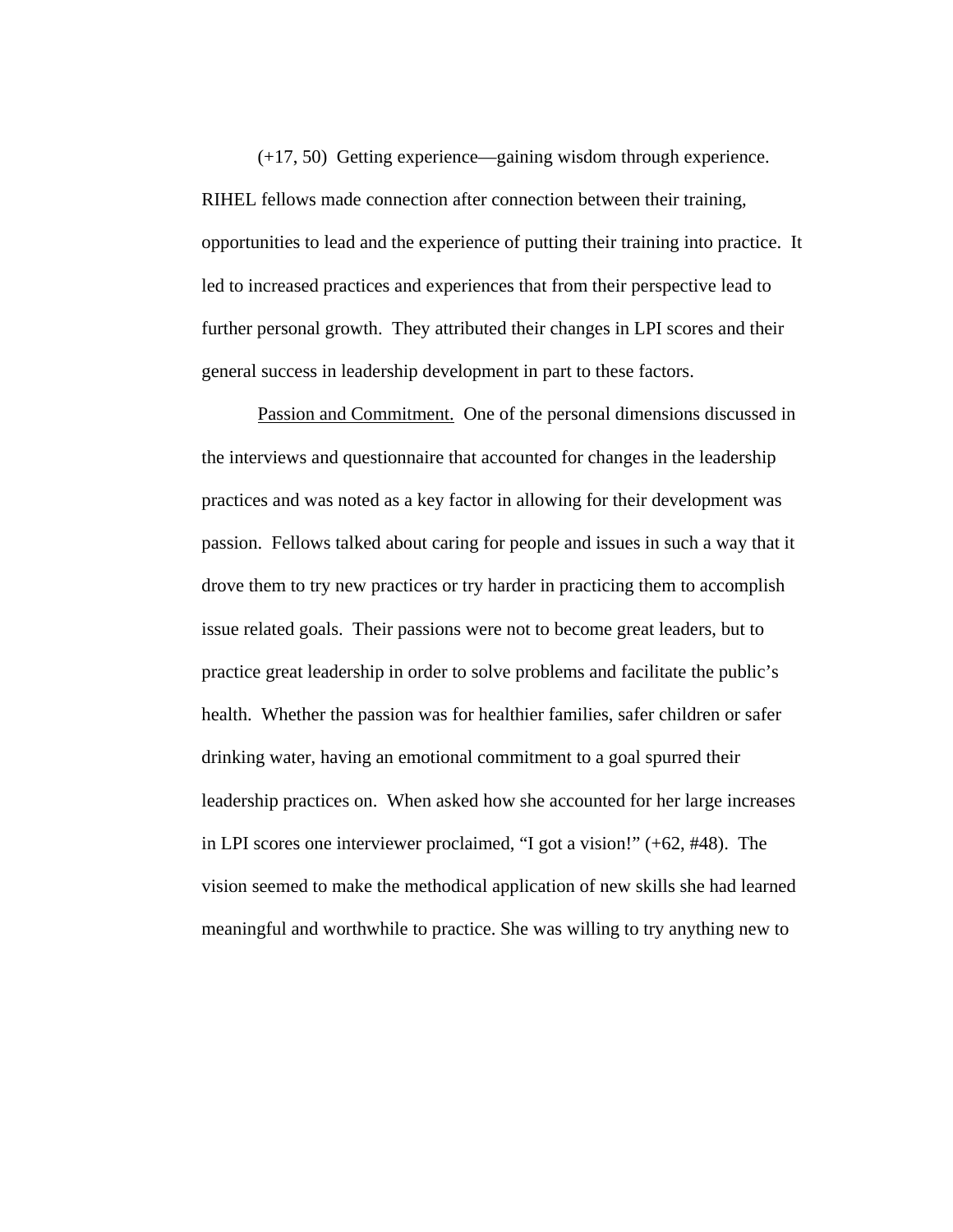(+17, 50) Getting experience—gaining wisdom through experience. RIHEL fellows made connection after connection between their training, opportunities to lead and the experience of putting their training into practice. It led to increased practices and experiences that from their perspective lead to further personal growth. They attributed their changes in LPI scores and their general success in leadership development in part to these factors.

Passion and Commitment. One of the personal dimensions discussed in the interviews and questionnaire that accounted for changes in the leadership practices and was noted as a key factor in allowing for their development was passion. Fellows talked about caring for people and issues in such a way that it drove them to try new practices or try harder in practicing them to accomplish issue related goals. Their passions were not to become great leaders, but to practice great leadership in order to solve problems and facilitate the public's health. Whether the passion was for healthier families, safer children or safer drinking water, having an emotional commitment to a goal spurred their leadership practices on. When asked how she accounted for her large increases in LPI scores one interviewer proclaimed, "I got a vision!" (+62, #48). The vision seemed to make the methodical application of new skills she had learned meaningful and worthwhile to practice. She was willing to try anything new to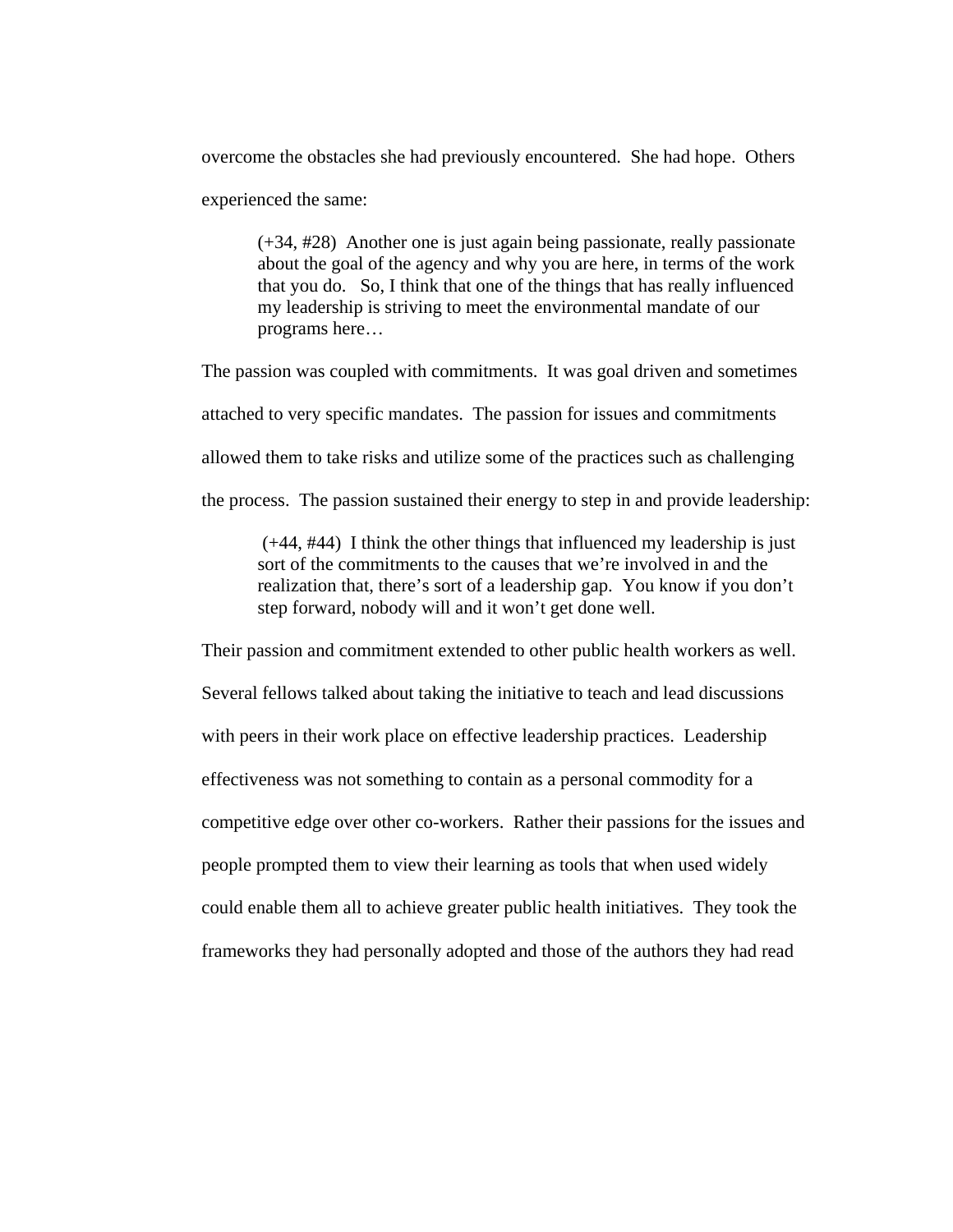overcome the obstacles she had previously encountered. She had hope. Others experienced the same:

(+34, #28) Another one is just again being passionate, really passionate about the goal of the agency and why you are here, in terms of the work that you do. So, I think that one of the things that has really influenced my leadership is striving to meet the environmental mandate of our programs here…

The passion was coupled with commitments. It was goal driven and sometimes attached to very specific mandates. The passion for issues and commitments allowed them to take risks and utilize some of the practices such as challenging the process. The passion sustained their energy to step in and provide leadership:

 (+44, #44) I think the other things that influenced my leadership is just sort of the commitments to the causes that we're involved in and the realization that, there's sort of a leadership gap. You know if you don't step forward, nobody will and it won't get done well.

Their passion and commitment extended to other public health workers as well. Several fellows talked about taking the initiative to teach and lead discussions with peers in their work place on effective leadership practices. Leadership effectiveness was not something to contain as a personal commodity for a competitive edge over other co-workers. Rather their passions for the issues and people prompted them to view their learning as tools that when used widely could enable them all to achieve greater public health initiatives. They took the frameworks they had personally adopted and those of the authors they had read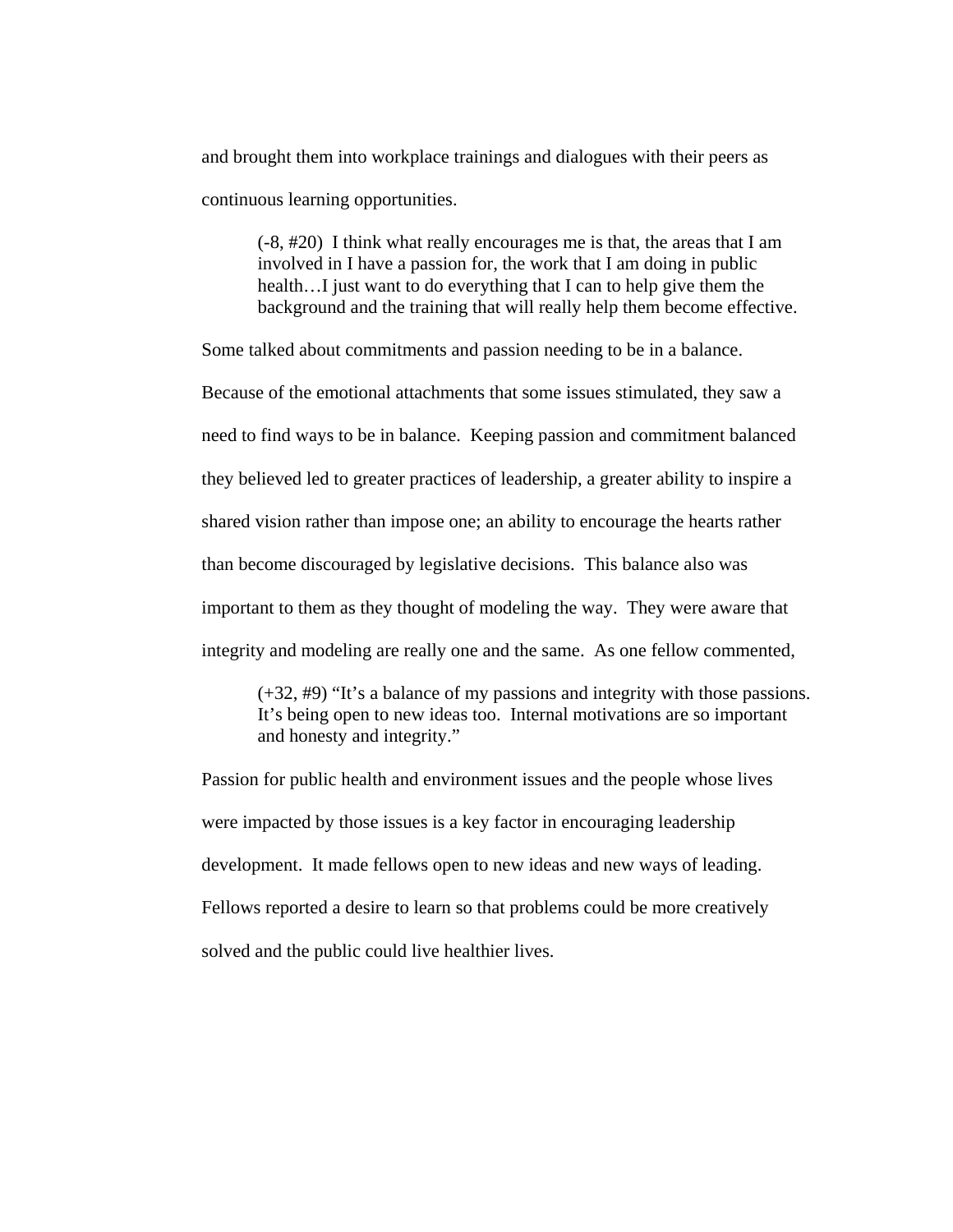and brought them into workplace trainings and dialogues with their peers as continuous learning opportunities.

(-8, #20) I think what really encourages me is that, the areas that I am involved in I have a passion for, the work that I am doing in public health...I just want to do everything that I can to help give them the background and the training that will really help them become effective.

Some talked about commitments and passion needing to be in a balance.

Because of the emotional attachments that some issues stimulated, they saw a need to find ways to be in balance. Keeping passion and commitment balanced they believed led to greater practices of leadership, a greater ability to inspire a shared vision rather than impose one; an ability to encourage the hearts rather than become discouraged by legislative decisions. This balance also was important to them as they thought of modeling the way. They were aware that integrity and modeling are really one and the same. As one fellow commented,

(+32, #9) "It's a balance of my passions and integrity with those passions. It's being open to new ideas too. Internal motivations are so important and honesty and integrity."

Passion for public health and environment issues and the people whose lives were impacted by those issues is a key factor in encouraging leadership development. It made fellows open to new ideas and new ways of leading. Fellows reported a desire to learn so that problems could be more creatively solved and the public could live healthier lives.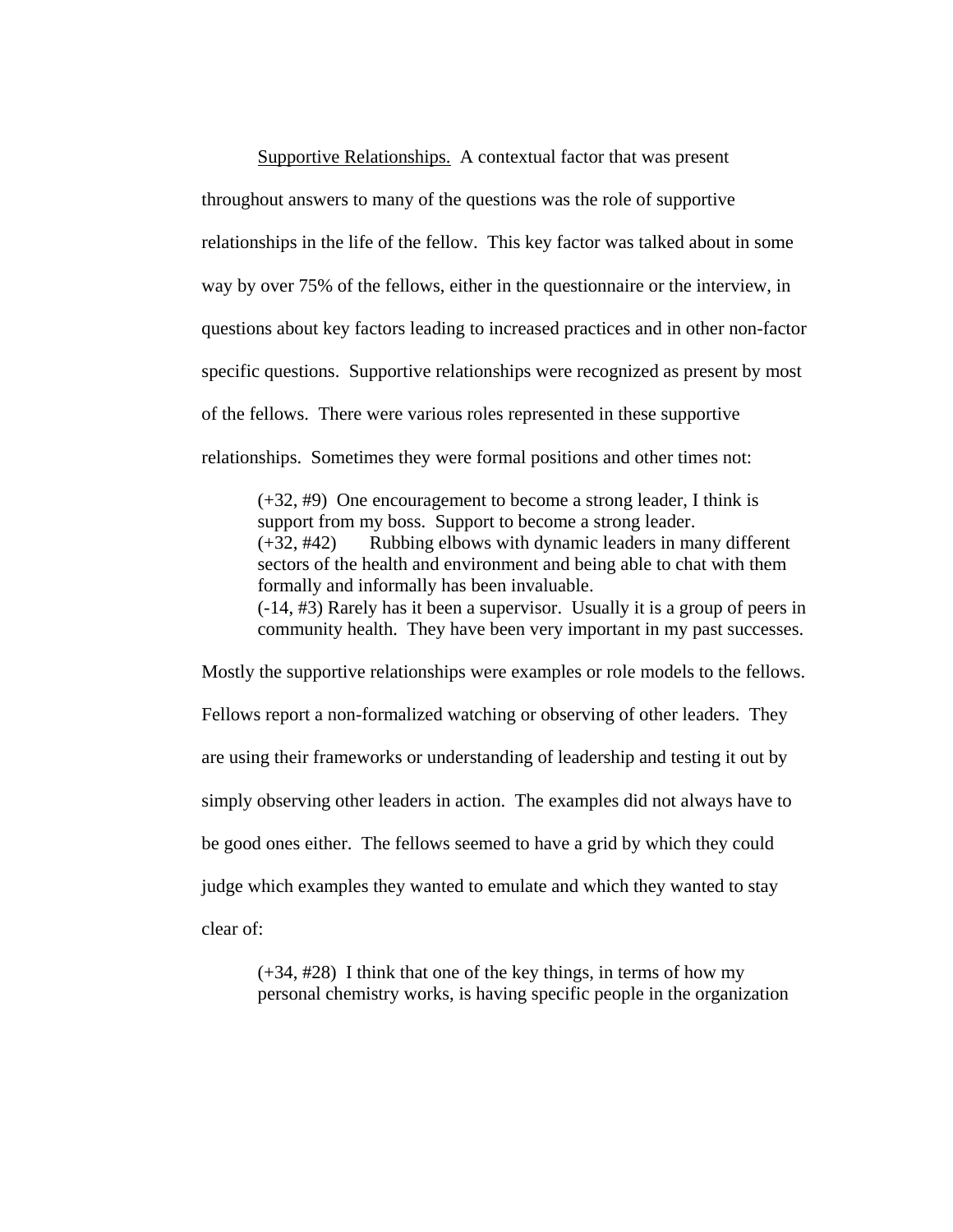Supportive Relationships. A contextual factor that was present throughout answers to many of the questions was the role of supportive relationships in the life of the fellow. This key factor was talked about in some way by over 75% of the fellows, either in the questionnaire or the interview, in questions about key factors leading to increased practices and in other non-factor specific questions. Supportive relationships were recognized as present by most of the fellows. There were various roles represented in these supportive relationships. Sometimes they were formal positions and other times not:

(+32, #9) One encouragement to become a strong leader, I think is support from my boss. Support to become a strong leader. (+32, #42) Rubbing elbows with dynamic leaders in many different sectors of the health and environment and being able to chat with them formally and informally has been invaluable. (-14, #3) Rarely has it been a supervisor. Usually it is a group of peers in community health. They have been very important in my past successes.

Mostly the supportive relationships were examples or role models to the fellows. Fellows report a non-formalized watching or observing of other leaders. They are using their frameworks or understanding of leadership and testing it out by simply observing other leaders in action. The examples did not always have to be good ones either. The fellows seemed to have a grid by which they could judge which examples they wanted to emulate and which they wanted to stay clear of:

 $(+34, #28)$  I think that one of the key things, in terms of how my personal chemistry works, is having specific people in the organization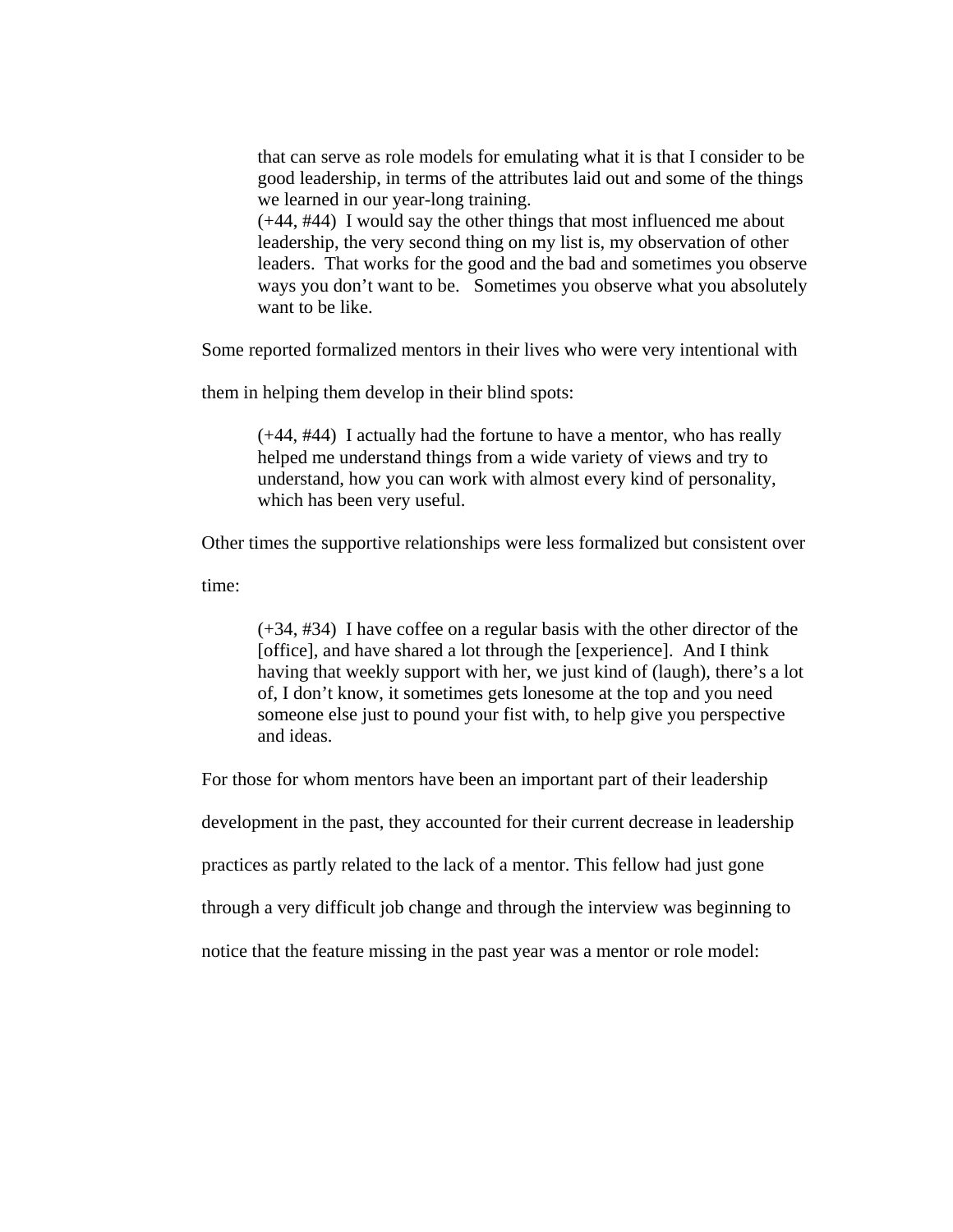that can serve as role models for emulating what it is that I consider to be good leadership, in terms of the attributes laid out and some of the things we learned in our year-long training.

(+44, #44) I would say the other things that most influenced me about leadership, the very second thing on my list is, my observation of other leaders. That works for the good and the bad and sometimes you observe ways you don't want to be. Sometimes you observe what you absolutely want to be like.

Some reported formalized mentors in their lives who were very intentional with

them in helping them develop in their blind spots:

(+44, #44) I actually had the fortune to have a mentor, who has really helped me understand things from a wide variety of views and try to understand, how you can work with almost every kind of personality, which has been very useful.

Other times the supportive relationships were less formalized but consistent over

time:

(+34, #34) I have coffee on a regular basis with the other director of the [office], and have shared a lot through the [experience]. And I think having that weekly support with her, we just kind of (laugh), there's a lot of, I don't know, it sometimes gets lonesome at the top and you need someone else just to pound your fist with, to help give you perspective and ideas.

For those for whom mentors have been an important part of their leadership

development in the past, they accounted for their current decrease in leadership

practices as partly related to the lack of a mentor. This fellow had just gone

through a very difficult job change and through the interview was beginning to

notice that the feature missing in the past year was a mentor or role model: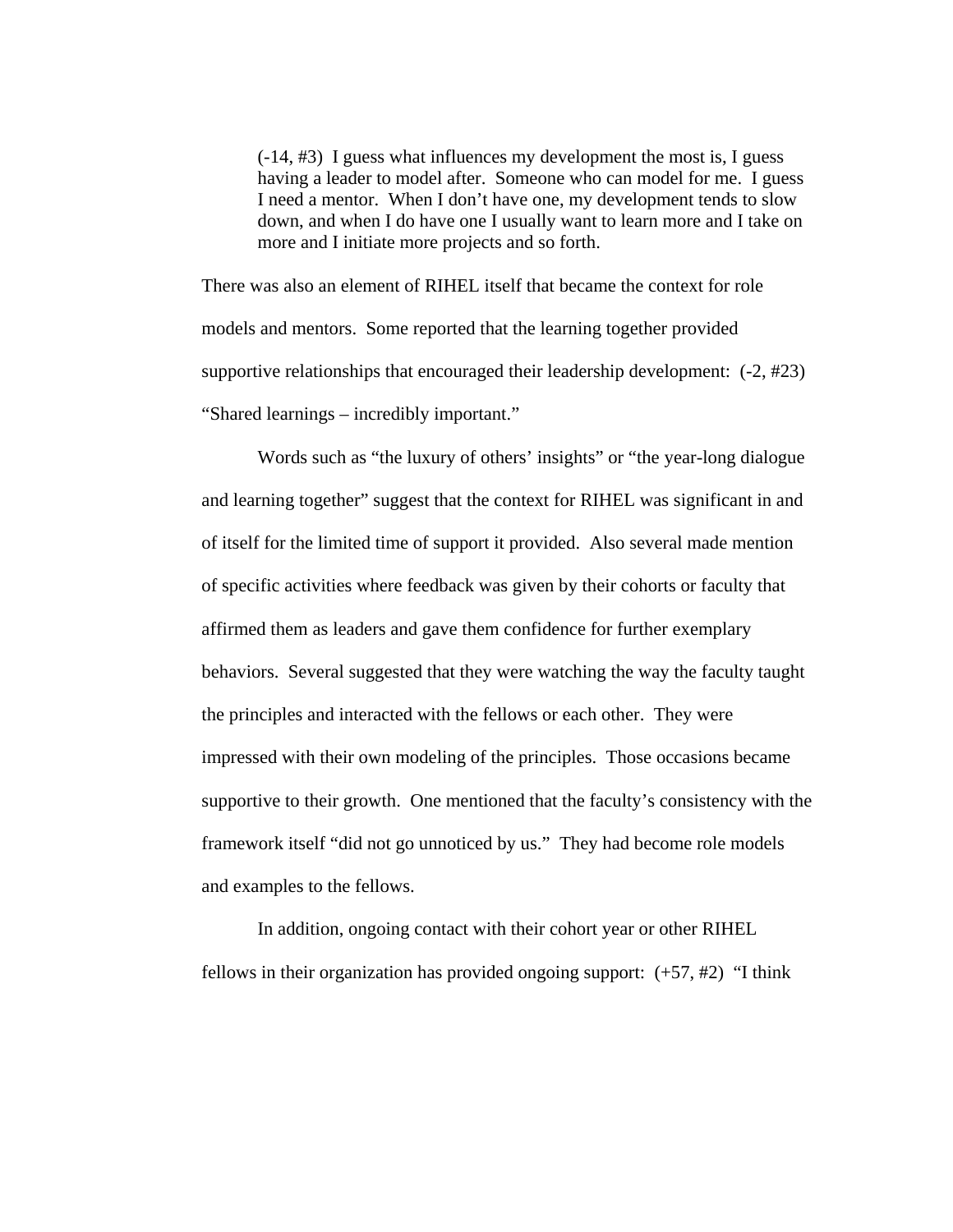(-14, #3) I guess what influences my development the most is, I guess having a leader to model after. Someone who can model for me. I guess I need a mentor. When I don't have one, my development tends to slow down, and when I do have one I usually want to learn more and I take on more and I initiate more projects and so forth.

There was also an element of RIHEL itself that became the context for role models and mentors. Some reported that the learning together provided supportive relationships that encouraged their leadership development: (-2, #23) "Shared learnings – incredibly important."

Words such as "the luxury of others' insights" or "the year-long dialogue and learning together" suggest that the context for RIHEL was significant in and of itself for the limited time of support it provided. Also several made mention of specific activities where feedback was given by their cohorts or faculty that affirmed them as leaders and gave them confidence for further exemplary behaviors. Several suggested that they were watching the way the faculty taught the principles and interacted with the fellows or each other. They were impressed with their own modeling of the principles. Those occasions became supportive to their growth. One mentioned that the faculty's consistency with the framework itself "did not go unnoticed by us." They had become role models and examples to the fellows.

In addition, ongoing contact with their cohort year or other RIHEL fellows in their organization has provided ongoing support:  $(+57, #2)$  "I think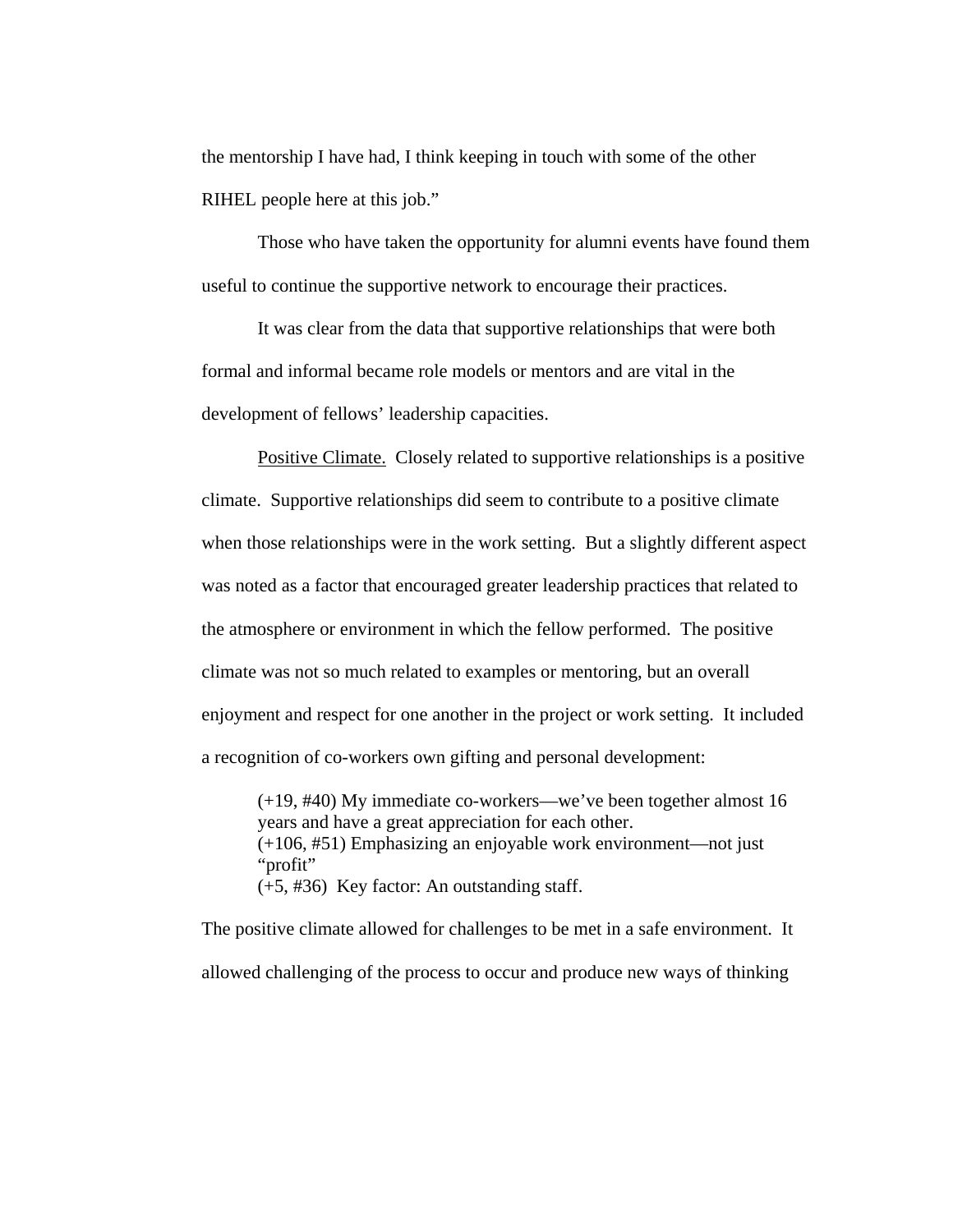the mentorship I have had, I think keeping in touch with some of the other RIHEL people here at this job."

Those who have taken the opportunity for alumni events have found them useful to continue the supportive network to encourage their practices.

 It was clear from the data that supportive relationships that were both formal and informal became role models or mentors and are vital in the development of fellows' leadership capacities.

Positive Climate. Closely related to supportive relationships is a positive climate. Supportive relationships did seem to contribute to a positive climate when those relationships were in the work setting. But a slightly different aspect was noted as a factor that encouraged greater leadership practices that related to the atmosphere or environment in which the fellow performed. The positive climate was not so much related to examples or mentoring, but an overall enjoyment and respect for one another in the project or work setting. It included a recognition of co-workers own gifting and personal development:

(+19, #40) My immediate co-workers—we've been together almost 16 years and have a great appreciation for each other. (+106, #51) Emphasizing an enjoyable work environment—not just "profit" (+5, #36) Key factor: An outstanding staff.

The positive climate allowed for challenges to be met in a safe environment. It allowed challenging of the process to occur and produce new ways of thinking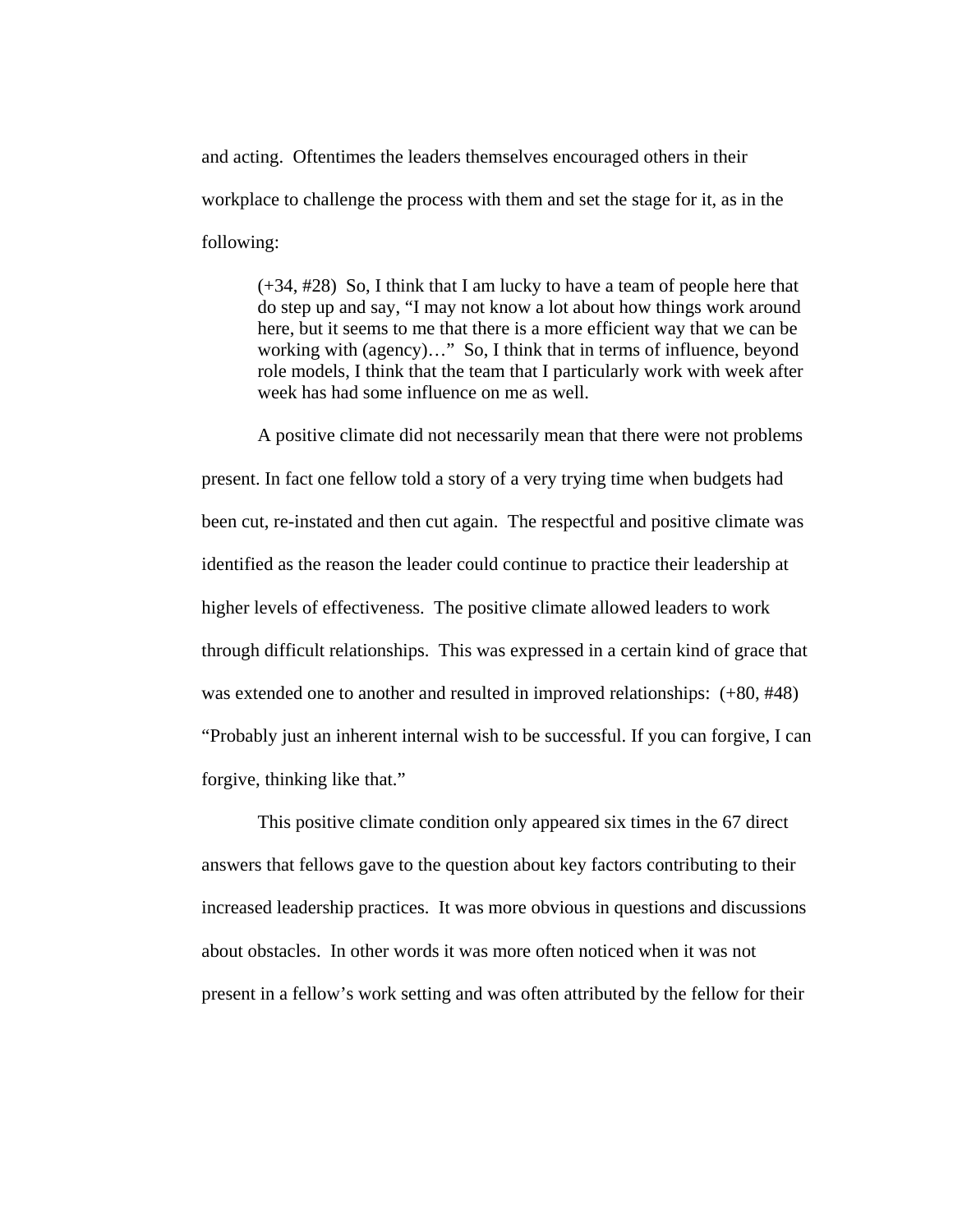and acting. Oftentimes the leaders themselves encouraged others in their workplace to challenge the process with them and set the stage for it, as in the following:

(+34, #28) So, I think that I am lucky to have a team of people here that do step up and say, "I may not know a lot about how things work around here, but it seems to me that there is a more efficient way that we can be working with (agency)…" So, I think that in terms of influence, beyond role models, I think that the team that I particularly work with week after week has had some influence on me as well.

A positive climate did not necessarily mean that there were not problems present. In fact one fellow told a story of a very trying time when budgets had been cut, re-instated and then cut again. The respectful and positive climate was identified as the reason the leader could continue to practice their leadership at higher levels of effectiveness. The positive climate allowed leaders to work through difficult relationships. This was expressed in a certain kind of grace that was extended one to another and resulted in improved relationships: (+80, #48) "Probably just an inherent internal wish to be successful. If you can forgive, I can forgive, thinking like that."

This positive climate condition only appeared six times in the 67 direct answers that fellows gave to the question about key factors contributing to their increased leadership practices. It was more obvious in questions and discussions about obstacles. In other words it was more often noticed when it was not present in a fellow's work setting and was often attributed by the fellow for their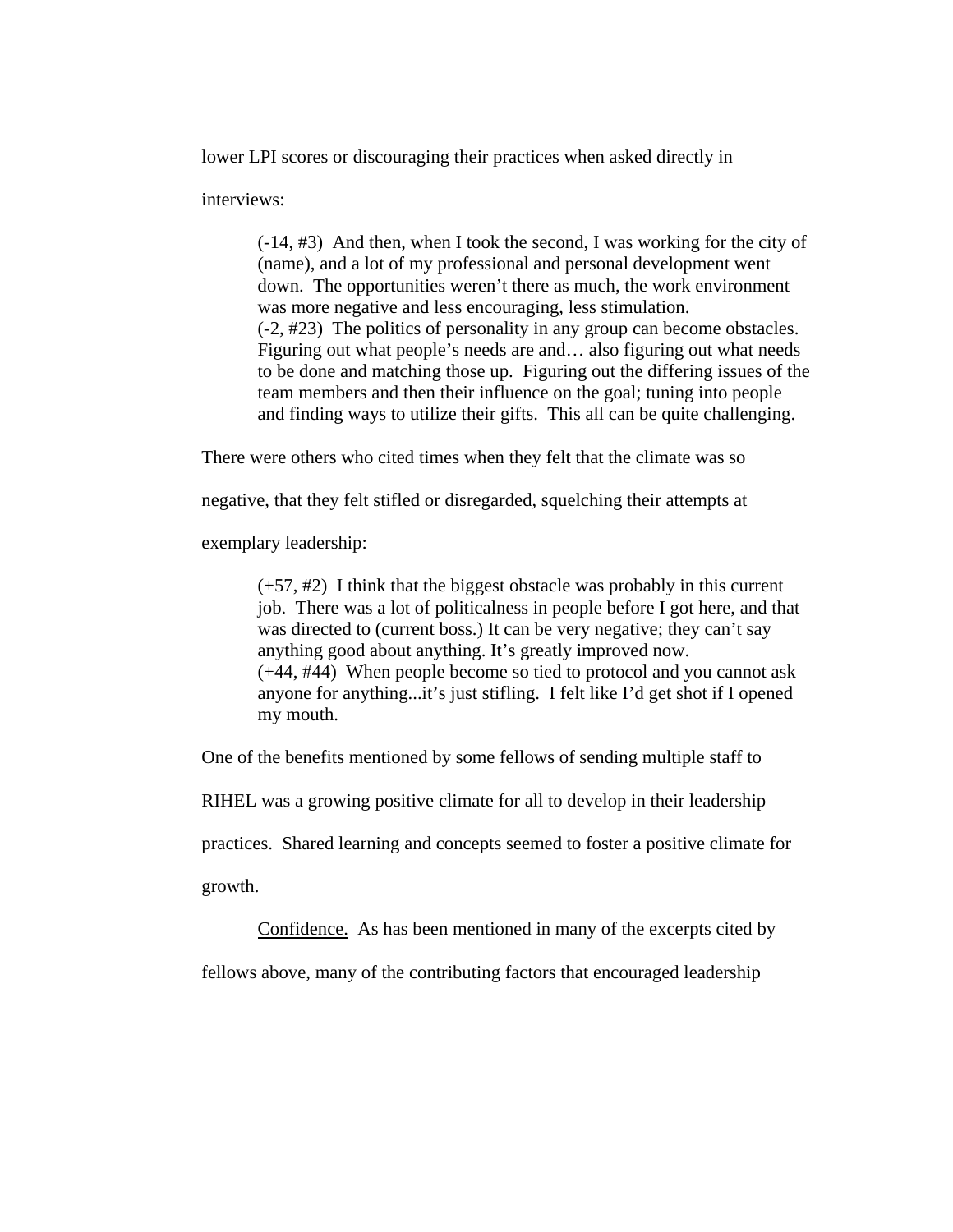lower LPI scores or discouraging their practices when asked directly in

interviews:

(-14, #3) And then, when I took the second, I was working for the city of (name), and a lot of my professional and personal development went down. The opportunities weren't there as much, the work environment was more negative and less encouraging, less stimulation. (-2, #23) The politics of personality in any group can become obstacles. Figuring out what people's needs are and… also figuring out what needs to be done and matching those up. Figuring out the differing issues of the team members and then their influence on the goal; tuning into people and finding ways to utilize their gifts. This all can be quite challenging.

There were others who cited times when they felt that the climate was so

negative, that they felt stifled or disregarded, squelching their attempts at

exemplary leadership:

 $(+57, #2)$  I think that the biggest obstacle was probably in this current job. There was a lot of politicalness in people before I got here, and that was directed to (current boss.) It can be very negative; they can't say anything good about anything. It's greatly improved now. (+44, #44) When people become so tied to protocol and you cannot ask anyone for anything...it's just stifling. I felt like I'd get shot if I opened my mouth.

One of the benefits mentioned by some fellows of sending multiple staff to

RIHEL was a growing positive climate for all to develop in their leadership

practices. Shared learning and concepts seemed to foster a positive climate for

growth.

Confidence. As has been mentioned in many of the excerpts cited by

fellows above, many of the contributing factors that encouraged leadership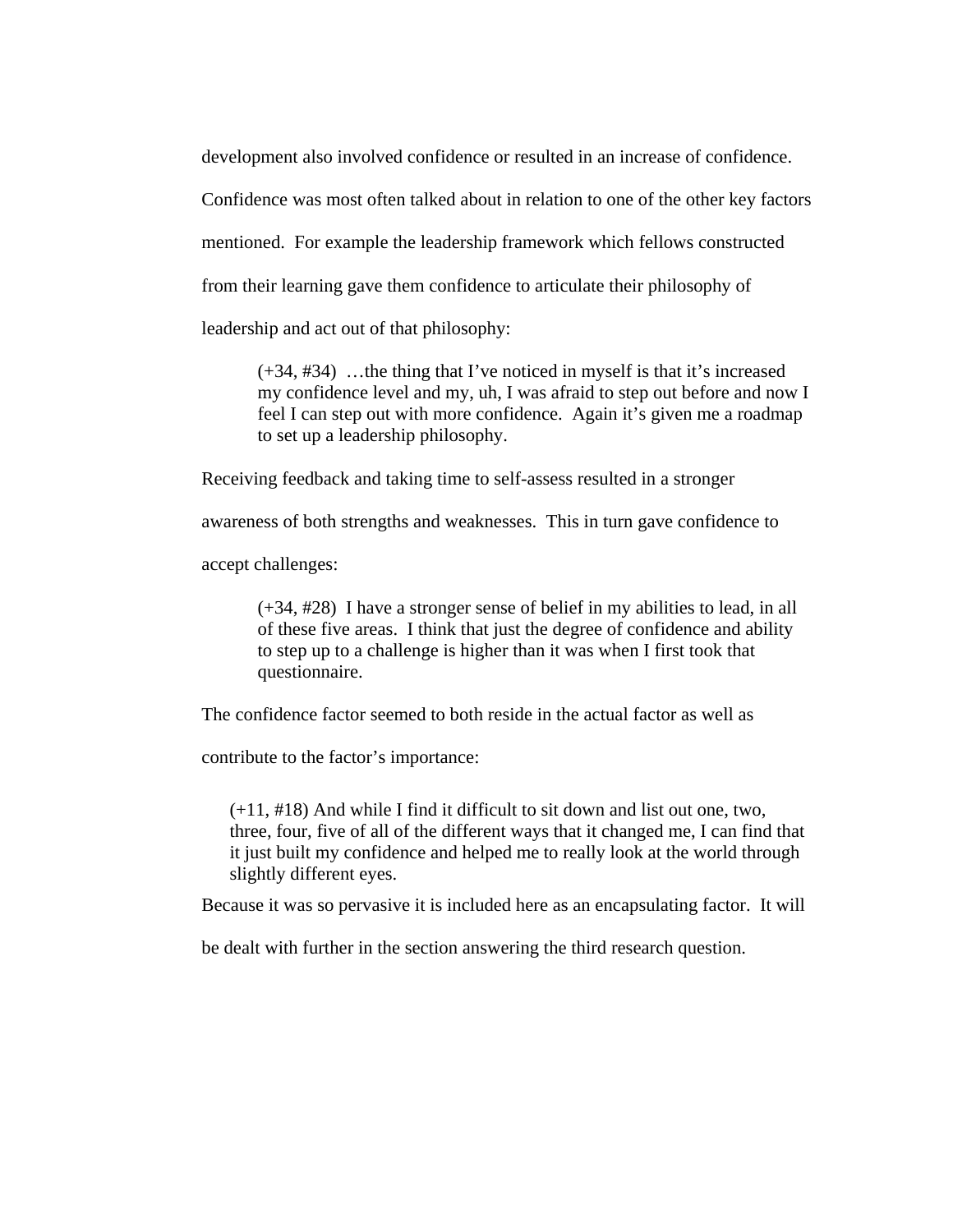development also involved confidence or resulted in an increase of confidence.

Confidence was most often talked about in relation to one of the other key factors

mentioned. For example the leadership framework which fellows constructed

from their learning gave them confidence to articulate their philosophy of

leadership and act out of that philosophy:

(+34, #34) …the thing that I've noticed in myself is that it's increased my confidence level and my, uh, I was afraid to step out before and now I feel I can step out with more confidence. Again it's given me a roadmap to set up a leadership philosophy.

Receiving feedback and taking time to self-assess resulted in a stronger

awareness of both strengths and weaknesses. This in turn gave confidence to

accept challenges:

(+34, #28) I have a stronger sense of belief in my abilities to lead, in all of these five areas. I think that just the degree of confidence and ability to step up to a challenge is higher than it was when I first took that questionnaire.

The confidence factor seemed to both reside in the actual factor as well as

contribute to the factor's importance:

 $(+11, #18)$  And while I find it difficult to sit down and list out one, two, three, four, five of all of the different ways that it changed me, I can find that it just built my confidence and helped me to really look at the world through slightly different eyes.

Because it was so pervasive it is included here as an encapsulating factor. It will

be dealt with further in the section answering the third research question.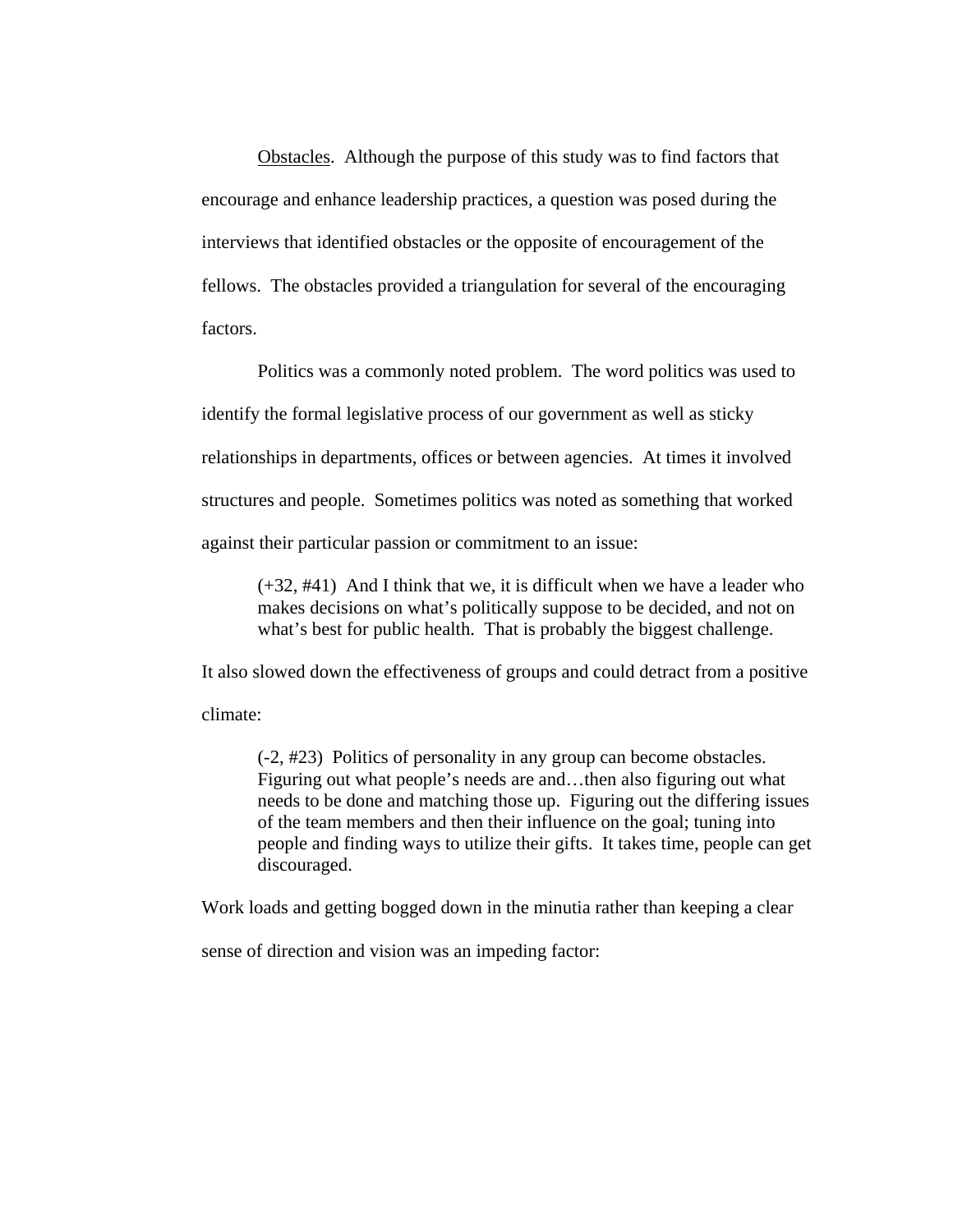Obstacles. Although the purpose of this study was to find factors that encourage and enhance leadership practices, a question was posed during the interviews that identified obstacles or the opposite of encouragement of the fellows. The obstacles provided a triangulation for several of the encouraging factors.

Politics was a commonly noted problem. The word politics was used to identify the formal legislative process of our government as well as sticky relationships in departments, offices or between agencies. At times it involved structures and people. Sometimes politics was noted as something that worked against their particular passion or commitment to an issue:

(+32, #41) And I think that we, it is difficult when we have a leader who makes decisions on what's politically suppose to be decided, and not on what's best for public health. That is probably the biggest challenge.

It also slowed down the effectiveness of groups and could detract from a positive climate:

(-2, #23) Politics of personality in any group can become obstacles. Figuring out what people's needs are and…then also figuring out what needs to be done and matching those up. Figuring out the differing issues of the team members and then their influence on the goal; tuning into people and finding ways to utilize their gifts. It takes time, people can get discouraged.

Work loads and getting bogged down in the minutia rather than keeping a clear

sense of direction and vision was an impeding factor: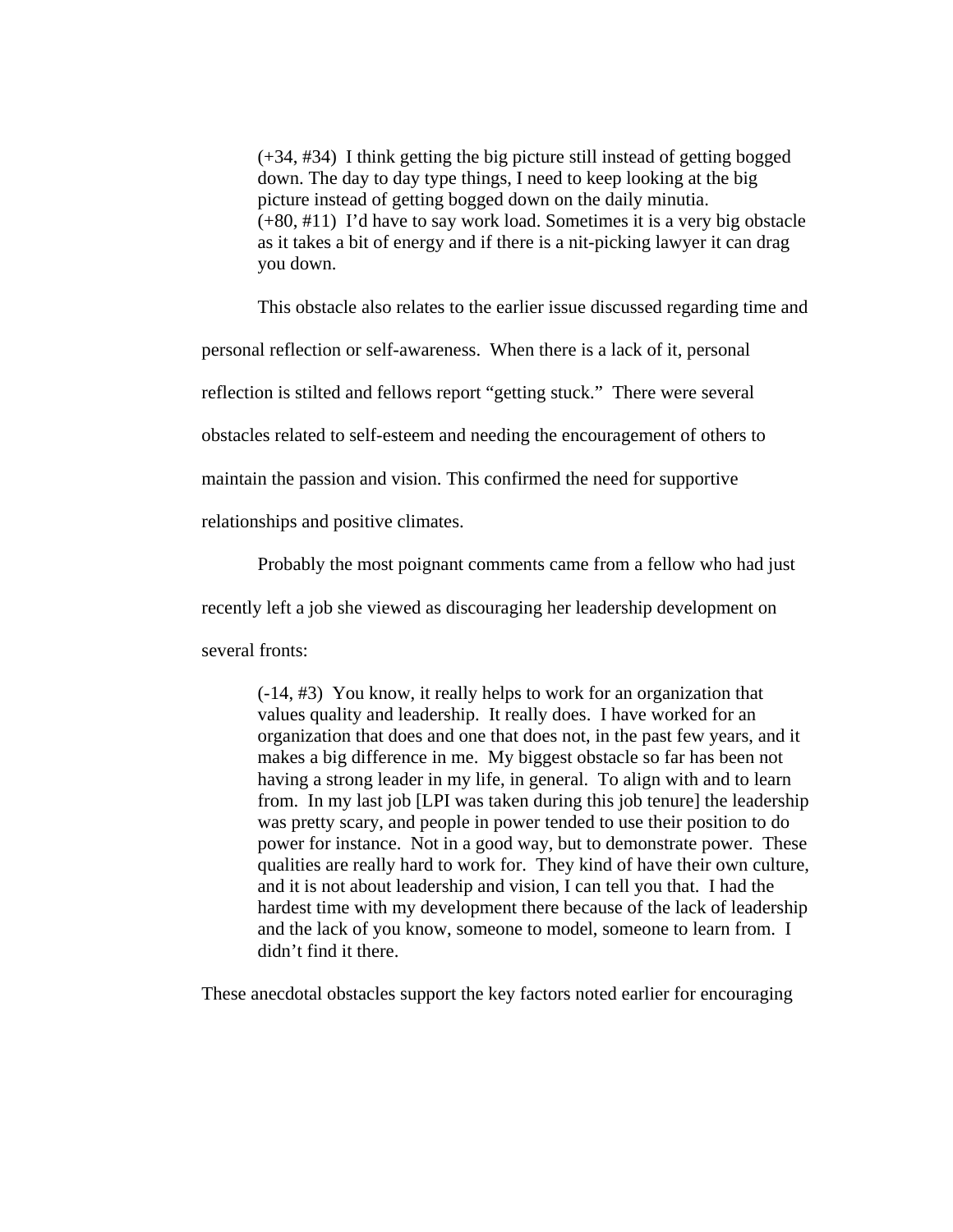(+34, #34) I think getting the big picture still instead of getting bogged down. The day to day type things, I need to keep looking at the big picture instead of getting bogged down on the daily minutia. (+80, #11) I'd have to say work load. Sometimes it is a very big obstacle as it takes a bit of energy and if there is a nit-picking lawyer it can drag you down.

This obstacle also relates to the earlier issue discussed regarding time and

personal reflection or self-awareness. When there is a lack of it, personal

reflection is stilted and fellows report "getting stuck." There were several

obstacles related to self-esteem and needing the encouragement of others to

maintain the passion and vision. This confirmed the need for supportive

relationships and positive climates.

Probably the most poignant comments came from a fellow who had just

recently left a job she viewed as discouraging her leadership development on

several fronts:

(-14, #3) You know, it really helps to work for an organization that values quality and leadership. It really does. I have worked for an organization that does and one that does not, in the past few years, and it makes a big difference in me. My biggest obstacle so far has been not having a strong leader in my life, in general. To align with and to learn from. In my last job [LPI was taken during this job tenure] the leadership was pretty scary, and people in power tended to use their position to do power for instance. Not in a good way, but to demonstrate power. These qualities are really hard to work for. They kind of have their own culture, and it is not about leadership and vision, I can tell you that. I had the hardest time with my development there because of the lack of leadership and the lack of you know, someone to model, someone to learn from. I didn't find it there.

These anecdotal obstacles support the key factors noted earlier for encouraging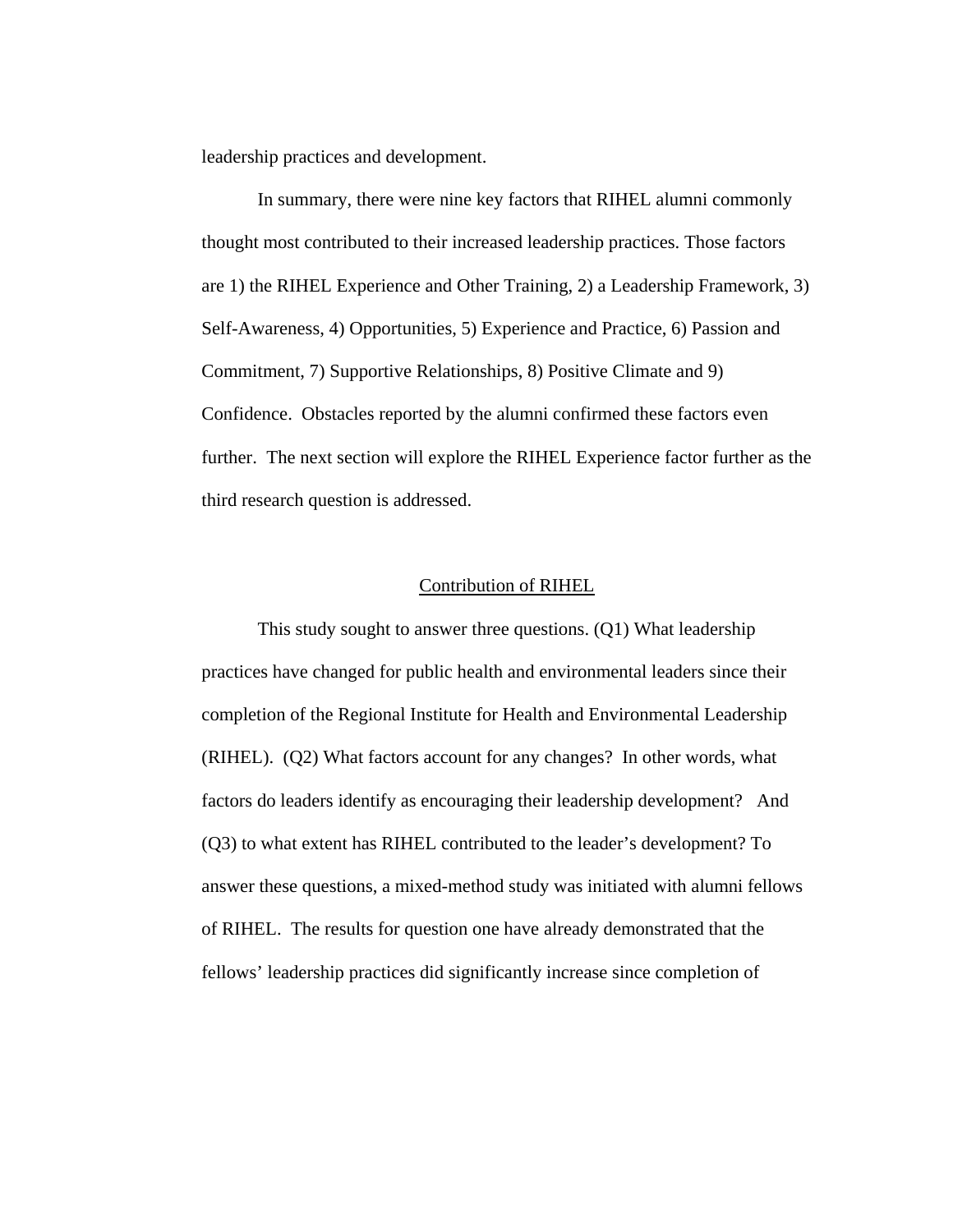leadership practices and development.

In summary, there were nine key factors that RIHEL alumni commonly thought most contributed to their increased leadership practices. Those factors are 1) the RIHEL Experience and Other Training, 2) a Leadership Framework, 3) Self-Awareness, 4) Opportunities, 5) Experience and Practice, 6) Passion and Commitment, 7) Supportive Relationships, 8) Positive Climate and 9) Confidence. Obstacles reported by the alumni confirmed these factors even further. The next section will explore the RIHEL Experience factor further as the third research question is addressed.

#### Contribution of RIHEL

 This study sought to answer three questions. (Q1) What leadership practices have changed for public health and environmental leaders since their completion of the Regional Institute for Health and Environmental Leadership (RIHEL). (Q2) What factors account for any changes? In other words, what factors do leaders identify as encouraging their leadership development? And (Q3) to what extent has RIHEL contributed to the leader's development? To answer these questions, a mixed-method study was initiated with alumni fellows of RIHEL. The results for question one have already demonstrated that the fellows' leadership practices did significantly increase since completion of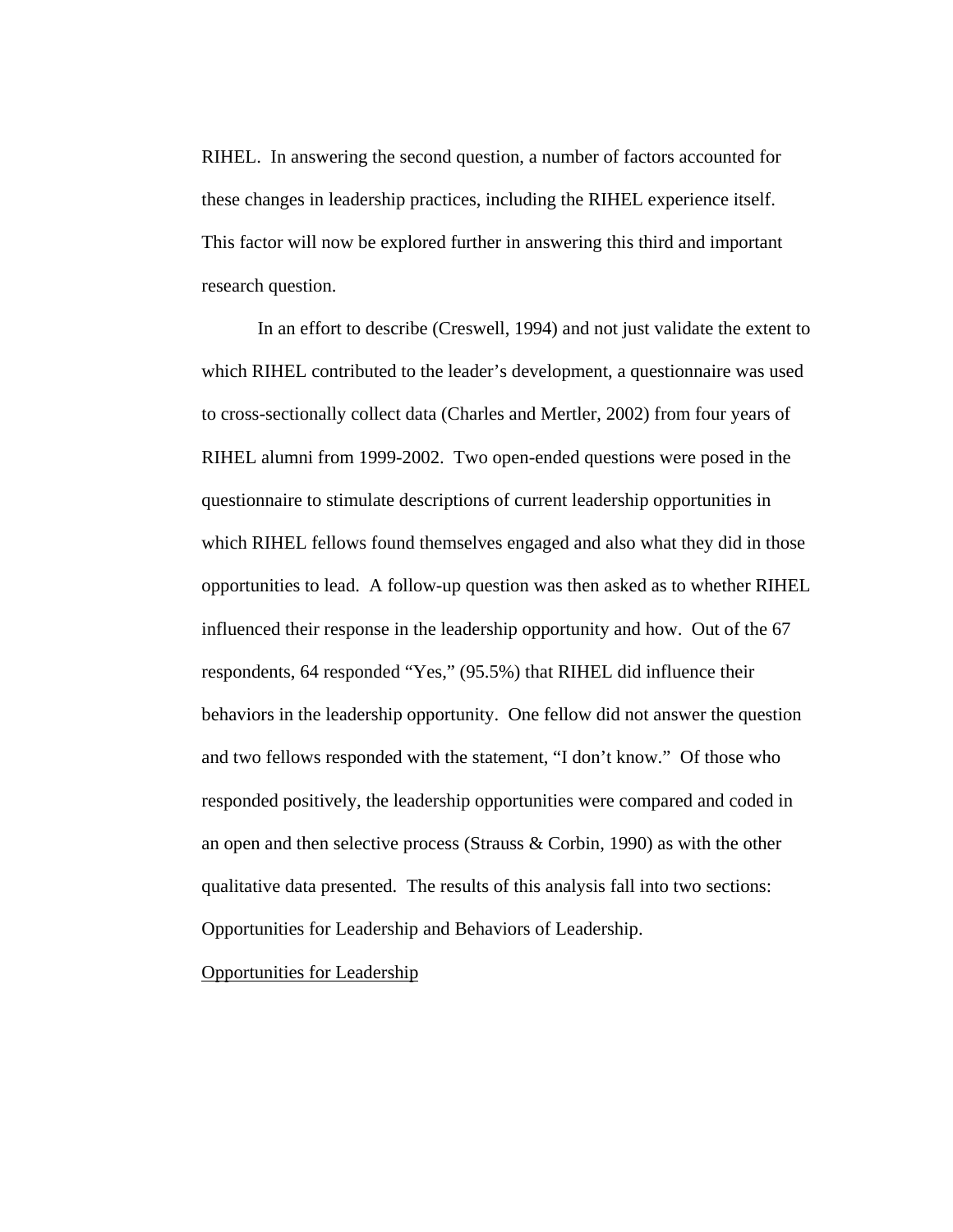RIHEL. In answering the second question, a number of factors accounted for these changes in leadership practices, including the RIHEL experience itself. This factor will now be explored further in answering this third and important research question.

 In an effort to describe (Creswell, 1994) and not just validate the extent to which RIHEL contributed to the leader's development, a questionnaire was used to cross-sectionally collect data (Charles and Mertler, 2002) from four years of RIHEL alumni from 1999-2002. Two open-ended questions were posed in the questionnaire to stimulate descriptions of current leadership opportunities in which RIHEL fellows found themselves engaged and also what they did in those opportunities to lead. A follow-up question was then asked as to whether RIHEL influenced their response in the leadership opportunity and how. Out of the 67 respondents, 64 responded "Yes," (95.5%) that RIHEL did influence their behaviors in the leadership opportunity. One fellow did not answer the question and two fellows responded with the statement, "I don't know." Of those who responded positively, the leadership opportunities were compared and coded in an open and then selective process (Strauss & Corbin, 1990) as with the other qualitative data presented. The results of this analysis fall into two sections: Opportunities for Leadership and Behaviors of Leadership.

Opportunities for Leadership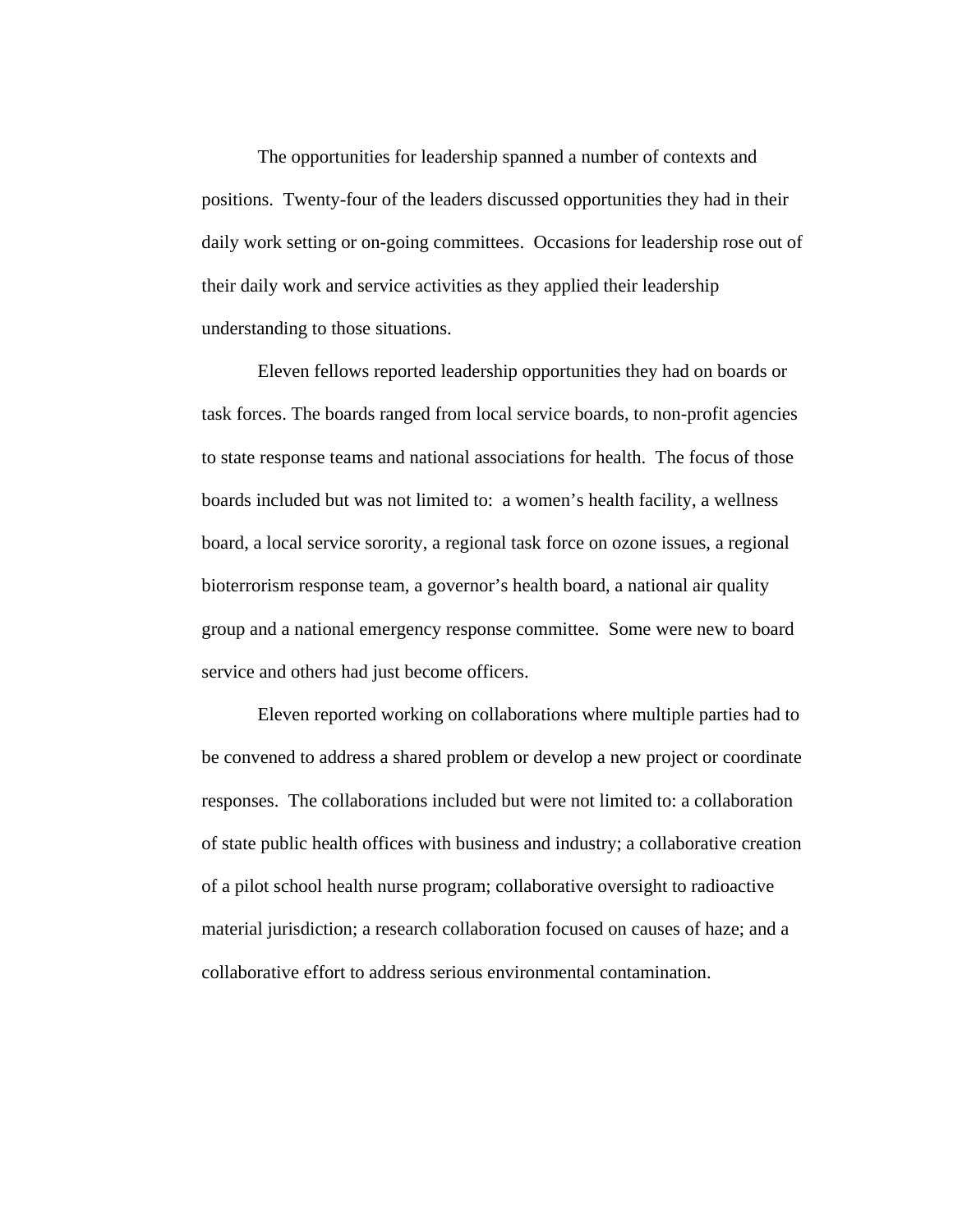The opportunities for leadership spanned a number of contexts and positions. Twenty-four of the leaders discussed opportunities they had in their daily work setting or on-going committees. Occasions for leadership rose out of their daily work and service activities as they applied their leadership understanding to those situations.

Eleven fellows reported leadership opportunities they had on boards or task forces. The boards ranged from local service boards, to non-profit agencies to state response teams and national associations for health. The focus of those boards included but was not limited to: a women's health facility, a wellness board, a local service sorority, a regional task force on ozone issues, a regional bioterrorism response team, a governor's health board, a national air quality group and a national emergency response committee. Some were new to board service and others had just become officers.

Eleven reported working on collaborations where multiple parties had to be convened to address a shared problem or develop a new project or coordinate responses. The collaborations included but were not limited to: a collaboration of state public health offices with business and industry; a collaborative creation of a pilot school health nurse program; collaborative oversight to radioactive material jurisdiction; a research collaboration focused on causes of haze; and a collaborative effort to address serious environmental contamination.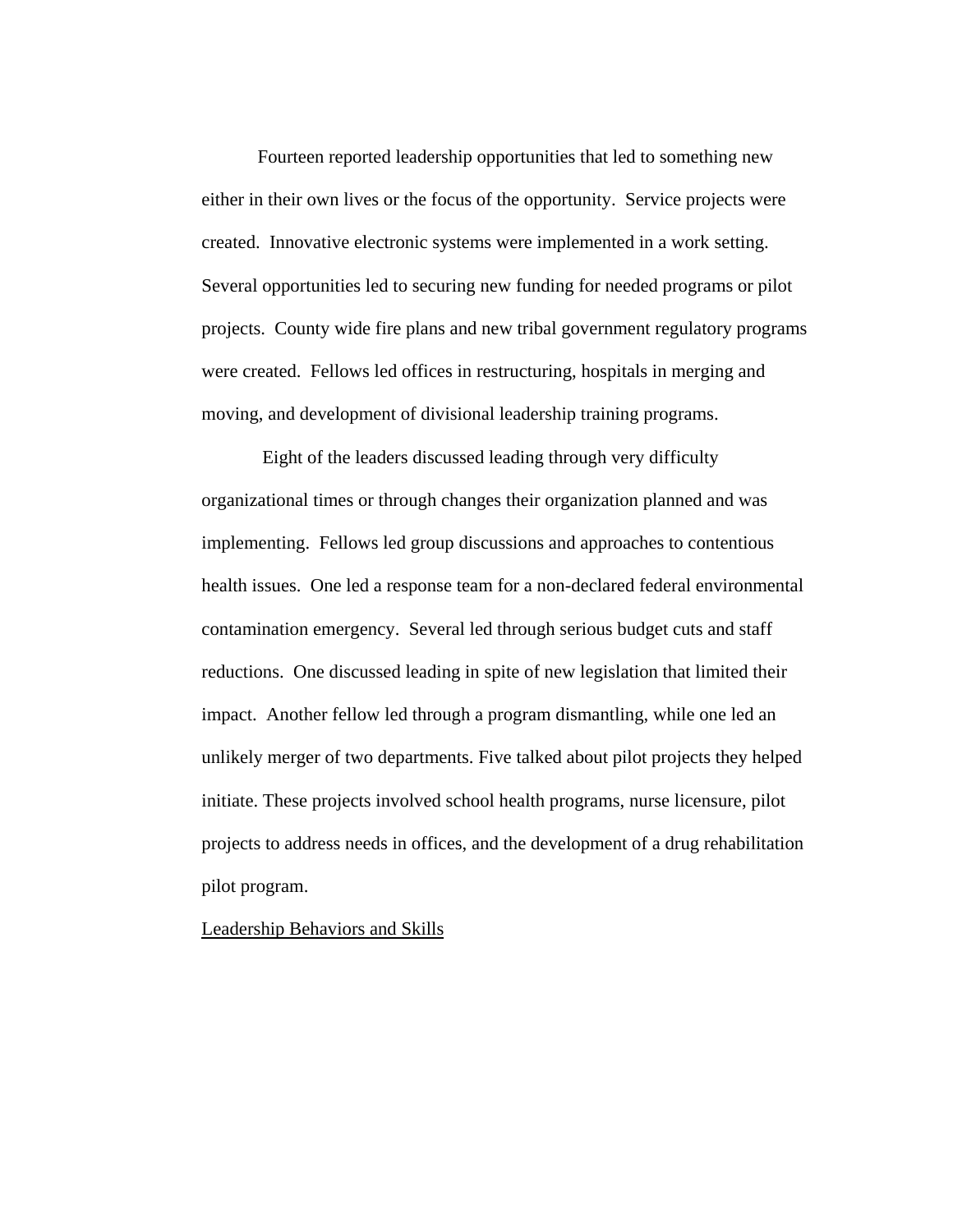Fourteen reported leadership opportunities that led to something new either in their own lives or the focus of the opportunity. Service projects were created. Innovative electronic systems were implemented in a work setting. Several opportunities led to securing new funding for needed programs or pilot projects. County wide fire plans and new tribal government regulatory programs were created. Fellows led offices in restructuring, hospitals in merging and moving, and development of divisional leadership training programs.

 Eight of the leaders discussed leading through very difficulty organizational times or through changes their organization planned and was implementing. Fellows led group discussions and approaches to contentious health issues. One led a response team for a non-declared federal environmental contamination emergency. Several led through serious budget cuts and staff reductions. One discussed leading in spite of new legislation that limited their impact. Another fellow led through a program dismantling, while one led an unlikely merger of two departments. Five talked about pilot projects they helped initiate. These projects involved school health programs, nurse licensure, pilot projects to address needs in offices, and the development of a drug rehabilitation pilot program.

Leadership Behaviors and Skills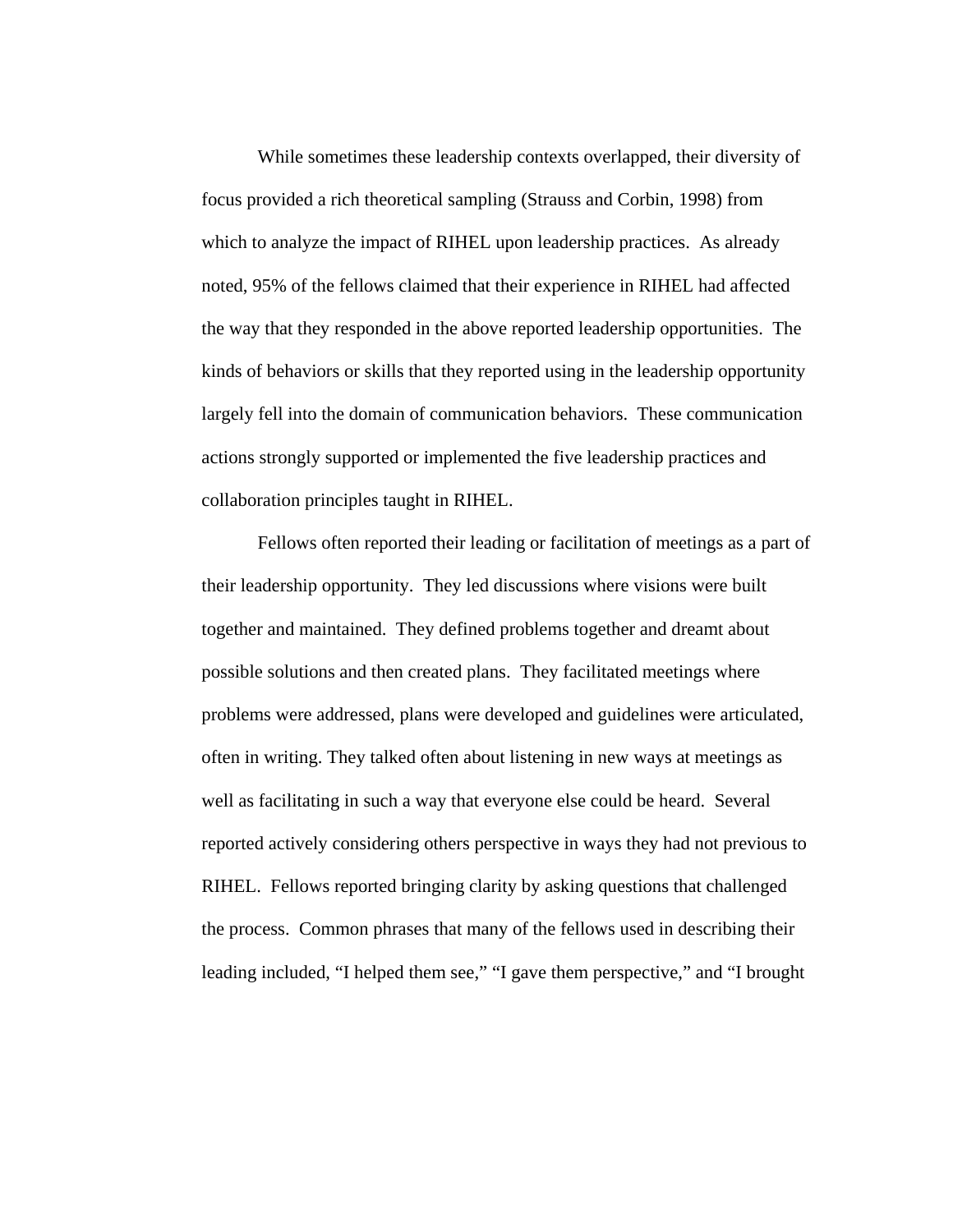While sometimes these leadership contexts overlapped, their diversity of focus provided a rich theoretical sampling (Strauss and Corbin, 1998) from which to analyze the impact of RIHEL upon leadership practices. As already noted, 95% of the fellows claimed that their experience in RIHEL had affected the way that they responded in the above reported leadership opportunities. The kinds of behaviors or skills that they reported using in the leadership opportunity largely fell into the domain of communication behaviors. These communication actions strongly supported or implemented the five leadership practices and collaboration principles taught in RIHEL.

Fellows often reported their leading or facilitation of meetings as a part of their leadership opportunity. They led discussions where visions were built together and maintained. They defined problems together and dreamt about possible solutions and then created plans. They facilitated meetings where problems were addressed, plans were developed and guidelines were articulated, often in writing. They talked often about listening in new ways at meetings as well as facilitating in such a way that everyone else could be heard. Several reported actively considering others perspective in ways they had not previous to RIHEL. Fellows reported bringing clarity by asking questions that challenged the process. Common phrases that many of the fellows used in describing their leading included, "I helped them see," "I gave them perspective," and "I brought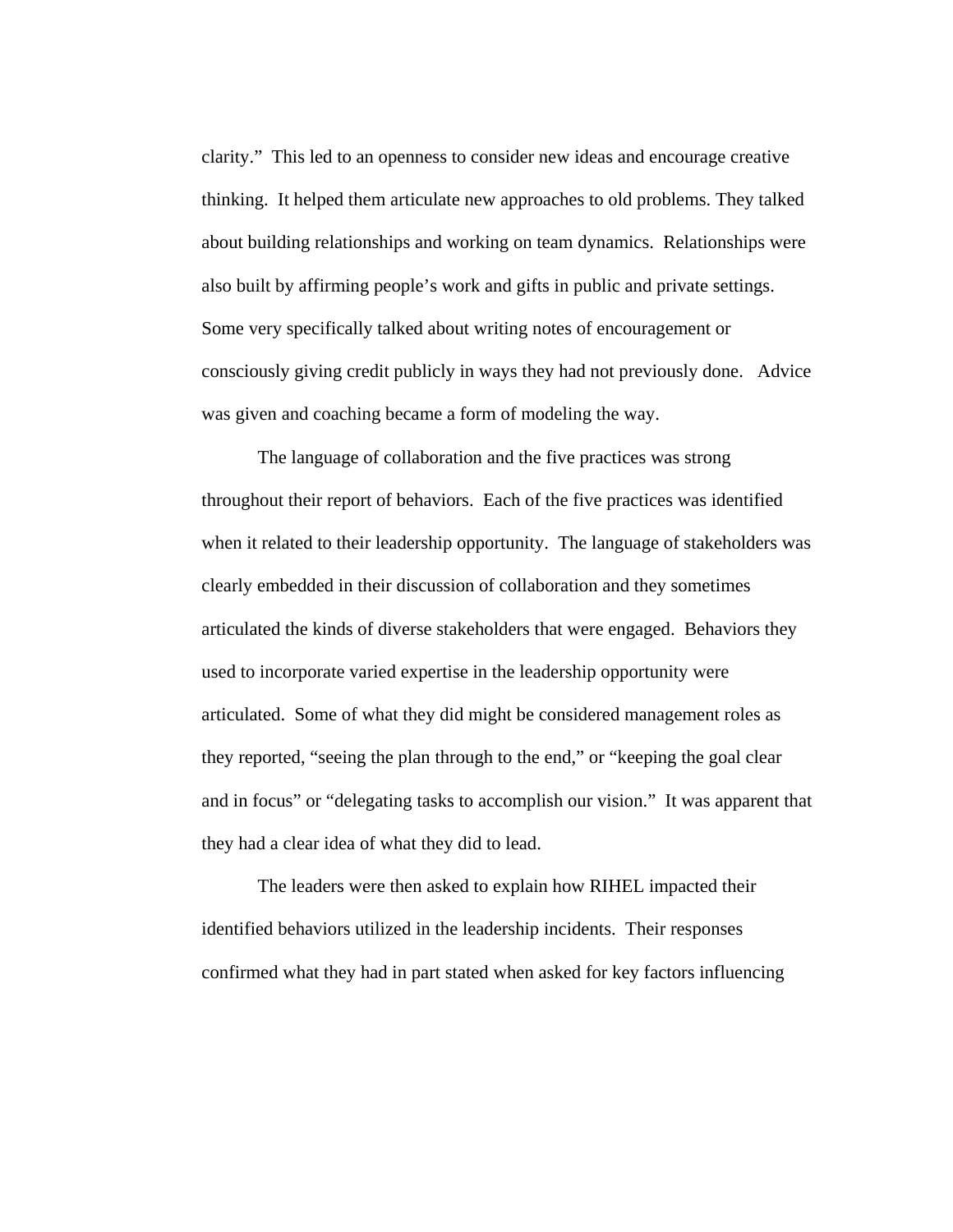clarity." This led to an openness to consider new ideas and encourage creative thinking. It helped them articulate new approaches to old problems. They talked about building relationships and working on team dynamics. Relationships were also built by affirming people's work and gifts in public and private settings. Some very specifically talked about writing notes of encouragement or consciously giving credit publicly in ways they had not previously done. Advice was given and coaching became a form of modeling the way.

The language of collaboration and the five practices was strong throughout their report of behaviors. Each of the five practices was identified when it related to their leadership opportunity. The language of stakeholders was clearly embedded in their discussion of collaboration and they sometimes articulated the kinds of diverse stakeholders that were engaged. Behaviors they used to incorporate varied expertise in the leadership opportunity were articulated. Some of what they did might be considered management roles as they reported, "seeing the plan through to the end," or "keeping the goal clear and in focus" or "delegating tasks to accomplish our vision." It was apparent that they had a clear idea of what they did to lead.

The leaders were then asked to explain how RIHEL impacted their identified behaviors utilized in the leadership incidents. Their responses confirmed what they had in part stated when asked for key factors influencing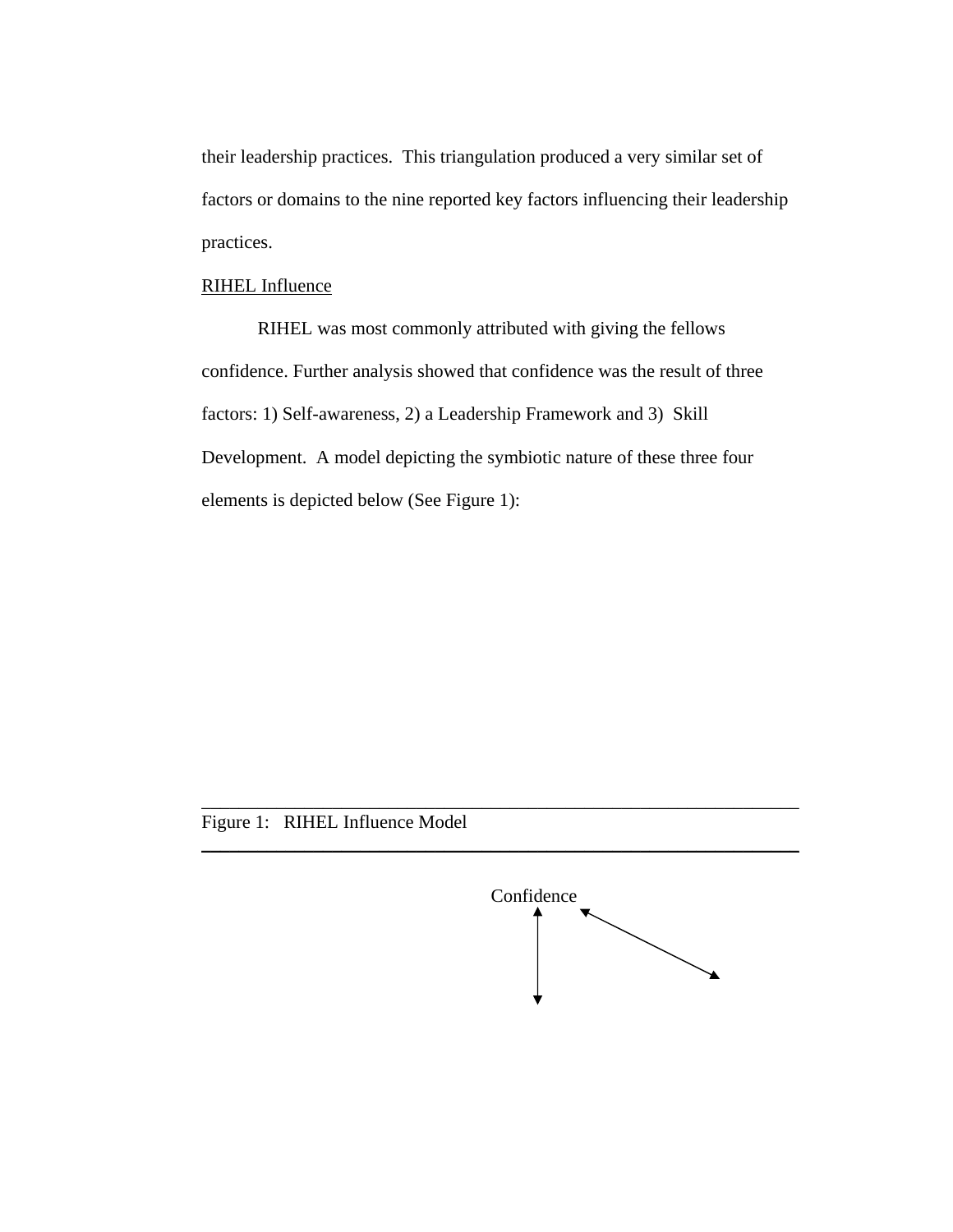their leadership practices. This triangulation produced a very similar set of factors or domains to the nine reported key factors influencing their leadership practices.

## RIHEL Influence

RIHEL was most commonly attributed with giving the fellows confidence. Further analysis showed that confidence was the result of three factors: 1) Self-awareness, 2) a Leadership Framework and 3) Skill Development. A model depicting the symbiotic nature of these three four elements is depicted below (See Figure 1):

\_\_\_\_\_\_\_\_\_\_\_\_\_\_\_\_\_\_\_\_\_\_\_\_\_\_\_\_\_\_\_\_\_\_\_\_\_\_\_\_\_\_\_\_\_\_\_\_\_\_\_\_\_\_\_\_\_\_\_\_\_\_\_\_

\_\_\_\_\_\_\_\_\_\_\_\_\_\_\_\_\_\_\_\_\_\_\_\_\_\_\_\_\_\_\_\_\_\_\_\_\_\_\_\_\_\_\_\_\_\_\_\_\_\_\_\_\_\_\_\_\_\_\_\_\_\_\_\_

# Figure 1: RIHEL Influence Model

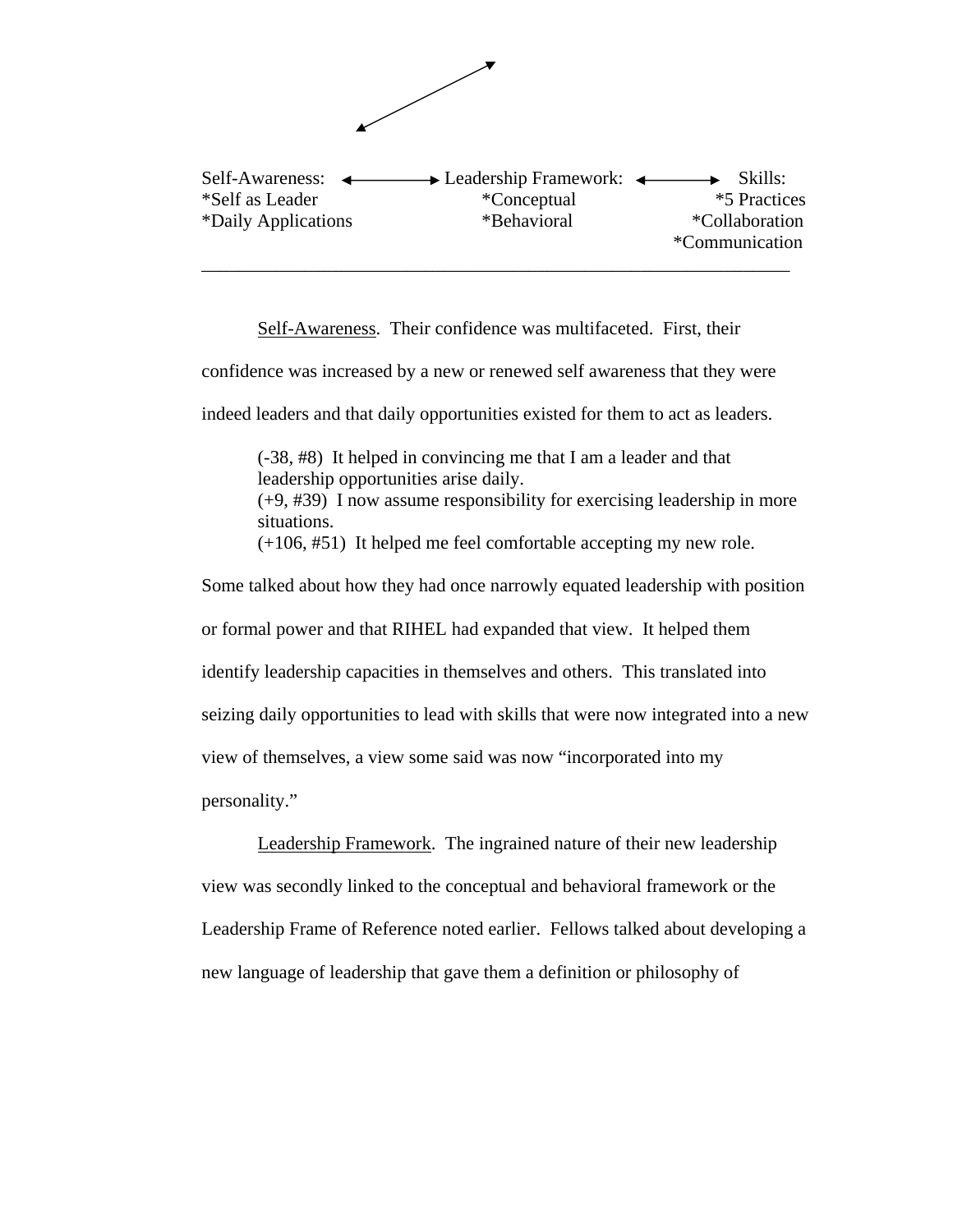

Self-Awareness. Their confidence was multifaceted. First, their confidence was increased by a new or renewed self awareness that they were indeed leaders and that daily opportunities existed for them to act as leaders. (-38, #8) It helped in convincing me that I am a leader and that leadership opportunities arise daily. (+9, #39) I now assume responsibility for exercising leadership in more situations. (+106, #51) It helped me feel comfortable accepting my new role.

Some talked about how they had once narrowly equated leadership with position or formal power and that RIHEL had expanded that view. It helped them identify leadership capacities in themselves and others. This translated into seizing daily opportunities to lead with skills that were now integrated into a new view of themselves, a view some said was now "incorporated into my personality."

 Leadership Framework. The ingrained nature of their new leadership view was secondly linked to the conceptual and behavioral framework or the Leadership Frame of Reference noted earlier. Fellows talked about developing a new language of leadership that gave them a definition or philosophy of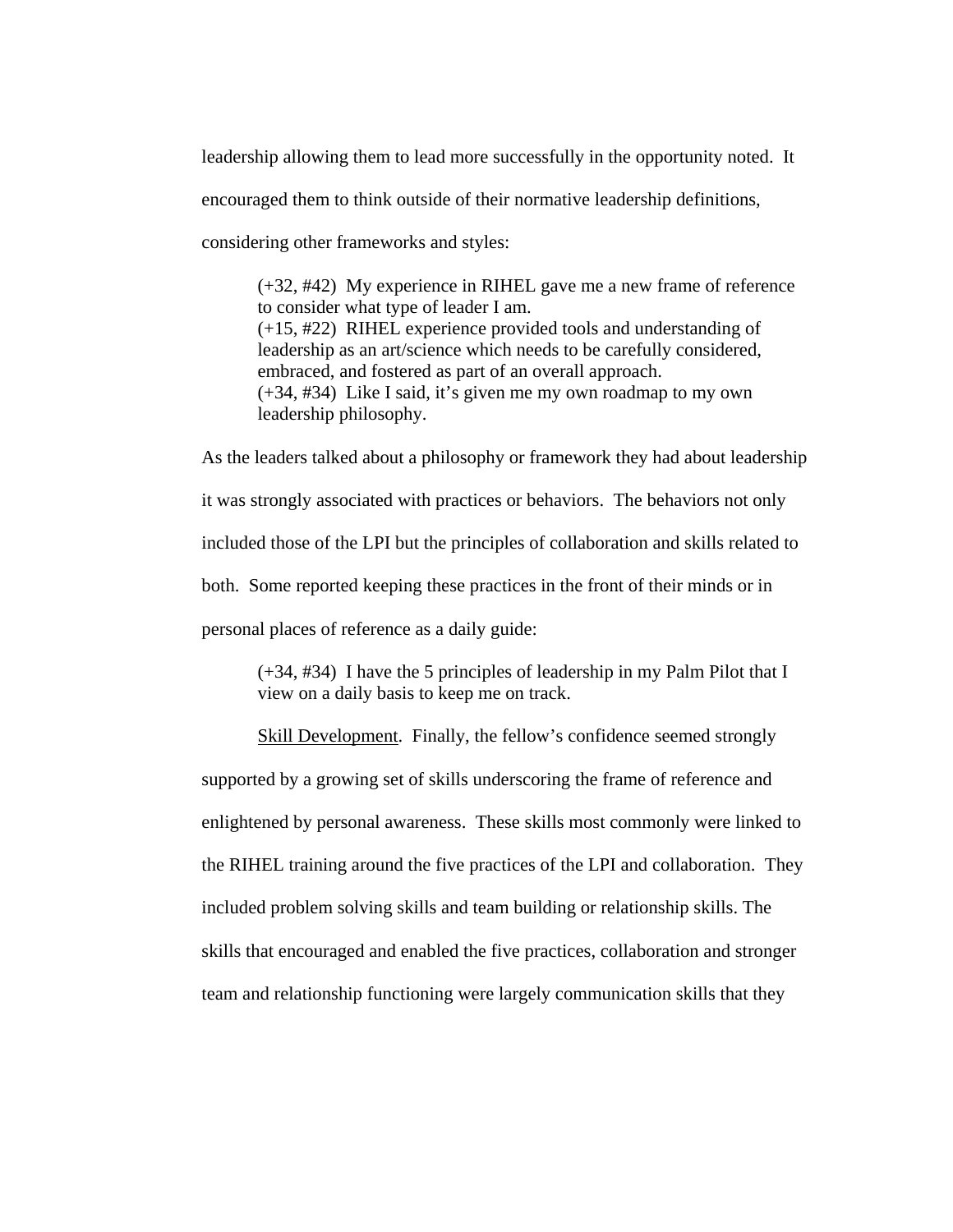leadership allowing them to lead more successfully in the opportunity noted. It encouraged them to think outside of their normative leadership definitions, considering other frameworks and styles:

(+32, #42) My experience in RIHEL gave me a new frame of reference to consider what type of leader I am. (+15, #22) RIHEL experience provided tools and understanding of leadership as an art/science which needs to be carefully considered, embraced, and fostered as part of an overall approach. (+34, #34) Like I said, it's given me my own roadmap to my own leadership philosophy.

As the leaders talked about a philosophy or framework they had about leadership it was strongly associated with practices or behaviors. The behaviors not only included those of the LPI but the principles of collaboration and skills related to both. Some reported keeping these practices in the front of their minds or in personal places of reference as a daily guide:

(+34, #34) I have the 5 principles of leadership in my Palm Pilot that I view on a daily basis to keep me on track.

 Skill Development. Finally, the fellow's confidence seemed strongly supported by a growing set of skills underscoring the frame of reference and enlightened by personal awareness. These skills most commonly were linked to the RIHEL training around the five practices of the LPI and collaboration. They included problem solving skills and team building or relationship skills. The skills that encouraged and enabled the five practices, collaboration and stronger team and relationship functioning were largely communication skills that they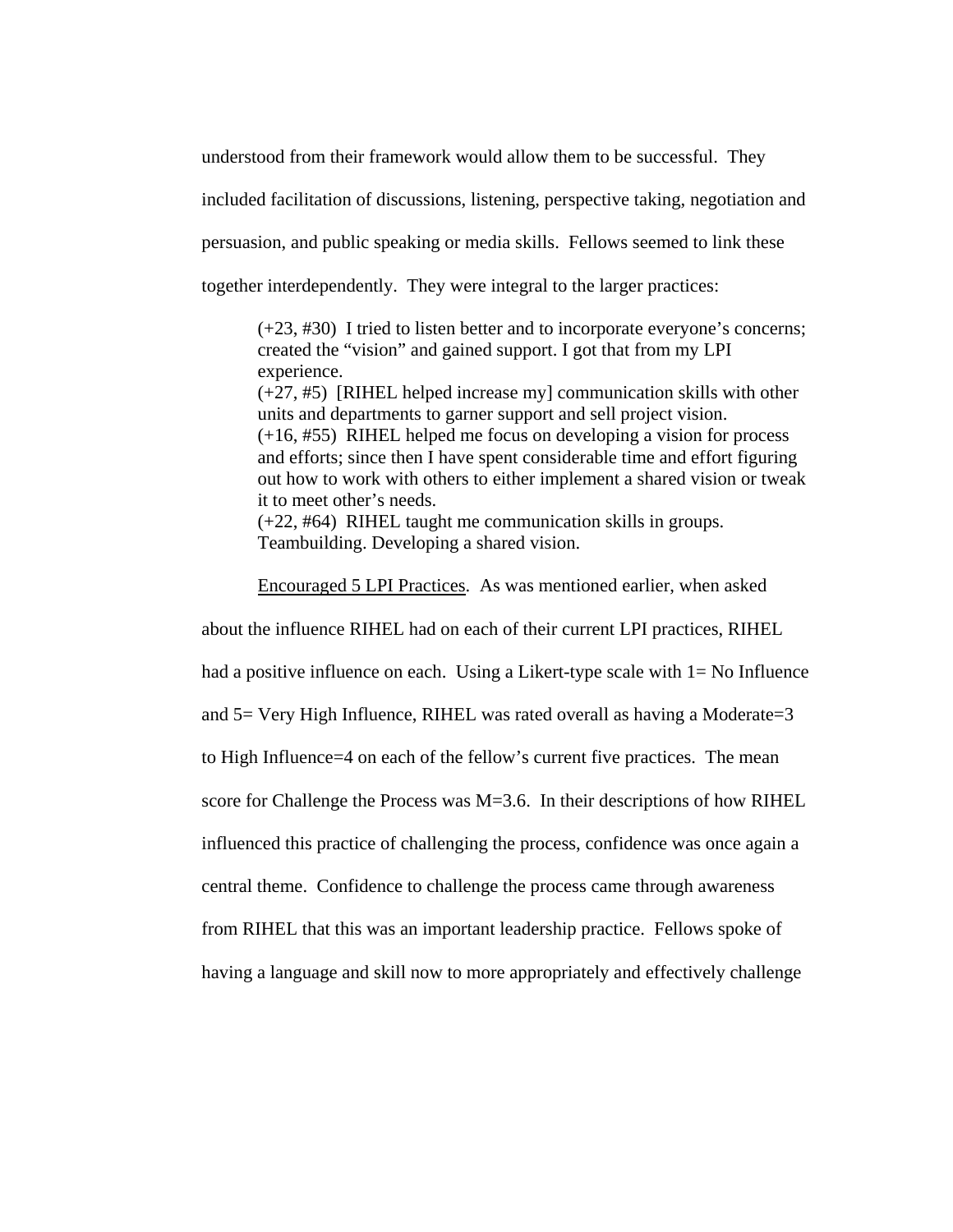understood from their framework would allow them to be successful. They

included facilitation of discussions, listening, perspective taking, negotiation and

persuasion, and public speaking or media skills. Fellows seemed to link these

together interdependently. They were integral to the larger practices:

(+23, #30) I tried to listen better and to incorporate everyone's concerns; created the "vision" and gained support. I got that from my LPI experience.

(+27, #5) [RIHEL helped increase my] communication skills with other units and departments to garner support and sell project vision. (+16, #55) RIHEL helped me focus on developing a vision for process and efforts; since then I have spent considerable time and effort figuring out how to work with others to either implement a shared vision or tweak it to meet other's needs.

(+22, #64) RIHEL taught me communication skills in groups. Teambuilding. Developing a shared vision.

Encouraged 5 LPI Practices. As was mentioned earlier, when asked about the influence RIHEL had on each of their current LPI practices, RIHEL had a positive influence on each. Using a Likert-type scale with  $1=$  No Influence and 5= Very High Influence, RIHEL was rated overall as having a Moderate=3 to High Influence=4 on each of the fellow's current five practices. The mean score for Challenge the Process was M=3.6. In their descriptions of how RIHEL influenced this practice of challenging the process, confidence was once again a central theme. Confidence to challenge the process came through awareness from RIHEL that this was an important leadership practice. Fellows spoke of having a language and skill now to more appropriately and effectively challenge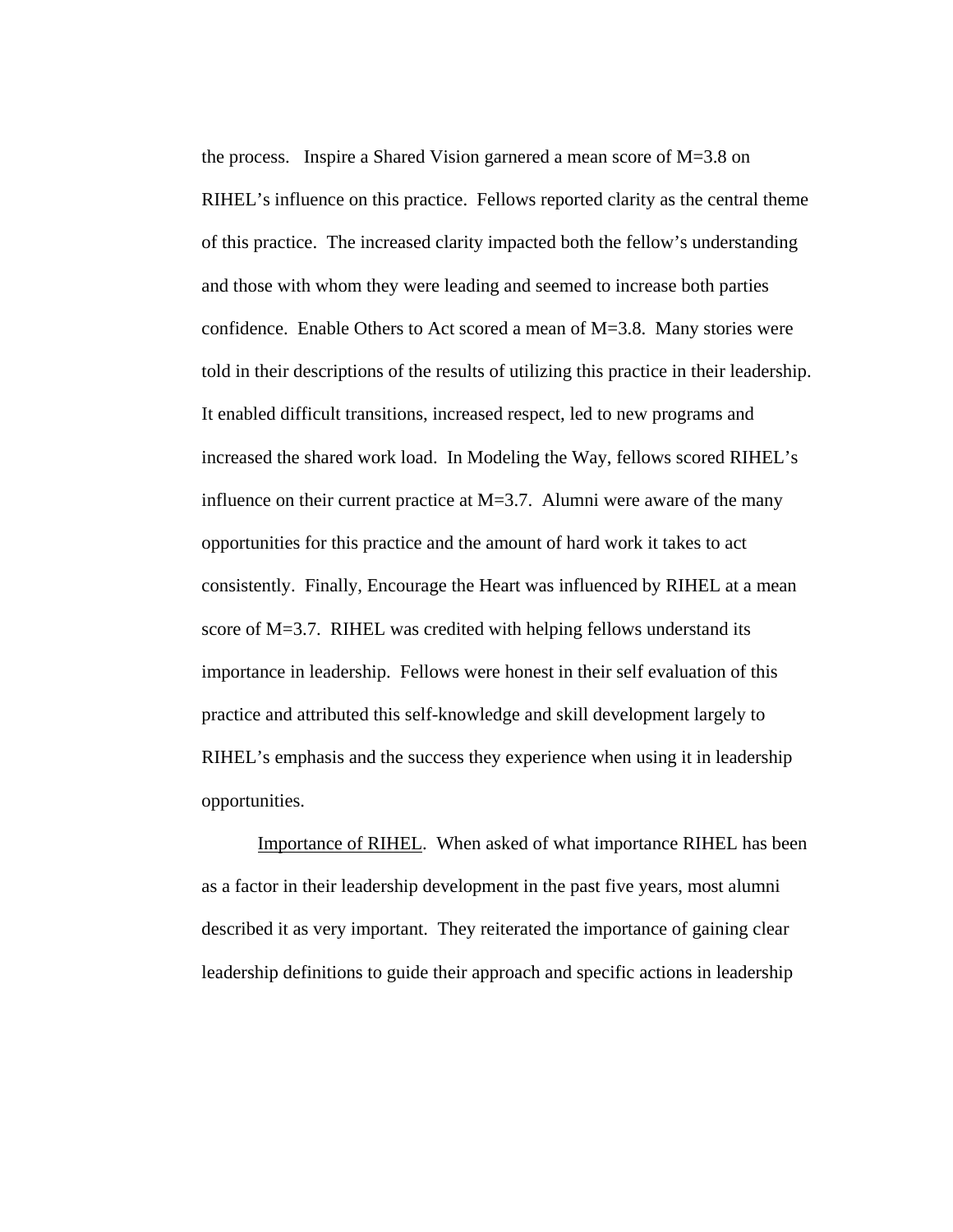the process. Inspire a Shared Vision garnered a mean score of M=3.8 on RIHEL's influence on this practice. Fellows reported clarity as the central theme of this practice. The increased clarity impacted both the fellow's understanding and those with whom they were leading and seemed to increase both parties confidence. Enable Others to Act scored a mean of M=3.8. Many stories were told in their descriptions of the results of utilizing this practice in their leadership. It enabled difficult transitions, increased respect, led to new programs and increased the shared work load. In Modeling the Way, fellows scored RIHEL's influence on their current practice at  $M=3.7$ . Alumni were aware of the many opportunities for this practice and the amount of hard work it takes to act consistently. Finally, Encourage the Heart was influenced by RIHEL at a mean score of M=3.7. RIHEL was credited with helping fellows understand its importance in leadership. Fellows were honest in their self evaluation of this practice and attributed this self-knowledge and skill development largely to RIHEL's emphasis and the success they experience when using it in leadership opportunities.

 Importance of RIHEL. When asked of what importance RIHEL has been as a factor in their leadership development in the past five years, most alumni described it as very important. They reiterated the importance of gaining clear leadership definitions to guide their approach and specific actions in leadership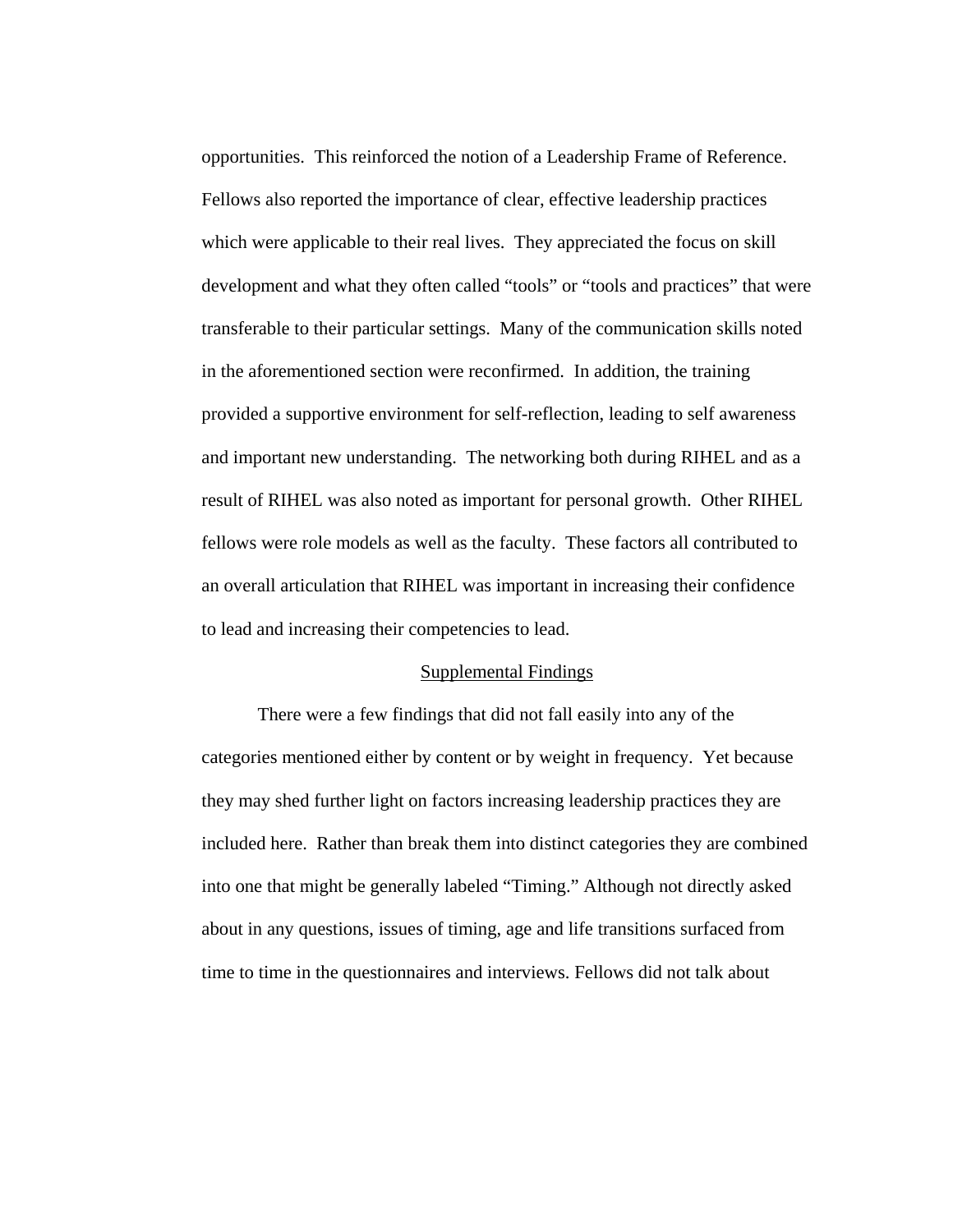opportunities. This reinforced the notion of a Leadership Frame of Reference. Fellows also reported the importance of clear, effective leadership practices which were applicable to their real lives. They appreciated the focus on skill development and what they often called "tools" or "tools and practices" that were transferable to their particular settings. Many of the communication skills noted in the aforementioned section were reconfirmed. In addition, the training provided a supportive environment for self-reflection, leading to self awareness and important new understanding. The networking both during RIHEL and as a result of RIHEL was also noted as important for personal growth. Other RIHEL fellows were role models as well as the faculty. These factors all contributed to an overall articulation that RIHEL was important in increasing their confidence to lead and increasing their competencies to lead.

#### Supplemental Findings

There were a few findings that did not fall easily into any of the categories mentioned either by content or by weight in frequency. Yet because they may shed further light on factors increasing leadership practices they are included here. Rather than break them into distinct categories they are combined into one that might be generally labeled "Timing." Although not directly asked about in any questions, issues of timing, age and life transitions surfaced from time to time in the questionnaires and interviews. Fellows did not talk about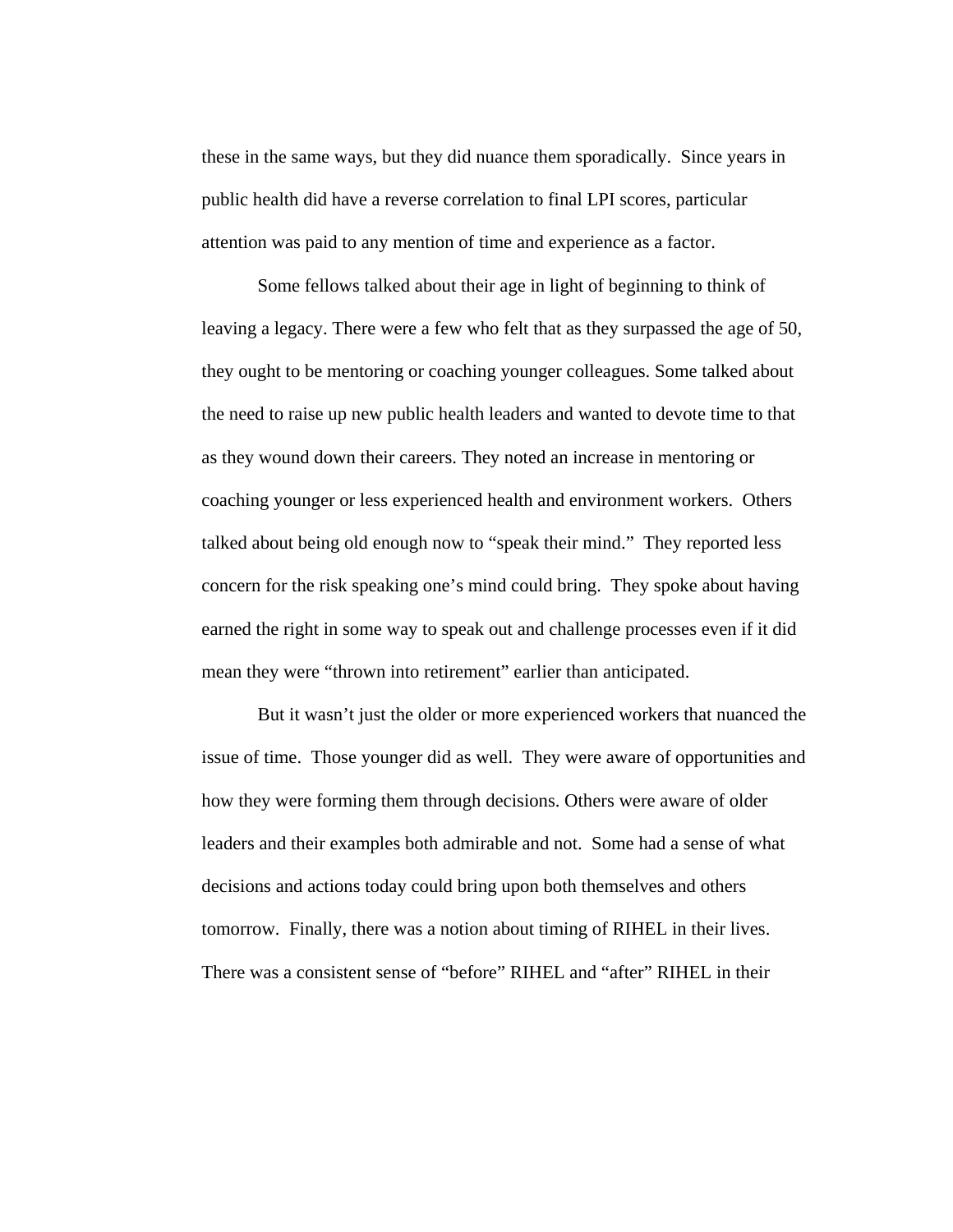these in the same ways, but they did nuance them sporadically. Since years in public health did have a reverse correlation to final LPI scores, particular attention was paid to any mention of time and experience as a factor.

Some fellows talked about their age in light of beginning to think of leaving a legacy. There were a few who felt that as they surpassed the age of 50, they ought to be mentoring or coaching younger colleagues. Some talked about the need to raise up new public health leaders and wanted to devote time to that as they wound down their careers. They noted an increase in mentoring or coaching younger or less experienced health and environment workers. Others talked about being old enough now to "speak their mind." They reported less concern for the risk speaking one's mind could bring. They spoke about having earned the right in some way to speak out and challenge processes even if it did mean they were "thrown into retirement" earlier than anticipated.

But it wasn't just the older or more experienced workers that nuanced the issue of time. Those younger did as well. They were aware of opportunities and how they were forming them through decisions. Others were aware of older leaders and their examples both admirable and not. Some had a sense of what decisions and actions today could bring upon both themselves and others tomorrow. Finally, there was a notion about timing of RIHEL in their lives. There was a consistent sense of "before" RIHEL and "after" RIHEL in their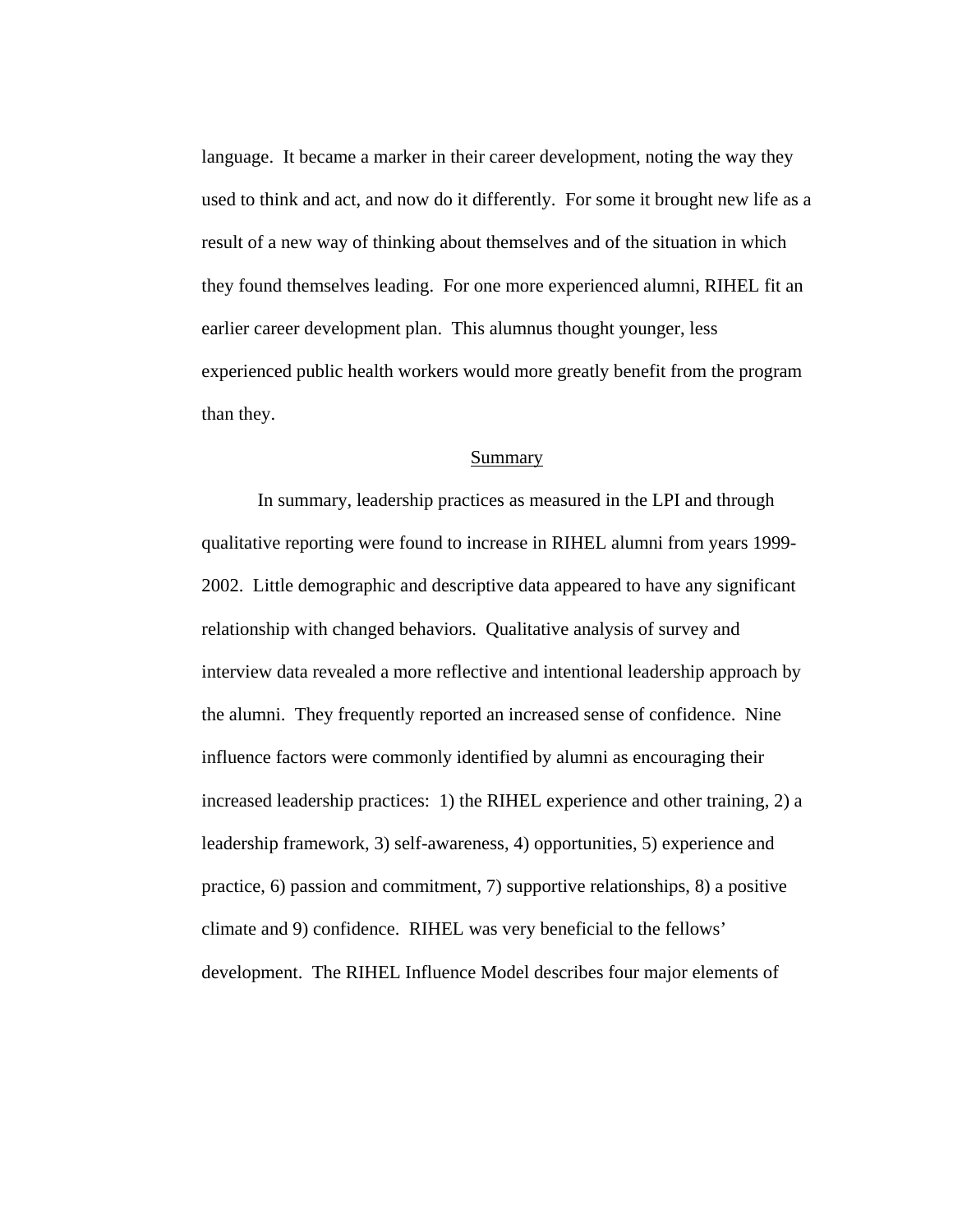language. It became a marker in their career development, noting the way they used to think and act, and now do it differently. For some it brought new life as a result of a new way of thinking about themselves and of the situation in which they found themselves leading. For one more experienced alumni, RIHEL fit an earlier career development plan. This alumnus thought younger, less experienced public health workers would more greatly benefit from the program than they.

#### Summary

In summary, leadership practices as measured in the LPI and through qualitative reporting were found to increase in RIHEL alumni from years 1999- 2002. Little demographic and descriptive data appeared to have any significant relationship with changed behaviors. Qualitative analysis of survey and interview data revealed a more reflective and intentional leadership approach by the alumni. They frequently reported an increased sense of confidence. Nine influence factors were commonly identified by alumni as encouraging their increased leadership practices: 1) the RIHEL experience and other training, 2) a leadership framework, 3) self-awareness, 4) opportunities, 5) experience and practice, 6) passion and commitment, 7) supportive relationships, 8) a positive climate and 9) confidence. RIHEL was very beneficial to the fellows' development. The RIHEL Influence Model describes four major elements of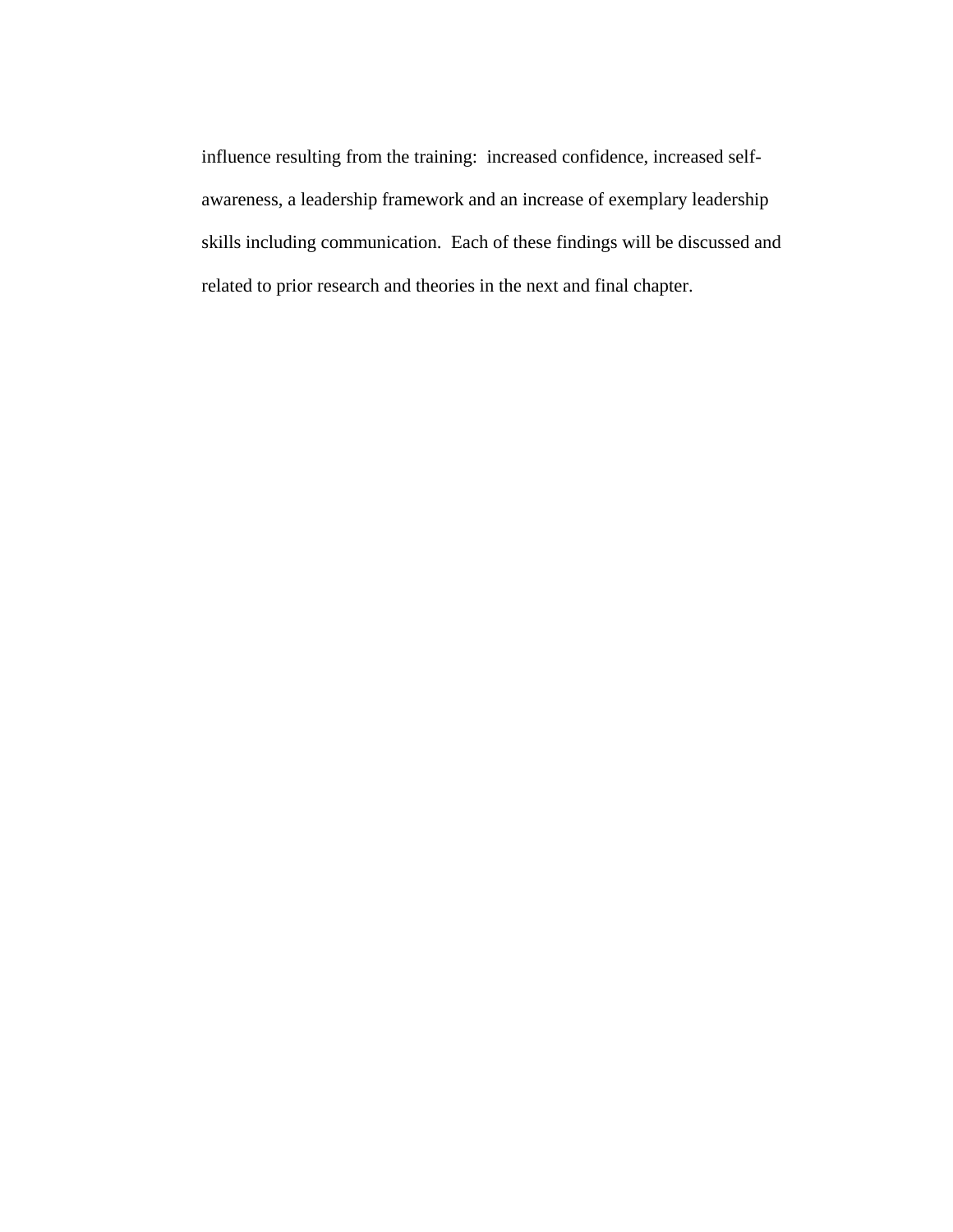influence resulting from the training: increased confidence, increased selfawareness, a leadership framework and an increase of exemplary leadership skills including communication. Each of these findings will be discussed and related to prior research and theories in the next and final chapter.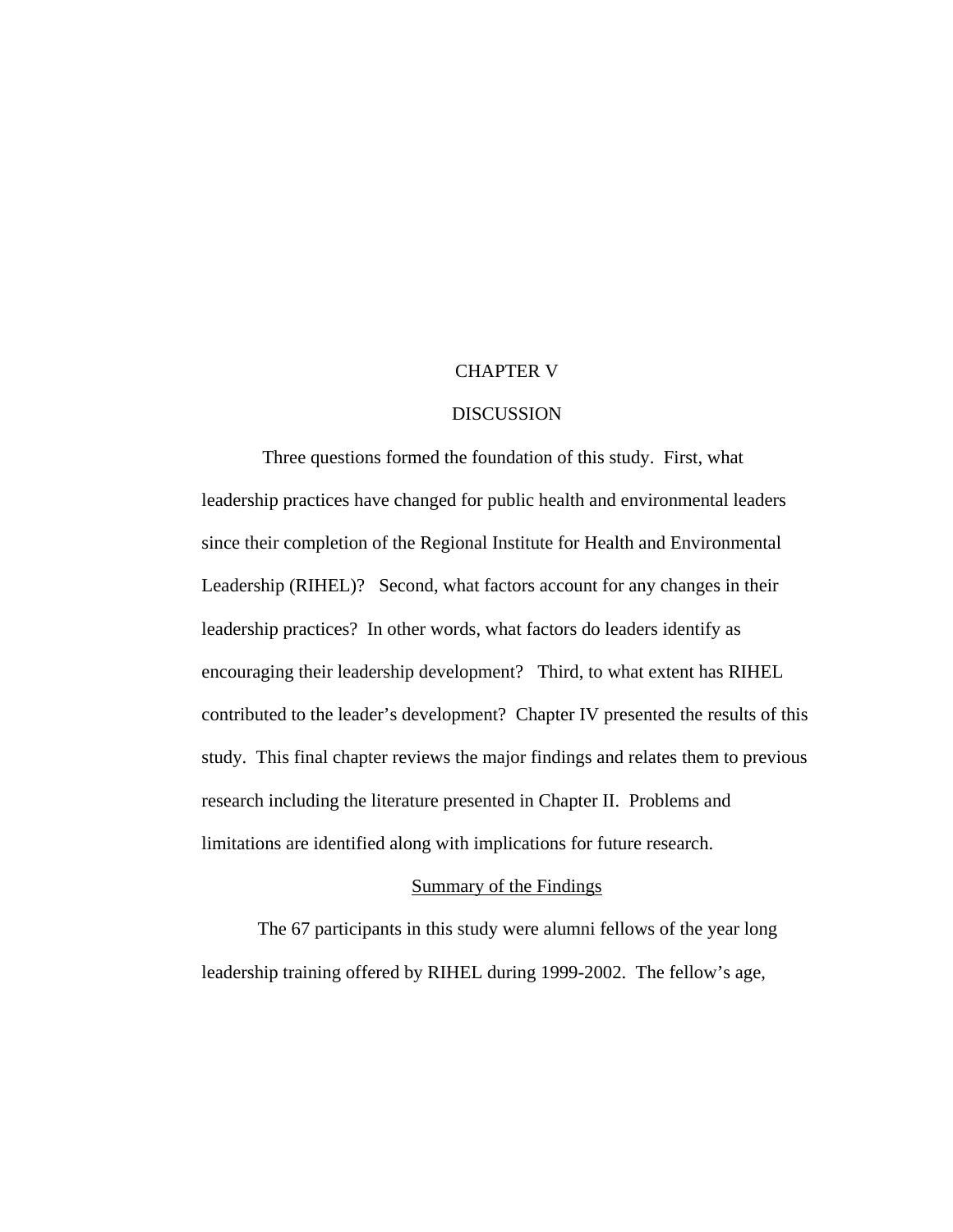## CHAPTER V

## DISCUSSION

 Three questions formed the foundation of this study. First, what leadership practices have changed for public health and environmental leaders since their completion of the Regional Institute for Health and Environmental Leadership (RIHEL)? Second, what factors account for any changes in their leadership practices? In other words, what factors do leaders identify as encouraging their leadership development? Third, to what extent has RIHEL contributed to the leader's development? Chapter IV presented the results of this study. This final chapter reviews the major findings and relates them to previous research including the literature presented in Chapter II. Problems and limitations are identified along with implications for future research.

### Summary of the Findings

 The 67 participants in this study were alumni fellows of the year long leadership training offered by RIHEL during 1999-2002. The fellow's age,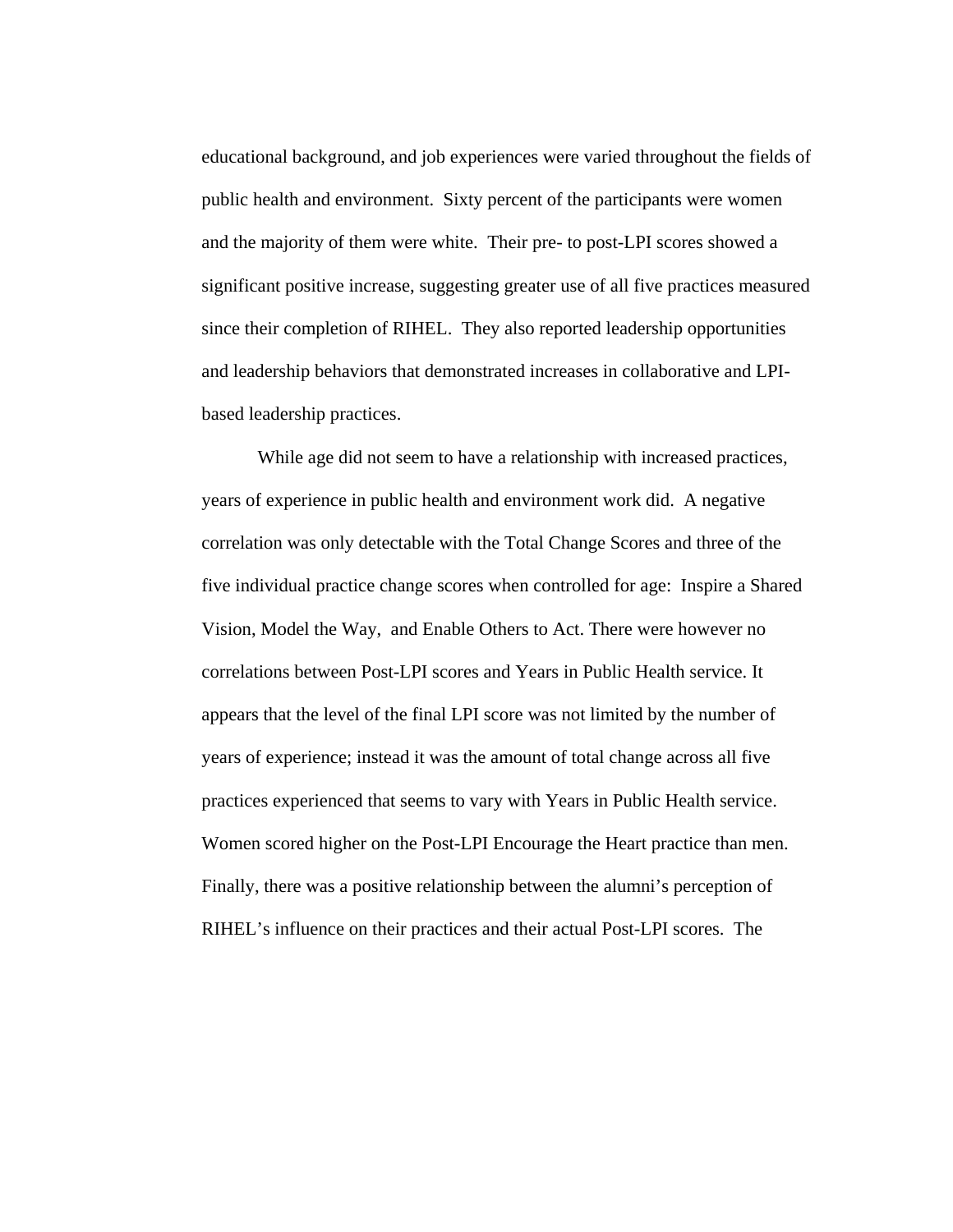educational background, and job experiences were varied throughout the fields of public health and environment. Sixty percent of the participants were women and the majority of them were white. Their pre- to post-LPI scores showed a significant positive increase, suggesting greater use of all five practices measured since their completion of RIHEL. They also reported leadership opportunities and leadership behaviors that demonstrated increases in collaborative and LPIbased leadership practices.

While age did not seem to have a relationship with increased practices, years of experience in public health and environment work did. A negative correlation was only detectable with the Total Change Scores and three of the five individual practice change scores when controlled for age: Inspire a Shared Vision, Model the Way, and Enable Others to Act. There were however no correlations between Post-LPI scores and Years in Public Health service. It appears that the level of the final LPI score was not limited by the number of years of experience; instead it was the amount of total change across all five practices experienced that seems to vary with Years in Public Health service. Women scored higher on the Post-LPI Encourage the Heart practice than men. Finally, there was a positive relationship between the alumni's perception of RIHEL's influence on their practices and their actual Post-LPI scores. The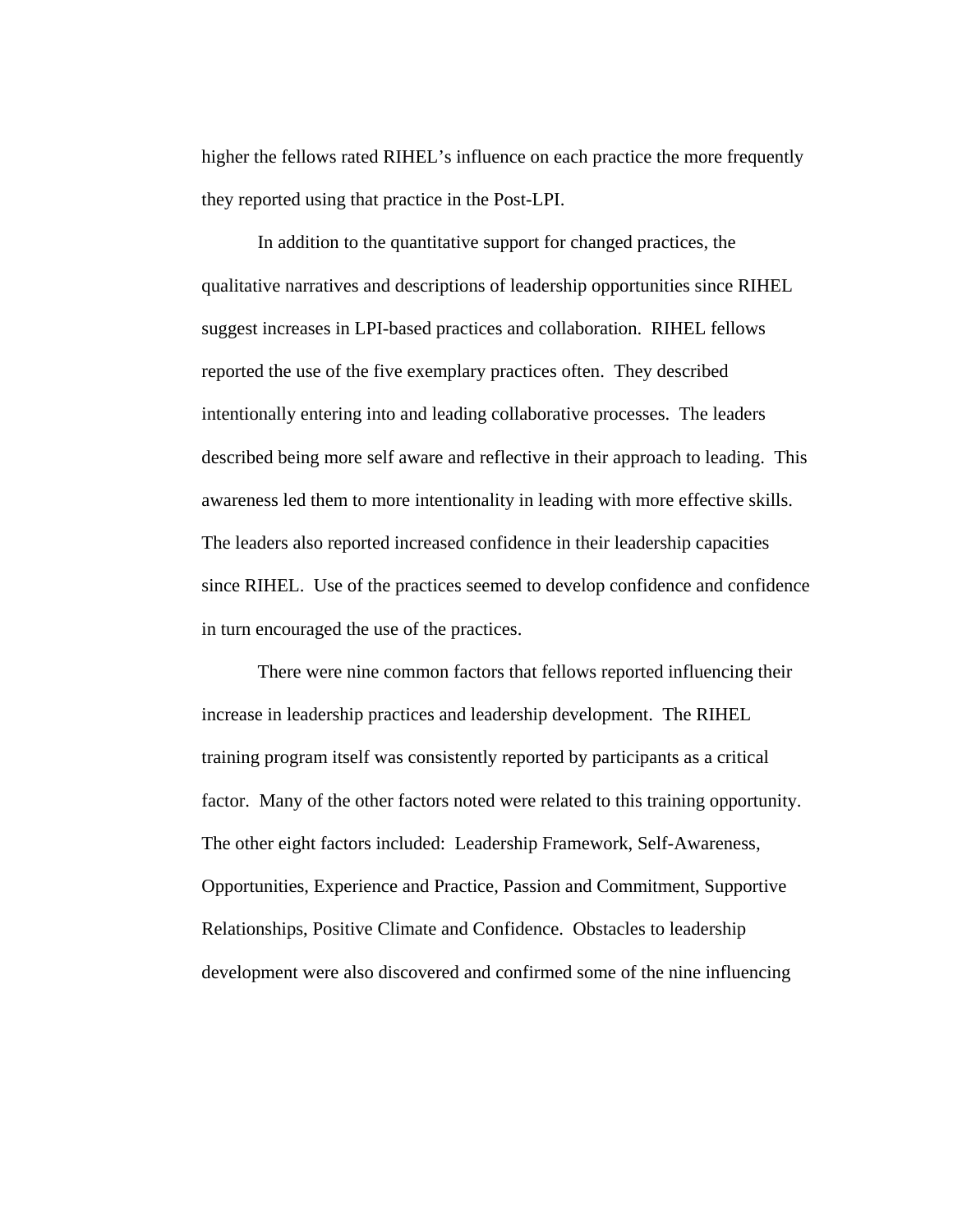higher the fellows rated RIHEL's influence on each practice the more frequently they reported using that practice in the Post-LPI.

In addition to the quantitative support for changed practices, the qualitative narratives and descriptions of leadership opportunities since RIHEL suggest increases in LPI-based practices and collaboration. RIHEL fellows reported the use of the five exemplary practices often. They described intentionally entering into and leading collaborative processes. The leaders described being more self aware and reflective in their approach to leading. This awareness led them to more intentionality in leading with more effective skills. The leaders also reported increased confidence in their leadership capacities since RIHEL. Use of the practices seemed to develop confidence and confidence in turn encouraged the use of the practices.

 There were nine common factors that fellows reported influencing their increase in leadership practices and leadership development. The RIHEL training program itself was consistently reported by participants as a critical factor. Many of the other factors noted were related to this training opportunity. The other eight factors included: Leadership Framework, Self-Awareness, Opportunities, Experience and Practice, Passion and Commitment, Supportive Relationships, Positive Climate and Confidence. Obstacles to leadership development were also discovered and confirmed some of the nine influencing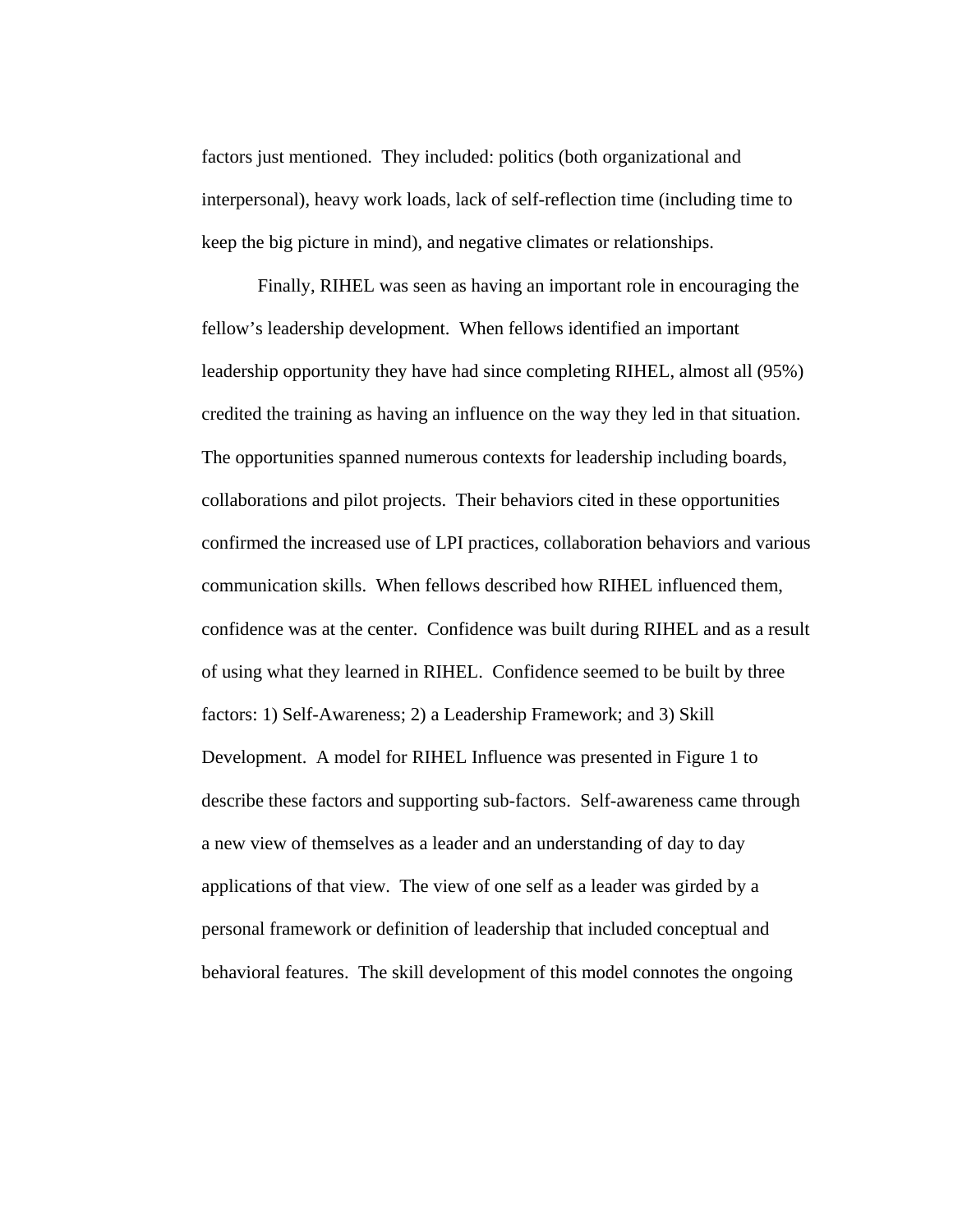factors just mentioned. They included: politics (both organizational and interpersonal), heavy work loads, lack of self-reflection time (including time to keep the big picture in mind), and negative climates or relationships.

 Finally, RIHEL was seen as having an important role in encouraging the fellow's leadership development. When fellows identified an important leadership opportunity they have had since completing RIHEL, almost all (95%) credited the training as having an influence on the way they led in that situation. The opportunities spanned numerous contexts for leadership including boards, collaborations and pilot projects. Their behaviors cited in these opportunities confirmed the increased use of LPI practices, collaboration behaviors and various communication skills. When fellows described how RIHEL influenced them, confidence was at the center. Confidence was built during RIHEL and as a result of using what they learned in RIHEL. Confidence seemed to be built by three factors: 1) Self-Awareness; 2) a Leadership Framework; and 3) Skill Development. A model for RIHEL Influence was presented in Figure 1 to describe these factors and supporting sub-factors. Self-awareness came through a new view of themselves as a leader and an understanding of day to day applications of that view. The view of one self as a leader was girded by a personal framework or definition of leadership that included conceptual and behavioral features. The skill development of this model connotes the ongoing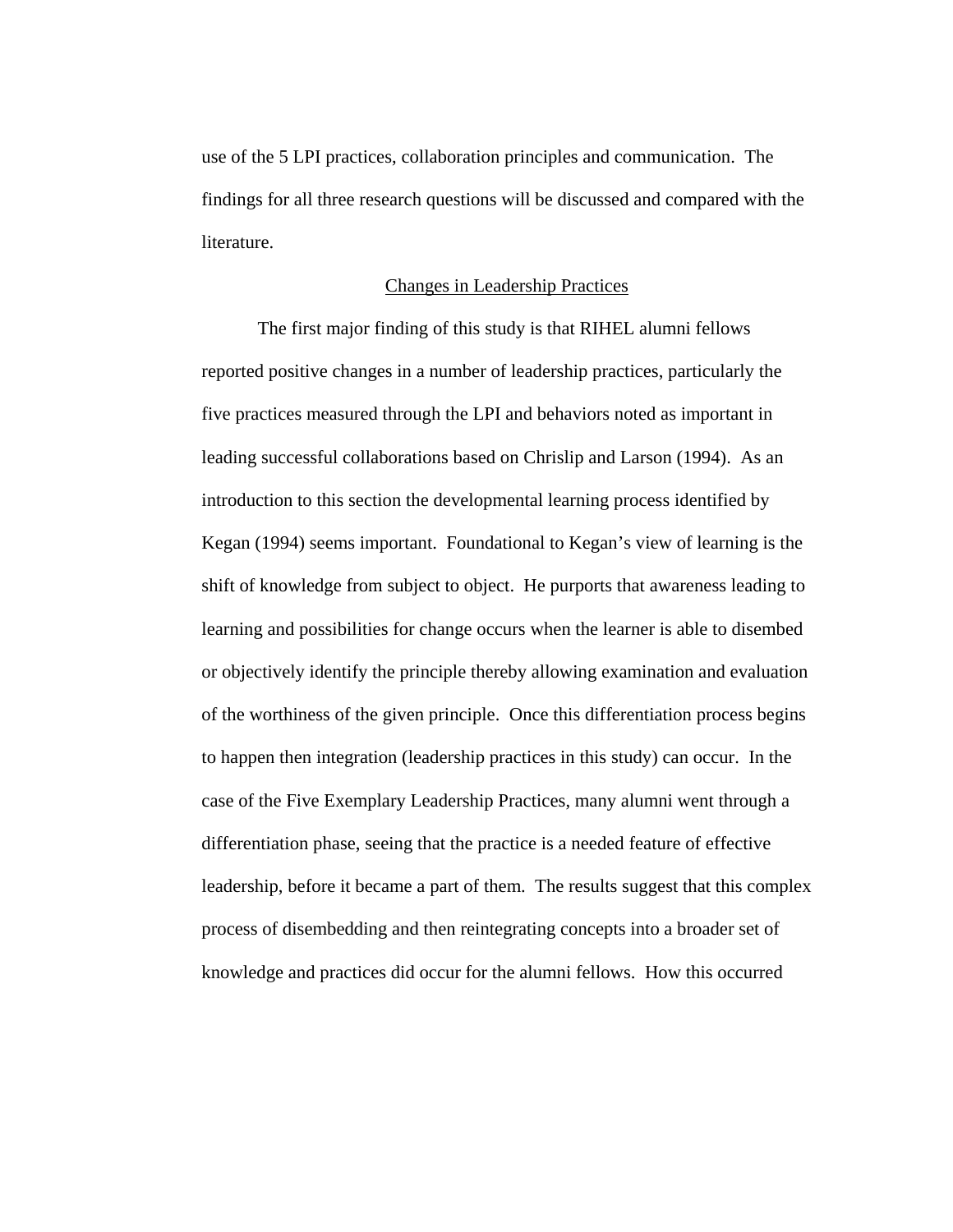use of the 5 LPI practices, collaboration principles and communication. The findings for all three research questions will be discussed and compared with the literature.

## Changes in Leadership Practices

 The first major finding of this study is that RIHEL alumni fellows reported positive changes in a number of leadership practices, particularly the five practices measured through the LPI and behaviors noted as important in leading successful collaborations based on Chrislip and Larson (1994). As an introduction to this section the developmental learning process identified by Kegan (1994) seems important. Foundational to Kegan's view of learning is the shift of knowledge from subject to object. He purports that awareness leading to learning and possibilities for change occurs when the learner is able to disembed or objectively identify the principle thereby allowing examination and evaluation of the worthiness of the given principle. Once this differentiation process begins to happen then integration (leadership practices in this study) can occur. In the case of the Five Exemplary Leadership Practices, many alumni went through a differentiation phase, seeing that the practice is a needed feature of effective leadership, before it became a part of them. The results suggest that this complex process of disembedding and then reintegrating concepts into a broader set of knowledge and practices did occur for the alumni fellows. How this occurred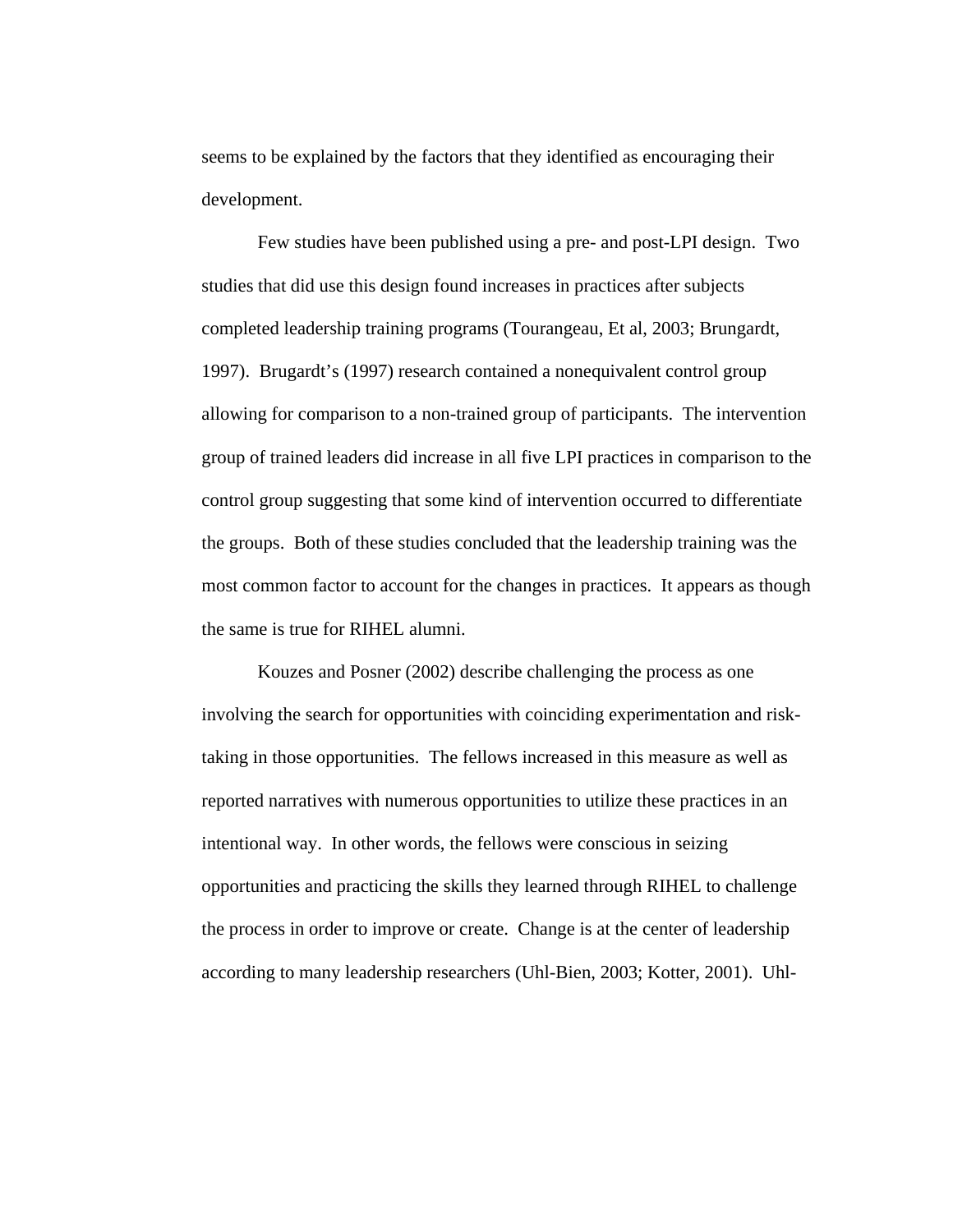seems to be explained by the factors that they identified as encouraging their development.

Few studies have been published using a pre- and post-LPI design. Two studies that did use this design found increases in practices after subjects completed leadership training programs (Tourangeau, Et al, 2003; Brungardt, 1997). Brugardt's (1997) research contained a nonequivalent control group allowing for comparison to a non-trained group of participants. The intervention group of trained leaders did increase in all five LPI practices in comparison to the control group suggesting that some kind of intervention occurred to differentiate the groups. Both of these studies concluded that the leadership training was the most common factor to account for the changes in practices. It appears as though the same is true for RIHEL alumni.

Kouzes and Posner (2002) describe challenging the process as one involving the search for opportunities with coinciding experimentation and risktaking in those opportunities. The fellows increased in this measure as well as reported narratives with numerous opportunities to utilize these practices in an intentional way. In other words, the fellows were conscious in seizing opportunities and practicing the skills they learned through RIHEL to challenge the process in order to improve or create. Change is at the center of leadership according to many leadership researchers (Uhl-Bien, 2003; Kotter, 2001). Uhl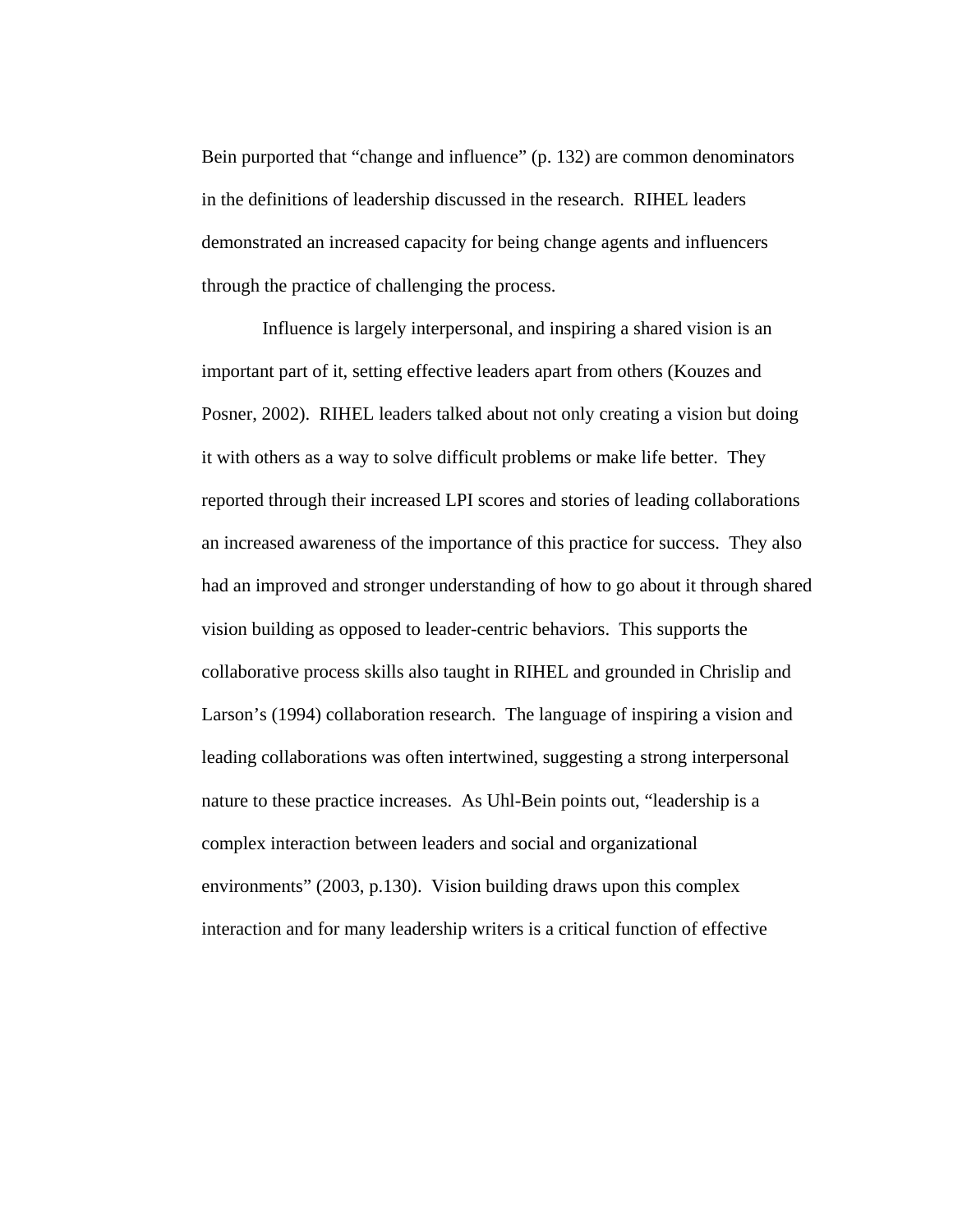Bein purported that "change and influence" (p. 132) are common denominators in the definitions of leadership discussed in the research. RIHEL leaders demonstrated an increased capacity for being change agents and influencers through the practice of challenging the process.

 Influence is largely interpersonal, and inspiring a shared vision is an important part of it, setting effective leaders apart from others (Kouzes and Posner, 2002). RIHEL leaders talked about not only creating a vision but doing it with others as a way to solve difficult problems or make life better. They reported through their increased LPI scores and stories of leading collaborations an increased awareness of the importance of this practice for success. They also had an improved and stronger understanding of how to go about it through shared vision building as opposed to leader-centric behaviors. This supports the collaborative process skills also taught in RIHEL and grounded in Chrislip and Larson's (1994) collaboration research. The language of inspiring a vision and leading collaborations was often intertwined, suggesting a strong interpersonal nature to these practice increases. As Uhl-Bein points out, "leadership is a complex interaction between leaders and social and organizational environments" (2003, p.130). Vision building draws upon this complex interaction and for many leadership writers is a critical function of effective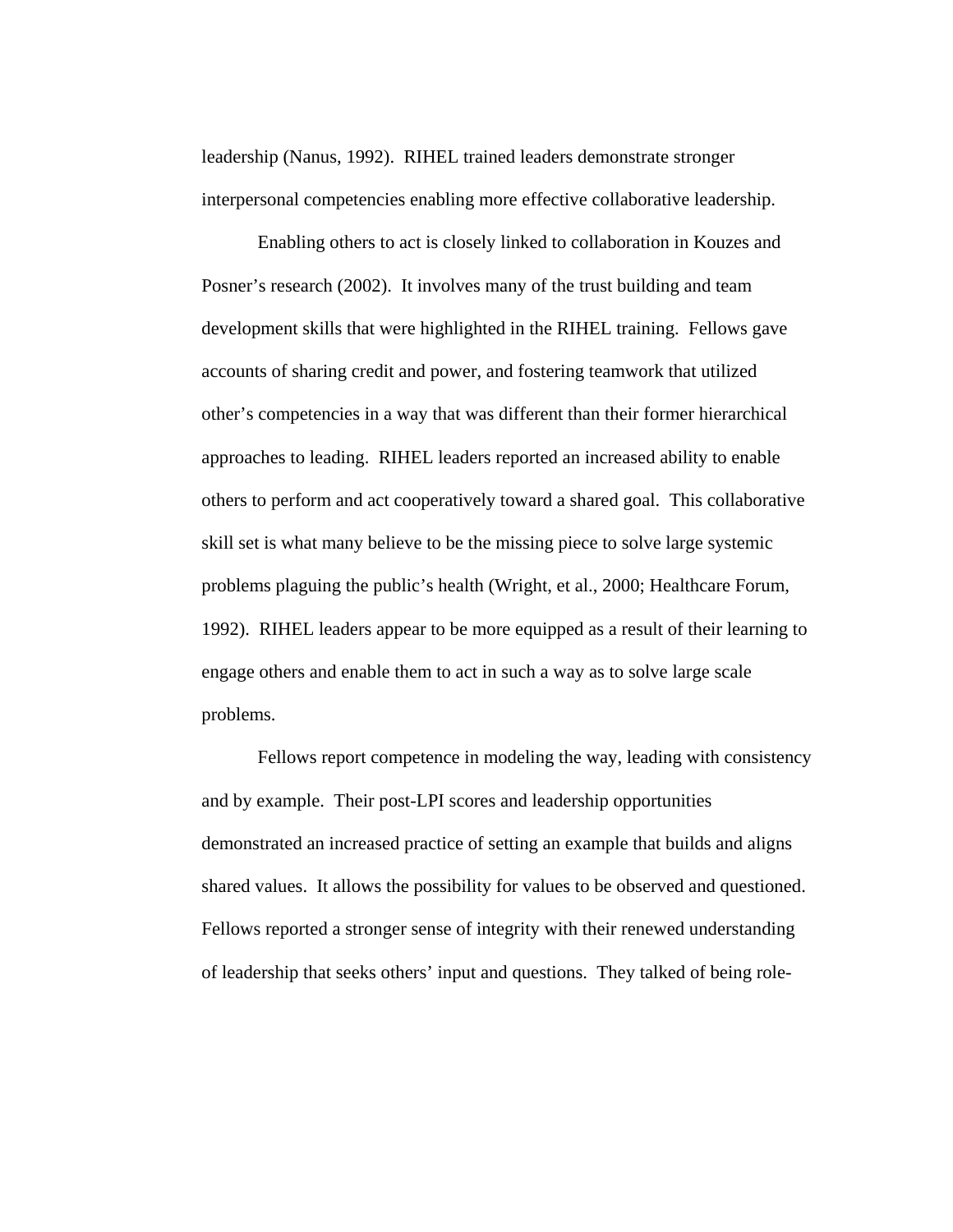leadership (Nanus, 1992). RIHEL trained leaders demonstrate stronger interpersonal competencies enabling more effective collaborative leadership.

Enabling others to act is closely linked to collaboration in Kouzes and Posner's research (2002). It involves many of the trust building and team development skills that were highlighted in the RIHEL training. Fellows gave accounts of sharing credit and power, and fostering teamwork that utilized other's competencies in a way that was different than their former hierarchical approaches to leading. RIHEL leaders reported an increased ability to enable others to perform and act cooperatively toward a shared goal. This collaborative skill set is what many believe to be the missing piece to solve large systemic problems plaguing the public's health (Wright, et al., 2000; Healthcare Forum, 1992). RIHEL leaders appear to be more equipped as a result of their learning to engage others and enable them to act in such a way as to solve large scale problems.

Fellows report competence in modeling the way, leading with consistency and by example. Their post-LPI scores and leadership opportunities demonstrated an increased practice of setting an example that builds and aligns shared values. It allows the possibility for values to be observed and questioned. Fellows reported a stronger sense of integrity with their renewed understanding of leadership that seeks others' input and questions. They talked of being role-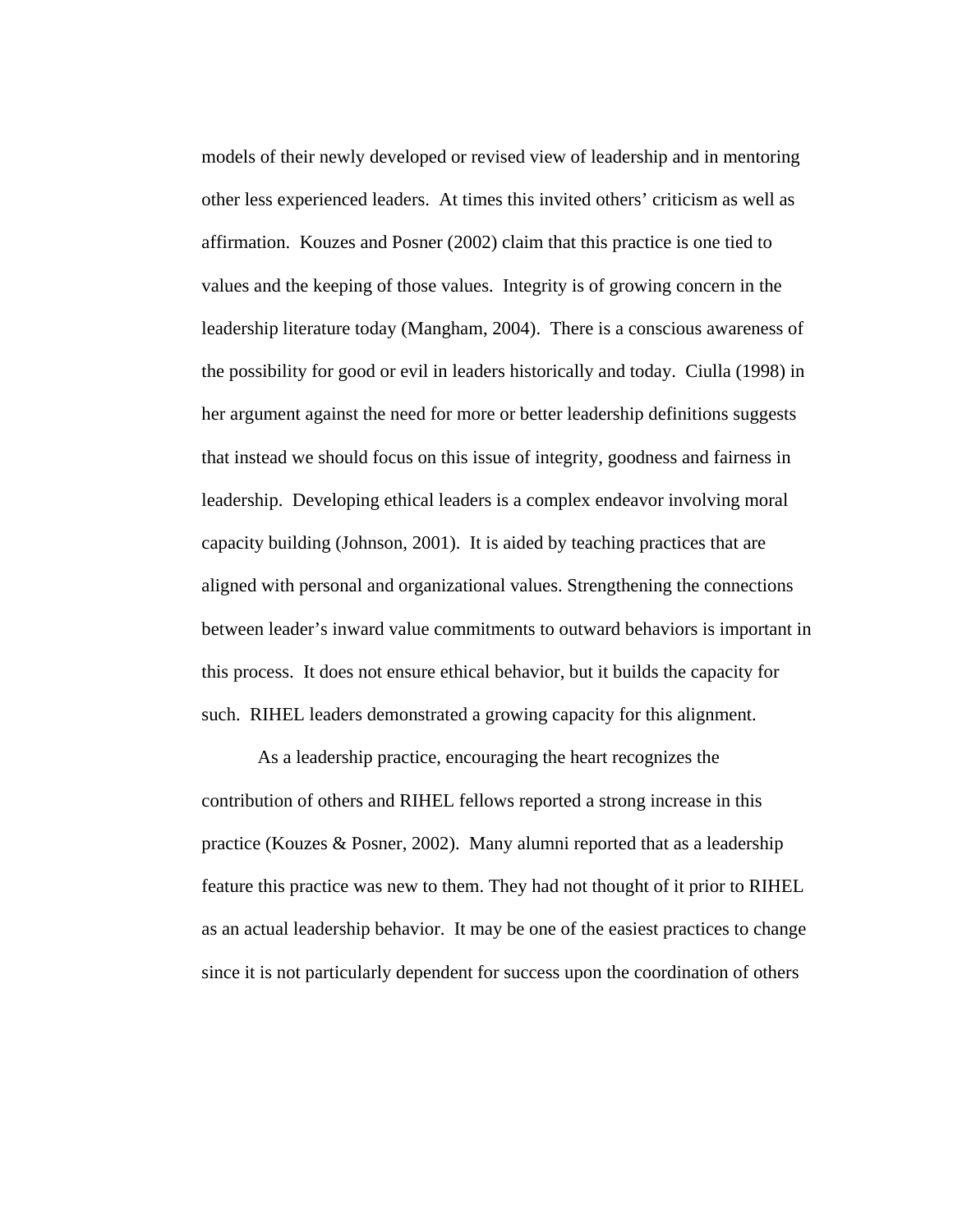models of their newly developed or revised view of leadership and in mentoring other less experienced leaders. At times this invited others' criticism as well as affirmation. Kouzes and Posner (2002) claim that this practice is one tied to values and the keeping of those values. Integrity is of growing concern in the leadership literature today (Mangham, 2004). There is a conscious awareness of the possibility for good or evil in leaders historically and today. Ciulla (1998) in her argument against the need for more or better leadership definitions suggests that instead we should focus on this issue of integrity, goodness and fairness in leadership. Developing ethical leaders is a complex endeavor involving moral capacity building (Johnson, 2001). It is aided by teaching practices that are aligned with personal and organizational values. Strengthening the connections between leader's inward value commitments to outward behaviors is important in this process. It does not ensure ethical behavior, but it builds the capacity for such. RIHEL leaders demonstrated a growing capacity for this alignment.

As a leadership practice, encouraging the heart recognizes the contribution of others and RIHEL fellows reported a strong increase in this practice (Kouzes & Posner, 2002). Many alumni reported that as a leadership feature this practice was new to them. They had not thought of it prior to RIHEL as an actual leadership behavior. It may be one of the easiest practices to change since it is not particularly dependent for success upon the coordination of others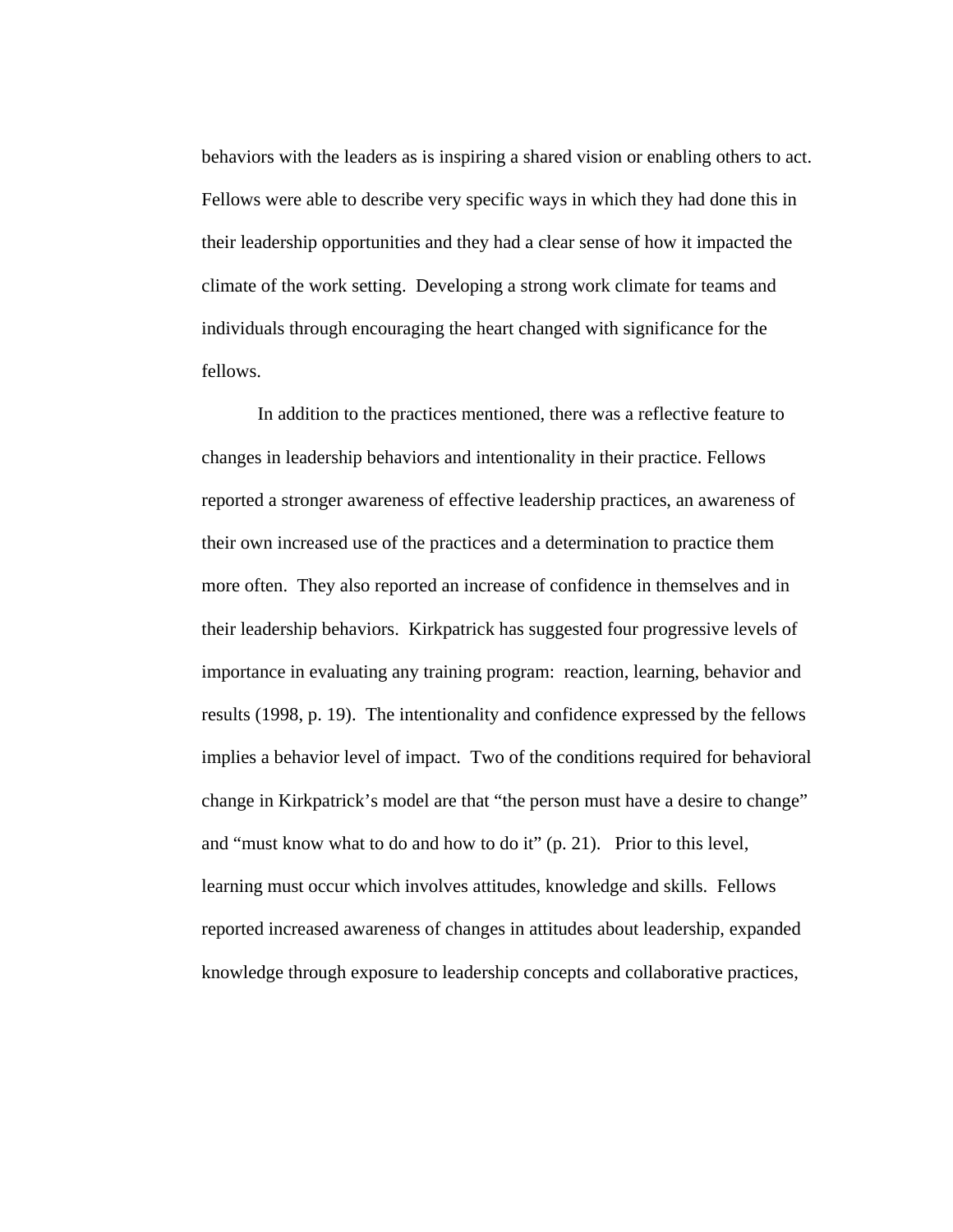behaviors with the leaders as is inspiring a shared vision or enabling others to act. Fellows were able to describe very specific ways in which they had done this in their leadership opportunities and they had a clear sense of how it impacted the climate of the work setting. Developing a strong work climate for teams and individuals through encouraging the heart changed with significance for the fellows.

In addition to the practices mentioned, there was a reflective feature to changes in leadership behaviors and intentionality in their practice. Fellows reported a stronger awareness of effective leadership practices, an awareness of their own increased use of the practices and a determination to practice them more often. They also reported an increase of confidence in themselves and in their leadership behaviors. Kirkpatrick has suggested four progressive levels of importance in evaluating any training program: reaction, learning, behavior and results (1998, p. 19). The intentionality and confidence expressed by the fellows implies a behavior level of impact. Two of the conditions required for behavioral change in Kirkpatrick's model are that "the person must have a desire to change" and "must know what to do and how to do it" (p. 21). Prior to this level, learning must occur which involves attitudes, knowledge and skills. Fellows reported increased awareness of changes in attitudes about leadership, expanded knowledge through exposure to leadership concepts and collaborative practices,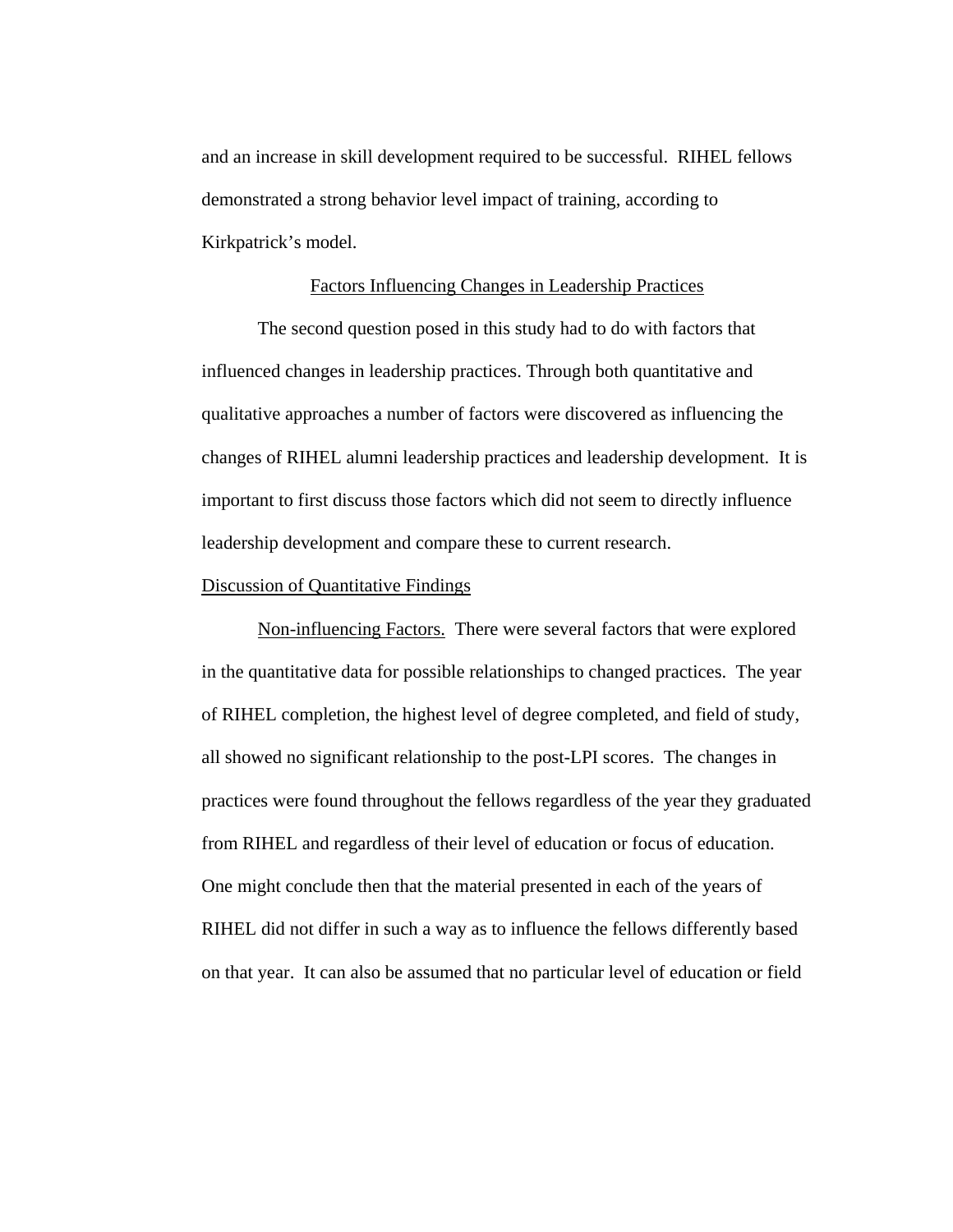and an increase in skill development required to be successful. RIHEL fellows demonstrated a strong behavior level impact of training, according to Kirkpatrick's model.

# Factors Influencing Changes in Leadership Practices

The second question posed in this study had to do with factors that influenced changes in leadership practices. Through both quantitative and qualitative approaches a number of factors were discovered as influencing the changes of RIHEL alumni leadership practices and leadership development. It is important to first discuss those factors which did not seem to directly influence leadership development and compare these to current research.

## Discussion of Quantitative Findings

Non-influencing Factors. There were several factors that were explored in the quantitative data for possible relationships to changed practices. The year of RIHEL completion, the highest level of degree completed, and field of study, all showed no significant relationship to the post-LPI scores. The changes in practices were found throughout the fellows regardless of the year they graduated from RIHEL and regardless of their level of education or focus of education. One might conclude then that the material presented in each of the years of RIHEL did not differ in such a way as to influence the fellows differently based on that year. It can also be assumed that no particular level of education or field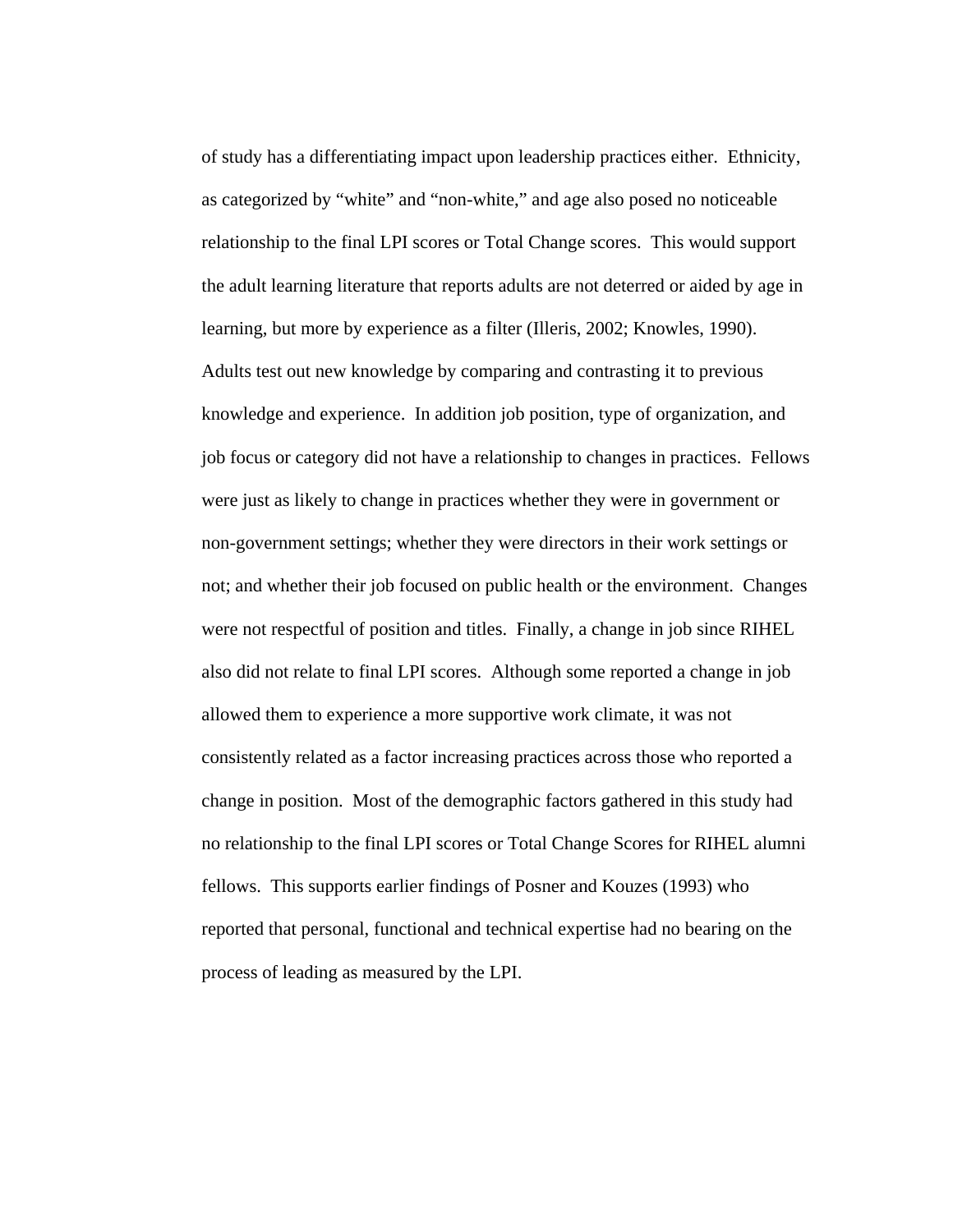of study has a differentiating impact upon leadership practices either. Ethnicity, as categorized by "white" and "non-white," and age also posed no noticeable relationship to the final LPI scores or Total Change scores. This would support the adult learning literature that reports adults are not deterred or aided by age in learning, but more by experience as a filter (Illeris, 2002; Knowles, 1990). Adults test out new knowledge by comparing and contrasting it to previous knowledge and experience. In addition job position, type of organization, and job focus or category did not have a relationship to changes in practices. Fellows were just as likely to change in practices whether they were in government or non-government settings; whether they were directors in their work settings or not; and whether their job focused on public health or the environment. Changes were not respectful of position and titles. Finally, a change in job since RIHEL also did not relate to final LPI scores. Although some reported a change in job allowed them to experience a more supportive work climate, it was not consistently related as a factor increasing practices across those who reported a change in position. Most of the demographic factors gathered in this study had no relationship to the final LPI scores or Total Change Scores for RIHEL alumni fellows. This supports earlier findings of Posner and Kouzes (1993) who reported that personal, functional and technical expertise had no bearing on the process of leading as measured by the LPI.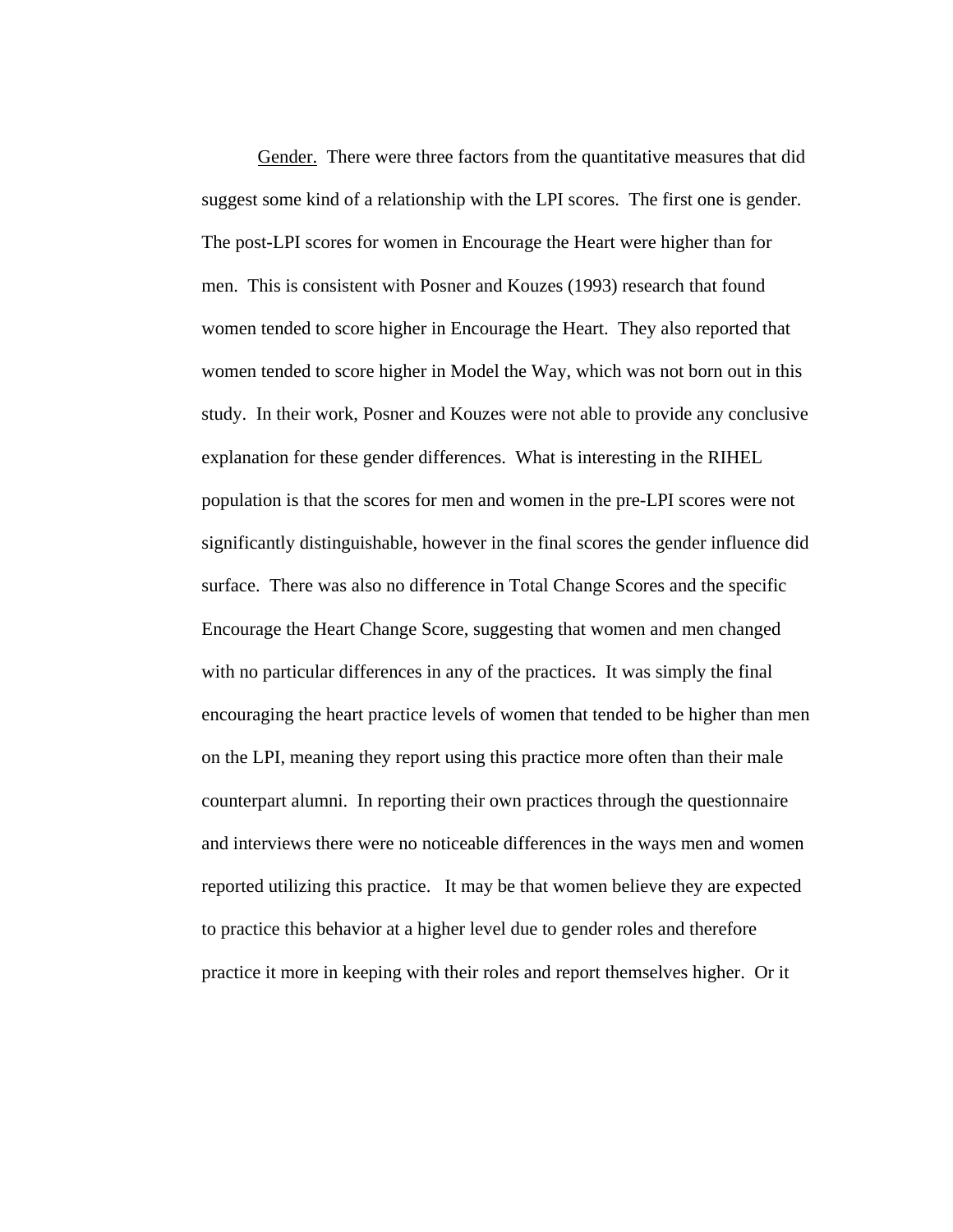Gender. There were three factors from the quantitative measures that did suggest some kind of a relationship with the LPI scores. The first one is gender. The post-LPI scores for women in Encourage the Heart were higher than for men. This is consistent with Posner and Kouzes (1993) research that found women tended to score higher in Encourage the Heart. They also reported that women tended to score higher in Model the Way, which was not born out in this study. In their work, Posner and Kouzes were not able to provide any conclusive explanation for these gender differences. What is interesting in the RIHEL population is that the scores for men and women in the pre-LPI scores were not significantly distinguishable, however in the final scores the gender influence did surface. There was also no difference in Total Change Scores and the specific Encourage the Heart Change Score, suggesting that women and men changed with no particular differences in any of the practices. It was simply the final encouraging the heart practice levels of women that tended to be higher than men on the LPI, meaning they report using this practice more often than their male counterpart alumni. In reporting their own practices through the questionnaire and interviews there were no noticeable differences in the ways men and women reported utilizing this practice. It may be that women believe they are expected to practice this behavior at a higher level due to gender roles and therefore practice it more in keeping with their roles and report themselves higher. Or it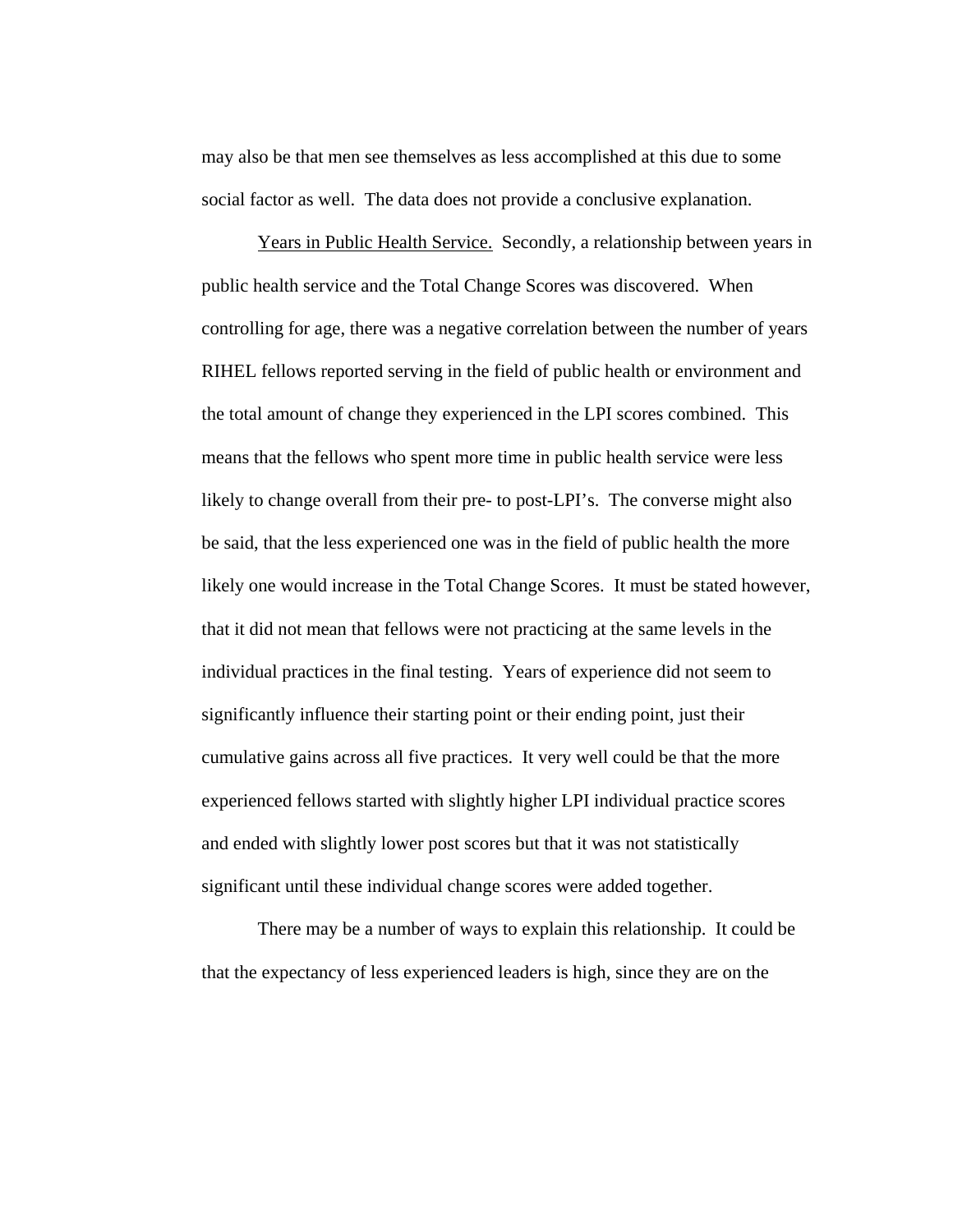may also be that men see themselves as less accomplished at this due to some social factor as well. The data does not provide a conclusive explanation.

 Years in Public Health Service. Secondly, a relationship between years in public health service and the Total Change Scores was discovered. When controlling for age, there was a negative correlation between the number of years RIHEL fellows reported serving in the field of public health or environment and the total amount of change they experienced in the LPI scores combined. This means that the fellows who spent more time in public health service were less likely to change overall from their pre- to post-LPI's. The converse might also be said, that the less experienced one was in the field of public health the more likely one would increase in the Total Change Scores. It must be stated however, that it did not mean that fellows were not practicing at the same levels in the individual practices in the final testing. Years of experience did not seem to significantly influence their starting point or their ending point, just their cumulative gains across all five practices. It very well could be that the more experienced fellows started with slightly higher LPI individual practice scores and ended with slightly lower post scores but that it was not statistically significant until these individual change scores were added together.

 There may be a number of ways to explain this relationship. It could be that the expectancy of less experienced leaders is high, since they are on the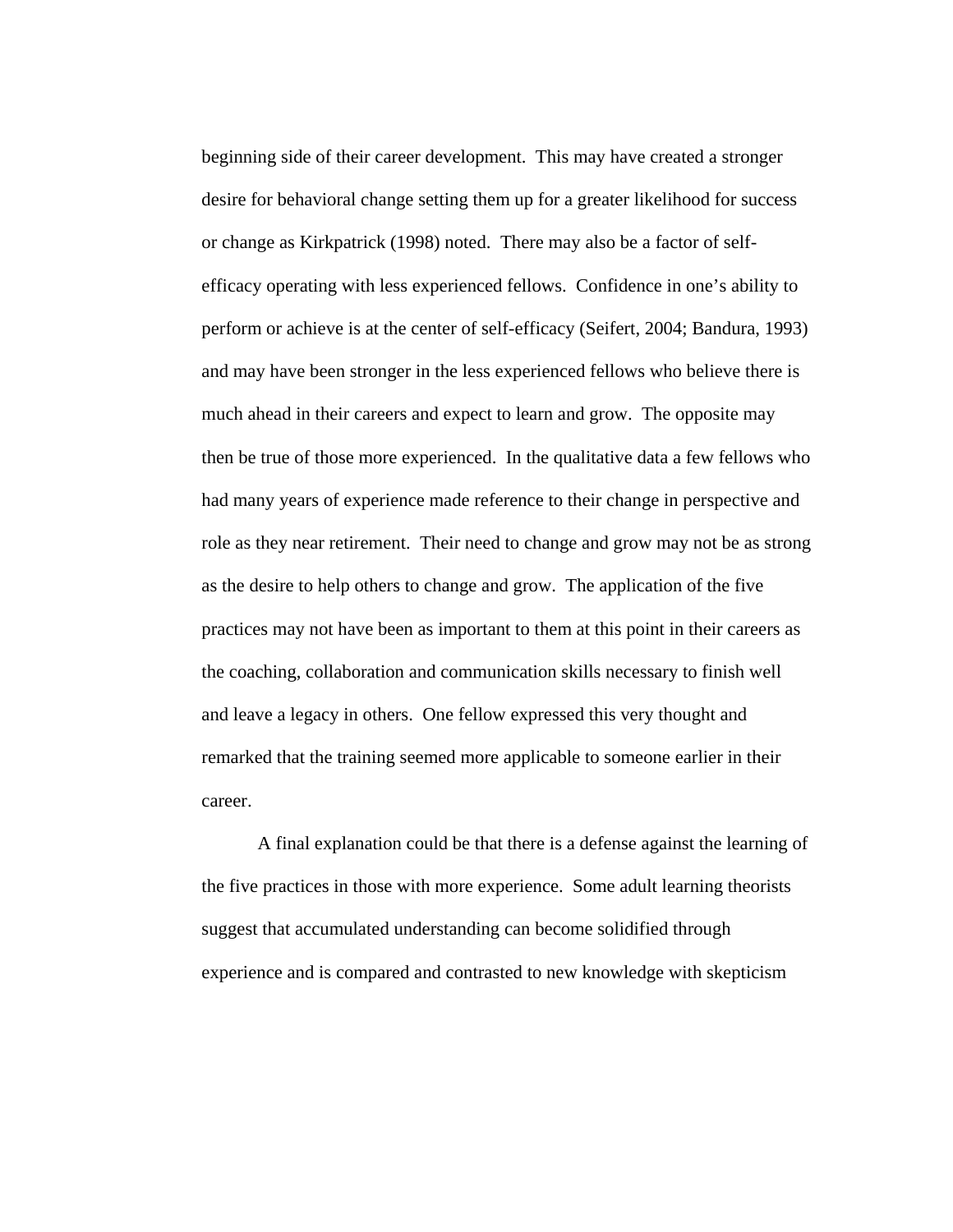beginning side of their career development. This may have created a stronger desire for behavioral change setting them up for a greater likelihood for success or change as Kirkpatrick (1998) noted. There may also be a factor of selfefficacy operating with less experienced fellows. Confidence in one's ability to perform or achieve is at the center of self-efficacy (Seifert, 2004; Bandura, 1993) and may have been stronger in the less experienced fellows who believe there is much ahead in their careers and expect to learn and grow. The opposite may then be true of those more experienced. In the qualitative data a few fellows who had many years of experience made reference to their change in perspective and role as they near retirement. Their need to change and grow may not be as strong as the desire to help others to change and grow. The application of the five practices may not have been as important to them at this point in their careers as the coaching, collaboration and communication skills necessary to finish well and leave a legacy in others. One fellow expressed this very thought and remarked that the training seemed more applicable to someone earlier in their career.

 A final explanation could be that there is a defense against the learning of the five practices in those with more experience. Some adult learning theorists suggest that accumulated understanding can become solidified through experience and is compared and contrasted to new knowledge with skepticism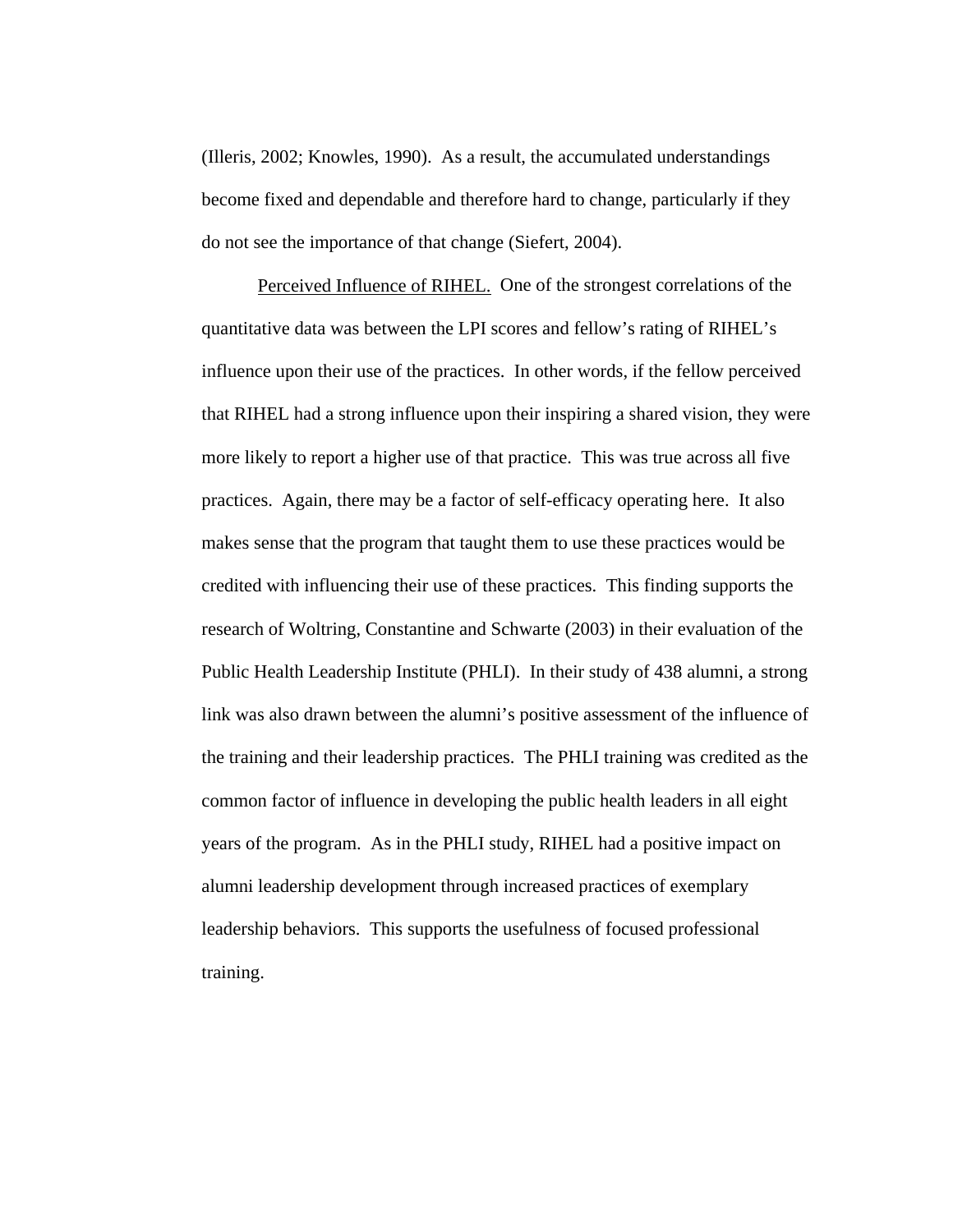(Illeris, 2002; Knowles, 1990). As a result, the accumulated understandings become fixed and dependable and therefore hard to change, particularly if they do not see the importance of that change (Siefert, 2004).

 Perceived Influence of RIHEL. One of the strongest correlations of the quantitative data was between the LPI scores and fellow's rating of RIHEL's influence upon their use of the practices. In other words, if the fellow perceived that RIHEL had a strong influence upon their inspiring a shared vision, they were more likely to report a higher use of that practice. This was true across all five practices. Again, there may be a factor of self-efficacy operating here. It also makes sense that the program that taught them to use these practices would be credited with influencing their use of these practices. This finding supports the research of Woltring, Constantine and Schwarte (2003) in their evaluation of the Public Health Leadership Institute (PHLI). In their study of 438 alumni, a strong link was also drawn between the alumni's positive assessment of the influence of the training and their leadership practices. The PHLI training was credited as the common factor of influence in developing the public health leaders in all eight years of the program. As in the PHLI study, RIHEL had a positive impact on alumni leadership development through increased practices of exemplary leadership behaviors. This supports the usefulness of focused professional training.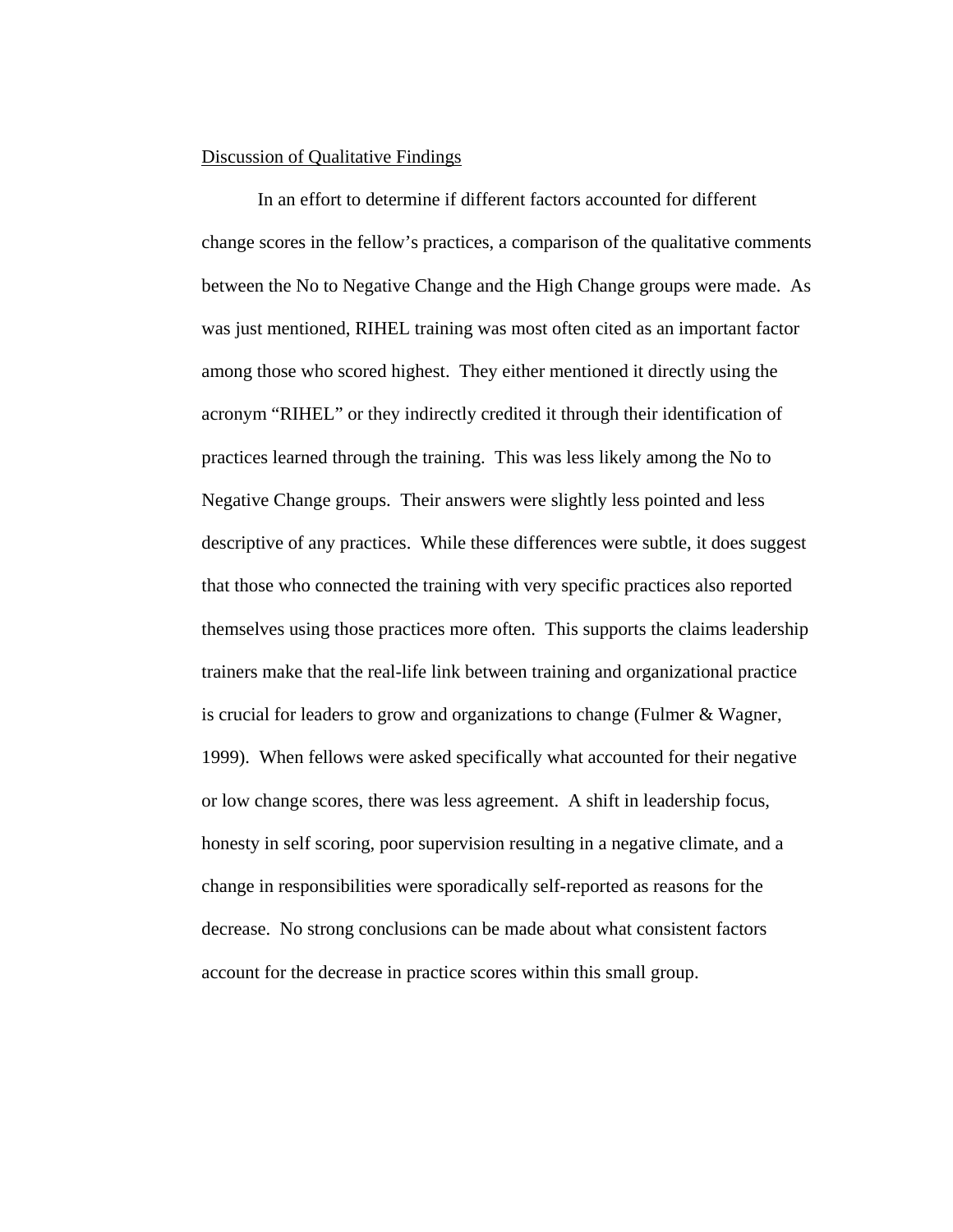## Discussion of Qualitative Findings

 In an effort to determine if different factors accounted for different change scores in the fellow's practices, a comparison of the qualitative comments between the No to Negative Change and the High Change groups were made. As was just mentioned, RIHEL training was most often cited as an important factor among those who scored highest. They either mentioned it directly using the acronym "RIHEL" or they indirectly credited it through their identification of practices learned through the training. This was less likely among the No to Negative Change groups. Their answers were slightly less pointed and less descriptive of any practices. While these differences were subtle, it does suggest that those who connected the training with very specific practices also reported themselves using those practices more often. This supports the claims leadership trainers make that the real-life link between training and organizational practice is crucial for leaders to grow and organizations to change (Fulmer & Wagner, 1999). When fellows were asked specifically what accounted for their negative or low change scores, there was less agreement. A shift in leadership focus, honesty in self scoring, poor supervision resulting in a negative climate, and a change in responsibilities were sporadically self-reported as reasons for the decrease. No strong conclusions can be made about what consistent factors account for the decrease in practice scores within this small group.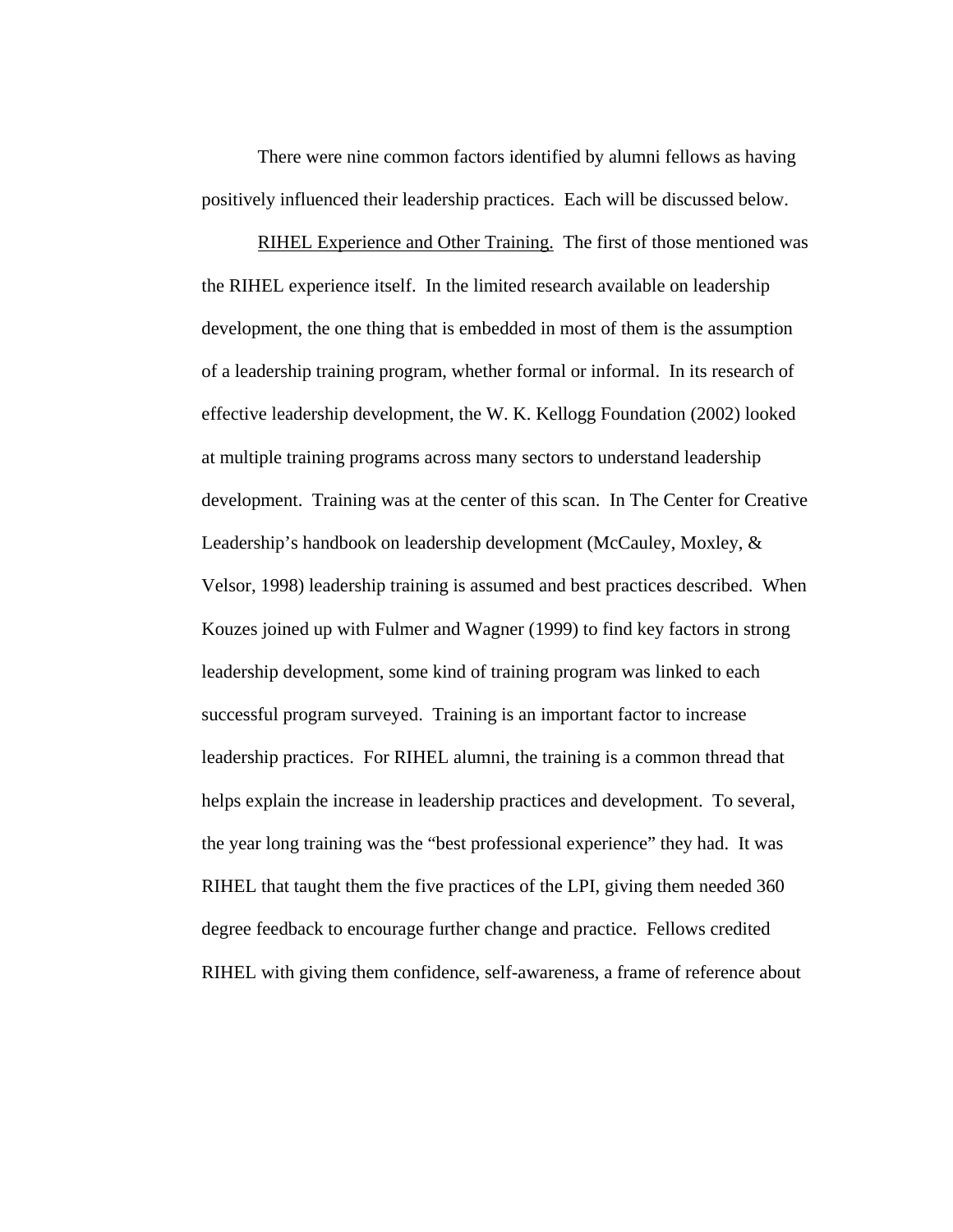There were nine common factors identified by alumni fellows as having positively influenced their leadership practices. Each will be discussed below.

RIHEL Experience and Other Training. The first of those mentioned was the RIHEL experience itself. In the limited research available on leadership development, the one thing that is embedded in most of them is the assumption of a leadership training program, whether formal or informal. In its research of effective leadership development, the W. K. Kellogg Foundation (2002) looked at multiple training programs across many sectors to understand leadership development. Training was at the center of this scan. In The Center for Creative Leadership's handbook on leadership development (McCauley, Moxley, & Velsor, 1998) leadership training is assumed and best practices described. When Kouzes joined up with Fulmer and Wagner (1999) to find key factors in strong leadership development, some kind of training program was linked to each successful program surveyed. Training is an important factor to increase leadership practices. For RIHEL alumni, the training is a common thread that helps explain the increase in leadership practices and development. To several, the year long training was the "best professional experience" they had. It was RIHEL that taught them the five practices of the LPI, giving them needed 360 degree feedback to encourage further change and practice. Fellows credited RIHEL with giving them confidence, self-awareness, a frame of reference about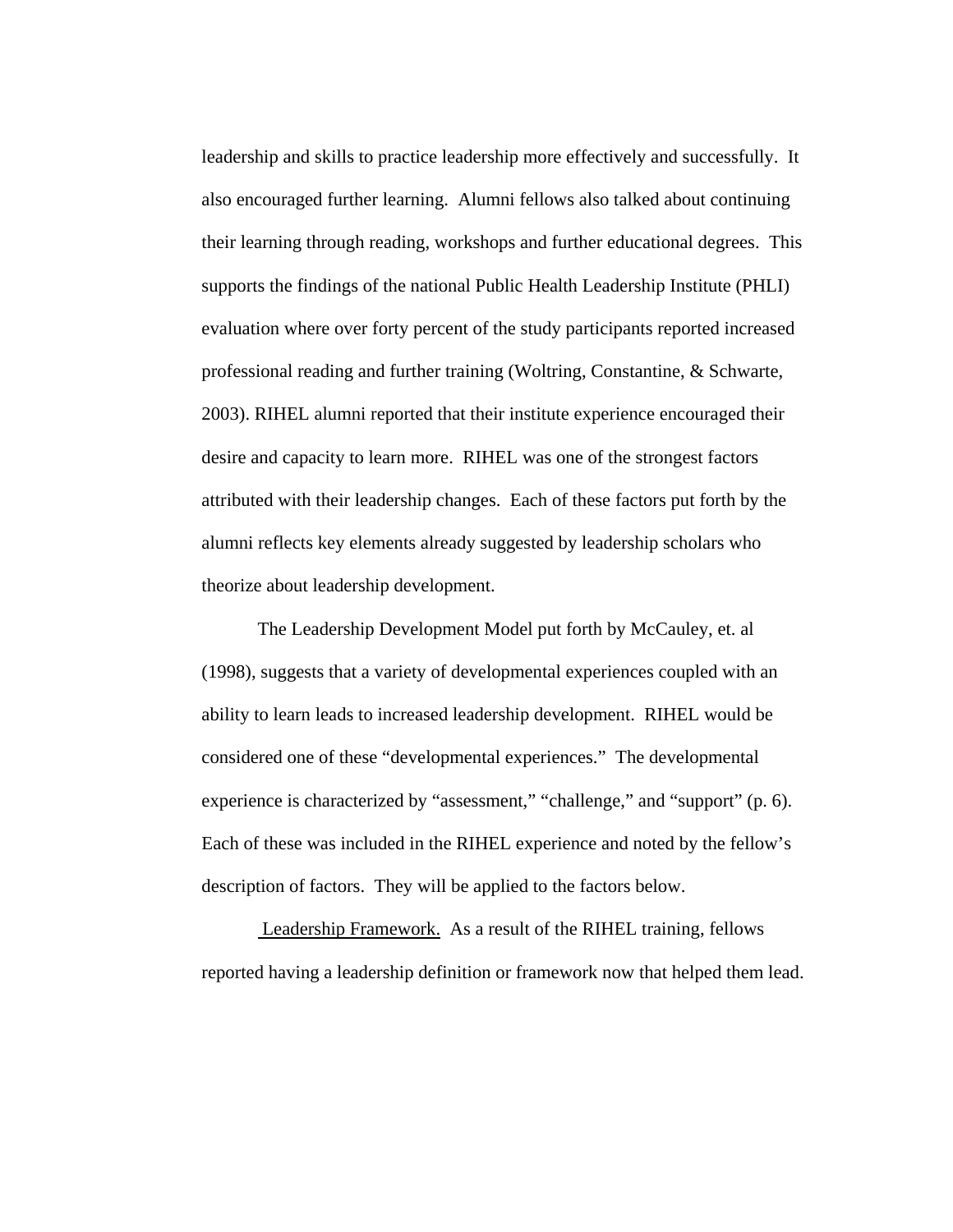leadership and skills to practice leadership more effectively and successfully. It also encouraged further learning. Alumni fellows also talked about continuing their learning through reading, workshops and further educational degrees. This supports the findings of the national Public Health Leadership Institute (PHLI) evaluation where over forty percent of the study participants reported increased professional reading and further training (Woltring, Constantine, & Schwarte, 2003). RIHEL alumni reported that their institute experience encouraged their desire and capacity to learn more. RIHEL was one of the strongest factors attributed with their leadership changes. Each of these factors put forth by the alumni reflects key elements already suggested by leadership scholars who theorize about leadership development.

The Leadership Development Model put forth by McCauley, et. al (1998), suggests that a variety of developmental experiences coupled with an ability to learn leads to increased leadership development. RIHEL would be considered one of these "developmental experiences." The developmental experience is characterized by "assessment," "challenge," and "support" (p. 6). Each of these was included in the RIHEL experience and noted by the fellow's description of factors. They will be applied to the factors below.

 Leadership Framework. As a result of the RIHEL training, fellows reported having a leadership definition or framework now that helped them lead.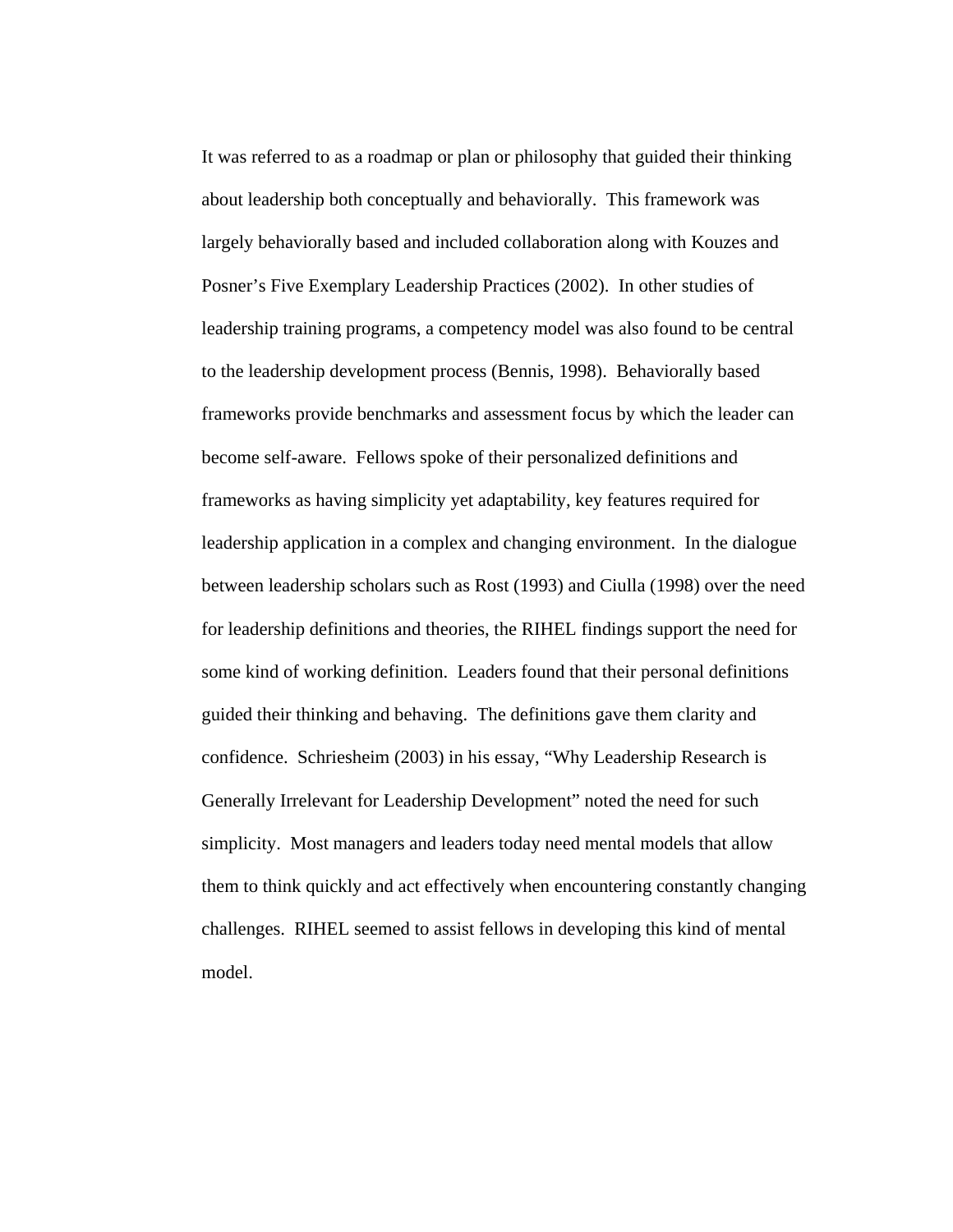It was referred to as a roadmap or plan or philosophy that guided their thinking about leadership both conceptually and behaviorally. This framework was largely behaviorally based and included collaboration along with Kouzes and Posner's Five Exemplary Leadership Practices (2002). In other studies of leadership training programs, a competency model was also found to be central to the leadership development process (Bennis, 1998). Behaviorally based frameworks provide benchmarks and assessment focus by which the leader can become self-aware. Fellows spoke of their personalized definitions and frameworks as having simplicity yet adaptability, key features required for leadership application in a complex and changing environment. In the dialogue between leadership scholars such as Rost (1993) and Ciulla (1998) over the need for leadership definitions and theories, the RIHEL findings support the need for some kind of working definition. Leaders found that their personal definitions guided their thinking and behaving. The definitions gave them clarity and confidence. Schriesheim (2003) in his essay, "Why Leadership Research is Generally Irrelevant for Leadership Development" noted the need for such simplicity. Most managers and leaders today need mental models that allow them to think quickly and act effectively when encountering constantly changing challenges. RIHEL seemed to assist fellows in developing this kind of mental model.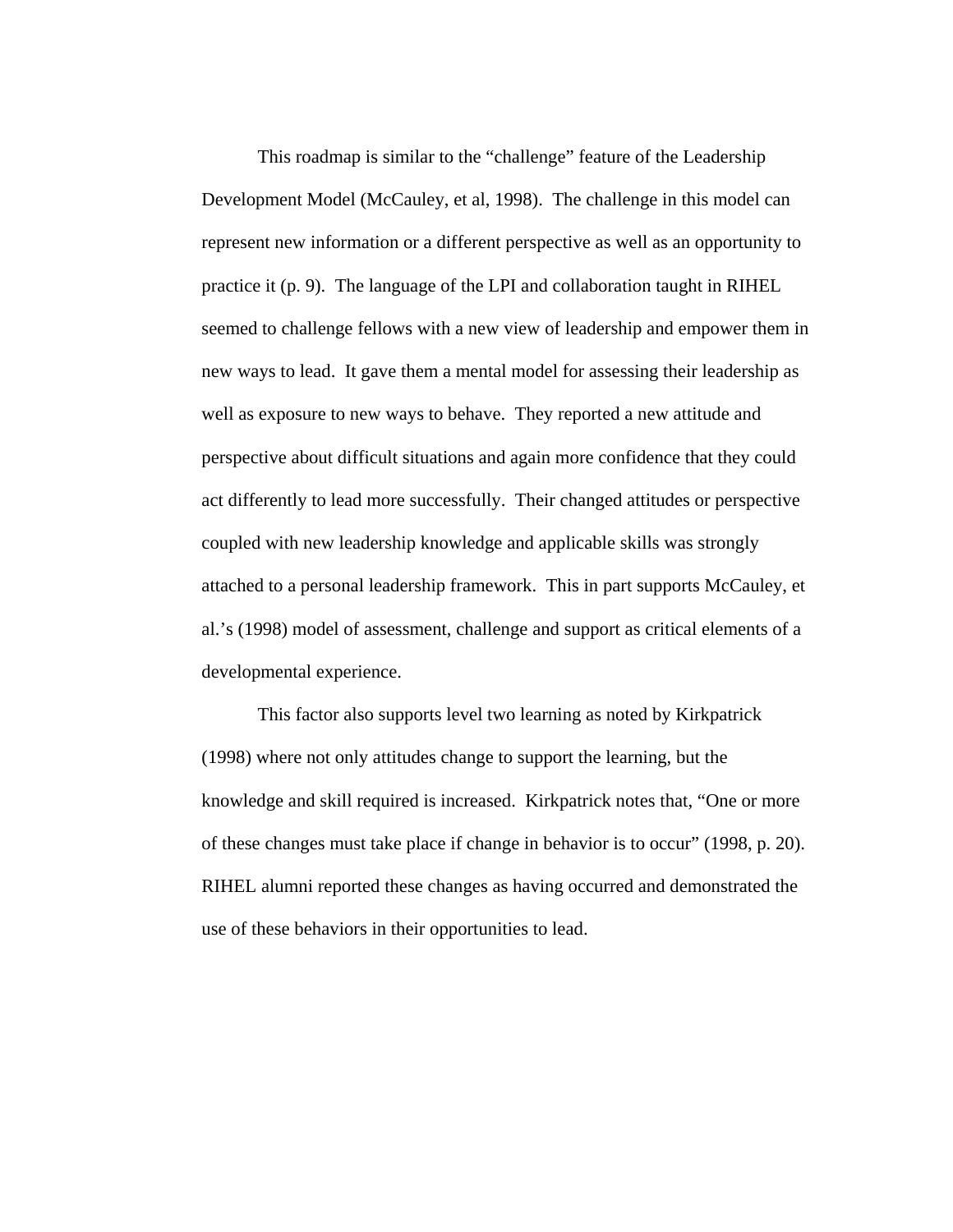This roadmap is similar to the "challenge" feature of the Leadership Development Model (McCauley, et al, 1998). The challenge in this model can represent new information or a different perspective as well as an opportunity to practice it (p. 9). The language of the LPI and collaboration taught in RIHEL seemed to challenge fellows with a new view of leadership and empower them in new ways to lead. It gave them a mental model for assessing their leadership as well as exposure to new ways to behave. They reported a new attitude and perspective about difficult situations and again more confidence that they could act differently to lead more successfully. Their changed attitudes or perspective coupled with new leadership knowledge and applicable skills was strongly attached to a personal leadership framework. This in part supports McCauley, et al.'s (1998) model of assessment, challenge and support as critical elements of a developmental experience.

This factor also supports level two learning as noted by Kirkpatrick (1998) where not only attitudes change to support the learning, but the knowledge and skill required is increased. Kirkpatrick notes that, "One or more of these changes must take place if change in behavior is to occur" (1998, p. 20). RIHEL alumni reported these changes as having occurred and demonstrated the use of these behaviors in their opportunities to lead.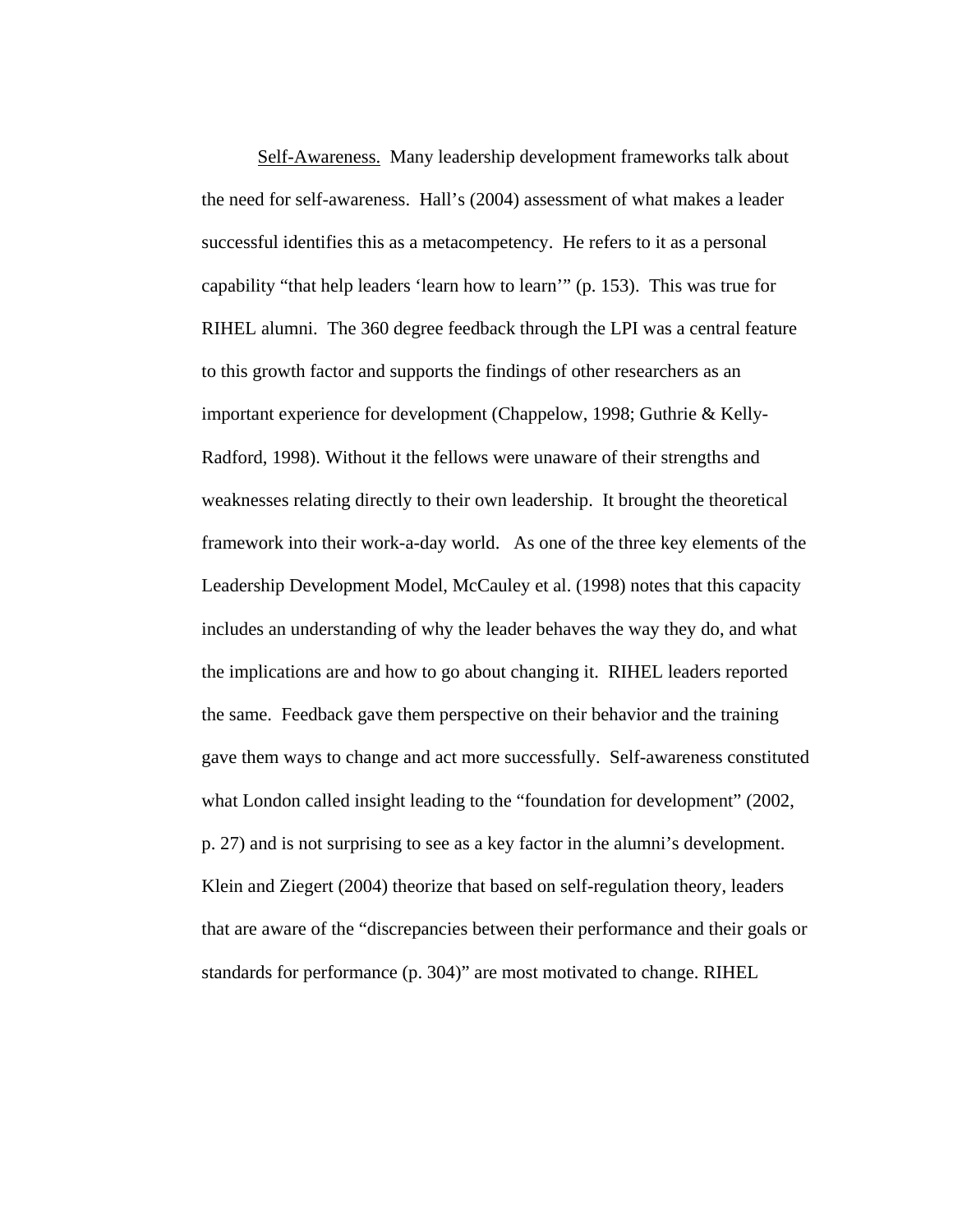Self-Awareness. Many leadership development frameworks talk about the need for self-awareness. Hall's (2004) assessment of what makes a leader successful identifies this as a metacompetency. He refers to it as a personal capability "that help leaders 'learn how to learn'" (p. 153). This was true for RIHEL alumni. The 360 degree feedback through the LPI was a central feature to this growth factor and supports the findings of other researchers as an important experience for development (Chappelow, 1998; Guthrie & Kelly-Radford, 1998). Without it the fellows were unaware of their strengths and weaknesses relating directly to their own leadership. It brought the theoretical framework into their work-a-day world. As one of the three key elements of the Leadership Development Model, McCauley et al. (1998) notes that this capacity includes an understanding of why the leader behaves the way they do, and what the implications are and how to go about changing it. RIHEL leaders reported the same. Feedback gave them perspective on their behavior and the training gave them ways to change and act more successfully. Self-awareness constituted what London called insight leading to the "foundation for development" (2002, p. 27) and is not surprising to see as a key factor in the alumni's development. Klein and Ziegert (2004) theorize that based on self-regulation theory, leaders that are aware of the "discrepancies between their performance and their goals or standards for performance (p. 304)" are most motivated to change. RIHEL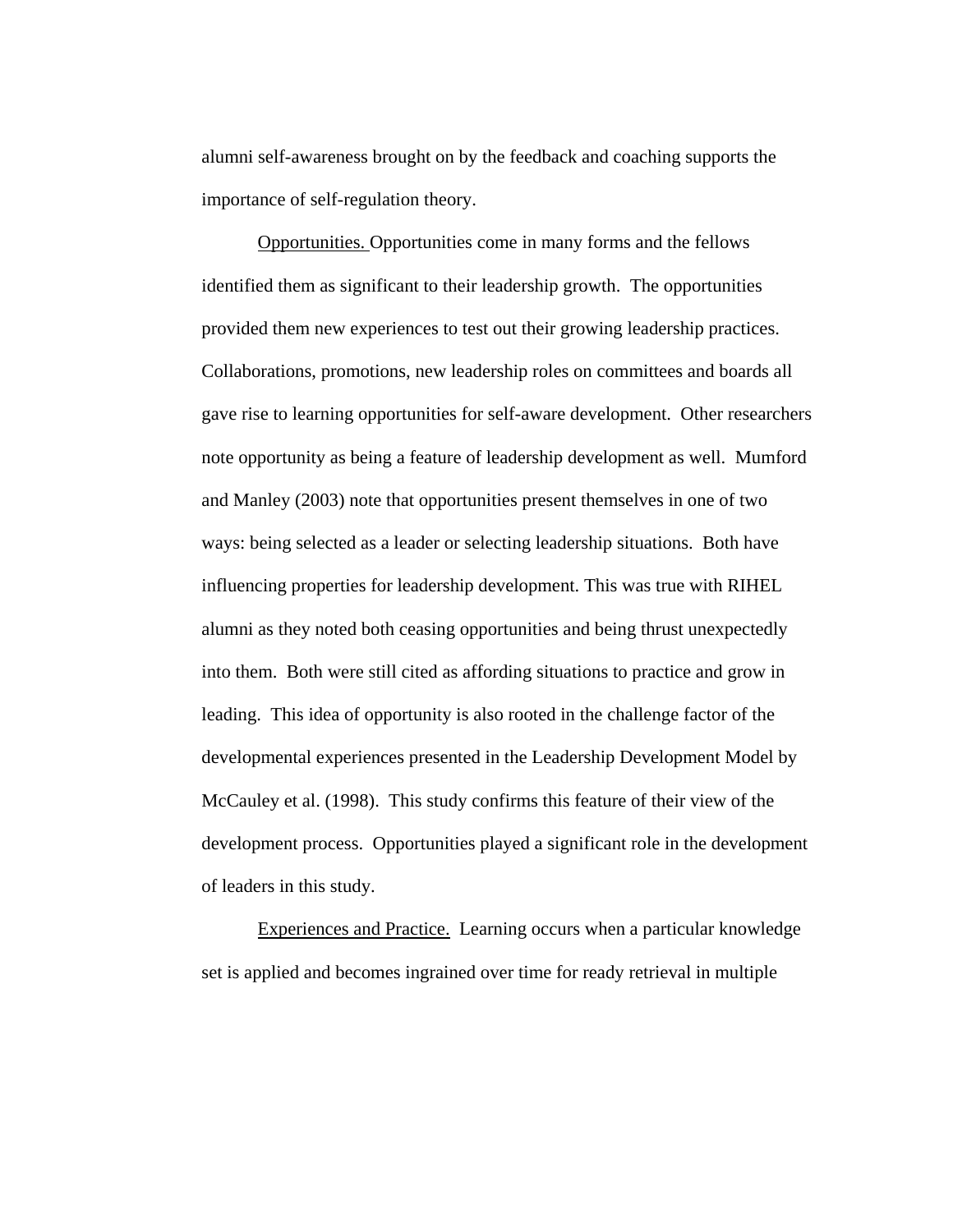alumni self-awareness brought on by the feedback and coaching supports the importance of self-regulation theory.

Opportunities. Opportunities come in many forms and the fellows identified them as significant to their leadership growth. The opportunities provided them new experiences to test out their growing leadership practices. Collaborations, promotions, new leadership roles on committees and boards all gave rise to learning opportunities for self-aware development. Other researchers note opportunity as being a feature of leadership development as well. Mumford and Manley (2003) note that opportunities present themselves in one of two ways: being selected as a leader or selecting leadership situations. Both have influencing properties for leadership development. This was true with RIHEL alumni as they noted both ceasing opportunities and being thrust unexpectedly into them. Both were still cited as affording situations to practice and grow in leading. This idea of opportunity is also rooted in the challenge factor of the developmental experiences presented in the Leadership Development Model by McCauley et al. (1998). This study confirms this feature of their view of the development process. Opportunities played a significant role in the development of leaders in this study.

Experiences and Practice. Learning occurs when a particular knowledge set is applied and becomes ingrained over time for ready retrieval in multiple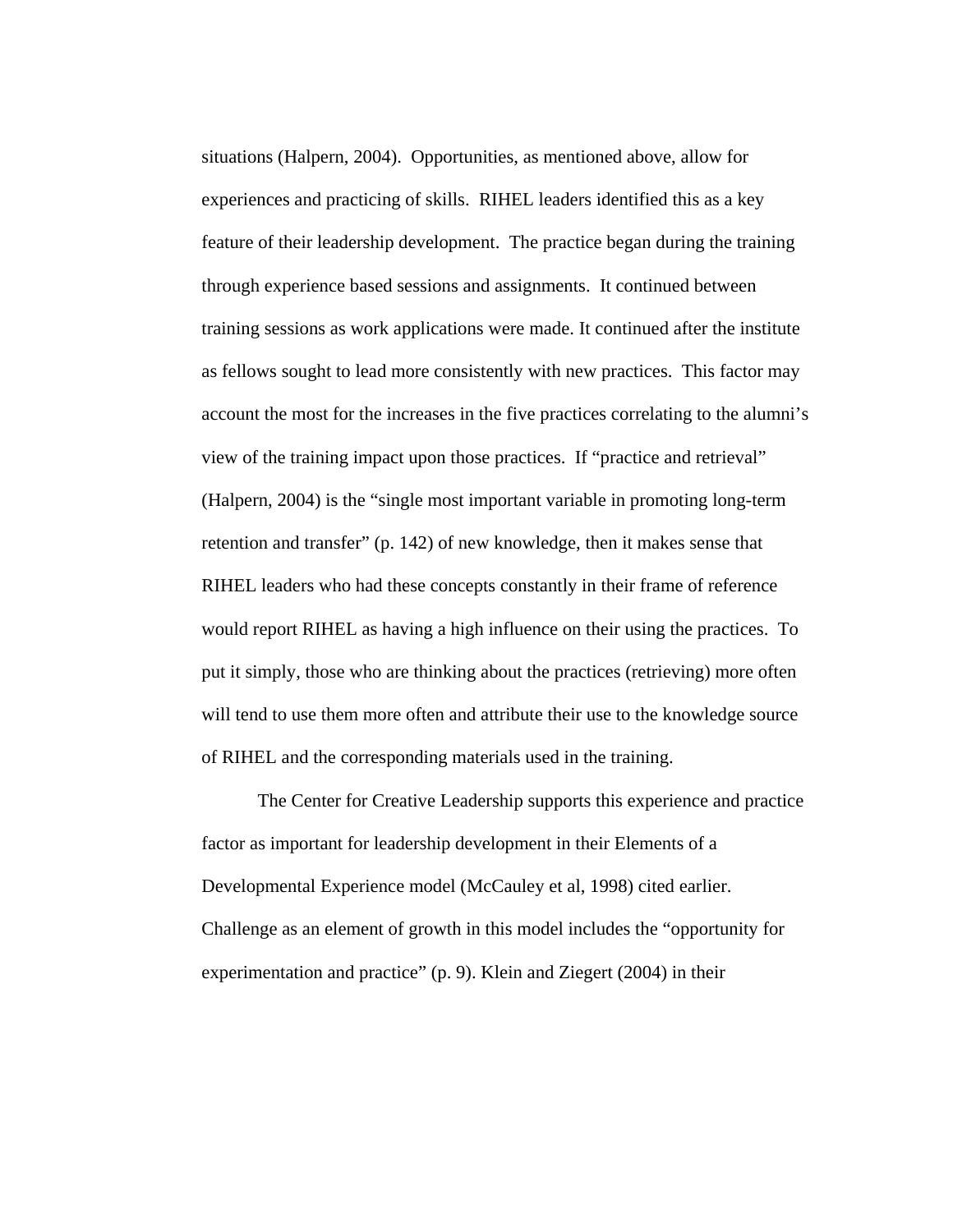situations (Halpern, 2004). Opportunities, as mentioned above, allow for experiences and practicing of skills. RIHEL leaders identified this as a key feature of their leadership development. The practice began during the training through experience based sessions and assignments. It continued between training sessions as work applications were made. It continued after the institute as fellows sought to lead more consistently with new practices. This factor may account the most for the increases in the five practices correlating to the alumni's view of the training impact upon those practices. If "practice and retrieval" (Halpern, 2004) is the "single most important variable in promoting long-term retention and transfer" (p. 142) of new knowledge, then it makes sense that RIHEL leaders who had these concepts constantly in their frame of reference would report RIHEL as having a high influence on their using the practices. To put it simply, those who are thinking about the practices (retrieving) more often will tend to use them more often and attribute their use to the knowledge source of RIHEL and the corresponding materials used in the training.

The Center for Creative Leadership supports this experience and practice factor as important for leadership development in their Elements of a Developmental Experience model (McCauley et al, 1998) cited earlier. Challenge as an element of growth in this model includes the "opportunity for experimentation and practice" (p. 9). Klein and Ziegert (2004) in their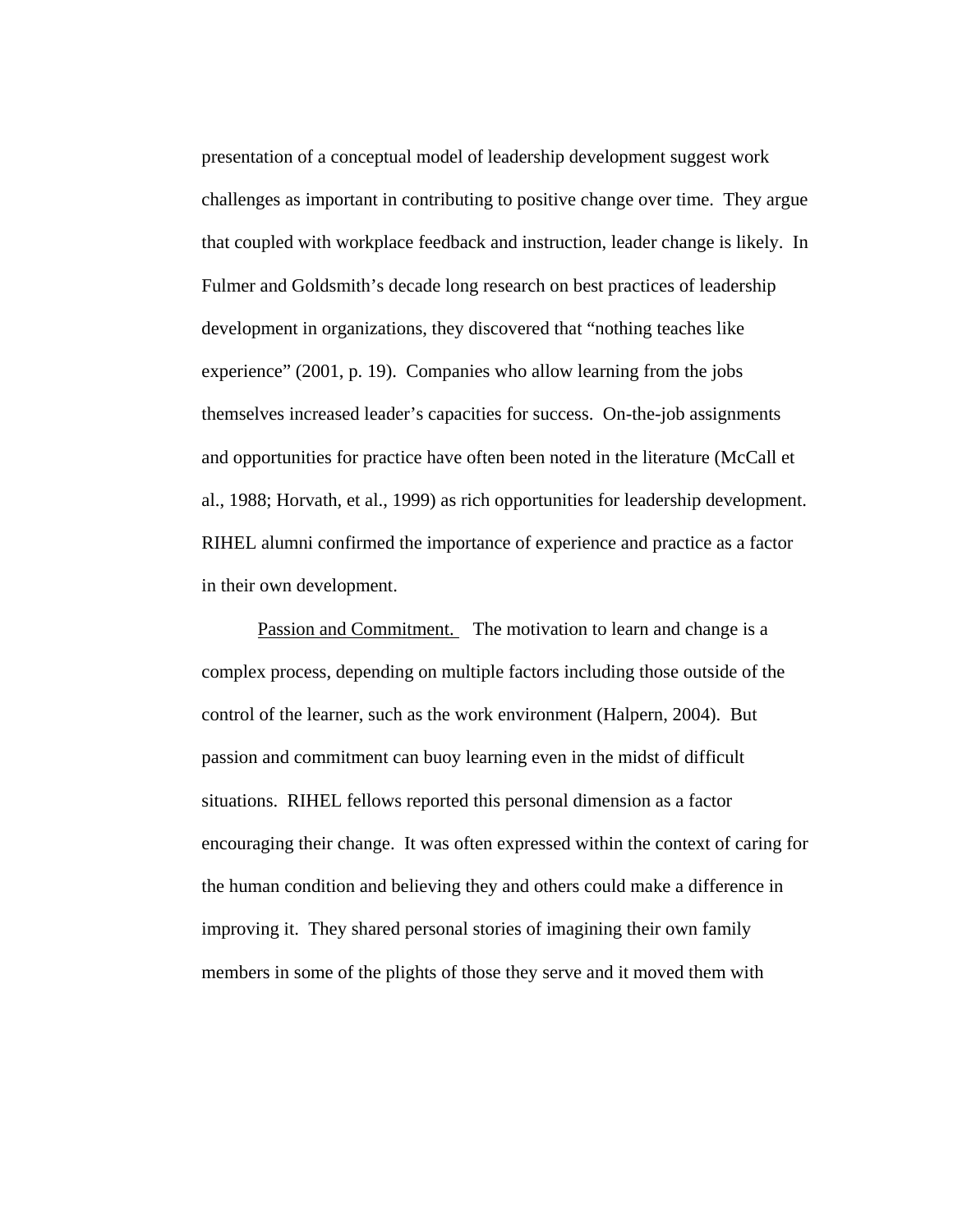presentation of a conceptual model of leadership development suggest work challenges as important in contributing to positive change over time. They argue that coupled with workplace feedback and instruction, leader change is likely. In Fulmer and Goldsmith's decade long research on best practices of leadership development in organizations, they discovered that "nothing teaches like experience" (2001, p. 19). Companies who allow learning from the jobs themselves increased leader's capacities for success. On-the-job assignments and opportunities for practice have often been noted in the literature (McCall et al., 1988; Horvath, et al., 1999) as rich opportunities for leadership development. RIHEL alumni confirmed the importance of experience and practice as a factor in their own development.

Passion and Commitment. The motivation to learn and change is a complex process, depending on multiple factors including those outside of the control of the learner, such as the work environment (Halpern, 2004). But passion and commitment can buoy learning even in the midst of difficult situations. RIHEL fellows reported this personal dimension as a factor encouraging their change. It was often expressed within the context of caring for the human condition and believing they and others could make a difference in improving it. They shared personal stories of imagining their own family members in some of the plights of those they serve and it moved them with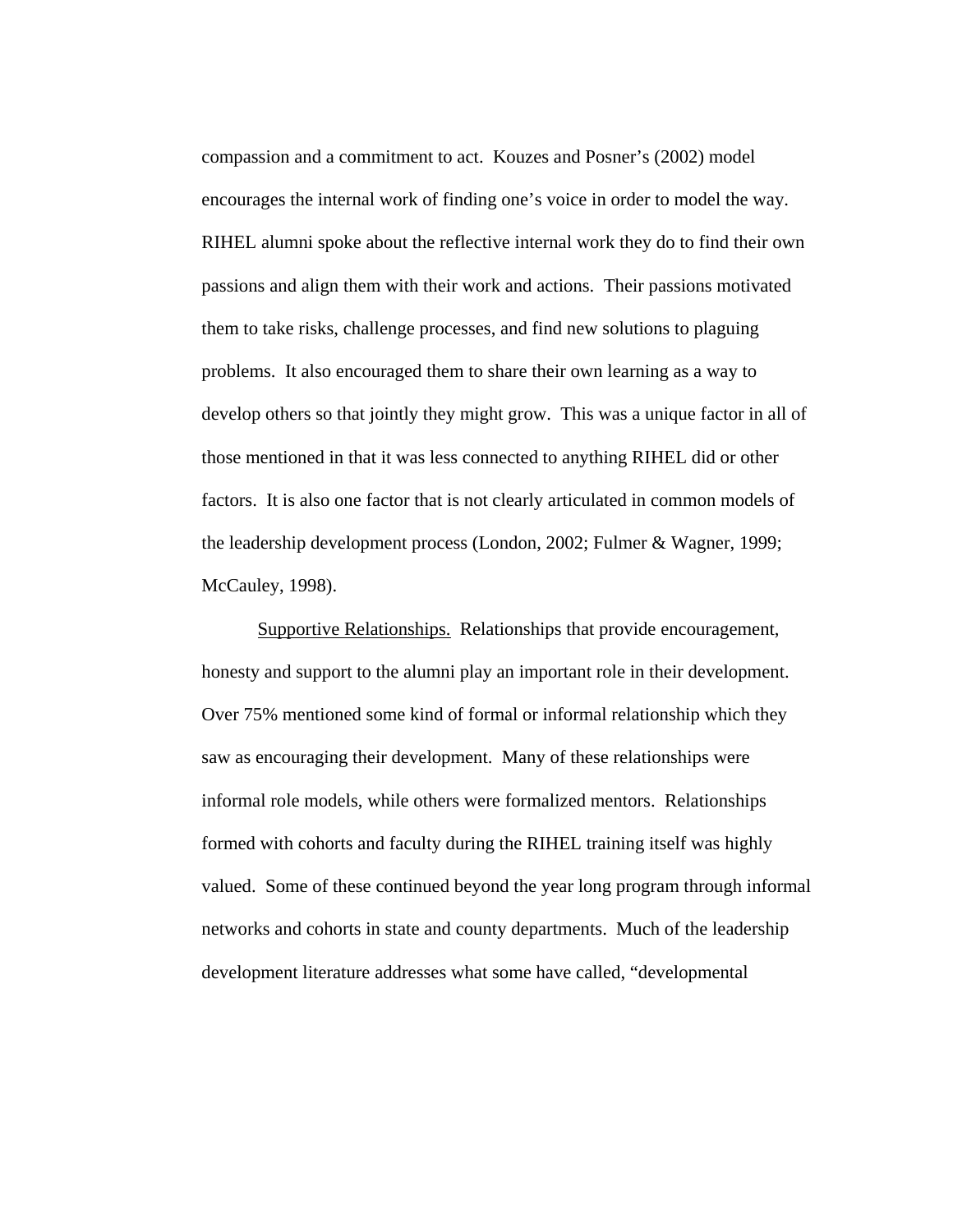compassion and a commitment to act. Kouzes and Posner's (2002) model encourages the internal work of finding one's voice in order to model the way. RIHEL alumni spoke about the reflective internal work they do to find their own passions and align them with their work and actions. Their passions motivated them to take risks, challenge processes, and find new solutions to plaguing problems. It also encouraged them to share their own learning as a way to develop others so that jointly they might grow. This was a unique factor in all of those mentioned in that it was less connected to anything RIHEL did or other factors. It is also one factor that is not clearly articulated in common models of the leadership development process (London, 2002; Fulmer & Wagner, 1999; McCauley, 1998).

 Supportive Relationships. Relationships that provide encouragement, honesty and support to the alumni play an important role in their development. Over 75% mentioned some kind of formal or informal relationship which they saw as encouraging their development. Many of these relationships were informal role models, while others were formalized mentors. Relationships formed with cohorts and faculty during the RIHEL training itself was highly valued. Some of these continued beyond the year long program through informal networks and cohorts in state and county departments. Much of the leadership development literature addresses what some have called, "developmental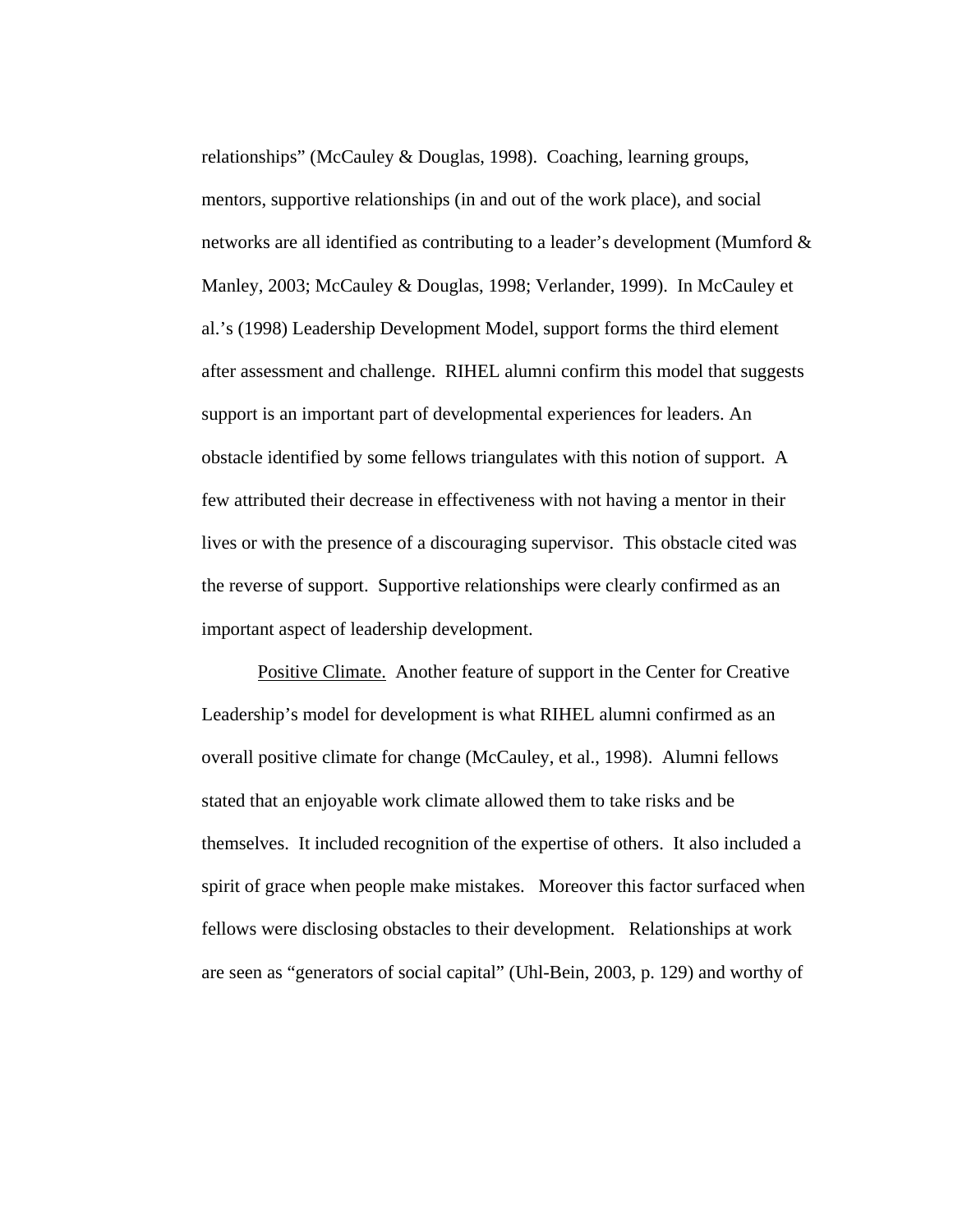relationships" (McCauley & Douglas, 1998). Coaching, learning groups, mentors, supportive relationships (in and out of the work place), and social networks are all identified as contributing to a leader's development (Mumford & Manley, 2003; McCauley & Douglas, 1998; Verlander, 1999). In McCauley et al.'s (1998) Leadership Development Model, support forms the third element after assessment and challenge. RIHEL alumni confirm this model that suggests support is an important part of developmental experiences for leaders. An obstacle identified by some fellows triangulates with this notion of support. A few attributed their decrease in effectiveness with not having a mentor in their lives or with the presence of a discouraging supervisor. This obstacle cited was the reverse of support. Supportive relationships were clearly confirmed as an important aspect of leadership development.

 Positive Climate. Another feature of support in the Center for Creative Leadership's model for development is what RIHEL alumni confirmed as an overall positive climate for change (McCauley, et al., 1998). Alumni fellows stated that an enjoyable work climate allowed them to take risks and be themselves. It included recognition of the expertise of others. It also included a spirit of grace when people make mistakes. Moreover this factor surfaced when fellows were disclosing obstacles to their development. Relationships at work are seen as "generators of social capital" (Uhl-Bein, 2003, p. 129) and worthy of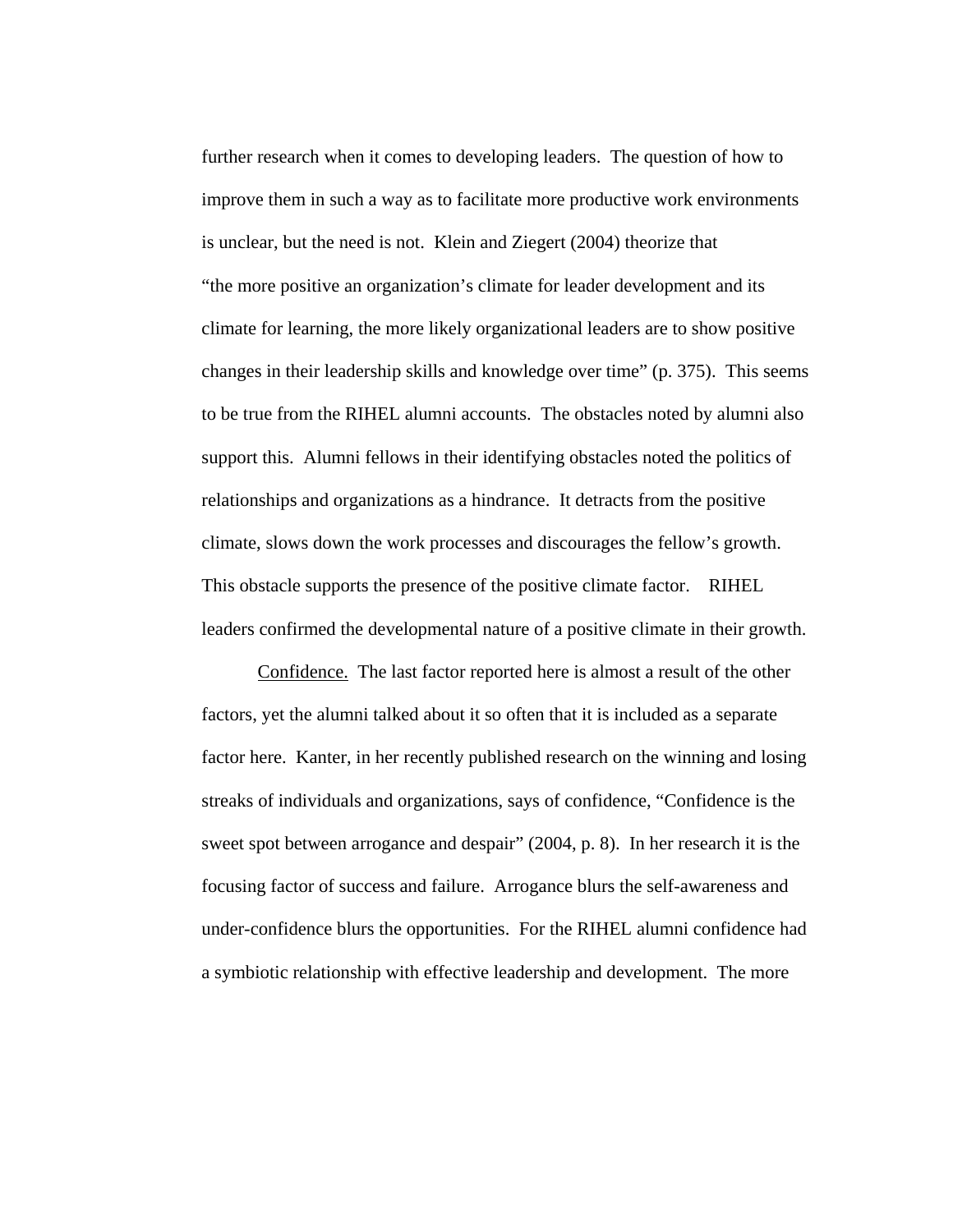further research when it comes to developing leaders. The question of how to improve them in such a way as to facilitate more productive work environments is unclear, but the need is not. Klein and Ziegert (2004) theorize that "the more positive an organization's climate for leader development and its climate for learning, the more likely organizational leaders are to show positive changes in their leadership skills and knowledge over time" (p. 375). This seems to be true from the RIHEL alumni accounts. The obstacles noted by alumni also support this. Alumni fellows in their identifying obstacles noted the politics of relationships and organizations as a hindrance. It detracts from the positive climate, slows down the work processes and discourages the fellow's growth. This obstacle supports the presence of the positive climate factor. RIHEL leaders confirmed the developmental nature of a positive climate in their growth.

Confidence. The last factor reported here is almost a result of the other factors, yet the alumni talked about it so often that it is included as a separate factor here. Kanter, in her recently published research on the winning and losing streaks of individuals and organizations, says of confidence, "Confidence is the sweet spot between arrogance and despair" (2004, p. 8). In her research it is the focusing factor of success and failure. Arrogance blurs the self-awareness and under-confidence blurs the opportunities. For the RIHEL alumni confidence had a symbiotic relationship with effective leadership and development. The more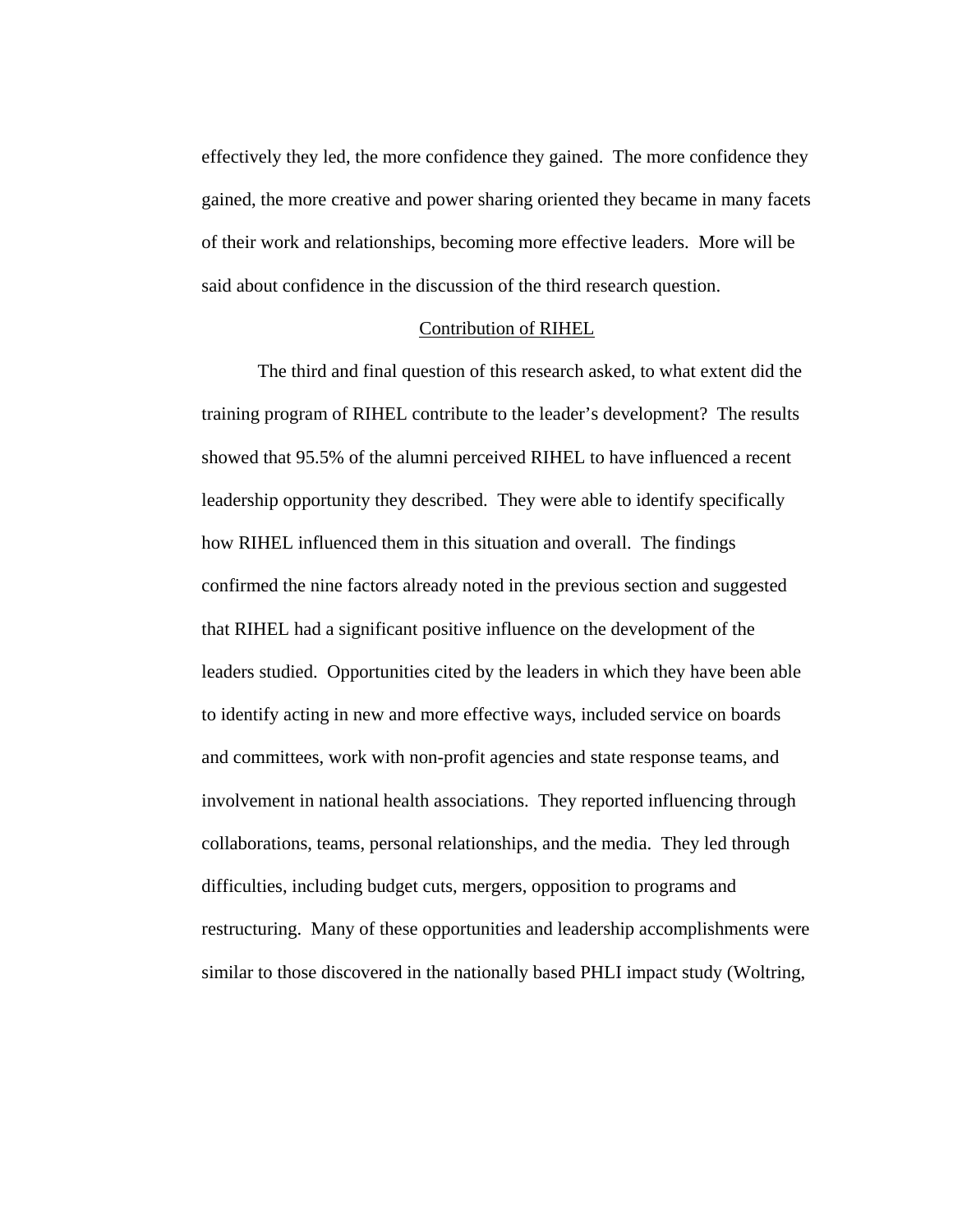effectively they led, the more confidence they gained. The more confidence they gained, the more creative and power sharing oriented they became in many facets of their work and relationships, becoming more effective leaders. More will be said about confidence in the discussion of the third research question.

### Contribution of RIHEL

The third and final question of this research asked, to what extent did the training program of RIHEL contribute to the leader's development? The results showed that 95.5% of the alumni perceived RIHEL to have influenced a recent leadership opportunity they described. They were able to identify specifically how RIHEL influenced them in this situation and overall. The findings confirmed the nine factors already noted in the previous section and suggested that RIHEL had a significant positive influence on the development of the leaders studied. Opportunities cited by the leaders in which they have been able to identify acting in new and more effective ways, included service on boards and committees, work with non-profit agencies and state response teams, and involvement in national health associations. They reported influencing through collaborations, teams, personal relationships, and the media. They led through difficulties, including budget cuts, mergers, opposition to programs and restructuring. Many of these opportunities and leadership accomplishments were similar to those discovered in the nationally based PHLI impact study (Woltring,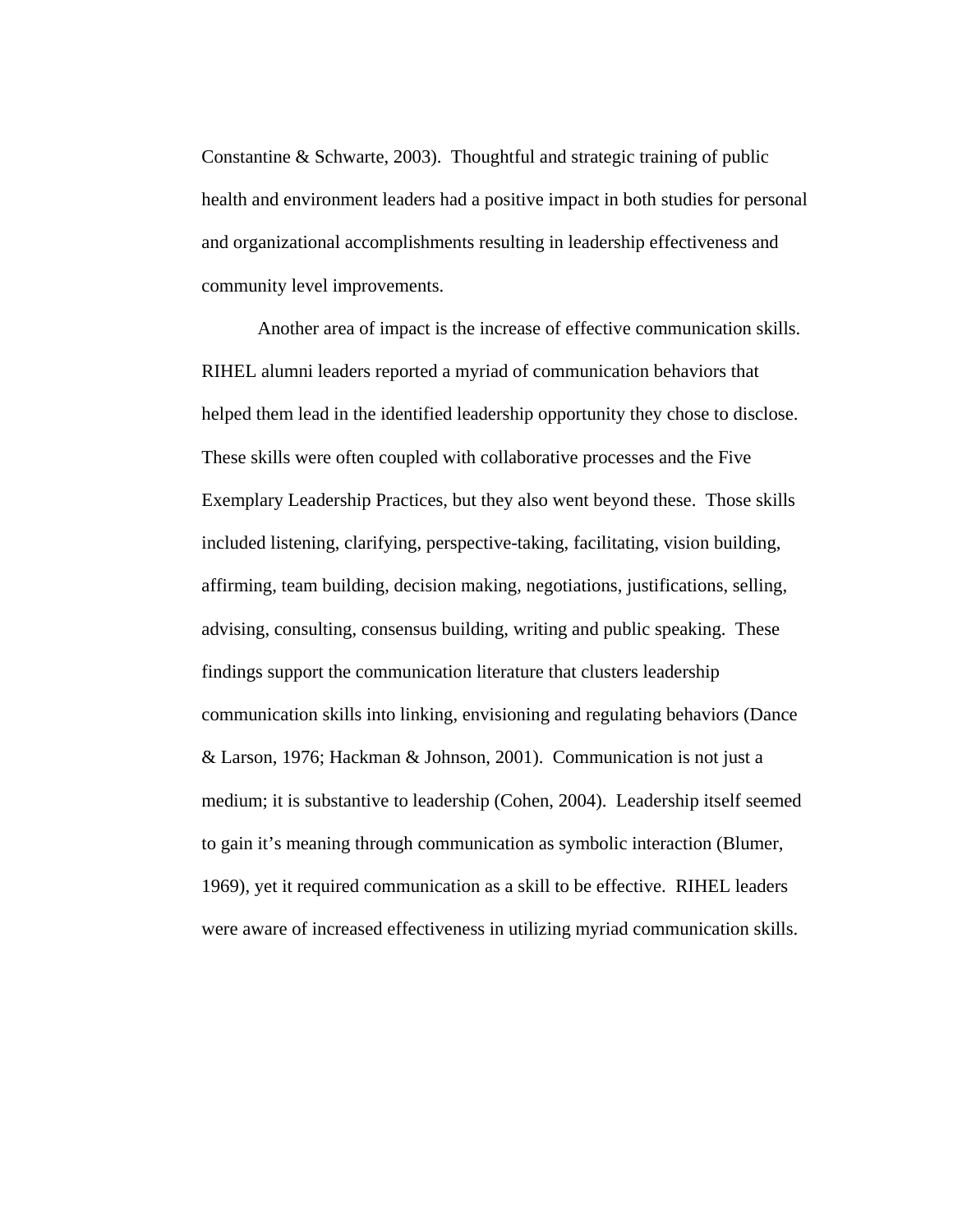Constantine & Schwarte, 2003). Thoughtful and strategic training of public health and environment leaders had a positive impact in both studies for personal and organizational accomplishments resulting in leadership effectiveness and community level improvements.

Another area of impact is the increase of effective communication skills. RIHEL alumni leaders reported a myriad of communication behaviors that helped them lead in the identified leadership opportunity they chose to disclose. These skills were often coupled with collaborative processes and the Five Exemplary Leadership Practices, but they also went beyond these. Those skills included listening, clarifying, perspective-taking, facilitating, vision building, affirming, team building, decision making, negotiations, justifications, selling, advising, consulting, consensus building, writing and public speaking. These findings support the communication literature that clusters leadership communication skills into linking, envisioning and regulating behaviors (Dance & Larson, 1976; Hackman & Johnson, 2001). Communication is not just a medium; it is substantive to leadership (Cohen, 2004). Leadership itself seemed to gain it's meaning through communication as symbolic interaction (Blumer, 1969), yet it required communication as a skill to be effective. RIHEL leaders were aware of increased effectiveness in utilizing myriad communication skills.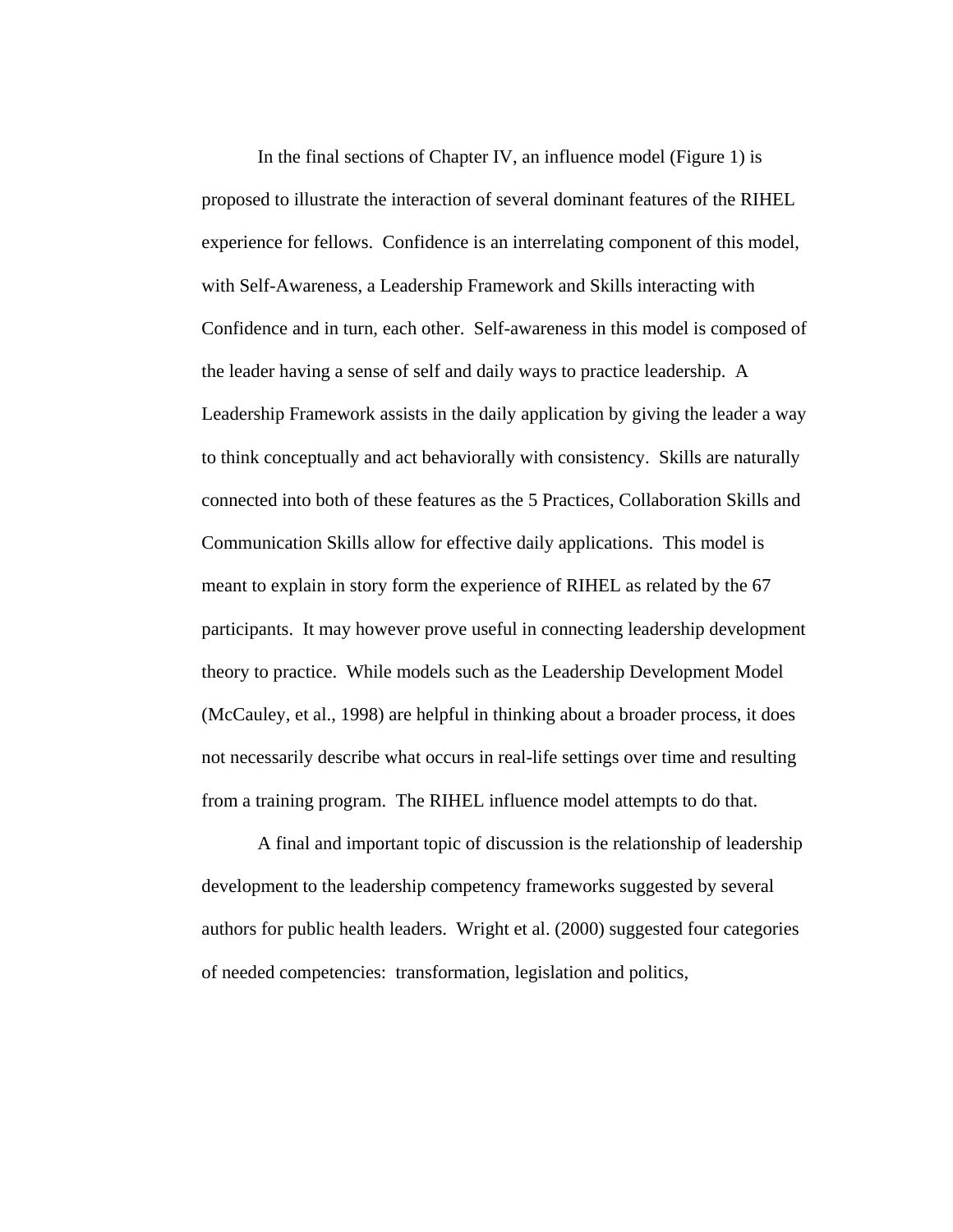In the final sections of Chapter IV, an influence model (Figure 1) is proposed to illustrate the interaction of several dominant features of the RIHEL experience for fellows. Confidence is an interrelating component of this model, with Self-Awareness, a Leadership Framework and Skills interacting with Confidence and in turn, each other. Self-awareness in this model is composed of the leader having a sense of self and daily ways to practice leadership. A Leadership Framework assists in the daily application by giving the leader a way to think conceptually and act behaviorally with consistency. Skills are naturally connected into both of these features as the 5 Practices, Collaboration Skills and Communication Skills allow for effective daily applications. This model is meant to explain in story form the experience of RIHEL as related by the 67 participants. It may however prove useful in connecting leadership development theory to practice. While models such as the Leadership Development Model (McCauley, et al., 1998) are helpful in thinking about a broader process, it does not necessarily describe what occurs in real-life settings over time and resulting from a training program. The RIHEL influence model attempts to do that.

A final and important topic of discussion is the relationship of leadership development to the leadership competency frameworks suggested by several authors for public health leaders. Wright et al. (2000) suggested four categories of needed competencies: transformation, legislation and politics,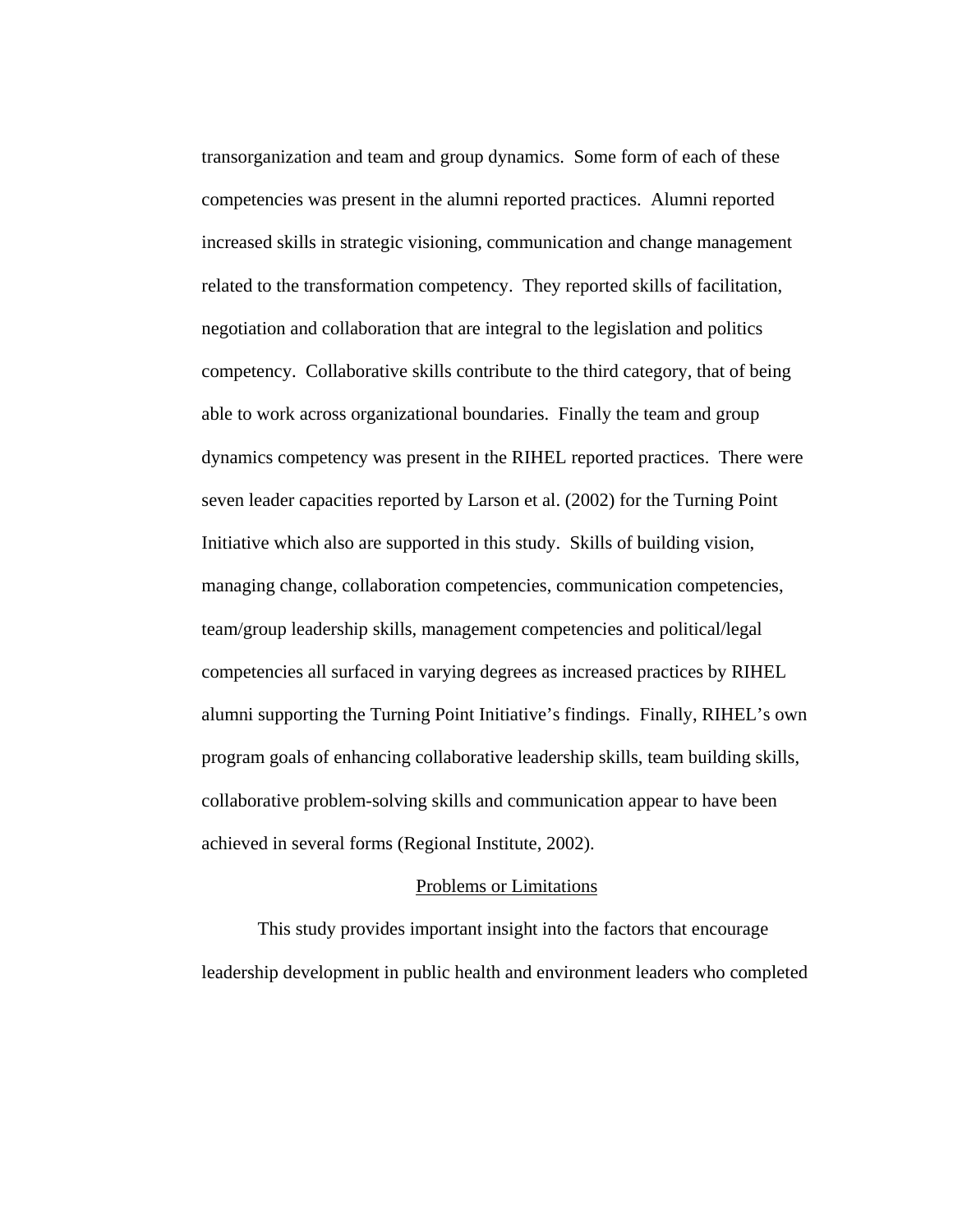transorganization and team and group dynamics. Some form of each of these competencies was present in the alumni reported practices. Alumni reported increased skills in strategic visioning, communication and change management related to the transformation competency. They reported skills of facilitation, negotiation and collaboration that are integral to the legislation and politics competency. Collaborative skills contribute to the third category, that of being able to work across organizational boundaries. Finally the team and group dynamics competency was present in the RIHEL reported practices. There were seven leader capacities reported by Larson et al. (2002) for the Turning Point Initiative which also are supported in this study. Skills of building vision, managing change, collaboration competencies, communication competencies, team/group leadership skills, management competencies and political/legal competencies all surfaced in varying degrees as increased practices by RIHEL alumni supporting the Turning Point Initiative's findings. Finally, RIHEL's own program goals of enhancing collaborative leadership skills, team building skills, collaborative problem-solving skills and communication appear to have been achieved in several forms (Regional Institute, 2002).

### Problems or Limitations

 This study provides important insight into the factors that encourage leadership development in public health and environment leaders who completed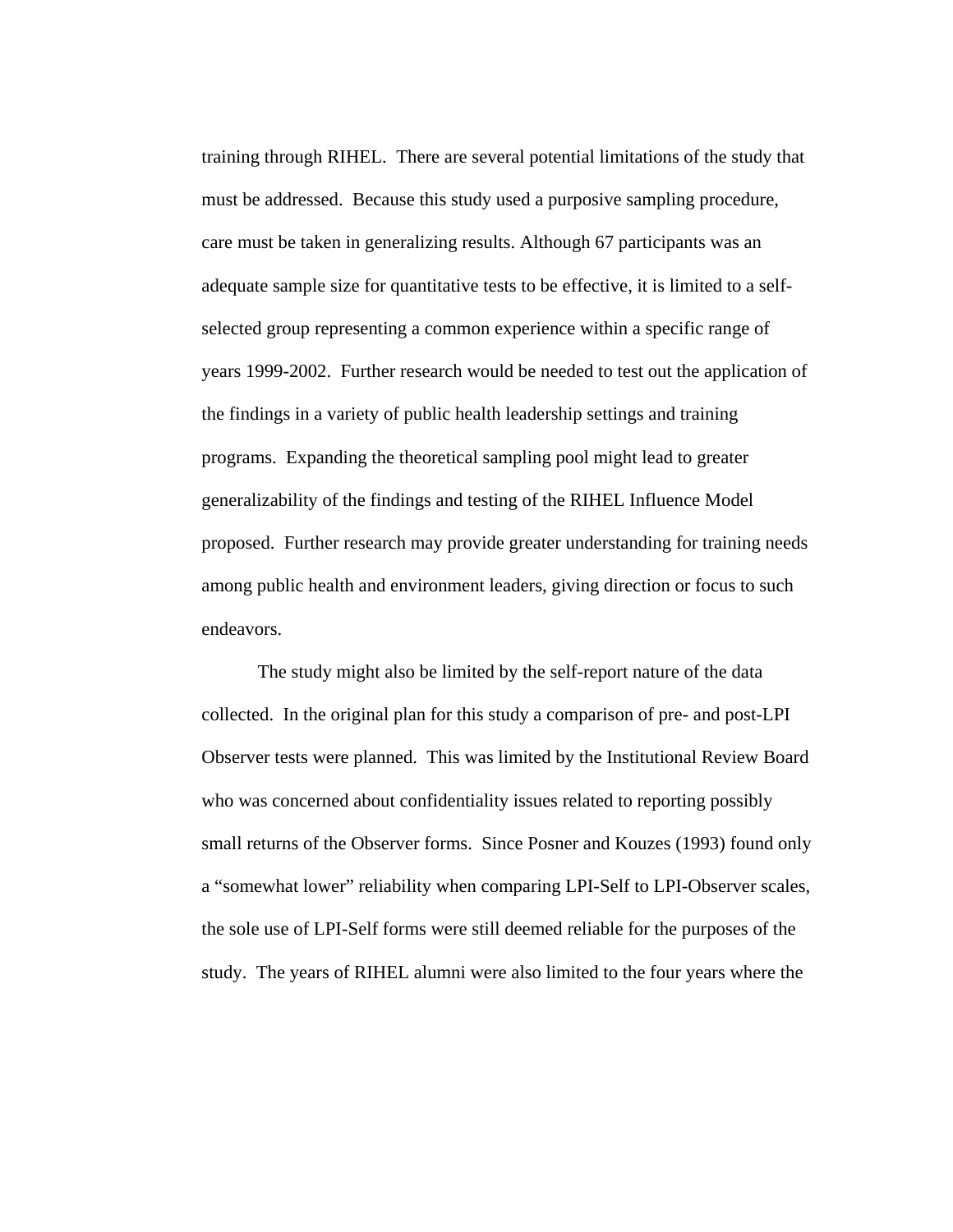training through RIHEL. There are several potential limitations of the study that must be addressed. Because this study used a purposive sampling procedure, care must be taken in generalizing results. Although 67 participants was an adequate sample size for quantitative tests to be effective, it is limited to a selfselected group representing a common experience within a specific range of years 1999-2002. Further research would be needed to test out the application of the findings in a variety of public health leadership settings and training programs. Expanding the theoretical sampling pool might lead to greater generalizability of the findings and testing of the RIHEL Influence Model proposed. Further research may provide greater understanding for training needs among public health and environment leaders, giving direction or focus to such endeavors.

The study might also be limited by the self-report nature of the data collected. In the original plan for this study a comparison of pre- and post-LPI Observer tests were planned. This was limited by the Institutional Review Board who was concerned about confidentiality issues related to reporting possibly small returns of the Observer forms. Since Posner and Kouzes (1993) found only a "somewhat lower" reliability when comparing LPI-Self to LPI-Observer scales, the sole use of LPI-Self forms were still deemed reliable for the purposes of the study. The years of RIHEL alumni were also limited to the four years where the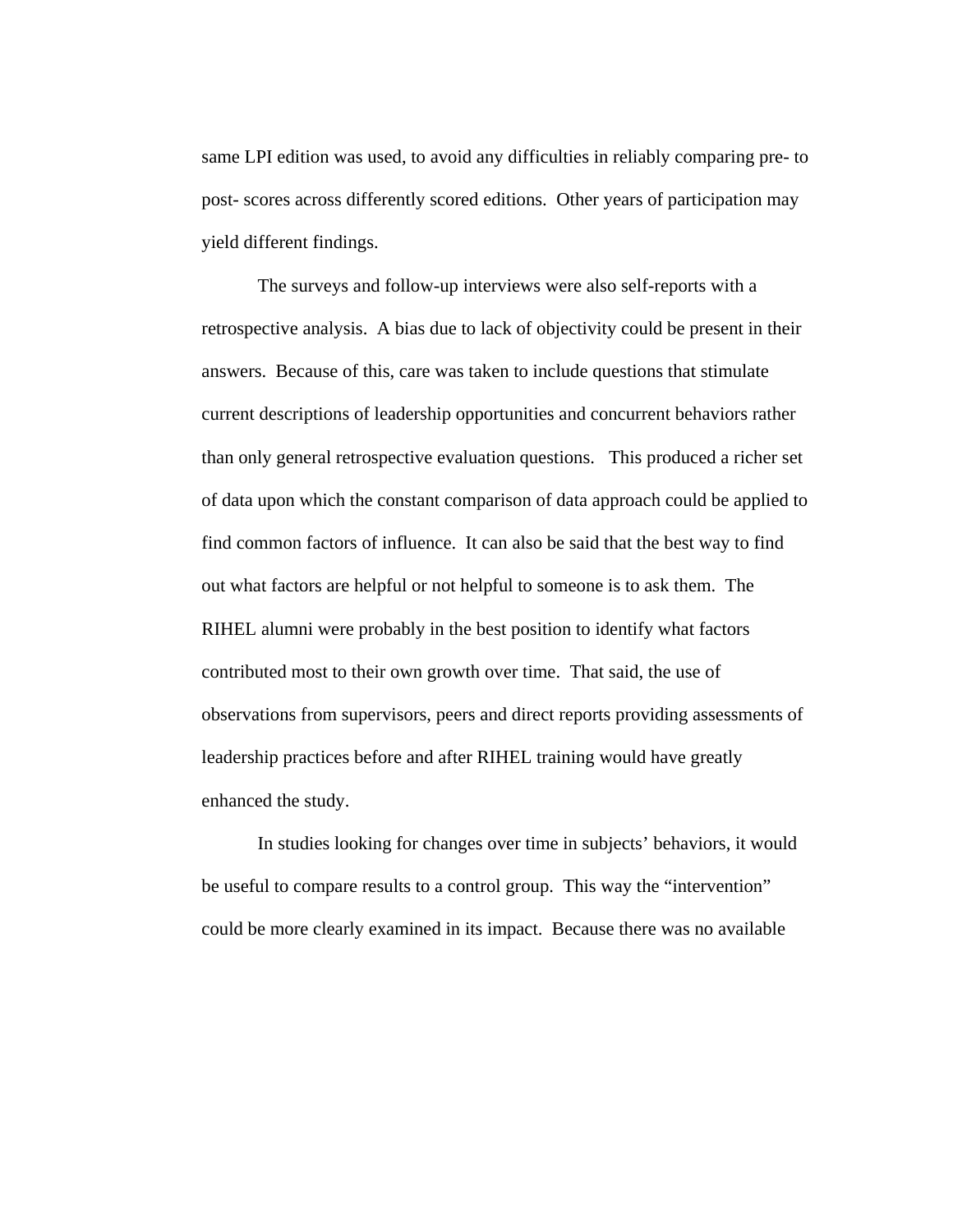same LPI edition was used, to avoid any difficulties in reliably comparing pre- to post- scores across differently scored editions. Other years of participation may yield different findings.

The surveys and follow-up interviews were also self-reports with a retrospective analysis. A bias due to lack of objectivity could be present in their answers. Because of this, care was taken to include questions that stimulate current descriptions of leadership opportunities and concurrent behaviors rather than only general retrospective evaluation questions. This produced a richer set of data upon which the constant comparison of data approach could be applied to find common factors of influence. It can also be said that the best way to find out what factors are helpful or not helpful to someone is to ask them. The RIHEL alumni were probably in the best position to identify what factors contributed most to their own growth over time. That said, the use of observations from supervisors, peers and direct reports providing assessments of leadership practices before and after RIHEL training would have greatly enhanced the study.

 In studies looking for changes over time in subjects' behaviors, it would be useful to compare results to a control group. This way the "intervention" could be more clearly examined in its impact. Because there was no available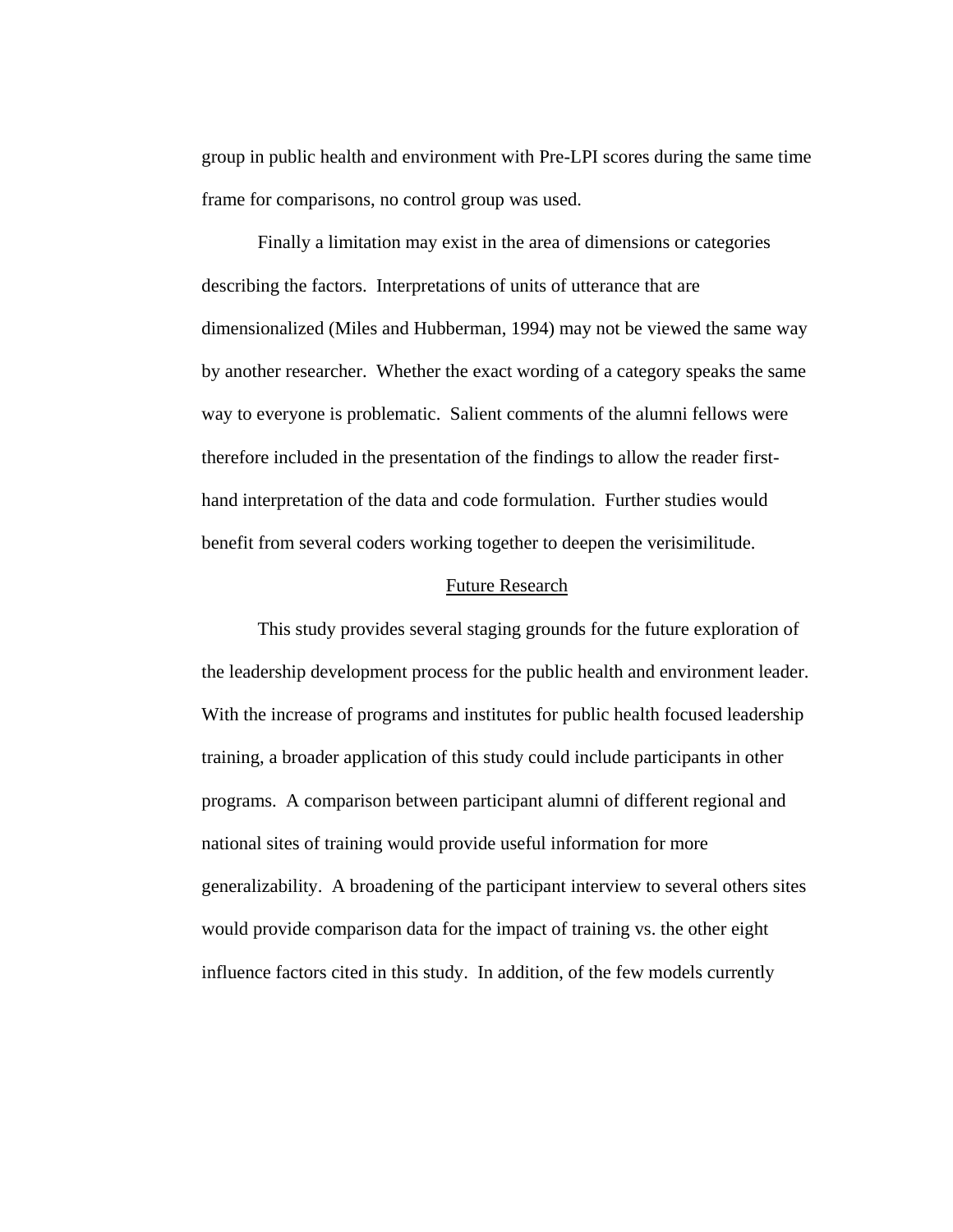group in public health and environment with Pre-LPI scores during the same time frame for comparisons, no control group was used.

 Finally a limitation may exist in the area of dimensions or categories describing the factors. Interpretations of units of utterance that are dimensionalized (Miles and Hubberman, 1994) may not be viewed the same way by another researcher. Whether the exact wording of a category speaks the same way to everyone is problematic. Salient comments of the alumni fellows were therefore included in the presentation of the findings to allow the reader firsthand interpretation of the data and code formulation. Further studies would benefit from several coders working together to deepen the verisimilitude.

### Future Research

This study provides several staging grounds for the future exploration of the leadership development process for the public health and environment leader. With the increase of programs and institutes for public health focused leadership training, a broader application of this study could include participants in other programs. A comparison between participant alumni of different regional and national sites of training would provide useful information for more generalizability. A broadening of the participant interview to several others sites would provide comparison data for the impact of training vs. the other eight influence factors cited in this study. In addition, of the few models currently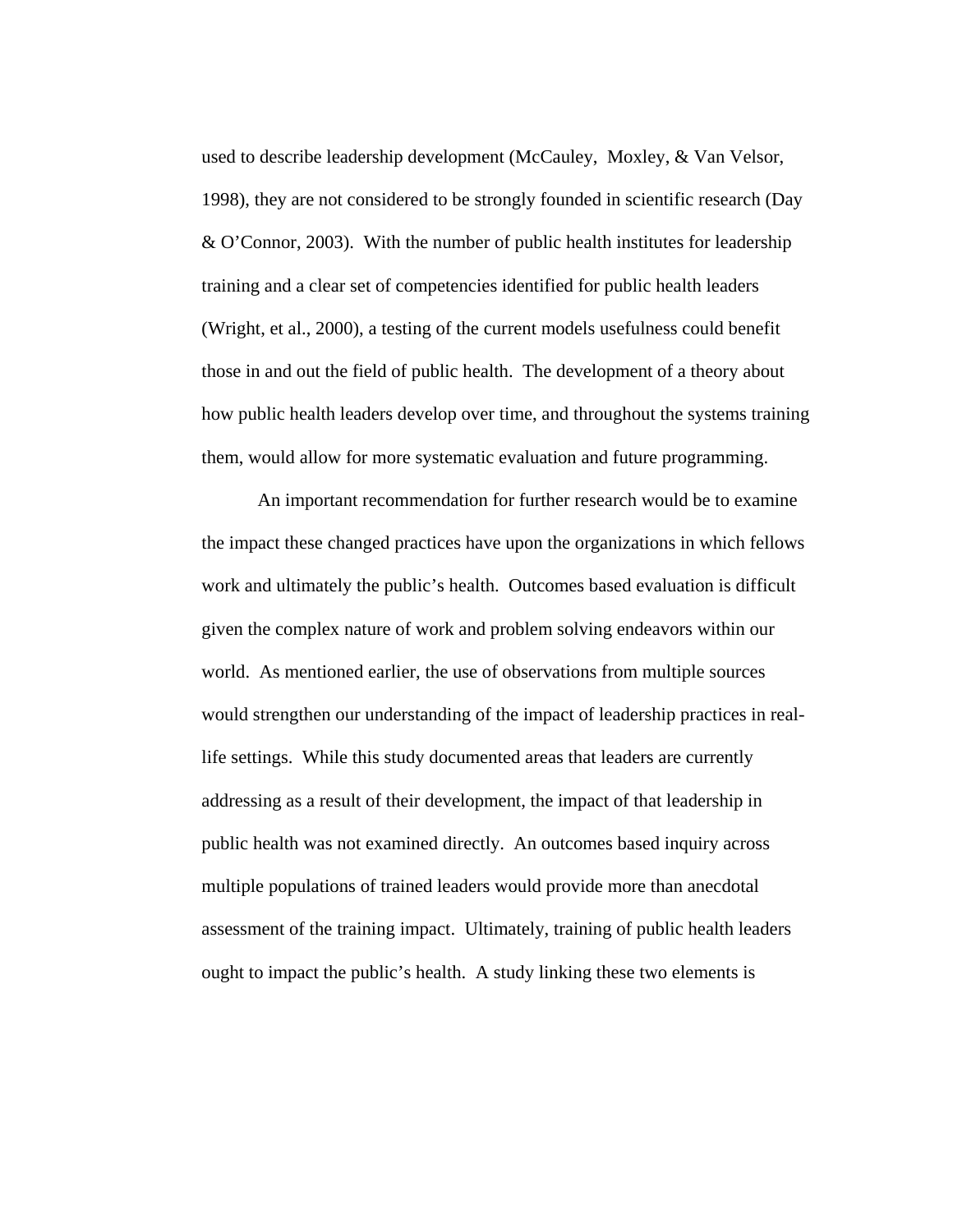used to describe leadership development (McCauley, Moxley, & Van Velsor, 1998), they are not considered to be strongly founded in scientific research (Day & O'Connor, 2003). With the number of public health institutes for leadership training and a clear set of competencies identified for public health leaders (Wright, et al., 2000), a testing of the current models usefulness could benefit those in and out the field of public health. The development of a theory about how public health leaders develop over time, and throughout the systems training them, would allow for more systematic evaluation and future programming.

An important recommendation for further research would be to examine the impact these changed practices have upon the organizations in which fellows work and ultimately the public's health. Outcomes based evaluation is difficult given the complex nature of work and problem solving endeavors within our world. As mentioned earlier, the use of observations from multiple sources would strengthen our understanding of the impact of leadership practices in reallife settings. While this study documented areas that leaders are currently addressing as a result of their development, the impact of that leadership in public health was not examined directly. An outcomes based inquiry across multiple populations of trained leaders would provide more than anecdotal assessment of the training impact. Ultimately, training of public health leaders ought to impact the public's health. A study linking these two elements is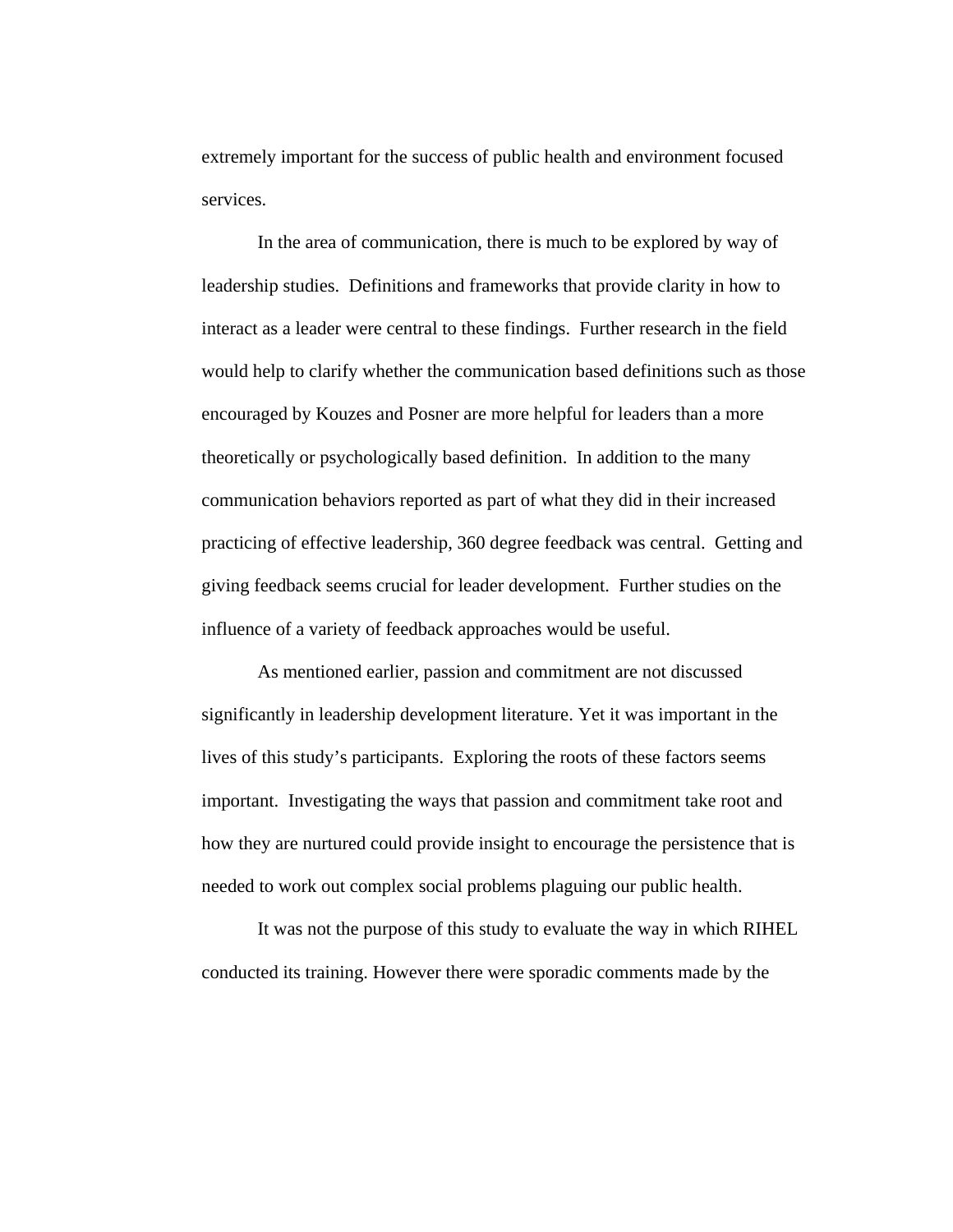extremely important for the success of public health and environment focused services.

In the area of communication, there is much to be explored by way of leadership studies. Definitions and frameworks that provide clarity in how to interact as a leader were central to these findings. Further research in the field would help to clarify whether the communication based definitions such as those encouraged by Kouzes and Posner are more helpful for leaders than a more theoretically or psychologically based definition. In addition to the many communication behaviors reported as part of what they did in their increased practicing of effective leadership, 360 degree feedback was central. Getting and giving feedback seems crucial for leader development. Further studies on the influence of a variety of feedback approaches would be useful.

As mentioned earlier, passion and commitment are not discussed significantly in leadership development literature. Yet it was important in the lives of this study's participants. Exploring the roots of these factors seems important. Investigating the ways that passion and commitment take root and how they are nurtured could provide insight to encourage the persistence that is needed to work out complex social problems plaguing our public health.

It was not the purpose of this study to evaluate the way in which RIHEL conducted its training. However there were sporadic comments made by the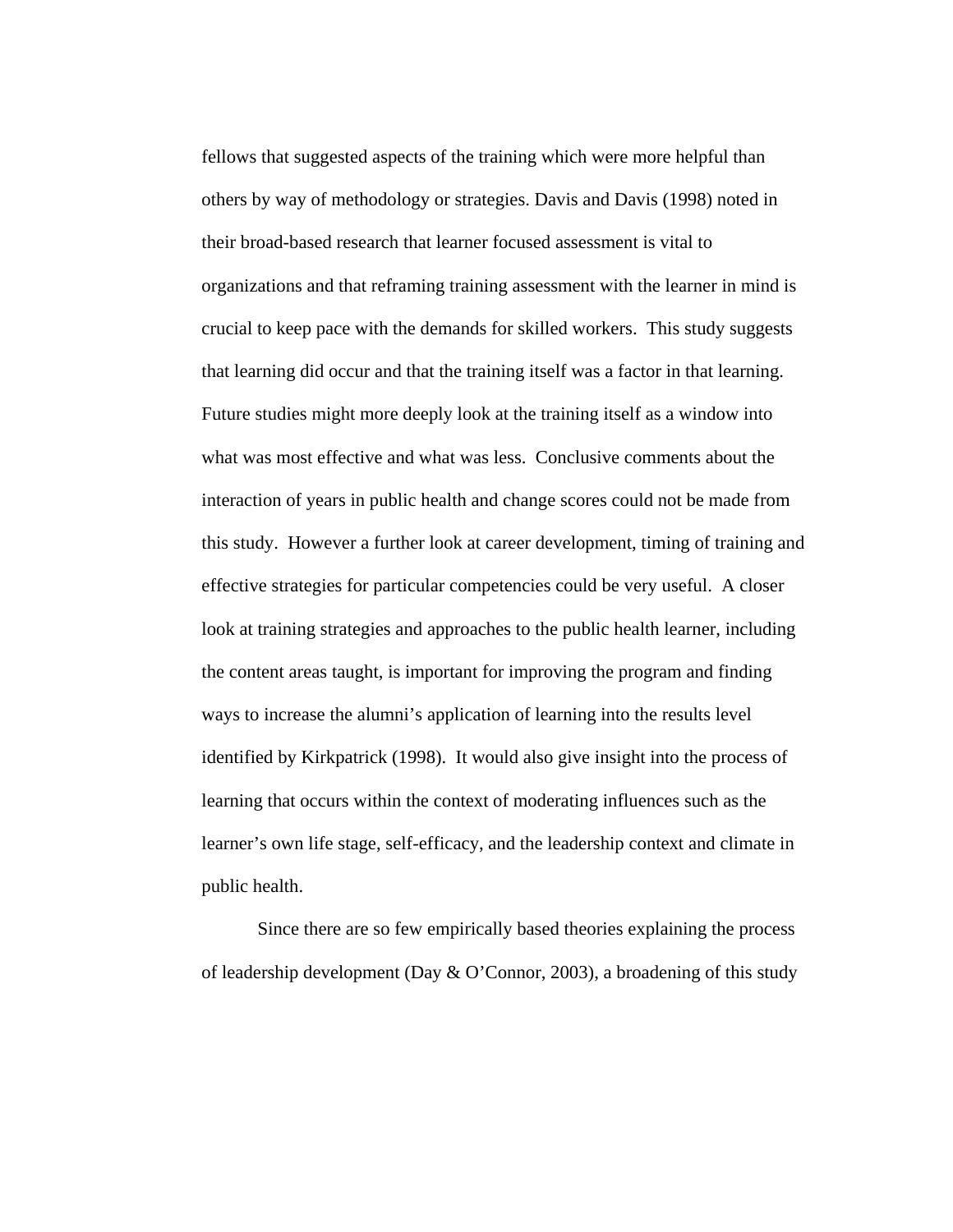fellows that suggested aspects of the training which were more helpful than others by way of methodology or strategies. Davis and Davis (1998) noted in their broad-based research that learner focused assessment is vital to organizations and that reframing training assessment with the learner in mind is crucial to keep pace with the demands for skilled workers. This study suggests that learning did occur and that the training itself was a factor in that learning. Future studies might more deeply look at the training itself as a window into what was most effective and what was less. Conclusive comments about the interaction of years in public health and change scores could not be made from this study. However a further look at career development, timing of training and effective strategies for particular competencies could be very useful. A closer look at training strategies and approaches to the public health learner, including the content areas taught, is important for improving the program and finding ways to increase the alumni's application of learning into the results level identified by Kirkpatrick (1998). It would also give insight into the process of learning that occurs within the context of moderating influences such as the learner's own life stage, self-efficacy, and the leadership context and climate in public health.

Since there are so few empirically based theories explaining the process of leadership development (Day & O'Connor, 2003), a broadening of this study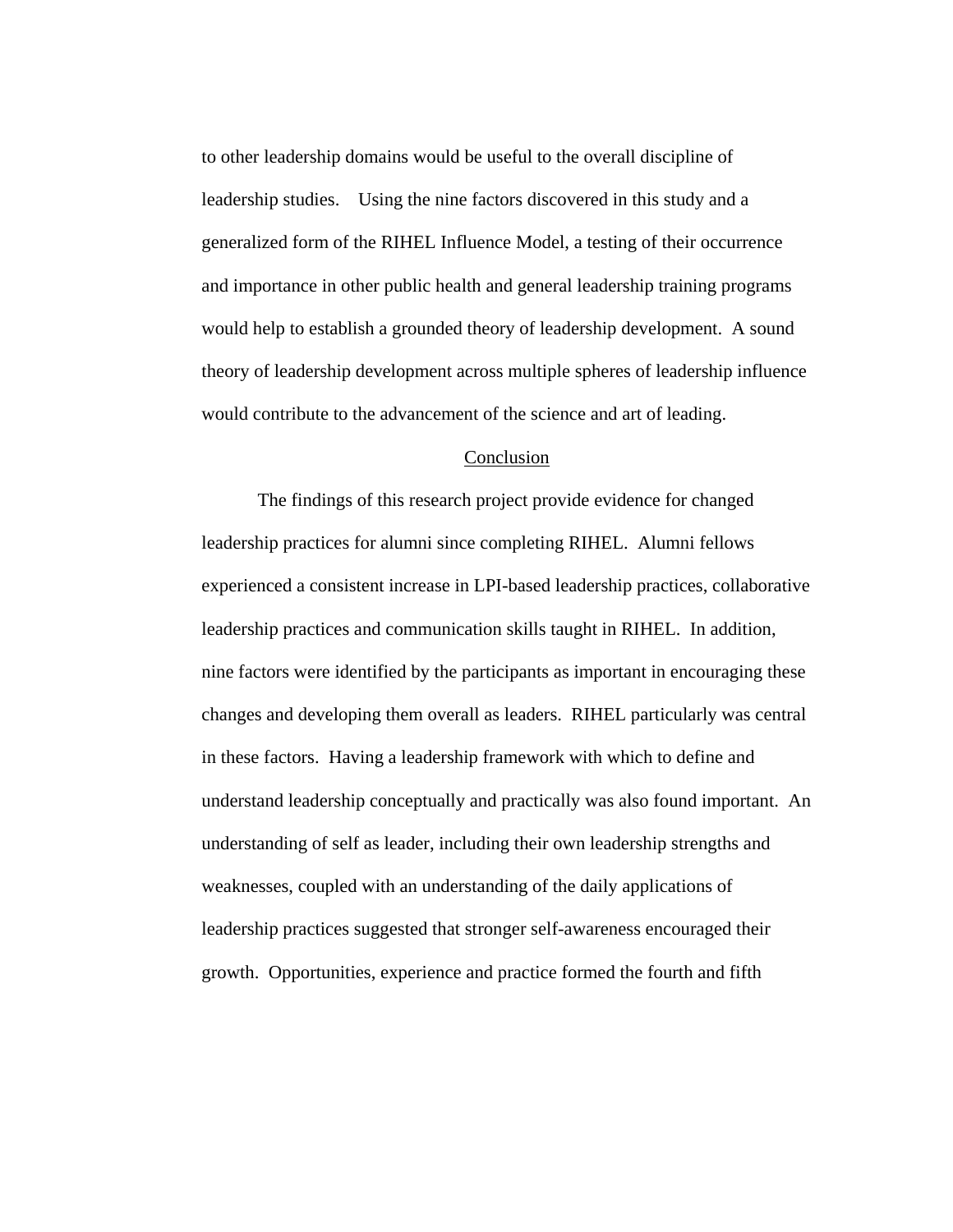to other leadership domains would be useful to the overall discipline of leadership studies. Using the nine factors discovered in this study and a generalized form of the RIHEL Influence Model, a testing of their occurrence and importance in other public health and general leadership training programs would help to establish a grounded theory of leadership development. A sound theory of leadership development across multiple spheres of leadership influence would contribute to the advancement of the science and art of leading.

# Conclusion

 The findings of this research project provide evidence for changed leadership practices for alumni since completing RIHEL. Alumni fellows experienced a consistent increase in LPI-based leadership practices, collaborative leadership practices and communication skills taught in RIHEL. In addition, nine factors were identified by the participants as important in encouraging these changes and developing them overall as leaders. RIHEL particularly was central in these factors. Having a leadership framework with which to define and understand leadership conceptually and practically was also found important. An understanding of self as leader, including their own leadership strengths and weaknesses, coupled with an understanding of the daily applications of leadership practices suggested that stronger self-awareness encouraged their growth. Opportunities, experience and practice formed the fourth and fifth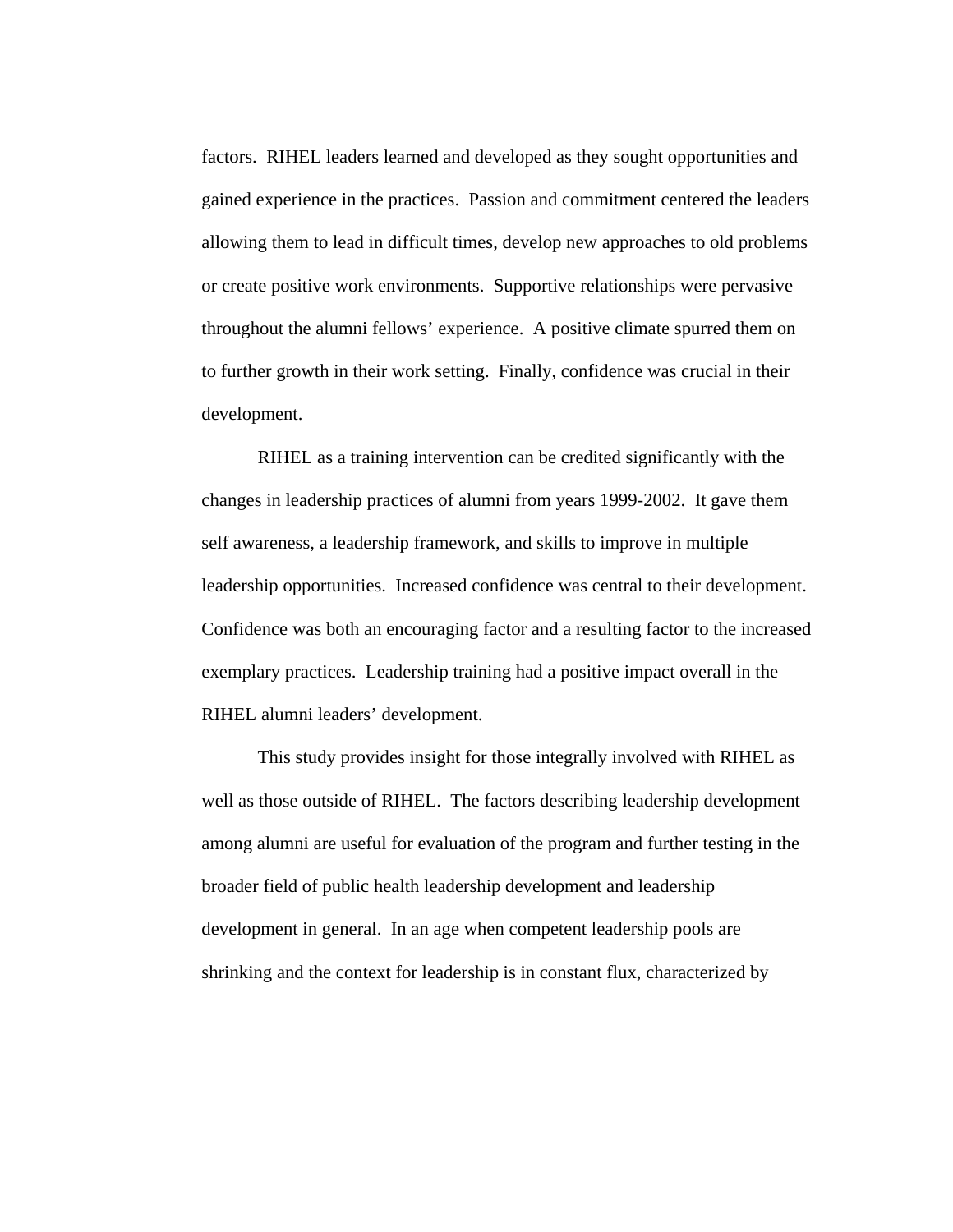factors. RIHEL leaders learned and developed as they sought opportunities and gained experience in the practices. Passion and commitment centered the leaders allowing them to lead in difficult times, develop new approaches to old problems or create positive work environments. Supportive relationships were pervasive throughout the alumni fellows' experience. A positive climate spurred them on to further growth in their work setting. Finally, confidence was crucial in their development.

RIHEL as a training intervention can be credited significantly with the changes in leadership practices of alumni from years 1999-2002. It gave them self awareness, a leadership framework, and skills to improve in multiple leadership opportunities. Increased confidence was central to their development. Confidence was both an encouraging factor and a resulting factor to the increased exemplary practices. Leadership training had a positive impact overall in the RIHEL alumni leaders' development.

This study provides insight for those integrally involved with RIHEL as well as those outside of RIHEL. The factors describing leadership development among alumni are useful for evaluation of the program and further testing in the broader field of public health leadership development and leadership development in general. In an age when competent leadership pools are shrinking and the context for leadership is in constant flux, characterized by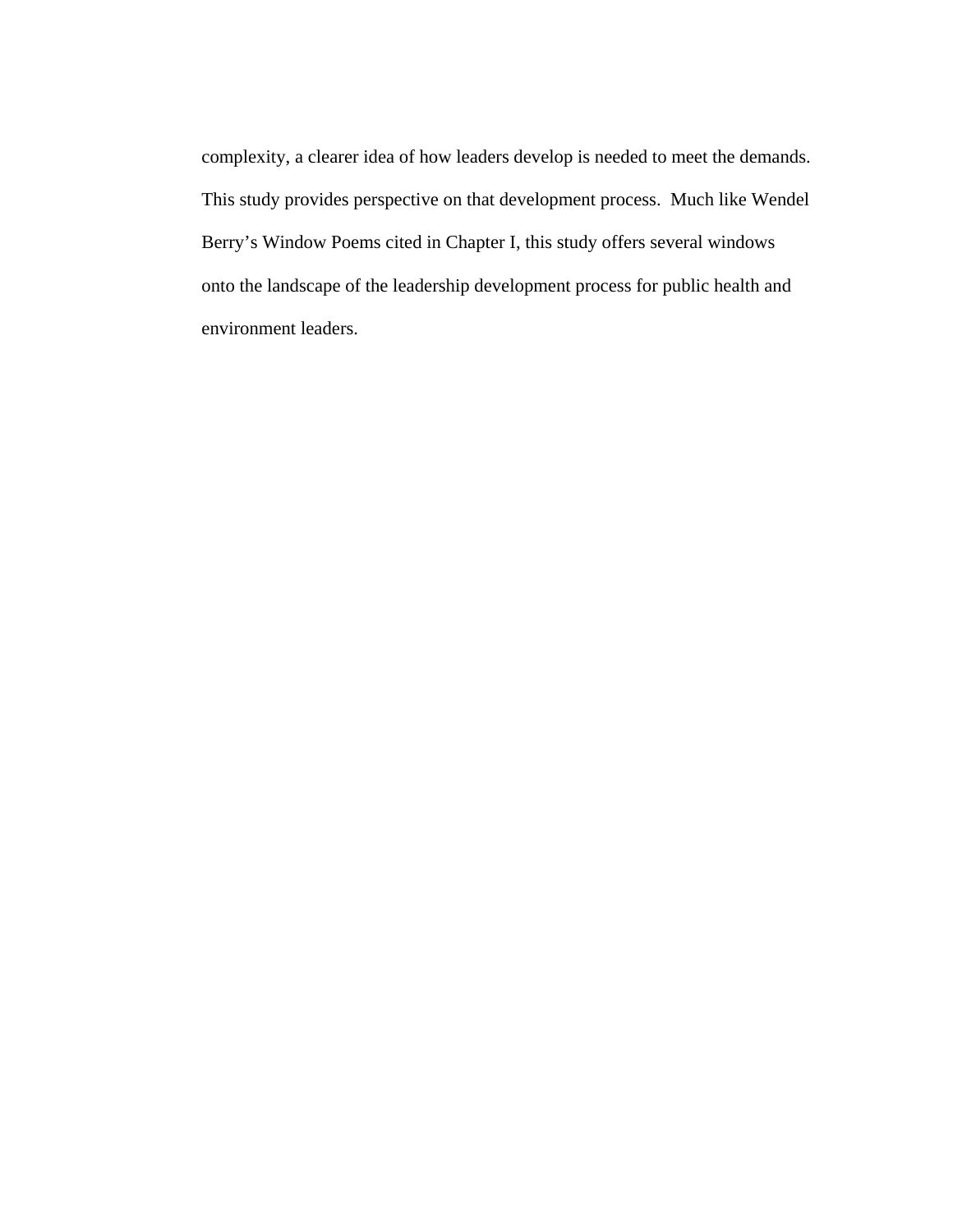complexity, a clearer idea of how leaders develop is needed to meet the demands. This study provides perspective on that development process. Much like Wendel Berry's Window Poems cited in Chapter I, this study offers several windows onto the landscape of the leadership development process for public health and environment leaders.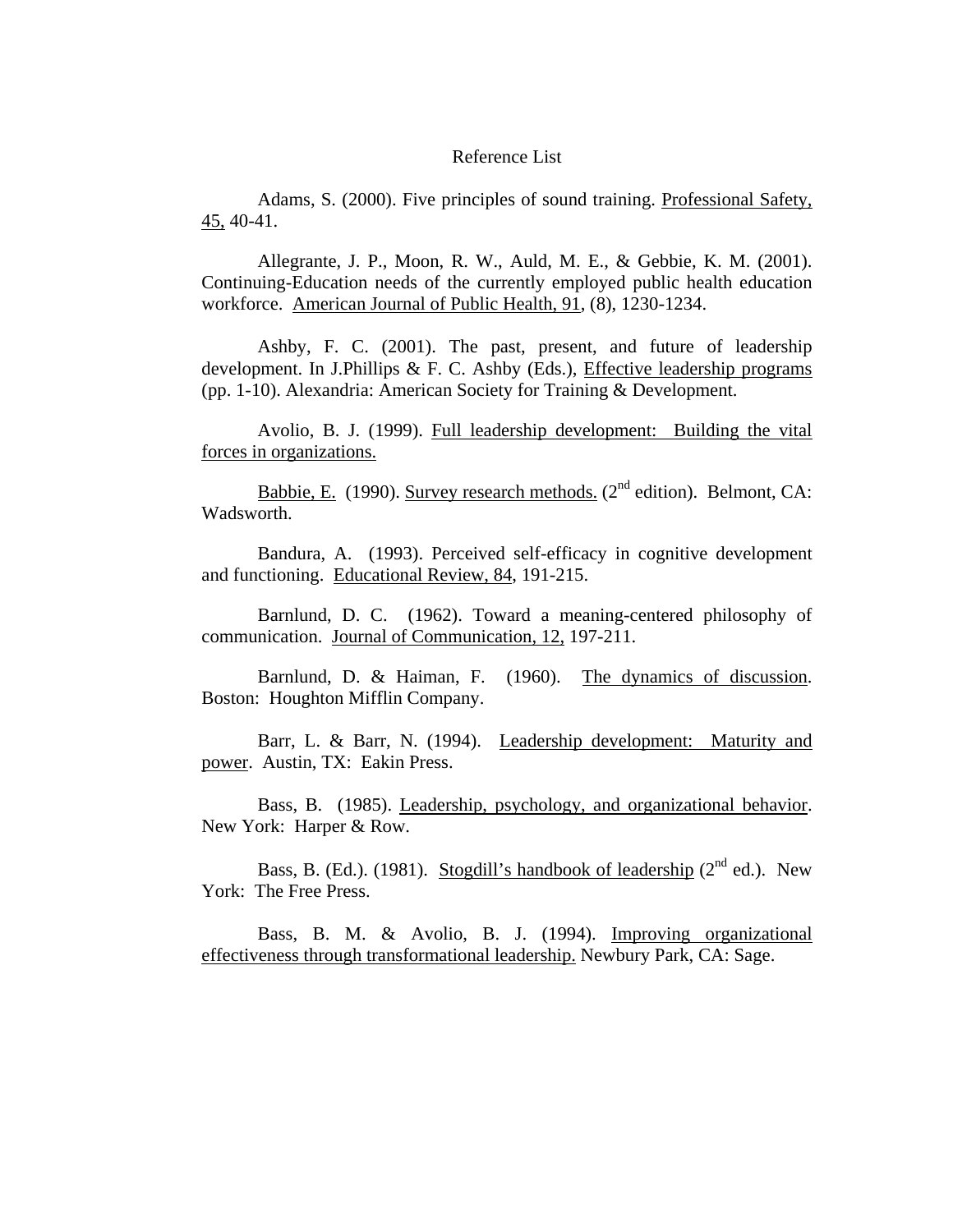### Reference List

Adams, S. (2000). Five principles of sound training. Professional Safety, 45, 40-41.

Allegrante, J. P., Moon, R. W., Auld, M. E., & Gebbie, K. M. (2001). Continuing-Education needs of the currently employed public health education workforce. American Journal of Public Health, 91, (8), 1230-1234.

Ashby, F. C. (2001). The past, present, and future of leadership development. In J.Phillips & F. C. Ashby (Eds.), Effective leadership programs (pp. 1-10). Alexandria: American Society for Training & Development.

Avolio, B. J. (1999). Full leadership development: Building the vital forces in organizations.

Babbie, E. (1990). Survey research methods. ( $2<sup>nd</sup>$  edition). Belmont, CA: Wadsworth.

Bandura, A. (1993). Perceived self-efficacy in cognitive development and functioning. Educational Review, 84, 191-215.

Barnlund, D. C. (1962). Toward a meaning-centered philosophy of communication. Journal of Communication, 12, 197-211.

Barnlund, D. & Haiman, F. (1960). The dynamics of discussion. Boston: Houghton Mifflin Company.

Barr, L. & Barr, N. (1994). Leadership development: Maturity and power. Austin, TX: Eakin Press.

Bass, B. (1985). Leadership, psychology, and organizational behavior. New York: Harper & Row.

Bass, B. (Ed.). (1981). Stogdill's handbook of leadership ( $2<sup>nd</sup>$  ed.). New York: The Free Press.

Bass, B. M. & Avolio, B. J. (1994). Improving organizational effectiveness through transformational leadership. Newbury Park, CA: Sage.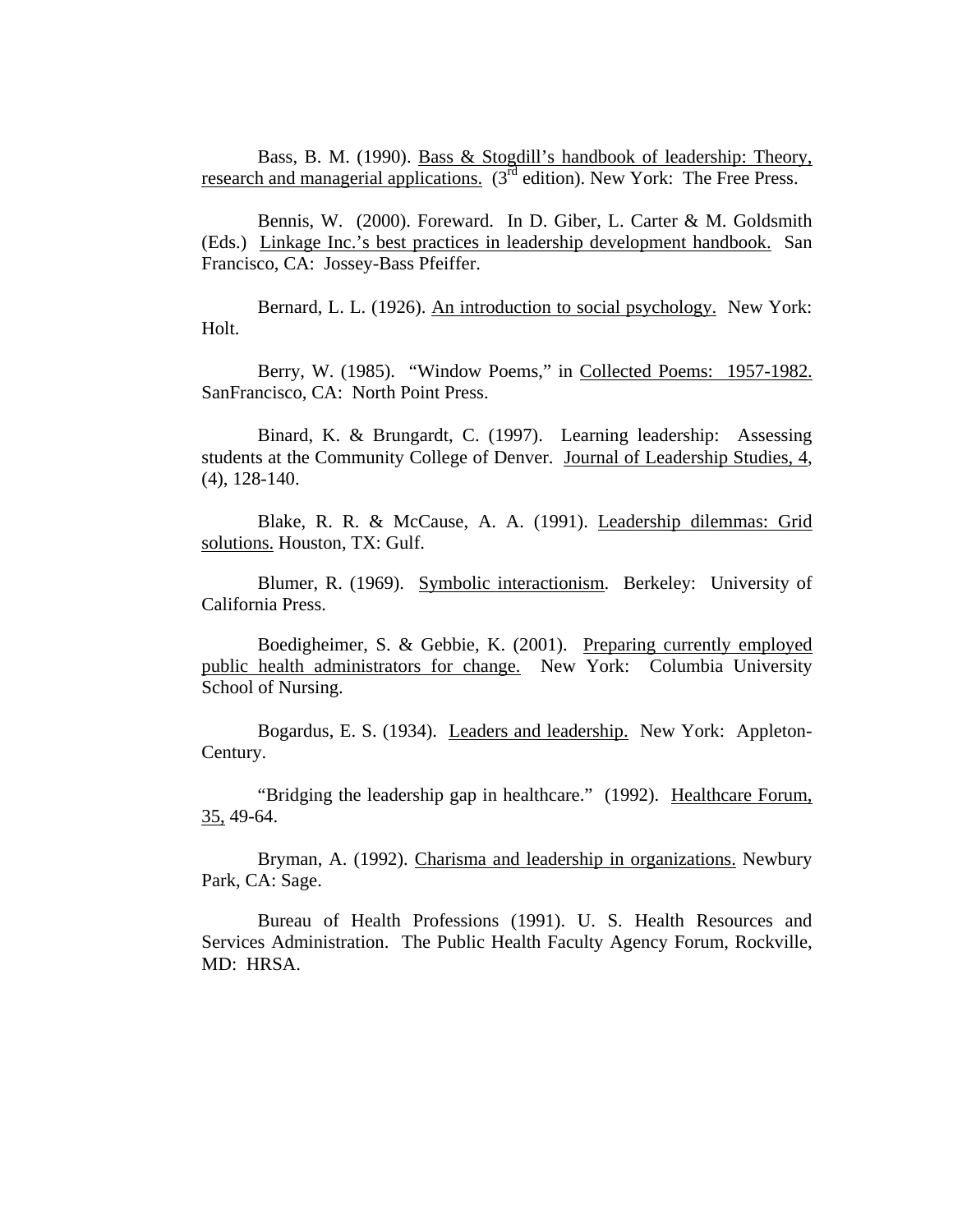Bass, B. M. (1990). Bass & Stogdill's handbook of leadership: Theory, research and managerial applications.  $(3<sup>rd</sup>$  edition). New York: The Free Press.

Bennis, W. (2000). Foreward. In D. Giber, L. Carter & M. Goldsmith (Eds.) Linkage Inc.'s best practices in leadership development handbook. San Francisco, CA: Jossey-Bass Pfeiffer.

Bernard, L. L. (1926). An introduction to social psychology. New York: Holt.

Berry, W. (1985). "Window Poems," in Collected Poems: 1957-1982. SanFrancisco, CA: North Point Press.

Binard, K. & Brungardt, C. (1997). Learning leadership: Assessing students at the Community College of Denver. Journal of Leadership Studies, 4, (4), 128-140.

Blake, R. R. & McCause, A. A. (1991). Leadership dilemmas: Grid solutions. Houston, TX: Gulf.

Blumer, R. (1969). Symbolic interactionism. Berkeley: University of California Press.

Boedigheimer, S. & Gebbie, K. (2001). Preparing currently employed public health administrators for change. New York: Columbia University School of Nursing.

Bogardus, E. S. (1934). Leaders and leadership. New York: Appleton-Century.

"Bridging the leadership gap in healthcare." (1992). Healthcare Forum, 35, 49-64.

Bryman, A. (1992). Charisma and leadership in organizations. Newbury Park, CA: Sage.

Bureau of Health Professions (1991). U. S. Health Resources and Services Administration. The Public Health Faculty Agency Forum, Rockville, MD: HRSA.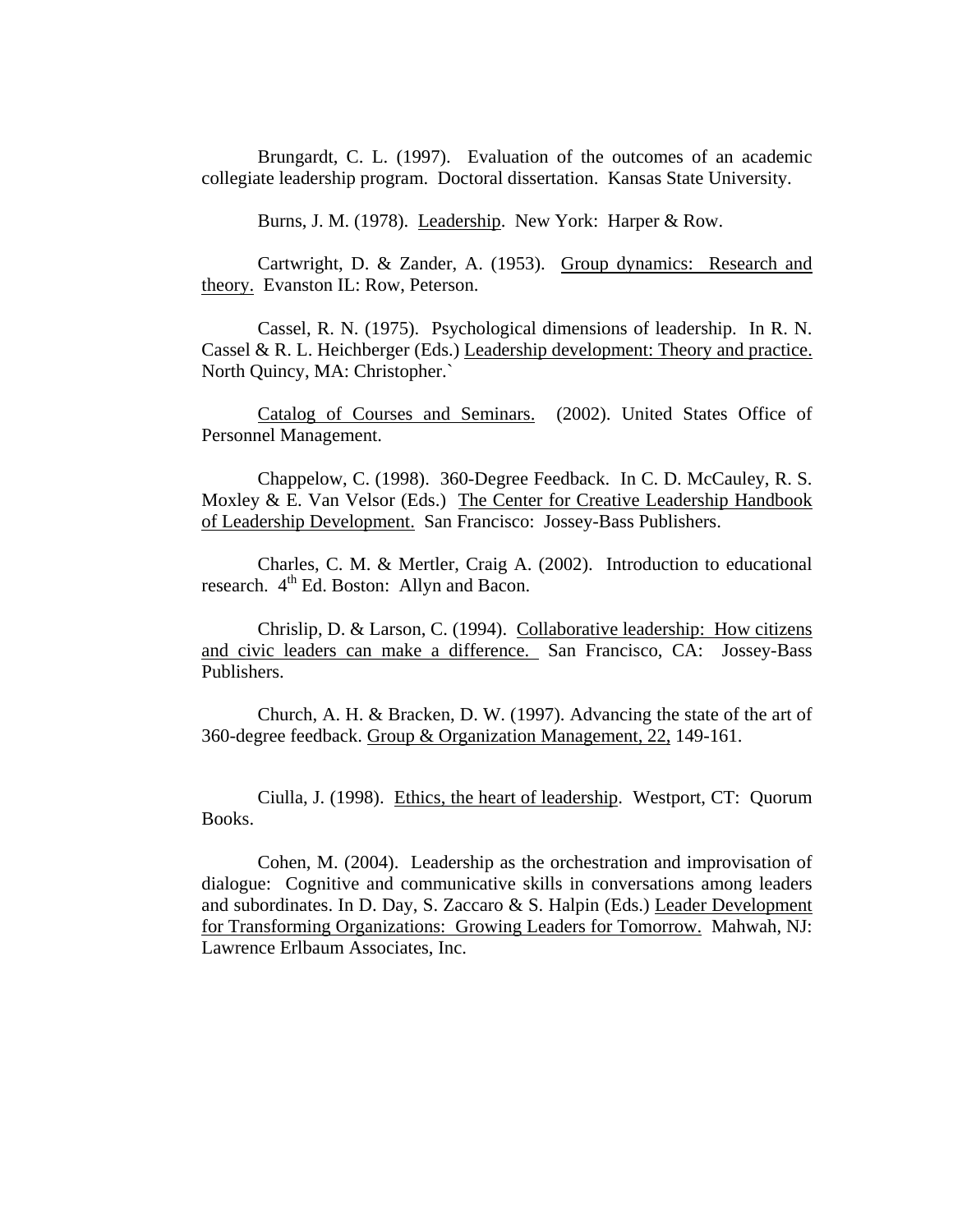Brungardt, C. L. (1997). Evaluation of the outcomes of an academic collegiate leadership program. Doctoral dissertation. Kansas State University.

Burns, J. M. (1978). Leadership. New York: Harper & Row.

Cartwright, D. & Zander, A. (1953). Group dynamics: Research and theory. Evanston IL: Row, Peterson.

Cassel, R. N. (1975). Psychological dimensions of leadership. In R. N. Cassel & R. L. Heichberger (Eds.) Leadership development: Theory and practice. North Quincy, MA: Christopher.`

Catalog of Courses and Seminars. (2002). United States Office of Personnel Management.

Chappelow, C. (1998). 360-Degree Feedback. In C. D. McCauley, R. S. Moxley & E. Van Velsor (Eds.) The Center for Creative Leadership Handbook of Leadership Development. San Francisco: Jossey-Bass Publishers.

Charles, C. M. & Mertler, Craig A. (2002). Introduction to educational research.  $4<sup>th</sup>$  Ed. Boston: Allyn and Bacon.

Chrislip, D. & Larson, C. (1994). Collaborative leadership: How citizens and civic leaders can make a difference. San Francisco, CA: Jossey-Bass Publishers.

Church, A. H. & Bracken, D. W. (1997). Advancing the state of the art of 360-degree feedback. Group & Organization Management, 22, 149-161.

Ciulla, J. (1998). Ethics, the heart of leadership. Westport, CT: Quorum Books.

Cohen, M. (2004). Leadership as the orchestration and improvisation of dialogue: Cognitive and communicative skills in conversations among leaders and subordinates. In D. Day, S. Zaccaro & S. Halpin (Eds.) Leader Development for Transforming Organizations: Growing Leaders for Tomorrow. Mahwah, NJ: Lawrence Erlbaum Associates, Inc.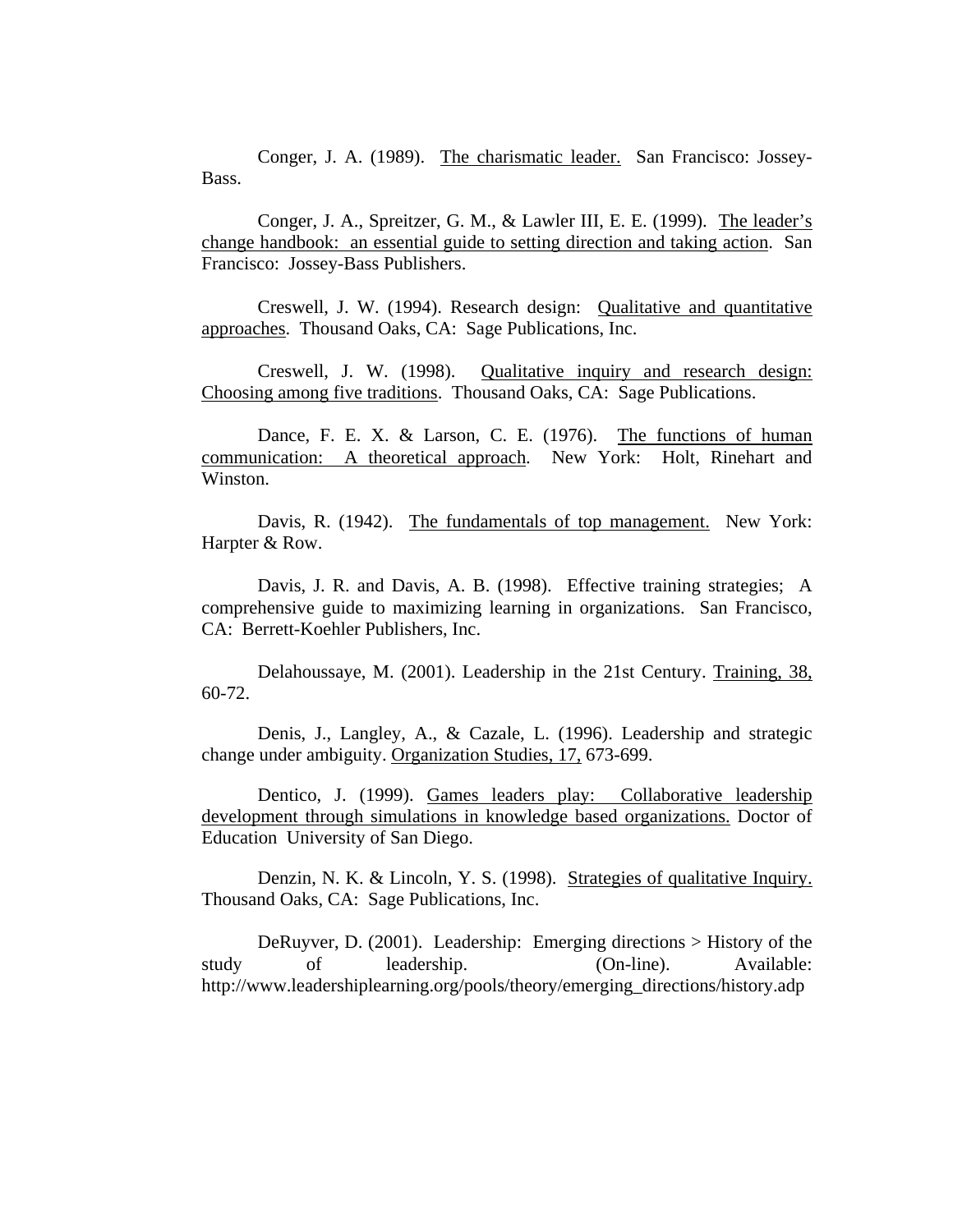Conger, J. A. (1989). The charismatic leader. San Francisco: Jossey-Bass.

Conger, J. A., Spreitzer, G. M., & Lawler III, E. E. (1999). The leader's change handbook: an essential guide to setting direction and taking action. San Francisco: Jossey-Bass Publishers.

Creswell, J. W. (1994). Research design: Qualitative and quantitative approaches. Thousand Oaks, CA: Sage Publications, Inc.

Creswell, J. W. (1998). Qualitative inquiry and research design: Choosing among five traditions. Thousand Oaks, CA: Sage Publications.

Dance, F. E. X. & Larson, C. E. (1976). The functions of human communication: A theoretical approach. New York: Holt, Rinehart and Winston.

Davis, R. (1942). The fundamentals of top management. New York: Harpter & Row.

Davis, J. R. and Davis, A. B. (1998). Effective training strategies; A comprehensive guide to maximizing learning in organizations. San Francisco, CA: Berrett-Koehler Publishers, Inc.

Delahoussaye, M. (2001). Leadership in the 21st Century. Training, 38, 60-72.

Denis, J., Langley, A., & Cazale, L. (1996). Leadership and strategic change under ambiguity. Organization Studies, 17, 673-699.

Dentico, J. (1999). Games leaders play: Collaborative leadership development through simulations in knowledge based organizations. Doctor of Education University of San Diego.

Denzin, N. K. & Lincoln, Y. S. (1998). Strategies of qualitative Inquiry. Thousand Oaks, CA: Sage Publications, Inc.

DeRuyver, D. (2001). Leadership: Emerging directions > History of the study of leadership. (On-line). Available: http://www.leadershiplearning.org/pools/theory/emerging\_directions/history.adp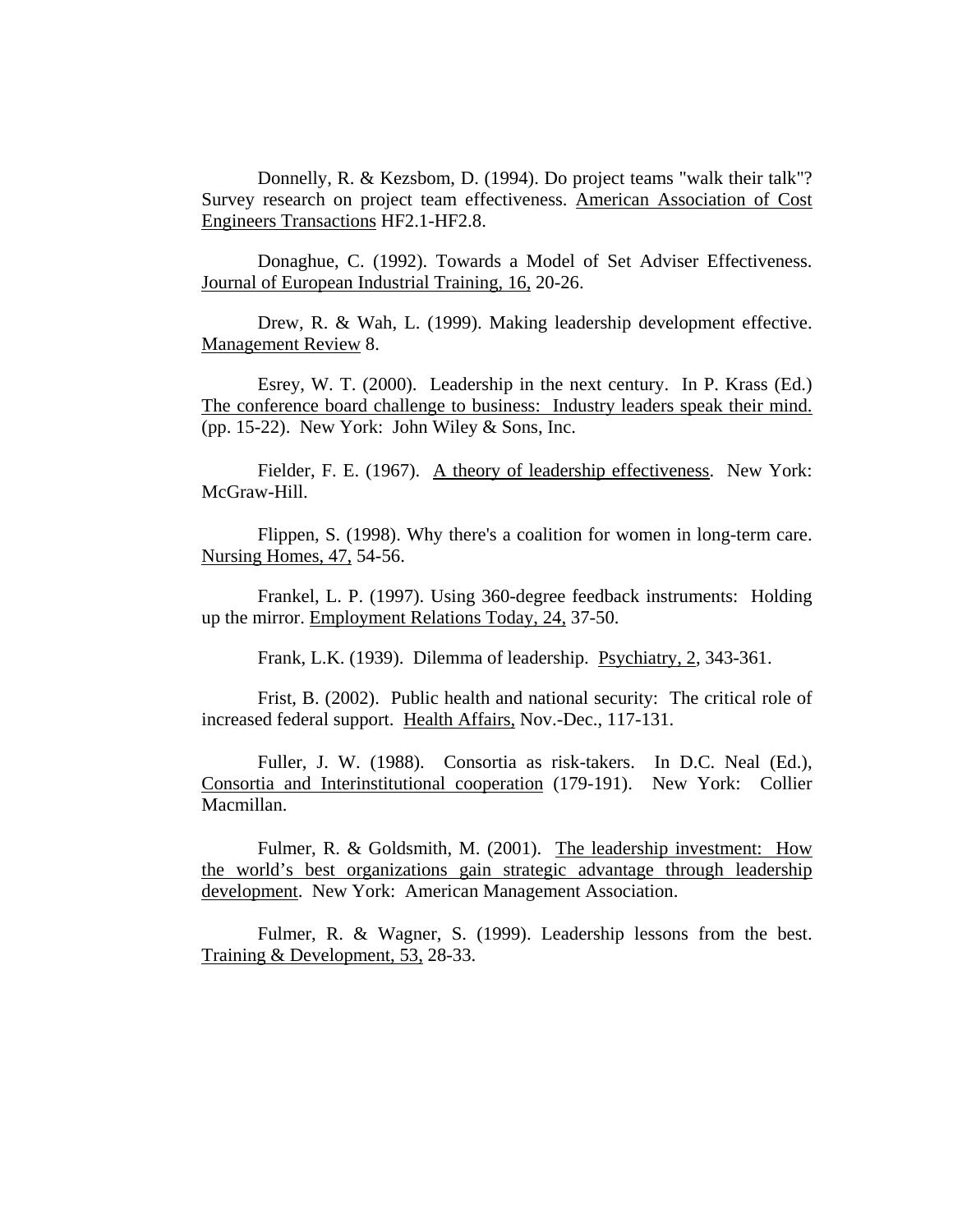Donnelly, R. & Kezsbom, D. (1994). Do project teams "walk their talk"? Survey research on project team effectiveness. American Association of Cost Engineers Transactions HF2.1-HF2.8.

Donaghue, C. (1992). Towards a Model of Set Adviser Effectiveness. Journal of European Industrial Training, 16, 20-26.

Drew, R. & Wah, L. (1999). Making leadership development effective. Management Review 8.

Esrey, W. T. (2000). Leadership in the next century. In P. Krass (Ed.) The conference board challenge to business: Industry leaders speak their mind. (pp. 15-22). New York: John Wiley & Sons, Inc.

Fielder, F. E. (1967). A theory of leadership effectiveness. New York: McGraw-Hill.

Flippen, S. (1998). Why there's a coalition for women in long-term care. Nursing Homes, 47, 54-56.

Frankel, L. P. (1997). Using 360-degree feedback instruments: Holding up the mirror. Employment Relations Today, 24, 37-50.

Frank, L.K. (1939). Dilemma of leadership. Psychiatry, 2, 343-361.

Frist, B. (2002). Public health and national security: The critical role of increased federal support. Health Affairs, Nov.-Dec., 117-131.

Fuller, J. W. (1988). Consortia as risk-takers. In D.C. Neal (Ed.), Consortia and Interinstitutional cooperation (179-191). New York: Collier Macmillan.

Fulmer, R. & Goldsmith, M. (2001). The leadership investment: How the world's best organizations gain strategic advantage through leadership development. New York: American Management Association.

Fulmer, R. & Wagner, S. (1999). Leadership lessons from the best. Training & Development, 53, 28-33.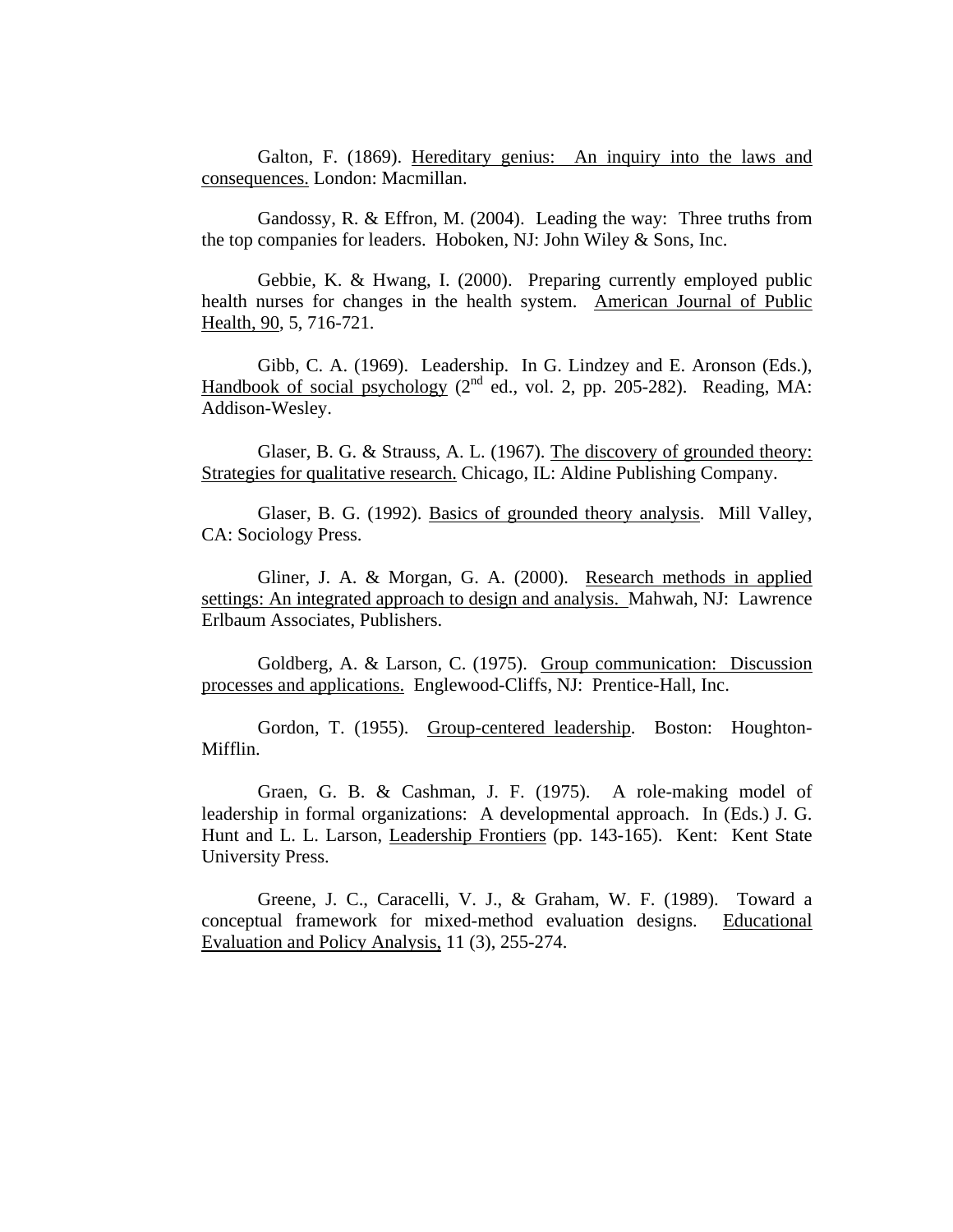Galton, F. (1869). Hereditary genius: An inquiry into the laws and consequences. London: Macmillan.

Gandossy, R. & Effron, M. (2004). Leading the way: Three truths from the top companies for leaders. Hoboken, NJ: John Wiley & Sons, Inc.

Gebbie, K. & Hwang, I. (2000). Preparing currently employed public health nurses for changes in the health system. American Journal of Public Health, 90, 5, 716-721.

Gibb, C. A. (1969). Leadership. In G. Lindzey and E. Aronson (Eds.), Handbook of social psychology  $(2^{nd}$  ed., vol. 2, pp. 205-282). Reading, MA: Addison-Wesley.

Glaser, B. G. & Strauss, A. L. (1967). The discovery of grounded theory: Strategies for qualitative research. Chicago, IL: Aldine Publishing Company.

Glaser, B. G. (1992). Basics of grounded theory analysis. Mill Valley, CA: Sociology Press.

Gliner, J. A. & Morgan, G. A. (2000). Research methods in applied settings: An integrated approach to design and analysis. Mahwah, NJ: Lawrence Erlbaum Associates, Publishers.

Goldberg, A. & Larson, C. (1975). Group communication: Discussion processes and applications. Englewood-Cliffs, NJ: Prentice-Hall, Inc.

Gordon, T. (1955). Group-centered leadership. Boston: Houghton-Mifflin.

Graen, G. B. & Cashman, J. F. (1975). A role-making model of leadership in formal organizations: A developmental approach. In (Eds.) J. G. Hunt and L. L. Larson, Leadership Frontiers (pp. 143-165). Kent: Kent State University Press.

Greene, J. C., Caracelli, V. J., & Graham, W. F. (1989). Toward a conceptual framework for mixed-method evaluation designs. Educational Evaluation and Policy Analysis, 11 (3), 255-274.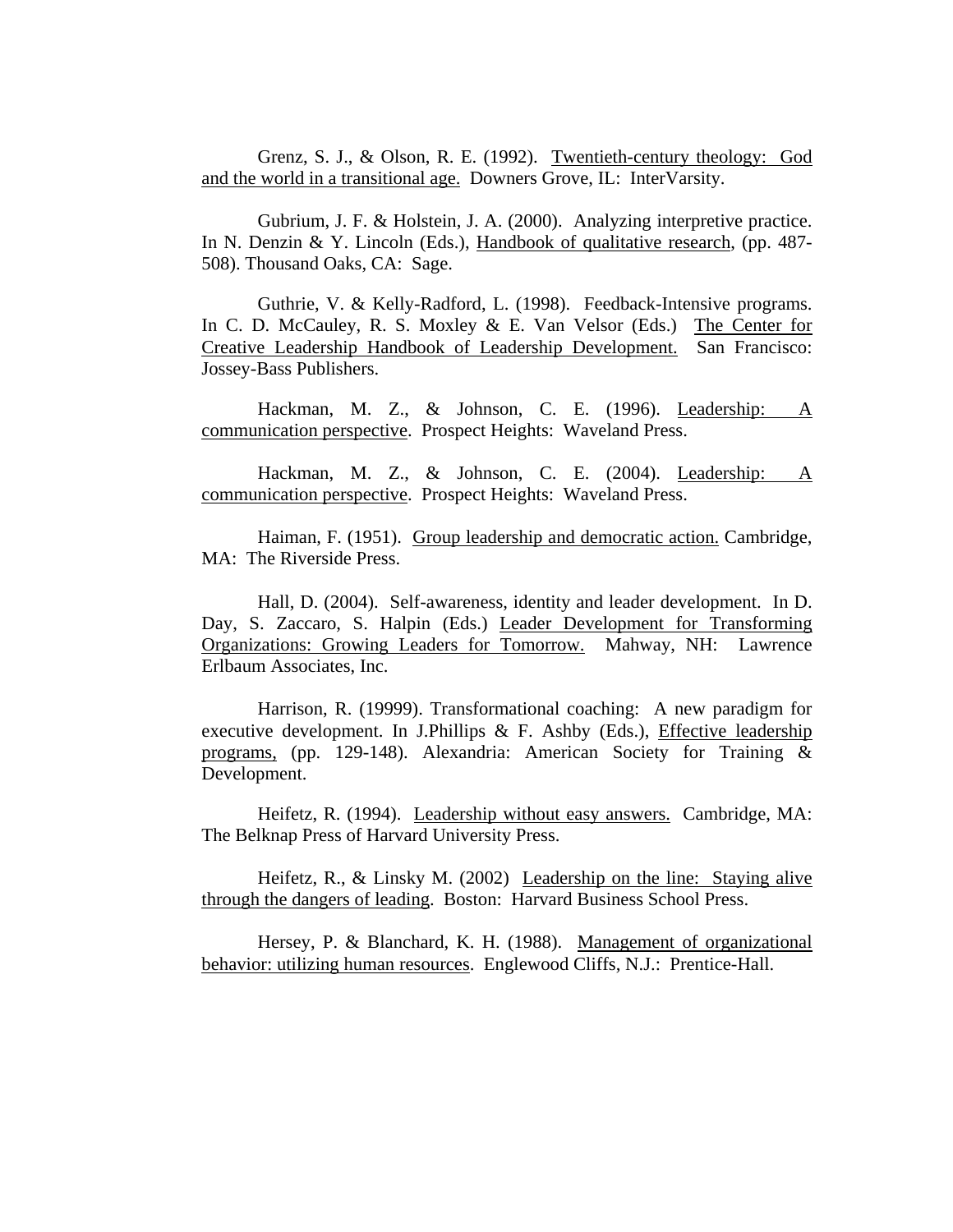Grenz, S. J., & Olson, R. E. (1992). Twentieth-century theology: God and the world in a transitional age. Downers Grove, IL: InterVarsity.

Gubrium, J. F. & Holstein, J. A. (2000). Analyzing interpretive practice. In N. Denzin & Y. Lincoln (Eds.), Handbook of qualitative research, (pp. 487- 508). Thousand Oaks, CA: Sage.

Guthrie, V. & Kelly-Radford, L. (1998). Feedback-Intensive programs. In C. D. McCauley, R. S. Moxley & E. Van Velsor (Eds.) The Center for Creative Leadership Handbook of Leadership Development. San Francisco: Jossey-Bass Publishers.

 Hackman, M. Z., & Johnson, C. E. (1996). Leadership: A communication perspective. Prospect Heights: Waveland Press.

Hackman, M. Z., & Johnson, C. E. (2004). Leadership: A communication perspective. Prospect Heights: Waveland Press.

Haiman, F. (1951). Group leadership and democratic action. Cambridge, MA: The Riverside Press.

Hall, D. (2004). Self-awareness, identity and leader development. In D. Day, S. Zaccaro, S. Halpin (Eds.) Leader Development for Transforming Organizations: Growing Leaders for Tomorrow. Mahway, NH: Lawrence Erlbaum Associates, Inc.

Harrison, R. (19999). Transformational coaching: A new paradigm for executive development. In J.Phillips  $\&$  F. Ashby (Eds.), Effective leadership programs, (pp. 129-148). Alexandria: American Society for Training & Development.

Heifetz, R. (1994). Leadership without easy answers. Cambridge, MA: The Belknap Press of Harvard University Press.

Heifetz, R., & Linsky M. (2002) Leadership on the line: Staying alive through the dangers of leading. Boston: Harvard Business School Press.

Hersey, P. & Blanchard, K. H. (1988). Management of organizational behavior: utilizing human resources. Englewood Cliffs, N.J.: Prentice-Hall.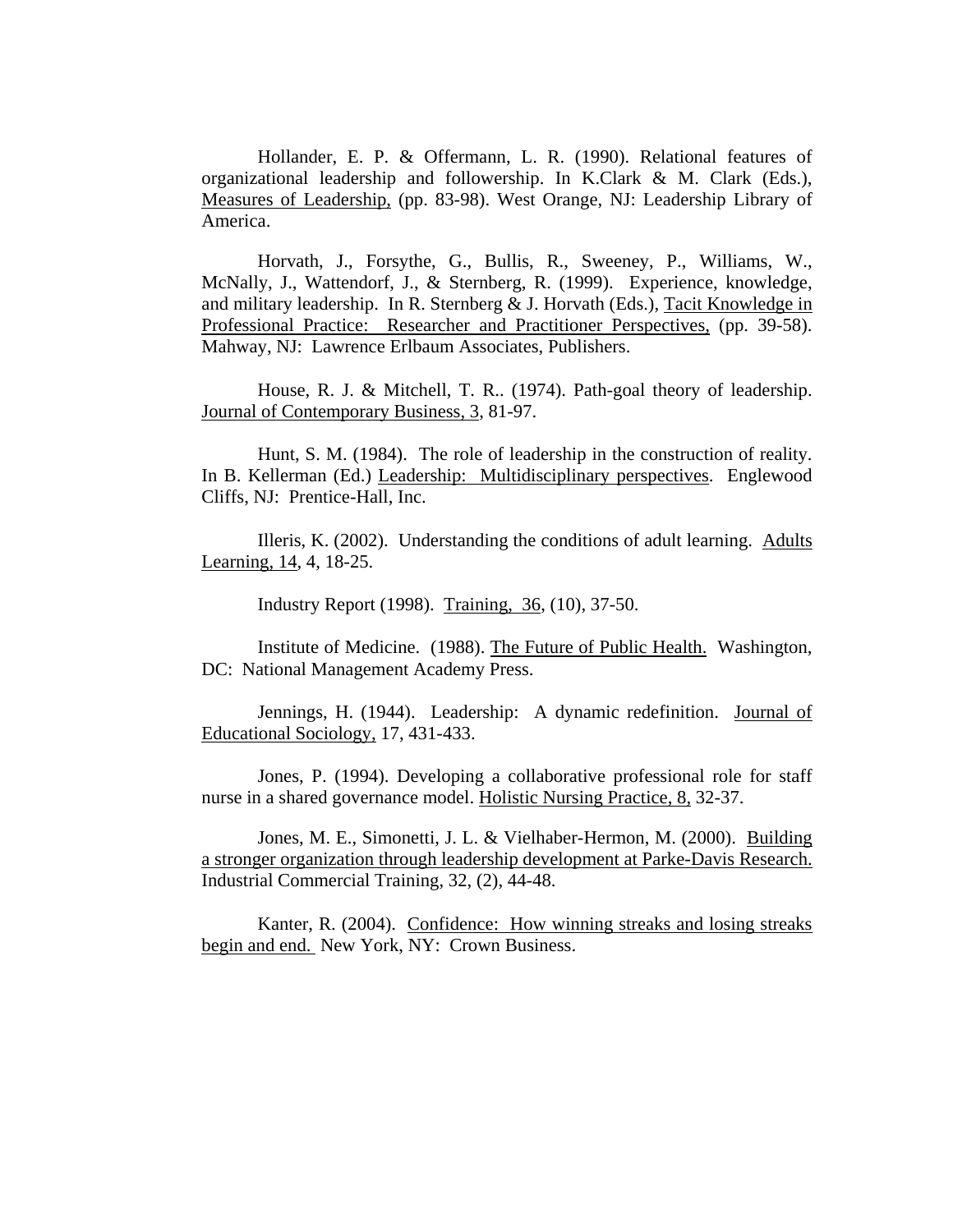Hollander, E. P. & Offermann, L. R. (1990). Relational features of organizational leadership and followership. In K.Clark & M. Clark (Eds.), Measures of Leadership, (pp. 83-98). West Orange, NJ: Leadership Library of America.

Horvath, J., Forsythe, G., Bullis, R., Sweeney, P., Williams, W., McNally, J., Wattendorf, J., & Sternberg, R. (1999). Experience, knowledge, and military leadership. In R. Sternberg & J. Horvath (Eds.), Tacit Knowledge in Professional Practice: Researcher and Practitioner Perspectives, (pp. 39-58). Mahway, NJ: Lawrence Erlbaum Associates, Publishers.

House, R. J. & Mitchell, T. R.. (1974). Path-goal theory of leadership. Journal of Contemporary Business, 3, 81-97.

Hunt, S. M. (1984). The role of leadership in the construction of reality. In B. Kellerman (Ed.) Leadership: Multidisciplinary perspectives. Englewood Cliffs, NJ: Prentice-Hall, Inc.

Illeris, K. (2002). Understanding the conditions of adult learning. Adults Learning, 14, 4, 18-25.

Industry Report (1998). Training, 36, (10), 37-50.

Institute of Medicine. (1988). The Future of Public Health. Washington, DC: National Management Academy Press.

Jennings, H. (1944). Leadership: A dynamic redefinition. Journal of Educational Sociology, 17, 431-433.

Jones, P. (1994). Developing a collaborative professional role for staff nurse in a shared governance model. Holistic Nursing Practice, 8, 32-37.

Jones, M. E., Simonetti, J. L. & Vielhaber-Hermon, M. (2000). Building a stronger organization through leadership development at Parke-Davis Research. Industrial Commercial Training, 32, (2), 44-48.

Kanter, R. (2004). Confidence: How winning streaks and losing streaks begin and end. New York, NY: Crown Business.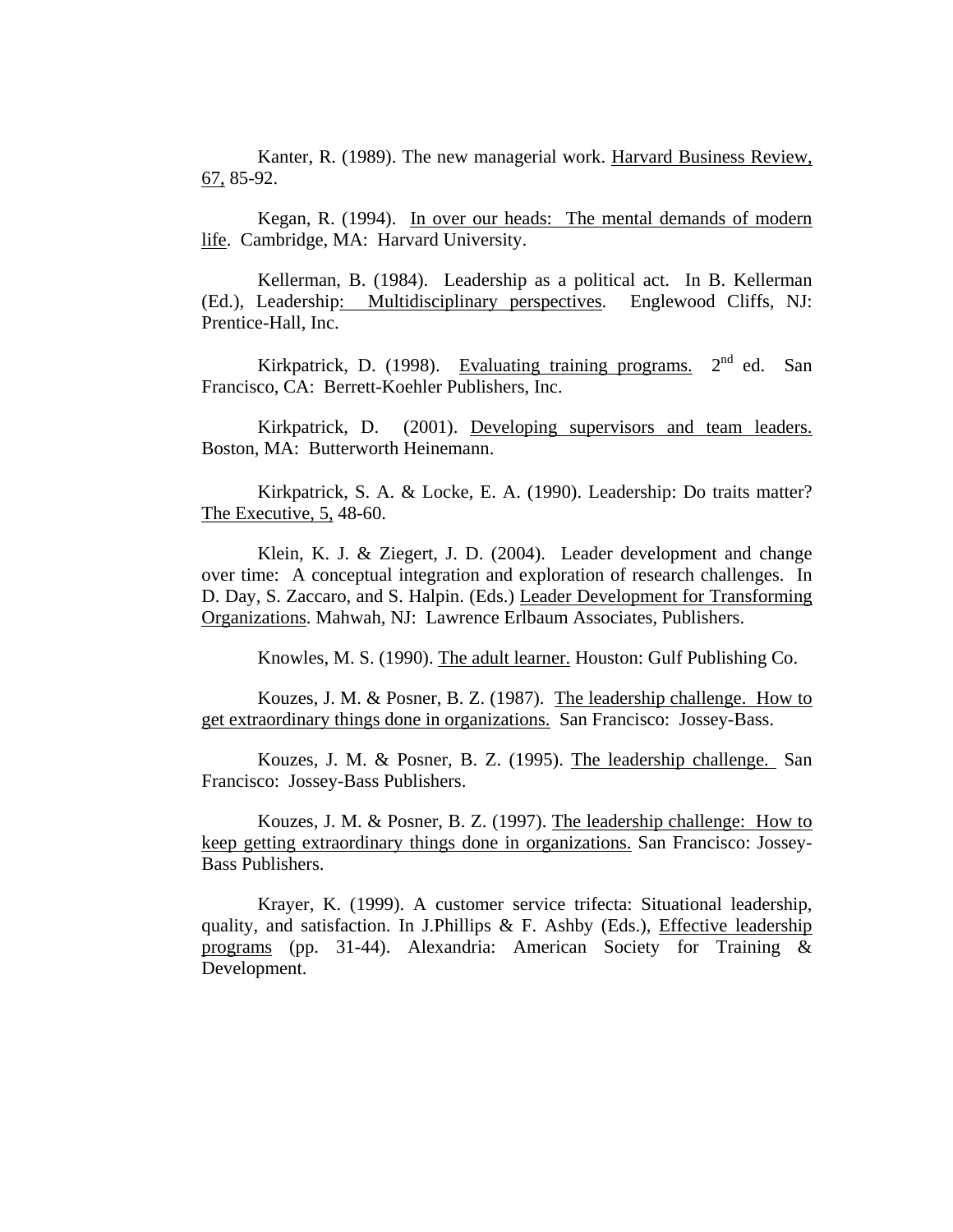Kanter, R. (1989). The new managerial work. Harvard Business Review, 67, 85-92.

Kegan, R. (1994). In over our heads: The mental demands of modern life. Cambridge, MA: Harvard University.

Kellerman, B. (1984). Leadership as a political act. In B. Kellerman (Ed.), Leadership: Multidisciplinary perspectives. Englewood Cliffs, NJ: Prentice-Hall, Inc.

Kirkpatrick, D. (1998). Evaluating training programs. 2<sup>nd</sup> ed. San Francisco, CA: Berrett-Koehler Publishers, Inc.

Kirkpatrick, D. (2001). Developing supervisors and team leaders. Boston, MA: Butterworth Heinemann.

Kirkpatrick, S. A. & Locke, E. A. (1990). Leadership: Do traits matter? The Executive, 5, 48-60.

Klein, K. J. & Ziegert, J. D. (2004). Leader development and change over time: A conceptual integration and exploration of research challenges. In D. Day, S. Zaccaro, and S. Halpin. (Eds.) Leader Development for Transforming Organizations. Mahwah, NJ: Lawrence Erlbaum Associates, Publishers.

Knowles, M. S. (1990). The adult learner. Houston: Gulf Publishing Co.

Kouzes, J. M. & Posner, B. Z. (1987). The leadership challenge. How to get extraordinary things done in organizations. San Francisco: Jossey-Bass.

Kouzes, J. M. & Posner, B. Z. (1995). The leadership challenge. San Francisco: Jossey-Bass Publishers.

Kouzes, J. M. & Posner, B. Z. (1997). The leadership challenge: How to keep getting extraordinary things done in organizations. San Francisco: Jossey-Bass Publishers.

Krayer, K. (1999). A customer service trifecta: Situational leadership, quality, and satisfaction. In J.Phillips  $\&$  F. Ashby (Eds.), Effective leadership programs (pp. 31-44). Alexandria: American Society for Training & Development.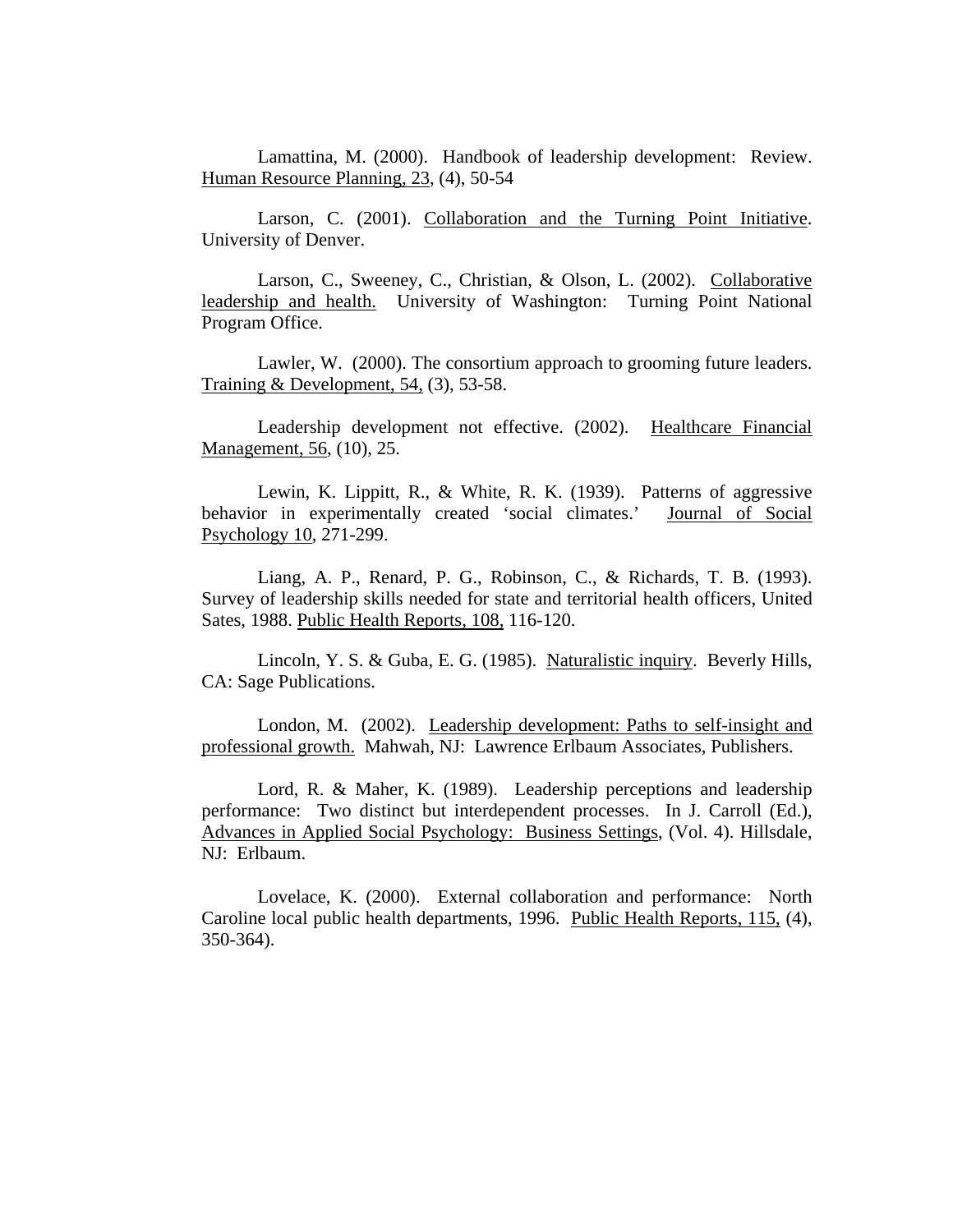Lamattina, M. (2000). Handbook of leadership development: Review. Human Resource Planning, 23, (4), 50-54

Larson, C. (2001). Collaboration and the Turning Point Initiative. University of Denver.

Larson, C., Sweeney, C., Christian, & Olson, L. (2002). Collaborative leadership and health. University of Washington: Turning Point National Program Office.

Lawler, W. (2000). The consortium approach to grooming future leaders. Training & Development, 54, (3), 53-58.

Leadership development not effective. (2002). Healthcare Financial Management, 56, (10), 25.

Lewin, K. Lippitt, R., & White, R. K. (1939). Patterns of aggressive behavior in experimentally created 'social climates.' Journal of Social Psychology 10, 271-299.

Liang, A. P., Renard, P. G., Robinson, C., & Richards, T. B. (1993). Survey of leadership skills needed for state and territorial health officers, United Sates, 1988. Public Health Reports, 108, 116-120.

Lincoln, Y. S. & Guba, E. G. (1985). Naturalistic inquiry. Beverly Hills, CA: Sage Publications.

London, M. (2002). Leadership development: Paths to self-insight and professional growth. Mahwah, NJ: Lawrence Erlbaum Associates, Publishers.

Lord, R. & Maher, K. (1989). Leadership perceptions and leadership performance: Two distinct but interdependent processes. In J. Carroll (Ed.), Advances in Applied Social Psychology: Business Settings, (Vol. 4). Hillsdale, NJ: Erlbaum.

Lovelace, K. (2000). External collaboration and performance: North Caroline local public health departments, 1996. Public Health Reports, 115, (4), 350-364).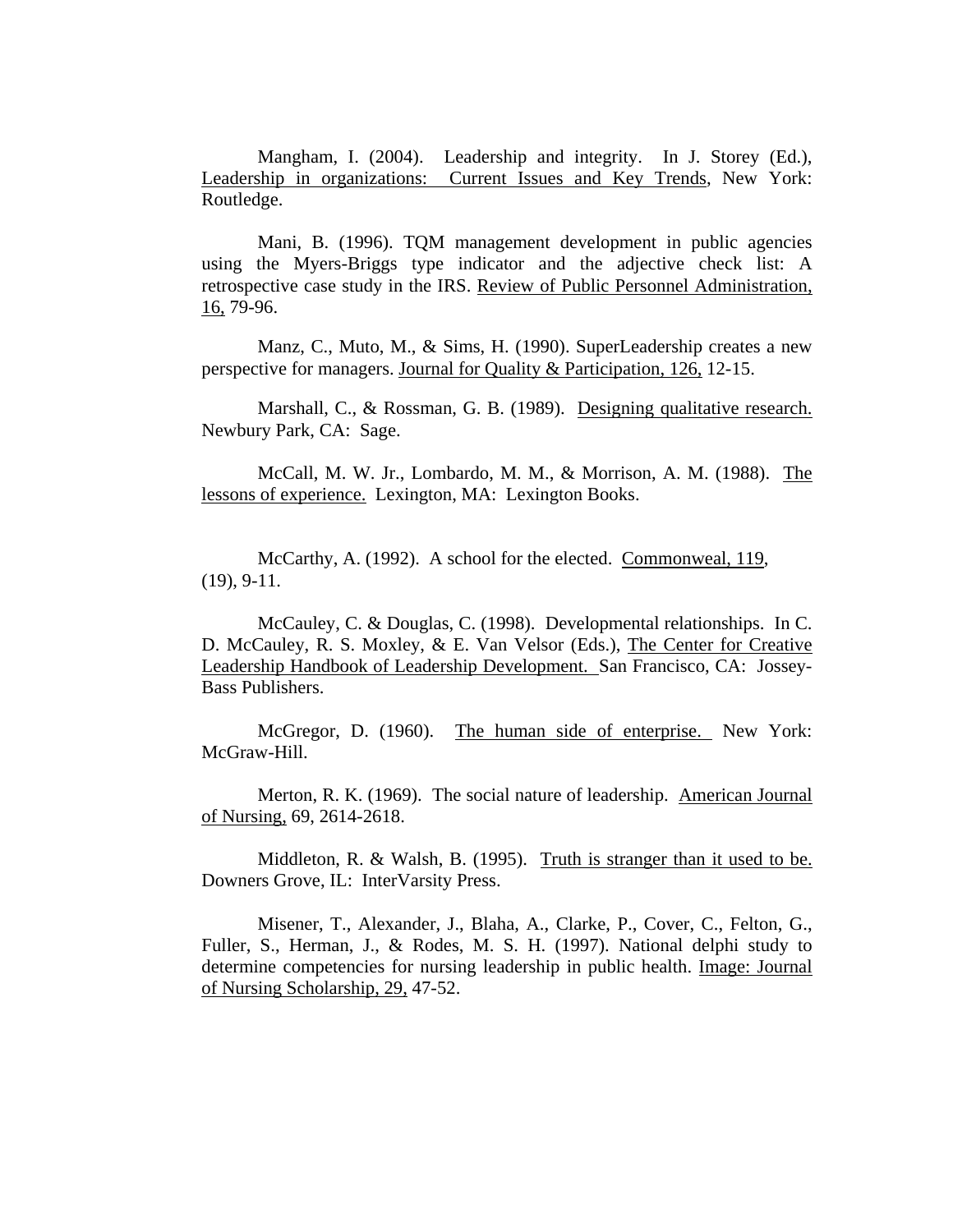Mangham, I. (2004). Leadership and integrity. In J. Storey (Ed.), Leadership in organizations: Current Issues and Key Trends, New York: Routledge.

Mani, B. (1996). TQM management development in public agencies using the Myers-Briggs type indicator and the adjective check list: A retrospective case study in the IRS. Review of Public Personnel Administration, 16, 79-96.

Manz, C., Muto, M., & Sims, H. (1990). SuperLeadership creates a new perspective for managers. Journal for Quality & Participation, 126, 12-15.

Marshall, C., & Rossman, G. B. (1989). Designing qualitative research. Newbury Park, CA: Sage.

McCall, M. W. Jr., Lombardo, M. M., & Morrison, A. M. (1988). The lessons of experience. Lexington, MA: Lexington Books.

McCarthy, A. (1992). A school for the elected. Commonweal, 119, (19), 9-11.

McCauley, C. & Douglas, C. (1998). Developmental relationships. In C. D. McCauley, R. S. Moxley, & E. Van Velsor (Eds.), The Center for Creative Leadership Handbook of Leadership Development. San Francisco, CA: Jossey-Bass Publishers.

 McGregor, D. (1960). The human side of enterprise. New York: McGraw-Hill.

Merton, R. K. (1969). The social nature of leadership. American Journal of Nursing, 69, 2614-2618.

Middleton, R. & Walsh, B. (1995). Truth is stranger than it used to be. Downers Grove, IL: InterVarsity Press.

Misener, T., Alexander, J., Blaha, A., Clarke, P., Cover, C., Felton, G., Fuller, S., Herman, J., & Rodes, M. S. H. (1997). National delphi study to determine competencies for nursing leadership in public health. Image: Journal of Nursing Scholarship, 29, 47-52.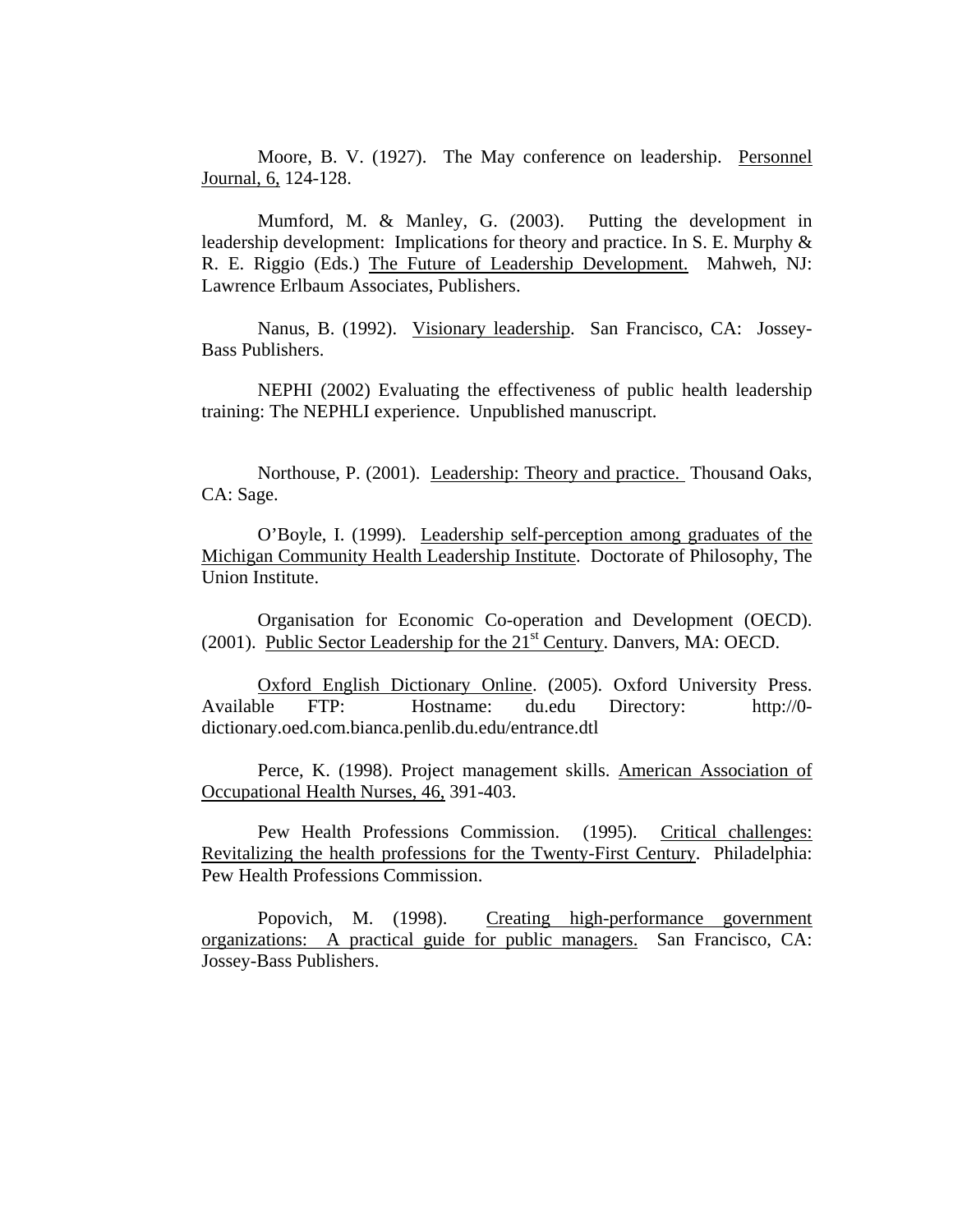Moore, B. V. (1927). The May conference on leadership. Personnel Journal, 6, 124-128.

Mumford, M. & Manley, G. (2003). Putting the development in leadership development: Implications for theory and practice. In S. E. Murphy & R. E. Riggio (Eds.) The Future of Leadership Development. Mahweh, NJ: Lawrence Erlbaum Associates, Publishers.

Nanus, B. (1992). Visionary leadership. San Francisco, CA: Jossey-Bass Publishers.

NEPHI (2002) Evaluating the effectiveness of public health leadership training: The NEPHLI experience. Unpublished manuscript.

Northouse, P. (2001). Leadership: Theory and practice. Thousand Oaks, CA: Sage.

O'Boyle, I. (1999). Leadership self-perception among graduates of the Michigan Community Health Leadership Institute. Doctorate of Philosophy, The Union Institute.

Organisation for Economic Co-operation and Development (OECD). (2001). Public Sector Leadership for the  $21<sup>st</sup>$  Century. Danvers, MA: OECD.

Oxford English Dictionary Online. (2005). Oxford University Press. Available FTP: Hostname: du.edu Directory: http://0 dictionary.oed.com.bianca.penlib.du.edu/entrance.dtl

Perce, K. (1998). Project management skills. American Association of Occupational Health Nurses, 46, 391-403.

Pew Health Professions Commission. (1995). Critical challenges: Revitalizing the health professions for the Twenty-First Century. Philadelphia: Pew Health Professions Commission.

Popovich, M. (1998). Creating high-performance government organizations: A practical guide for public managers. San Francisco, CA: Jossey-Bass Publishers.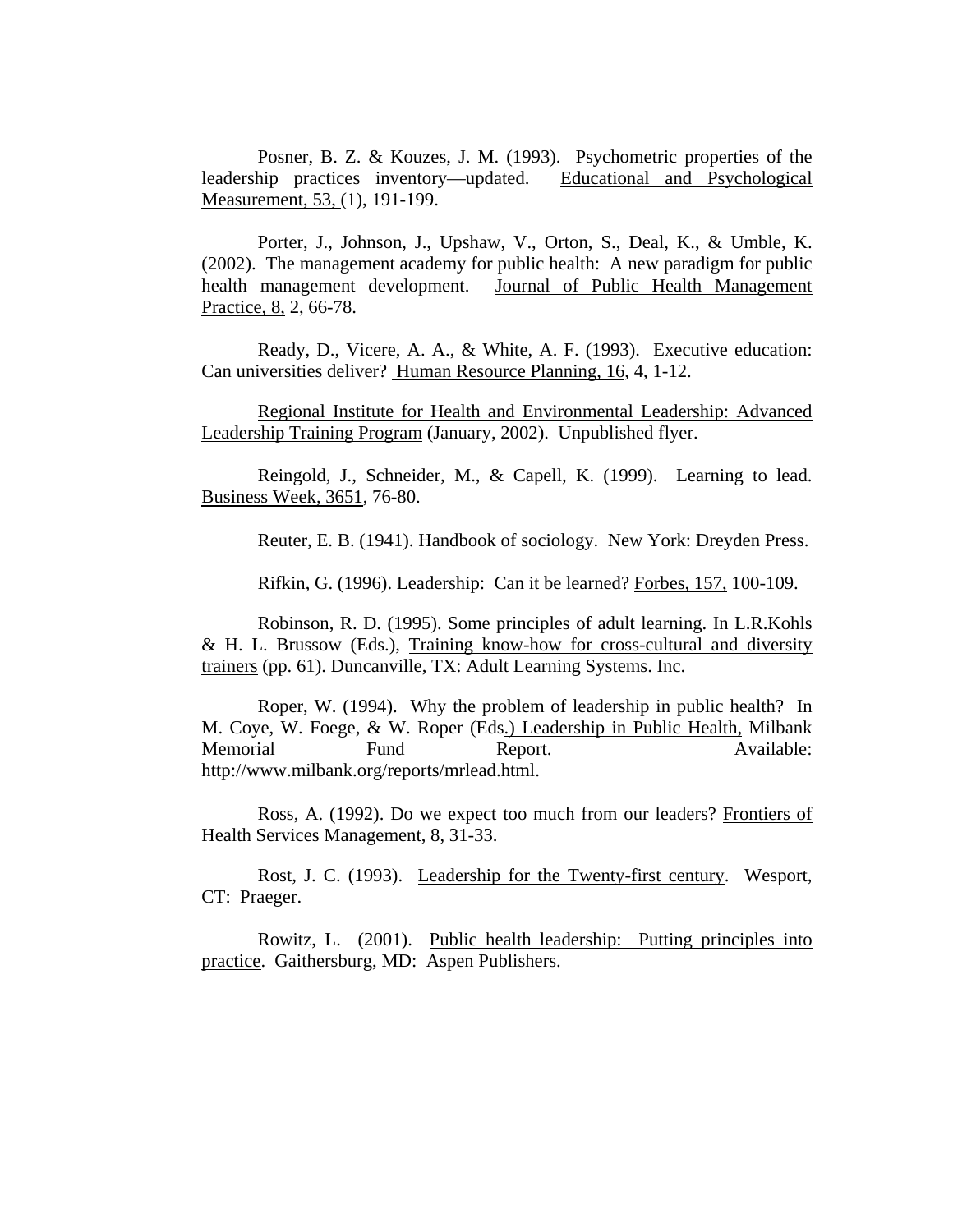Posner, B. Z. & Kouzes, J. M. (1993). Psychometric properties of the leadership practices inventory—updated. Educational and Psychological Measurement, 53, (1), 191-199.

Porter, J., Johnson, J., Upshaw, V., Orton, S., Deal, K., & Umble, K. (2002). The management academy for public health: A new paradigm for public health management development. Journal of Public Health Management Practice, 8, 2, 66-78.

Ready, D., Vicere, A. A., & White, A. F. (1993). Executive education: Can universities deliver? Human Resource Planning, 16, 4, 1-12.

Regional Institute for Health and Environmental Leadership: Advanced Leadership Training Program (January, 2002). Unpublished flyer.

Reingold, J., Schneider, M., & Capell, K. (1999). Learning to lead. Business Week, 3651, 76-80.

Reuter, E. B. (1941). Handbook of sociology. New York: Dreyden Press.

Rifkin, G. (1996). Leadership: Can it be learned? Forbes, 157, 100-109.

Robinson, R. D. (1995). Some principles of adult learning. In L.R.Kohls & H. L. Brussow (Eds.), Training know-how for cross-cultural and diversity trainers (pp. 61). Duncanville, TX: Adult Learning Systems. Inc.

Roper, W. (1994). Why the problem of leadership in public health? In M. Coye, W. Foege, & W. Roper (Eds.) Leadership in Public Health, Milbank Memorial Fund Report. Available: http://www.milbank.org/reports/mrlead.html.

Ross, A. (1992). Do we expect too much from our leaders? Frontiers of Health Services Management, 8, 31-33.

Rost, J. C. (1993). Leadership for the Twenty-first century. Wesport, CT: Praeger.

Rowitz, L. (2001). Public health leadership: Putting principles into practice. Gaithersburg, MD: Aspen Publishers.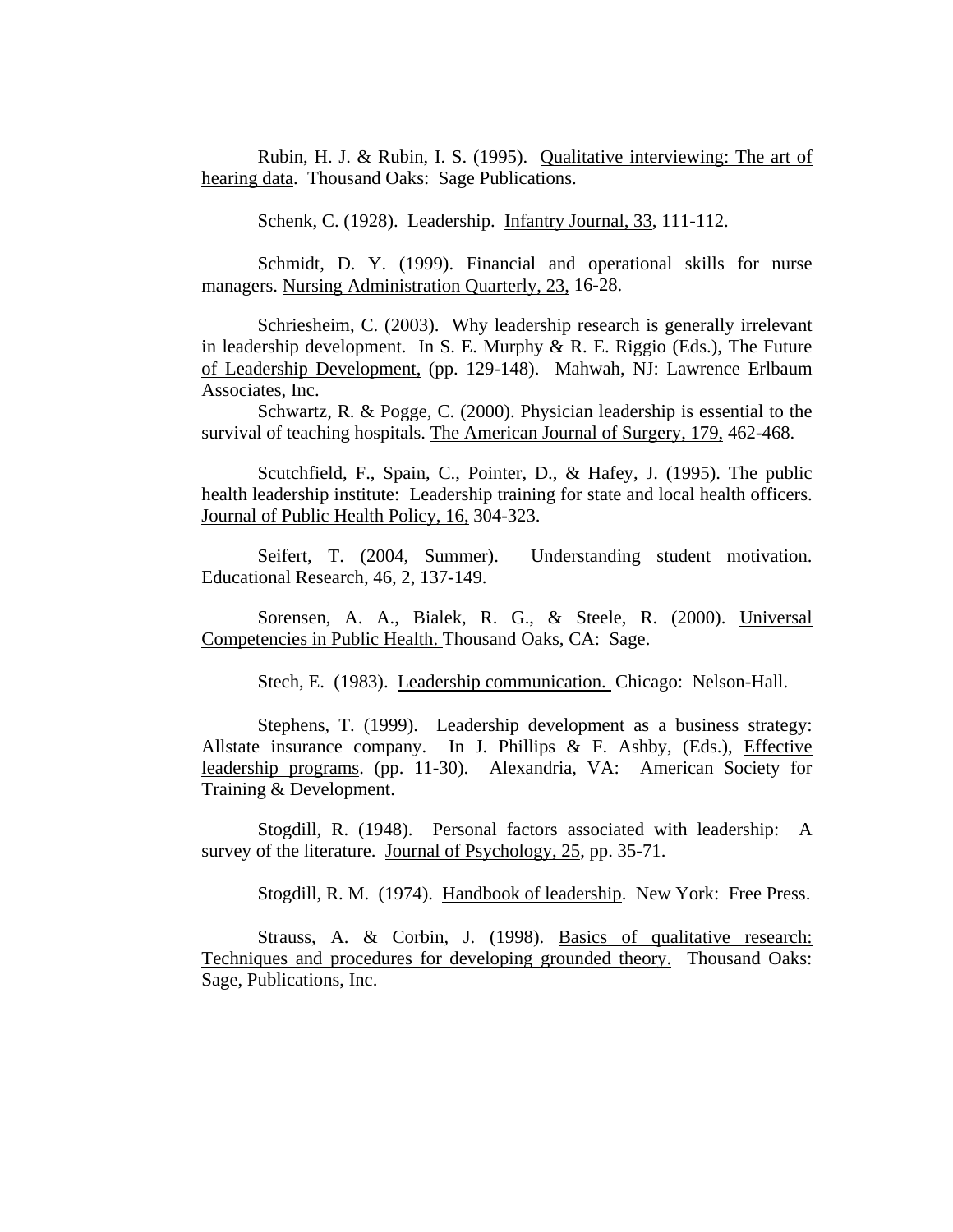Rubin, H. J. & Rubin, I. S. (1995). Qualitative interviewing: The art of hearing data. Thousand Oaks: Sage Publications.

Schenk, C. (1928). Leadership. Infantry Journal, 33, 111-112.

Schmidt, D. Y. (1999). Financial and operational skills for nurse managers. Nursing Administration Quarterly, 23, 16-28.

Schriesheim, C. (2003). Why leadership research is generally irrelevant in leadership development. In S. E. Murphy  $\& R$ . E. Riggio (Eds.), The Future of Leadership Development, (pp. 129-148). Mahwah, NJ: Lawrence Erlbaum Associates, Inc.

Schwartz, R. & Pogge, C. (2000). Physician leadership is essential to the survival of teaching hospitals. The American Journal of Surgery, 179, 462-468.

Scutchfield, F., Spain, C., Pointer, D., & Hafey, J. (1995). The public health leadership institute: Leadership training for state and local health officers. Journal of Public Health Policy, 16, 304-323.

Seifert, T. (2004, Summer). Understanding student motivation. Educational Research, 46, 2, 137-149.

Sorensen, A. A., Bialek, R. G., & Steele, R. (2000). Universal Competencies in Public Health. Thousand Oaks, CA: Sage.

Stech, E. (1983). Leadership communication. Chicago: Nelson-Hall.

Stephens, T. (1999). Leadership development as a business strategy: Allstate insurance company. In J. Phillips  $\&$  F. Ashby, (Eds.), Effective leadership programs. (pp. 11-30). Alexandria, VA: American Society for Training & Development.

Stogdill, R. (1948). Personal factors associated with leadership: A survey of the literature. Journal of Psychology, 25, pp. 35-71.

Stogdill, R. M. (1974). Handbook of leadership. New York: Free Press.

Strauss, A. & Corbin, J. (1998). Basics of qualitative research: Techniques and procedures for developing grounded theory. Thousand Oaks: Sage, Publications, Inc.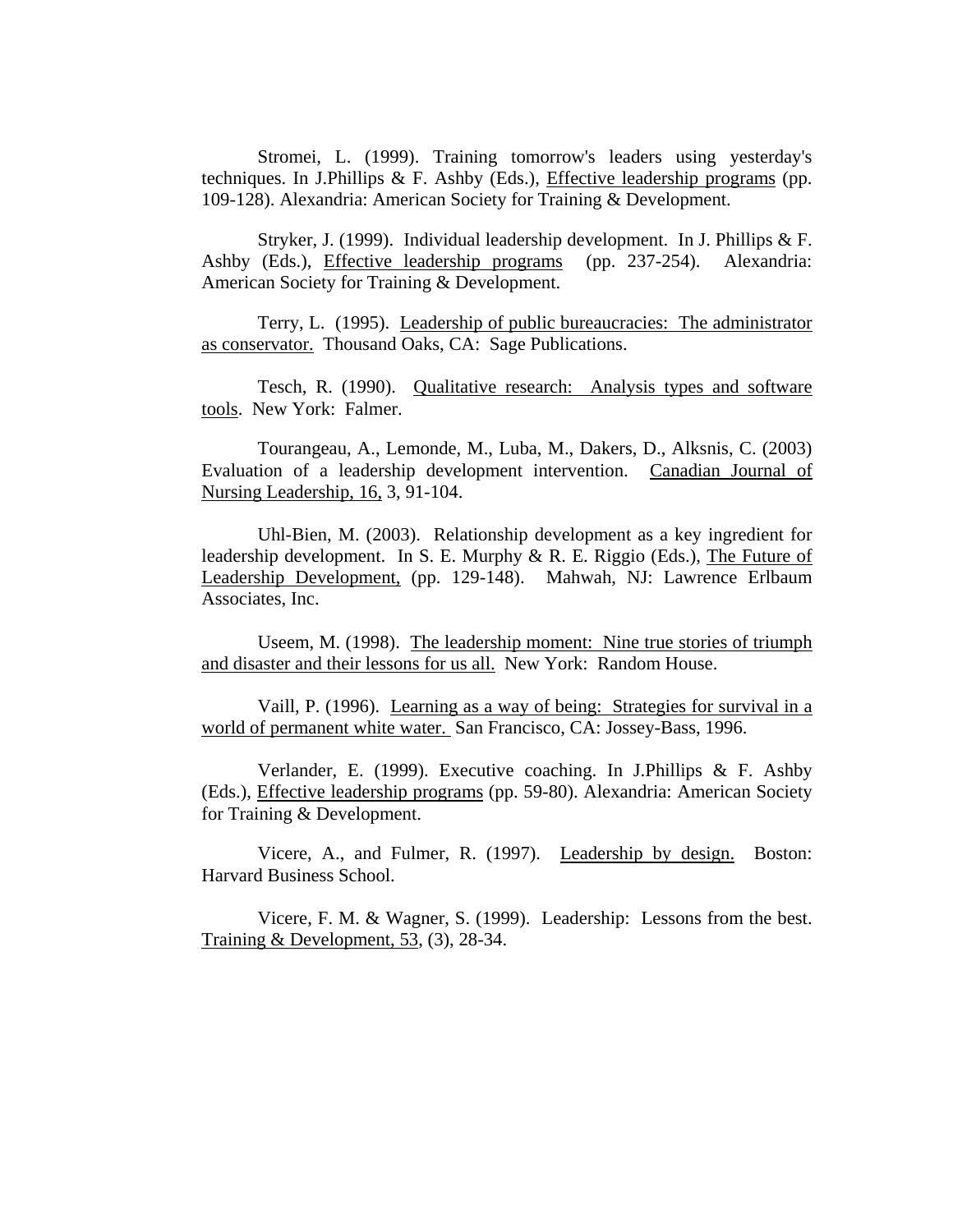Stromei, L. (1999). Training tomorrow's leaders using yesterday's techniques. In J.Phillips & F. Ashby (Eds.), Effective leadership programs (pp. 109-128). Alexandria: American Society for Training & Development.

Stryker, J. (1999). Individual leadership development. In J. Phillips & F. Ashby (Eds.), Effective leadership programs (pp. 237-254). Alexandria: American Society for Training & Development.

Terry, L. (1995). Leadership of public bureaucracies: The administrator as conservator. Thousand Oaks, CA: Sage Publications.

Tesch, R. (1990). Qualitative research: Analysis types and software tools. New York: Falmer.

Tourangeau, A., Lemonde, M., Luba, M., Dakers, D., Alksnis, C. (2003) Evaluation of a leadership development intervention. Canadian Journal of Nursing Leadership, 16, 3, 91-104.

Uhl-Bien, M. (2003). Relationship development as a key ingredient for leadership development. In S. E. Murphy & R. E. Riggio (Eds.), The Future of Leadership Development, (pp. 129-148). Mahwah, NJ: Lawrence Erlbaum Associates, Inc.

Useem, M. (1998). The leadership moment: Nine true stories of triumph and disaster and their lessons for us all. New York: Random House.

Vaill, P. (1996). Learning as a way of being: Strategies for survival in a world of permanent white water. San Francisco, CA: Jossey-Bass, 1996.

Verlander, E. (1999). Executive coaching. In J.Phillips & F. Ashby (Eds.), Effective leadership programs (pp. 59-80). Alexandria: American Society for Training & Development.

Vicere, A., and Fulmer, R. (1997). Leadership by design. Boston: Harvard Business School.

Vicere, F. M. & Wagner, S. (1999). Leadership: Lessons from the best. Training & Development, 53, (3), 28-34.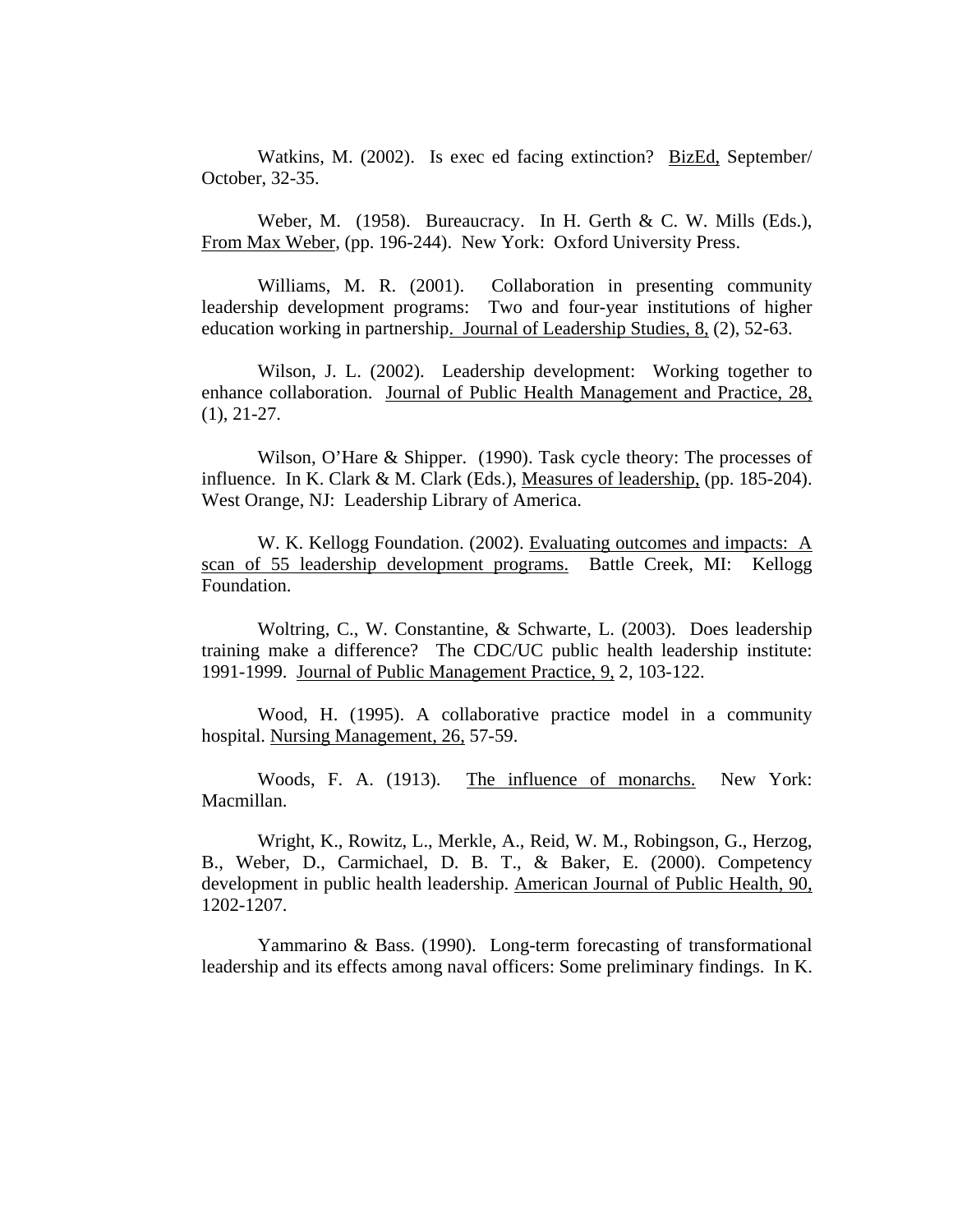Watkins, M. (2002). Is exec ed facing extinction? BizEd, September/ October, 32-35.

Weber, M. (1958). Bureaucracy. In H. Gerth & C. W. Mills (Eds.), From Max Weber, (pp. 196-244). New York: Oxford University Press.

Williams, M. R. (2001). Collaboration in presenting community leadership development programs: Two and four-year institutions of higher education working in partnership. Journal of Leadership Studies, 8, (2), 52-63.

Wilson, J. L. (2002). Leadership development: Working together to enhance collaboration. Journal of Public Health Management and Practice, 28, (1), 21-27.

Wilson, O'Hare & Shipper. (1990). Task cycle theory: The processes of influence. In K. Clark & M. Clark (Eds.), Measures of leadership, (pp. 185-204). West Orange, NJ: Leadership Library of America.

W. K. Kellogg Foundation. (2002). Evaluating outcomes and impacts: A scan of 55 leadership development programs. Battle Creek, MI: Kellogg Foundation.

Woltring, C., W. Constantine, & Schwarte, L. (2003). Does leadership training make a difference? The CDC/UC public health leadership institute: 1991-1999. Journal of Public Management Practice, 9, 2, 103-122.

Wood, H. (1995). A collaborative practice model in a community hospital. Nursing Management, 26, 57-59.

Woods, F. A. (1913). The influence of monarchs. New York: Macmillan.

Wright, K., Rowitz, L., Merkle, A., Reid, W. M., Robingson, G., Herzog, B., Weber, D., Carmichael, D. B. T., & Baker, E. (2000). Competency development in public health leadership. American Journal of Public Health, 90, 1202-1207.

Yammarino & Bass. (1990). Long-term forecasting of transformational leadership and its effects among naval officers: Some preliminary findings. In K.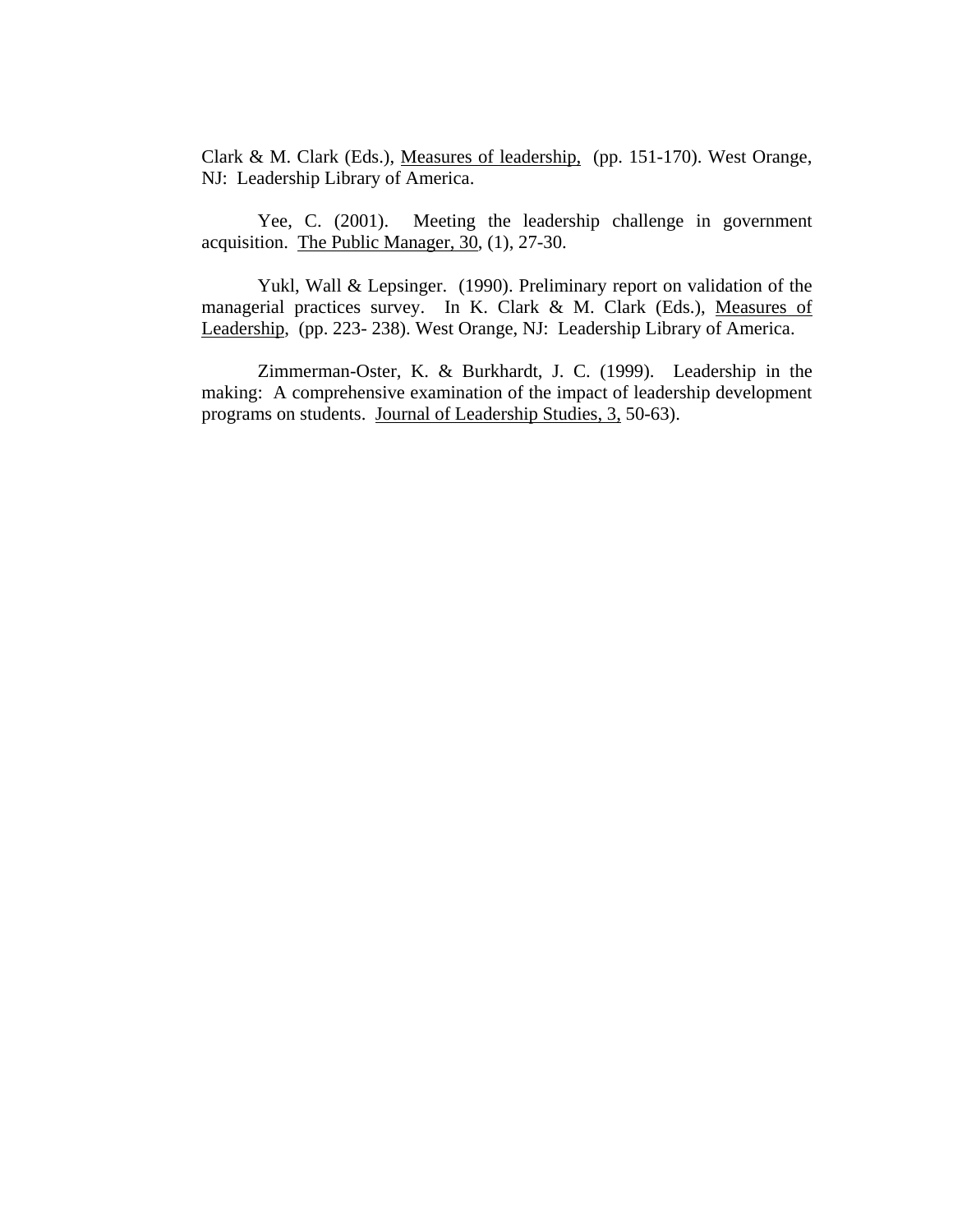Clark & M. Clark (Eds.), Measures of leadership, (pp. 151-170). West Orange, NJ: Leadership Library of America.

Yee, C. (2001). Meeting the leadership challenge in government acquisition. The Public Manager, 30, (1), 27-30.

Yukl, Wall & Lepsinger. (1990). Preliminary report on validation of the managerial practices survey. In K. Clark & M. Clark (Eds.), Measures of Leadership, (pp. 223- 238). West Orange, NJ: Leadership Library of America.

Zimmerman-Oster, K. & Burkhardt, J. C. (1999). Leadership in the making: A comprehensive examination of the impact of leadership development programs on students. Journal of Leadership Studies, 3, 50-63).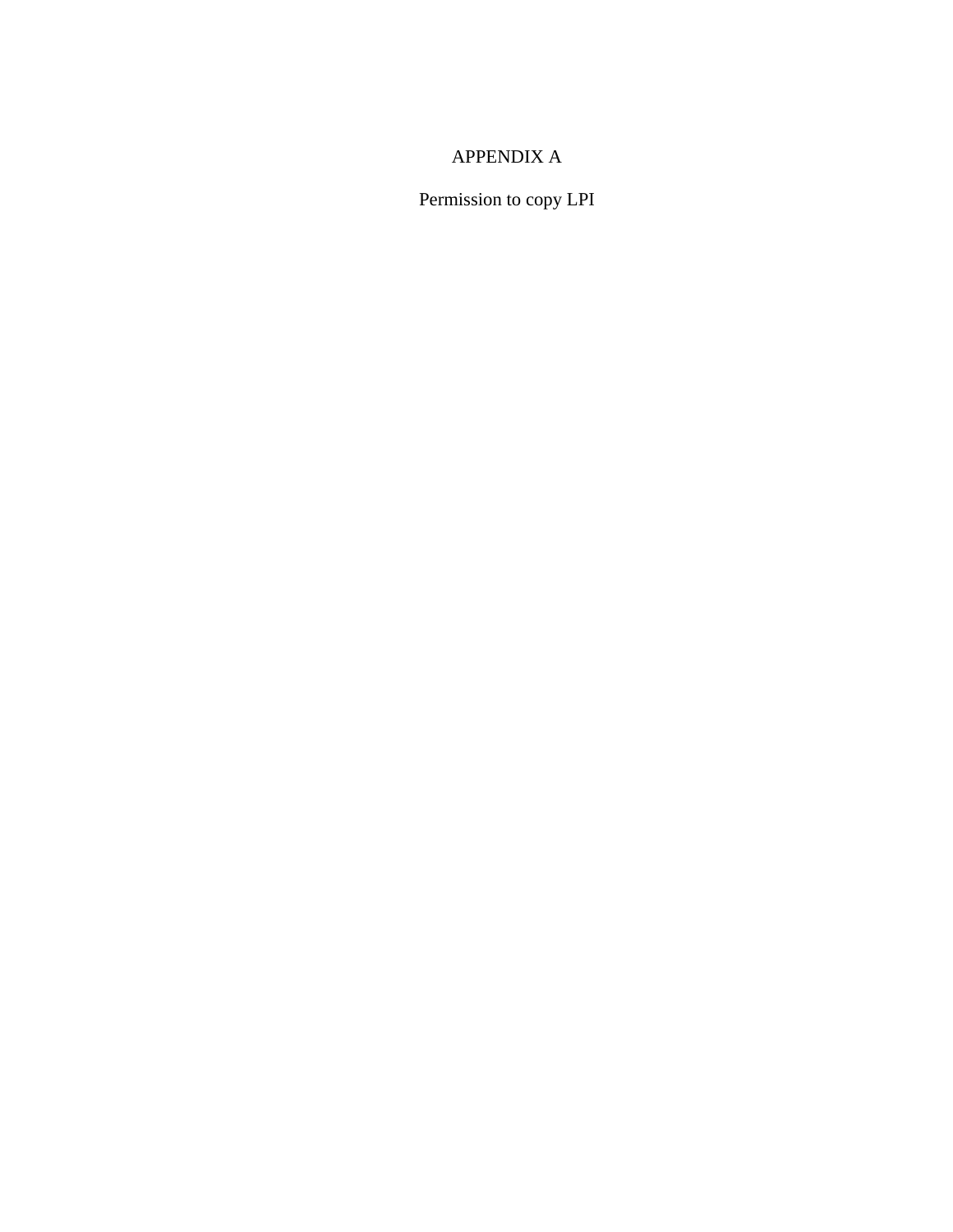# APPENDIX A

Permission to copy LPI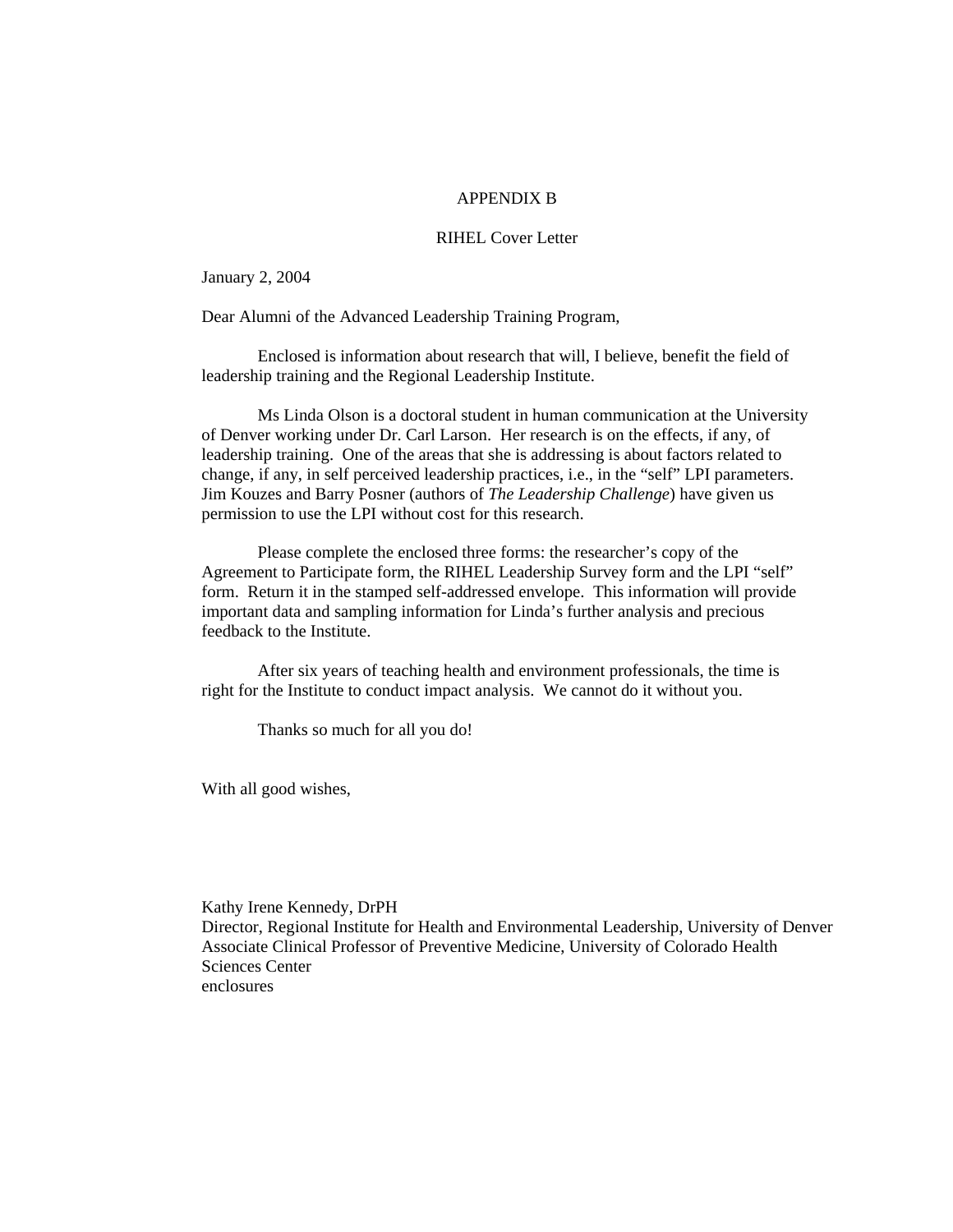### APPENDIX B

#### RIHEL Cover Letter

January 2, 2004

Dear Alumni of the Advanced Leadership Training Program,

Enclosed is information about research that will, I believe, benefit the field of leadership training and the Regional Leadership Institute.

Ms Linda Olson is a doctoral student in human communication at the University of Denver working under Dr. Carl Larson. Her research is on the effects, if any, of leadership training. One of the areas that she is addressing is about factors related to change, if any, in self perceived leadership practices, i.e., in the "self" LPI parameters. Jim Kouzes and Barry Posner (authors of *The Leadership Challenge*) have given us permission to use the LPI without cost for this research.

Please complete the enclosed three forms: the researcher's copy of the Agreement to Participate form, the RIHEL Leadership Survey form and the LPI "self" form. Return it in the stamped self-addressed envelope. This information will provide important data and sampling information for Linda's further analysis and precious feedback to the Institute.

After six years of teaching health and environment professionals, the time is right for the Institute to conduct impact analysis. We cannot do it without you.

Thanks so much for all you do!

With all good wishes,

Kathy Irene Kennedy, DrPH Director, Regional Institute for Health and Environmental Leadership, University of Denver Associate Clinical Professor of Preventive Medicine, University of Colorado Health Sciences Center enclosures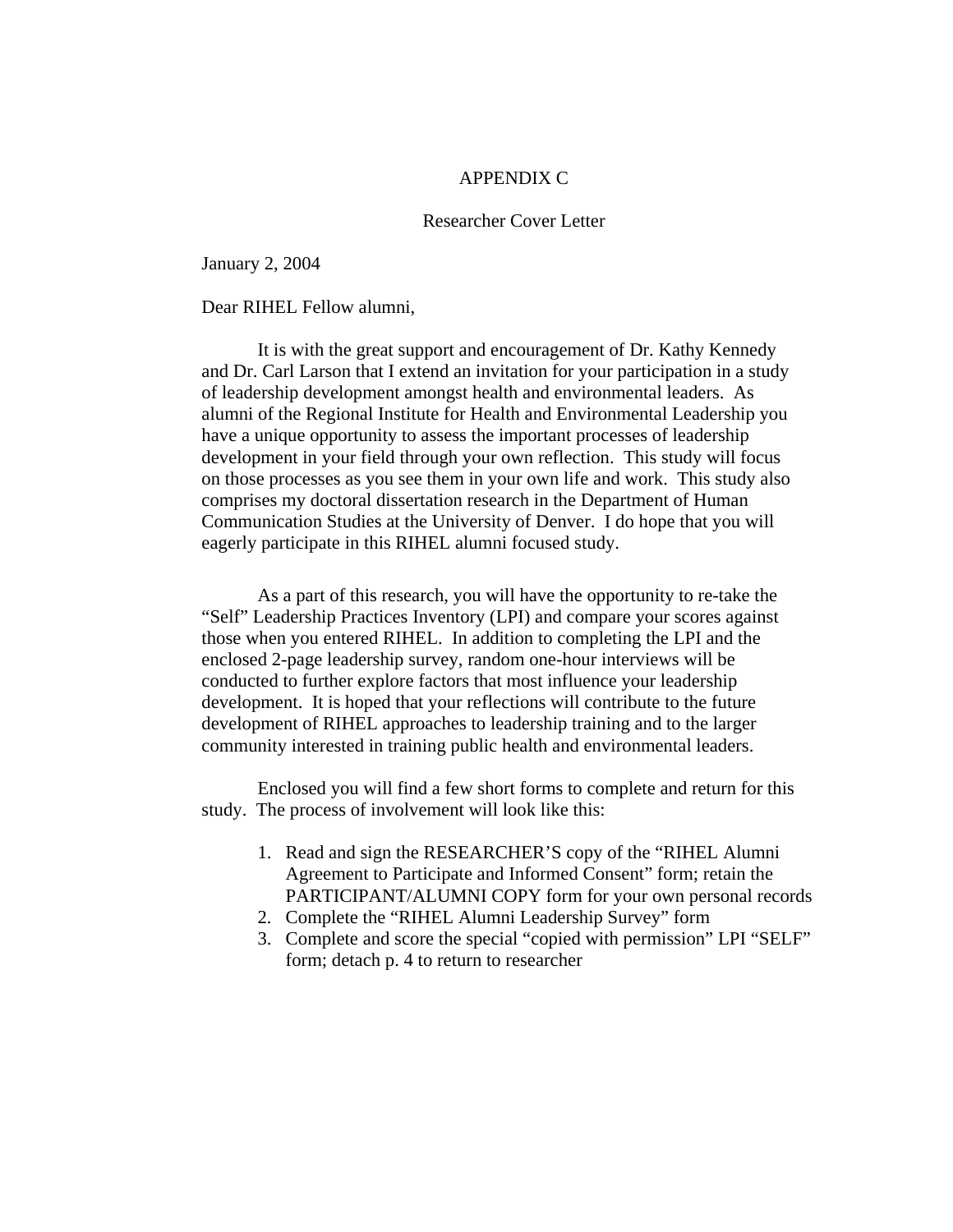### APPENDIX C

### Researcher Cover Letter

January 2, 2004

#### Dear RIHEL Fellow alumni,

 It is with the great support and encouragement of Dr. Kathy Kennedy and Dr. Carl Larson that I extend an invitation for your participation in a study of leadership development amongst health and environmental leaders. As alumni of the Regional Institute for Health and Environmental Leadership you have a unique opportunity to assess the important processes of leadership development in your field through your own reflection. This study will focus on those processes as you see them in your own life and work. This study also comprises my doctoral dissertation research in the Department of Human Communication Studies at the University of Denver. I do hope that you will eagerly participate in this RIHEL alumni focused study.

As a part of this research, you will have the opportunity to re-take the "Self" Leadership Practices Inventory (LPI) and compare your scores against those when you entered RIHEL. In addition to completing the LPI and the enclosed 2-page leadership survey, random one-hour interviews will be conducted to further explore factors that most influence your leadership development. It is hoped that your reflections will contribute to the future development of RIHEL approaches to leadership training and to the larger community interested in training public health and environmental leaders.

Enclosed you will find a few short forms to complete and return for this study. The process of involvement will look like this:

- 1. Read and sign the RESEARCHER'S copy of the "RIHEL Alumni Agreement to Participate and Informed Consent" form; retain the PARTICIPANT/ALUMNI COPY form for your own personal records
- 2. Complete the "RIHEL Alumni Leadership Survey" form
- 3. Complete and score the special "copied with permission" LPI "SELF" form; detach p. 4 to return to researcher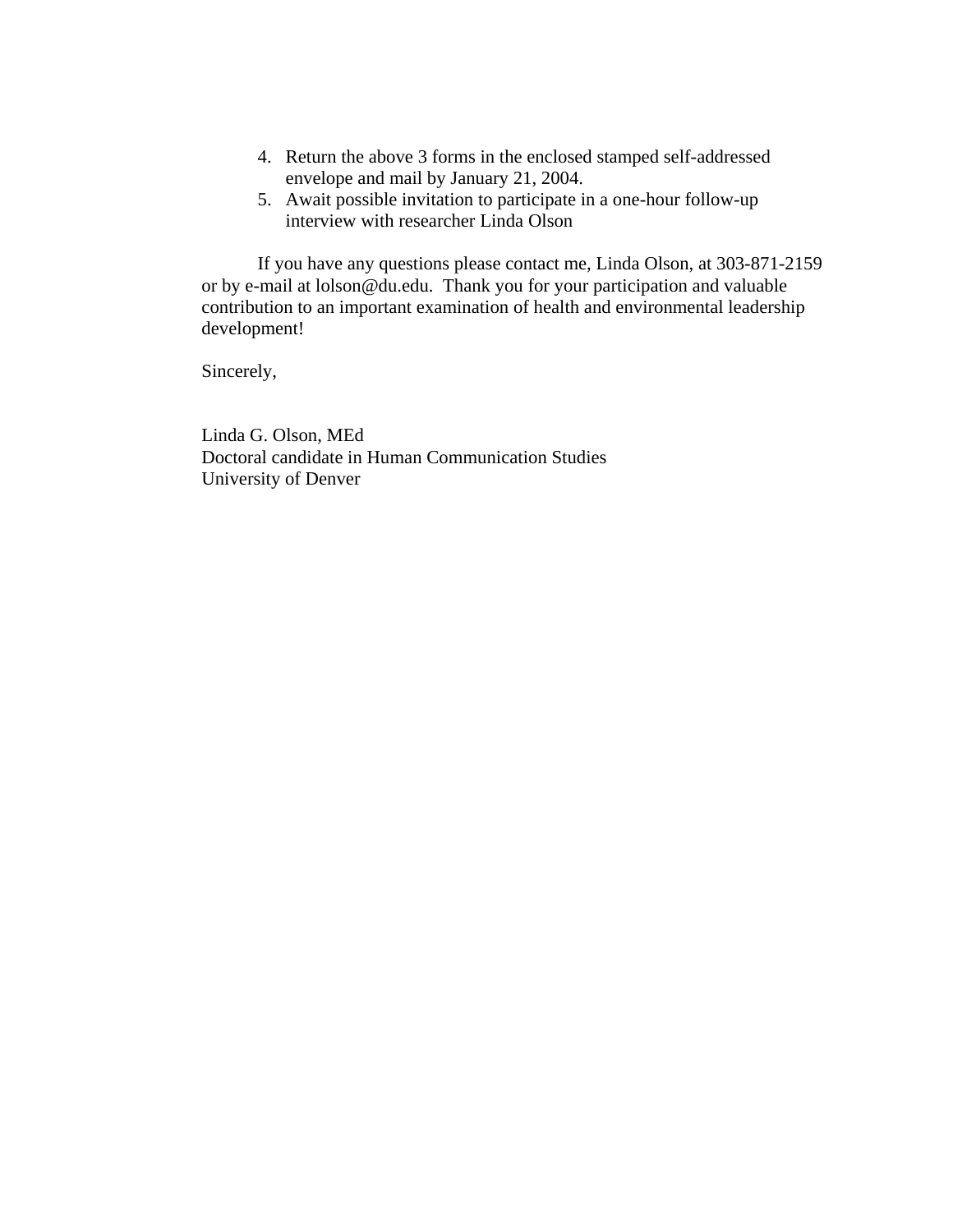- 4. Return the above 3 forms in the enclosed stamped self-addressed envelope and mail by January 21, 2004.
- 5. Await possible invitation to participate in a one-hour follow-up interview with researcher Linda Olson

If you have any questions please contact me, Linda Olson, at 303-871-2159 or by e-mail at lolson@du.edu. Thank you for your participation and valuable contribution to an important examination of health and environmental leadership development!

Sincerely,

Linda G. Olson, MEd Doctoral candidate in Human Communication Studies University of Denver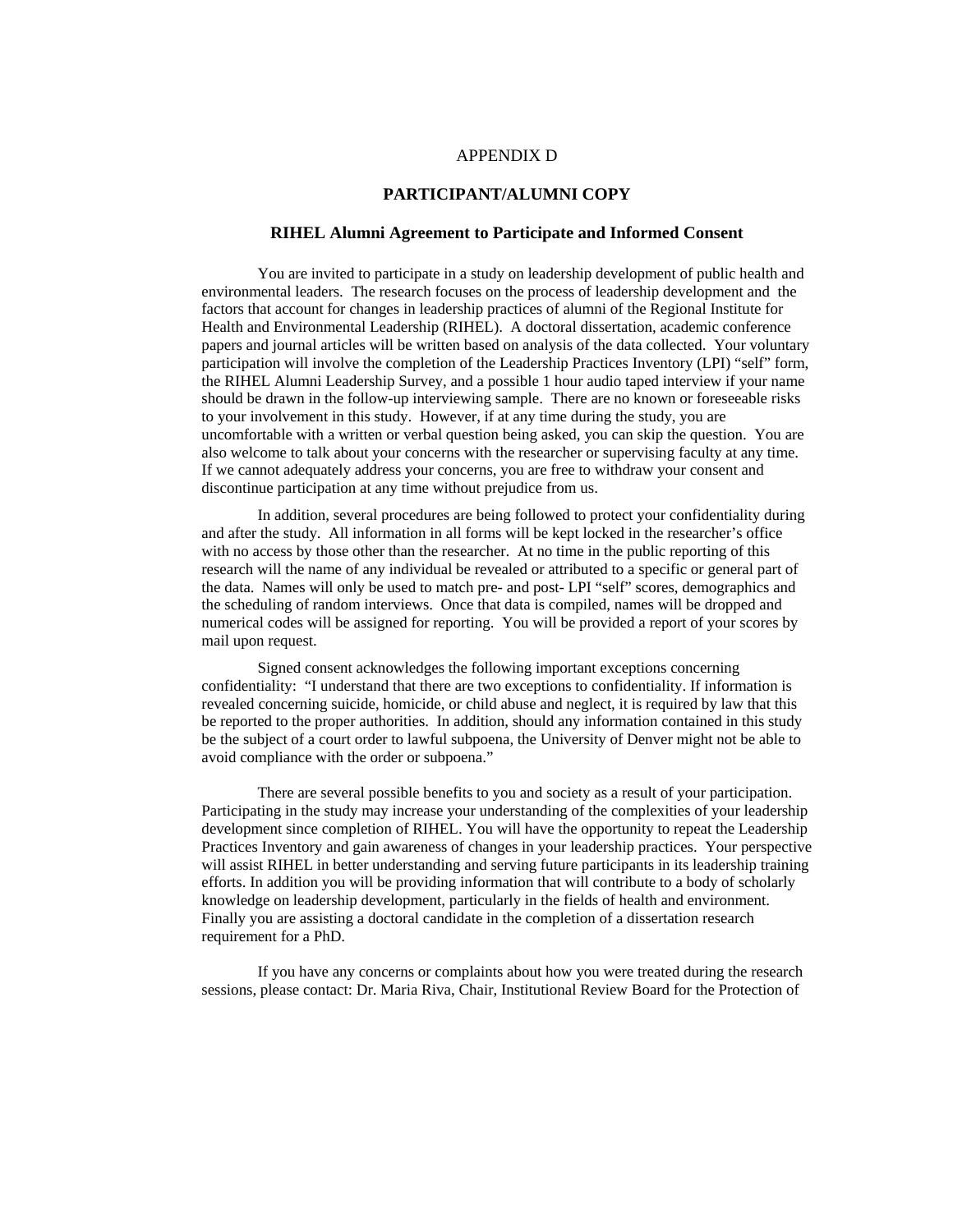#### APPENDIX D

#### **PARTICIPANT/ALUMNI COPY**

#### **RIHEL Alumni Agreement to Participate and Informed Consent**

You are invited to participate in a study on leadership development of public health and environmental leaders. The research focuses on the process of leadership development and the factors that account for changes in leadership practices of alumni of the Regional Institute for Health and Environmental Leadership (RIHEL). A doctoral dissertation, academic conference papers and journal articles will be written based on analysis of the data collected. Your voluntary participation will involve the completion of the Leadership Practices Inventory (LPI) "self" form, the RIHEL Alumni Leadership Survey, and a possible 1 hour audio taped interview if your name should be drawn in the follow-up interviewing sample. There are no known or foreseeable risks to your involvement in this study. However, if at any time during the study, you are uncomfortable with a written or verbal question being asked, you can skip the question. You are also welcome to talk about your concerns with the researcher or supervising faculty at any time. If we cannot adequately address your concerns, you are free to withdraw your consent and discontinue participation at any time without prejudice from us.

In addition, several procedures are being followed to protect your confidentiality during and after the study. All information in all forms will be kept locked in the researcher's office with no access by those other than the researcher. At no time in the public reporting of this research will the name of any individual be revealed or attributed to a specific or general part of the data. Names will only be used to match pre- and post- LPI "self" scores, demographics and the scheduling of random interviews. Once that data is compiled, names will be dropped and numerical codes will be assigned for reporting. You will be provided a report of your scores by mail upon request.

Signed consent acknowledges the following important exceptions concerning confidentiality: "I understand that there are two exceptions to confidentiality. If information is revealed concerning suicide, homicide, or child abuse and neglect, it is required by law that this be reported to the proper authorities. In addition, should any information contained in this study be the subject of a court order to lawful subpoena, the University of Denver might not be able to avoid compliance with the order or subpoena."

There are several possible benefits to you and society as a result of your participation. Participating in the study may increase your understanding of the complexities of your leadership development since completion of RIHEL. You will have the opportunity to repeat the Leadership Practices Inventory and gain awareness of changes in your leadership practices. Your perspective will assist RIHEL in better understanding and serving future participants in its leadership training efforts. In addition you will be providing information that will contribute to a body of scholarly knowledge on leadership development, particularly in the fields of health and environment. Finally you are assisting a doctoral candidate in the completion of a dissertation research requirement for a PhD.

If you have any concerns or complaints about how you were treated during the research sessions, please contact: Dr. Maria Riva, Chair, Institutional Review Board for the Protection of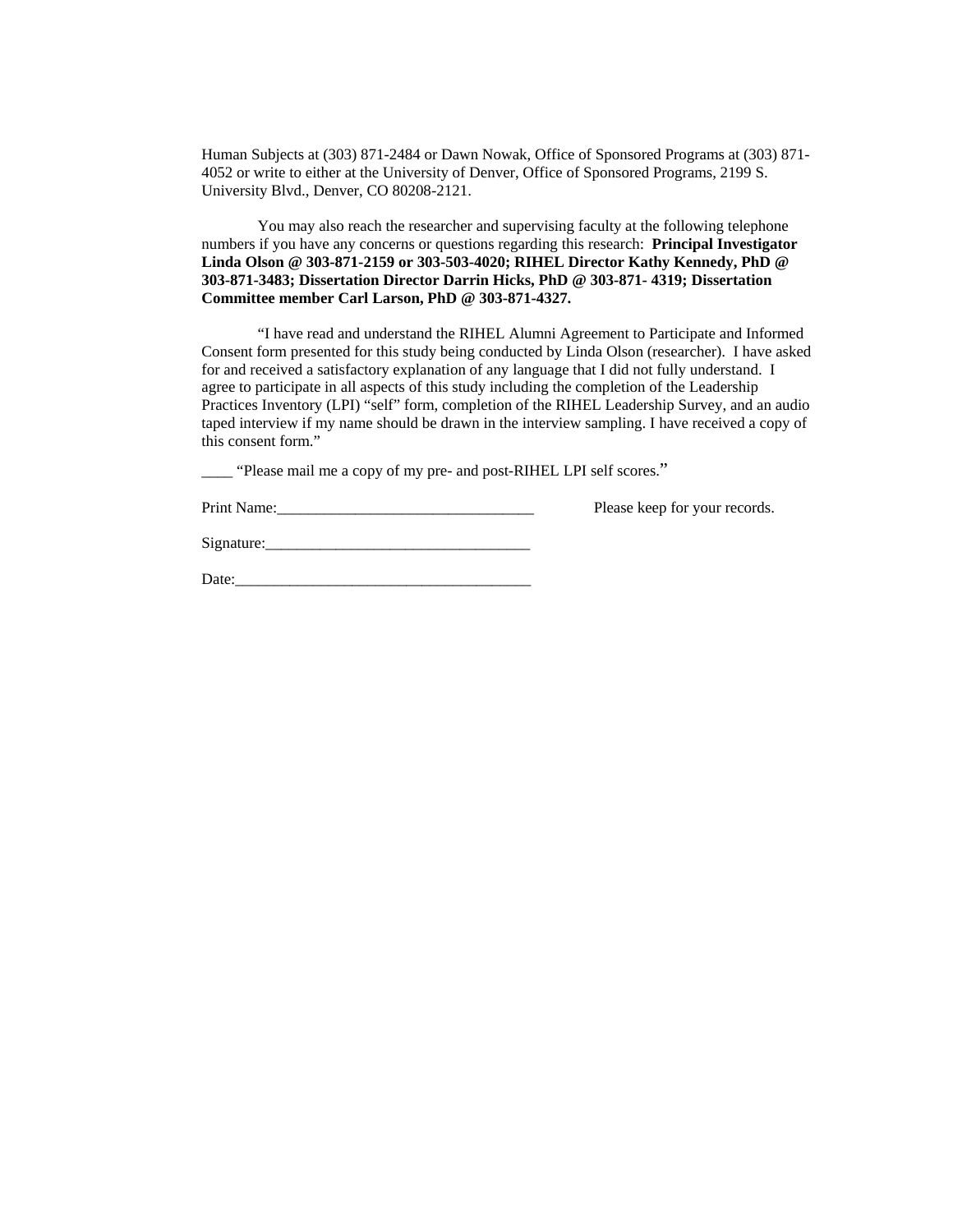Human Subjects at (303) 871-2484 or Dawn Nowak, Office of Sponsored Programs at (303) 871- 4052 or write to either at the University of Denver, Office of Sponsored Programs, 2199 S. University Blvd., Denver, CO 80208-2121.

You may also reach the researcher and supervising faculty at the following telephone numbers if you have any concerns or questions regarding this research: **Principal Investigator Linda Olson @ 303-871-2159 or 303-503-4020; RIHEL Director Kathy Kennedy, PhD @ 303-871-3483; Dissertation Director Darrin Hicks, PhD @ 303-871- 4319; Dissertation Committee member Carl Larson, PhD @ 303-871-4327.** 

 "I have read and understand the RIHEL Alumni Agreement to Participate and Informed Consent form presented for this study being conducted by Linda Olson (researcher). I have asked for and received a satisfactory explanation of any language that I did not fully understand. I agree to participate in all aspects of this study including the completion of the Leadership Practices Inventory (LPI) "self" form, completion of the RIHEL Leadership Survey, and an audio taped interview if my name should be drawn in the interview sampling. I have received a copy of this consent form."

\_\_\_\_ "Please mail me a copy of my pre- and post-RIHEL LPI self scores."

Print Name: The Please keep for your records.

 $Signature:$ 

Date:\_\_\_\_\_\_\_\_\_\_\_\_\_\_\_\_\_\_\_\_\_\_\_\_\_\_\_\_\_\_\_\_\_\_\_\_\_\_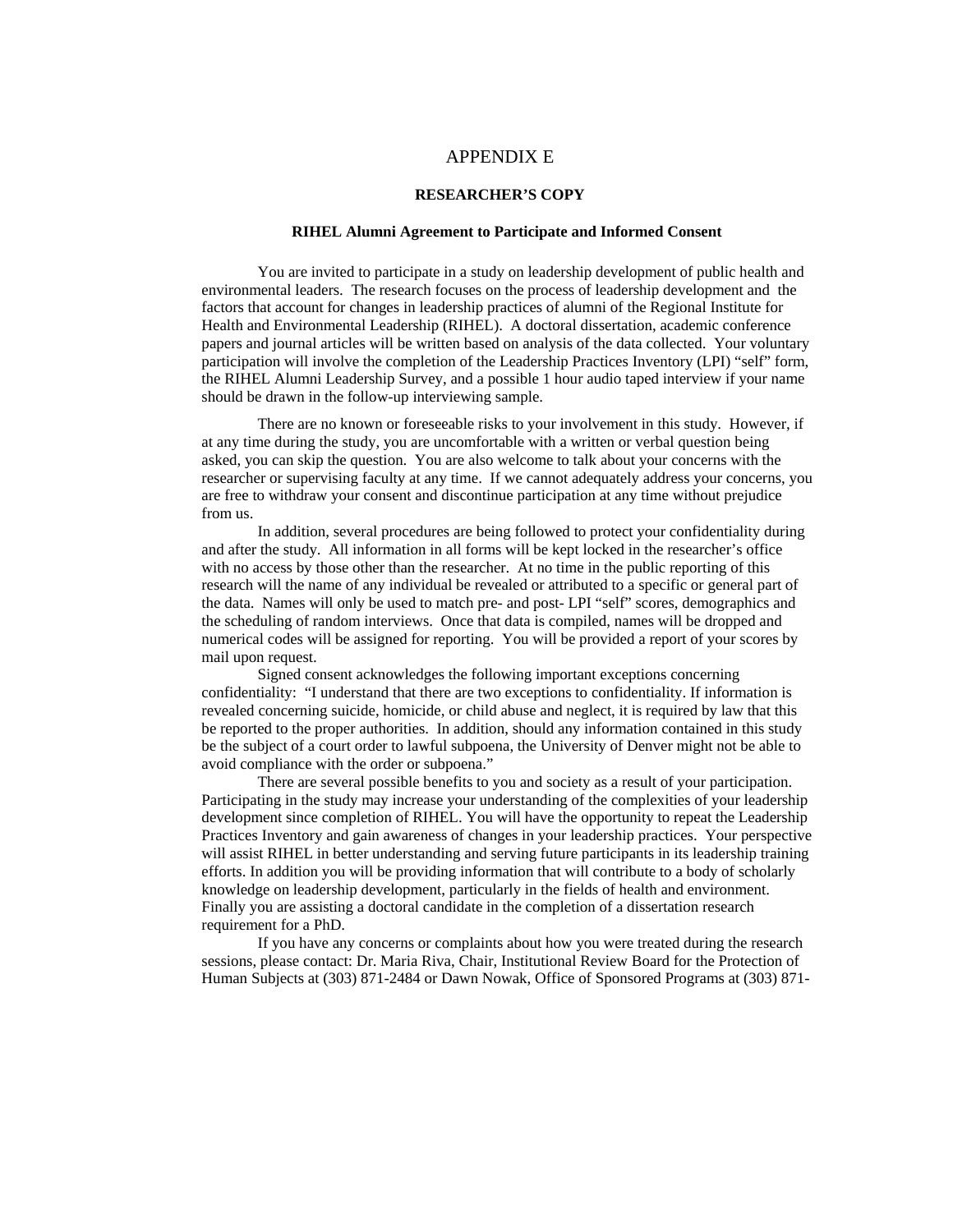#### APPENDIX E

#### **RESEARCHER'S COPY**

#### **RIHEL Alumni Agreement to Participate and Informed Consent**

You are invited to participate in a study on leadership development of public health and environmental leaders. The research focuses on the process of leadership development and the factors that account for changes in leadership practices of alumni of the Regional Institute for Health and Environmental Leadership (RIHEL). A doctoral dissertation, academic conference papers and journal articles will be written based on analysis of the data collected. Your voluntary participation will involve the completion of the Leadership Practices Inventory (LPI) "self" form, the RIHEL Alumni Leadership Survey, and a possible 1 hour audio taped interview if your name should be drawn in the follow-up interviewing sample.

There are no known or foreseeable risks to your involvement in this study. However, if at any time during the study, you are uncomfortable with a written or verbal question being asked, you can skip the question. You are also welcome to talk about your concerns with the researcher or supervising faculty at any time. If we cannot adequately address your concerns, you are free to withdraw your consent and discontinue participation at any time without prejudice from us.

In addition, several procedures are being followed to protect your confidentiality during and after the study. All information in all forms will be kept locked in the researcher's office with no access by those other than the researcher. At no time in the public reporting of this research will the name of any individual be revealed or attributed to a specific or general part of the data. Names will only be used to match pre- and post- LPI "self" scores, demographics and the scheduling of random interviews. Once that data is compiled, names will be dropped and numerical codes will be assigned for reporting. You will be provided a report of your scores by mail upon request.

Signed consent acknowledges the following important exceptions concerning confidentiality: "I understand that there are two exceptions to confidentiality. If information is revealed concerning suicide, homicide, or child abuse and neglect, it is required by law that this be reported to the proper authorities. In addition, should any information contained in this study be the subject of a court order to lawful subpoena, the University of Denver might not be able to avoid compliance with the order or subpoena."

There are several possible benefits to you and society as a result of your participation. Participating in the study may increase your understanding of the complexities of your leadership development since completion of RIHEL. You will have the opportunity to repeat the Leadership Practices Inventory and gain awareness of changes in your leadership practices. Your perspective will assist RIHEL in better understanding and serving future participants in its leadership training efforts. In addition you will be providing information that will contribute to a body of scholarly knowledge on leadership development, particularly in the fields of health and environment. Finally you are assisting a doctoral candidate in the completion of a dissertation research requirement for a PhD.

If you have any concerns or complaints about how you were treated during the research sessions, please contact: Dr. Maria Riva, Chair, Institutional Review Board for the Protection of Human Subjects at (303) 871-2484 or Dawn Nowak, Office of Sponsored Programs at (303) 871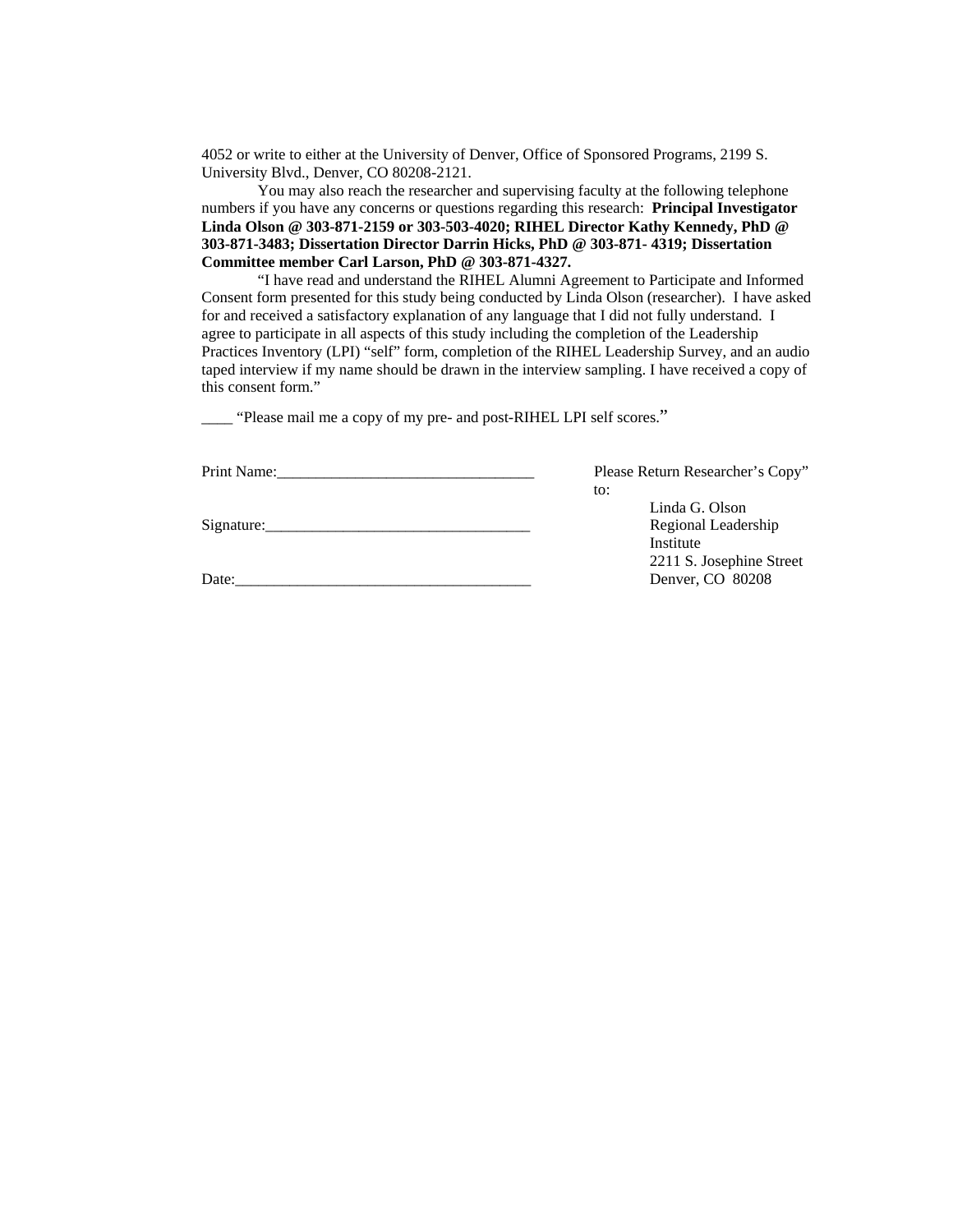4052 or write to either at the University of Denver, Office of Sponsored Programs, 2199 S. University Blvd., Denver, CO 80208-2121.

You may also reach the researcher and supervising faculty at the following telephone numbers if you have any concerns or questions regarding this research: **Principal Investigator Linda Olson @ 303-871-2159 or 303-503-4020; RIHEL Director Kathy Kennedy, PhD @ 303-871-3483; Dissertation Director Darrin Hicks, PhD @ 303-871- 4319; Dissertation Committee member Carl Larson, PhD @ 303-871-4327.** 

"I have read and understand the RIHEL Alumni Agreement to Participate and Informed Consent form presented for this study being conducted by Linda Olson (researcher). I have asked for and received a satisfactory explanation of any language that I did not fully understand. I agree to participate in all aspects of this study including the completion of the Leadership Practices Inventory (LPI) "self" form, completion of the RIHEL Leadership Survey, and an audio taped interview if my name should be drawn in the interview sampling. I have received a copy of this consent form."

\_\_\_\_ "Please mail me a copy of my pre- and post-RIHEL LPI self scores."

| Print Name: |
|-------------|
|             |

Please Return Researcher's Copy" to:

Signature:\_\_\_\_\_\_\_\_\_\_\_\_\_\_\_\_\_\_\_\_\_\_\_\_\_\_\_\_\_\_\_\_\_\_ Regional Leadership

Date:\_\_\_\_\_\_\_\_\_\_\_\_\_\_\_\_\_\_\_\_\_\_\_\_\_\_\_\_\_\_\_\_\_\_\_\_\_\_ Denver, CO 80208

 Linda G. Olson Institute 2211 S. Josephine Street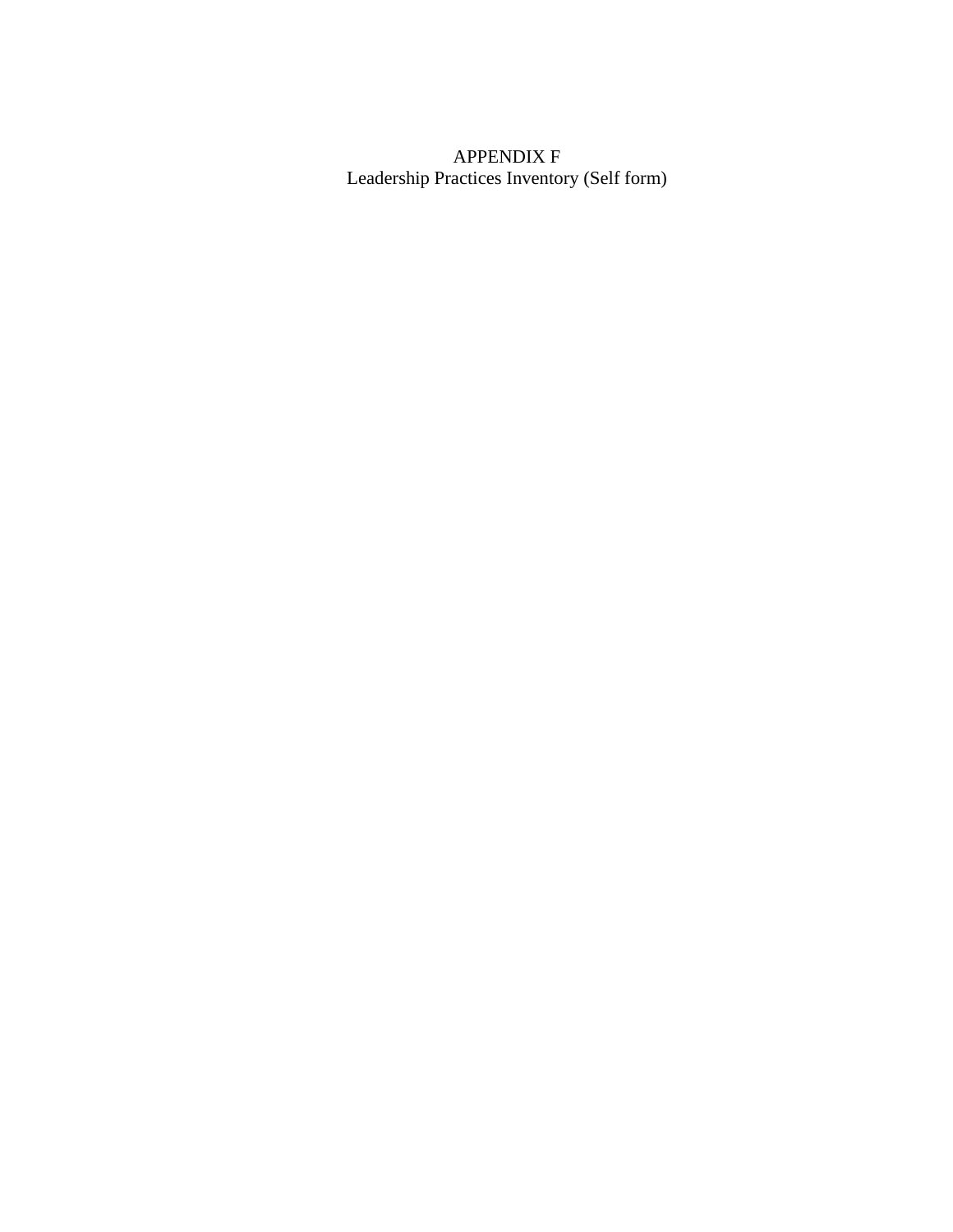# APPENDIX F Leadership Practices Inventory (Self form)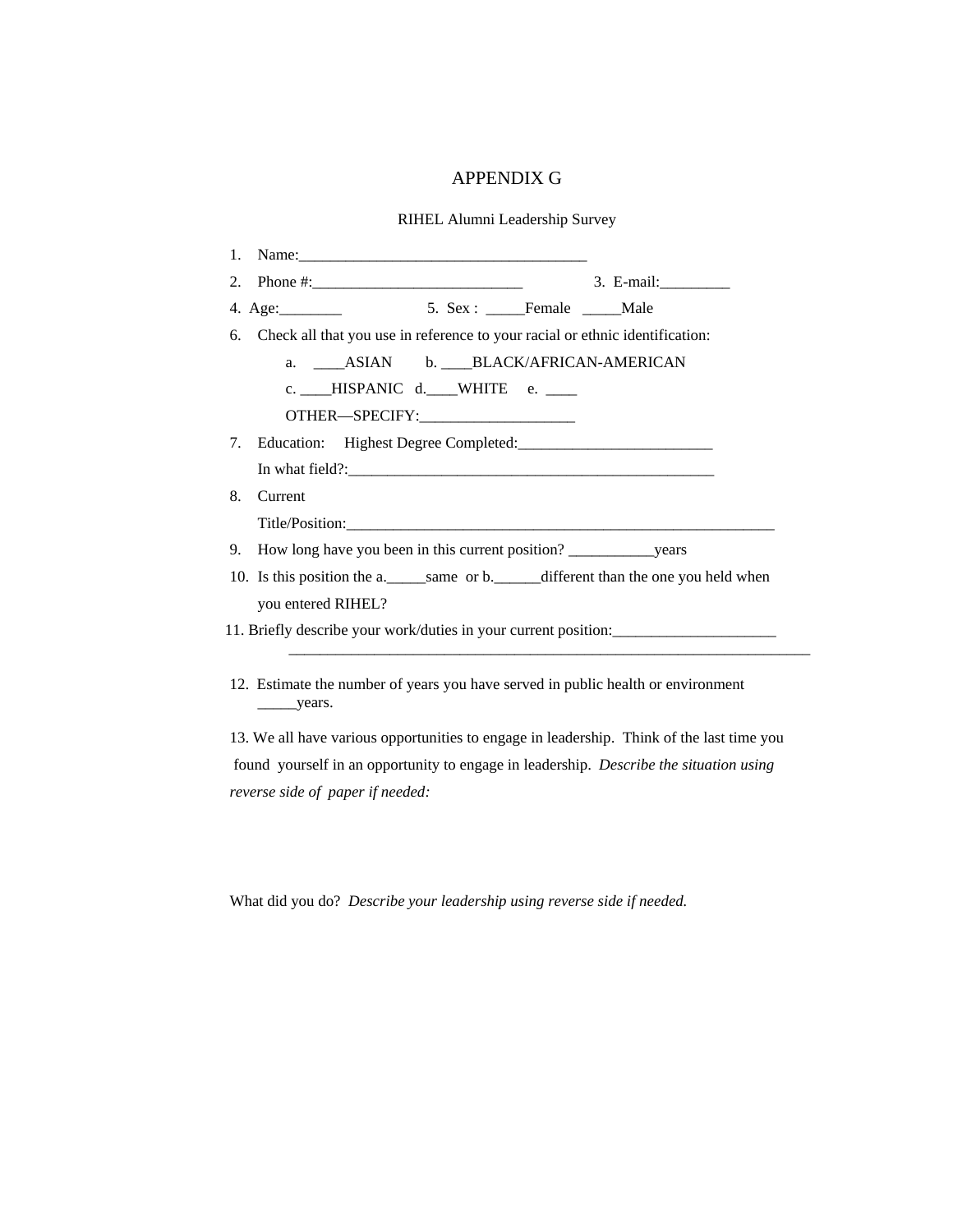## APPENDIX G

RIHEL Alumni Leadership Survey

| 5. Sex : ______Female ______Male<br>4. Age: $\frac{4}{2}$<br>Check all that you use in reference to your racial or ethnic identification:<br>a. ______ ASIAN b. _____ BLACK/AFRICAN-AMERICAN<br>c. ____HISPANIC d. ____WHITE e. ____<br>OTHER-SPECIFY:<br>Current<br>10. Is this position the a._____same or b._____different than the one you held when<br>you entered RIHEL?<br>11. Briefly describe your work/duties in your current position: | 2. |                                                                                            | 3. E-mail:____________ |
|---------------------------------------------------------------------------------------------------------------------------------------------------------------------------------------------------------------------------------------------------------------------------------------------------------------------------------------------------------------------------------------------------------------------------------------------------|----|--------------------------------------------------------------------------------------------|------------------------|
|                                                                                                                                                                                                                                                                                                                                                                                                                                                   |    |                                                                                            |                        |
|                                                                                                                                                                                                                                                                                                                                                                                                                                                   | 6. |                                                                                            |                        |
|                                                                                                                                                                                                                                                                                                                                                                                                                                                   |    |                                                                                            |                        |
|                                                                                                                                                                                                                                                                                                                                                                                                                                                   |    |                                                                                            |                        |
|                                                                                                                                                                                                                                                                                                                                                                                                                                                   |    |                                                                                            |                        |
|                                                                                                                                                                                                                                                                                                                                                                                                                                                   | 7. |                                                                                            |                        |
|                                                                                                                                                                                                                                                                                                                                                                                                                                                   |    |                                                                                            |                        |
|                                                                                                                                                                                                                                                                                                                                                                                                                                                   | 8. |                                                                                            |                        |
|                                                                                                                                                                                                                                                                                                                                                                                                                                                   |    |                                                                                            |                        |
|                                                                                                                                                                                                                                                                                                                                                                                                                                                   | 9. |                                                                                            |                        |
|                                                                                                                                                                                                                                                                                                                                                                                                                                                   |    |                                                                                            |                        |
|                                                                                                                                                                                                                                                                                                                                                                                                                                                   |    |                                                                                            |                        |
|                                                                                                                                                                                                                                                                                                                                                                                                                                                   |    | 12. Estimate the number of years you have served in public health or environment<br>years. |                        |

13. We all have various opportunities to engage in leadership. Think of the last time you found yourself in an opportunity to engage in leadership. *Describe the situation using reverse side of paper if needed:* 

What did you do? *Describe your leadership using reverse side if needed.*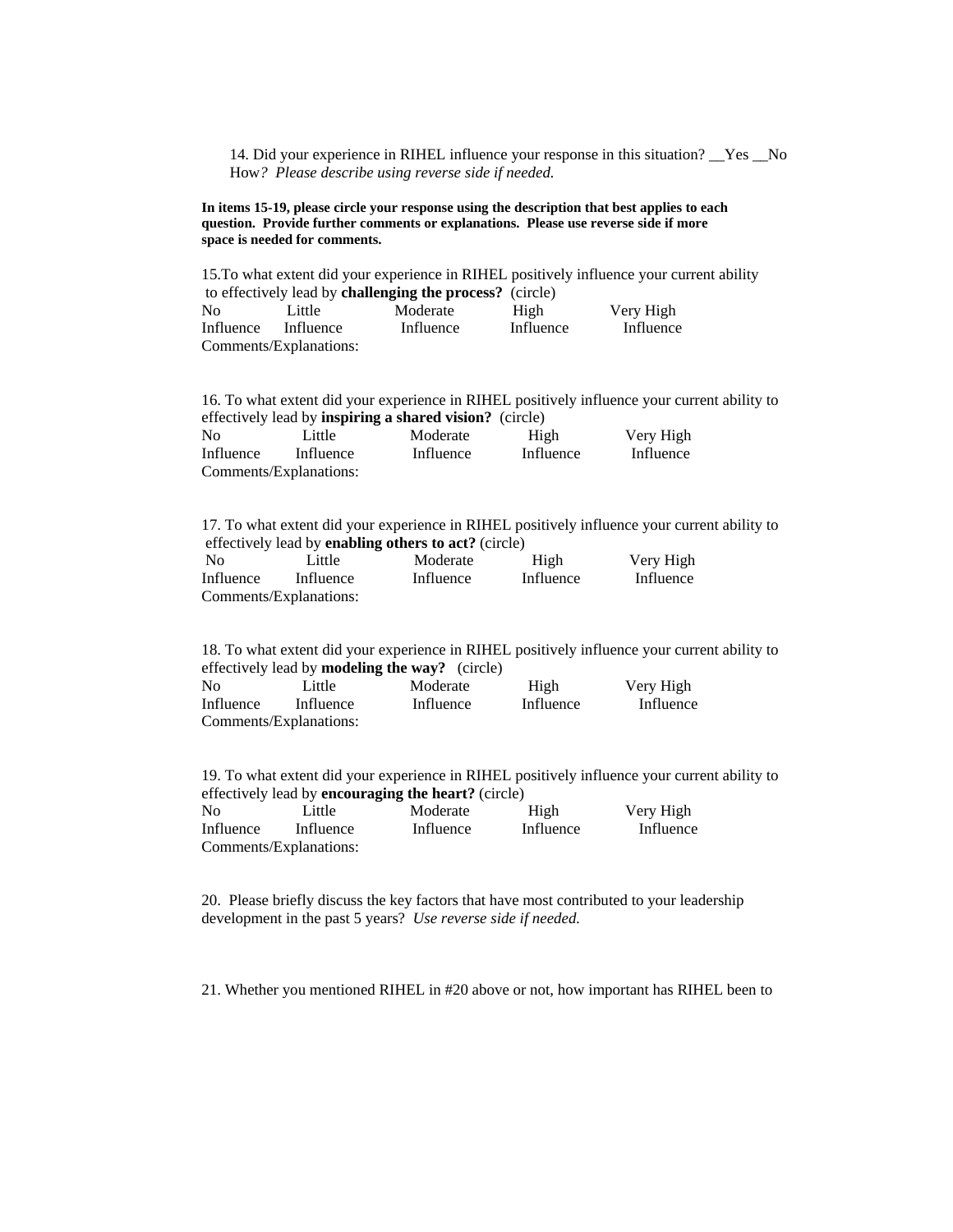14. Did your experience in RIHEL influence your response in this situation? \_\_Yes \_\_No How*? Please describe using reverse side if needed.* 

**In items 15-19, please circle your response using the description that best applies to each question. Provide further comments or explanations. Please use reverse side if more space is needed for comments.** 

|                                                                 | 15. To what extent did your experience in RIHEL positively influence your current ability |           |           |           |  |  |  |
|-----------------------------------------------------------------|-------------------------------------------------------------------------------------------|-----------|-----------|-----------|--|--|--|
| to effectively lead by <b>challenging the process?</b> (circle) |                                                                                           |           |           |           |  |  |  |
| N <sub>0</sub>                                                  | Little                                                                                    | Moderate  | High      | Very High |  |  |  |
| Influence                                                       | Influence                                                                                 | Influence | Influence | Influence |  |  |  |
|                                                                 | Comments/Explanations:                                                                    |           |           |           |  |  |  |

16. To what extent did your experience in RIHEL positively influence your current ability to effectively lead by **inspiring a shared vision?** (circle)

| No        | Little                 | Moderate  | High      | Very High |
|-----------|------------------------|-----------|-----------|-----------|
| Influence | Influence              | Influence | Influence | Influence |
|           | Comments/Explanations: |           |           |           |

17. To what extent did your experience in RIHEL positively influence your current ability to effectively lead by **enabling others to act?** (circle)

| $\overline{N}$ | Little                 | Moderate  | High      | Very High |
|----------------|------------------------|-----------|-----------|-----------|
| Influence      | Influence              | Influence | Influence | Influence |
|                | Comments/Explanations: |           |           |           |

18. To what extent did your experience in RIHEL positively influence your current ability to effectively lead by **modeling the way?** (circle) No Little Moderate High Very High Influence Influence Influence Influence Influence Comments/Explanations:

19. To what extent did your experience in RIHEL positively influence your current ability to effectively lead by **encouraging the heart?** (circle) No Little Moderate High Very High Influence Influence Influence Influence Influence Comments/Explanations:

20. Please briefly discuss the key factors that have most contributed to your leadership development in the past 5 years? *Use reverse side if needed.* 

21. Whether you mentioned RIHEL in #20 above or not, how important has RIHEL been to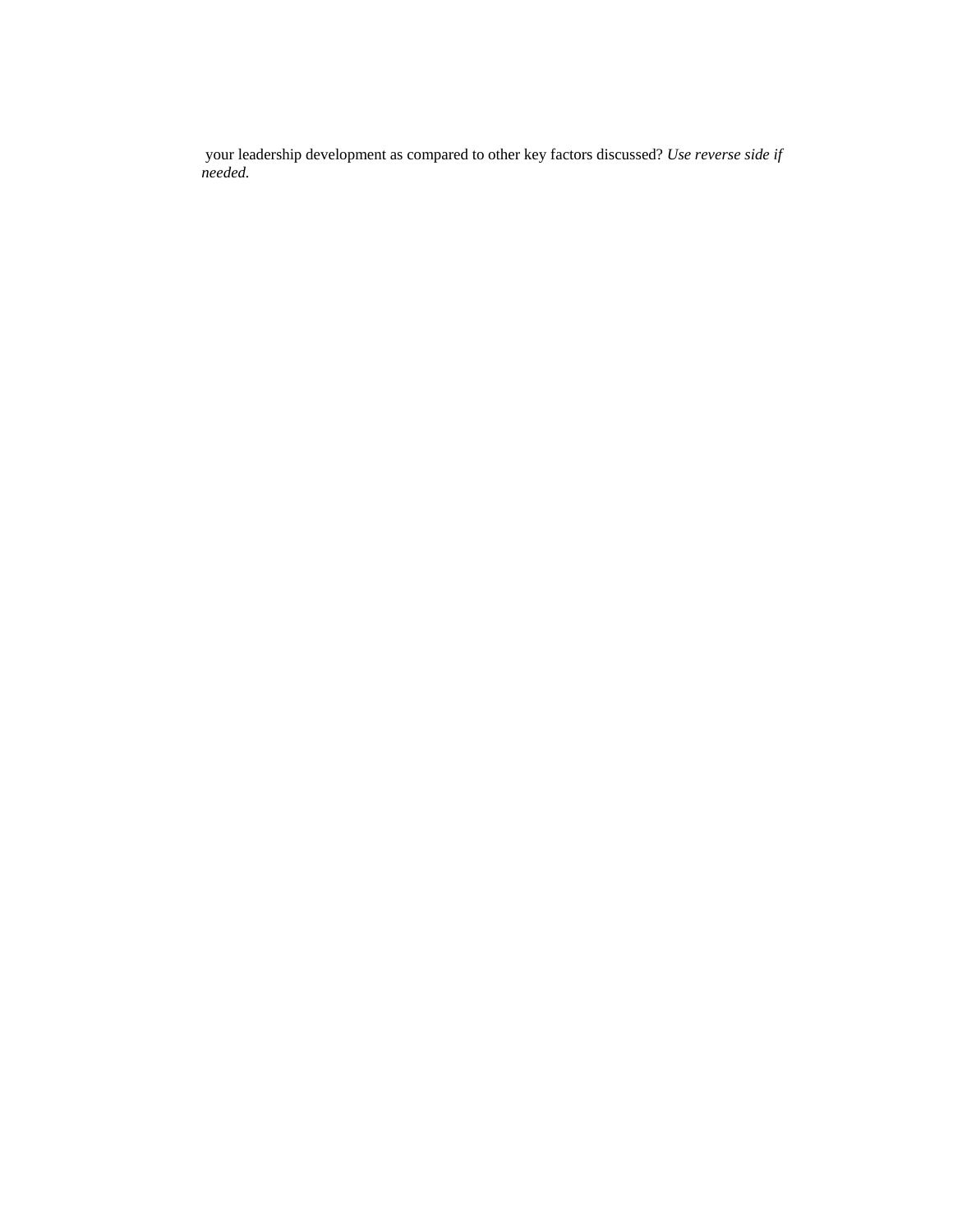your leadership development as compared to other key factors discussed? *Use reverse side if needed.*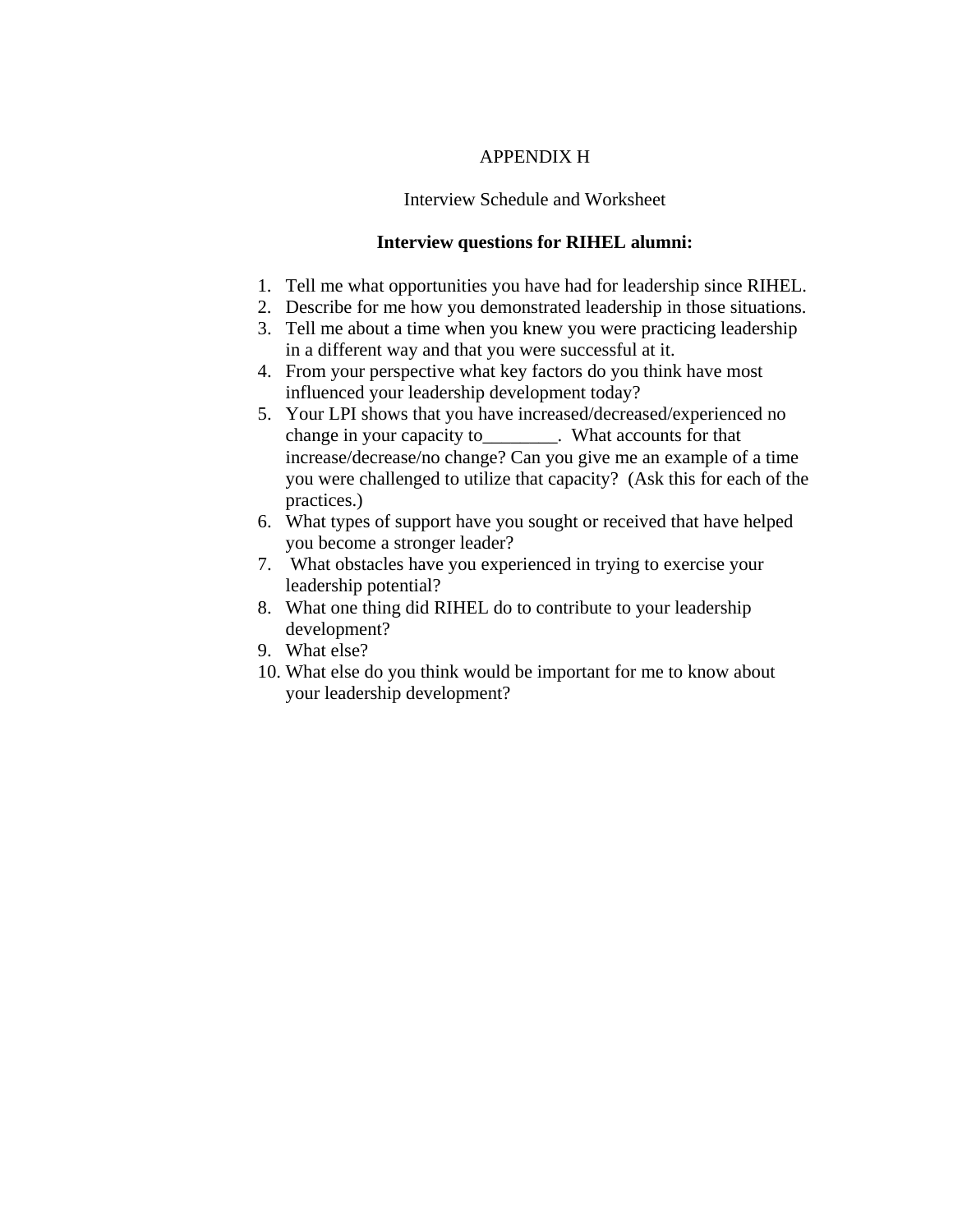## APPENDIX H

## Interview Schedule and Worksheet

# **Interview questions for RIHEL alumni:**

- 1. Tell me what opportunities you have had for leadership since RIHEL.
- 2. Describe for me how you demonstrated leadership in those situations.
- 3. Tell me about a time when you knew you were practicing leadership in a different way and that you were successful at it.
- 4. From your perspective what key factors do you think have most influenced your leadership development today?
- 5. Your LPI shows that you have increased/decreased/experienced no change in your capacity to\_\_\_\_\_\_\_\_. What accounts for that increase/decrease/no change? Can you give me an example of a time you were challenged to utilize that capacity? (Ask this for each of the practices.)
- 6. What types of support have you sought or received that have helped you become a stronger leader?
- 7. What obstacles have you experienced in trying to exercise your leadership potential?
- 8. What one thing did RIHEL do to contribute to your leadership development?
- 9. What else?
- 10. What else do you think would be important for me to know about your leadership development?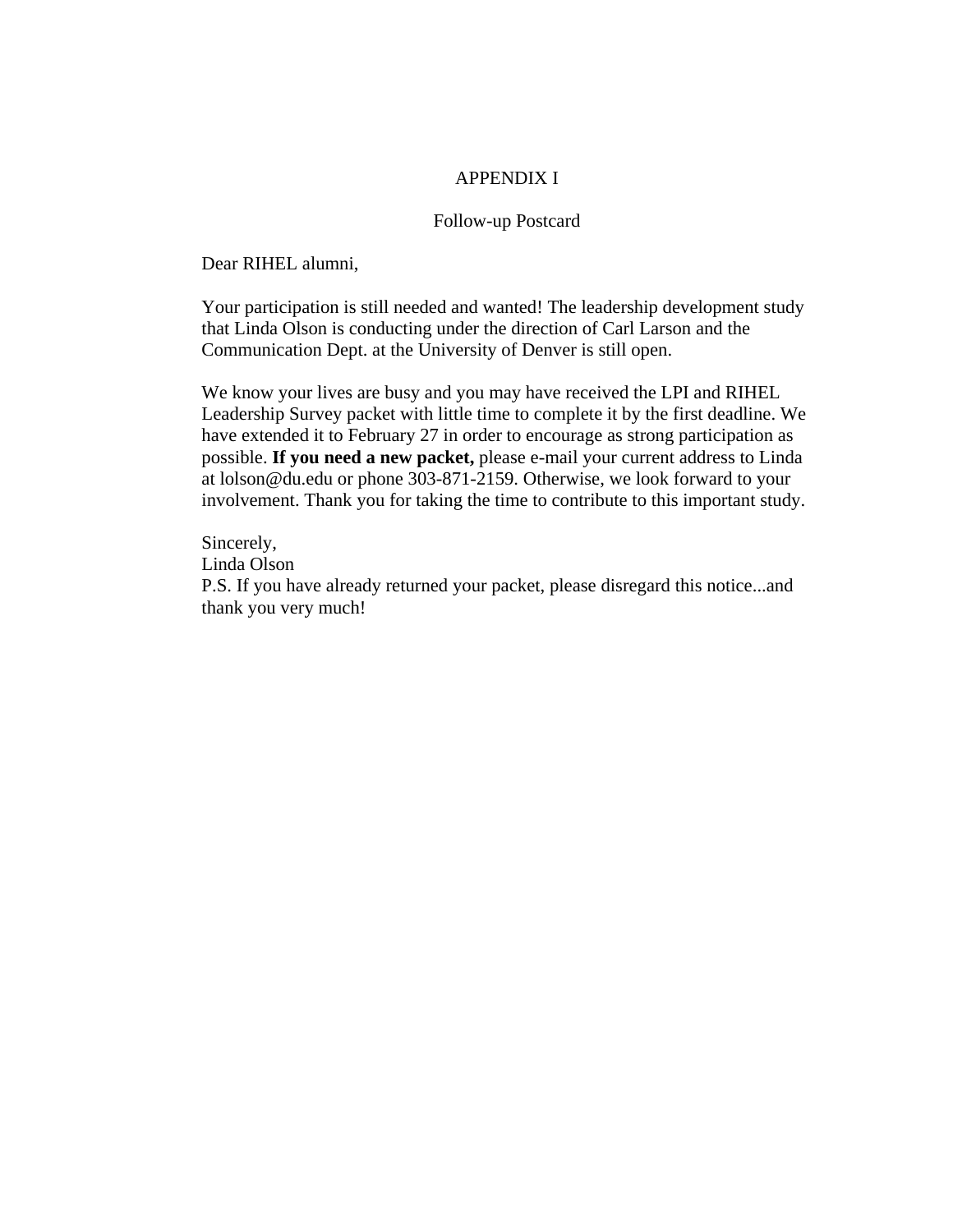### APPENDIX I

## Follow-up Postcard

Dear RIHEL alumni,

Your participation is still needed and wanted! The leadership development study that Linda Olson is conducting under the direction of Carl Larson and the Communication Dept. at the University of Denver is still open.

We know your lives are busy and you may have received the LPI and RIHEL Leadership Survey packet with little time to complete it by the first deadline. We have extended it to February 27 in order to encourage as strong participation as possible. **If you need a new packet,** please e-mail your current address to Linda at lolson@du.edu or phone 303-871-2159. Otherwise, we look forward to your involvement. Thank you for taking the time to contribute to this important study.

Sincerely, Linda Olson P.S. If you have already returned your packet, please disregard this notice...and thank you very much!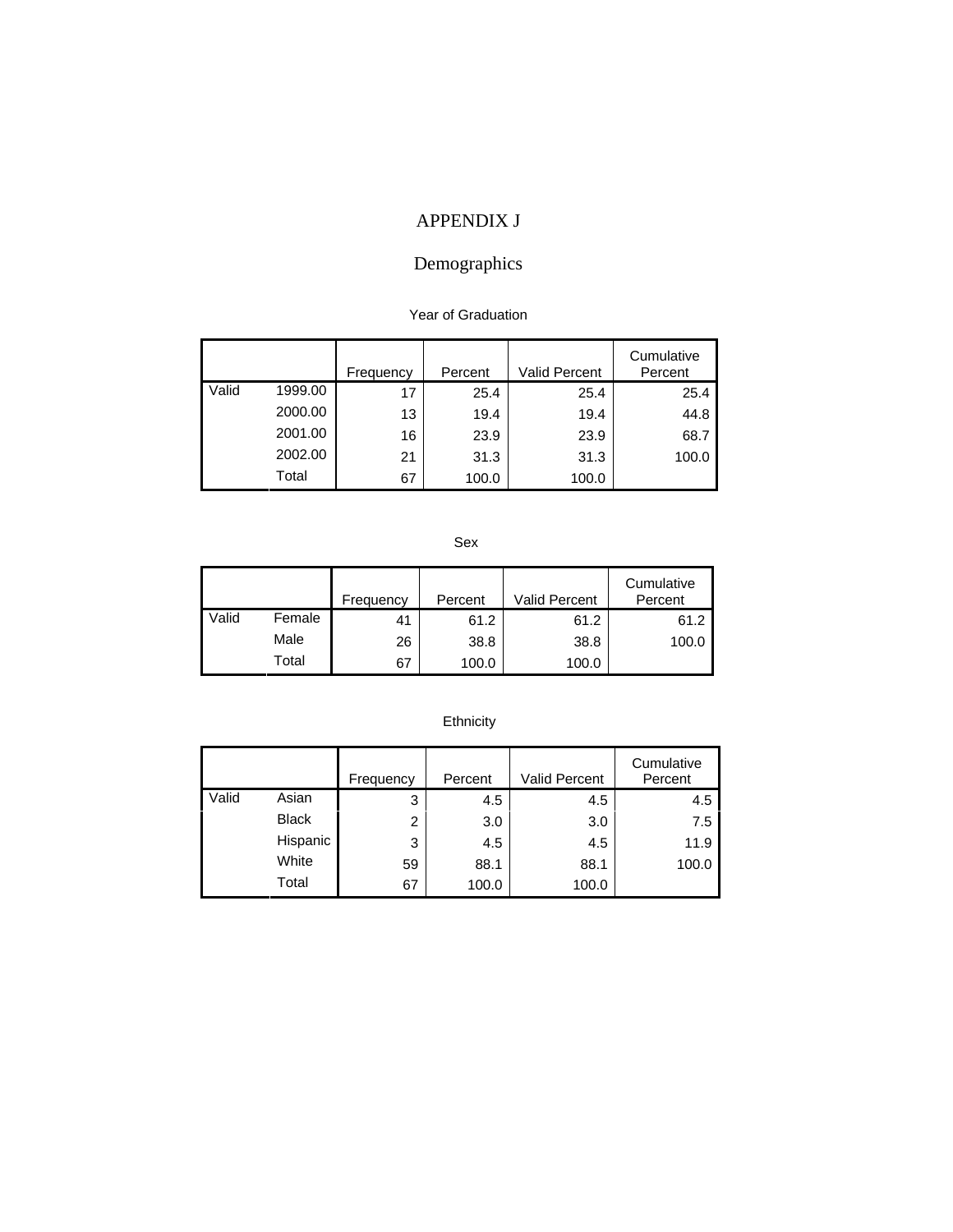# APPENDIX J

# Demographics

#### Year of Graduation

|       |         | Frequency | Percent | <b>Valid Percent</b> | Cumulative<br>Percent |
|-------|---------|-----------|---------|----------------------|-----------------------|
| Valid | 1999.00 | 17        | 25.4    | 25.4                 | 25.4                  |
|       | 2000.00 | 13        | 19.4    | 19.4                 | 44.8                  |
|       | 2001.00 | 16        | 23.9    | 23.9                 | 68.7                  |
|       | 2002.00 | 21        | 31.3    | 31.3                 | 100.0                 |
|       | Total   | 67        | 100.0   | 100.0                |                       |

Sex

|       |        | Frequency | Percent | <b>Valid Percent</b> | Cumulative<br>Percent |
|-------|--------|-----------|---------|----------------------|-----------------------|
| Valid | Female | 41        | 61.2    | 61.2                 | 61.2                  |
|       | Male   | 26        | 38.8    | 38.8                 | 100.0                 |
|       | Total  | 67        | 100.0   | 100.0                |                       |

# Ethnicity

|       |              | Frequency | Percent | Valid Percent | Cumulative<br>Percent |
|-------|--------------|-----------|---------|---------------|-----------------------|
| Valid | Asian        | 3         | 4.5     | 4.5           | 4.5                   |
|       | <b>Black</b> | 2         | 3.0     | 3.0           | 7.5                   |
|       | Hispanic     | 3         | 4.5     | 4.5           | 11.9                  |
|       | White        | 59        | 88.1    | 88.1          | 100.0                 |
|       | Total        | 67        | 100.0   | 100.0         |                       |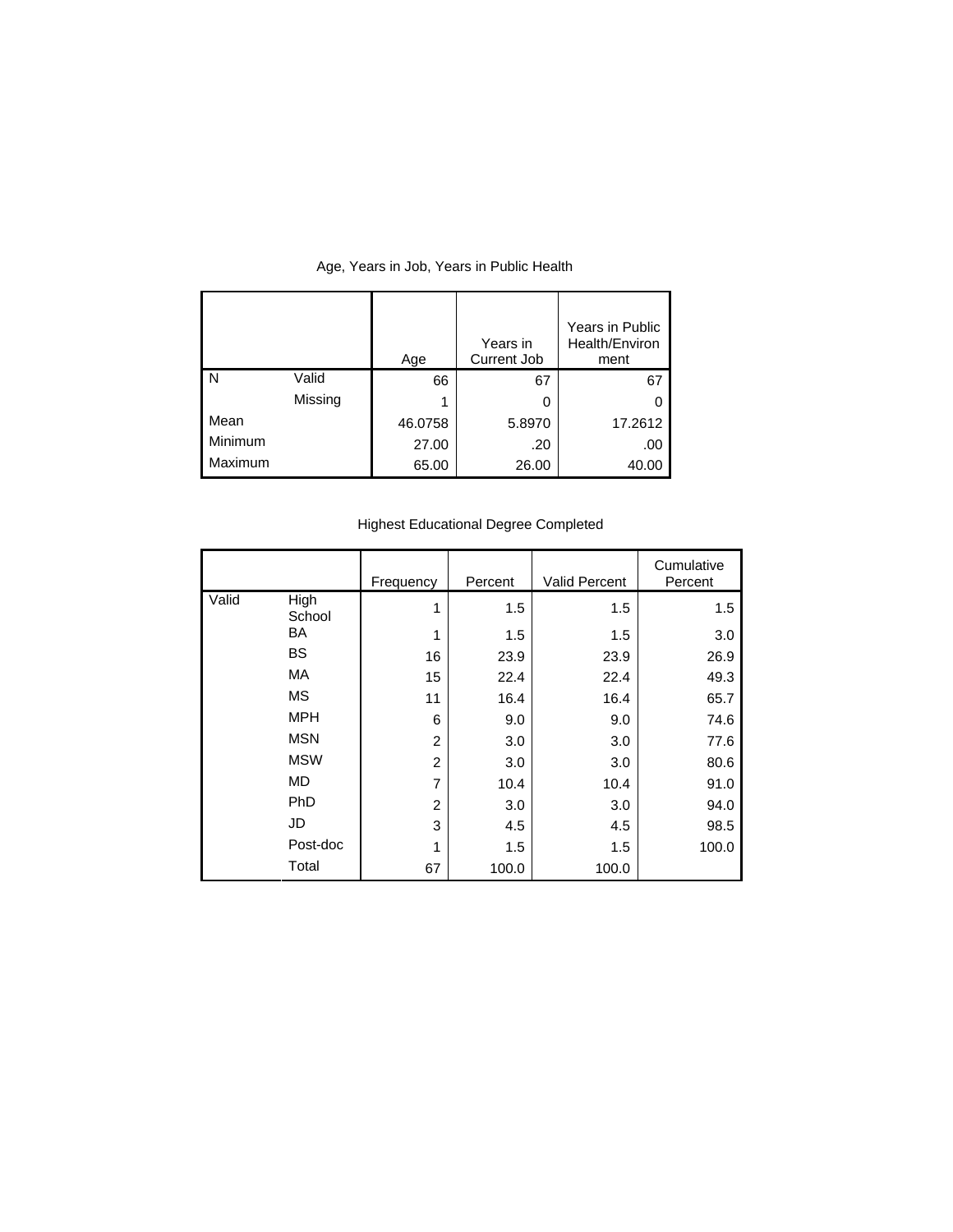|         |         | Age     | Years in<br>Current Job | Years in Public<br>Health/Environ<br>ment |
|---------|---------|---------|-------------------------|-------------------------------------------|
| l N     | Valid   | 66      | 67                      | 67                                        |
|         | Missing | 1       | 0                       |                                           |
| Mean    |         | 46.0758 | 5.8970                  | 17.2612                                   |
| Minimum |         | 27.00   | .20                     | .00                                       |
| Maximum |         | 65.00   | 26.00                   | 40.00                                     |

# Age, Years in Job, Years in Public Health

# Highest Educational Degree Completed

|       |                | Frequency      | Percent | <b>Valid Percent</b> | Cumulative<br>Percent |
|-------|----------------|----------------|---------|----------------------|-----------------------|
| Valid | High<br>School | 1              | 1.5     | 1.5                  | 1.5                   |
|       | BA             | 1              | 1.5     | 1.5                  | 3.0                   |
|       | BS.            | 16             | 23.9    | 23.9                 | 26.9                  |
|       | MA.            | 15             | 22.4    | 22.4                 | 49.3                  |
|       | МS             | 11             | 16.4    | 16.4                 | 65.7                  |
|       | <b>MPH</b>     | 6              | 9.0     | 9.0                  | 74.6                  |
|       | <b>MSN</b>     | $\overline{2}$ | 3.0     | 3.0                  | 77.6                  |
|       | <b>MSW</b>     | $\overline{2}$ | 3.0     | 3.0                  | 80.6                  |
|       | MD.            | $\overline{7}$ | 10.4    | 10.4                 | 91.0                  |
|       | <b>PhD</b>     | $\overline{2}$ | 3.0     | 3.0                  | 94.0                  |
|       | JD             | 3              | 4.5     | 4.5                  | 98.5                  |
|       | Post-doc       | 1              | 1.5     | 1.5                  | 100.0                 |
|       | Total          | 67             | 100.0   | 100.0                |                       |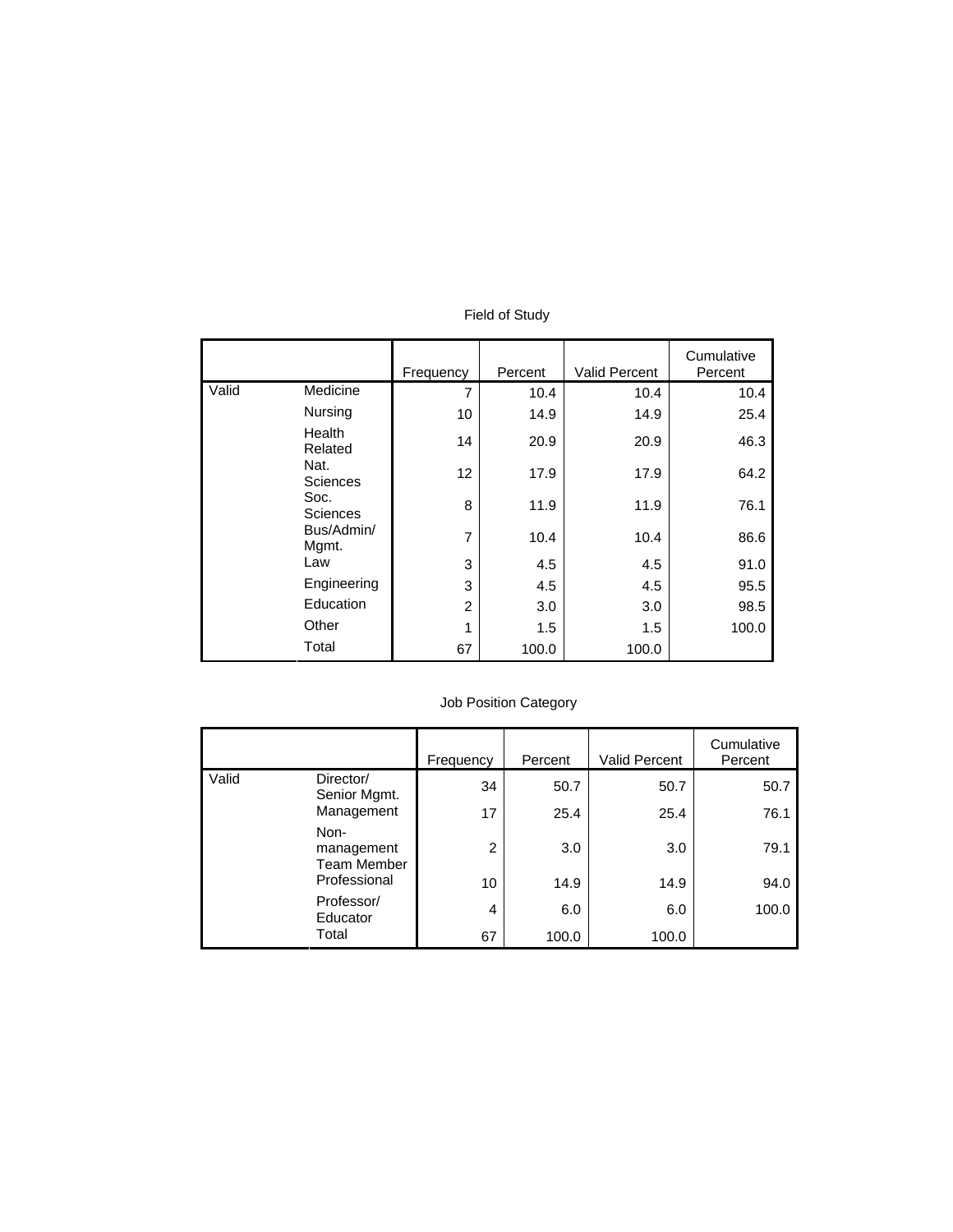|                     |                         | Frequency      | Percent | <b>Valid Percent</b> | Cumulative<br>Percent |
|---------------------|-------------------------|----------------|---------|----------------------|-----------------------|
| Valid               | Medicine                | $\overline{7}$ | 10.4    | 10.4                 | 10.4                  |
|                     | <b>Nursing</b>          | 10             | 14.9    | 14.9                 | 25.4                  |
|                     | Health<br>Related       | 14             | 20.9    | 20.9                 | 46.3                  |
|                     | Nat.<br><b>Sciences</b> | 12             | 17.9    | 17.9                 | 64.2                  |
|                     | Soc.<br><b>Sciences</b> | 8              | 11.9    | 11.9                 | 76.1                  |
| Bus/Admin/<br>Mgmt. | $\overline{7}$          | 10.4           | 10.4    | 86.6                 |                       |
|                     | Law                     | 3              | 4.5     | 4.5                  | 91.0                  |
|                     | Engineering             | 3              | 4.5     | 4.5                  | 95.5                  |
|                     | Education               | $\overline{2}$ | 3.0     | 3.0                  | 98.5                  |
|                     | Other                   | 1              | 1.5     | 1.5                  | 100.0                 |
|                     | Total                   | 67             | 100.0   | 100.0                |                       |

### Field of Study

# Job Position Category

|       |                                   | Frequency | Percent | <b>Valid Percent</b> | Cumulative<br>Percent |
|-------|-----------------------------------|-----------|---------|----------------------|-----------------------|
| Valid | Director/<br>Senior Mgmt.         | 34        | 50.7    | 50.7                 | 50.7                  |
|       | Management                        | 17        | 25.4    | 25.4                 | 76.1                  |
|       | Non-<br>management<br>Team Member | 2         | 3.0     | 3.0                  | 79.1                  |
|       | Professional                      | 10        | 14.9    | 14.9                 | 94.0                  |
|       | Professor/<br>Educator            | 4         | 6.0     | 6.0                  | 100.0                 |
|       | Total                             | 67        | 100.0   | 100.0                |                       |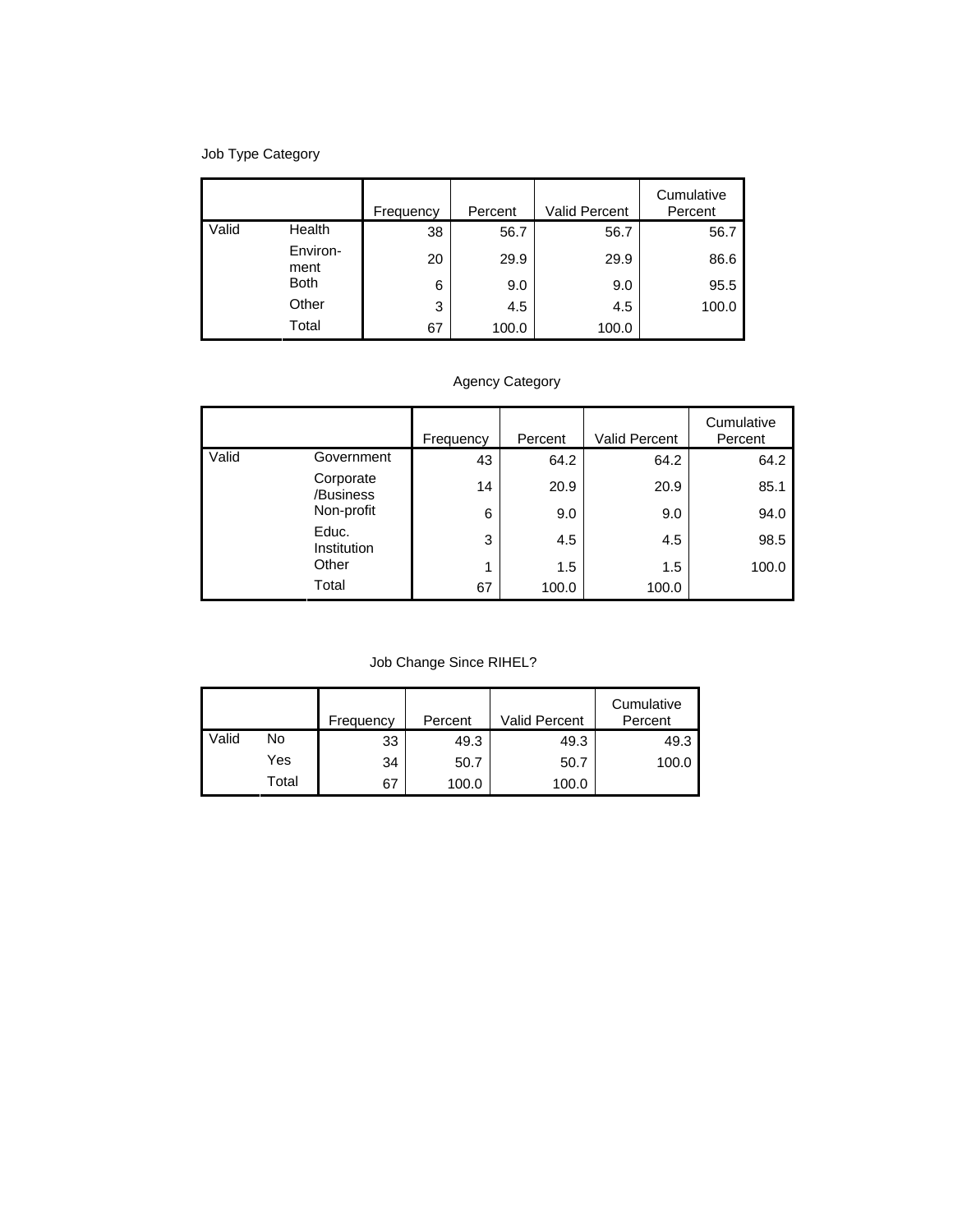# Job Type Category

|       |                  | Frequency | Percent | <b>Valid Percent</b> | Cumulative<br>Percent |
|-------|------------------|-----------|---------|----------------------|-----------------------|
| Valid | Health           | 38        | 56.7    | 56.7                 | 56.7                  |
|       | Environ-<br>ment | 20        | 29.9    | 29.9                 | 86.6                  |
|       | <b>Both</b>      | 6         | 9.0     | 9.0                  | 95.5                  |
|       | Other            | 3         | 4.5     | 4.5                  | 100.0                 |
|       | Total            | 67        | 100.0   | 100.0                |                       |

# Agency Category

|       |                                      | Frequency | Percent | Valid Percent | Cumulative<br>Percent |
|-------|--------------------------------------|-----------|---------|---------------|-----------------------|
| Valid | Government                           | 43        | 64.2    | 64.2          | 64.2                  |
|       | Corporate<br>/Business<br>Non-profit | 14        | 20.9    | 20.9          | 85.1                  |
|       |                                      | 6         | 9.0     | 9.0           | 94.0                  |
|       | Educ.<br>Institution<br>Other        | 3         | 4.5     | 4.5           | 98.5                  |
|       |                                      | 1         | 1.5     | 1.5           | 100.0                 |
|       | Total                                | 67        | 100.0   | 100.0         |                       |

Job Change Since RIHEL?

|       |       | Frequency | Percent | Valid Percent | Cumulative<br>Percent |
|-------|-------|-----------|---------|---------------|-----------------------|
| Valid | No    | 33        | 49.3    | 49.3          | 49.3                  |
|       | Yes   | 34        | 50.7    | 50.7          | 100.0                 |
|       | Total | 67        | 100.0   | 100.0         |                       |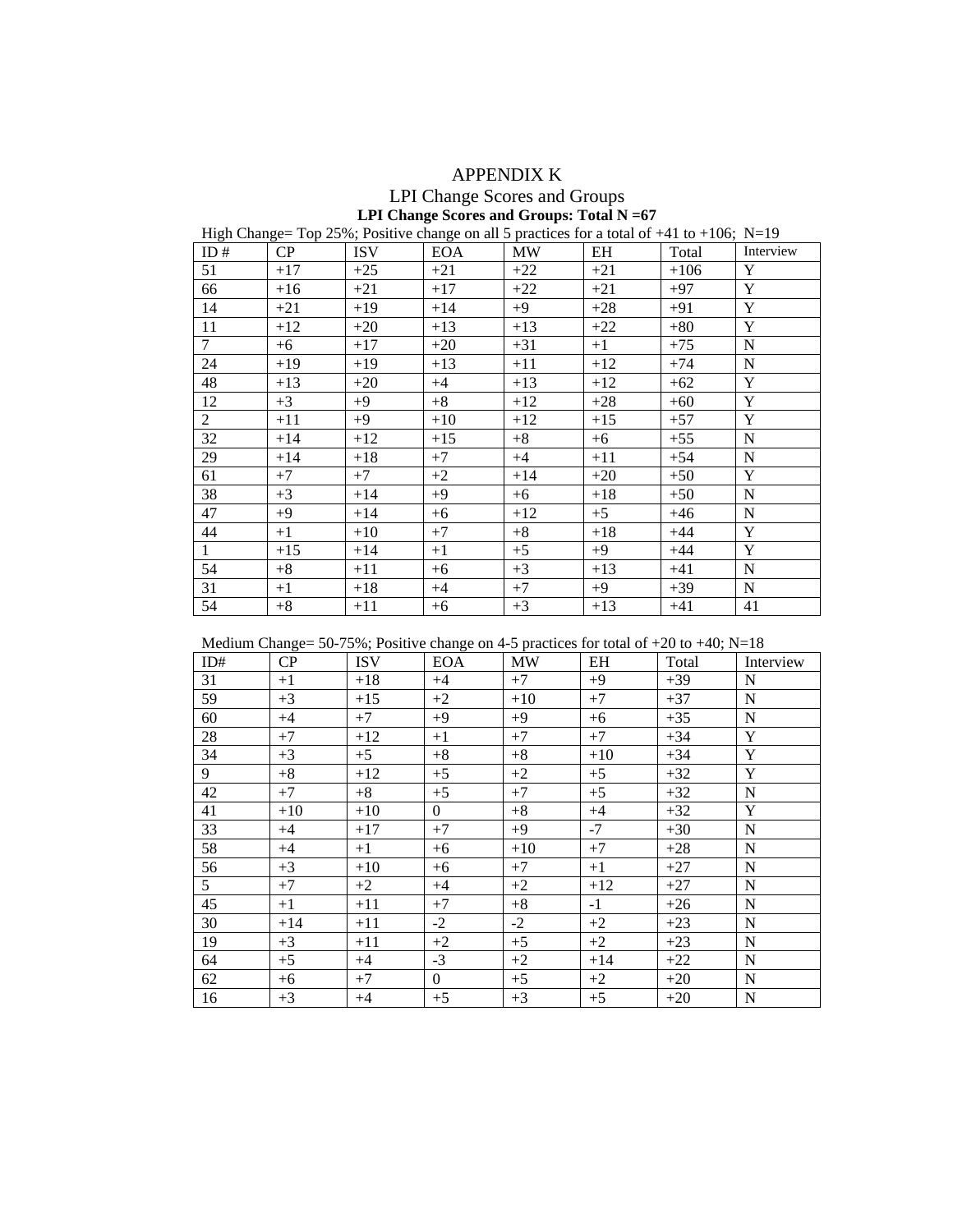## APPENDIX K

## LPI Change Scores and Groups **LPI Change Scores and Groups: Total N =67**

## High Change= Top 25%; Positive change on all 5 practices for a total of +41 to +106; N=19

| ID#             | CP    | <b>ISV</b> | <b>EOA</b> | <b>MW</b> | EH    | Total  | Interview   |
|-----------------|-------|------------|------------|-----------|-------|--------|-------------|
| 51              | $+17$ | $+25$      | $+21$      | $+22$     | $+21$ | $+106$ | Y           |
| 66              | $+16$ | $+21$      | $+17$      | $+22$     | $+21$ | $+97$  | Y           |
| 14              | $+21$ | $+19$      | $+14$      | $+9$      | $+28$ | $+91$  | $\mathbf Y$ |
| 11              | $+12$ | $+20$      | $+13$      | $+13$     | $+22$ | $+80$  | Y           |
| $7\overline{ }$ | $+6$  | $+17$      | $+20$      | $+31$     | $+1$  | $+75$  | ${\bf N}$   |
| 24              | $+19$ | $+19$      | $+13$      | $+11$     | $+12$ | $+74$  | $\mathbf N$ |
| 48              | $+13$ | $+20$      | $+4$       | $+13$     | $+12$ | $+62$  | $\mathbf Y$ |
| 12              | $+3$  | $+9$       | $+8$       | $+12$     | $+28$ | $+60$  | Y           |
| $\overline{2}$  | $+11$ | $+9$       | $+10$      | $+12$     | $+15$ | $+57$  | $\mathbf Y$ |
| 32              | $+14$ | $+12$      | $+15$      | $+8$      | $+6$  | $+55$  | ${\bf N}$   |
| 29              | $+14$ | $+18$      | $+7$       | $+4$      | $+11$ | $+54$  | ${\bf N}$   |
| 61              | $+7$  | $+7$       | $+2$       | $+14$     | $+20$ | $+50$  | Y           |
| 38              | $+3$  | $+14$      | $+9$       | $+6$      | $+18$ | $+50$  | $\mathbf N$ |
| 47              | $+9$  | $+14$      | $+6$       | $+12$     | $+5$  | $+46$  | ${\bf N}$   |
| 44              | $+1$  | $+10$      | $+7$       | $+8$      | $+18$ | $+44$  | Y           |
| $\mathbf{1}$    | $+15$ | $+14$      | $+1$       | $+5$      | $+9$  | $+44$  | Y           |
| 54              | $+8$  | $+11$      | $+6$       | $+3$      | $+13$ | $+41$  | ${\bf N}$   |
| 31              | $+1$  | $+18$      | $+4$       | $+7$      | $+9$  | $+39$  | ${\bf N}$   |
| 54              | $+8$  | $+11$      | $+6$       | $+3$      | $+13$ | $+41$  | 41          |

Medium Change=  $50-75\%$ ; Positive change on 4-5 practices for total of  $+20$  to  $+40$ ; N=18

| ID#             | CP    | <b>ISV</b> | <b>EOA</b>     | <b>MW</b> | EH    | Total | Interview   |
|-----------------|-------|------------|----------------|-----------|-------|-------|-------------|
| 31              | $+1$  | $+18$      | $+4$           | $+7$      | $+9$  | $+39$ | N           |
| $\overline{59}$ | $+3$  | $+15$      | $+2$           | $+10$     | $+7$  | $+37$ | $\mathbf N$ |
| 60              | $+4$  | $+7$       | $+9$           | $+9$      | $+6$  | $+35$ | $\mathbf N$ |
| 28              | $+7$  | $+12$      | $+1$           | $+7$      | $+7$  | $+34$ | Y           |
| 34              | $+3$  | $+5$       | $\bf+8$        | $+8$      | $+10$ | $+34$ | Y           |
| 9               | $+8$  | $+12$      | $+5$           | $+2$      | $+5$  | $+32$ | $\mathbf Y$ |
| 42              | $+7$  | $+8$       | $+5$           | $+7$      | $+5$  | $+32$ | $\mathbf N$ |
| 41              | $+10$ | $+10$      | $\overline{0}$ | $+8$      | $+4$  | $+32$ | Y           |
| 33              | $+4$  | $+17$      | $+7$           | $+9$      | $-7$  | $+30$ | $\mathbf N$ |
| 58              | $+4$  | $+1$       | $+6$           | $+10$     | $+7$  | $+28$ | $\mathbf N$ |
| 56              | $+3$  | $+10$      | $+6$           | $+7$      | $+1$  | $+27$ | $\mathbf N$ |
| 5 <sup>1</sup>  | $+7$  | $+2$       | $+4$           | $+2$      | $+12$ | $+27$ | $\mathbf N$ |
| 45              | $+1$  | $+11$      | $+7$           | $+8$      | $-1$  | $+26$ | $\mathbf N$ |
| 30              | $+14$ | $+11$      | $-2$           | $-2$      | $+2$  | $+23$ | $\mathbf N$ |
| 19              | $+3$  | $+11$      | $+2$           | $+5$      | $+2$  | $+23$ | $\mathbf N$ |
| 64              | $+5$  | $+4$       | $-3$           | $+2$      | $+14$ | $+22$ | $\mathbf N$ |
| 62              | $+6$  | $+7$       | $\mathbf{0}$   | $+5$      | $+2$  | $+20$ | $\mathbf N$ |
| 16              | $+3$  | $+4$       | $+5$           | $+3$      | $+5$  | $+20$ | $\mathbf N$ |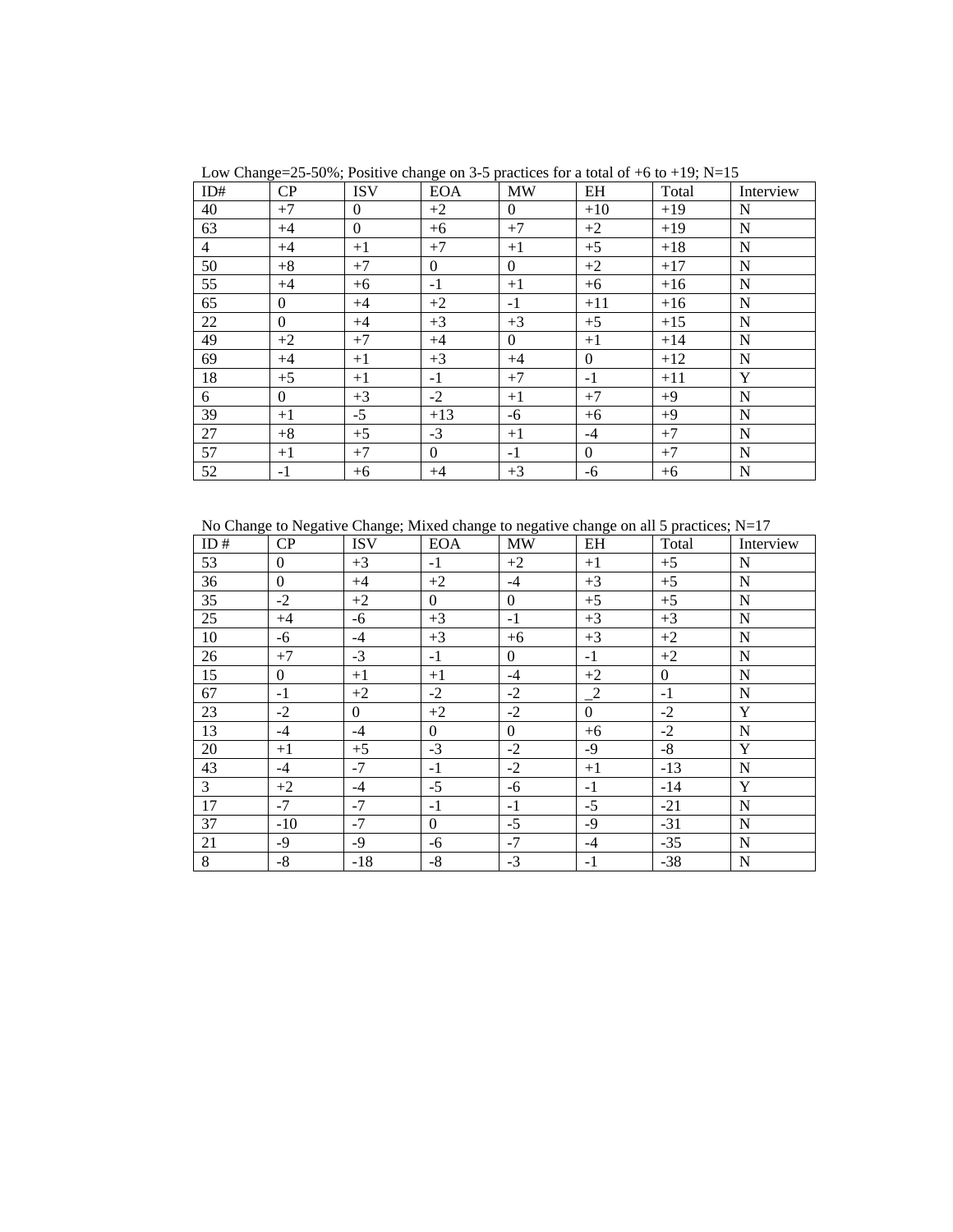| ID#            | CP               | <b>ISV</b>       | <b>EOA</b>       | <b>MW</b>        | EH               | Total | Interview   |
|----------------|------------------|------------------|------------------|------------------|------------------|-------|-------------|
| 40             | $+7$             | $\overline{0}$   | $+2$             | $\boldsymbol{0}$ | $+10$            | $+19$ | N           |
| 63             | $+4$             | $\boldsymbol{0}$ | $+6$             | $+7$             | $+2$             | $+19$ | $\mathbf N$ |
| $\overline{4}$ | $+4$             | $+1$             | $+7$             | $+1$             | $+5$             | $+18$ | N           |
| 50             | $+8$             | $+7$             | $\boldsymbol{0}$ | $\boldsymbol{0}$ | $+2$             | $+17$ | $\mathbf N$ |
| 55             | $+4$             | $+6$             | $-1$             | $+1$             | $+6$             | $+16$ | $\mathbf N$ |
| 65             | $\overline{0}$   | $+4$             | $+2$             | $-1$             | $+11$            | $+16$ | $\mathbf N$ |
| 22             | $\boldsymbol{0}$ | $+4$             | $+3$             | $+3$             | $+5$             | $+15$ | N           |
| 49             | $+2$             | $+7$             | $+4$             | $\boldsymbol{0}$ | $+1$             | $+14$ | ${\bf N}$   |
| 69             | $+4$             | $+1$             | $+3$             | $+4$             | $\boldsymbol{0}$ | $+12$ | $\mathbf N$ |
| 18             | $+5$             | $+1$             | $-1$             | $+7$             | $-1$             | $+11$ | Y           |
| 6              | $\boldsymbol{0}$ | $+3$             | $-2$             | $+1$             | $+7$             | $+9$  | $\mathbf N$ |
| 39             | $+1$             | $-5$             | $+13$            | $-6$             | $+6$             | $+9$  | $\mathbf N$ |
| 27             | $+8$             | $+5$             | $-3$             | $+1$             | $-4$             | $+7$  | N           |
| 57             | $+1$             | $+7$             | $\theta$         | $-1$             | $\overline{0}$   | $+7$  | $\mathbf N$ |
| 52             | $-1$             | $+6$             | $+4$             | $+3$             | $-6$             | $+6$  | $\mathbf N$ |

Low Change=25-50%; Positive change on 3-5 practices for a total of  $+6$  to  $+19$ ; N=15

No Change to Negative Change; Mixed change to negative change on all 5 practices; N=17

| ID#            | CP               | <b>ISV</b>     | <b>EOA</b>       | <b>MW</b>        | EH                   | Total            | Interview   |
|----------------|------------------|----------------|------------------|------------------|----------------------|------------------|-------------|
| 53             | $\boldsymbol{0}$ | $+3$           | $-1$             | $+2$             | $+1$                 | $+5$             | $\mathbf N$ |
| 36             | $\boldsymbol{0}$ | $+4$           | $+2$             | $-4$             | $+3$                 | $+5$             | $\mathbf N$ |
| 35             | $-2$             | $+2$           | $\overline{0}$   | $\boldsymbol{0}$ | $+5$                 | $+5$             | N           |
| 25             | $+4$             | -6             | $+3$             | $-1$             | $+3$                 | $+3$             | $\mathbf N$ |
| 10             | $-6$             | $-4$           | $+3$             | $+6$             | $+3$                 | $+2$             | ${\bf N}$   |
| 26             | $+7$             | $-3$           | $-1$             | $\boldsymbol{0}$ | $-1$                 | $+2$             | $\mathbf N$ |
| 15             | $\boldsymbol{0}$ | $+1$           | $+1$             | $-4$             | $+2$                 | $\boldsymbol{0}$ | $\mathbf N$ |
| 67             | $-1$             | $+2$           | $-2$             | $-2$             | $\frac{2}{\sqrt{2}}$ | $-1$             | $\mathbf N$ |
| 23             | $-2$             | $\overline{0}$ | $+2$             | $-2$             | $\mathbf{0}$         | $-2$             | Y           |
| 13             | $-4$             | $-4$           | $\overline{0}$   | $\boldsymbol{0}$ | $+6$                 | $-2$             | $\mathbf N$ |
| 20             | $+1$             | $+5$           | $-3$             | $-2$             | $-9$                 | $-8$             | $\mathbf Y$ |
| 43             | $-4$             | $-7$           | $-1$             | $-2$             | $+1$                 | $-13$            | ${\bf N}$   |
| $\mathfrak{Z}$ | $+2$             | $-4$           | $-5$             | $-6$             | $-1$                 | $-14$            | $\mathbf Y$ |
| 17             | $-7$             | $-7$           | $-1$             | $-1$             | $-5$                 | $-21$            | $\mathbf N$ |
| 37             | $-10$            | $-7$           | $\boldsymbol{0}$ | $-5$             | $-9$                 | $-31$            | $\mathbf N$ |
| 21             | $-9$             | $-9$           | -6               | $-7$             | $-4$                 | $-35$            | $\mathbf N$ |
| 8              | $-8$             | $-18$          | $-8$             | $-3$             | $-1$                 | $-38$            | $\mathbf N$ |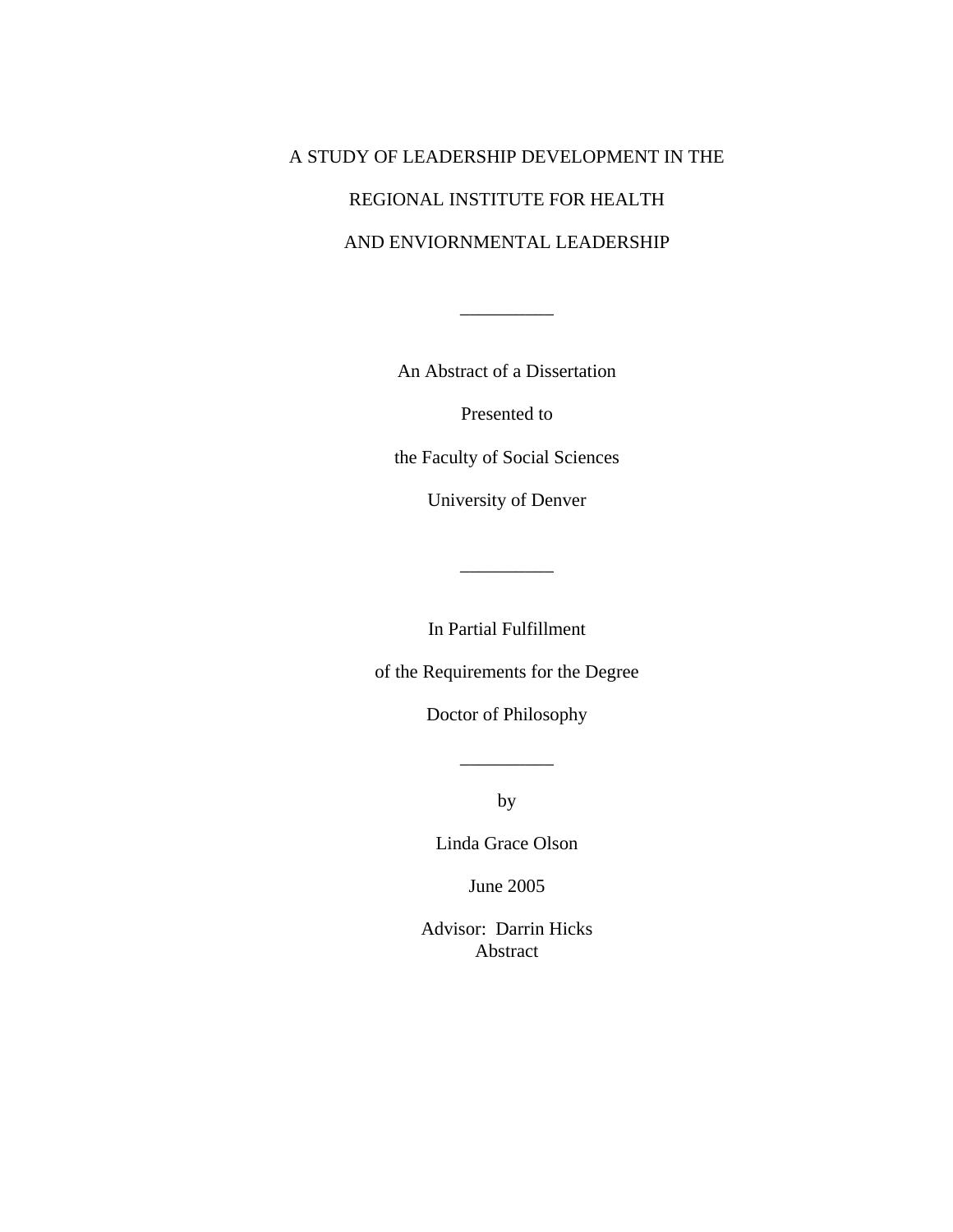## A STUDY OF LEADERSHIP DEVELOPMENT IN THE REGIONAL INSTITUTE FOR HEALTH AND ENVIORNMENTAL LEADERSHIP

An Abstract of a Dissertation

 $\overline{\phantom{a}}$ 

Presented to

the Faculty of Social Sciences

University of Denver

In Partial Fulfillment

 $\overline{\phantom{a}}$ 

of the Requirements for the Degree

Doctor of Philosophy

by

Linda Grace Olson

June 2005

Advisor: Darrin Hicks Abstract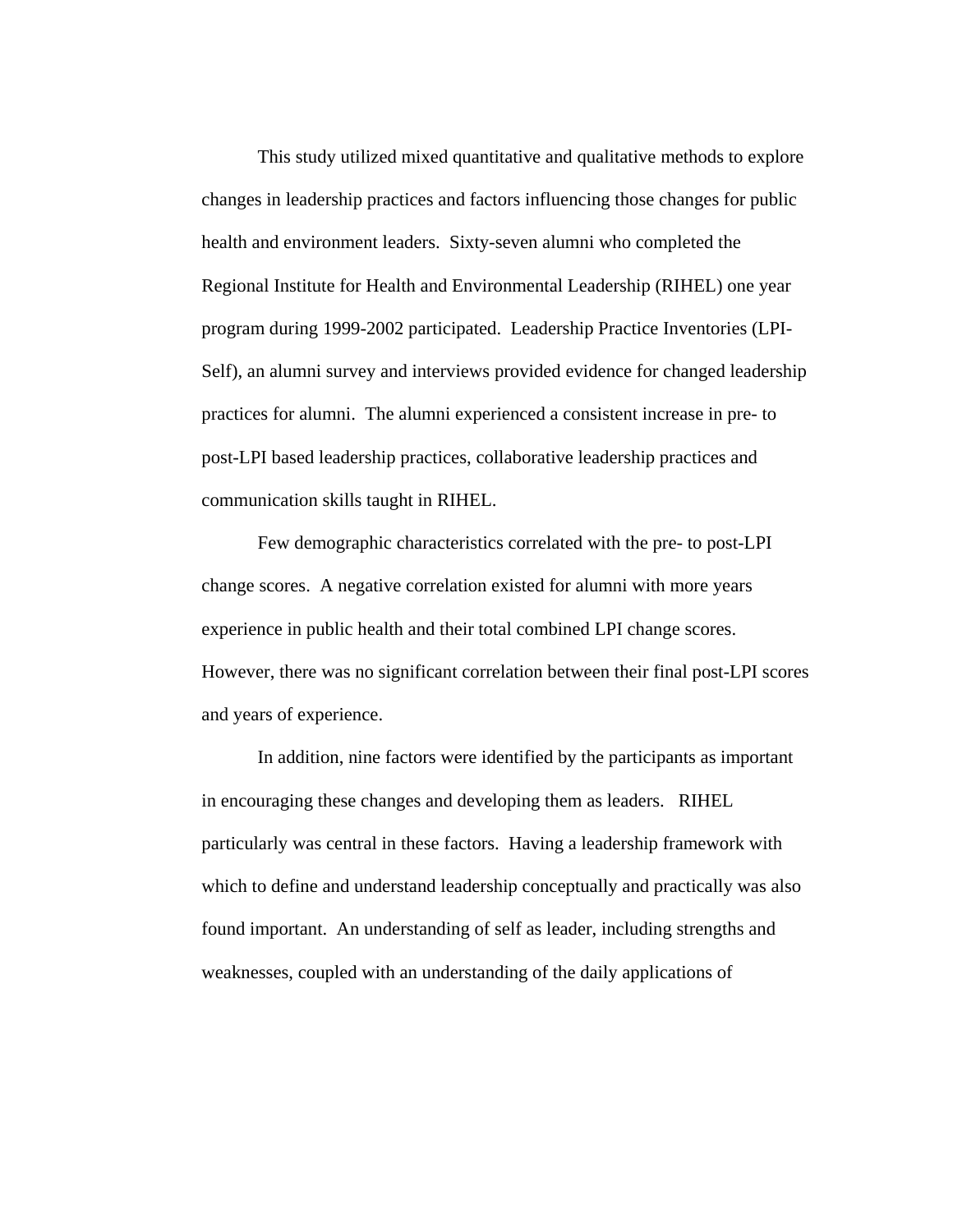This study utilized mixed quantitative and qualitative methods to explore changes in leadership practices and factors influencing those changes for public health and environment leaders. Sixty-seven alumni who completed the Regional Institute for Health and Environmental Leadership (RIHEL) one year program during 1999-2002 participated. Leadership Practice Inventories (LPI-Self), an alumni survey and interviews provided evidence for changed leadership practices for alumni. The alumni experienced a consistent increase in pre- to post-LPI based leadership practices, collaborative leadership practices and communication skills taught in RIHEL.

 Few demographic characteristics correlated with the pre- to post-LPI change scores. A negative correlation existed for alumni with more years experience in public health and their total combined LPI change scores. However, there was no significant correlation between their final post-LPI scores and years of experience.

In addition, nine factors were identified by the participants as important in encouraging these changes and developing them as leaders. RIHEL particularly was central in these factors. Having a leadership framework with which to define and understand leadership conceptually and practically was also found important. An understanding of self as leader, including strengths and weaknesses, coupled with an understanding of the daily applications of